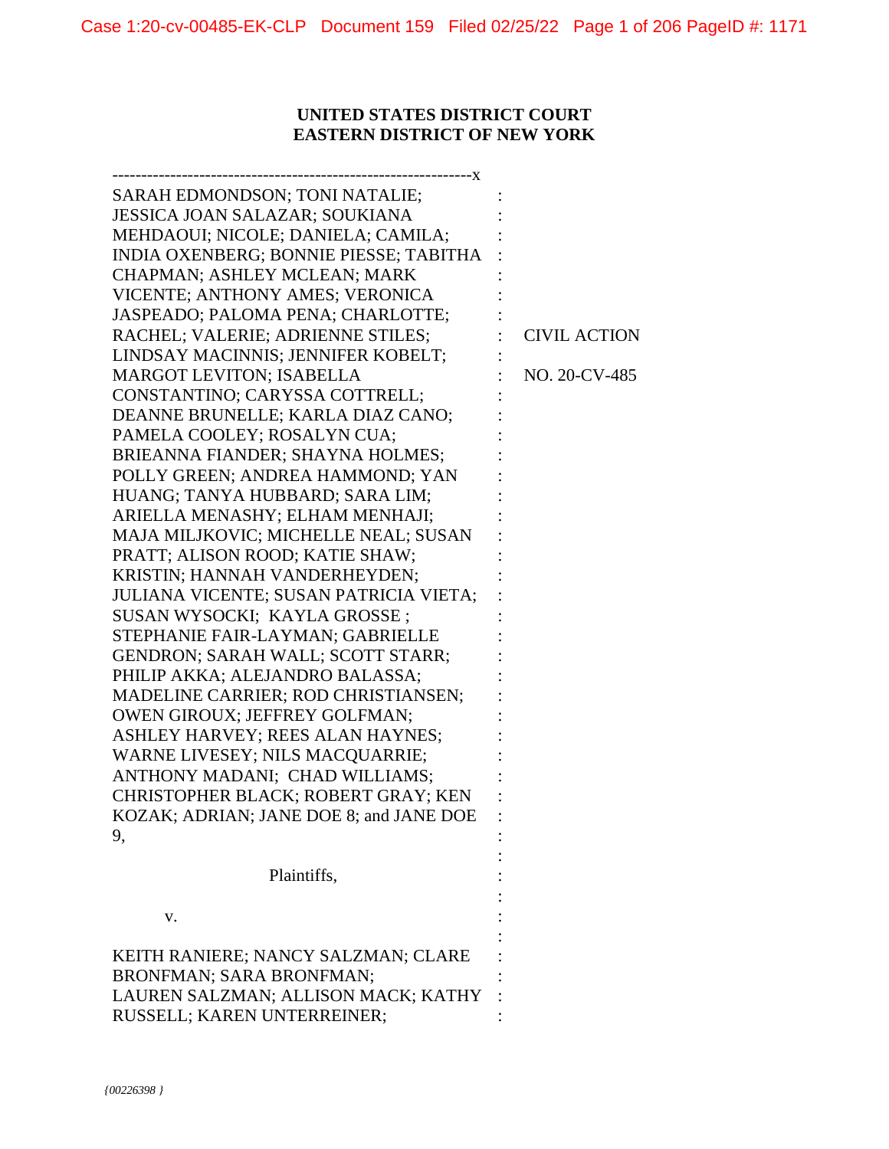# **UNITED STATES DISTRICT COURT EASTERN DISTRICT OF NEW YORK**

| --------X                               |                     |
|-----------------------------------------|---------------------|
| SARAH EDMONDSON; TONI NATALIE;          |                     |
| JESSICA JOAN SALAZAR; SOUKIANA          |                     |
| MEHDAOUI; NICOLE; DANIELA; CAMILA;      |                     |
| INDIA OXENBERG; BONNIE PIESSE; TABITHA  |                     |
| CHAPMAN; ASHLEY MCLEAN; MARK            |                     |
| VICENTE; ANTHONY AMES; VERONICA         |                     |
| JASPEADO; PALOMA PENA; CHARLOTTE;       |                     |
| RACHEL; VALERIE; ADRIENNE STILES;       | <b>CIVIL ACTION</b> |
| LINDSAY MACINNIS; JENNIFER KOBELT;      |                     |
| <b>MARGOT LEVITON; ISABELLA</b>         | NO. 20-CV-485       |
| CONSTANTINO; CARYSSA COTTRELL;          |                     |
| DEANNE BRUNELLE; KARLA DIAZ CANO;       |                     |
| PAMELA COOLEY; ROSALYN CUA;             |                     |
| BRIEANNA FIANDER; SHAYNA HOLMES;        |                     |
| POLLY GREEN; ANDREA HAMMOND; YAN        |                     |
| HUANG; TANYA HUBBARD; SARA LIM;         |                     |
| ARIELLA MENASHY; ELHAM MENHAJI;         |                     |
| MAJA MILJKOVIC; MICHELLE NEAL; SUSAN    |                     |
| PRATT; ALISON ROOD; KATIE SHAW;         |                     |
| KRISTIN; HANNAH VANDERHEYDEN;           |                     |
| JULIANA VICENTE; SUSAN PATRICIA VIETA;  |                     |
| SUSAN WYSOCKI; KAYLA GROSSE;            |                     |
| STEPHANIE FAIR-LAYMAN; GABRIELLE        |                     |
| GENDRON; SARAH WALL; SCOTT STARR;       |                     |
| PHILIP AKKA; ALEJANDRO BALASSA;         |                     |
| MADELINE CARRIER; ROD CHRISTIANSEN;     |                     |
| OWEN GIROUX; JEFFREY GOLFMAN;           |                     |
| ASHLEY HARVEY; REES ALAN HAYNES;        |                     |
| WARNE LIVESEY; NILS MACQUARRIE;         |                     |
| ANTHONY MADANI; CHAD WILLIAMS;          |                     |
| CHRISTOPHER BLACK; ROBERT GRAY; KEN     |                     |
| KOZAK; ADRIAN; JANE DOE 8; and JANE DOE |                     |
| 9,                                      |                     |
|                                         |                     |
| Plaintiffs,                             |                     |
|                                         |                     |
| V.                                      |                     |
|                                         |                     |
| KEITH RANIERE; NANCY SALZMAN; CLARE     |                     |
| BRONFMAN; SARA BRONFMAN;                |                     |
| LAUREN SALZMAN; ALLISON MACK; KATHY     |                     |
| RUSSELL; KAREN UNTERREINER;             |                     |
|                                         |                     |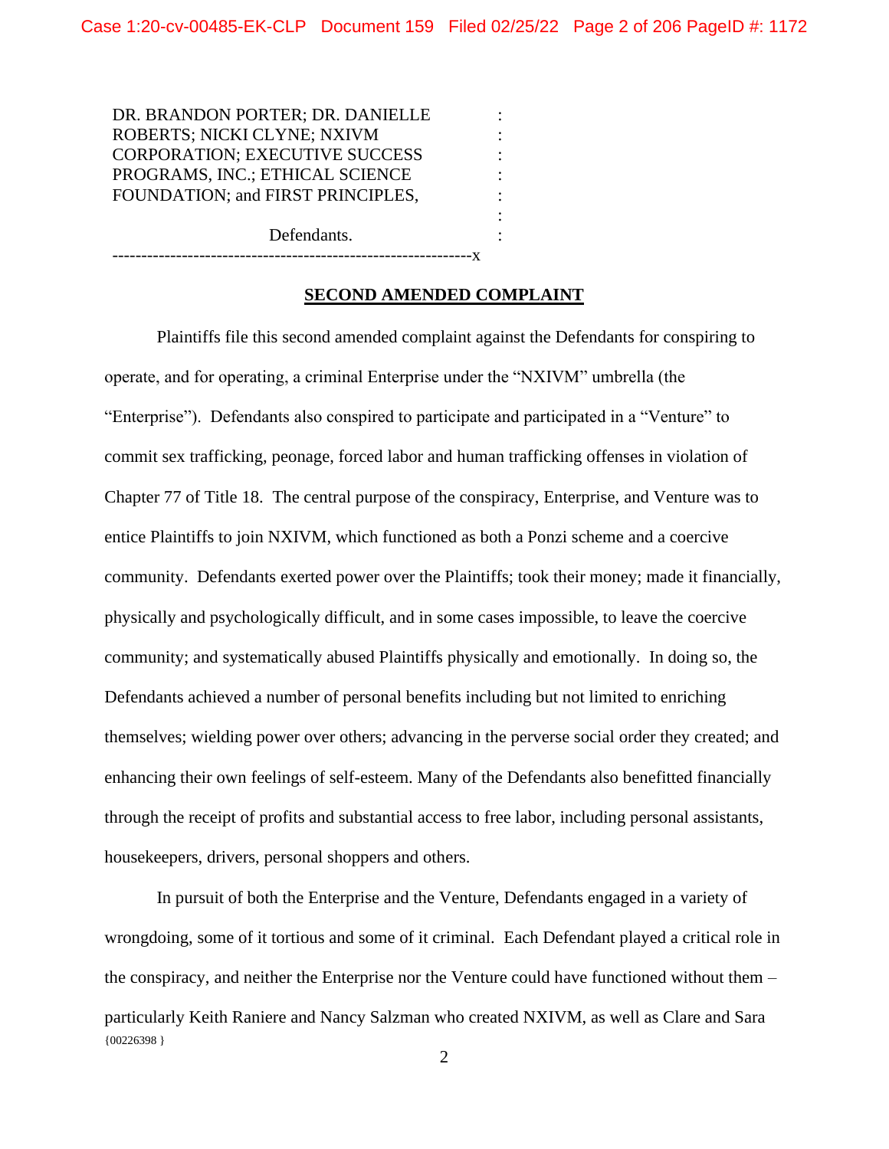: : : : : : :

DR. BRANDON PORTER; DR. DANIELLE ROBERTS; NICKI CLYNE; NXIVM CORPORATION; EXECUTIVE SUCCESS PROGRAMS, INC.; ETHICAL SCIENCE FOUNDATION; and FIRST PRINCIPLES,

Defendants.

--------------------------------------------------------------x

# **SECOND AMENDED COMPLAINT**

Plaintiffs file this second amended complaint against the Defendants for conspiring to operate, and for operating, a criminal Enterprise under the "NXIVM" umbrella (the "Enterprise"). Defendants also conspired to participate and participated in a "Venture" to commit sex trafficking, peonage, forced labor and human trafficking offenses in violation of Chapter 77 of Title 18. The central purpose of the conspiracy, Enterprise, and Venture was to entice Plaintiffs to join NXIVM, which functioned as both a Ponzi scheme and a coercive community. Defendants exerted power over the Plaintiffs; took their money; made it financially, physically and psychologically difficult, and in some cases impossible, to leave the coercive community; and systematically abused Plaintiffs physically and emotionally. In doing so, the Defendants achieved a number of personal benefits including but not limited to enriching themselves; wielding power over others; advancing in the perverse social order they created; and enhancing their own feelings of self-esteem. Many of the Defendants also benefitted financially through the receipt of profits and substantial access to free labor, including personal assistants, housekeepers, drivers, personal shoppers and others.

 ${00226398}$ In pursuit of both the Enterprise and the Venture, Defendants engaged in a variety of wrongdoing, some of it tortious and some of it criminal. Each Defendant played a critical role in the conspiracy, and neither the Enterprise nor the Venture could have functioned without them – particularly Keith Raniere and Nancy Salzman who created NXIVM, as well as Clare and Sara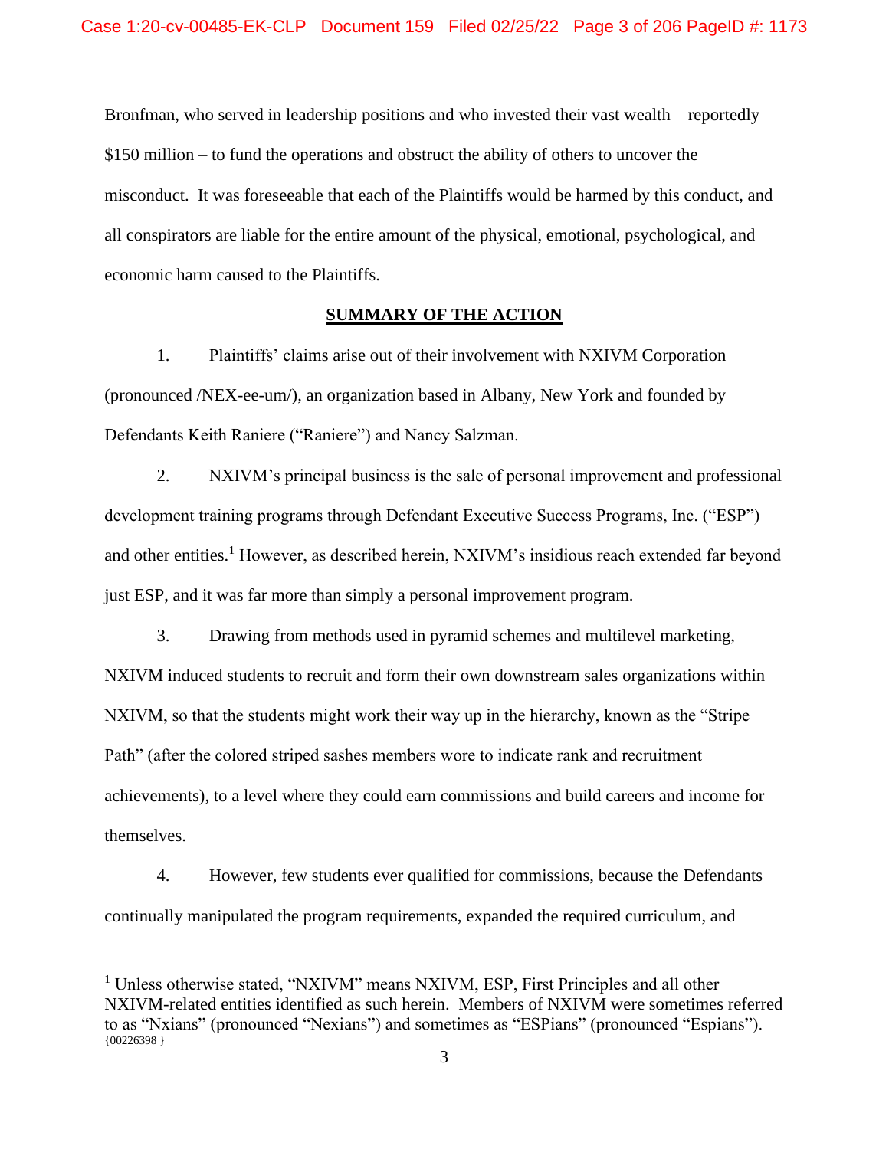Bronfman, who served in leadership positions and who invested their vast wealth – reportedly \$150 million – to fund the operations and obstruct the ability of others to uncover the misconduct. It was foreseeable that each of the Plaintiffs would be harmed by this conduct, and all conspirators are liable for the entire amount of the physical, emotional, psychological, and economic harm caused to the Plaintiffs.

# **SUMMARY OF THE ACTION**

1. Plaintiffs' claims arise out of their involvement with NXIVM Corporation (pronounced /NEX-ee-um/), an organization based in Albany, New York and founded by Defendants Keith Raniere ("Raniere") and Nancy Salzman.

2. NXIVM's principal business is the sale of personal improvement and professional development training programs through Defendant Executive Success Programs, Inc. ("ESP") and other entities.<sup>1</sup> However, as described herein, NXIVM's insidious reach extended far beyond just ESP, and it was far more than simply a personal improvement program.

3. Drawing from methods used in pyramid schemes and multilevel marketing, NXIVM induced students to recruit and form their own downstream sales organizations within NXIVM, so that the students might work their way up in the hierarchy, known as the "Stripe Path" (after the colored striped sashes members wore to indicate rank and recruitment achievements), to a level where they could earn commissions and build careers and income for themselves.

4. However, few students ever qualified for commissions, because the Defendants continually manipulated the program requirements, expanded the required curriculum, and

 ${00226398}$ <sup>1</sup> Unless otherwise stated, "NXIVM" means NXIVM, ESP, First Principles and all other NXIVM-related entities identified as such herein. Members of NXIVM were sometimes referred to as "Nxians" (pronounced "Nexians") and sometimes as "ESPians" (pronounced "Espians").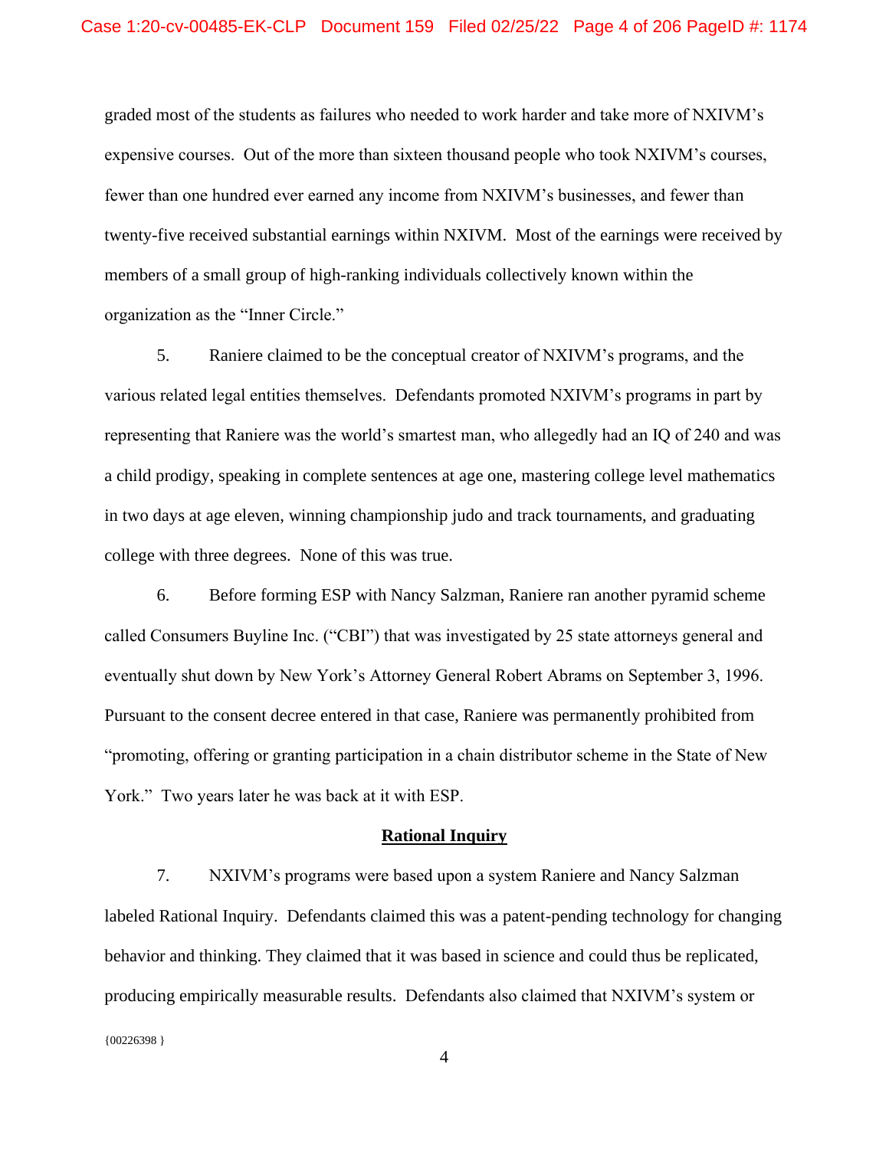graded most of the students as failures who needed to work harder and take more of NXIVM's expensive courses. Out of the more than sixteen thousand people who took NXIVM's courses, fewer than one hundred ever earned any income from NXIVM's businesses, and fewer than twenty-five received substantial earnings within NXIVM. Most of the earnings were received by members of a small group of high-ranking individuals collectively known within the organization as the "Inner Circle."

5. Raniere claimed to be the conceptual creator of NXIVM's programs, and the various related legal entities themselves. Defendants promoted NXIVM's programs in part by representing that Raniere was the world's smartest man, who allegedly had an IQ of 240 and was a child prodigy, speaking in complete sentences at age one, mastering college level mathematics in two days at age eleven, winning championship judo and track tournaments, and graduating college with three degrees. None of this was true.

6. Before forming ESP with Nancy Salzman, Raniere ran another pyramid scheme called Consumers Buyline Inc. ("CBI") that was investigated by 25 state attorneys general and eventually shut down by New York's Attorney General Robert Abrams on September 3, 1996. Pursuant to the consent decree entered in that case, Raniere was permanently prohibited from "promoting, offering or granting participation in a chain distributor scheme in the State of New York." Two years later he was back at it with ESP.

#### **Rational Inquiry**

7. NXIVM's programs were based upon a system Raniere and Nancy Salzman labeled Rational Inquiry. Defendants claimed this was a patent-pending technology for changing behavior and thinking. They claimed that it was based in science and could thus be replicated, producing empirically measurable results. Defendants also claimed that NXIVM's system or

{00226398 }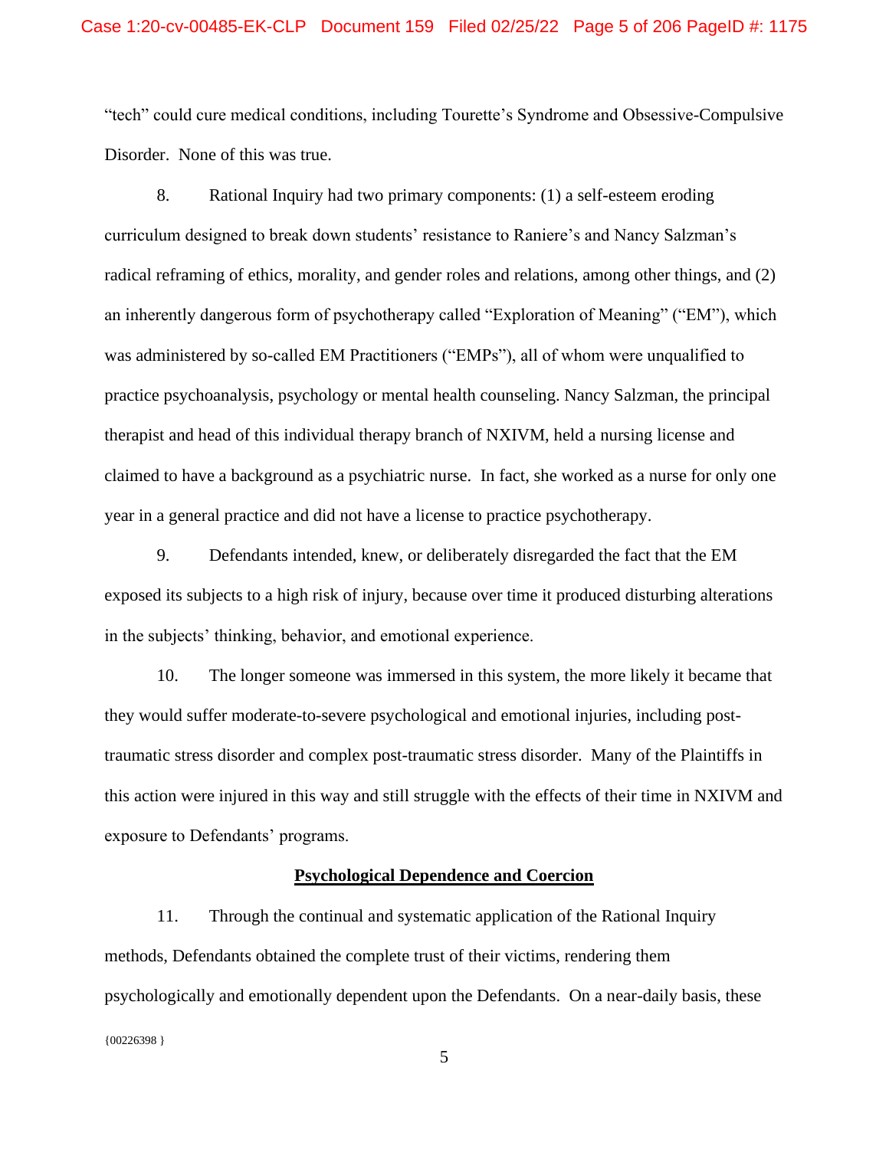"tech" could cure medical conditions, including Tourette's Syndrome and Obsessive-Compulsive Disorder. None of this was true.

8. Rational Inquiry had two primary components: (1) a self-esteem eroding curriculum designed to break down students' resistance to Raniere's and Nancy Salzman's radical reframing of ethics, morality, and gender roles and relations, among other things, and (2) an inherently dangerous form of psychotherapy called "Exploration of Meaning" ("EM"), which was administered by so-called EM Practitioners ("EMPs"), all of whom were unqualified to practice psychoanalysis, psychology or mental health counseling. Nancy Salzman, the principal therapist and head of this individual therapy branch of NXIVM, held a nursing license and claimed to have a background as a psychiatric nurse. In fact, she worked as a nurse for only one year in a general practice and did not have a license to practice psychotherapy.

9. Defendants intended, knew, or deliberately disregarded the fact that the EM exposed its subjects to a high risk of injury, because over time it produced disturbing alterations in the subjects' thinking, behavior, and emotional experience.

10. The longer someone was immersed in this system, the more likely it became that they would suffer moderate-to-severe psychological and emotional injuries, including posttraumatic stress disorder and complex post-traumatic stress disorder. Many of the Plaintiffs in this action were injured in this way and still struggle with the effects of their time in NXIVM and exposure to Defendants' programs.

## **Psychological Dependence and Coercion**

 ${00226398}$ 11. Through the continual and systematic application of the Rational Inquiry methods, Defendants obtained the complete trust of their victims, rendering them psychologically and emotionally dependent upon the Defendants. On a near-daily basis, these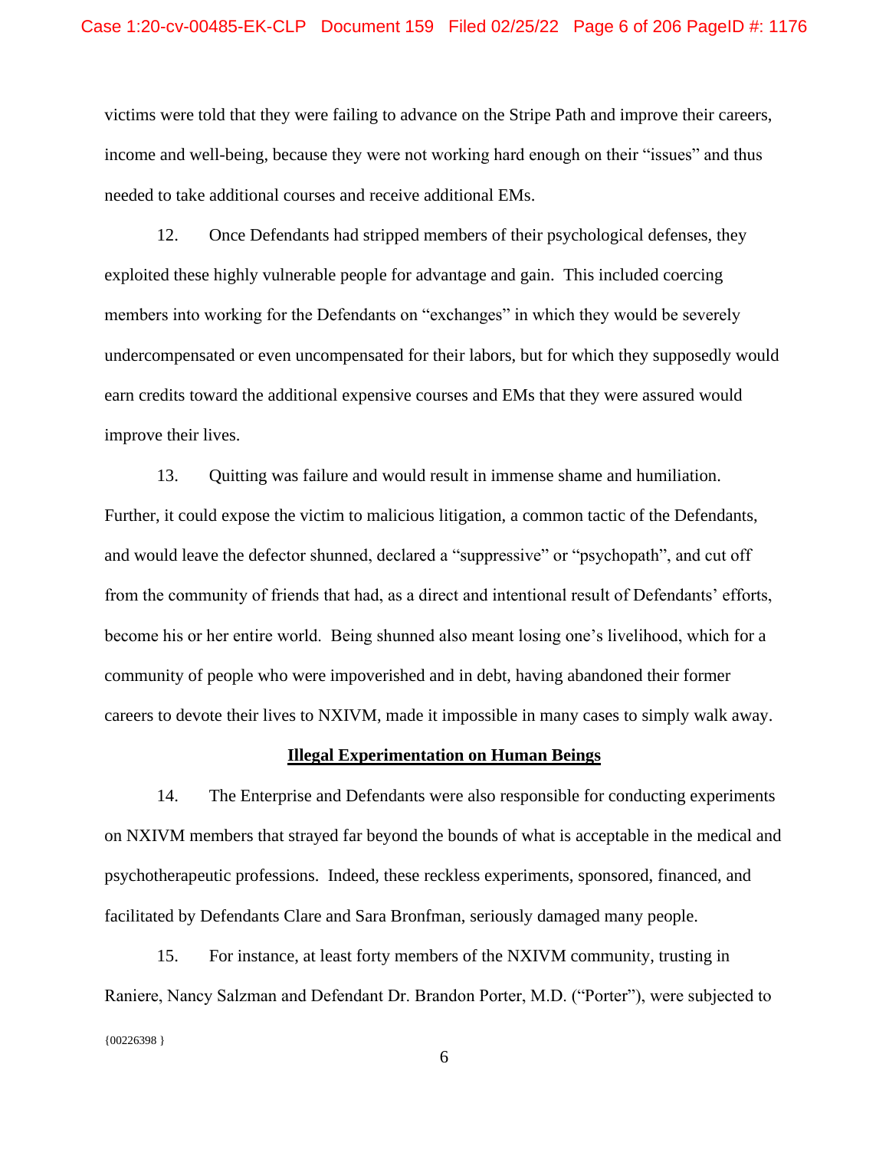victims were told that they were failing to advance on the Stripe Path and improve their careers, income and well-being, because they were not working hard enough on their "issues" and thus needed to take additional courses and receive additional EMs.

12. Once Defendants had stripped members of their psychological defenses, they exploited these highly vulnerable people for advantage and gain. This included coercing members into working for the Defendants on "exchanges" in which they would be severely undercompensated or even uncompensated for their labors, but for which they supposedly would earn credits toward the additional expensive courses and EMs that they were assured would improve their lives.

13. Quitting was failure and would result in immense shame and humiliation. Further, it could expose the victim to malicious litigation, a common tactic of the Defendants, and would leave the defector shunned, declared a "suppressive" or "psychopath", and cut off from the community of friends that had, as a direct and intentional result of Defendants' efforts, become his or her entire world. Being shunned also meant losing one's livelihood, which for a community of people who were impoverished and in debt, having abandoned their former careers to devote their lives to NXIVM, made it impossible in many cases to simply walk away.

#### **Illegal Experimentation on Human Beings**

14. The Enterprise and Defendants were also responsible for conducting experiments on NXIVM members that strayed far beyond the bounds of what is acceptable in the medical and psychotherapeutic professions. Indeed, these reckless experiments, sponsored, financed, and facilitated by Defendants Clare and Sara Bronfman, seriously damaged many people.

 ${00226398}$ 15. For instance, at least forty members of the NXIVM community, trusting in Raniere, Nancy Salzman and Defendant Dr. Brandon Porter, M.D. ("Porter"), were subjected to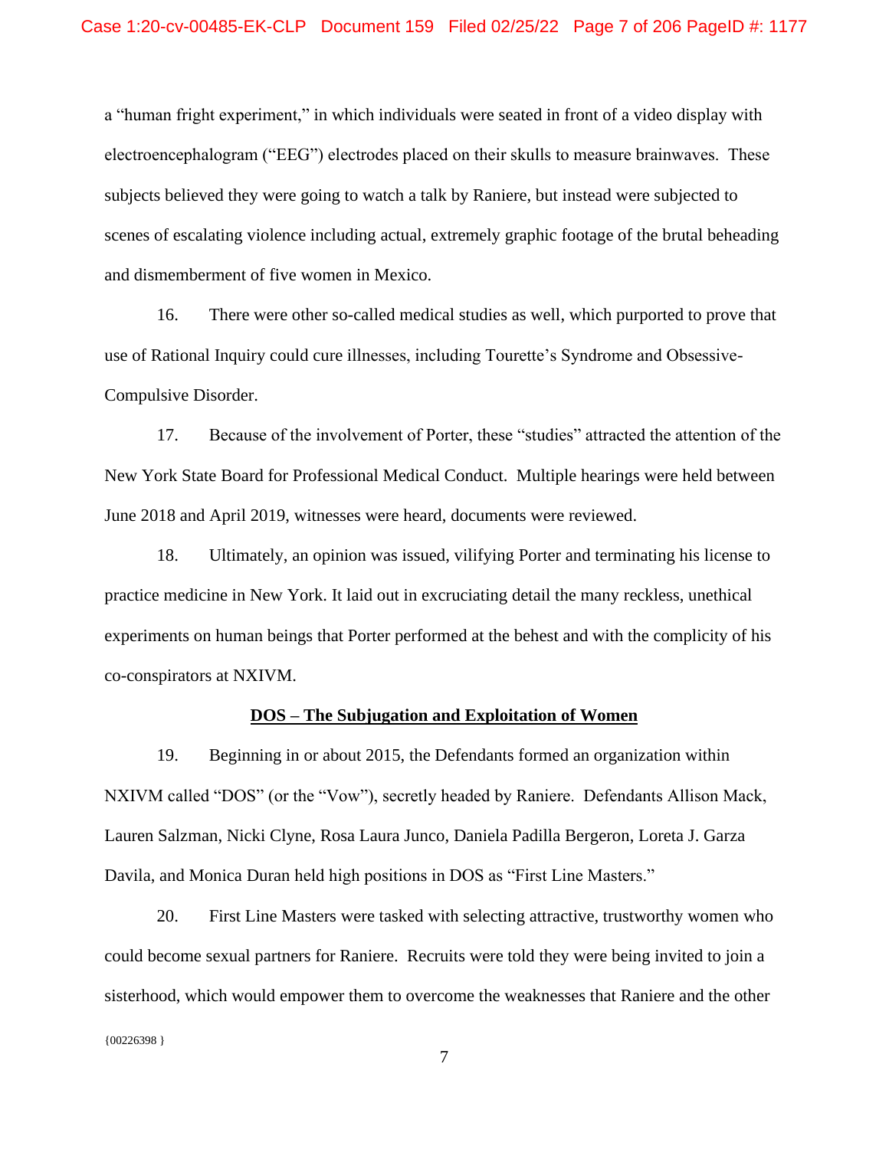a "human fright experiment," in which individuals were seated in front of a video display with electroencephalogram ("EEG") electrodes placed on their skulls to measure brainwaves. These subjects believed they were going to watch a talk by Raniere, but instead were subjected to scenes of escalating violence including actual, extremely graphic footage of the brutal beheading and dismemberment of five women in Mexico.

16. There were other so-called medical studies as well, which purported to prove that use of Rational Inquiry could cure illnesses, including Tourette's Syndrome and Obsessive-Compulsive Disorder.

17. Because of the involvement of Porter, these "studies" attracted the attention of the New York State Board for Professional Medical Conduct. Multiple hearings were held between June 2018 and April 2019, witnesses were heard, documents were reviewed.

18. Ultimately, an opinion was issued, vilifying Porter and terminating his license to practice medicine in New York. It laid out in excruciating detail the many reckless, unethical experiments on human beings that Porter performed at the behest and with the complicity of his co-conspirators at NXIVM.

#### **DOS – The Subjugation and Exploitation of Women**

19. Beginning in or about 2015, the Defendants formed an organization within NXIVM called "DOS" (or the "Vow"), secretly headed by Raniere. Defendants Allison Mack, Lauren Salzman, Nicki Clyne, Rosa Laura Junco, Daniela Padilla Bergeron, Loreta J. Garza Davila, and Monica Duran held high positions in DOS as "First Line Masters."

 ${00226398}$ 20. First Line Masters were tasked with selecting attractive, trustworthy women who could become sexual partners for Raniere. Recruits were told they were being invited to join a sisterhood, which would empower them to overcome the weaknesses that Raniere and the other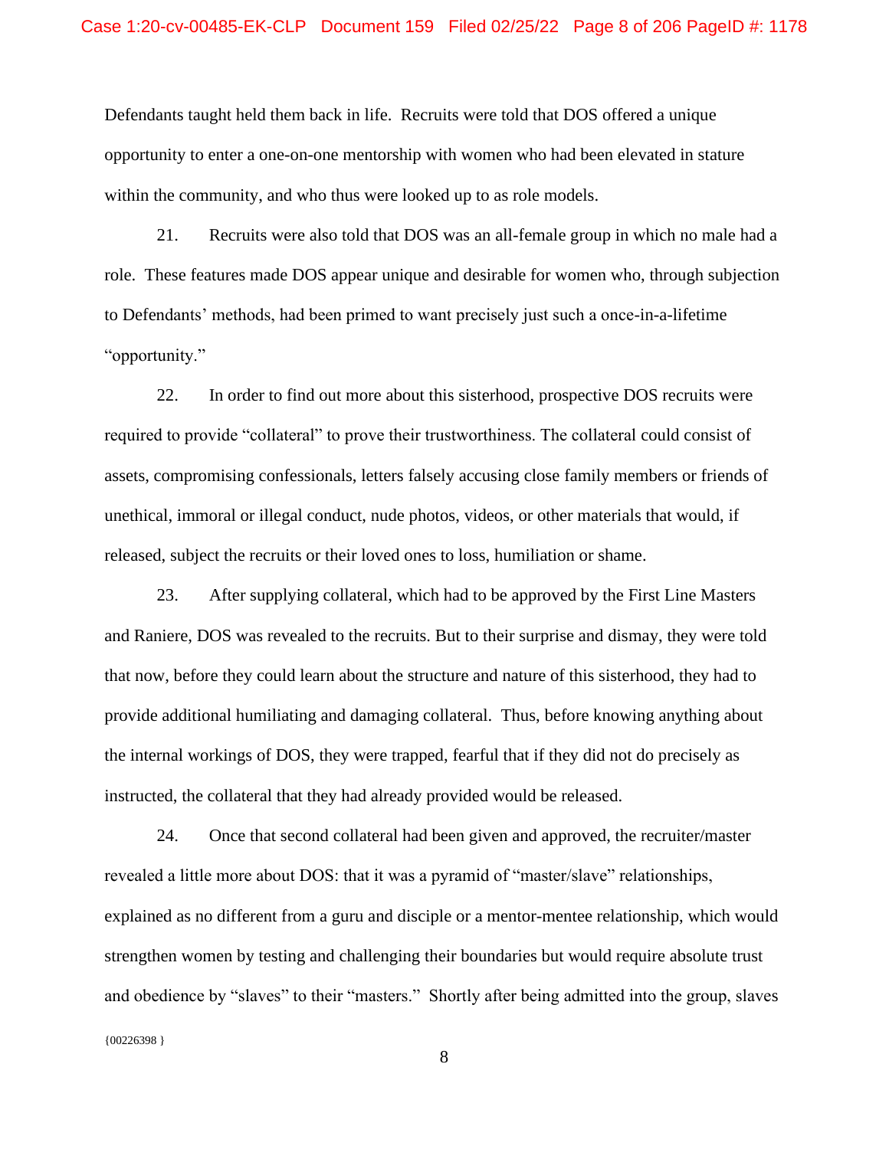Defendants taught held them back in life. Recruits were told that DOS offered a unique opportunity to enter a one-on-one mentorship with women who had been elevated in stature within the community, and who thus were looked up to as role models.

21. Recruits were also told that DOS was an all-female group in which no male had a role. These features made DOS appear unique and desirable for women who, through subjection to Defendants' methods, had been primed to want precisely just such a once-in-a-lifetime "opportunity."

22. In order to find out more about this sisterhood, prospective DOS recruits were required to provide "collateral" to prove their trustworthiness. The collateral could consist of assets, compromising confessionals, letters falsely accusing close family members or friends of unethical, immoral or illegal conduct, nude photos, videos, or other materials that would, if released, subject the recruits or their loved ones to loss, humiliation or shame.

23. After supplying collateral, which had to be approved by the First Line Masters and Raniere, DOS was revealed to the recruits. But to their surprise and dismay, they were told that now, before they could learn about the structure and nature of this sisterhood, they had to provide additional humiliating and damaging collateral. Thus, before knowing anything about the internal workings of DOS, they were trapped, fearful that if they did not do precisely as instructed, the collateral that they had already provided would be released.

 ${00226398}$ 24. Once that second collateral had been given and approved, the recruiter/master revealed a little more about DOS: that it was a pyramid of "master/slave" relationships, explained as no different from a guru and disciple or a mentor-mentee relationship, which would strengthen women by testing and challenging their boundaries but would require absolute trust and obedience by "slaves" to their "masters." Shortly after being admitted into the group, slaves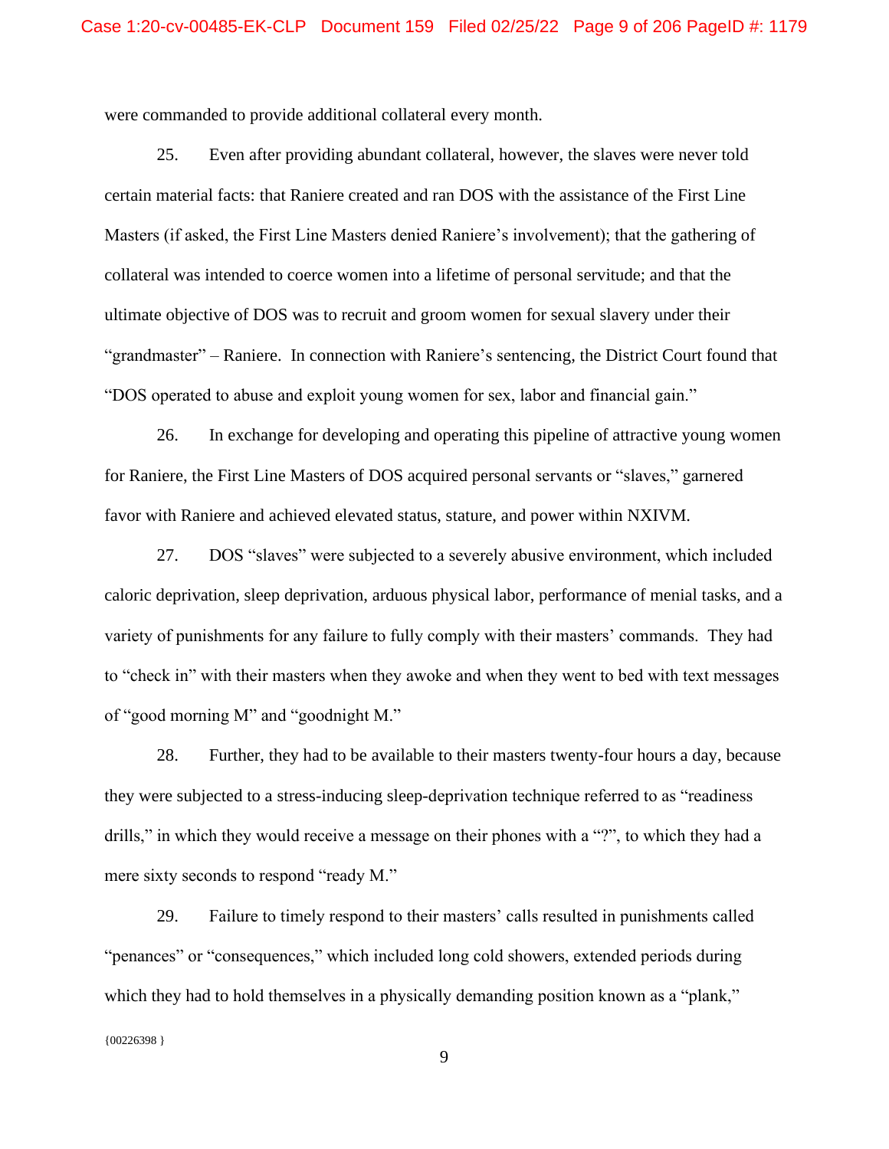were commanded to provide additional collateral every month.

25. Even after providing abundant collateral, however, the slaves were never told certain material facts: that Raniere created and ran DOS with the assistance of the First Line Masters (if asked, the First Line Masters denied Raniere's involvement); that the gathering of collateral was intended to coerce women into a lifetime of personal servitude; and that the ultimate objective of DOS was to recruit and groom women for sexual slavery under their "grandmaster" – Raniere. In connection with Raniere's sentencing, the District Court found that "DOS operated to abuse and exploit young women for sex, labor and financial gain."

26. In exchange for developing and operating this pipeline of attractive young women for Raniere, the First Line Masters of DOS acquired personal servants or "slaves," garnered favor with Raniere and achieved elevated status, stature, and power within NXIVM.

27. DOS "slaves" were subjected to a severely abusive environment, which included caloric deprivation, sleep deprivation, arduous physical labor, performance of menial tasks, and a variety of punishments for any failure to fully comply with their masters' commands. They had to "check in" with their masters when they awoke and when they went to bed with text messages of "good morning M" and "goodnight M."

28. Further, they had to be available to their masters twenty-four hours a day, because they were subjected to a stress-inducing sleep-deprivation technique referred to as "readiness drills," in which they would receive a message on their phones with a "?", to which they had a mere sixty seconds to respond "ready M."

29. Failure to timely respond to their masters' calls resulted in punishments called "penances" or "consequences," which included long cold showers, extended periods during which they had to hold themselves in a physically demanding position known as a "plank,"

 ${00226398}$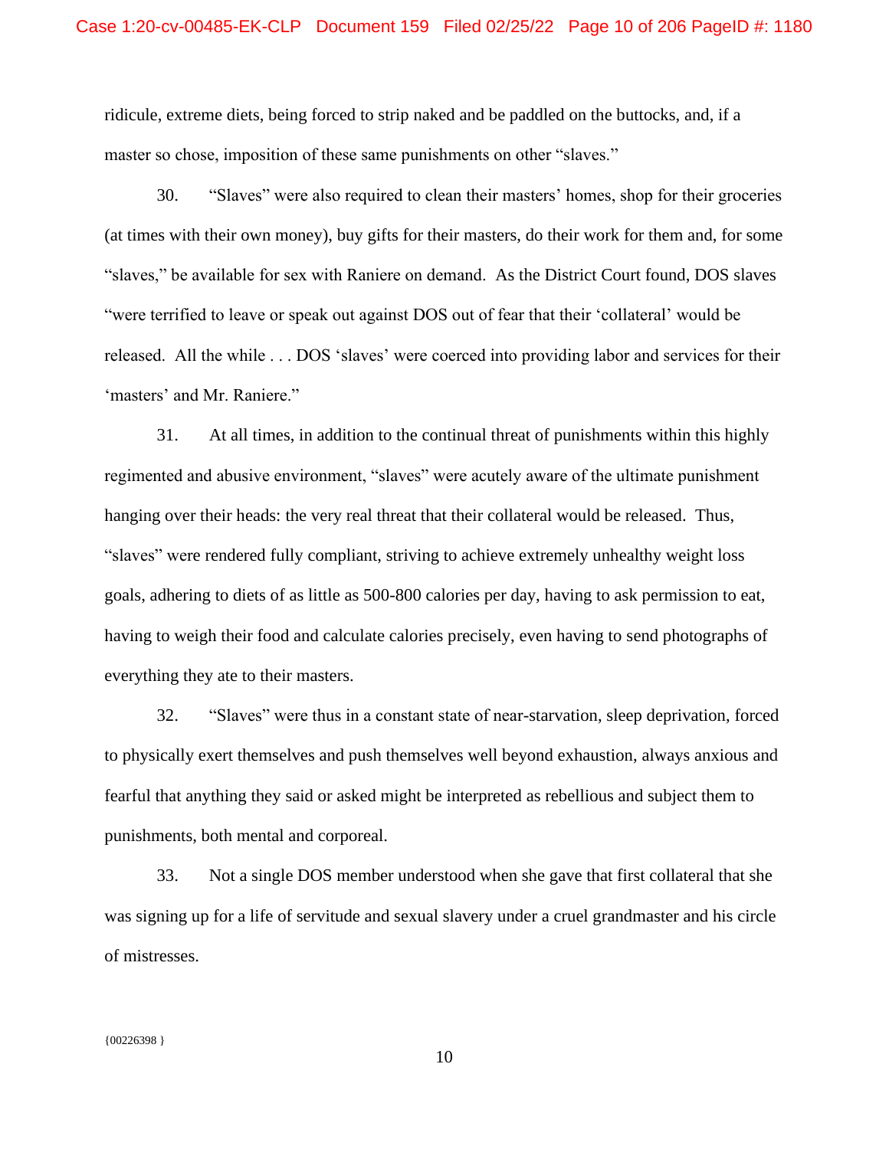ridicule, extreme diets, being forced to strip naked and be paddled on the buttocks, and, if a master so chose, imposition of these same punishments on other "slaves."

30. "Slaves" were also required to clean their masters' homes, shop for their groceries (at times with their own money), buy gifts for their masters, do their work for them and, for some "slaves," be available for sex with Raniere on demand. As the District Court found, DOS slaves "were terrified to leave or speak out against DOS out of fear that their 'collateral' would be released. All the while . . . DOS 'slaves' were coerced into providing labor and services for their 'masters' and Mr. Raniere."

31. At all times, in addition to the continual threat of punishments within this highly regimented and abusive environment, "slaves" were acutely aware of the ultimate punishment hanging over their heads: the very real threat that their collateral would be released. Thus, "slaves" were rendered fully compliant, striving to achieve extremely unhealthy weight loss goals, adhering to diets of as little as 500-800 calories per day, having to ask permission to eat, having to weigh their food and calculate calories precisely, even having to send photographs of everything they ate to their masters.

32. "Slaves" were thus in a constant state of near-starvation, sleep deprivation, forced to physically exert themselves and push themselves well beyond exhaustion, always anxious and fearful that anything they said or asked might be interpreted as rebellious and subject them to punishments, both mental and corporeal.

33. Not a single DOS member understood when she gave that first collateral that she was signing up for a life of servitude and sexual slavery under a cruel grandmaster and his circle of mistresses.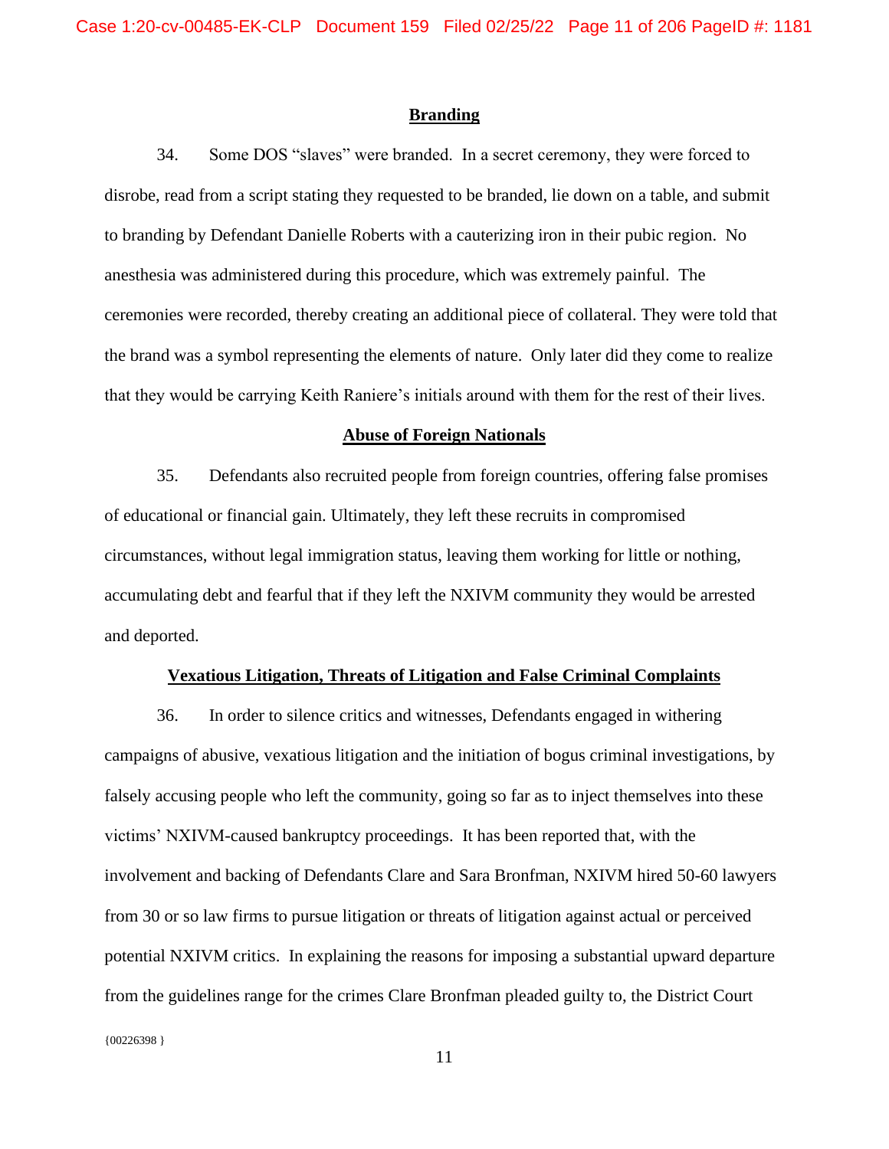# **Branding**

34. Some DOS "slaves" were branded. In a secret ceremony, they were forced to disrobe, read from a script stating they requested to be branded, lie down on a table, and submit to branding by Defendant Danielle Roberts with a cauterizing iron in their pubic region. No anesthesia was administered during this procedure, which was extremely painful. The ceremonies were recorded, thereby creating an additional piece of collateral. They were told that the brand was a symbol representing the elements of nature. Only later did they come to realize that they would be carrying Keith Raniere's initials around with them for the rest of their lives.

#### **Abuse of Foreign Nationals**

35. Defendants also recruited people from foreign countries, offering false promises of educational or financial gain. Ultimately, they left these recruits in compromised circumstances, without legal immigration status, leaving them working for little or nothing, accumulating debt and fearful that if they left the NXIVM community they would be arrested and deported.

#### **Vexatious Litigation, Threats of Litigation and False Criminal Complaints**

{00226398 } 36. In order to silence critics and witnesses, Defendants engaged in withering campaigns of abusive, vexatious litigation and the initiation of bogus criminal investigations, by falsely accusing people who left the community, going so far as to inject themselves into these victims' NXIVM-caused bankruptcy proceedings. It has been reported that, with the involvement and backing of Defendants Clare and Sara Bronfman, NXIVM hired 50-60 lawyers from 30 or so law firms to pursue litigation or threats of litigation against actual or perceived potential NXIVM critics. In explaining the reasons for imposing a substantial upward departure from the guidelines range for the crimes Clare Bronfman pleaded guilty to, the District Court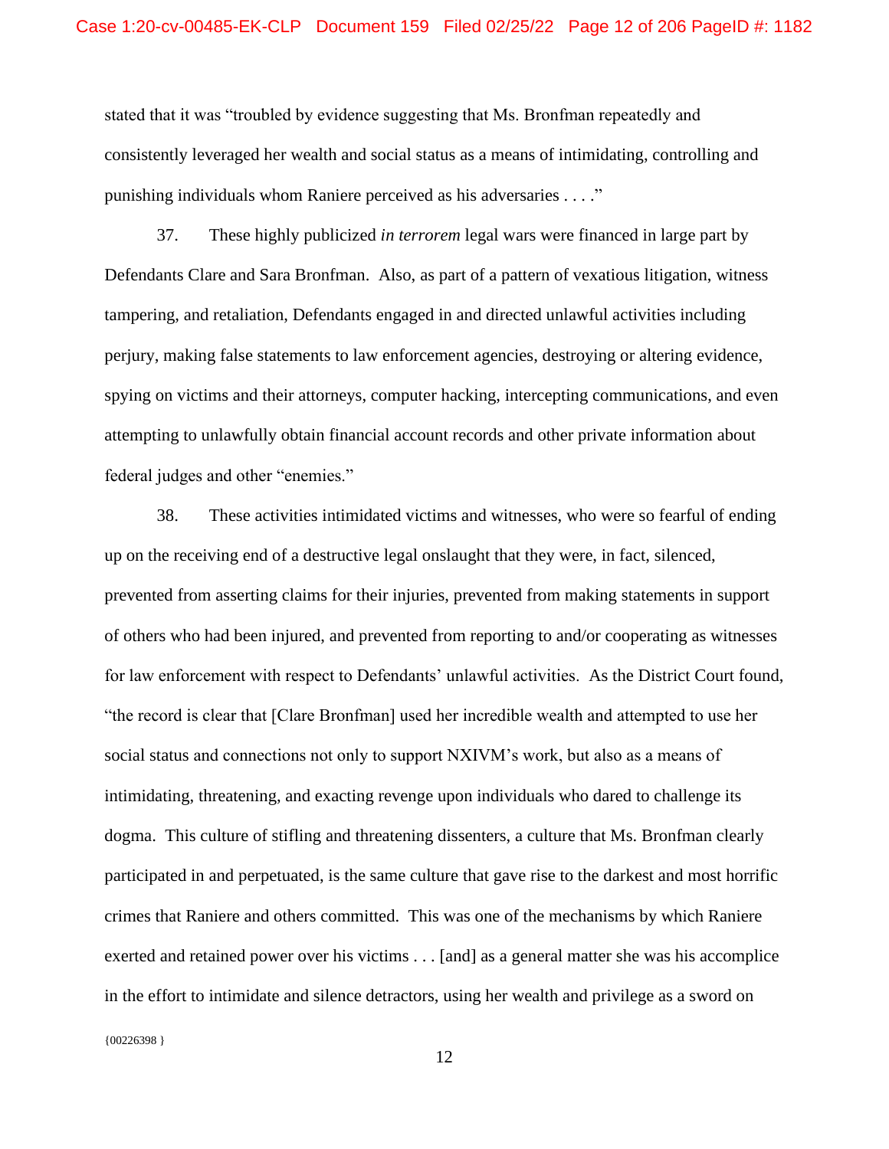stated that it was "troubled by evidence suggesting that Ms. Bronfman repeatedly and consistently leveraged her wealth and social status as a means of intimidating, controlling and punishing individuals whom Raniere perceived as his adversaries . . . ."

37. These highly publicized *in terrorem* legal wars were financed in large part by Defendants Clare and Sara Bronfman. Also, as part of a pattern of vexatious litigation, witness tampering, and retaliation, Defendants engaged in and directed unlawful activities including perjury, making false statements to law enforcement agencies, destroying or altering evidence, spying on victims and their attorneys, computer hacking, intercepting communications, and even attempting to unlawfully obtain financial account records and other private information about federal judges and other "enemies."

38. These activities intimidated victims and witnesses, who were so fearful of ending up on the receiving end of a destructive legal onslaught that they were, in fact, silenced, prevented from asserting claims for their injuries, prevented from making statements in support of others who had been injured, and prevented from reporting to and/or cooperating as witnesses for law enforcement with respect to Defendants' unlawful activities. As the District Court found, "the record is clear that [Clare Bronfman] used her incredible wealth and attempted to use her social status and connections not only to support NXIVM's work, but also as a means of intimidating, threatening, and exacting revenge upon individuals who dared to challenge its dogma. This culture of stifling and threatening dissenters, a culture that Ms. Bronfman clearly participated in and perpetuated, is the same culture that gave rise to the darkest and most horrific crimes that Raniere and others committed. This was one of the mechanisms by which Raniere exerted and retained power over his victims . . . [and] as a general matter she was his accomplice in the effort to intimidate and silence detractors, using her wealth and privilege as a sword on

 ${00226398}$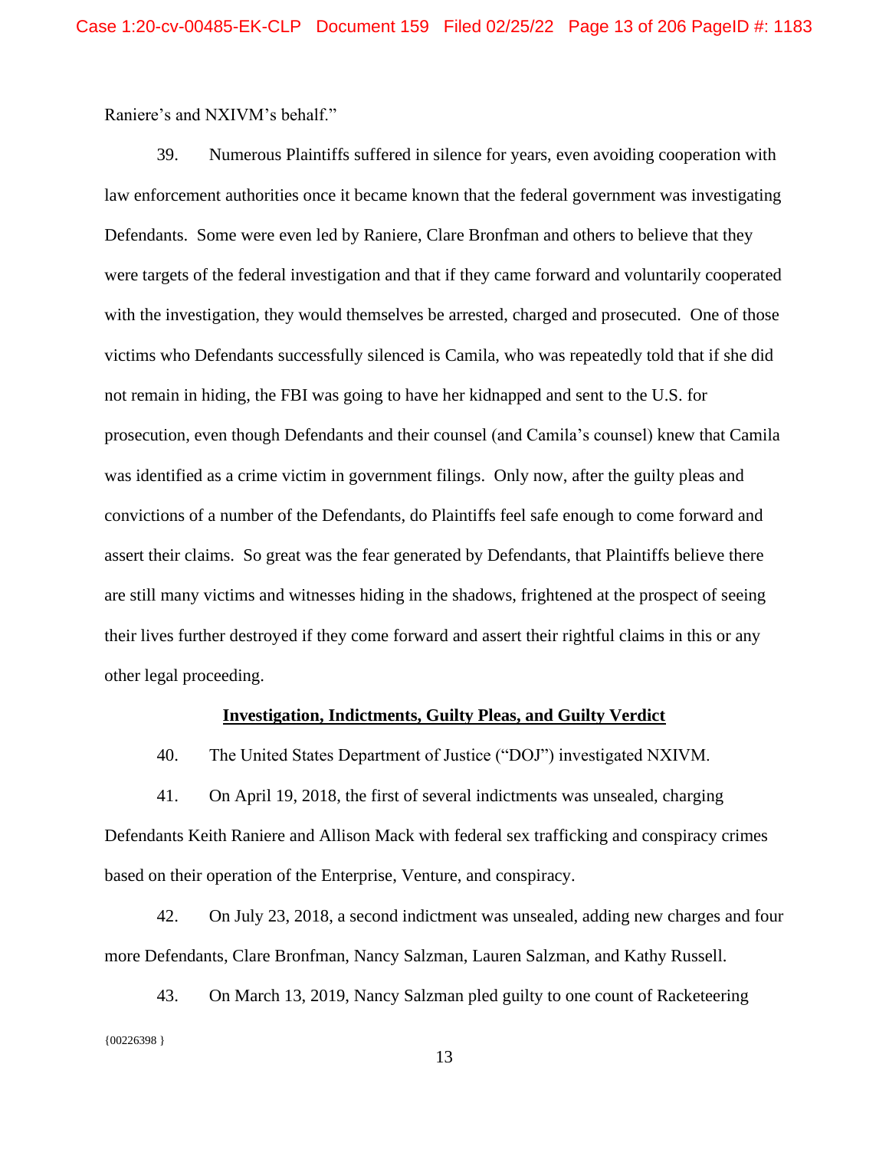Raniere's and NXIVM's behalf."

39. Numerous Plaintiffs suffered in silence for years, even avoiding cooperation with law enforcement authorities once it became known that the federal government was investigating Defendants. Some were even led by Raniere, Clare Bronfman and others to believe that they were targets of the federal investigation and that if they came forward and voluntarily cooperated with the investigation, they would themselves be arrested, charged and prosecuted. One of those victims who Defendants successfully silenced is Camila, who was repeatedly told that if she did not remain in hiding, the FBI was going to have her kidnapped and sent to the U.S. for prosecution, even though Defendants and their counsel (and Camila's counsel) knew that Camila was identified as a crime victim in government filings. Only now, after the guilty pleas and convictions of a number of the Defendants, do Plaintiffs feel safe enough to come forward and assert their claims. So great was the fear generated by Defendants, that Plaintiffs believe there are still many victims and witnesses hiding in the shadows, frightened at the prospect of seeing their lives further destroyed if they come forward and assert their rightful claims in this or any other legal proceeding.

# **Investigation, Indictments, Guilty Pleas, and Guilty Verdict**

40. The United States Department of Justice ("DOJ") investigated NXIVM.

41. On April 19, 2018, the first of several indictments was unsealed, charging Defendants Keith Raniere and Allison Mack with federal sex trafficking and conspiracy crimes based on their operation of the Enterprise, Venture, and conspiracy.

42. On July 23, 2018, a second indictment was unsealed, adding new charges and four more Defendants, Clare Bronfman, Nancy Salzman, Lauren Salzman, and Kathy Russell.

{00226398 } 43. On March 13, 2019, Nancy Salzman pled guilty to one count of Racketeering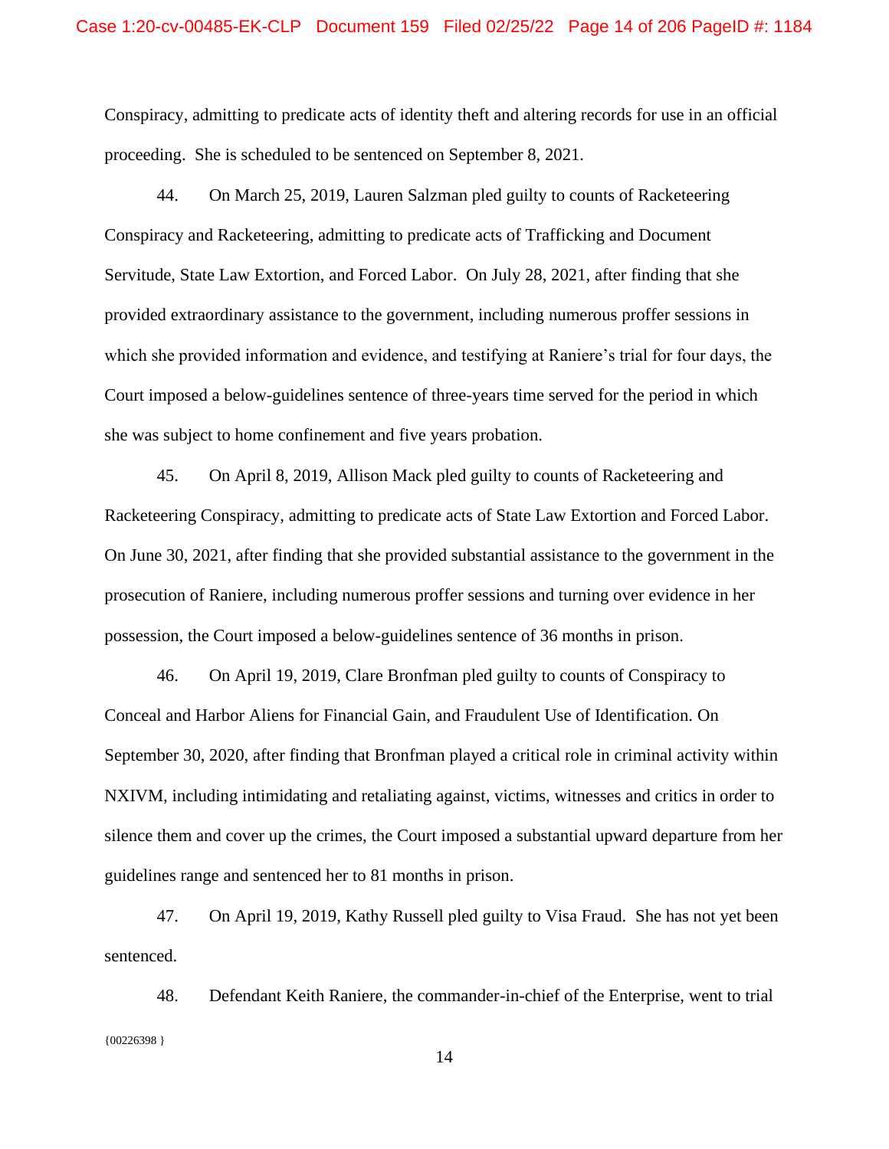Conspiracy, admitting to predicate acts of identity theft and altering records for use in an official proceeding. She is scheduled to be sentenced on September 8, 2021.

44. On March 25, 2019, Lauren Salzman pled guilty to counts of Racketeering Conspiracy and Racketeering, admitting to predicate acts of Trafficking and Document Servitude, State Law Extortion, and Forced Labor. On July 28, 2021, after finding that she provided extraordinary assistance to the government, including numerous proffer sessions in which she provided information and evidence, and testifying at Raniere's trial for four days, the Court imposed a below-guidelines sentence of three-years time served for the period in which she was subject to home confinement and five years probation.

45. On April 8, 2019, Allison Mack pled guilty to counts of Racketeering and Racketeering Conspiracy, admitting to predicate acts of State Law Extortion and Forced Labor. On June 30, 2021, after finding that she provided substantial assistance to the government in the prosecution of Raniere, including numerous proffer sessions and turning over evidence in her possession, the Court imposed a below-guidelines sentence of 36 months in prison.

46. On April 19, 2019, Clare Bronfman pled guilty to counts of Conspiracy to Conceal and Harbor Aliens for Financial Gain, and Fraudulent Use of Identification. On September 30, 2020, after finding that Bronfman played a critical role in criminal activity within NXIVM, including intimidating and retaliating against, victims, witnesses and critics in order to silence them and cover up the crimes, the Court imposed a substantial upward departure from her guidelines range and sentenced her to 81 months in prison.

47. On April 19, 2019, Kathy Russell pled guilty to Visa Fraud. She has not yet been sentenced.

{00226398 } 48. Defendant Keith Raniere, the commander-in-chief of the Enterprise, went to trial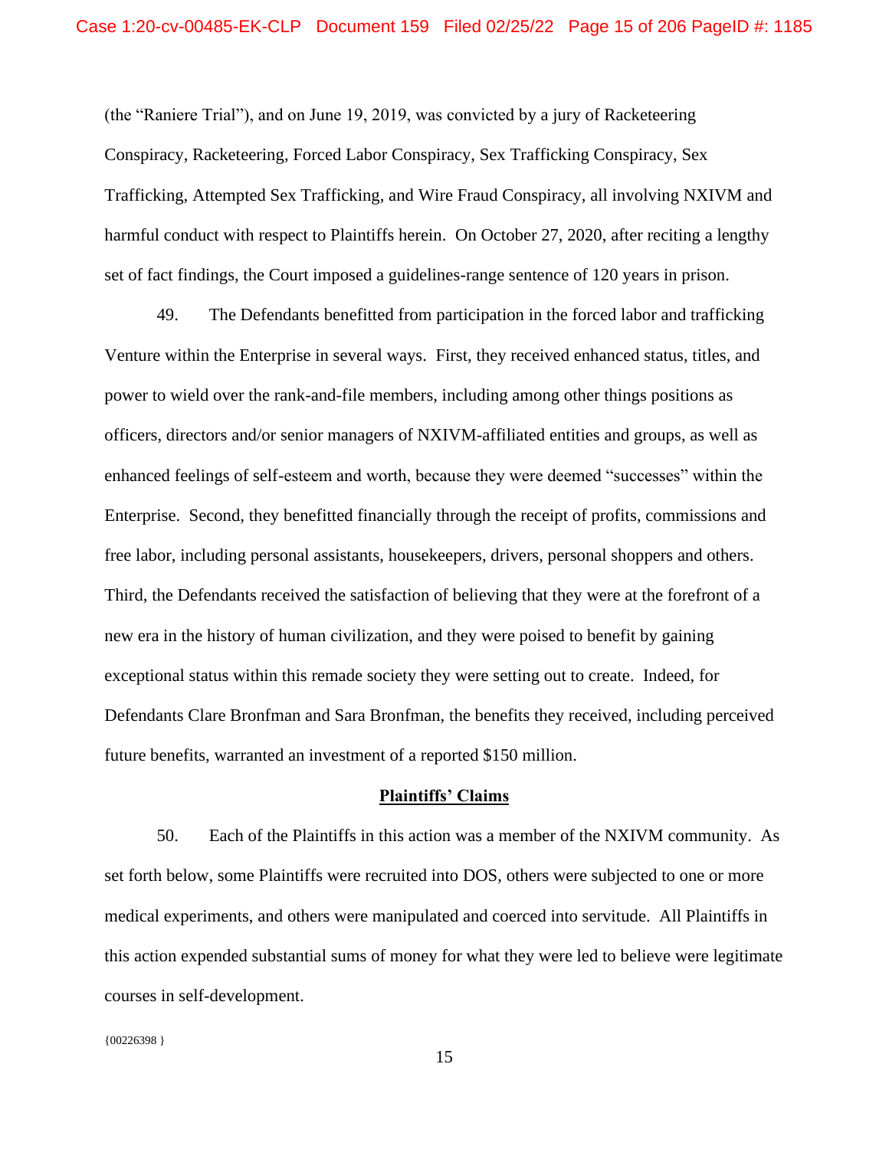(the "Raniere Trial"), and on June 19, 2019, was convicted by a jury of Racketeering Conspiracy, Racketeering, Forced Labor Conspiracy, Sex Trafficking Conspiracy, Sex Trafficking, Attempted Sex Trafficking, and Wire Fraud Conspiracy, all involving NXIVM and harmful conduct with respect to Plaintiffs herein. On October 27, 2020, after reciting a lengthy set of fact findings, the Court imposed a guidelines-range sentence of 120 years in prison.

49. The Defendants benefitted from participation in the forced labor and trafficking Venture within the Enterprise in several ways. First, they received enhanced status, titles, and power to wield over the rank-and-file members, including among other things positions as officers, directors and/or senior managers of NXIVM-affiliated entities and groups, as well as enhanced feelings of self-esteem and worth, because they were deemed "successes" within the Enterprise. Second, they benefitted financially through the receipt of profits, commissions and free labor, including personal assistants, housekeepers, drivers, personal shoppers and others. Third, the Defendants received the satisfaction of believing that they were at the forefront of a new era in the history of human civilization, and they were poised to benefit by gaining exceptional status within this remade society they were setting out to create. Indeed, for Defendants Clare Bronfman and Sara Bronfman, the benefits they received, including perceived future benefits, warranted an investment of a reported \$150 million.

# **Plaintiffs' Claims**

50. Each of the Plaintiffs in this action was a member of the NXIVM community. As set forth below, some Plaintiffs were recruited into DOS, others were subjected to one or more medical experiments, and others were manipulated and coerced into servitude. All Plaintiffs in this action expended substantial sums of money for what they were led to believe were legitimate courses in self-development.

{00226398 }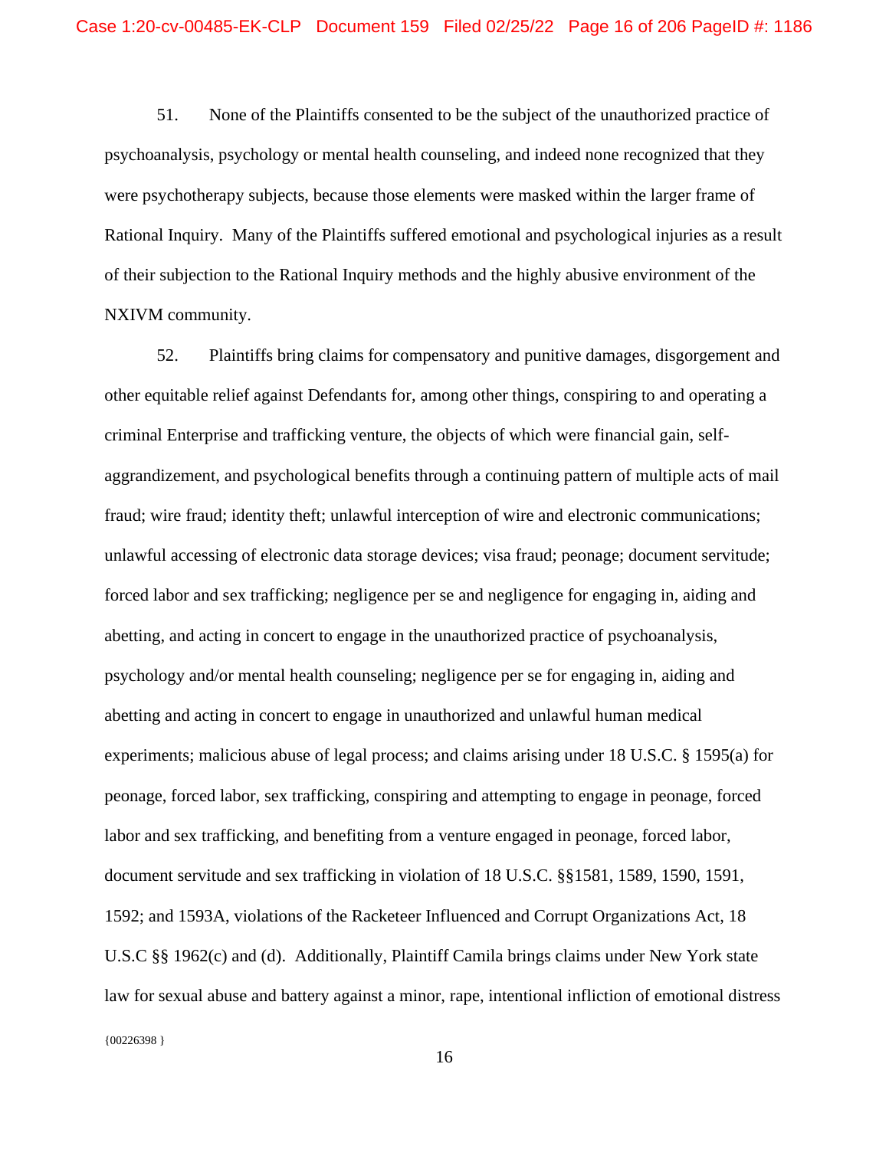51. None of the Plaintiffs consented to be the subject of the unauthorized practice of psychoanalysis, psychology or mental health counseling, and indeed none recognized that they were psychotherapy subjects, because those elements were masked within the larger frame of Rational Inquiry. Many of the Plaintiffs suffered emotional and psychological injuries as a result of their subjection to the Rational Inquiry methods and the highly abusive environment of the NXIVM community.

52. Plaintiffs bring claims for compensatory and punitive damages, disgorgement and other equitable relief against Defendants for, among other things, conspiring to and operating a criminal Enterprise and trafficking venture, the objects of which were financial gain, selfaggrandizement, and psychological benefits through a continuing pattern of multiple acts of mail fraud; wire fraud; identity theft; unlawful interception of wire and electronic communications; unlawful accessing of electronic data storage devices; visa fraud; peonage; document servitude; forced labor and sex trafficking; negligence per se and negligence for engaging in, aiding and abetting, and acting in concert to engage in the unauthorized practice of psychoanalysis, psychology and/or mental health counseling; negligence per se for engaging in, aiding and abetting and acting in concert to engage in unauthorized and unlawful human medical experiments; malicious abuse of legal process; and claims arising under 18 U.S.C. § 1595(a) for peonage, forced labor, sex trafficking, conspiring and attempting to engage in peonage, forced labor and sex trafficking, and benefiting from a venture engaged in peonage, forced labor, document servitude and sex trafficking in violation of 18 U.S.C. §§1581, 1589, 1590, 1591, 1592; and 1593A, violations of the Racketeer Influenced and Corrupt Organizations Act, 18 U.S.C §§ 1962(c) and (d). Additionally, Plaintiff Camila brings claims under New York state law for sexual abuse and battery against a minor, rape, intentional infliction of emotional distress

16

 ${00226398}$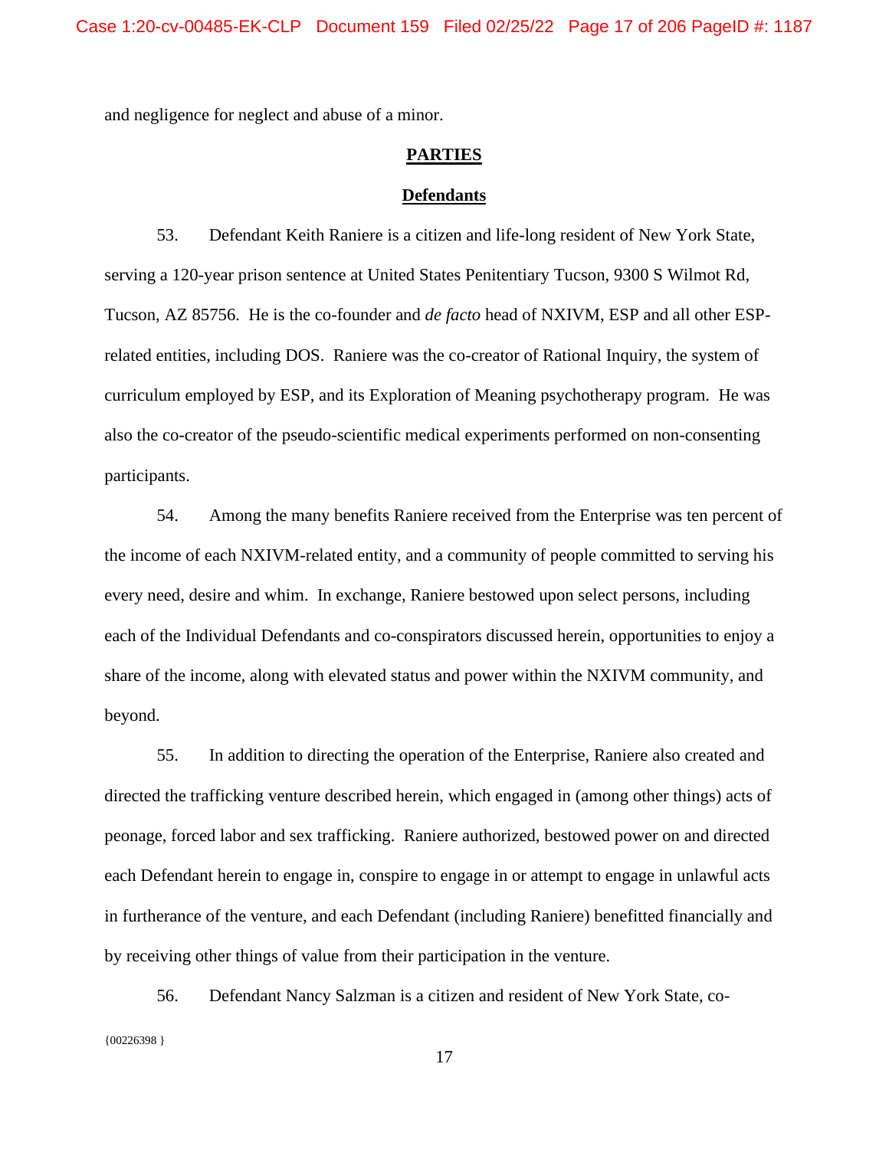and negligence for neglect and abuse of a minor.

# **PARTIES**

#### **Defendants**

53. Defendant Keith Raniere is a citizen and life-long resident of New York State, serving a 120-year prison sentence at United States Penitentiary Tucson, 9300 S Wilmot Rd, Tucson, AZ 85756. He is the co-founder and *de facto* head of NXIVM, ESP and all other ESPrelated entities, including DOS. Raniere was the co-creator of Rational Inquiry, the system of curriculum employed by ESP, and its Exploration of Meaning psychotherapy program. He was also the co-creator of the pseudo-scientific medical experiments performed on non-consenting participants.

54. Among the many benefits Raniere received from the Enterprise was ten percent of the income of each NXIVM-related entity, and a community of people committed to serving his every need, desire and whim. In exchange, Raniere bestowed upon select persons, including each of the Individual Defendants and co-conspirators discussed herein, opportunities to enjoy a share of the income, along with elevated status and power within the NXIVM community, and beyond.

55. In addition to directing the operation of the Enterprise, Raniere also created and directed the trafficking venture described herein, which engaged in (among other things) acts of peonage, forced labor and sex trafficking. Raniere authorized, bestowed power on and directed each Defendant herein to engage in, conspire to engage in or attempt to engage in unlawful acts in furtherance of the venture, and each Defendant (including Raniere) benefitted financially and by receiving other things of value from their participation in the venture.

{00226398 } 56. Defendant Nancy Salzman is a citizen and resident of New York State, co-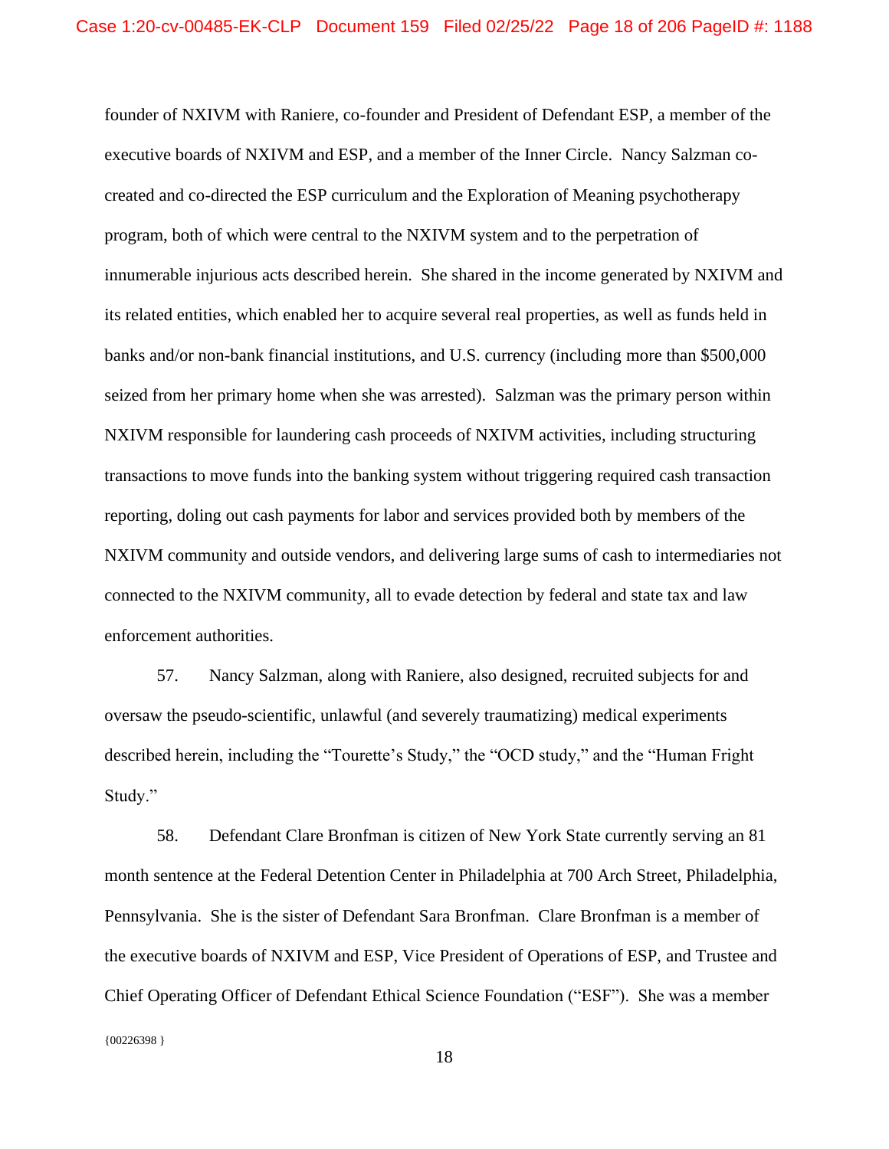founder of NXIVM with Raniere, co-founder and President of Defendant ESP, a member of the executive boards of NXIVM and ESP, and a member of the Inner Circle. Nancy Salzman cocreated and co-directed the ESP curriculum and the Exploration of Meaning psychotherapy program, both of which were central to the NXIVM system and to the perpetration of innumerable injurious acts described herein. She shared in the income generated by NXIVM and its related entities, which enabled her to acquire several real properties, as well as funds held in banks and/or non-bank financial institutions, and U.S. currency (including more than \$500,000 seized from her primary home when she was arrested). Salzman was the primary person within NXIVM responsible for laundering cash proceeds of NXIVM activities, including structuring transactions to move funds into the banking system without triggering required cash transaction reporting, doling out cash payments for labor and services provided both by members of the NXIVM community and outside vendors, and delivering large sums of cash to intermediaries not connected to the NXIVM community, all to evade detection by federal and state tax and law enforcement authorities.

57. Nancy Salzman, along with Raniere, also designed, recruited subjects for and oversaw the pseudo-scientific, unlawful (and severely traumatizing) medical experiments described herein, including the "Tourette's Study," the "OCD study," and the "Human Fright Study."

{00226398 } 58. Defendant Clare Bronfman is citizen of New York State currently serving an 81 month sentence at the Federal Detention Center in Philadelphia at 700 Arch Street, Philadelphia, Pennsylvania. She is the sister of Defendant Sara Bronfman. Clare Bronfman is a member of the executive boards of NXIVM and ESP, Vice President of Operations of ESP, and Trustee and Chief Operating Officer of Defendant Ethical Science Foundation ("ESF"). She was a member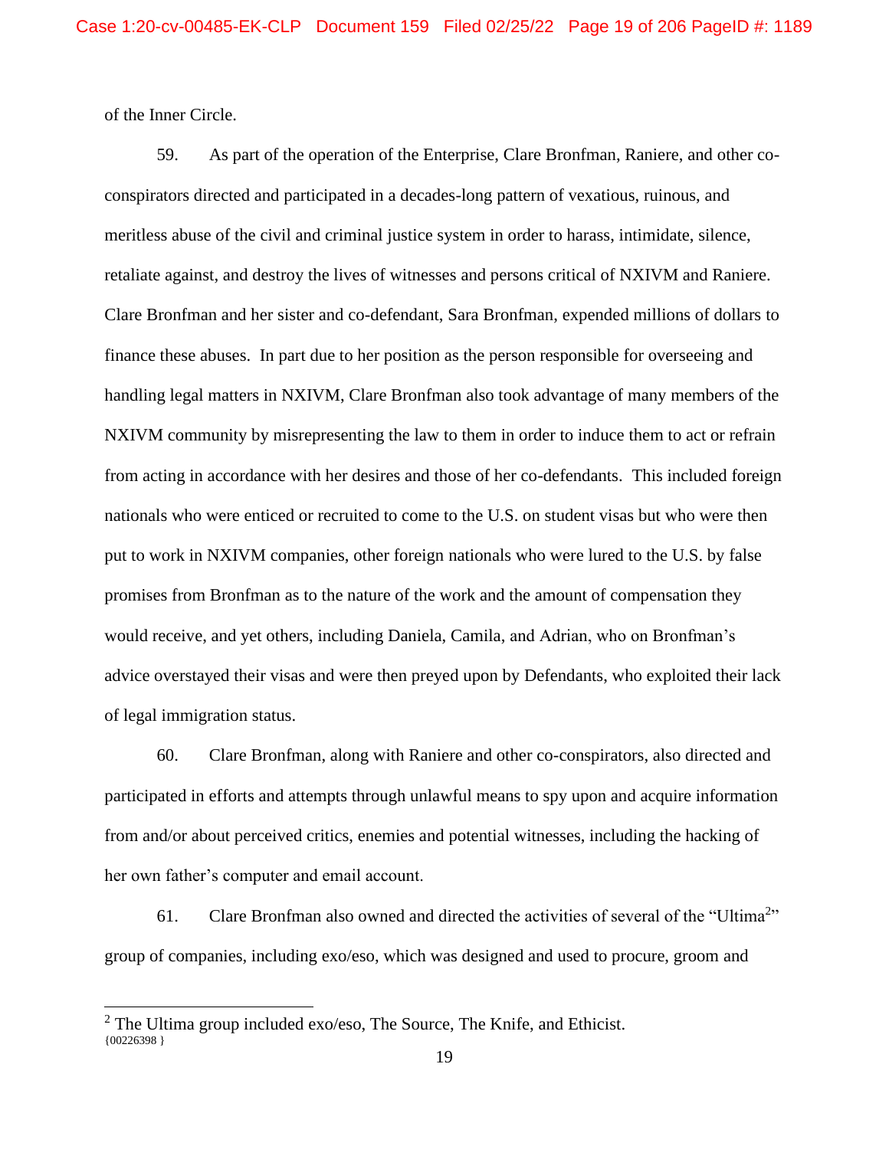of the Inner Circle.

59. As part of the operation of the Enterprise, Clare Bronfman, Raniere, and other coconspirators directed and participated in a decades-long pattern of vexatious, ruinous, and meritless abuse of the civil and criminal justice system in order to harass, intimidate, silence, retaliate against, and destroy the lives of witnesses and persons critical of NXIVM and Raniere. Clare Bronfman and her sister and co-defendant, Sara Bronfman, expended millions of dollars to finance these abuses. In part due to her position as the person responsible for overseeing and handling legal matters in NXIVM, Clare Bronfman also took advantage of many members of the NXIVM community by misrepresenting the law to them in order to induce them to act or refrain from acting in accordance with her desires and those of her co-defendants. This included foreign nationals who were enticed or recruited to come to the U.S. on student visas but who were then put to work in NXIVM companies, other foreign nationals who were lured to the U.S. by false promises from Bronfman as to the nature of the work and the amount of compensation they would receive, and yet others, including Daniela, Camila, and Adrian, who on Bronfman's advice overstayed their visas and were then preyed upon by Defendants, who exploited their lack of legal immigration status.

60. Clare Bronfman, along with Raniere and other co-conspirators, also directed and participated in efforts and attempts through unlawful means to spy upon and acquire information from and/or about perceived critics, enemies and potential witnesses, including the hacking of her own father's computer and email account.

61. Clare Bronfman also owned and directed the activities of several of the "Ultima<sup>2</sup>" group of companies, including exo/eso, which was designed and used to procure, groom and

<sup>{00226398 }</sup> <sup>2</sup> The Ultima group included exo/eso, The Source, The Knife, and Ethicist.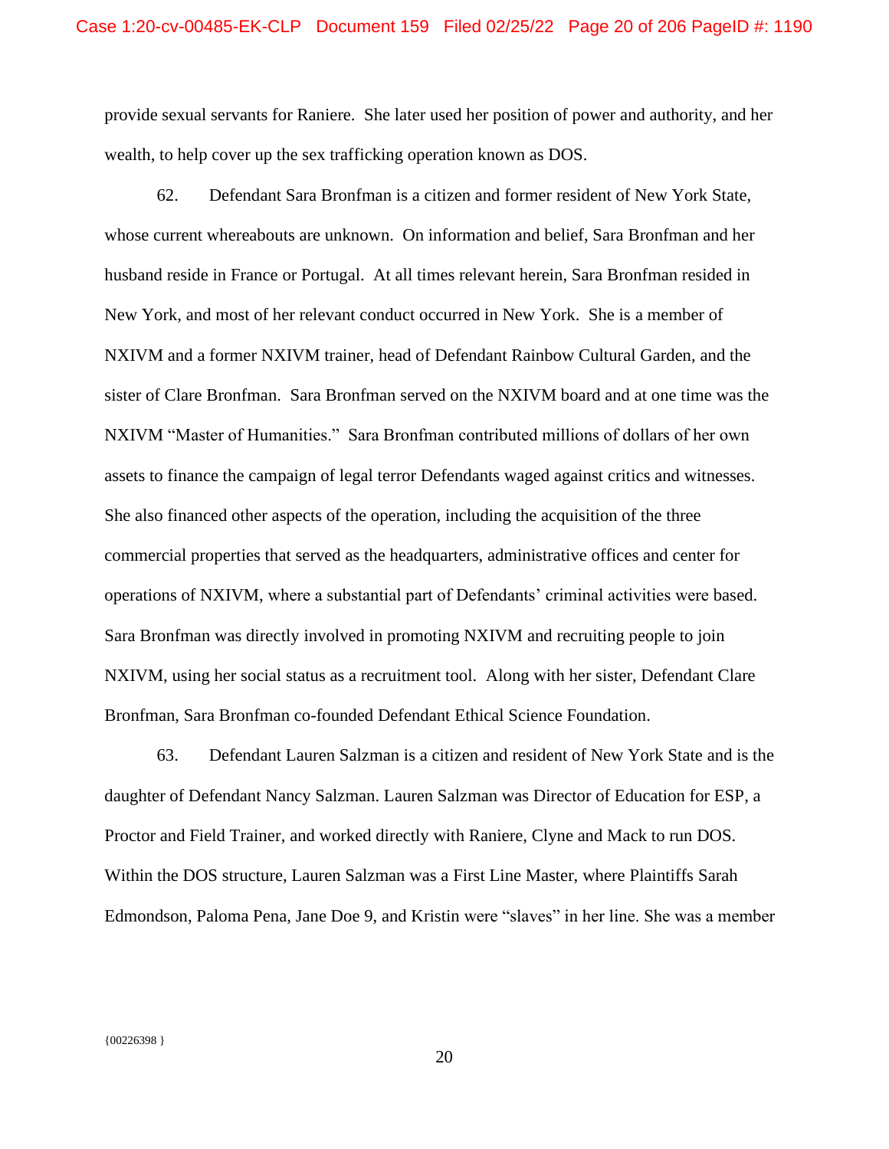provide sexual servants for Raniere. She later used her position of power and authority, and her wealth, to help cover up the sex trafficking operation known as DOS.

62. Defendant Sara Bronfman is a citizen and former resident of New York State, whose current whereabouts are unknown. On information and belief, Sara Bronfman and her husband reside in France or Portugal. At all times relevant herein, Sara Bronfman resided in New York, and most of her relevant conduct occurred in New York. She is a member of NXIVM and a former NXIVM trainer, head of Defendant Rainbow Cultural Garden, and the sister of Clare Bronfman. Sara Bronfman served on the NXIVM board and at one time was the NXIVM "Master of Humanities." Sara Bronfman contributed millions of dollars of her own assets to finance the campaign of legal terror Defendants waged against critics and witnesses. She also financed other aspects of the operation, including the acquisition of the three commercial properties that served as the headquarters, administrative offices and center for operations of NXIVM, where a substantial part of Defendants' criminal activities were based. Sara Bronfman was directly involved in promoting NXIVM and recruiting people to join NXIVM, using her social status as a recruitment tool. Along with her sister, Defendant Clare Bronfman, Sara Bronfman co-founded Defendant Ethical Science Foundation.

63. Defendant Lauren Salzman is a citizen and resident of New York State and is the daughter of Defendant Nancy Salzman. Lauren Salzman was Director of Education for ESP, a Proctor and Field Trainer, and worked directly with Raniere, Clyne and Mack to run DOS. Within the DOS structure, Lauren Salzman was a First Line Master, where Plaintiffs Sarah Edmondson, Paloma Pena, Jane Doe 9, and Kristin were "slaves" in her line. She was a member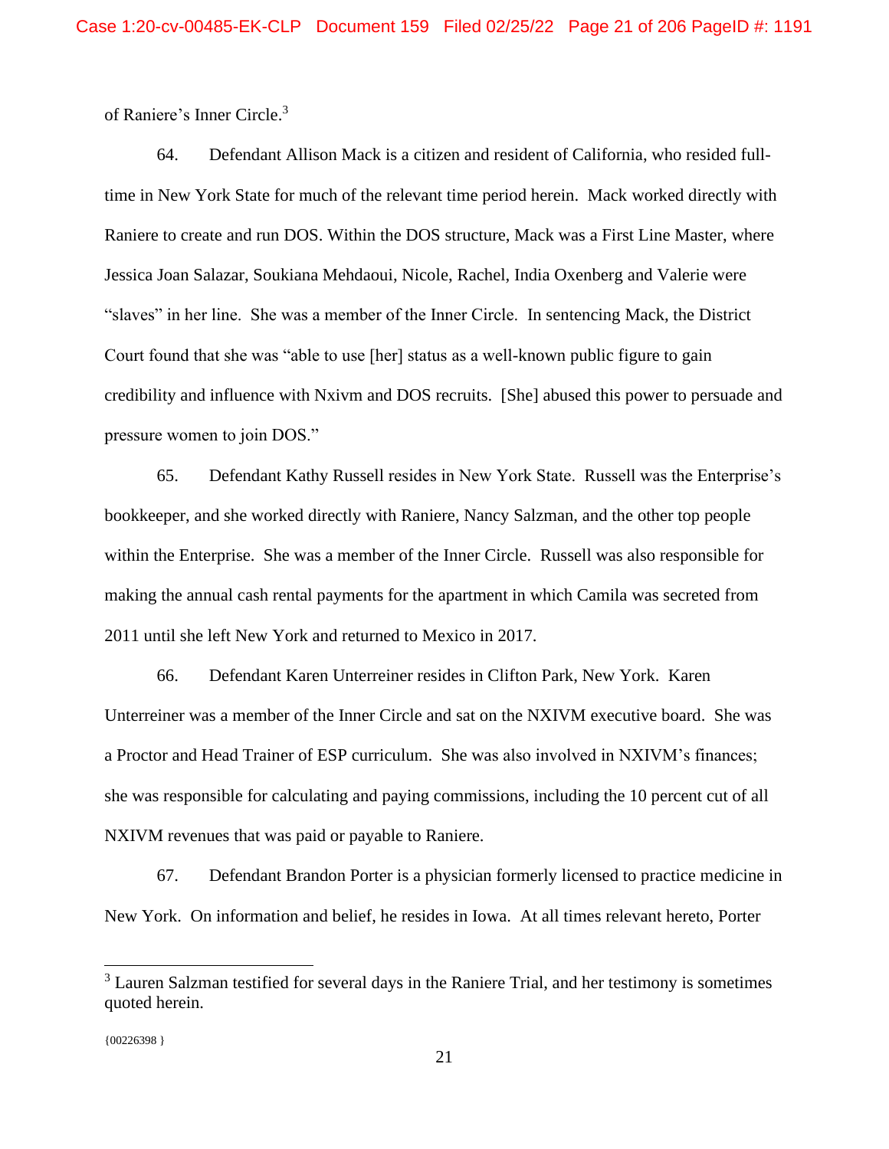of Raniere's Inner Circle.<sup>3</sup>

64. Defendant Allison Mack is a citizen and resident of California, who resided fulltime in New York State for much of the relevant time period herein. Mack worked directly with Raniere to create and run DOS. Within the DOS structure, Mack was a First Line Master, where Jessica Joan Salazar, Soukiana Mehdaoui, Nicole, Rachel, India Oxenberg and Valerie were "slaves" in her line. She was a member of the Inner Circle. In sentencing Mack, the District Court found that she was "able to use [her] status as a well-known public figure to gain credibility and influence with Nxivm and DOS recruits. [She] abused this power to persuade and pressure women to join DOS."

65. Defendant Kathy Russell resides in New York State. Russell was the Enterprise's bookkeeper, and she worked directly with Raniere, Nancy Salzman, and the other top people within the Enterprise. She was a member of the Inner Circle. Russell was also responsible for making the annual cash rental payments for the apartment in which Camila was secreted from 2011 until she left New York and returned to Mexico in 2017.

66. Defendant Karen Unterreiner resides in Clifton Park, New York. Karen Unterreiner was a member of the Inner Circle and sat on the NXIVM executive board. She was a Proctor and Head Trainer of ESP curriculum. She was also involved in NXIVM's finances; she was responsible for calculating and paying commissions, including the 10 percent cut of all NXIVM revenues that was paid or payable to Raniere.

67. Defendant Brandon Porter is a physician formerly licensed to practice medicine in New York. On information and belief, he resides in Iowa. At all times relevant hereto, Porter

 $3$  Lauren Salzman testified for several days in the Raniere Trial, and her testimony is sometimes quoted herein.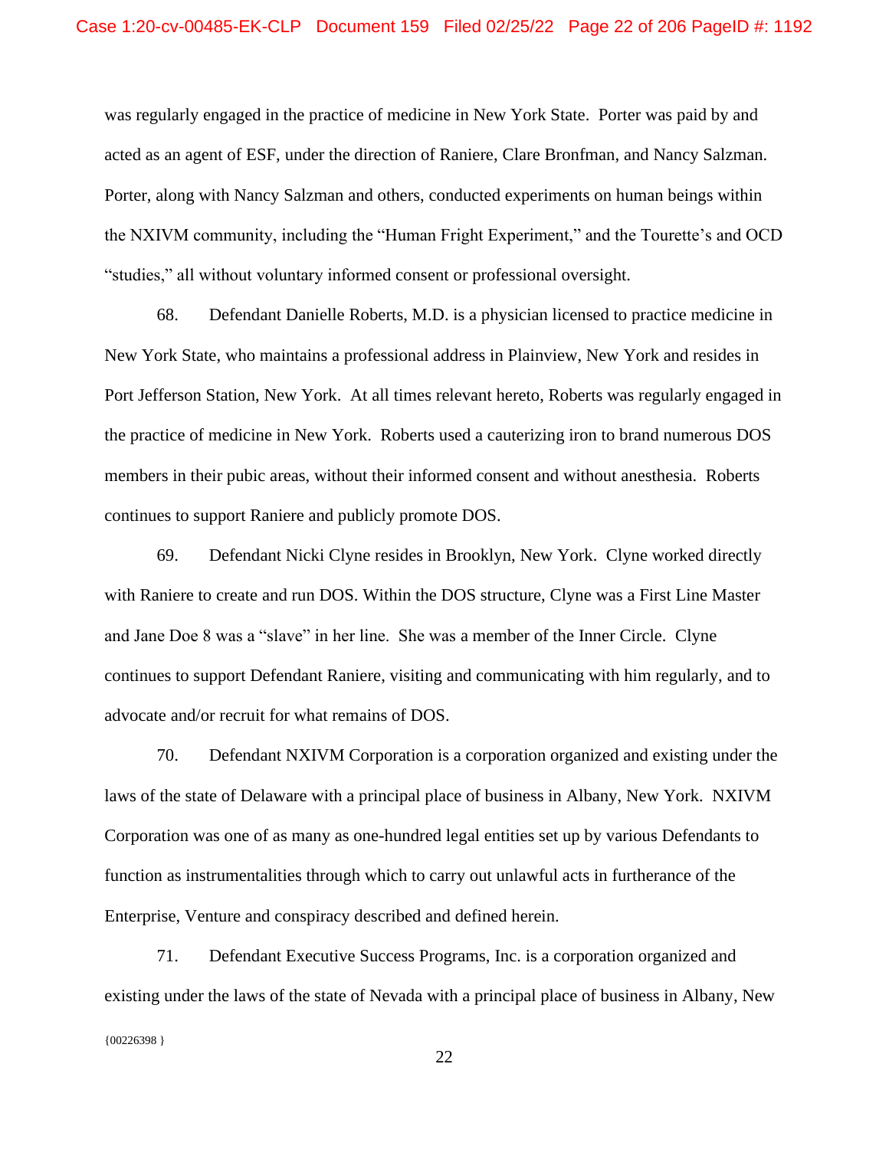was regularly engaged in the practice of medicine in New York State. Porter was paid by and acted as an agent of ESF, under the direction of Raniere, Clare Bronfman, and Nancy Salzman. Porter, along with Nancy Salzman and others, conducted experiments on human beings within the NXIVM community, including the "Human Fright Experiment," and the Tourette's and OCD "studies," all without voluntary informed consent or professional oversight.

68. Defendant Danielle Roberts, M.D. is a physician licensed to practice medicine in New York State, who maintains a professional address in Plainview, New York and resides in Port Jefferson Station, New York. At all times relevant hereto, Roberts was regularly engaged in the practice of medicine in New York. Roberts used a cauterizing iron to brand numerous DOS members in their pubic areas, without their informed consent and without anesthesia. Roberts continues to support Raniere and publicly promote DOS.

69. Defendant Nicki Clyne resides in Brooklyn, New York. Clyne worked directly with Raniere to create and run DOS. Within the DOS structure, Clyne was a First Line Master and Jane Doe 8 was a "slave" in her line. She was a member of the Inner Circle. Clyne continues to support Defendant Raniere, visiting and communicating with him regularly, and to advocate and/or recruit for what remains of DOS.

70. Defendant NXIVM Corporation is a corporation organized and existing under the laws of the state of Delaware with a principal place of business in Albany, New York. NXIVM Corporation was one of as many as one-hundred legal entities set up by various Defendants to function as instrumentalities through which to carry out unlawful acts in furtherance of the Enterprise, Venture and conspiracy described and defined herein.

 ${00226398}$ 71. Defendant Executive Success Programs, Inc. is a corporation organized and existing under the laws of the state of Nevada with a principal place of business in Albany, New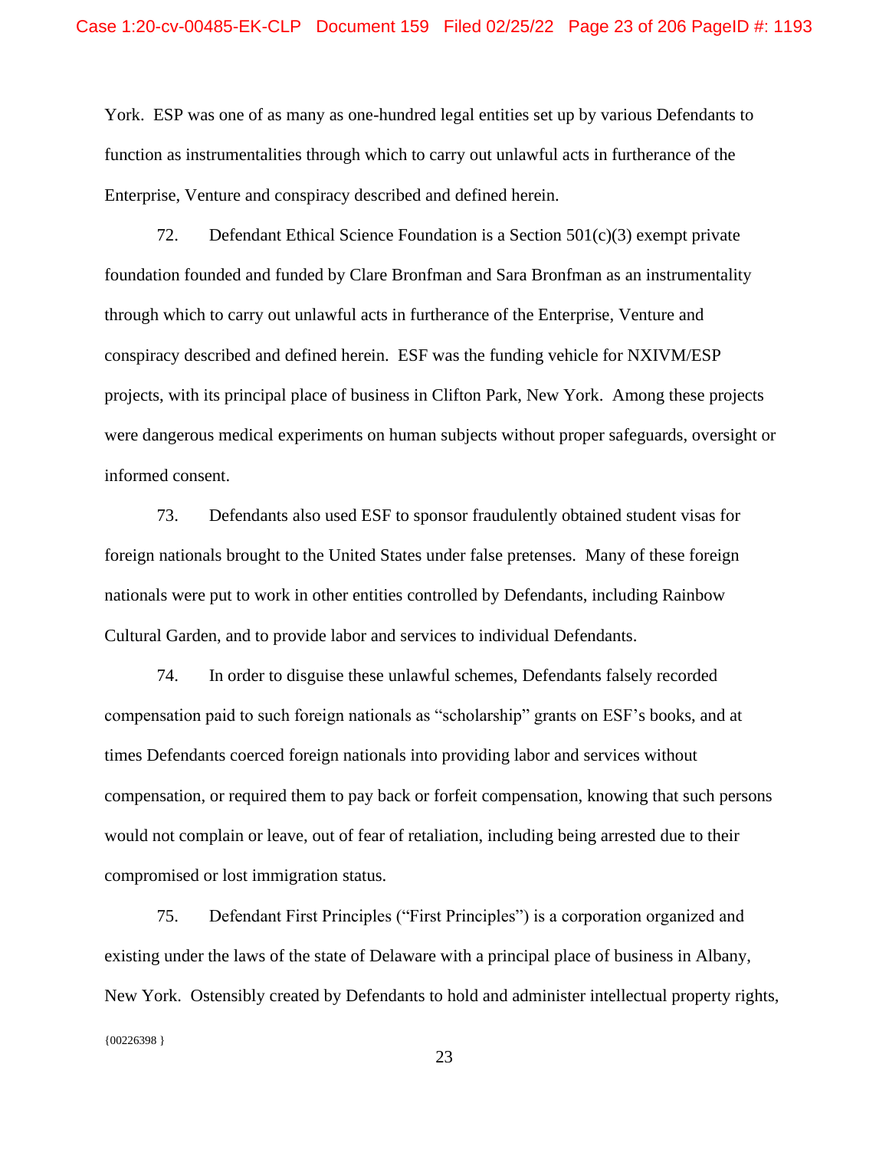York. ESP was one of as many as one-hundred legal entities set up by various Defendants to function as instrumentalities through which to carry out unlawful acts in furtherance of the Enterprise, Venture and conspiracy described and defined herein.

72. Defendant Ethical Science Foundation is a Section 501(c)(3) exempt private foundation founded and funded by Clare Bronfman and Sara Bronfman as an instrumentality through which to carry out unlawful acts in furtherance of the Enterprise, Venture and conspiracy described and defined herein. ESF was the funding vehicle for NXIVM/ESP projects, with its principal place of business in Clifton Park, New York. Among these projects were dangerous medical experiments on human subjects without proper safeguards, oversight or informed consent.

73. Defendants also used ESF to sponsor fraudulently obtained student visas for foreign nationals brought to the United States under false pretenses. Many of these foreign nationals were put to work in other entities controlled by Defendants, including Rainbow Cultural Garden, and to provide labor and services to individual Defendants.

74. In order to disguise these unlawful schemes, Defendants falsely recorded compensation paid to such foreign nationals as "scholarship" grants on ESF's books, and at times Defendants coerced foreign nationals into providing labor and services without compensation, or required them to pay back or forfeit compensation, knowing that such persons would not complain or leave, out of fear of retaliation, including being arrested due to their compromised or lost immigration status.

{00226398 } 75. Defendant First Principles ("First Principles") is a corporation organized and existing under the laws of the state of Delaware with a principal place of business in Albany, New York. Ostensibly created by Defendants to hold and administer intellectual property rights,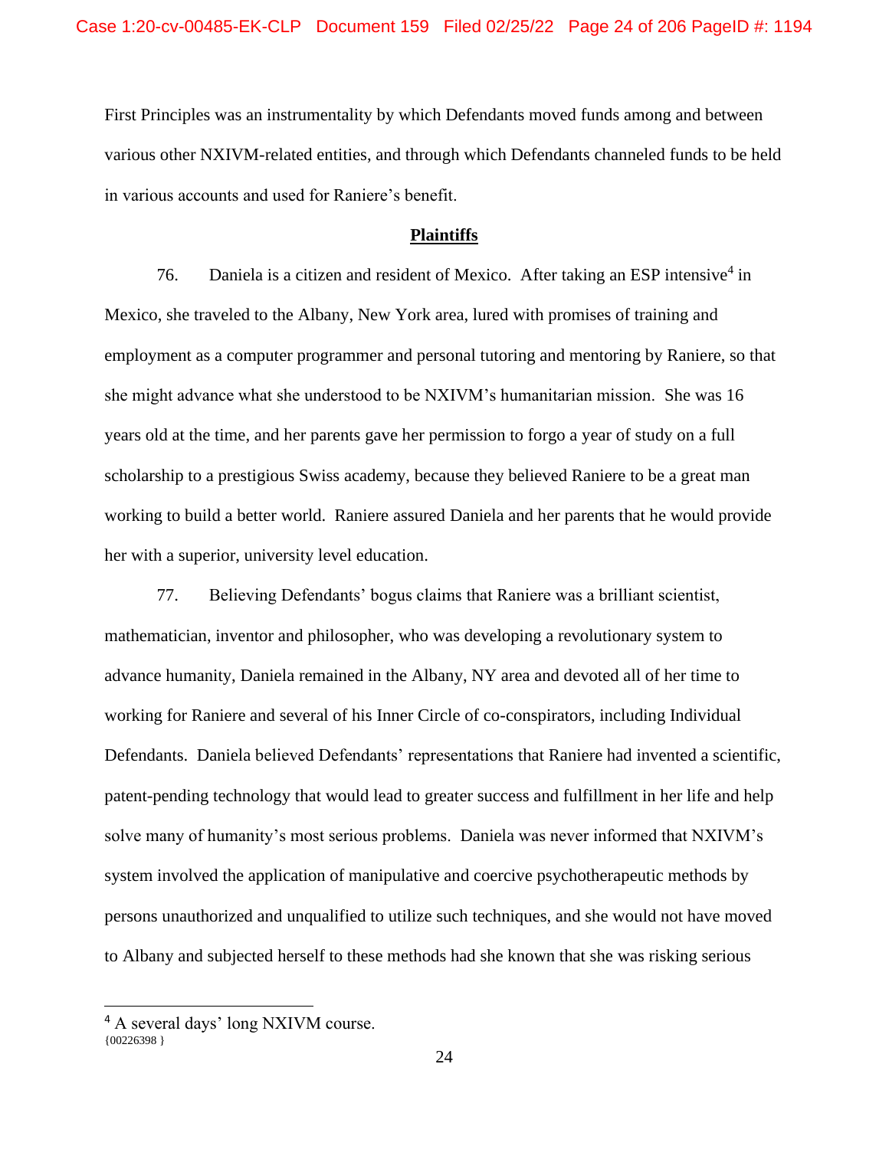First Principles was an instrumentality by which Defendants moved funds among and between various other NXIVM-related entities, and through which Defendants channeled funds to be held in various accounts and used for Raniere's benefit.

#### **Plaintiffs**

76. Daniela is a citizen and resident of Mexico. After taking an ESP intensive<sup>4</sup> in Mexico, she traveled to the Albany, New York area, lured with promises of training and employment as a computer programmer and personal tutoring and mentoring by Raniere, so that she might advance what she understood to be NXIVM's humanitarian mission. She was 16 years old at the time, and her parents gave her permission to forgo a year of study on a full scholarship to a prestigious Swiss academy, because they believed Raniere to be a great man working to build a better world. Raniere assured Daniela and her parents that he would provide her with a superior, university level education.

77. Believing Defendants' bogus claims that Raniere was a brilliant scientist, mathematician, inventor and philosopher, who was developing a revolutionary system to advance humanity, Daniela remained in the Albany, NY area and devoted all of her time to working for Raniere and several of his Inner Circle of co-conspirators, including Individual Defendants. Daniela believed Defendants' representations that Raniere had invented a scientific, patent-pending technology that would lead to greater success and fulfillment in her life and help solve many of humanity's most serious problems. Daniela was never informed that NXIVM's system involved the application of manipulative and coercive psychotherapeutic methods by persons unauthorized and unqualified to utilize such techniques, and she would not have moved to Albany and subjected herself to these methods had she known that she was risking serious

<sup>{00226398 }</sup> <sup>4</sup> A several days' long NXIVM course.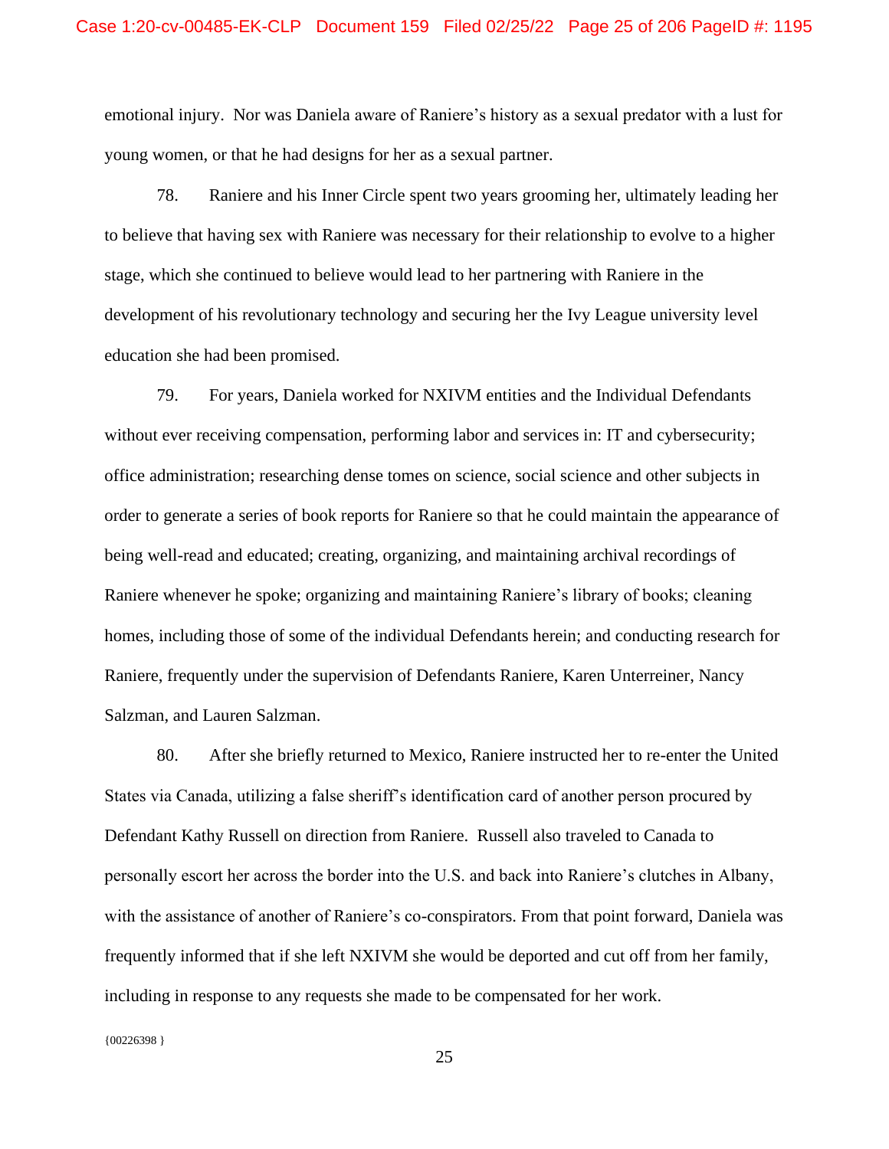emotional injury. Nor was Daniela aware of Raniere's history as a sexual predator with a lust for young women, or that he had designs for her as a sexual partner.

78. Raniere and his Inner Circle spent two years grooming her, ultimately leading her to believe that having sex with Raniere was necessary for their relationship to evolve to a higher stage, which she continued to believe would lead to her partnering with Raniere in the development of his revolutionary technology and securing her the Ivy League university level education she had been promised.

79. For years, Daniela worked for NXIVM entities and the Individual Defendants without ever receiving compensation, performing labor and services in: IT and cybersecurity; office administration; researching dense tomes on science, social science and other subjects in order to generate a series of book reports for Raniere so that he could maintain the appearance of being well-read and educated; creating, organizing, and maintaining archival recordings of Raniere whenever he spoke; organizing and maintaining Raniere's library of books; cleaning homes, including those of some of the individual Defendants herein; and conducting research for Raniere, frequently under the supervision of Defendants Raniere, Karen Unterreiner, Nancy Salzman, and Lauren Salzman.

80. After she briefly returned to Mexico, Raniere instructed her to re-enter the United States via Canada, utilizing a false sheriff's identification card of another person procured by Defendant Kathy Russell on direction from Raniere. Russell also traveled to Canada to personally escort her across the border into the U.S. and back into Raniere's clutches in Albany, with the assistance of another of Raniere's co-conspirators. From that point forward, Daniela was frequently informed that if she left NXIVM she would be deported and cut off from her family, including in response to any requests she made to be compensated for her work.

{00226398 }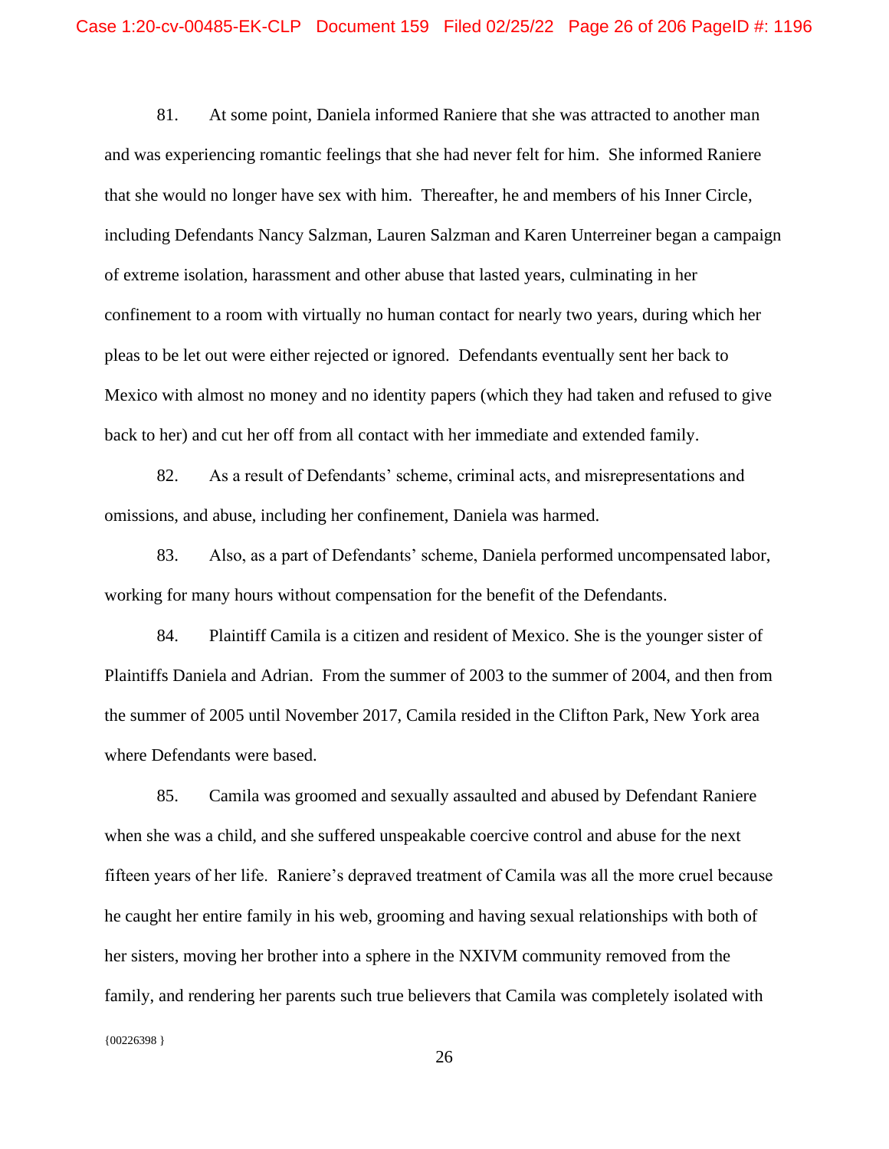81. At some point, Daniela informed Raniere that she was attracted to another man and was experiencing romantic feelings that she had never felt for him. She informed Raniere that she would no longer have sex with him. Thereafter, he and members of his Inner Circle, including Defendants Nancy Salzman, Lauren Salzman and Karen Unterreiner began a campaign of extreme isolation, harassment and other abuse that lasted years, culminating in her confinement to a room with virtually no human contact for nearly two years, during which her pleas to be let out were either rejected or ignored. Defendants eventually sent her back to Mexico with almost no money and no identity papers (which they had taken and refused to give back to her) and cut her off from all contact with her immediate and extended family.

82. As a result of Defendants' scheme, criminal acts, and misrepresentations and omissions, and abuse, including her confinement, Daniela was harmed.

83. Also, as a part of Defendants' scheme, Daniela performed uncompensated labor, working for many hours without compensation for the benefit of the Defendants.

84. Plaintiff Camila is a citizen and resident of Mexico. She is the younger sister of Plaintiffs Daniela and Adrian. From the summer of 2003 to the summer of 2004, and then from the summer of 2005 until November 2017, Camila resided in the Clifton Park, New York area where Defendants were based.

 ${00226398}$ 85. Camila was groomed and sexually assaulted and abused by Defendant Raniere when she was a child, and she suffered unspeakable coercive control and abuse for the next fifteen years of her life. Raniere's depraved treatment of Camila was all the more cruel because he caught her entire family in his web, grooming and having sexual relationships with both of her sisters, moving her brother into a sphere in the NXIVM community removed from the family, and rendering her parents such true believers that Camila was completely isolated with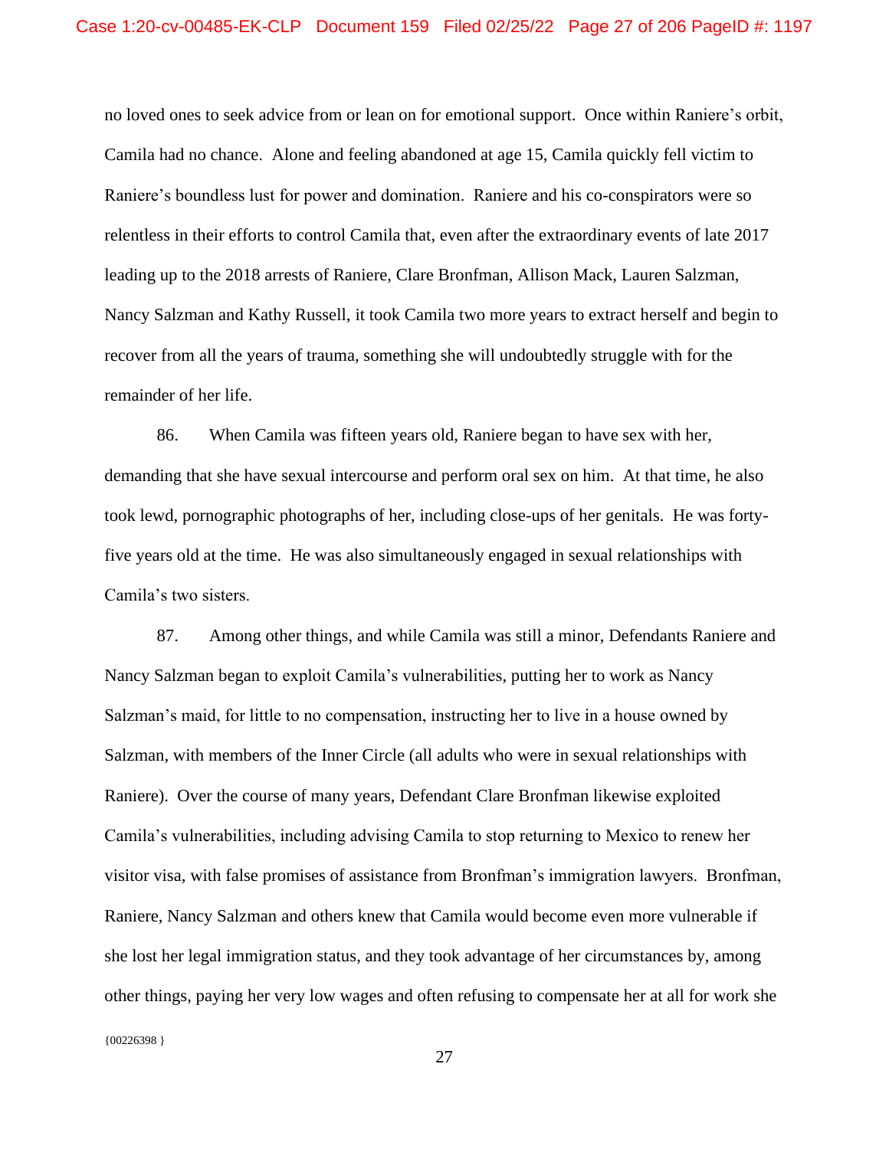no loved ones to seek advice from or lean on for emotional support. Once within Raniere's orbit, Camila had no chance. Alone and feeling abandoned at age 15, Camila quickly fell victim to Raniere's boundless lust for power and domination. Raniere and his co-conspirators were so relentless in their efforts to control Camila that, even after the extraordinary events of late 2017 leading up to the 2018 arrests of Raniere, Clare Bronfman, Allison Mack, Lauren Salzman, Nancy Salzman and Kathy Russell, it took Camila two more years to extract herself and begin to recover from all the years of trauma, something she will undoubtedly struggle with for the remainder of her life.

86. When Camila was fifteen years old, Raniere began to have sex with her, demanding that she have sexual intercourse and perform oral sex on him. At that time, he also took lewd, pornographic photographs of her, including close-ups of her genitals. He was fortyfive years old at the time. He was also simultaneously engaged in sexual relationships with Camila's two sisters.

{00226398 } 87. Among other things, and while Camila was still a minor, Defendants Raniere and Nancy Salzman began to exploit Camila's vulnerabilities, putting her to work as Nancy Salzman's maid, for little to no compensation, instructing her to live in a house owned by Salzman, with members of the Inner Circle (all adults who were in sexual relationships with Raniere). Over the course of many years, Defendant Clare Bronfman likewise exploited Camila's vulnerabilities, including advising Camila to stop returning to Mexico to renew her visitor visa, with false promises of assistance from Bronfman's immigration lawyers. Bronfman, Raniere, Nancy Salzman and others knew that Camila would become even more vulnerable if she lost her legal immigration status, and they took advantage of her circumstances by, among other things, paying her very low wages and often refusing to compensate her at all for work she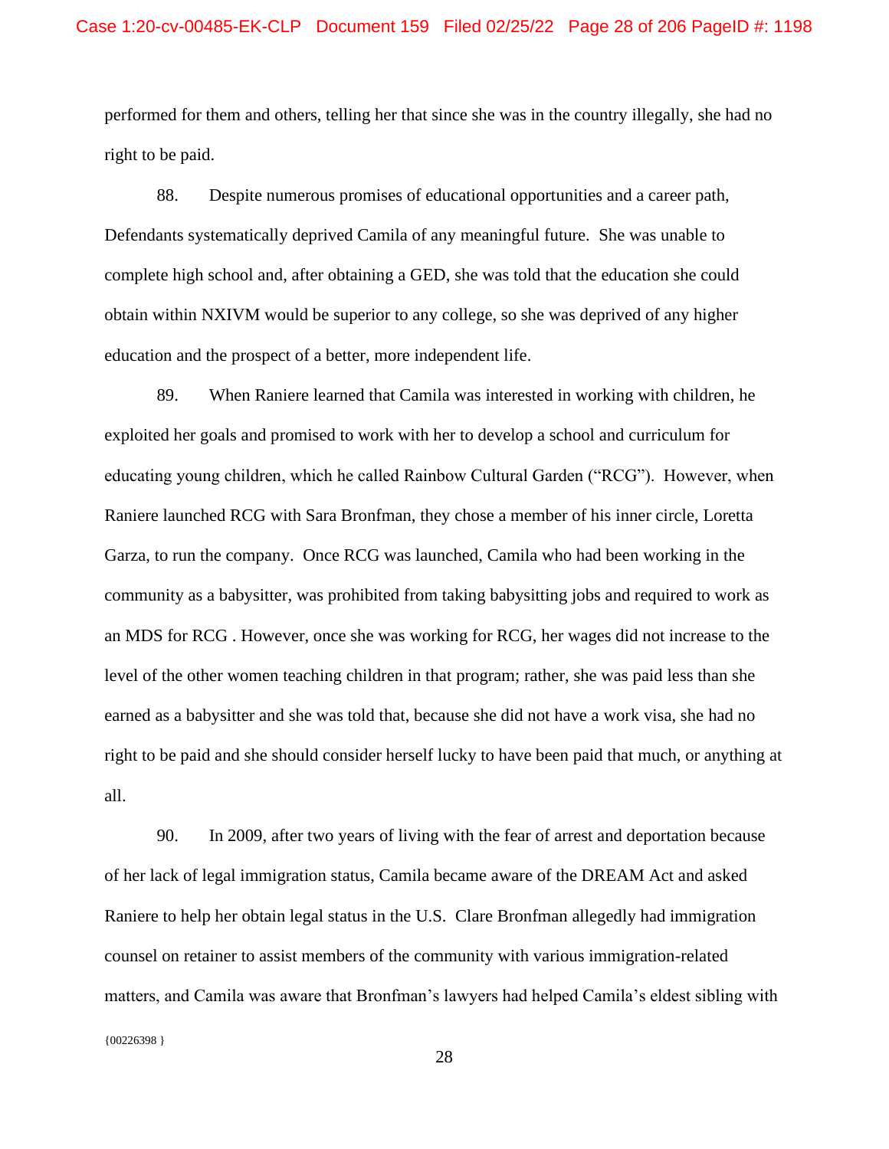performed for them and others, telling her that since she was in the country illegally, she had no right to be paid.

88. Despite numerous promises of educational opportunities and a career path, Defendants systematically deprived Camila of any meaningful future. She was unable to complete high school and, after obtaining a GED, she was told that the education she could obtain within NXIVM would be superior to any college, so she was deprived of any higher education and the prospect of a better, more independent life.

89. When Raniere learned that Camila was interested in working with children, he exploited her goals and promised to work with her to develop a school and curriculum for educating young children, which he called Rainbow Cultural Garden ("RCG"). However, when Raniere launched RCG with Sara Bronfman, they chose a member of his inner circle, Loretta Garza, to run the company. Once RCG was launched, Camila who had been working in the community as a babysitter, was prohibited from taking babysitting jobs and required to work as an MDS for RCG . However, once she was working for RCG, her wages did not increase to the level of the other women teaching children in that program; rather, she was paid less than she earned as a babysitter and she was told that, because she did not have a work visa, she had no right to be paid and she should consider herself lucky to have been paid that much, or anything at all.

{00226398 } 90. In 2009, after two years of living with the fear of arrest and deportation because of her lack of legal immigration status, Camila became aware of the DREAM Act and asked Raniere to help her obtain legal status in the U.S. Clare Bronfman allegedly had immigration counsel on retainer to assist members of the community with various immigration-related matters, and Camila was aware that Bronfman's lawyers had helped Camila's eldest sibling with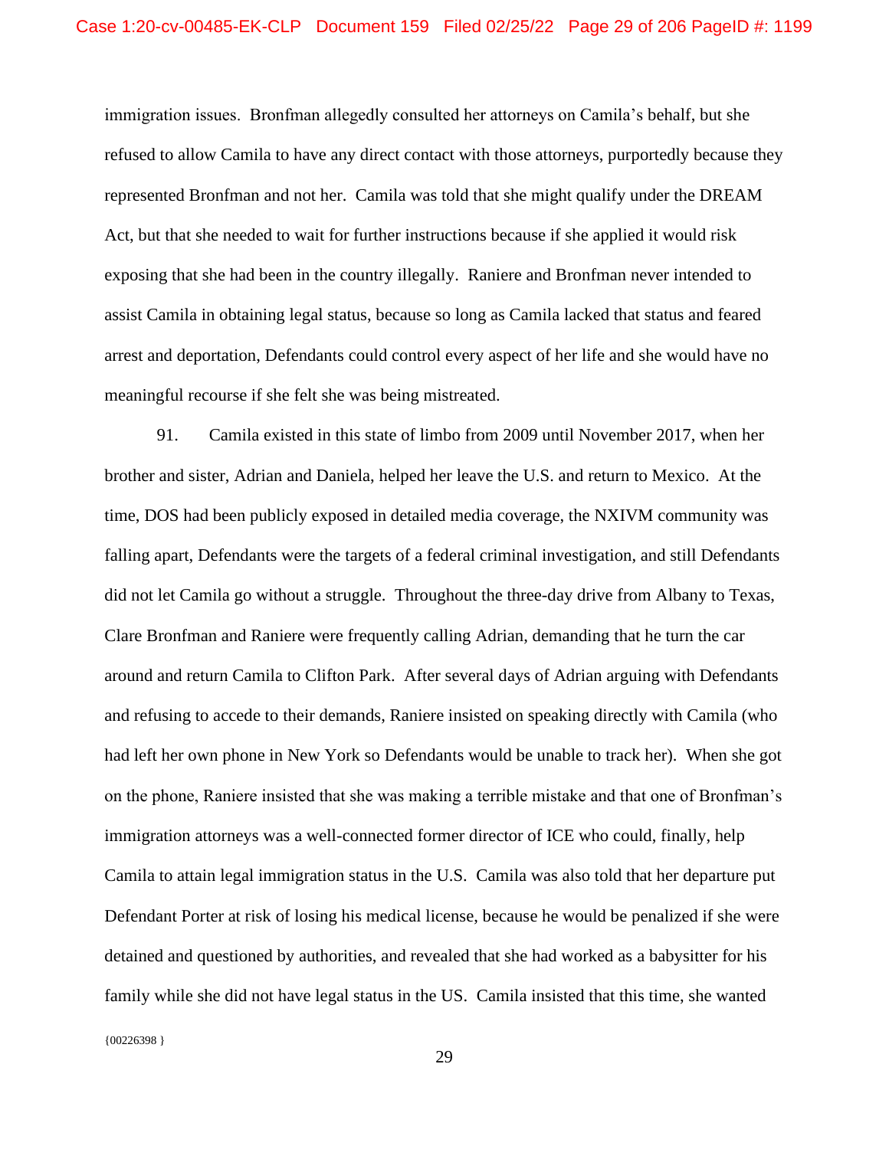immigration issues. Bronfman allegedly consulted her attorneys on Camila's behalf, but she refused to allow Camila to have any direct contact with those attorneys, purportedly because they represented Bronfman and not her. Camila was told that she might qualify under the DREAM Act, but that she needed to wait for further instructions because if she applied it would risk exposing that she had been in the country illegally. Raniere and Bronfman never intended to assist Camila in obtaining legal status, because so long as Camila lacked that status and feared arrest and deportation, Defendants could control every aspect of her life and she would have no meaningful recourse if she felt she was being mistreated.

91. Camila existed in this state of limbo from 2009 until November 2017, when her brother and sister, Adrian and Daniela, helped her leave the U.S. and return to Mexico. At the time, DOS had been publicly exposed in detailed media coverage, the NXIVM community was falling apart, Defendants were the targets of a federal criminal investigation, and still Defendants did not let Camila go without a struggle. Throughout the three-day drive from Albany to Texas, Clare Bronfman and Raniere were frequently calling Adrian, demanding that he turn the car around and return Camila to Clifton Park. After several days of Adrian arguing with Defendants and refusing to accede to their demands, Raniere insisted on speaking directly with Camila (who had left her own phone in New York so Defendants would be unable to track her). When she got on the phone, Raniere insisted that she was making a terrible mistake and that one of Bronfman's immigration attorneys was a well-connected former director of ICE who could, finally, help Camila to attain legal immigration status in the U.S. Camila was also told that her departure put Defendant Porter at risk of losing his medical license, because he would be penalized if she were detained and questioned by authorities, and revealed that she had worked as a babysitter for his family while she did not have legal status in the US. Camila insisted that this time, she wanted

{00226398 }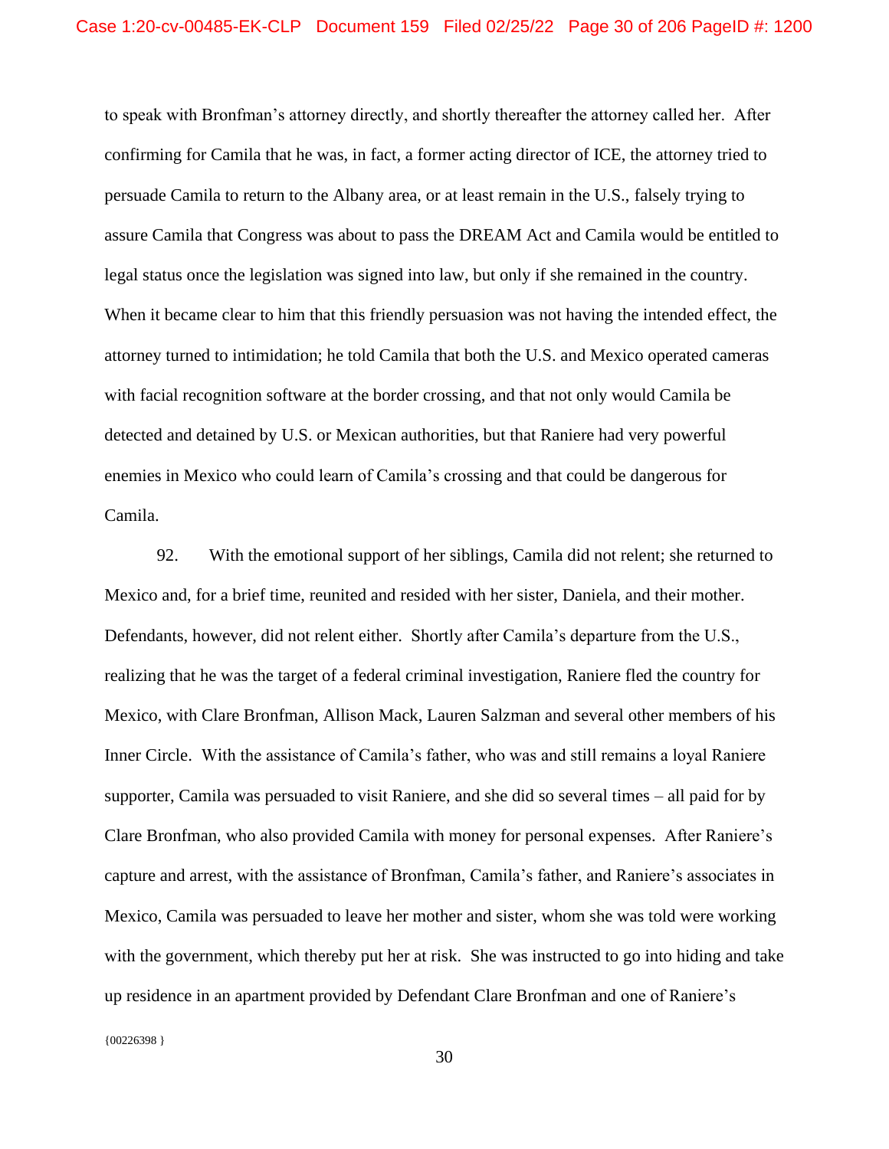to speak with Bronfman's attorney directly, and shortly thereafter the attorney called her. After confirming for Camila that he was, in fact, a former acting director of ICE, the attorney tried to persuade Camila to return to the Albany area, or at least remain in the U.S., falsely trying to assure Camila that Congress was about to pass the DREAM Act and Camila would be entitled to legal status once the legislation was signed into law, but only if she remained in the country. When it became clear to him that this friendly persuasion was not having the intended effect, the attorney turned to intimidation; he told Camila that both the U.S. and Mexico operated cameras with facial recognition software at the border crossing, and that not only would Camila be detected and detained by U.S. or Mexican authorities, but that Raniere had very powerful enemies in Mexico who could learn of Camila's crossing and that could be dangerous for Camila.

92. With the emotional support of her siblings, Camila did not relent; she returned to Mexico and, for a brief time, reunited and resided with her sister, Daniela, and their mother. Defendants, however, did not relent either. Shortly after Camila's departure from the U.S., realizing that he was the target of a federal criminal investigation, Raniere fled the country for Mexico, with Clare Bronfman, Allison Mack, Lauren Salzman and several other members of his Inner Circle. With the assistance of Camila's father, who was and still remains a loyal Raniere supporter, Camila was persuaded to visit Raniere, and she did so several times – all paid for by Clare Bronfman, who also provided Camila with money for personal expenses. After Raniere's capture and arrest, with the assistance of Bronfman, Camila's father, and Raniere's associates in Mexico, Camila was persuaded to leave her mother and sister, whom she was told were working with the government, which thereby put her at risk. She was instructed to go into hiding and take up residence in an apartment provided by Defendant Clare Bronfman and one of Raniere's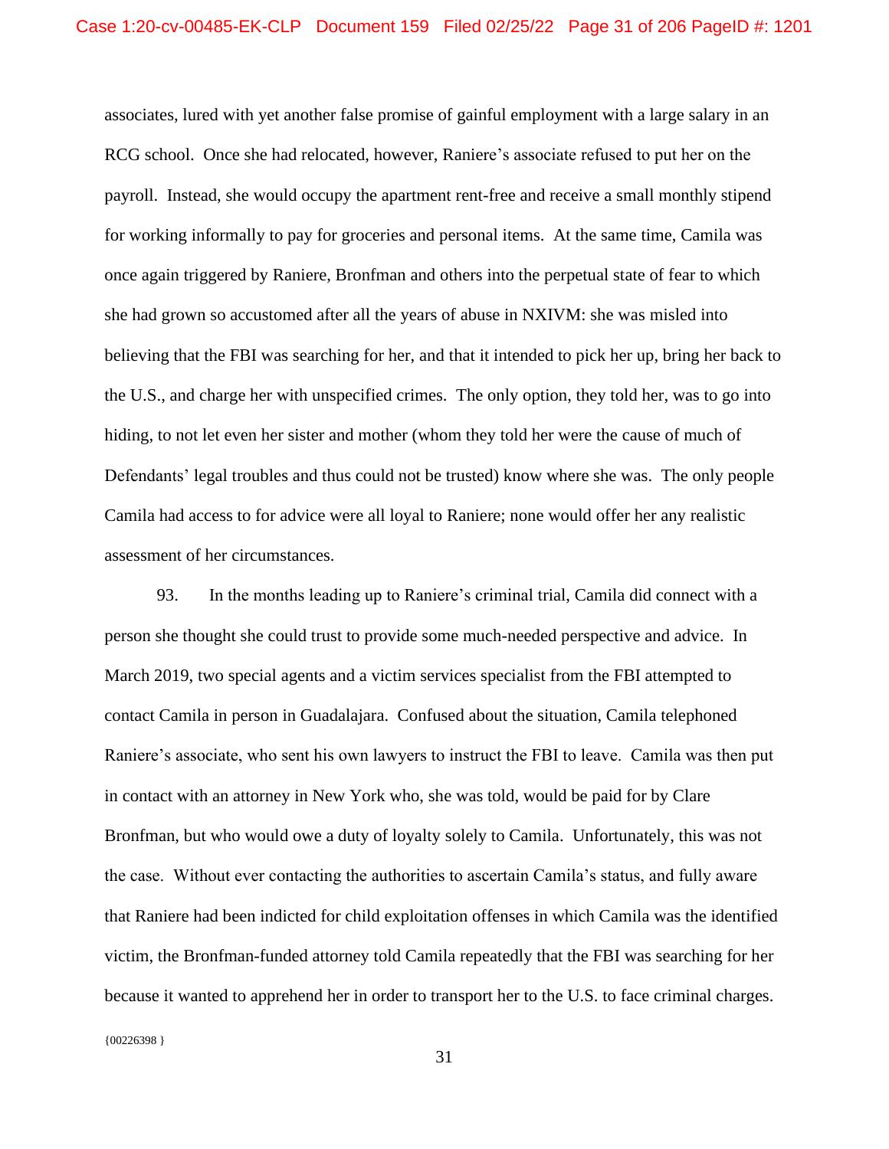associates, lured with yet another false promise of gainful employment with a large salary in an RCG school. Once she had relocated, however, Raniere's associate refused to put her on the payroll. Instead, she would occupy the apartment rent-free and receive a small monthly stipend for working informally to pay for groceries and personal items. At the same time, Camila was once again triggered by Raniere, Bronfman and others into the perpetual state of fear to which she had grown so accustomed after all the years of abuse in NXIVM: she was misled into believing that the FBI was searching for her, and that it intended to pick her up, bring her back to the U.S., and charge her with unspecified crimes. The only option, they told her, was to go into hiding, to not let even her sister and mother (whom they told her were the cause of much of Defendants' legal troubles and thus could not be trusted) know where she was. The only people Camila had access to for advice were all loyal to Raniere; none would offer her any realistic assessment of her circumstances.

93. In the months leading up to Raniere's criminal trial, Camila did connect with a person she thought she could trust to provide some much-needed perspective and advice. In March 2019, two special agents and a victim services specialist from the FBI attempted to contact Camila in person in Guadalajara. Confused about the situation, Camila telephoned Raniere's associate, who sent his own lawyers to instruct the FBI to leave. Camila was then put in contact with an attorney in New York who, she was told, would be paid for by Clare Bronfman, but who would owe a duty of loyalty solely to Camila. Unfortunately, this was not the case. Without ever contacting the authorities to ascertain Camila's status, and fully aware that Raniere had been indicted for child exploitation offenses in which Camila was the identified victim, the Bronfman-funded attorney told Camila repeatedly that the FBI was searching for her because it wanted to apprehend her in order to transport her to the U.S. to face criminal charges.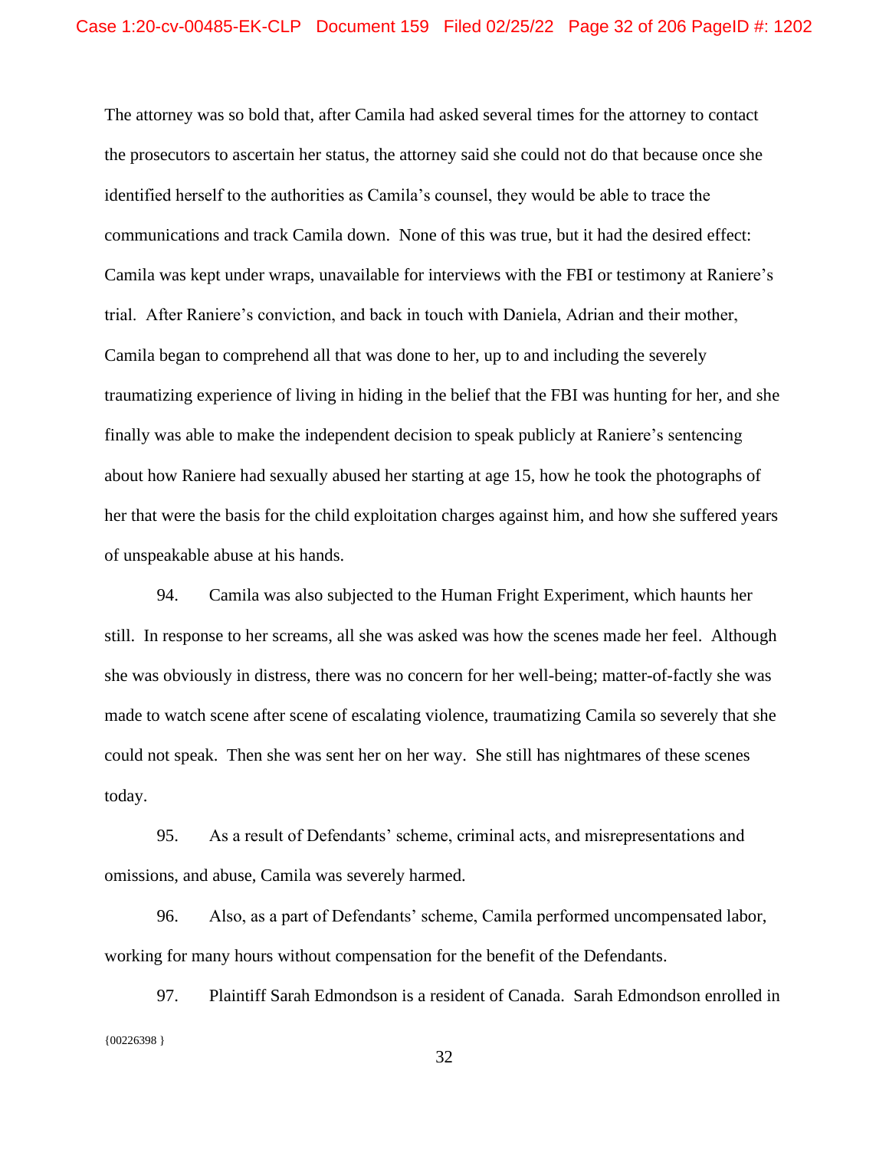The attorney was so bold that, after Camila had asked several times for the attorney to contact the prosecutors to ascertain her status, the attorney said she could not do that because once she identified herself to the authorities as Camila's counsel, they would be able to trace the communications and track Camila down. None of this was true, but it had the desired effect: Camila was kept under wraps, unavailable for interviews with the FBI or testimony at Raniere's trial. After Raniere's conviction, and back in touch with Daniela, Adrian and their mother, Camila began to comprehend all that was done to her, up to and including the severely traumatizing experience of living in hiding in the belief that the FBI was hunting for her, and she finally was able to make the independent decision to speak publicly at Raniere's sentencing about how Raniere had sexually abused her starting at age 15, how he took the photographs of her that were the basis for the child exploitation charges against him, and how she suffered years of unspeakable abuse at his hands.

94. Camila was also subjected to the Human Fright Experiment, which haunts her still. In response to her screams, all she was asked was how the scenes made her feel. Although she was obviously in distress, there was no concern for her well-being; matter-of-factly she was made to watch scene after scene of escalating violence, traumatizing Camila so severely that she could not speak. Then she was sent her on her way. She still has nightmares of these scenes today.

95. As a result of Defendants' scheme, criminal acts, and misrepresentations and omissions, and abuse, Camila was severely harmed.

96. Also, as a part of Defendants' scheme, Camila performed uncompensated labor, working for many hours without compensation for the benefit of the Defendants.

{00226398 } 97. Plaintiff Sarah Edmondson is a resident of Canada. Sarah Edmondson enrolled in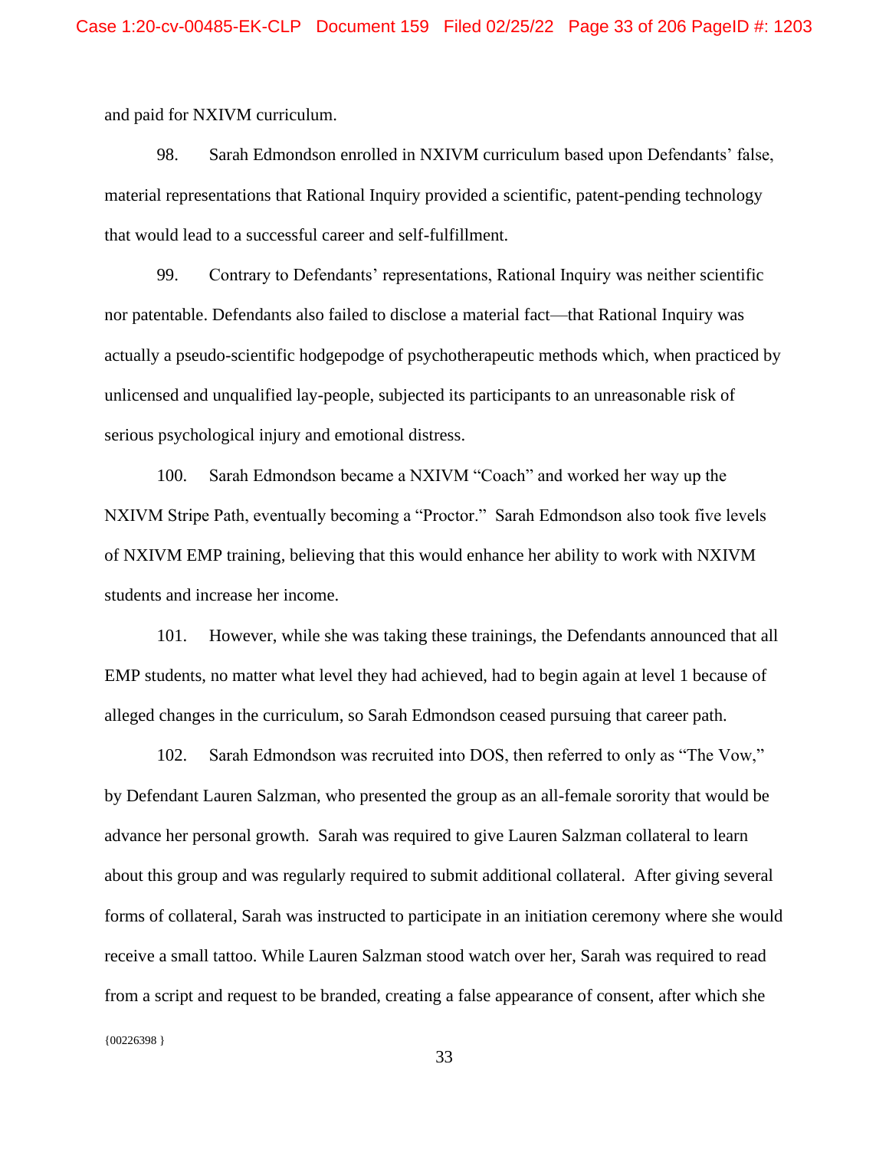and paid for NXIVM curriculum.

98. Sarah Edmondson enrolled in NXIVM curriculum based upon Defendants' false, material representations that Rational Inquiry provided a scientific, patent-pending technology that would lead to a successful career and self-fulfillment.

99. Contrary to Defendants' representations, Rational Inquiry was neither scientific nor patentable. Defendants also failed to disclose a material fact—that Rational Inquiry was actually a pseudo-scientific hodgepodge of psychotherapeutic methods which, when practiced by unlicensed and unqualified lay-people, subjected its participants to an unreasonable risk of serious psychological injury and emotional distress.

100. Sarah Edmondson became a NXIVM "Coach" and worked her way up the NXIVM Stripe Path, eventually becoming a "Proctor." Sarah Edmondson also took five levels of NXIVM EMP training, believing that this would enhance her ability to work with NXIVM students and increase her income.

101. However, while she was taking these trainings, the Defendants announced that all EMP students, no matter what level they had achieved, had to begin again at level 1 because of alleged changes in the curriculum, so Sarah Edmondson ceased pursuing that career path.

102. Sarah Edmondson was recruited into DOS, then referred to only as "The Vow," by Defendant Lauren Salzman, who presented the group as an all-female sorority that would be advance her personal growth. Sarah was required to give Lauren Salzman collateral to learn about this group and was regularly required to submit additional collateral. After giving several forms of collateral, Sarah was instructed to participate in an initiation ceremony where she would receive a small tattoo. While Lauren Salzman stood watch over her, Sarah was required to read from a script and request to be branded, creating a false appearance of consent, after which she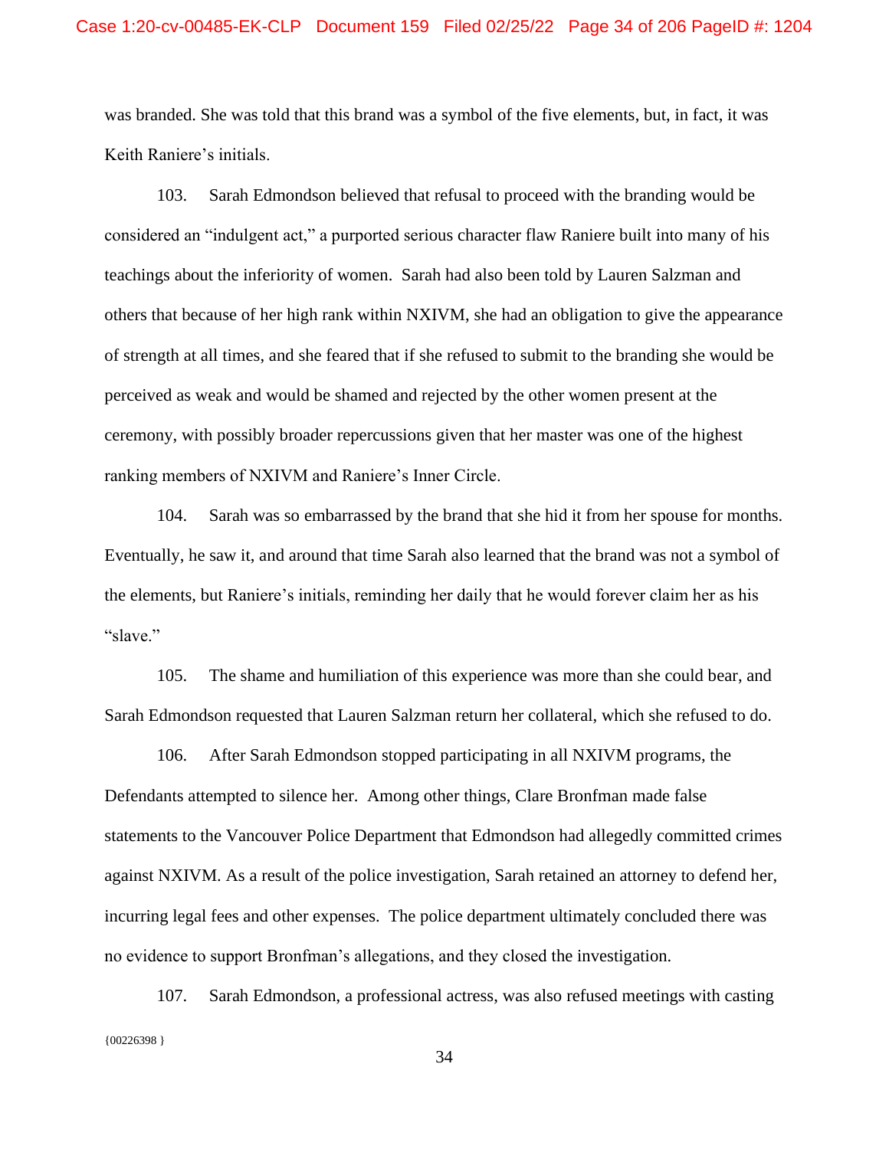was branded. She was told that this brand was a symbol of the five elements, but, in fact, it was Keith Raniere's initials.

103. Sarah Edmondson believed that refusal to proceed with the branding would be considered an "indulgent act," a purported serious character flaw Raniere built into many of his teachings about the inferiority of women. Sarah had also been told by Lauren Salzman and others that because of her high rank within NXIVM, she had an obligation to give the appearance of strength at all times, and she feared that if she refused to submit to the branding she would be perceived as weak and would be shamed and rejected by the other women present at the ceremony, with possibly broader repercussions given that her master was one of the highest ranking members of NXIVM and Raniere's Inner Circle.

104. Sarah was so embarrassed by the brand that she hid it from her spouse for months. Eventually, he saw it, and around that time Sarah also learned that the brand was not a symbol of the elements, but Raniere's initials, reminding her daily that he would forever claim her as his "slave."

105. The shame and humiliation of this experience was more than she could bear, and Sarah Edmondson requested that Lauren Salzman return her collateral, which she refused to do.

106. After Sarah Edmondson stopped participating in all NXIVM programs, the Defendants attempted to silence her. Among other things, Clare Bronfman made false statements to the Vancouver Police Department that Edmondson had allegedly committed crimes against NXIVM. As a result of the police investigation, Sarah retained an attorney to defend her, incurring legal fees and other expenses. The police department ultimately concluded there was no evidence to support Bronfman's allegations, and they closed the investigation.

{00226398 } 107. Sarah Edmondson, a professional actress, was also refused meetings with casting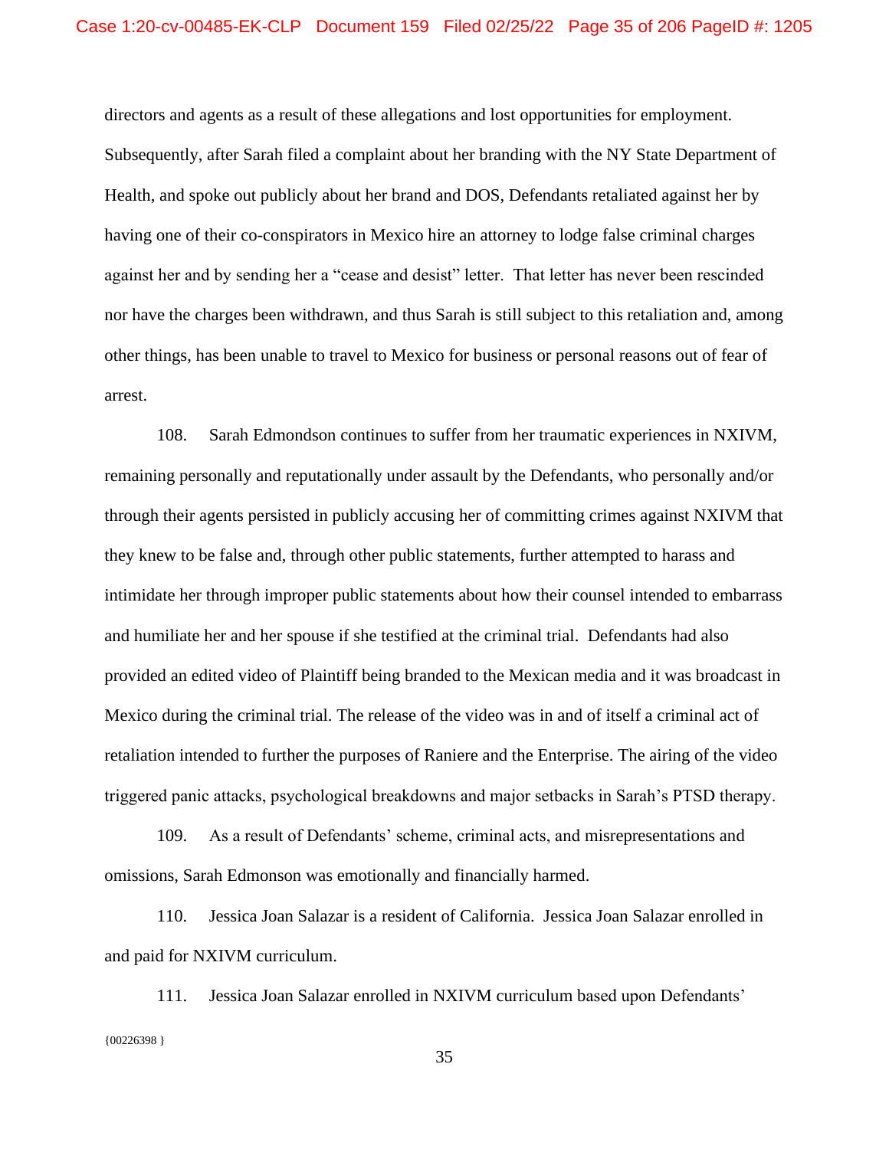directors and agents as a result of these allegations and lost opportunities for employment. Subsequently, after Sarah filed a complaint about her branding with the NY State Department of Health, and spoke out publicly about her brand and DOS, Defendants retaliated against her by having one of their co-conspirators in Mexico hire an attorney to lodge false criminal charges against her and by sending her a "cease and desist" letter. That letter has never been rescinded nor have the charges been withdrawn, and thus Sarah is still subject to this retaliation and, among other things, has been unable to travel to Mexico for business or personal reasons out of fear of arrest.

108. Sarah Edmondson continues to suffer from her traumatic experiences in NXIVM, remaining personally and reputationally under assault by the Defendants, who personally and/or through their agents persisted in publicly accusing her of committing crimes against NXIVM that they knew to be false and, through other public statements, further attempted to harass and intimidate her through improper public statements about how their counsel intended to embarrass and humiliate her and her spouse if she testified at the criminal trial. Defendants had also provided an edited video of Plaintiff being branded to the Mexican media and it was broadcast in Mexico during the criminal trial. The release of the video was in and of itself a criminal act of retaliation intended to further the purposes of Raniere and the Enterprise. The airing of the video triggered panic attacks, psychological breakdowns and major setbacks in Sarah's PTSD therapy.

109. As a result of Defendants' scheme, criminal acts, and misrepresentations and omissions, Sarah Edmonson was emotionally and financially harmed.

110. Jessica Joan Salazar is a resident of California. Jessica Joan Salazar enrolled in and paid for NXIVM curriculum.

{00226398 } 111. Jessica Joan Salazar enrolled in NXIVM curriculum based upon Defendants'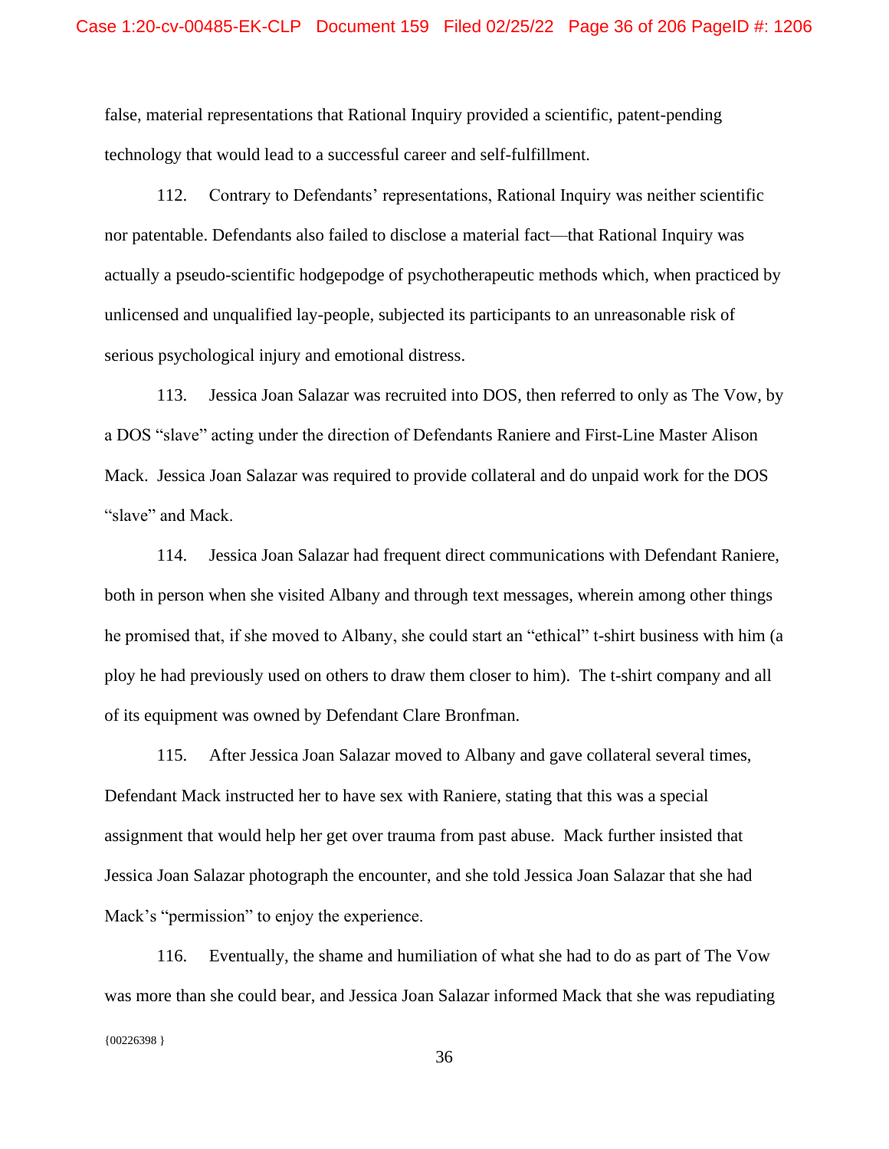false, material representations that Rational Inquiry provided a scientific, patent-pending technology that would lead to a successful career and self-fulfillment.

112. Contrary to Defendants' representations, Rational Inquiry was neither scientific nor patentable. Defendants also failed to disclose a material fact—that Rational Inquiry was actually a pseudo-scientific hodgepodge of psychotherapeutic methods which, when practiced by unlicensed and unqualified lay-people, subjected its participants to an unreasonable risk of serious psychological injury and emotional distress.

113. Jessica Joan Salazar was recruited into DOS, then referred to only as The Vow, by a DOS "slave" acting under the direction of Defendants Raniere and First-Line Master Alison Mack. Jessica Joan Salazar was required to provide collateral and do unpaid work for the DOS "slave" and Mack.

114. Jessica Joan Salazar had frequent direct communications with Defendant Raniere, both in person when she visited Albany and through text messages, wherein among other things he promised that, if she moved to Albany, she could start an "ethical" t-shirt business with him (a ploy he had previously used on others to draw them closer to him). The t-shirt company and all of its equipment was owned by Defendant Clare Bronfman.

115. After Jessica Joan Salazar moved to Albany and gave collateral several times, Defendant Mack instructed her to have sex with Raniere, stating that this was a special assignment that would help her get over trauma from past abuse. Mack further insisted that Jessica Joan Salazar photograph the encounter, and she told Jessica Joan Salazar that she had Mack's "permission" to enjoy the experience.

 ${00226398}$ 116. Eventually, the shame and humiliation of what she had to do as part of The Vow was more than she could bear, and Jessica Joan Salazar informed Mack that she was repudiating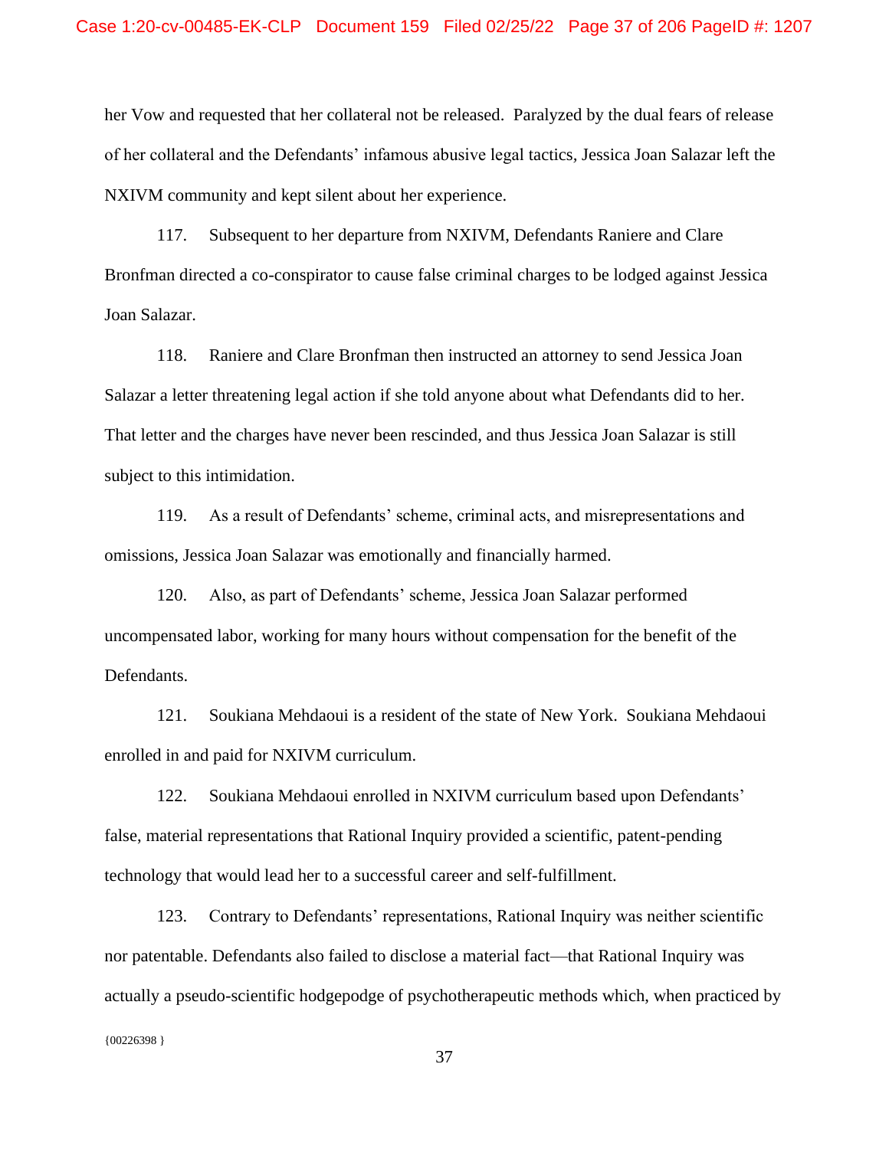her Vow and requested that her collateral not be released. Paralyzed by the dual fears of release of her collateral and the Defendants' infamous abusive legal tactics*,* Jessica Joan Salazar left the NXIVM community and kept silent about her experience.

117. Subsequent to her departure from NXIVM, Defendants Raniere and Clare Bronfman directed a co-conspirator to cause false criminal charges to be lodged against Jessica Joan Salazar.

118. Raniere and Clare Bronfman then instructed an attorney to send Jessica Joan Salazar a letter threatening legal action if she told anyone about what Defendants did to her. That letter and the charges have never been rescinded, and thus Jessica Joan Salazar is still subject to this intimidation.

119. As a result of Defendants' scheme, criminal acts, and misrepresentations and omissions, Jessica Joan Salazar was emotionally and financially harmed.

120. Also, as part of Defendants' scheme, Jessica Joan Salazar performed uncompensated labor, working for many hours without compensation for the benefit of the Defendants.

121. Soukiana Mehdaoui is a resident of the state of New York. Soukiana Mehdaoui enrolled in and paid for NXIVM curriculum.

122. Soukiana Mehdaoui enrolled in NXIVM curriculum based upon Defendants' false, material representations that Rational Inquiry provided a scientific, patent-pending technology that would lead her to a successful career and self-fulfillment.

 ${00226398}$ 123. Contrary to Defendants' representations, Rational Inquiry was neither scientific nor patentable. Defendants also failed to disclose a material fact—that Rational Inquiry was actually a pseudo-scientific hodgepodge of psychotherapeutic methods which, when practiced by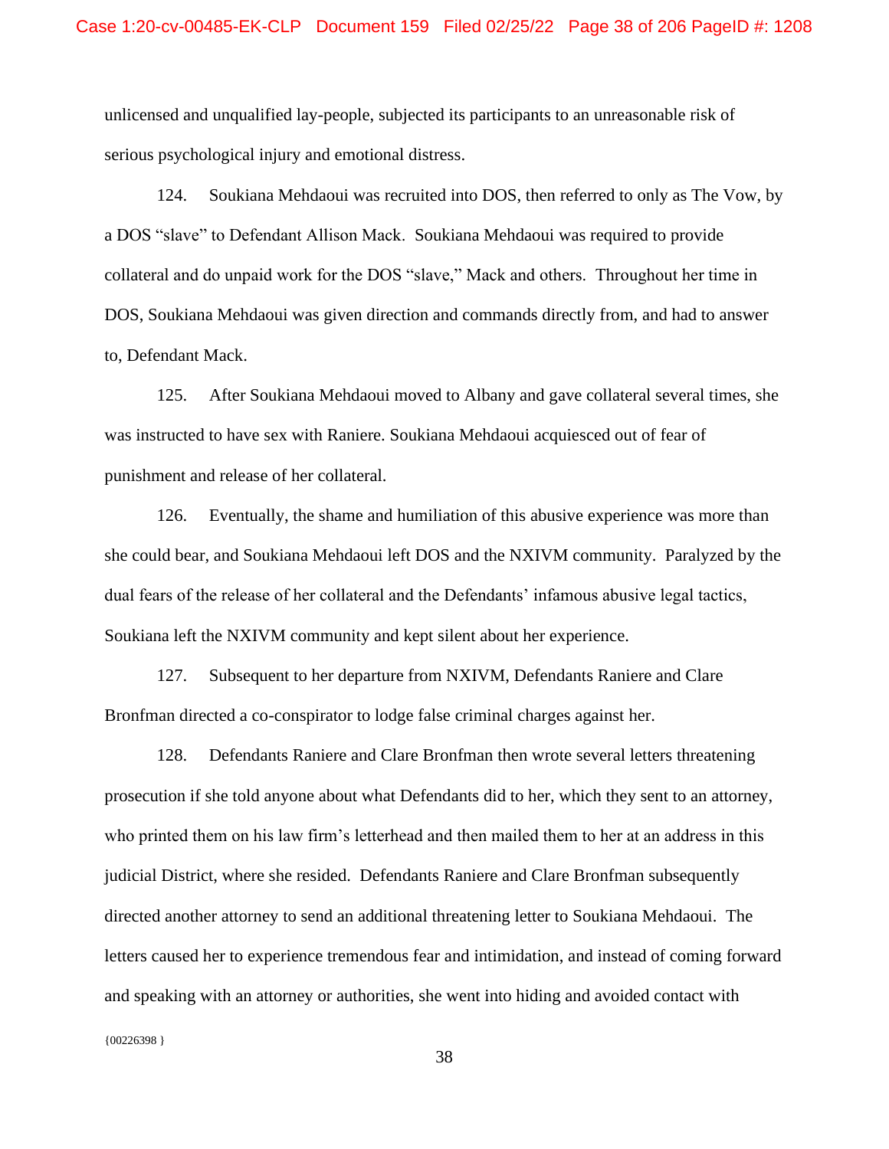unlicensed and unqualified lay-people, subjected its participants to an unreasonable risk of serious psychological injury and emotional distress.

124. Soukiana Mehdaoui was recruited into DOS, then referred to only as The Vow, by a DOS "slave" to Defendant Allison Mack. Soukiana Mehdaoui was required to provide collateral and do unpaid work for the DOS "slave," Mack and others. Throughout her time in DOS, Soukiana Mehdaoui was given direction and commands directly from, and had to answer to, Defendant Mack.

125. After Soukiana Mehdaoui moved to Albany and gave collateral several times, she was instructed to have sex with Raniere. Soukiana Mehdaoui acquiesced out of fear of punishment and release of her collateral.

126. Eventually, the shame and humiliation of this abusive experience was more than she could bear, and Soukiana Mehdaoui left DOS and the NXIVM community. Paralyzed by the dual fears of the release of her collateral and the Defendants' infamous abusive legal tactics, Soukiana left the NXIVM community and kept silent about her experience.

127. Subsequent to her departure from NXIVM, Defendants Raniere and Clare Bronfman directed a co-conspirator to lodge false criminal charges against her.

128. Defendants Raniere and Clare Bronfman then wrote several letters threatening prosecution if she told anyone about what Defendants did to her, which they sent to an attorney, who printed them on his law firm's letterhead and then mailed them to her at an address in this judicial District, where she resided. Defendants Raniere and Clare Bronfman subsequently directed another attorney to send an additional threatening letter to Soukiana Mehdaoui. The letters caused her to experience tremendous fear and intimidation, and instead of coming forward and speaking with an attorney or authorities, she went into hiding and avoided contact with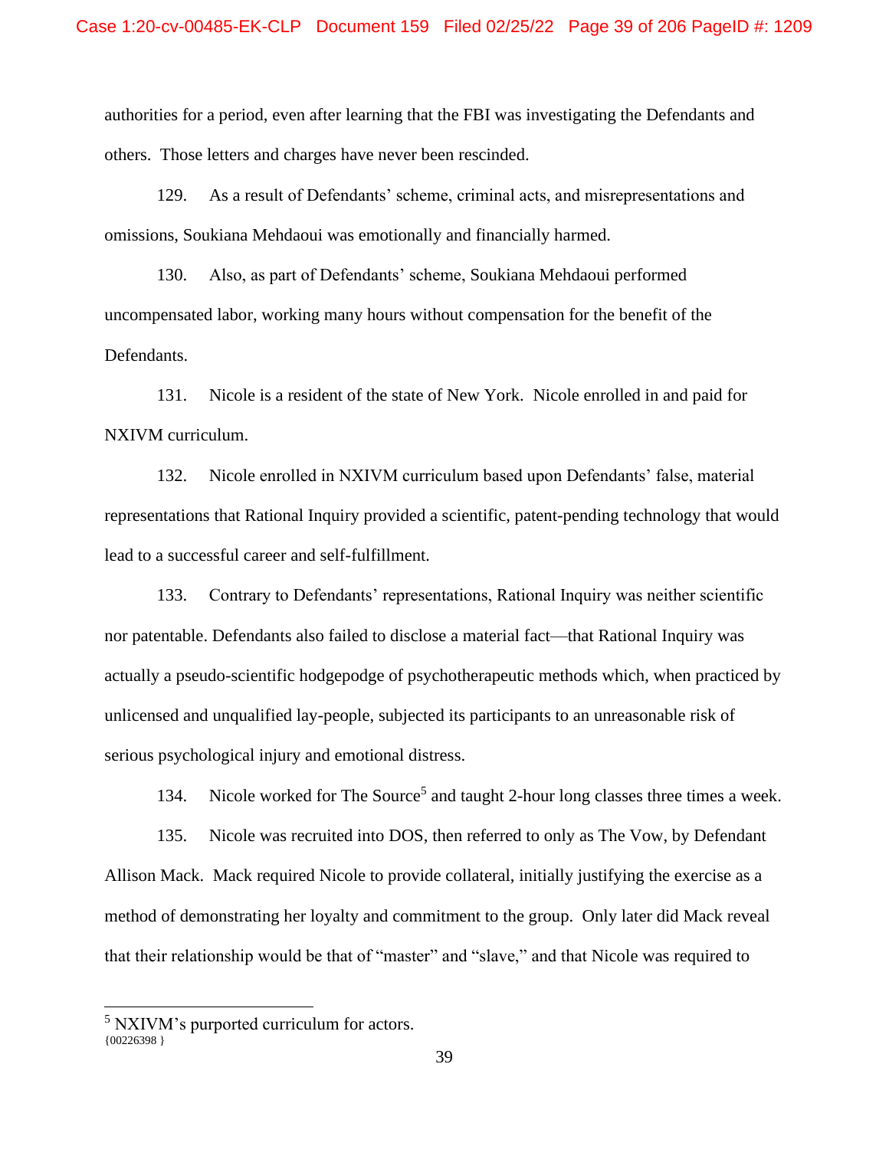authorities for a period, even after learning that the FBI was investigating the Defendants and others. Those letters and charges have never been rescinded.

129. As a result of Defendants' scheme, criminal acts, and misrepresentations and omissions, Soukiana Mehdaoui was emotionally and financially harmed.

130. Also, as part of Defendants' scheme, Soukiana Mehdaoui performed uncompensated labor, working many hours without compensation for the benefit of the Defendants.

131. Nicole is a resident of the state of New York. Nicole enrolled in and paid for NXIVM curriculum.

132. Nicole enrolled in NXIVM curriculum based upon Defendants' false, material representations that Rational Inquiry provided a scientific, patent-pending technology that would lead to a successful career and self-fulfillment.

133. Contrary to Defendants' representations, Rational Inquiry was neither scientific nor patentable. Defendants also failed to disclose a material fact—that Rational Inquiry was actually a pseudo-scientific hodgepodge of psychotherapeutic methods which, when practiced by unlicensed and unqualified lay-people, subjected its participants to an unreasonable risk of serious psychological injury and emotional distress.

134. Nicole worked for The Source<sup>5</sup> and taught 2-hour long classes three times a week.

135. Nicole was recruited into DOS, then referred to only as The Vow, by Defendant Allison Mack. Mack required Nicole to provide collateral, initially justifying the exercise as a method of demonstrating her loyalty and commitment to the group. Only later did Mack reveal that their relationship would be that of "master" and "slave," and that Nicole was required to

<sup>{00226398 }</sup> <sup>5</sup> NXIVM's purported curriculum for actors.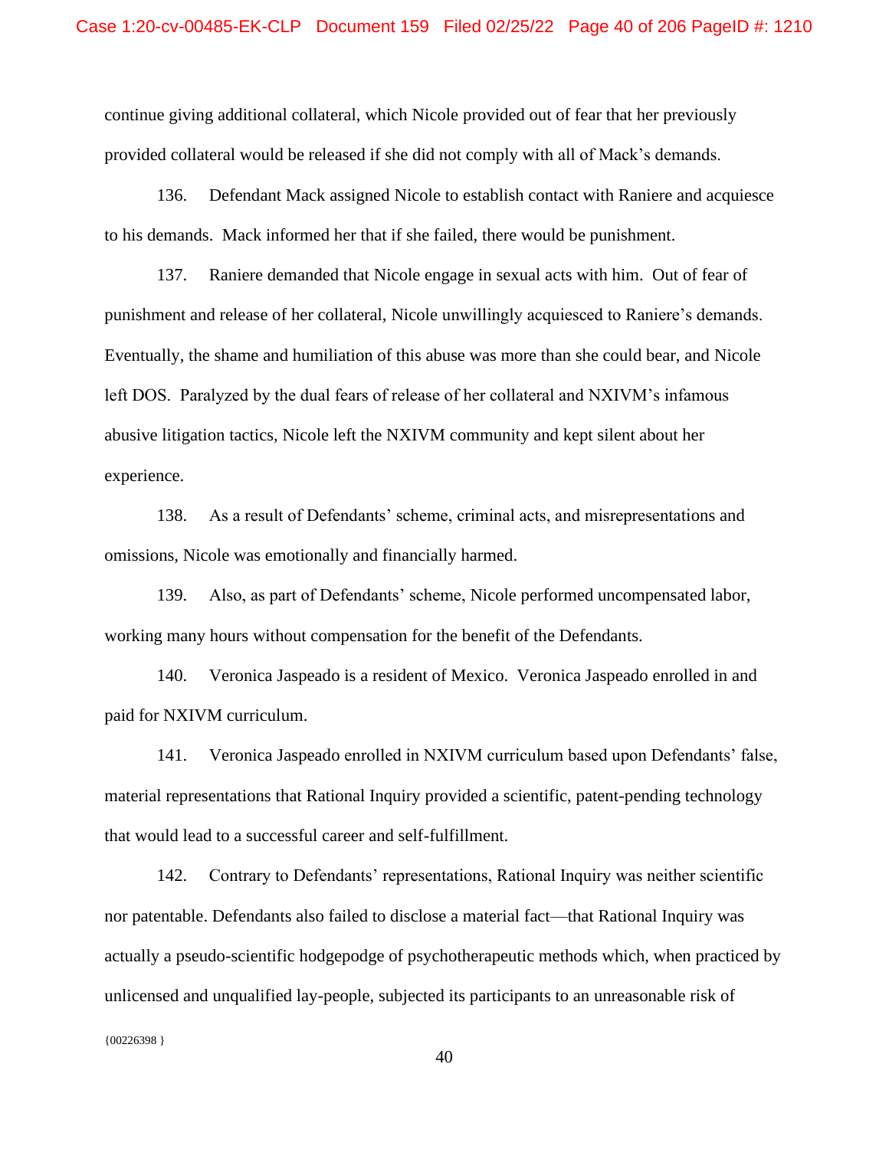continue giving additional collateral, which Nicole provided out of fear that her previously provided collateral would be released if she did not comply with all of Mack's demands.

136. Defendant Mack assigned Nicole to establish contact with Raniere and acquiesce to his demands. Mack informed her that if she failed, there would be punishment.

137. Raniere demanded that Nicole engage in sexual acts with him. Out of fear of punishment and release of her collateral, Nicole unwillingly acquiesced to Raniere's demands. Eventually, the shame and humiliation of this abuse was more than she could bear, and Nicole left DOS. Paralyzed by the dual fears of release of her collateral and NXIVM's infamous abusive litigation tactics, Nicole left the NXIVM community and kept silent about her experience.

138. As a result of Defendants' scheme, criminal acts, and misrepresentations and omissions, Nicole was emotionally and financially harmed.

139. Also, as part of Defendants' scheme, Nicole performed uncompensated labor, working many hours without compensation for the benefit of the Defendants.

140. Veronica Jaspeado is a resident of Mexico. Veronica Jaspeado enrolled in and paid for NXIVM curriculum.

141. Veronica Jaspeado enrolled in NXIVM curriculum based upon Defendants' false, material representations that Rational Inquiry provided a scientific, patent-pending technology that would lead to a successful career and self-fulfillment.

142. Contrary to Defendants' representations, Rational Inquiry was neither scientific nor patentable. Defendants also failed to disclose a material fact—that Rational Inquiry was actually a pseudo-scientific hodgepodge of psychotherapeutic methods which, when practiced by unlicensed and unqualified lay-people, subjected its participants to an unreasonable risk of

 ${00226398}$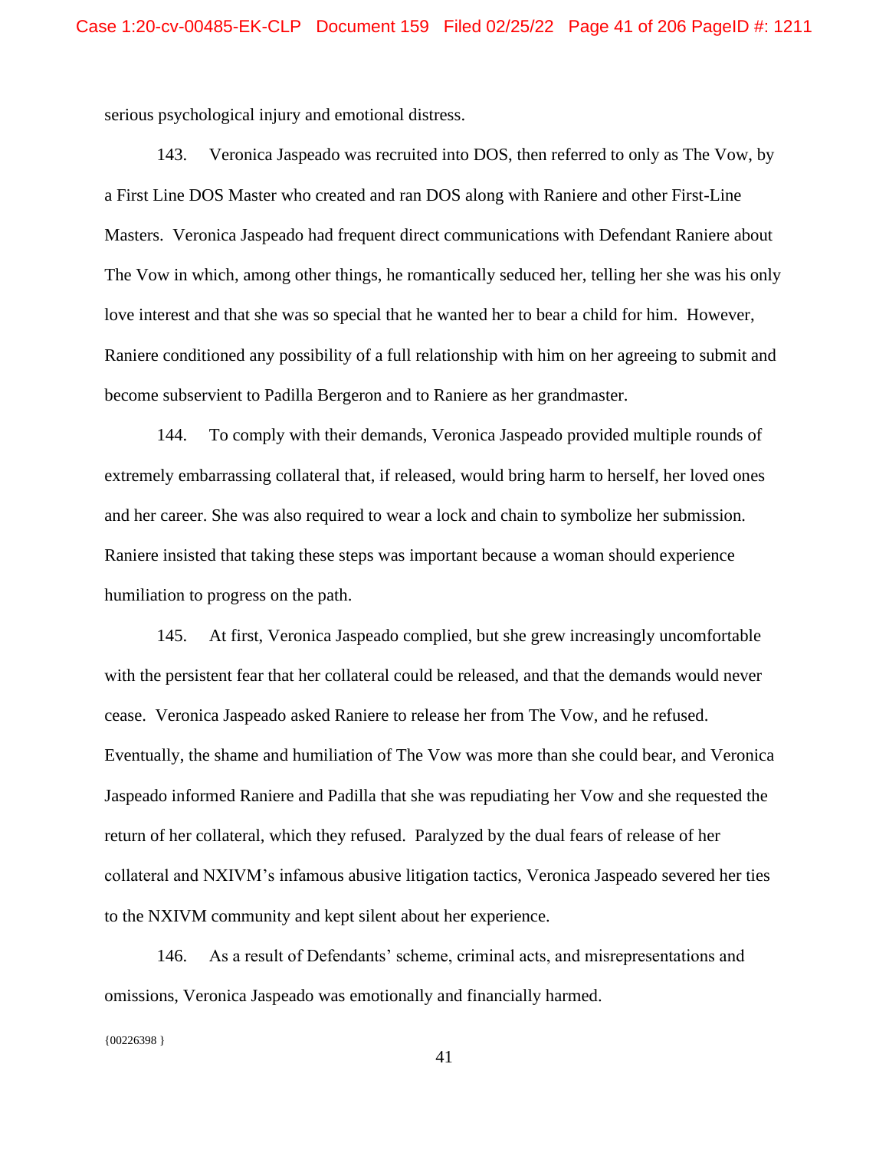serious psychological injury and emotional distress.

143. Veronica Jaspeado was recruited into DOS, then referred to only as The Vow, by a First Line DOS Master who created and ran DOS along with Raniere and other First-Line Masters. Veronica Jaspeado had frequent direct communications with Defendant Raniere about The Vow in which, among other things, he romantically seduced her, telling her she was his only love interest and that she was so special that he wanted her to bear a child for him. However, Raniere conditioned any possibility of a full relationship with him on her agreeing to submit and become subservient to Padilla Bergeron and to Raniere as her grandmaster.

144. To comply with their demands, Veronica Jaspeado provided multiple rounds of extremely embarrassing collateral that, if released, would bring harm to herself, her loved ones and her career. She was also required to wear a lock and chain to symbolize her submission. Raniere insisted that taking these steps was important because a woman should experience humiliation to progress on the path.

145. At first, Veronica Jaspeado complied, but she grew increasingly uncomfortable with the persistent fear that her collateral could be released, and that the demands would never cease. Veronica Jaspeado asked Raniere to release her from The Vow, and he refused. Eventually, the shame and humiliation of The Vow was more than she could bear, and Veronica Jaspeado informed Raniere and Padilla that she was repudiating her Vow and she requested the return of her collateral, which they refused. Paralyzed by the dual fears of release of her collateral and NXIVM's infamous abusive litigation tactics, Veronica Jaspeado severed her ties to the NXIVM community and kept silent about her experience.

146. As a result of Defendants' scheme, criminal acts, and misrepresentations and omissions, Veronica Jaspeado was emotionally and financially harmed.

 ${00226398}$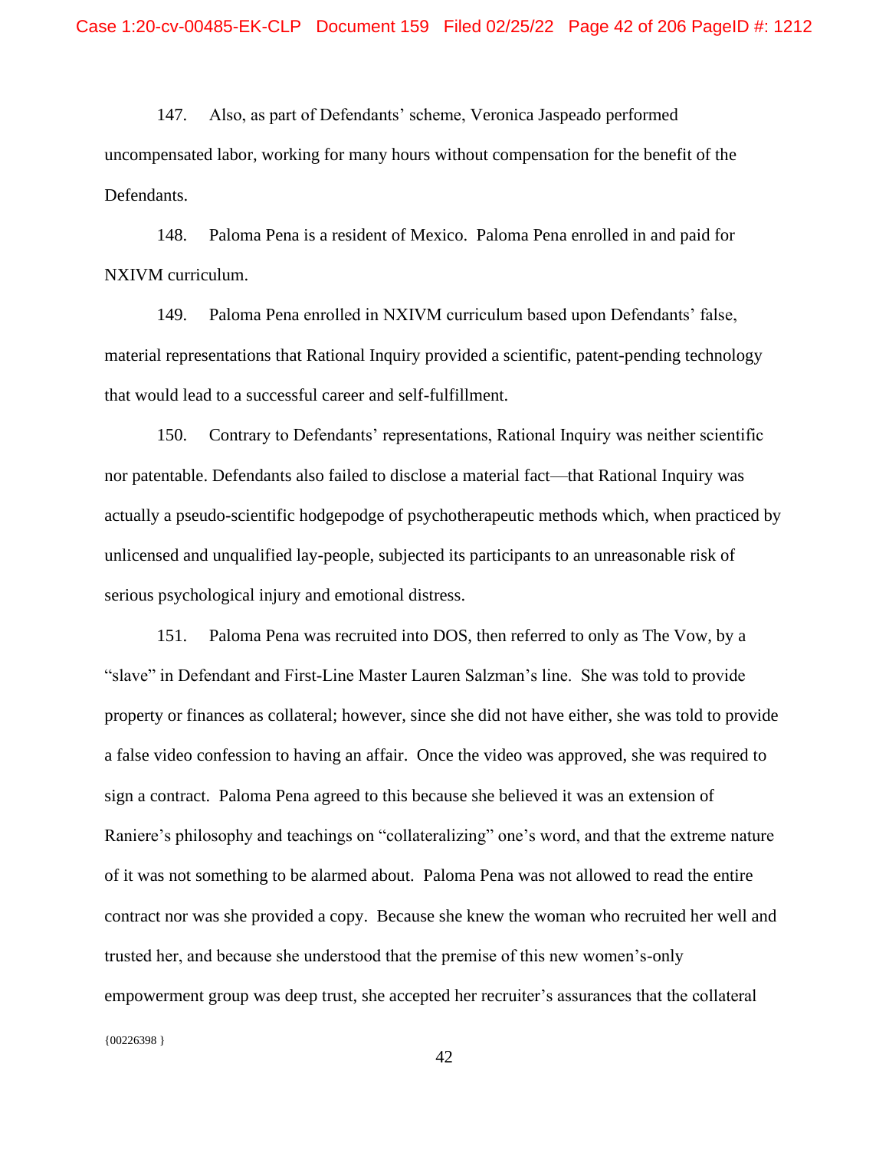147. Also, as part of Defendants' scheme, Veronica Jaspeado performed uncompensated labor, working for many hours without compensation for the benefit of the Defendants.

148. Paloma Pena is a resident of Mexico. Paloma Pena enrolled in and paid for NXIVM curriculum.

149. Paloma Pena enrolled in NXIVM curriculum based upon Defendants' false, material representations that Rational Inquiry provided a scientific, patent-pending technology that would lead to a successful career and self-fulfillment.

150. Contrary to Defendants' representations, Rational Inquiry was neither scientific nor patentable. Defendants also failed to disclose a material fact—that Rational Inquiry was actually a pseudo-scientific hodgepodge of psychotherapeutic methods which, when practiced by unlicensed and unqualified lay-people, subjected its participants to an unreasonable risk of serious psychological injury and emotional distress.

151. Paloma Pena was recruited into DOS, then referred to only as The Vow, by a "slave" in Defendant and First-Line Master Lauren Salzman's line. She was told to provide property or finances as collateral; however, since she did not have either, she was told to provide a false video confession to having an affair. Once the video was approved, she was required to sign a contract. Paloma Pena agreed to this because she believed it was an extension of Raniere's philosophy and teachings on "collateralizing" one's word, and that the extreme nature of it was not something to be alarmed about. Paloma Pena was not allowed to read the entire contract nor was she provided a copy. Because she knew the woman who recruited her well and trusted her, and because she understood that the premise of this new women's-only empowerment group was deep trust, she accepted her recruiter's assurances that the collateral

42

{00226398 }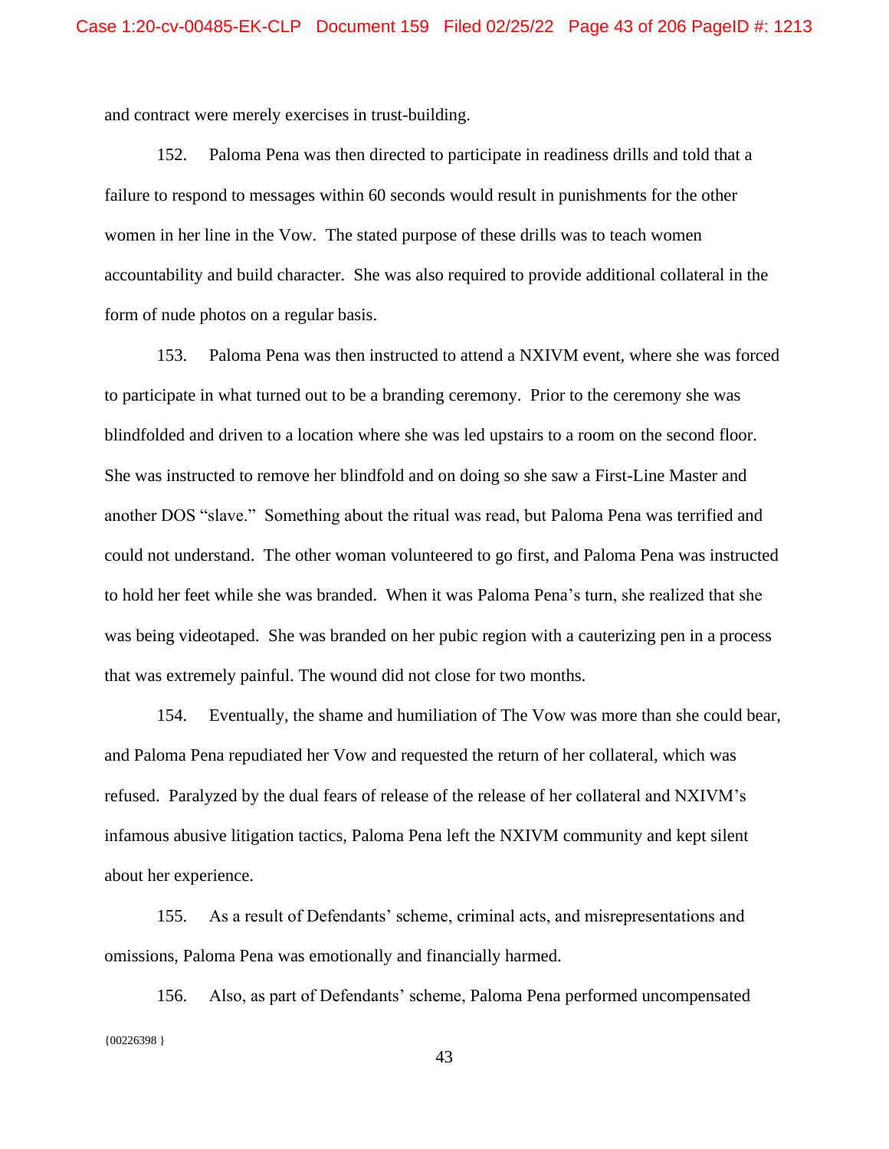and contract were merely exercises in trust-building.

152. Paloma Pena was then directed to participate in readiness drills and told that a failure to respond to messages within 60 seconds would result in punishments for the other women in her line in the Vow. The stated purpose of these drills was to teach women accountability and build character. She was also required to provide additional collateral in the form of nude photos on a regular basis.

153. Paloma Pena was then instructed to attend a NXIVM event, where she was forced to participate in what turned out to be a branding ceremony. Prior to the ceremony she was blindfolded and driven to a location where she was led upstairs to a room on the second floor. She was instructed to remove her blindfold and on doing so she saw a First-Line Master and another DOS "slave." Something about the ritual was read, but Paloma Pena was terrified and could not understand. The other woman volunteered to go first, and Paloma Pena was instructed to hold her feet while she was branded. When it was Paloma Pena's turn, she realized that she was being videotaped. She was branded on her pubic region with a cauterizing pen in a process that was extremely painful. The wound did not close for two months.

154. Eventually, the shame and humiliation of The Vow was more than she could bear, and Paloma Pena repudiated her Vow and requested the return of her collateral, which was refused. Paralyzed by the dual fears of release of the release of her collateral and NXIVM's infamous abusive litigation tactics, Paloma Pena left the NXIVM community and kept silent about her experience.

155. As a result of Defendants' scheme, criminal acts, and misrepresentations and omissions, Paloma Pena was emotionally and financially harmed.

{00226398 } 156. Also, as part of Defendants' scheme, Paloma Pena performed uncompensated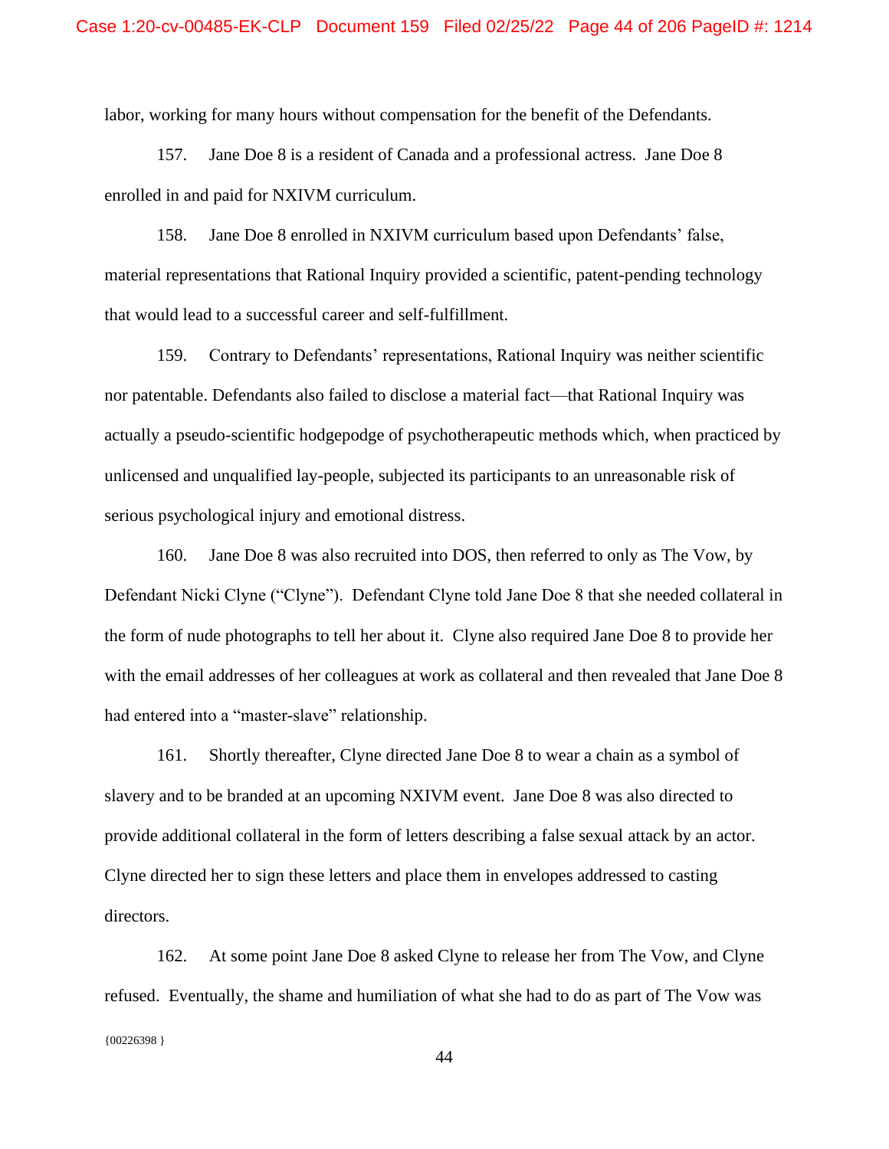labor, working for many hours without compensation for the benefit of the Defendants.

157. Jane Doe 8 is a resident of Canada and a professional actress. Jane Doe 8 enrolled in and paid for NXIVM curriculum.

158. Jane Doe 8 enrolled in NXIVM curriculum based upon Defendants' false, material representations that Rational Inquiry provided a scientific, patent-pending technology that would lead to a successful career and self-fulfillment.

159. Contrary to Defendants' representations, Rational Inquiry was neither scientific nor patentable. Defendants also failed to disclose a material fact—that Rational Inquiry was actually a pseudo-scientific hodgepodge of psychotherapeutic methods which, when practiced by unlicensed and unqualified lay-people, subjected its participants to an unreasonable risk of serious psychological injury and emotional distress.

160. Jane Doe 8 was also recruited into DOS, then referred to only as The Vow, by Defendant Nicki Clyne ("Clyne"). Defendant Clyne told Jane Doe 8 that she needed collateral in the form of nude photographs to tell her about it. Clyne also required Jane Doe 8 to provide her with the email addresses of her colleagues at work as collateral and then revealed that Jane Doe 8 had entered into a "master-slave" relationship.

161. Shortly thereafter, Clyne directed Jane Doe 8 to wear a chain as a symbol of slavery and to be branded at an upcoming NXIVM event. Jane Doe 8 was also directed to provide additional collateral in the form of letters describing a false sexual attack by an actor. Clyne directed her to sign these letters and place them in envelopes addressed to casting directors.

 ${00226398}$ 162. At some point Jane Doe 8 asked Clyne to release her from The Vow, and Clyne refused. Eventually, the shame and humiliation of what she had to do as part of The Vow was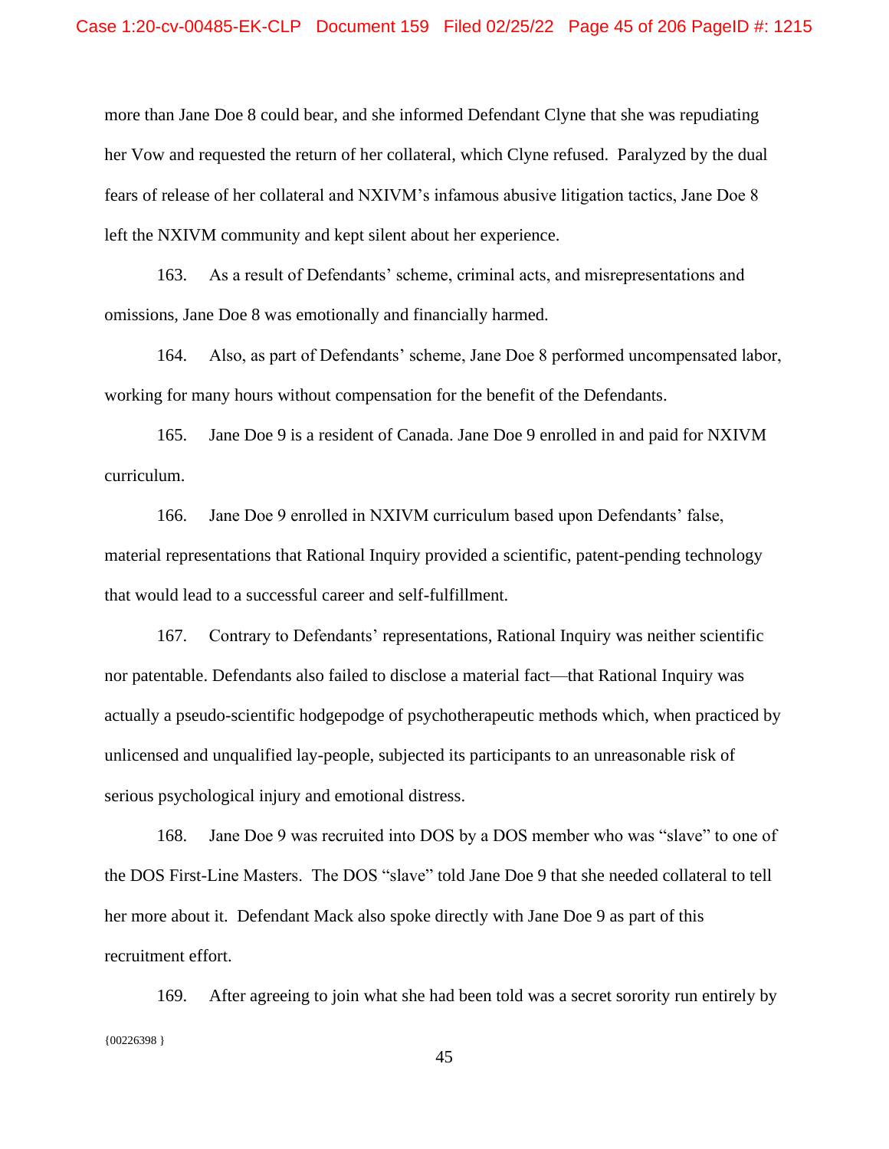more than Jane Doe 8 could bear, and she informed Defendant Clyne that she was repudiating her Vow and requested the return of her collateral, which Clyne refused. Paralyzed by the dual fears of release of her collateral and NXIVM's infamous abusive litigation tactics, Jane Doe 8 left the NXIVM community and kept silent about her experience.

163. As a result of Defendants' scheme, criminal acts, and misrepresentations and omissions, Jane Doe 8 was emotionally and financially harmed.

164. Also, as part of Defendants' scheme, Jane Doe 8 performed uncompensated labor, working for many hours without compensation for the benefit of the Defendants.

165. Jane Doe 9 is a resident of Canada. Jane Doe 9 enrolled in and paid for NXIVM curriculum.

166. Jane Doe 9 enrolled in NXIVM curriculum based upon Defendants' false, material representations that Rational Inquiry provided a scientific, patent-pending technology that would lead to a successful career and self-fulfillment.

167. Contrary to Defendants' representations, Rational Inquiry was neither scientific nor patentable. Defendants also failed to disclose a material fact—that Rational Inquiry was actually a pseudo-scientific hodgepodge of psychotherapeutic methods which, when practiced by unlicensed and unqualified lay-people, subjected its participants to an unreasonable risk of serious psychological injury and emotional distress.

168. Jane Doe 9 was recruited into DOS by a DOS member who was "slave" to one of the DOS First-Line Masters. The DOS "slave" told Jane Doe 9 that she needed collateral to tell her more about it. Defendant Mack also spoke directly with Jane Doe 9 as part of this recruitment effort.

{00226398 } 169. After agreeing to join what she had been told was a secret sorority run entirely by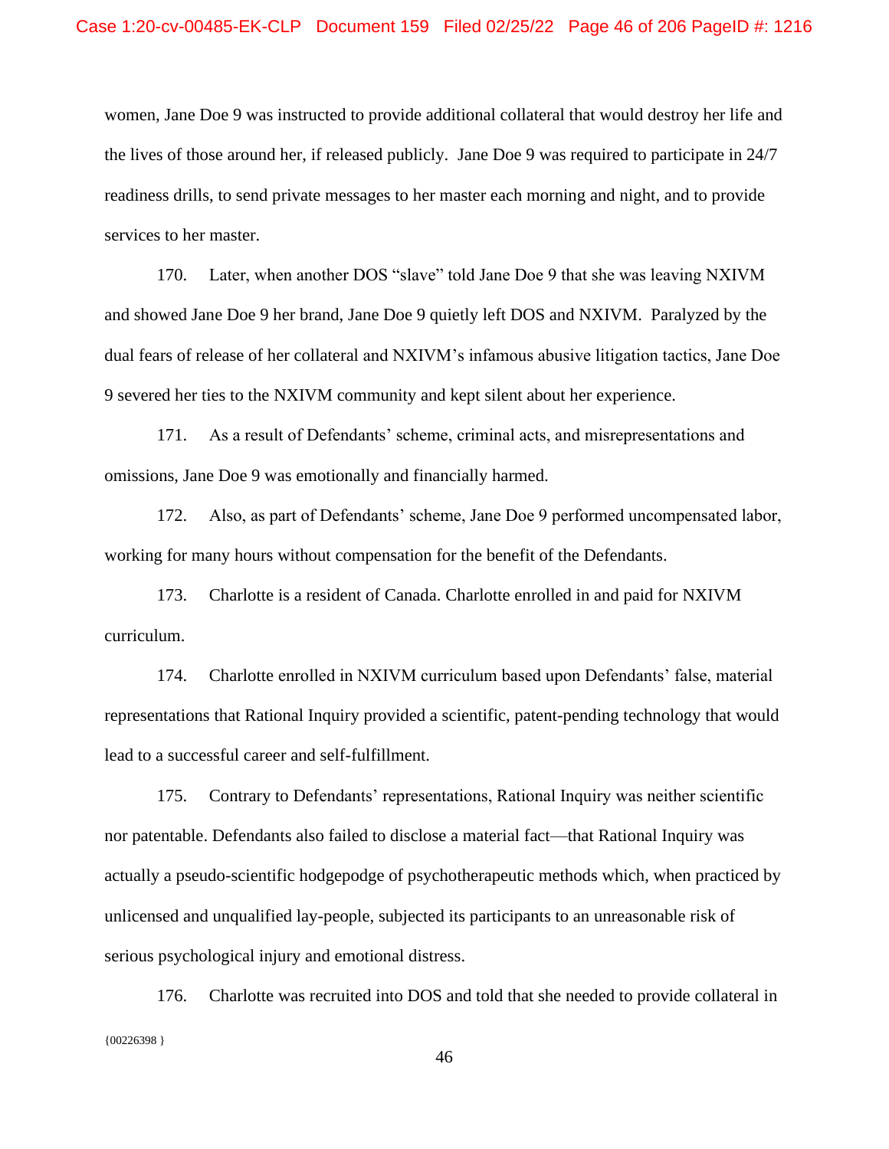women, Jane Doe 9 was instructed to provide additional collateral that would destroy her life and the lives of those around her, if released publicly. Jane Doe 9 was required to participate in 24/7 readiness drills, to send private messages to her master each morning and night, and to provide services to her master.

170. Later, when another DOS "slave" told Jane Doe 9 that she was leaving NXIVM and showed Jane Doe 9 her brand, Jane Doe 9 quietly left DOS and NXIVM. Paralyzed by the dual fears of release of her collateral and NXIVM's infamous abusive litigation tactics, Jane Doe 9 severed her ties to the NXIVM community and kept silent about her experience.

171. As a result of Defendants' scheme, criminal acts, and misrepresentations and omissions, Jane Doe 9 was emotionally and financially harmed.

172. Also, as part of Defendants' scheme, Jane Doe 9 performed uncompensated labor, working for many hours without compensation for the benefit of the Defendants.

173. Charlotte is a resident of Canada. Charlotte enrolled in and paid for NXIVM curriculum.

174. Charlotte enrolled in NXIVM curriculum based upon Defendants' false, material representations that Rational Inquiry provided a scientific, patent-pending technology that would lead to a successful career and self-fulfillment.

175. Contrary to Defendants' representations, Rational Inquiry was neither scientific nor patentable. Defendants also failed to disclose a material fact—that Rational Inquiry was actually a pseudo-scientific hodgepodge of psychotherapeutic methods which, when practiced by unlicensed and unqualified lay-people, subjected its participants to an unreasonable risk of serious psychological injury and emotional distress.

{00226398 } 176. Charlotte was recruited into DOS and told that she needed to provide collateral in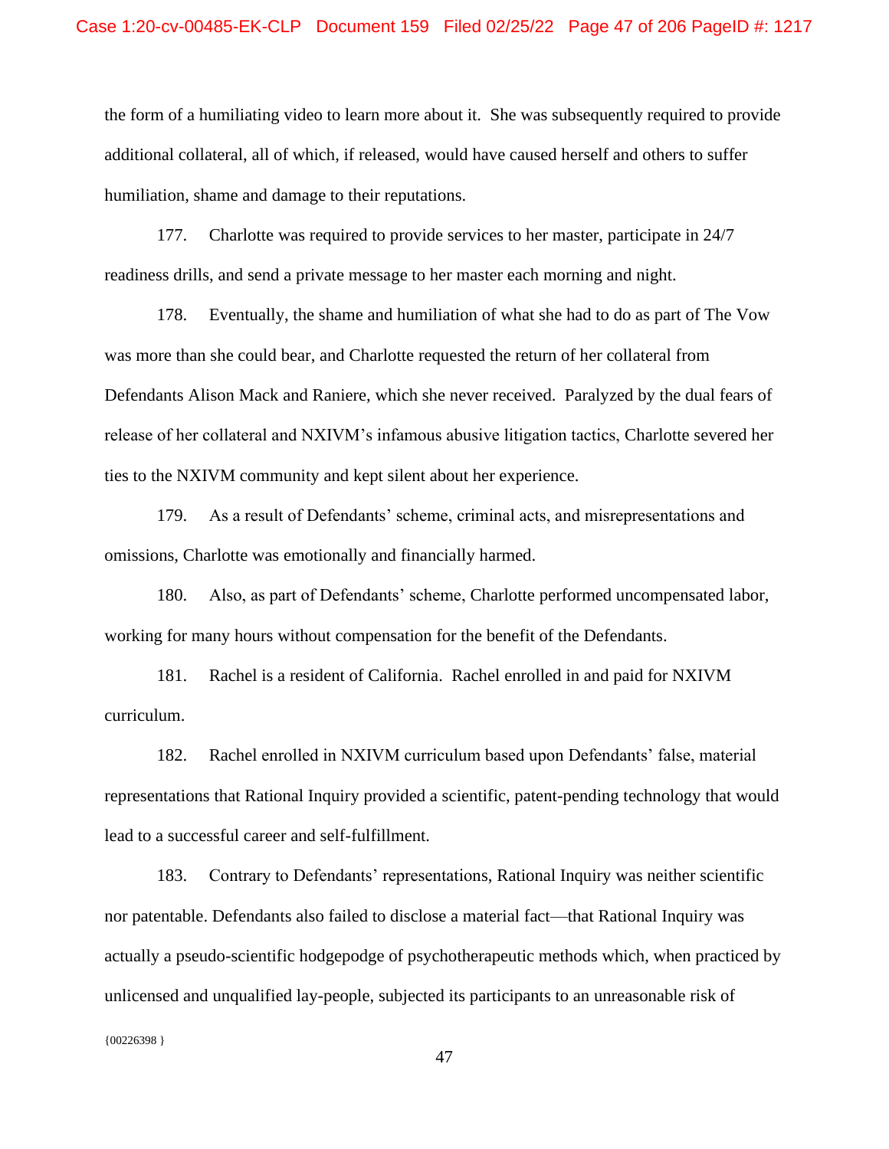the form of a humiliating video to learn more about it. She was subsequently required to provide additional collateral, all of which, if released, would have caused herself and others to suffer humiliation, shame and damage to their reputations.

177. Charlotte was required to provide services to her master, participate in 24/7 readiness drills, and send a private message to her master each morning and night.

178. Eventually, the shame and humiliation of what she had to do as part of The Vow was more than she could bear, and Charlotte requested the return of her collateral from Defendants Alison Mack and Raniere, which she never received. Paralyzed by the dual fears of release of her collateral and NXIVM's infamous abusive litigation tactics, Charlotte severed her ties to the NXIVM community and kept silent about her experience.

179. As a result of Defendants' scheme, criminal acts, and misrepresentations and omissions, Charlotte was emotionally and financially harmed.

180. Also, as part of Defendants' scheme, Charlotte performed uncompensated labor, working for many hours without compensation for the benefit of the Defendants.

181. Rachel is a resident of California. Rachel enrolled in and paid for NXIVM curriculum.

182. Rachel enrolled in NXIVM curriculum based upon Defendants' false, material representations that Rational Inquiry provided a scientific, patent-pending technology that would lead to a successful career and self-fulfillment.

183. Contrary to Defendants' representations, Rational Inquiry was neither scientific nor patentable. Defendants also failed to disclose a material fact—that Rational Inquiry was actually a pseudo-scientific hodgepodge of psychotherapeutic methods which, when practiced by unlicensed and unqualified lay-people, subjected its participants to an unreasonable risk of

 ${00226398}$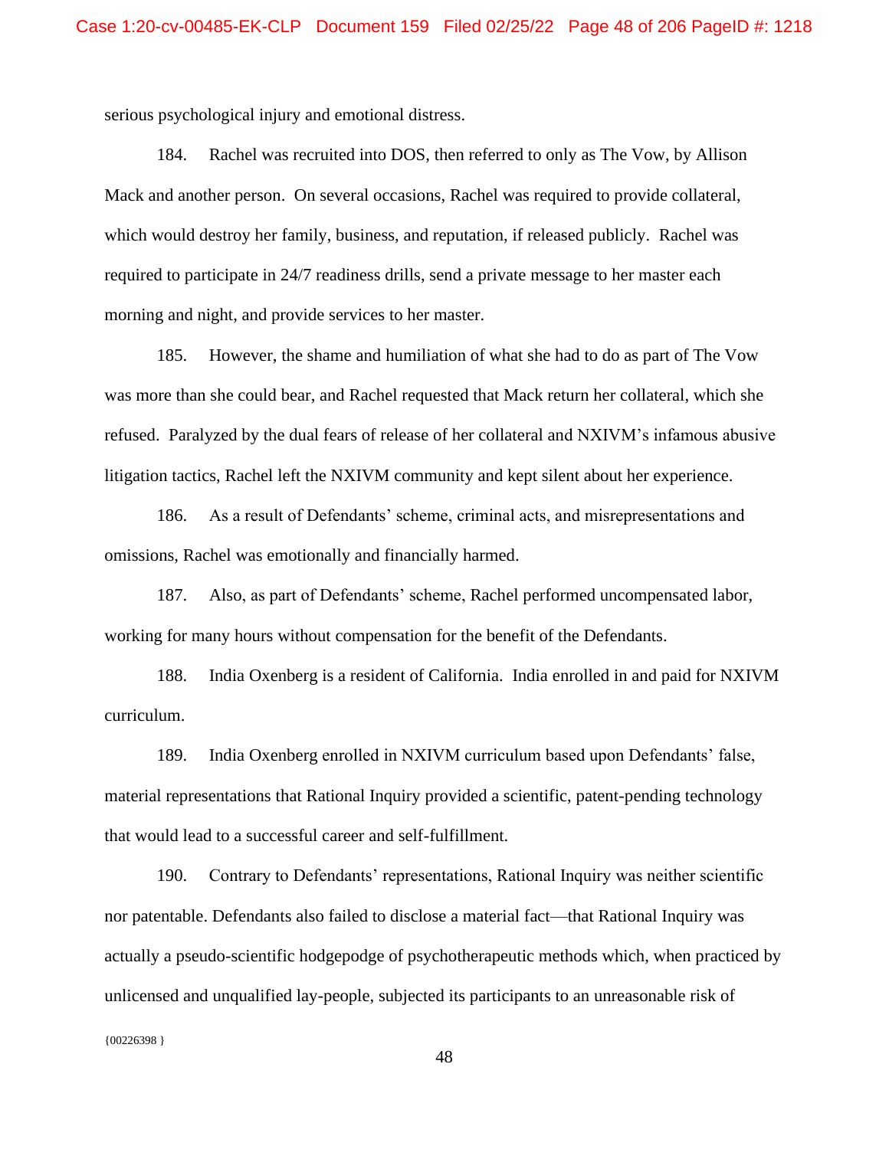serious psychological injury and emotional distress.

184. Rachel was recruited into DOS, then referred to only as The Vow, by Allison Mack and another person. On several occasions, Rachel was required to provide collateral, which would destroy her family, business, and reputation, if released publicly. Rachel was required to participate in 24/7 readiness drills, send a private message to her master each morning and night, and provide services to her master.

185. However, the shame and humiliation of what she had to do as part of The Vow was more than she could bear, and Rachel requested that Mack return her collateral, which she refused. Paralyzed by the dual fears of release of her collateral and NXIVM's infamous abusive litigation tactics, Rachel left the NXIVM community and kept silent about her experience.

186. As a result of Defendants' scheme, criminal acts, and misrepresentations and omissions, Rachel was emotionally and financially harmed.

187. Also, as part of Defendants' scheme, Rachel performed uncompensated labor, working for many hours without compensation for the benefit of the Defendants.

188. India Oxenberg is a resident of California. India enrolled in and paid for NXIVM curriculum.

189. India Oxenberg enrolled in NXIVM curriculum based upon Defendants' false, material representations that Rational Inquiry provided a scientific, patent-pending technology that would lead to a successful career and self-fulfillment.

190. Contrary to Defendants' representations, Rational Inquiry was neither scientific nor patentable. Defendants also failed to disclose a material fact—that Rational Inquiry was actually a pseudo-scientific hodgepodge of psychotherapeutic methods which, when practiced by unlicensed and unqualified lay-people, subjected its participants to an unreasonable risk of

{00226398 }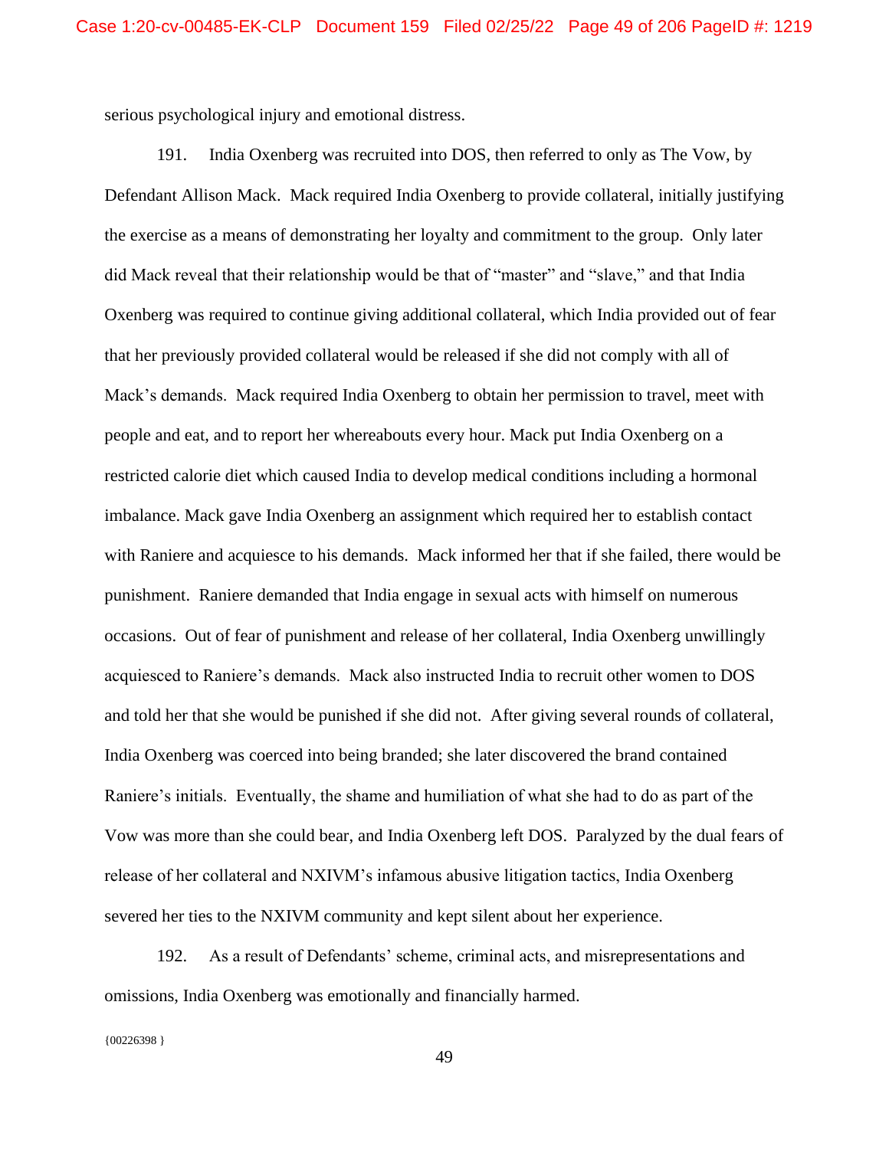serious psychological injury and emotional distress.

191. India Oxenberg was recruited into DOS, then referred to only as The Vow, by Defendant Allison Mack. Mack required India Oxenberg to provide collateral, initially justifying the exercise as a means of demonstrating her loyalty and commitment to the group. Only later did Mack reveal that their relationship would be that of "master" and "slave," and that India Oxenberg was required to continue giving additional collateral, which India provided out of fear that her previously provided collateral would be released if she did not comply with all of Mack's demands. Mack required India Oxenberg to obtain her permission to travel, meet with people and eat, and to report her whereabouts every hour. Mack put India Oxenberg on a restricted calorie diet which caused India to develop medical conditions including a hormonal imbalance. Mack gave India Oxenberg an assignment which required her to establish contact with Raniere and acquiesce to his demands. Mack informed her that if she failed, there would be punishment. Raniere demanded that India engage in sexual acts with himself on numerous occasions. Out of fear of punishment and release of her collateral, India Oxenberg unwillingly acquiesced to Raniere's demands. Mack also instructed India to recruit other women to DOS and told her that she would be punished if she did not. After giving several rounds of collateral, India Oxenberg was coerced into being branded; she later discovered the brand contained Raniere's initials. Eventually, the shame and humiliation of what she had to do as part of the Vow was more than she could bear, and India Oxenberg left DOS. Paralyzed by the dual fears of release of her collateral and NXIVM's infamous abusive litigation tactics, India Oxenberg severed her ties to the NXIVM community and kept silent about her experience.

192. As a result of Defendants' scheme, criminal acts, and misrepresentations and omissions, India Oxenberg was emotionally and financially harmed.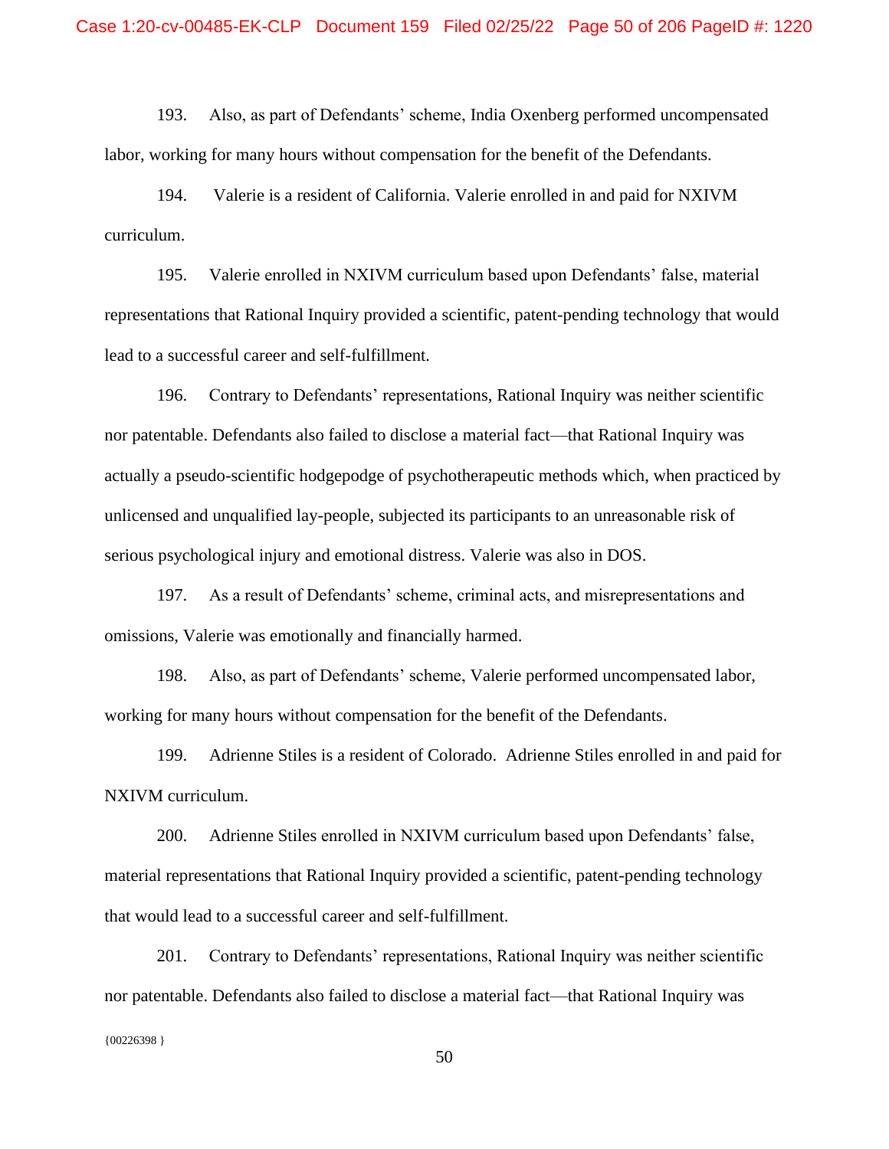193. Also, as part of Defendants' scheme, India Oxenberg performed uncompensated labor, working for many hours without compensation for the benefit of the Defendants.

194. Valerie is a resident of California. Valerie enrolled in and paid for NXIVM curriculum.

195. Valerie enrolled in NXIVM curriculum based upon Defendants' false, material representations that Rational Inquiry provided a scientific, patent-pending technology that would lead to a successful career and self-fulfillment.

196. Contrary to Defendants' representations, Rational Inquiry was neither scientific nor patentable. Defendants also failed to disclose a material fact—that Rational Inquiry was actually a pseudo-scientific hodgepodge of psychotherapeutic methods which, when practiced by unlicensed and unqualified lay-people, subjected its participants to an unreasonable risk of serious psychological injury and emotional distress. Valerie was also in DOS.

197. As a result of Defendants' scheme, criminal acts, and misrepresentations and omissions, Valerie was emotionally and financially harmed.

198. Also, as part of Defendants' scheme, Valerie performed uncompensated labor, working for many hours without compensation for the benefit of the Defendants.

199. Adrienne Stiles is a resident of Colorado. Adrienne Stiles enrolled in and paid for NXIVM curriculum.

200. Adrienne Stiles enrolled in NXIVM curriculum based upon Defendants' false, material representations that Rational Inquiry provided a scientific, patent-pending technology that would lead to a successful career and self-fulfillment.

201. Contrary to Defendants' representations, Rational Inquiry was neither scientific nor patentable. Defendants also failed to disclose a material fact—that Rational Inquiry was

 ${00226398}$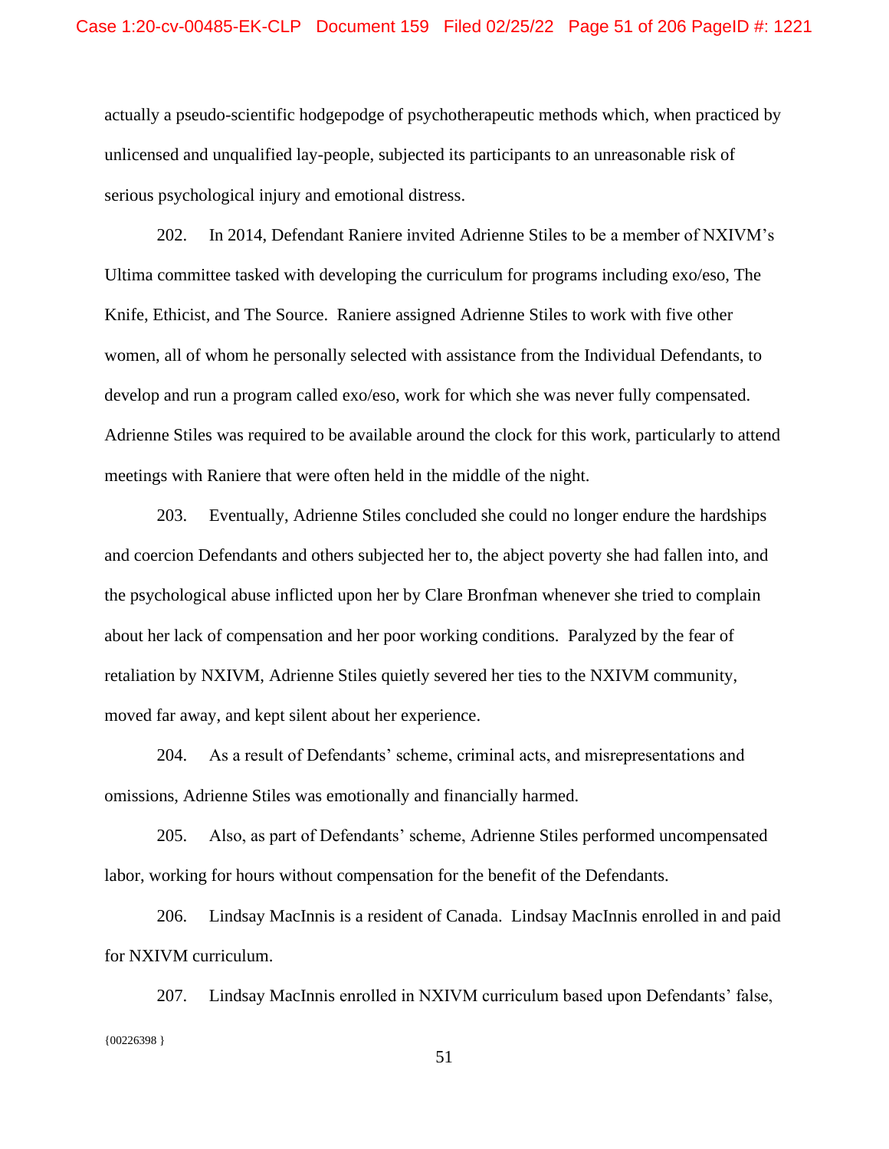actually a pseudo-scientific hodgepodge of psychotherapeutic methods which, when practiced by unlicensed and unqualified lay-people, subjected its participants to an unreasonable risk of serious psychological injury and emotional distress.

202. In 2014, Defendant Raniere invited Adrienne Stiles to be a member of NXIVM's Ultima committee tasked with developing the curriculum for programs including exo/eso, The Knife, Ethicist, and The Source. Raniere assigned Adrienne Stiles to work with five other women, all of whom he personally selected with assistance from the Individual Defendants, to develop and run a program called exo/eso, work for which she was never fully compensated. Adrienne Stiles was required to be available around the clock for this work, particularly to attend meetings with Raniere that were often held in the middle of the night.

203. Eventually, Adrienne Stiles concluded she could no longer endure the hardships and coercion Defendants and others subjected her to, the abject poverty she had fallen into, and the psychological abuse inflicted upon her by Clare Bronfman whenever she tried to complain about her lack of compensation and her poor working conditions. Paralyzed by the fear of retaliation by NXIVM, Adrienne Stiles quietly severed her ties to the NXIVM community, moved far away, and kept silent about her experience.

204. As a result of Defendants' scheme, criminal acts, and misrepresentations and omissions, Adrienne Stiles was emotionally and financially harmed.

205. Also, as part of Defendants' scheme, Adrienne Stiles performed uncompensated labor, working for hours without compensation for the benefit of the Defendants.

206. Lindsay MacInnis is a resident of Canada. Lindsay MacInnis enrolled in and paid for NXIVM curriculum.

{00226398 } 207. Lindsay MacInnis enrolled in NXIVM curriculum based upon Defendants' false,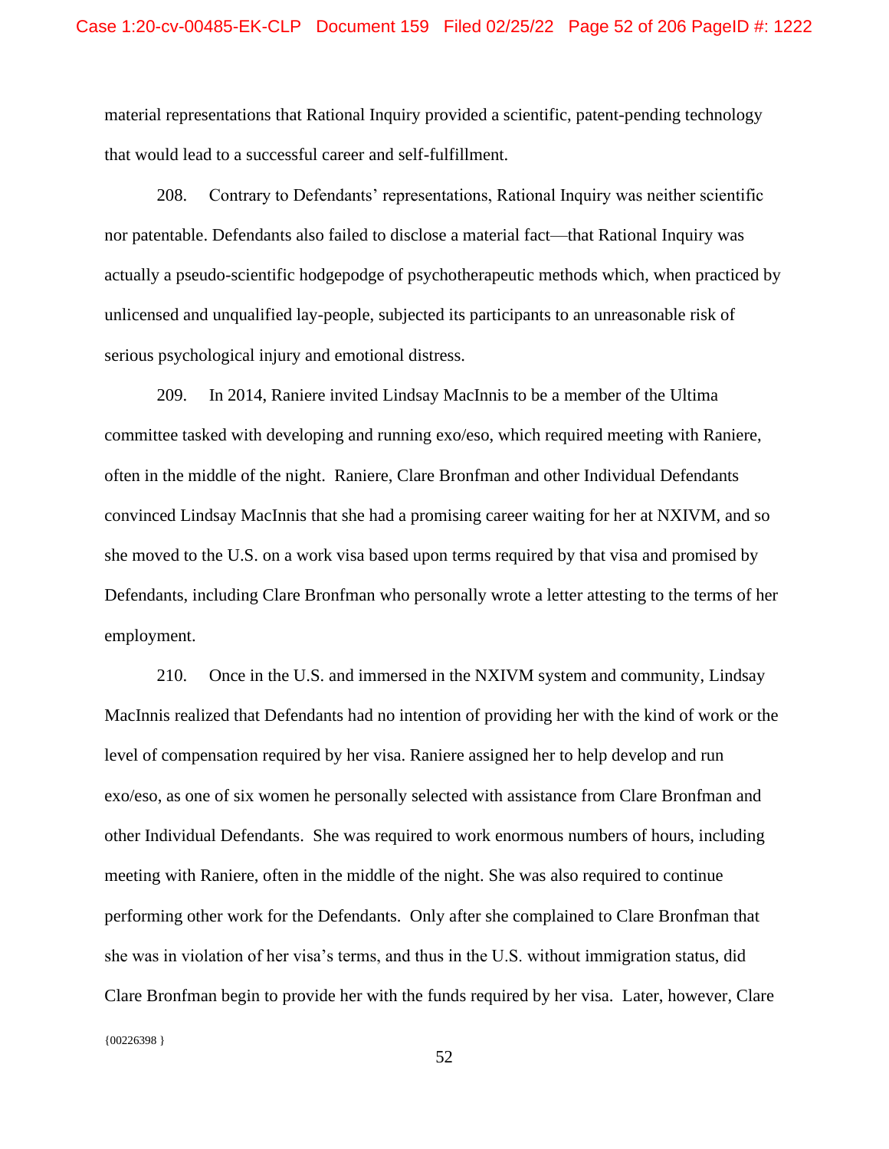material representations that Rational Inquiry provided a scientific, patent-pending technology that would lead to a successful career and self-fulfillment.

208. Contrary to Defendants' representations, Rational Inquiry was neither scientific nor patentable. Defendants also failed to disclose a material fact—that Rational Inquiry was actually a pseudo-scientific hodgepodge of psychotherapeutic methods which, when practiced by unlicensed and unqualified lay-people, subjected its participants to an unreasonable risk of serious psychological injury and emotional distress.

209. In 2014, Raniere invited Lindsay MacInnis to be a member of the Ultima committee tasked with developing and running exo/eso, which required meeting with Raniere, often in the middle of the night. Raniere, Clare Bronfman and other Individual Defendants convinced Lindsay MacInnis that she had a promising career waiting for her at NXIVM, and so she moved to the U.S. on a work visa based upon terms required by that visa and promised by Defendants, including Clare Bronfman who personally wrote a letter attesting to the terms of her employment.

 ${00226398}$ 210. Once in the U.S. and immersed in the NXIVM system and community, Lindsay MacInnis realized that Defendants had no intention of providing her with the kind of work or the level of compensation required by her visa. Raniere assigned her to help develop and run exo/eso, as one of six women he personally selected with assistance from Clare Bronfman and other Individual Defendants. She was required to work enormous numbers of hours, including meeting with Raniere, often in the middle of the night. She was also required to continue performing other work for the Defendants. Only after she complained to Clare Bronfman that she was in violation of her visa's terms, and thus in the U.S. without immigration status, did Clare Bronfman begin to provide her with the funds required by her visa. Later, however, Clare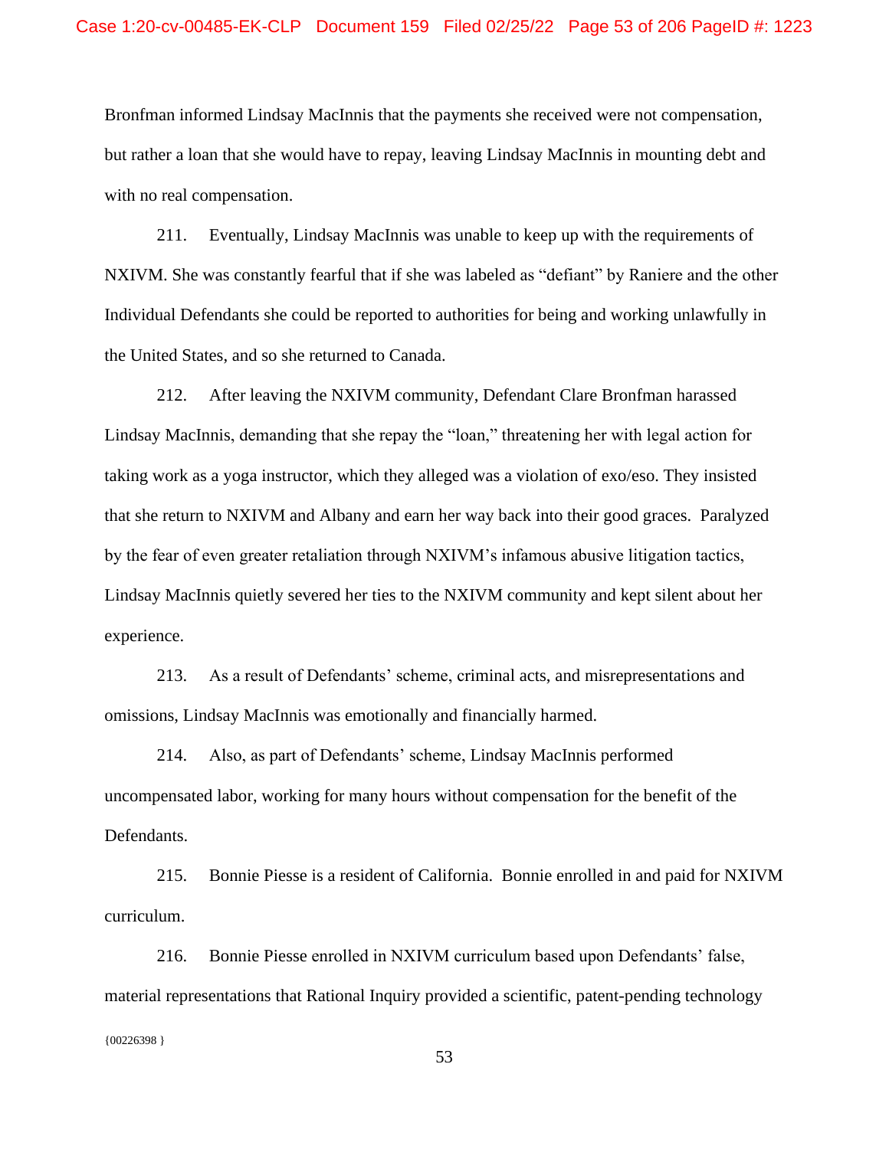Bronfman informed Lindsay MacInnis that the payments she received were not compensation, but rather a loan that she would have to repay, leaving Lindsay MacInnis in mounting debt and with no real compensation.

211. Eventually, Lindsay MacInnis was unable to keep up with the requirements of NXIVM. She was constantly fearful that if she was labeled as "defiant" by Raniere and the other Individual Defendants she could be reported to authorities for being and working unlawfully in the United States, and so she returned to Canada.

212. After leaving the NXIVM community, Defendant Clare Bronfman harassed Lindsay MacInnis, demanding that she repay the "loan," threatening her with legal action for taking work as a yoga instructor, which they alleged was a violation of exo/eso. They insisted that she return to NXIVM and Albany and earn her way back into their good graces. Paralyzed by the fear of even greater retaliation through NXIVM's infamous abusive litigation tactics, Lindsay MacInnis quietly severed her ties to the NXIVM community and kept silent about her experience.

213. As a result of Defendants' scheme, criminal acts, and misrepresentations and omissions, Lindsay MacInnis was emotionally and financially harmed.

214. Also, as part of Defendants' scheme, Lindsay MacInnis performed uncompensated labor, working for many hours without compensation for the benefit of the Defendants.

215. Bonnie Piesse is a resident of California. Bonnie enrolled in and paid for NXIVM curriculum.

 ${00226398}$ 216. Bonnie Piesse enrolled in NXIVM curriculum based upon Defendants' false, material representations that Rational Inquiry provided a scientific, patent-pending technology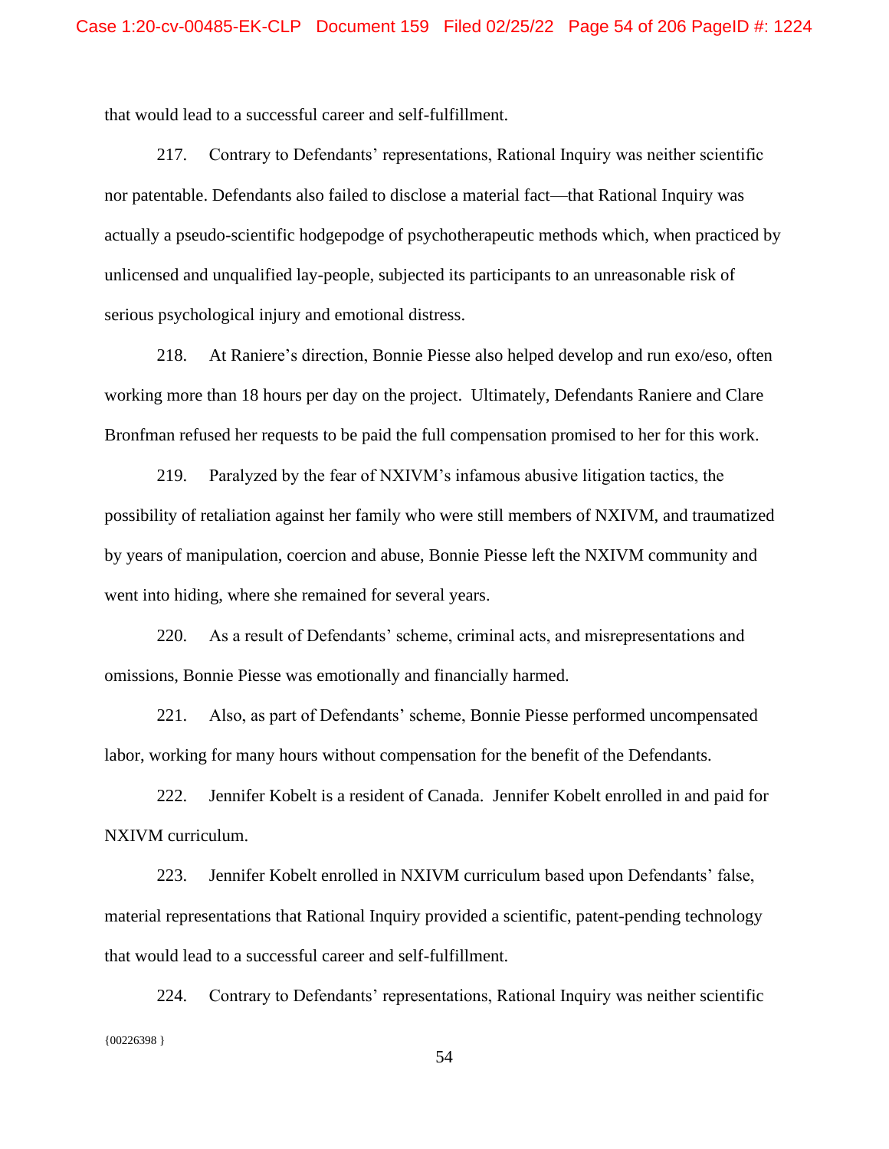that would lead to a successful career and self-fulfillment.

217. Contrary to Defendants' representations, Rational Inquiry was neither scientific nor patentable. Defendants also failed to disclose a material fact—that Rational Inquiry was actually a pseudo-scientific hodgepodge of psychotherapeutic methods which, when practiced by unlicensed and unqualified lay-people, subjected its participants to an unreasonable risk of serious psychological injury and emotional distress.

218. At Raniere's direction, Bonnie Piesse also helped develop and run exo/eso, often working more than 18 hours per day on the project. Ultimately, Defendants Raniere and Clare Bronfman refused her requests to be paid the full compensation promised to her for this work.

219. Paralyzed by the fear of NXIVM's infamous abusive litigation tactics, the possibility of retaliation against her family who were still members of NXIVM, and traumatized by years of manipulation, coercion and abuse, Bonnie Piesse left the NXIVM community and went into hiding, where she remained for several years.

220. As a result of Defendants' scheme, criminal acts, and misrepresentations and omissions, Bonnie Piesse was emotionally and financially harmed.

221. Also, as part of Defendants' scheme, Bonnie Piesse performed uncompensated labor, working for many hours without compensation for the benefit of the Defendants.

222. Jennifer Kobelt is a resident of Canada. Jennifer Kobelt enrolled in and paid for NXIVM curriculum.

223. Jennifer Kobelt enrolled in NXIVM curriculum based upon Defendants' false, material representations that Rational Inquiry provided a scientific, patent-pending technology that would lead to a successful career and self-fulfillment.

{00226398 } 224. Contrary to Defendants' representations, Rational Inquiry was neither scientific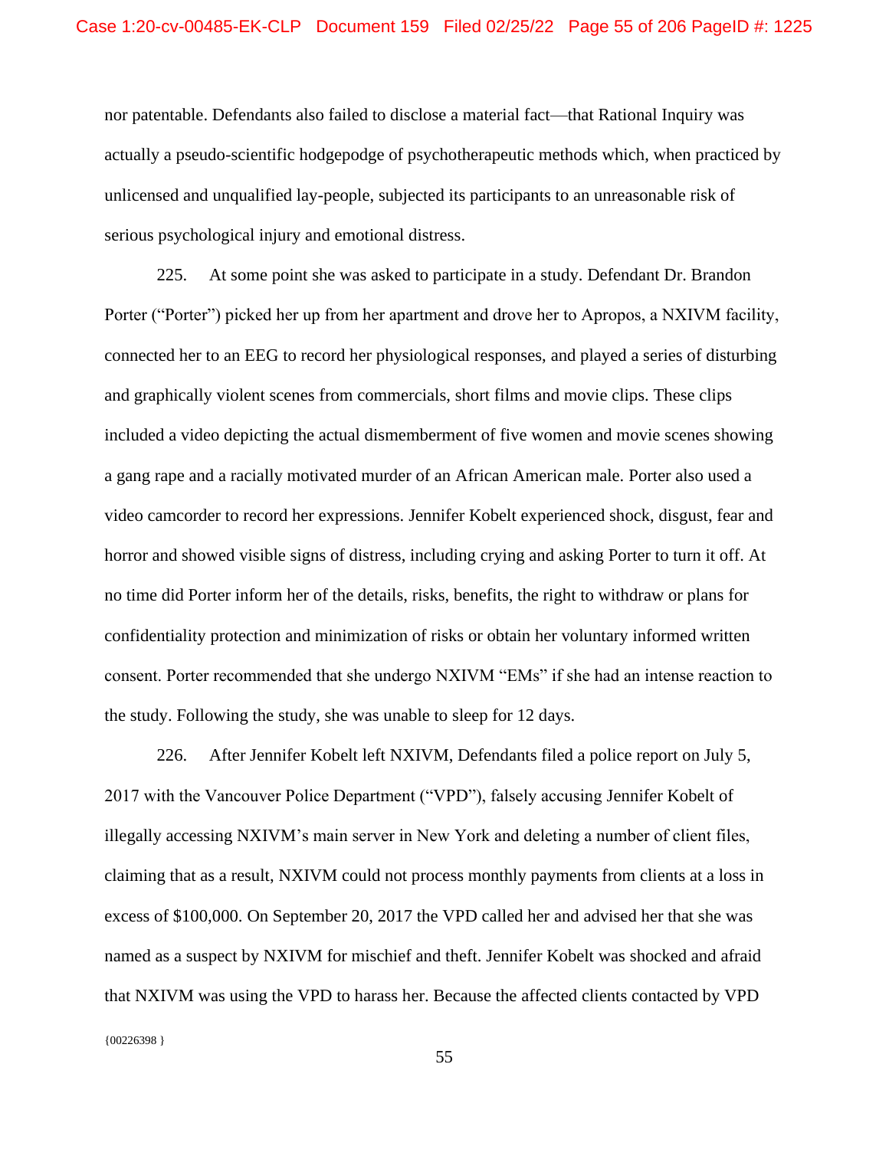nor patentable. Defendants also failed to disclose a material fact—that Rational Inquiry was actually a pseudo-scientific hodgepodge of psychotherapeutic methods which, when practiced by unlicensed and unqualified lay-people, subjected its participants to an unreasonable risk of serious psychological injury and emotional distress.

225. At some point she was asked to participate in a study. Defendant Dr. Brandon Porter ("Porter") picked her up from her apartment and drove her to Apropos, a NXIVM facility, connected her to an EEG to record her physiological responses, and played a series of disturbing and graphically violent scenes from commercials, short films and movie clips. These clips included a video depicting the actual dismemberment of five women and movie scenes showing a gang rape and a racially motivated murder of an African American male. Porter also used a video camcorder to record her expressions. Jennifer Kobelt experienced shock, disgust, fear and horror and showed visible signs of distress, including crying and asking Porter to turn it off. At no time did Porter inform her of the details, risks, benefits, the right to withdraw or plans for confidentiality protection and minimization of risks or obtain her voluntary informed written consent. Porter recommended that she undergo NXIVM "EMs" if she had an intense reaction to the study. Following the study, she was unable to sleep for 12 days.

226. After Jennifer Kobelt left NXIVM, Defendants filed a police report on July 5, 2017 with the Vancouver Police Department ("VPD"), falsely accusing Jennifer Kobelt of illegally accessing NXIVM's main server in New York and deleting a number of client files, claiming that as a result, NXIVM could not process monthly payments from clients at a loss in excess of \$100,000. On September 20, 2017 the VPD called her and advised her that she was named as a suspect by NXIVM for mischief and theft. Jennifer Kobelt was shocked and afraid that NXIVM was using the VPD to harass her. Because the affected clients contacted by VPD

55

{00226398 }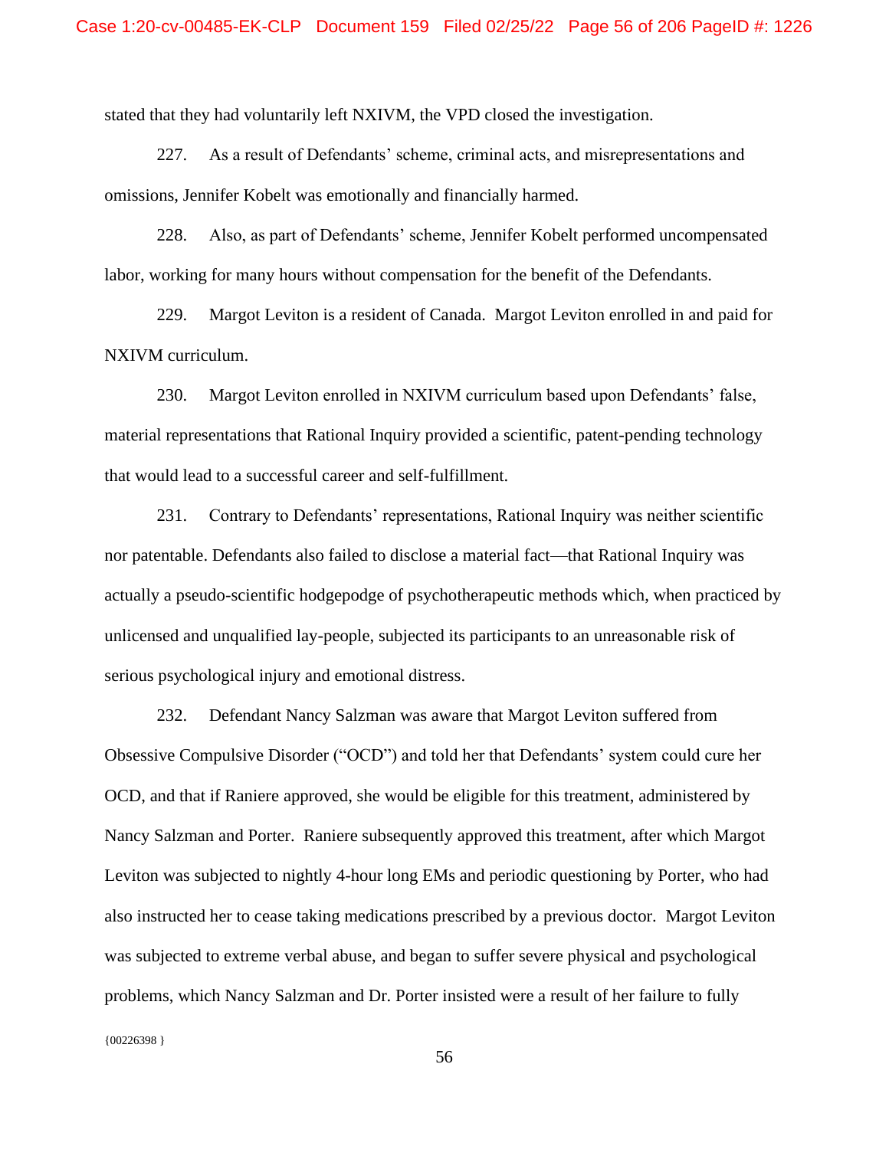stated that they had voluntarily left NXIVM, the VPD closed the investigation.

227. As a result of Defendants' scheme, criminal acts, and misrepresentations and omissions, Jennifer Kobelt was emotionally and financially harmed.

228. Also, as part of Defendants' scheme, Jennifer Kobelt performed uncompensated labor, working for many hours without compensation for the benefit of the Defendants.

229. Margot Leviton is a resident of Canada. Margot Leviton enrolled in and paid for NXIVM curriculum.

230. Margot Leviton enrolled in NXIVM curriculum based upon Defendants' false, material representations that Rational Inquiry provided a scientific, patent-pending technology that would lead to a successful career and self-fulfillment.

231. Contrary to Defendants' representations, Rational Inquiry was neither scientific nor patentable. Defendants also failed to disclose a material fact—that Rational Inquiry was actually a pseudo-scientific hodgepodge of psychotherapeutic methods which, when practiced by unlicensed and unqualified lay-people, subjected its participants to an unreasonable risk of serious psychological injury and emotional distress.

232. Defendant Nancy Salzman was aware that Margot Leviton suffered from Obsessive Compulsive Disorder ("OCD") and told her that Defendants' system could cure her OCD, and that if Raniere approved, she would be eligible for this treatment, administered by Nancy Salzman and Porter. Raniere subsequently approved this treatment, after which Margot Leviton was subjected to nightly 4-hour long EMs and periodic questioning by Porter, who had also instructed her to cease taking medications prescribed by a previous doctor. Margot Leviton was subjected to extreme verbal abuse, and began to suffer severe physical and psychological problems, which Nancy Salzman and Dr. Porter insisted were a result of her failure to fully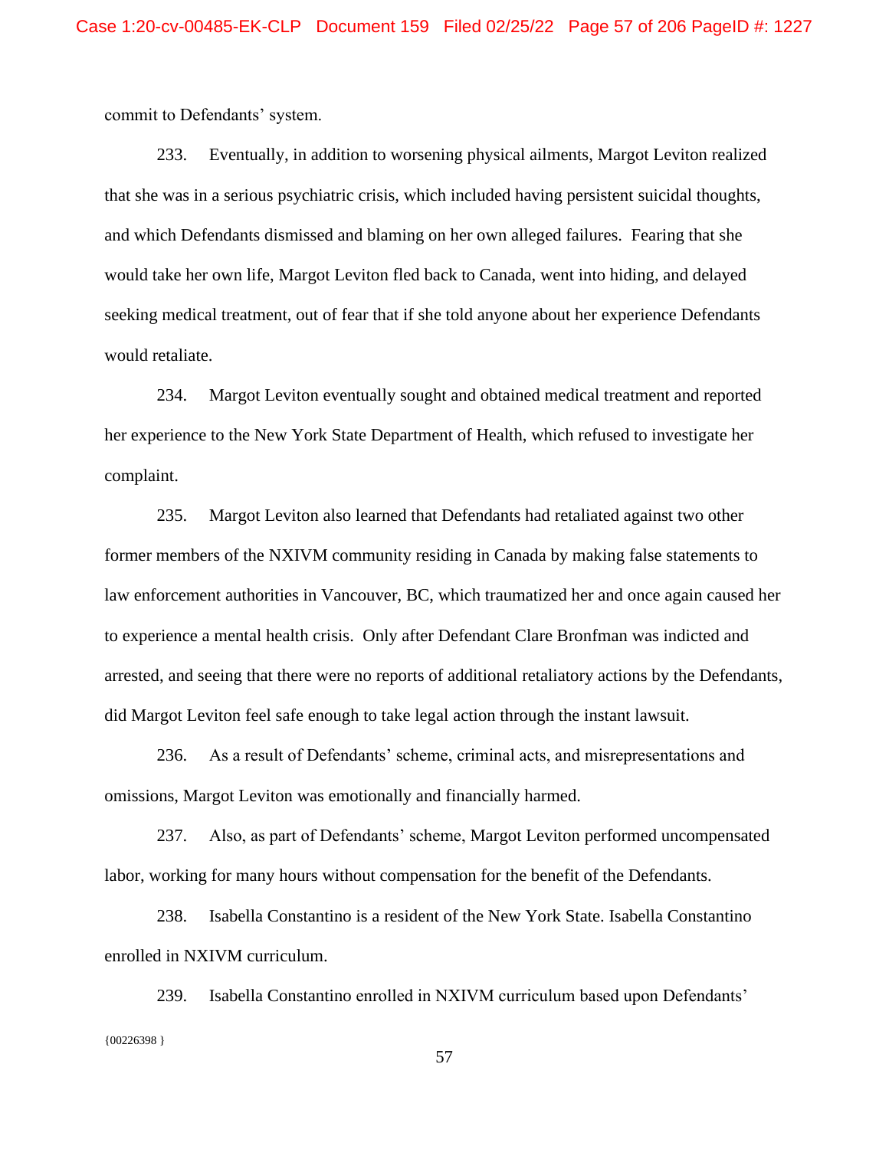commit to Defendants' system.

233. Eventually, in addition to worsening physical ailments, Margot Leviton realized that she was in a serious psychiatric crisis, which included having persistent suicidal thoughts, and which Defendants dismissed and blaming on her own alleged failures. Fearing that she would take her own life, Margot Leviton fled back to Canada, went into hiding, and delayed seeking medical treatment, out of fear that if she told anyone about her experience Defendants would retaliate.

234. Margot Leviton eventually sought and obtained medical treatment and reported her experience to the New York State Department of Health, which refused to investigate her complaint.

235. Margot Leviton also learned that Defendants had retaliated against two other former members of the NXIVM community residing in Canada by making false statements to law enforcement authorities in Vancouver, BC, which traumatized her and once again caused her to experience a mental health crisis. Only after Defendant Clare Bronfman was indicted and arrested, and seeing that there were no reports of additional retaliatory actions by the Defendants, did Margot Leviton feel safe enough to take legal action through the instant lawsuit.

236. As a result of Defendants' scheme, criminal acts, and misrepresentations and omissions, Margot Leviton was emotionally and financially harmed.

237. Also, as part of Defendants' scheme, Margot Leviton performed uncompensated labor, working for many hours without compensation for the benefit of the Defendants.

238. Isabella Constantino is a resident of the New York State. Isabella Constantino enrolled in NXIVM curriculum.

{00226398 } 239. Isabella Constantino enrolled in NXIVM curriculum based upon Defendants'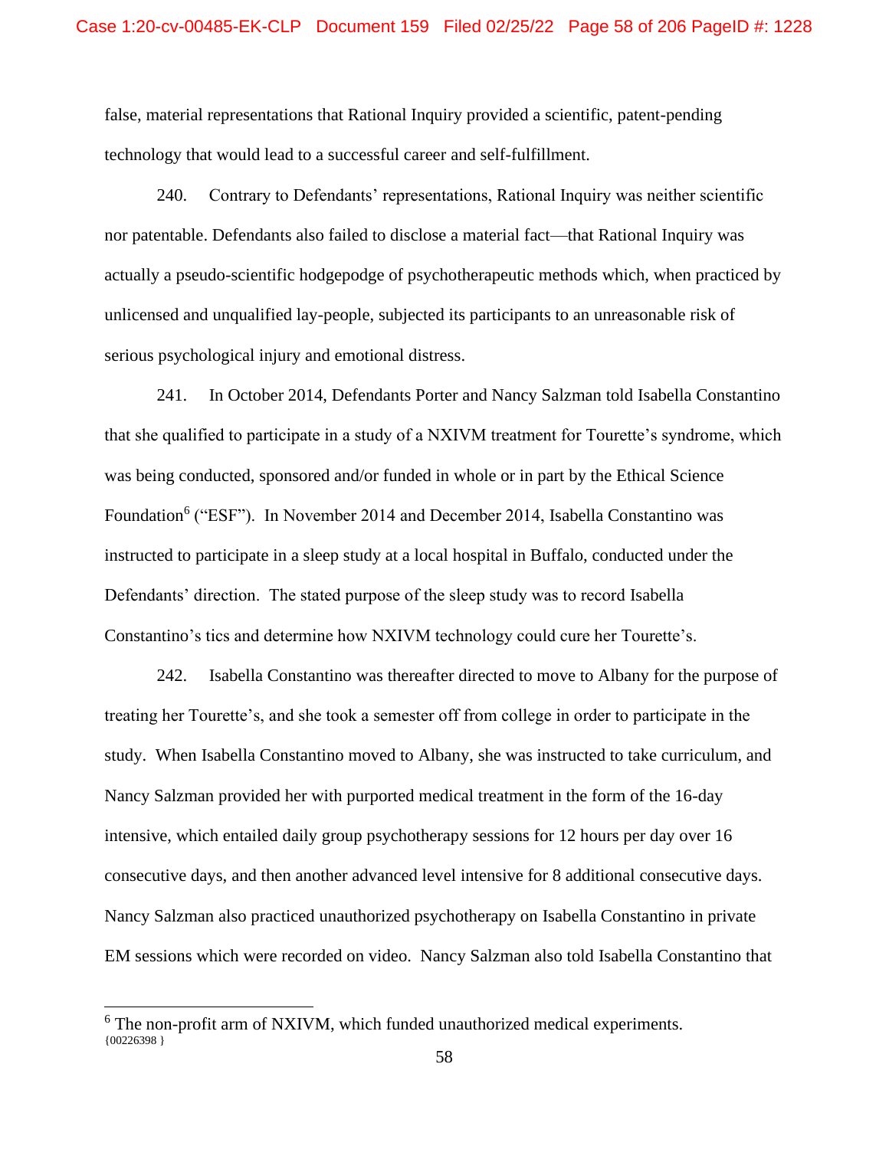false, material representations that Rational Inquiry provided a scientific, patent-pending technology that would lead to a successful career and self-fulfillment.

240. Contrary to Defendants' representations, Rational Inquiry was neither scientific nor patentable. Defendants also failed to disclose a material fact—that Rational Inquiry was actually a pseudo-scientific hodgepodge of psychotherapeutic methods which, when practiced by unlicensed and unqualified lay-people, subjected its participants to an unreasonable risk of serious psychological injury and emotional distress.

241. In October 2014, Defendants Porter and Nancy Salzman told Isabella Constantino that she qualified to participate in a study of a NXIVM treatment for Tourette's syndrome, which was being conducted, sponsored and/or funded in whole or in part by the Ethical Science Foundation<sup>6</sup> ("ESF"). In November 2014 and December 2014, Isabella Constantino was instructed to participate in a sleep study at a local hospital in Buffalo, conducted under the Defendants' direction. The stated purpose of the sleep study was to record Isabella Constantino's tics and determine how NXIVM technology could cure her Tourette's.

242. Isabella Constantino was thereafter directed to move to Albany for the purpose of treating her Tourette's, and she took a semester off from college in order to participate in the study. When Isabella Constantino moved to Albany, she was instructed to take curriculum, and Nancy Salzman provided her with purported medical treatment in the form of the 16-day intensive, which entailed daily group psychotherapy sessions for 12 hours per day over 16 consecutive days, and then another advanced level intensive for 8 additional consecutive days. Nancy Salzman also practiced unauthorized psychotherapy on Isabella Constantino in private EM sessions which were recorded on video. Nancy Salzman also told Isabella Constantino that

<sup>{00226398 }</sup> <sup>6</sup> The non-profit arm of NXIVM, which funded unauthorized medical experiments.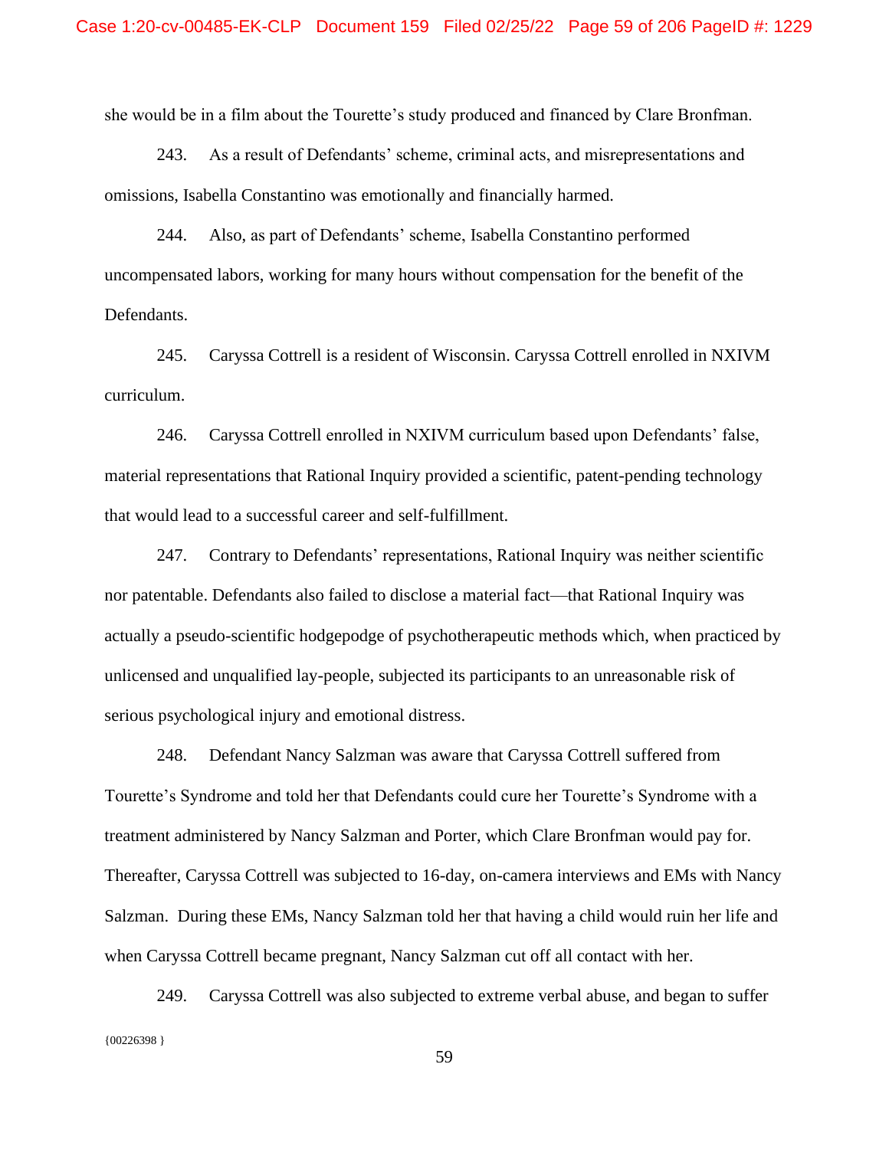she would be in a film about the Tourette's study produced and financed by Clare Bronfman.

243. As a result of Defendants' scheme, criminal acts, and misrepresentations and omissions, Isabella Constantino was emotionally and financially harmed.

244. Also, as part of Defendants' scheme, Isabella Constantino performed uncompensated labors, working for many hours without compensation for the benefit of the Defendants.

245. Caryssa Cottrell is a resident of Wisconsin. Caryssa Cottrell enrolled in NXIVM curriculum.

246. Caryssa Cottrell enrolled in NXIVM curriculum based upon Defendants' false, material representations that Rational Inquiry provided a scientific, patent-pending technology that would lead to a successful career and self-fulfillment.

247. Contrary to Defendants' representations, Rational Inquiry was neither scientific nor patentable. Defendants also failed to disclose a material fact—that Rational Inquiry was actually a pseudo-scientific hodgepodge of psychotherapeutic methods which, when practiced by unlicensed and unqualified lay-people, subjected its participants to an unreasonable risk of serious psychological injury and emotional distress.

248. Defendant Nancy Salzman was aware that Caryssa Cottrell suffered from Tourette's Syndrome and told her that Defendants could cure her Tourette's Syndrome with a treatment administered by Nancy Salzman and Porter, which Clare Bronfman would pay for. Thereafter, Caryssa Cottrell was subjected to 16-day, on-camera interviews and EMs with Nancy Salzman. During these EMs, Nancy Salzman told her that having a child would ruin her life and when Caryssa Cottrell became pregnant, Nancy Salzman cut off all contact with her.

{00226398 } 249. Caryssa Cottrell was also subjected to extreme verbal abuse, and began to suffer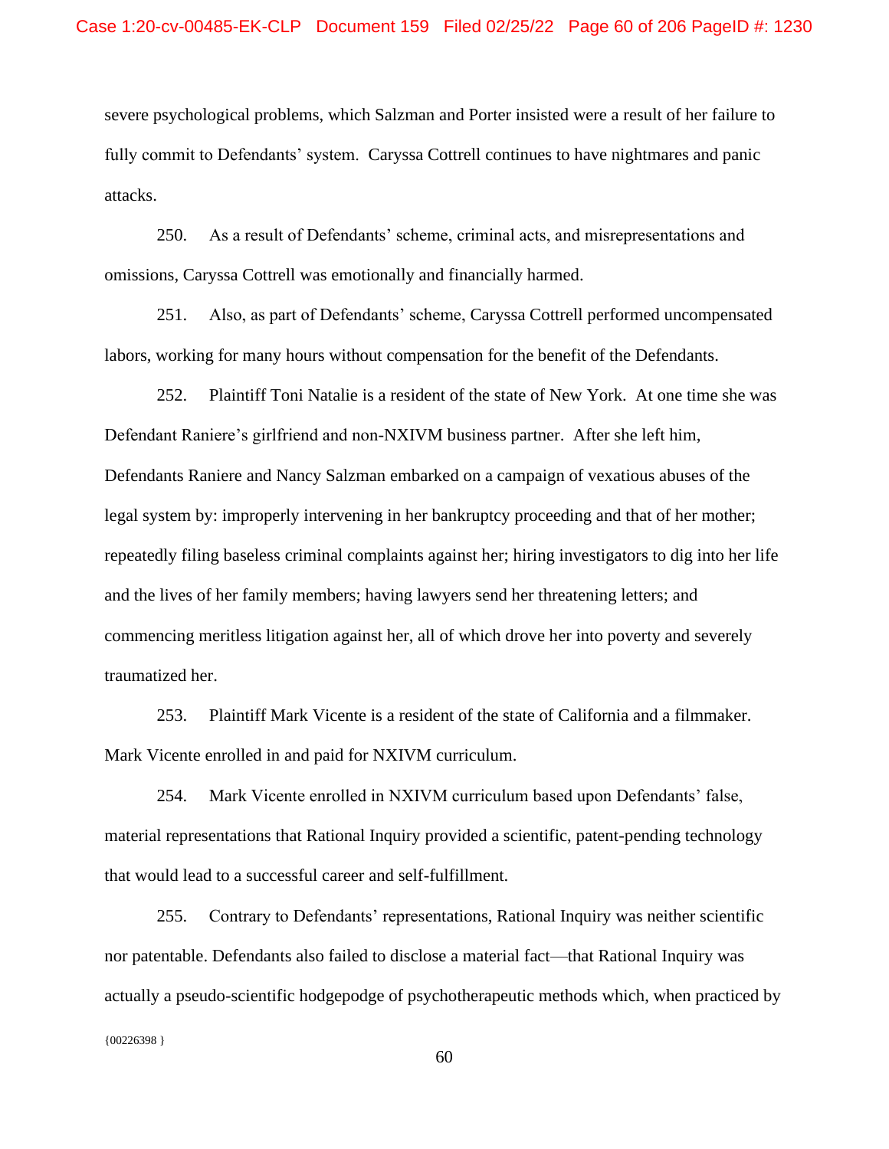severe psychological problems, which Salzman and Porter insisted were a result of her failure to fully commit to Defendants' system. Caryssa Cottrell continues to have nightmares and panic attacks.

250. As a result of Defendants' scheme, criminal acts, and misrepresentations and omissions, Caryssa Cottrell was emotionally and financially harmed.

251. Also, as part of Defendants' scheme, Caryssa Cottrell performed uncompensated labors, working for many hours without compensation for the benefit of the Defendants.

252. Plaintiff Toni Natalie is a resident of the state of New York. At one time she was Defendant Raniere's girlfriend and non-NXIVM business partner. After she left him, Defendants Raniere and Nancy Salzman embarked on a campaign of vexatious abuses of the legal system by: improperly intervening in her bankruptcy proceeding and that of her mother; repeatedly filing baseless criminal complaints against her; hiring investigators to dig into her life and the lives of her family members; having lawyers send her threatening letters; and commencing meritless litigation against her, all of which drove her into poverty and severely traumatized her.

253. Plaintiff Mark Vicente is a resident of the state of California and a filmmaker. Mark Vicente enrolled in and paid for NXIVM curriculum.

254. Mark Vicente enrolled in NXIVM curriculum based upon Defendants' false, material representations that Rational Inquiry provided a scientific, patent-pending technology that would lead to a successful career and self-fulfillment.

 ${00226398}$ 255. Contrary to Defendants' representations, Rational Inquiry was neither scientific nor patentable. Defendants also failed to disclose a material fact—that Rational Inquiry was actually a pseudo-scientific hodgepodge of psychotherapeutic methods which, when practiced by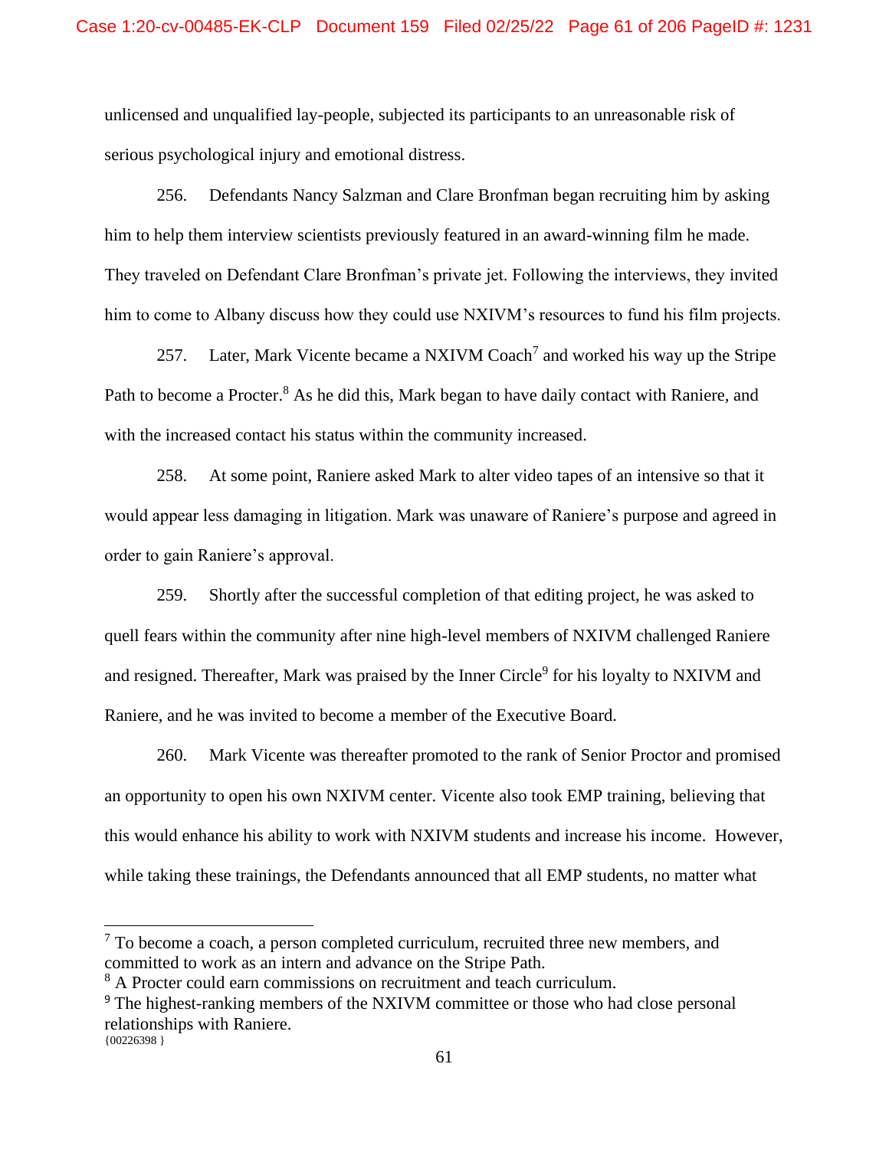unlicensed and unqualified lay-people, subjected its participants to an unreasonable risk of serious psychological injury and emotional distress.

256. Defendants Nancy Salzman and Clare Bronfman began recruiting him by asking him to help them interview scientists previously featured in an award-winning film he made. They traveled on Defendant Clare Bronfman's private jet. Following the interviews, they invited him to come to Albany discuss how they could use NXIVM's resources to fund his film projects.

257. Later, Mark Vicente became a NXIVM Coach<sup>7</sup> and worked his way up the Stripe Path to become a Procter.<sup>8</sup> As he did this, Mark began to have daily contact with Raniere, and with the increased contact his status within the community increased.

258. At some point, Raniere asked Mark to alter video tapes of an intensive so that it would appear less damaging in litigation. Mark was unaware of Raniere's purpose and agreed in order to gain Raniere's approval.

259. Shortly after the successful completion of that editing project, he was asked to quell fears within the community after nine high-level members of NXIVM challenged Raniere and resigned. Thereafter, Mark was praised by the Inner Circle<sup>9</sup> for his loyalty to NXIVM and Raniere, and he was invited to become a member of the Executive Board.

260. Mark Vicente was thereafter promoted to the rank of Senior Proctor and promised an opportunity to open his own NXIVM center. Vicente also took EMP training, believing that this would enhance his ability to work with NXIVM students and increase his income. However, while taking these trainings, the Defendants announced that all EMP students, no matter what

 $<sup>7</sup>$  To become a coach, a person completed curriculum, recruited three new members, and</sup> committed to work as an intern and advance on the Stripe Path.

<sup>&</sup>lt;sup>8</sup> A Procter could earn commissions on recruitment and teach curriculum.

 ${00226398}$ <sup>9</sup> The highest-ranking members of the NXIVM committee or those who had close personal relationships with Raniere.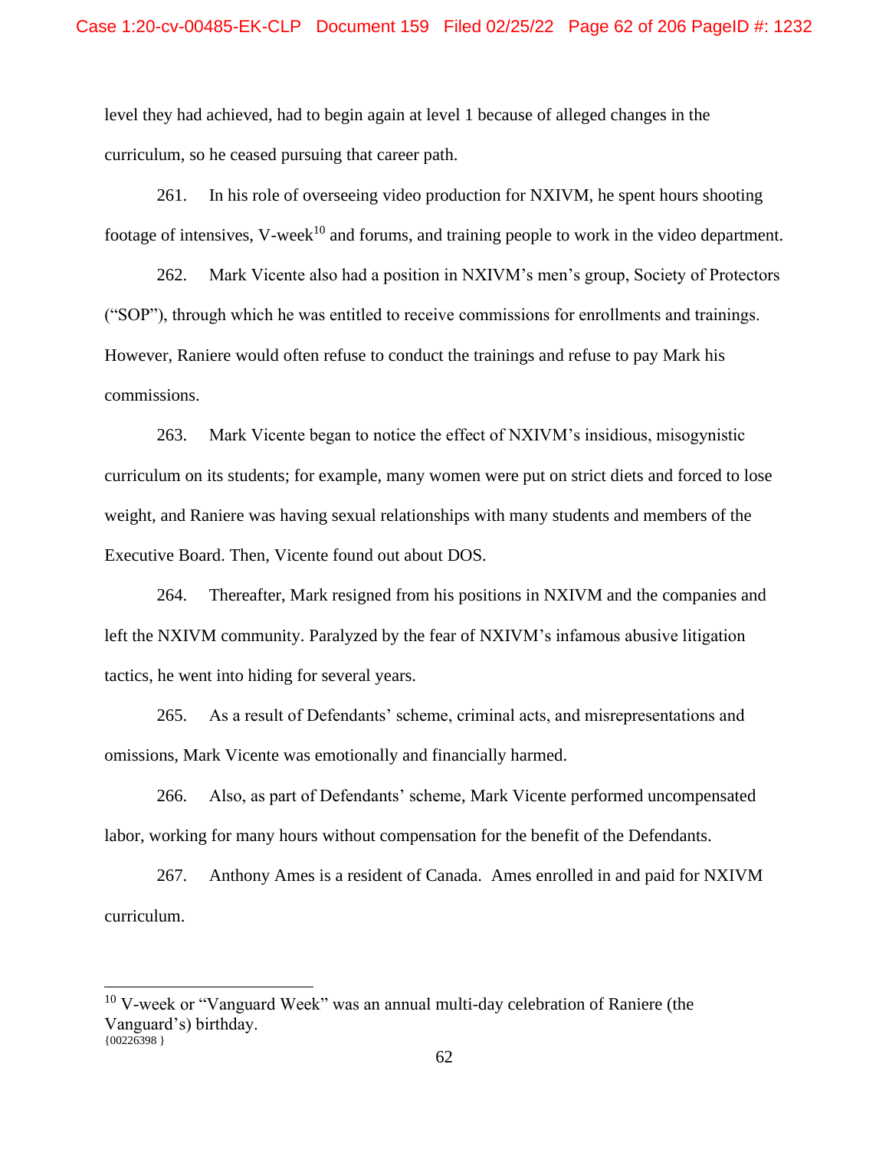level they had achieved, had to begin again at level 1 because of alleged changes in the curriculum, so he ceased pursuing that career path.

261. In his role of overseeing video production for NXIVM, he spent hours shooting footage of intensives, V-week<sup>10</sup> and forums, and training people to work in the video department.

262. Mark Vicente also had a position in NXIVM's men's group, Society of Protectors ("SOP"), through which he was entitled to receive commissions for enrollments and trainings. However, Raniere would often refuse to conduct the trainings and refuse to pay Mark his commissions.

263. Mark Vicente began to notice the effect of NXIVM's insidious, misogynistic curriculum on its students; for example, many women were put on strict diets and forced to lose weight, and Raniere was having sexual relationships with many students and members of the Executive Board. Then, Vicente found out about DOS.

264. Thereafter, Mark resigned from his positions in NXIVM and the companies and left the NXIVM community. Paralyzed by the fear of NXIVM's infamous abusive litigation tactics, he went into hiding for several years.

265. As a result of Defendants' scheme, criminal acts, and misrepresentations and omissions, Mark Vicente was emotionally and financially harmed.

266. Also, as part of Defendants' scheme, Mark Vicente performed uncompensated labor, working for many hours without compensation for the benefit of the Defendants.

267. Anthony Ames is a resident of Canada. Ames enrolled in and paid for NXIVM curriculum.

 ${00226398}$ <sup>10</sup> V-week or "Vanguard Week" was an annual multi-day celebration of Raniere (the Vanguard's) birthday.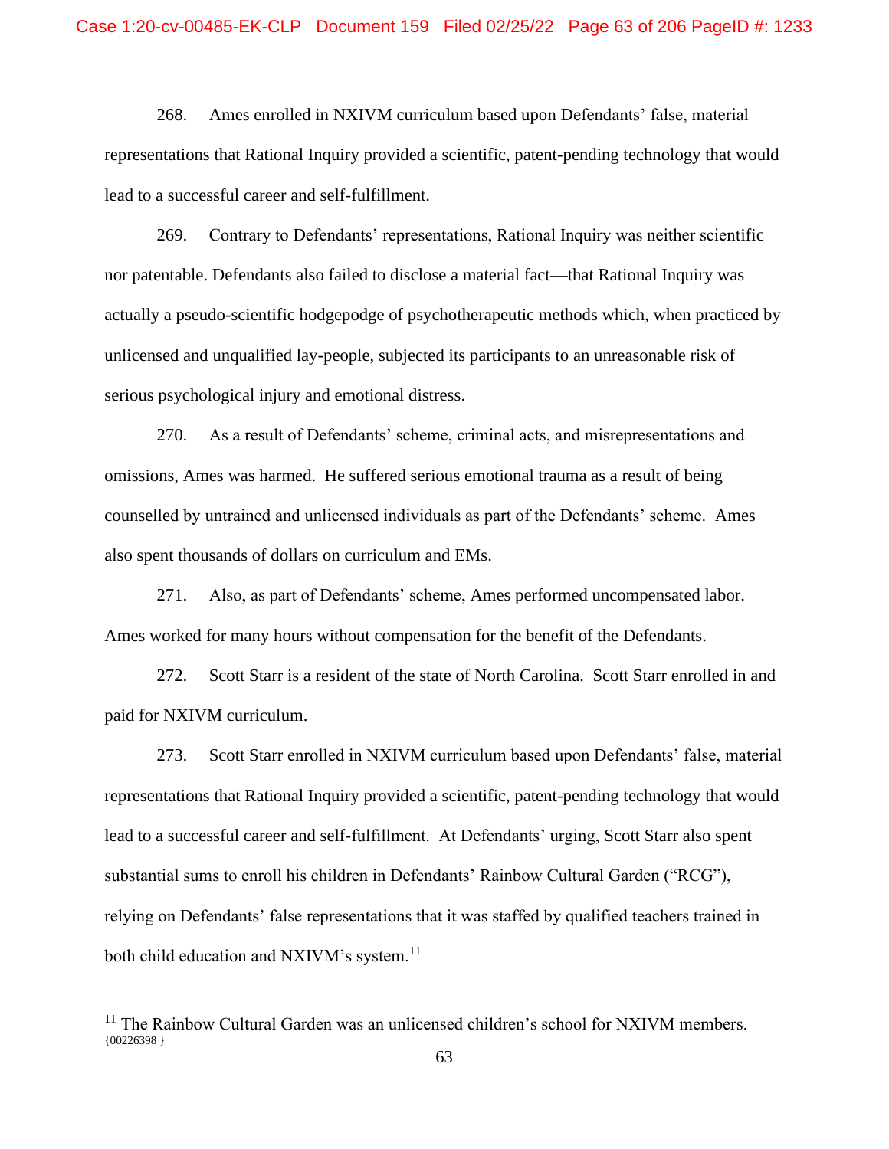268. Ames enrolled in NXIVM curriculum based upon Defendants' false, material representations that Rational Inquiry provided a scientific, patent-pending technology that would lead to a successful career and self-fulfillment.

269. Contrary to Defendants' representations, Rational Inquiry was neither scientific nor patentable. Defendants also failed to disclose a material fact—that Rational Inquiry was actually a pseudo-scientific hodgepodge of psychotherapeutic methods which, when practiced by unlicensed and unqualified lay-people, subjected its participants to an unreasonable risk of serious psychological injury and emotional distress.

270. As a result of Defendants' scheme, criminal acts, and misrepresentations and omissions, Ames was harmed. He suffered serious emotional trauma as a result of being counselled by untrained and unlicensed individuals as part of the Defendants' scheme. Ames also spent thousands of dollars on curriculum and EMs.

271. Also, as part of Defendants' scheme, Ames performed uncompensated labor. Ames worked for many hours without compensation for the benefit of the Defendants.

272. Scott Starr is a resident of the state of North Carolina. Scott Starr enrolled in and paid for NXIVM curriculum.

273. Scott Starr enrolled in NXIVM curriculum based upon Defendants' false, material representations that Rational Inquiry provided a scientific, patent-pending technology that would lead to a successful career and self-fulfillment. At Defendants' urging, Scott Starr also spent substantial sums to enroll his children in Defendants' Rainbow Cultural Garden ("RCG"), relying on Defendants' false representations that it was staffed by qualified teachers trained in both child education and NXIVM's system. $^{11}$ 

<sup>{00226398 }</sup> <sup>11</sup> The Rainbow Cultural Garden was an unlicensed children's school for NXIVM members.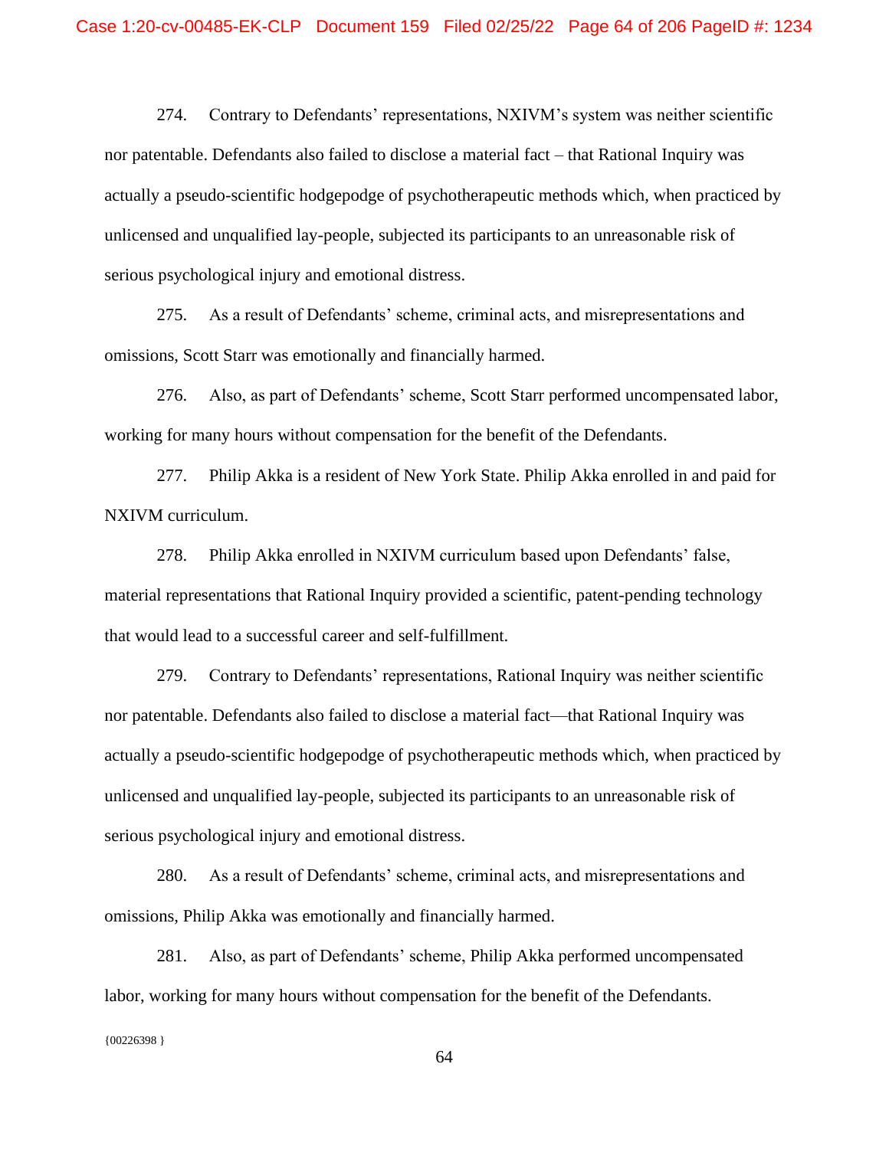274. Contrary to Defendants' representations, NXIVM's system was neither scientific nor patentable. Defendants also failed to disclose a material fact – that Rational Inquiry was actually a pseudo-scientific hodgepodge of psychotherapeutic methods which, when practiced by unlicensed and unqualified lay-people, subjected its participants to an unreasonable risk of serious psychological injury and emotional distress.

275. As a result of Defendants' scheme, criminal acts, and misrepresentations and omissions, Scott Starr was emotionally and financially harmed.

276. Also, as part of Defendants' scheme, Scott Starr performed uncompensated labor, working for many hours without compensation for the benefit of the Defendants.

277. Philip Akka is a resident of New York State. Philip Akka enrolled in and paid for NXIVM curriculum.

278. Philip Akka enrolled in NXIVM curriculum based upon Defendants' false, material representations that Rational Inquiry provided a scientific, patent-pending technology that would lead to a successful career and self-fulfillment.

279. Contrary to Defendants' representations, Rational Inquiry was neither scientific nor patentable. Defendants also failed to disclose a material fact—that Rational Inquiry was actually a pseudo-scientific hodgepodge of psychotherapeutic methods which, when practiced by unlicensed and unqualified lay-people, subjected its participants to an unreasonable risk of serious psychological injury and emotional distress.

280. As a result of Defendants' scheme, criminal acts, and misrepresentations and omissions, Philip Akka was emotionally and financially harmed.

281. Also, as part of Defendants' scheme, Philip Akka performed uncompensated labor, working for many hours without compensation for the benefit of the Defendants.

{00226398 }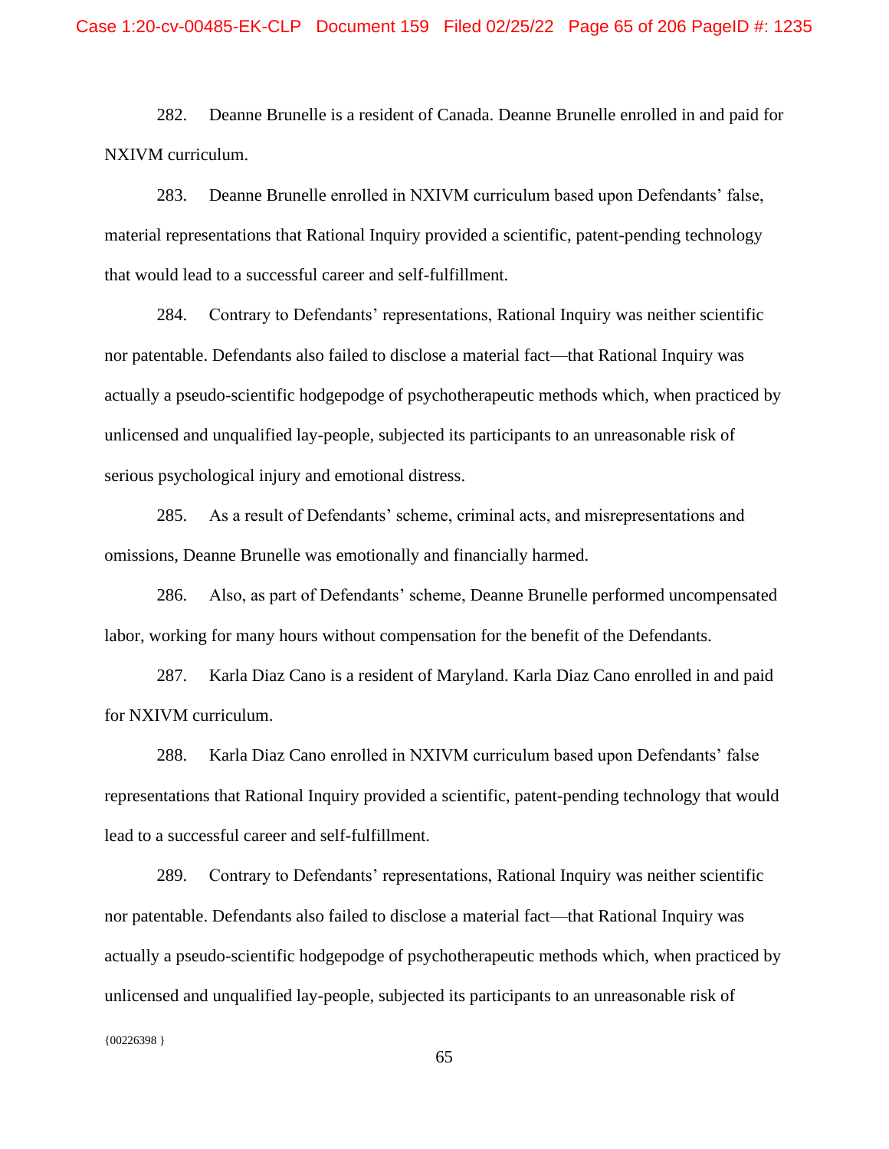282. Deanne Brunelle is a resident of Canada. Deanne Brunelle enrolled in and paid for NXIVM curriculum.

283. Deanne Brunelle enrolled in NXIVM curriculum based upon Defendants' false, material representations that Rational Inquiry provided a scientific, patent-pending technology that would lead to a successful career and self-fulfillment.

284. Contrary to Defendants' representations, Rational Inquiry was neither scientific nor patentable. Defendants also failed to disclose a material fact—that Rational Inquiry was actually a pseudo-scientific hodgepodge of psychotherapeutic methods which, when practiced by unlicensed and unqualified lay-people, subjected its participants to an unreasonable risk of serious psychological injury and emotional distress.

285. As a result of Defendants' scheme, criminal acts, and misrepresentations and omissions, Deanne Brunelle was emotionally and financially harmed.

286. Also, as part of Defendants' scheme, Deanne Brunelle performed uncompensated labor, working for many hours without compensation for the benefit of the Defendants.

287. Karla Diaz Cano is a resident of Maryland. Karla Diaz Cano enrolled in and paid for NXIVM curriculum.

288. Karla Diaz Cano enrolled in NXIVM curriculum based upon Defendants' false representations that Rational Inquiry provided a scientific, patent-pending technology that would lead to a successful career and self-fulfillment.

289. Contrary to Defendants' representations, Rational Inquiry was neither scientific nor patentable. Defendants also failed to disclose a material fact—that Rational Inquiry was actually a pseudo-scientific hodgepodge of psychotherapeutic methods which, when practiced by unlicensed and unqualified lay-people, subjected its participants to an unreasonable risk of

 ${00226398}$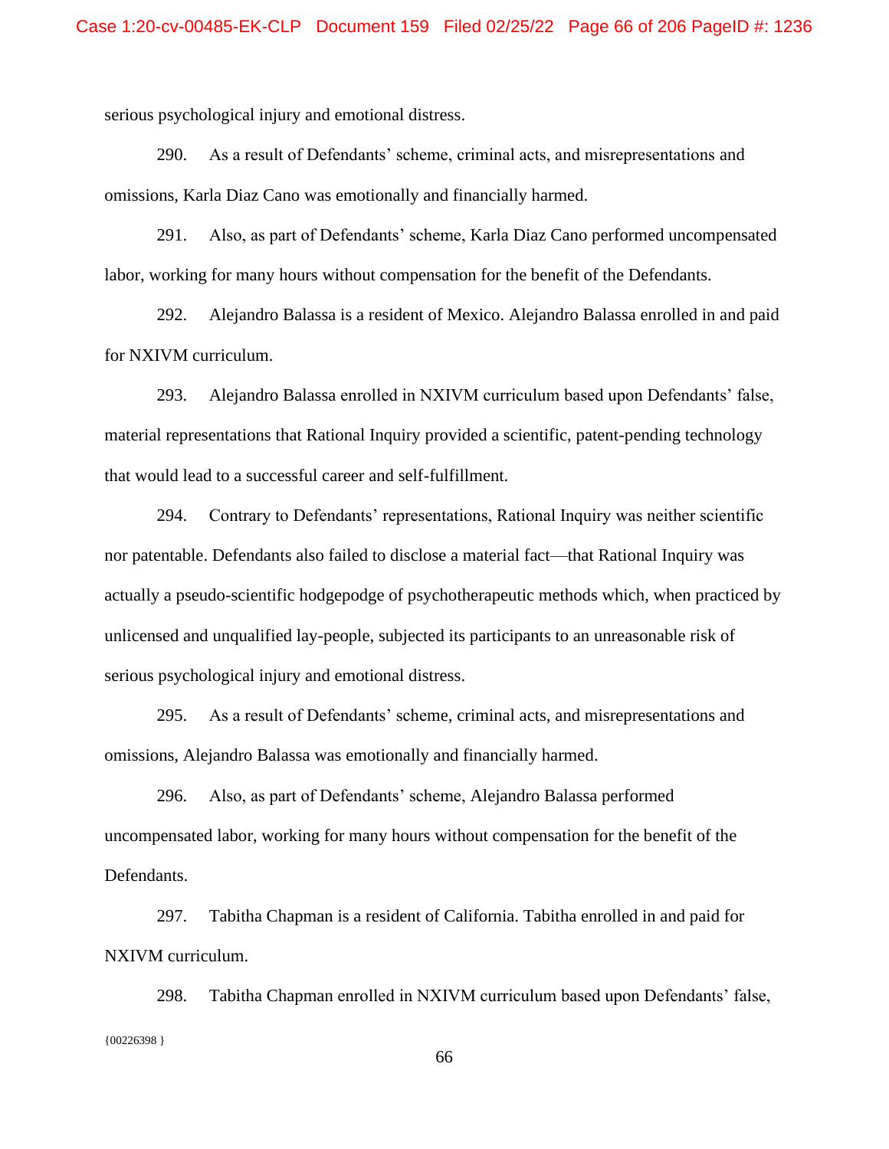serious psychological injury and emotional distress.

290. As a result of Defendants' scheme, criminal acts, and misrepresentations and omissions, Karla Diaz Cano was emotionally and financially harmed.

291. Also, as part of Defendants' scheme, Karla Diaz Cano performed uncompensated labor, working for many hours without compensation for the benefit of the Defendants.

292. Alejandro Balassa is a resident of Mexico. Alejandro Balassa enrolled in and paid for NXIVM curriculum.

293. Alejandro Balassa enrolled in NXIVM curriculum based upon Defendants' false, material representations that Rational Inquiry provided a scientific, patent-pending technology that would lead to a successful career and self-fulfillment.

294. Contrary to Defendants' representations, Rational Inquiry was neither scientific nor patentable. Defendants also failed to disclose a material fact—that Rational Inquiry was actually a pseudo-scientific hodgepodge of psychotherapeutic methods which, when practiced by unlicensed and unqualified lay-people, subjected its participants to an unreasonable risk of serious psychological injury and emotional distress.

295. As a result of Defendants' scheme, criminal acts, and misrepresentations and omissions, Alejandro Balassa was emotionally and financially harmed.

296. Also, as part of Defendants' scheme, Alejandro Balassa performed uncompensated labor, working for many hours without compensation for the benefit of the Defendants.

297. Tabitha Chapman is a resident of California. Tabitha enrolled in and paid for NXIVM curriculum.

{00226398 } 298. Tabitha Chapman enrolled in NXIVM curriculum based upon Defendants' false,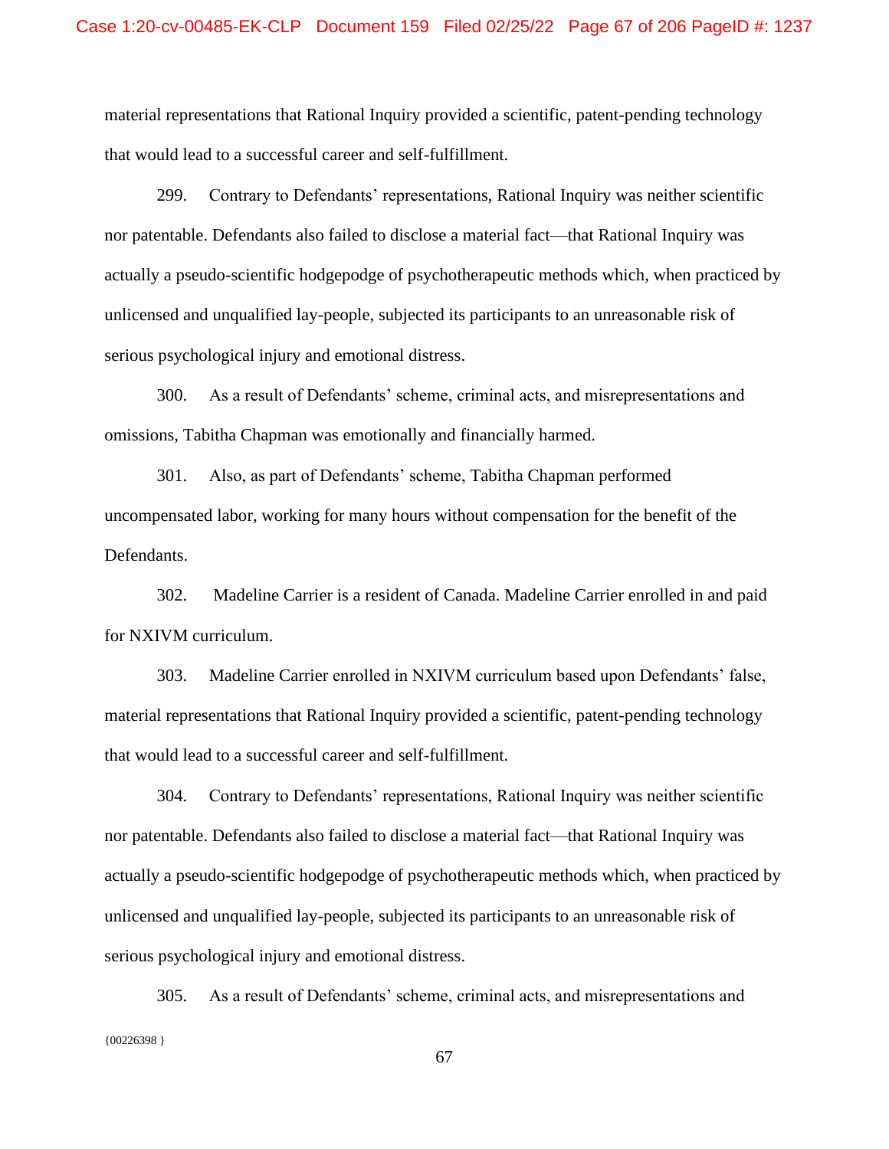material representations that Rational Inquiry provided a scientific, patent-pending technology that would lead to a successful career and self-fulfillment.

299. Contrary to Defendants' representations, Rational Inquiry was neither scientific nor patentable. Defendants also failed to disclose a material fact—that Rational Inquiry was actually a pseudo-scientific hodgepodge of psychotherapeutic methods which, when practiced by unlicensed and unqualified lay-people, subjected its participants to an unreasonable risk of serious psychological injury and emotional distress.

300. As a result of Defendants' scheme, criminal acts, and misrepresentations and omissions, Tabitha Chapman was emotionally and financially harmed.

301. Also, as part of Defendants' scheme, Tabitha Chapman performed uncompensated labor, working for many hours without compensation for the benefit of the Defendants.

302. Madeline Carrier is a resident of Canada. Madeline Carrier enrolled in and paid for NXIVM curriculum.

303. Madeline Carrier enrolled in NXIVM curriculum based upon Defendants' false, material representations that Rational Inquiry provided a scientific, patent-pending technology that would lead to a successful career and self-fulfillment.

304. Contrary to Defendants' representations, Rational Inquiry was neither scientific nor patentable. Defendants also failed to disclose a material fact—that Rational Inquiry was actually a pseudo-scientific hodgepodge of psychotherapeutic methods which, when practiced by unlicensed and unqualified lay-people, subjected its participants to an unreasonable risk of serious psychological injury and emotional distress.

{00226398 } 305. As a result of Defendants' scheme, criminal acts, and misrepresentations and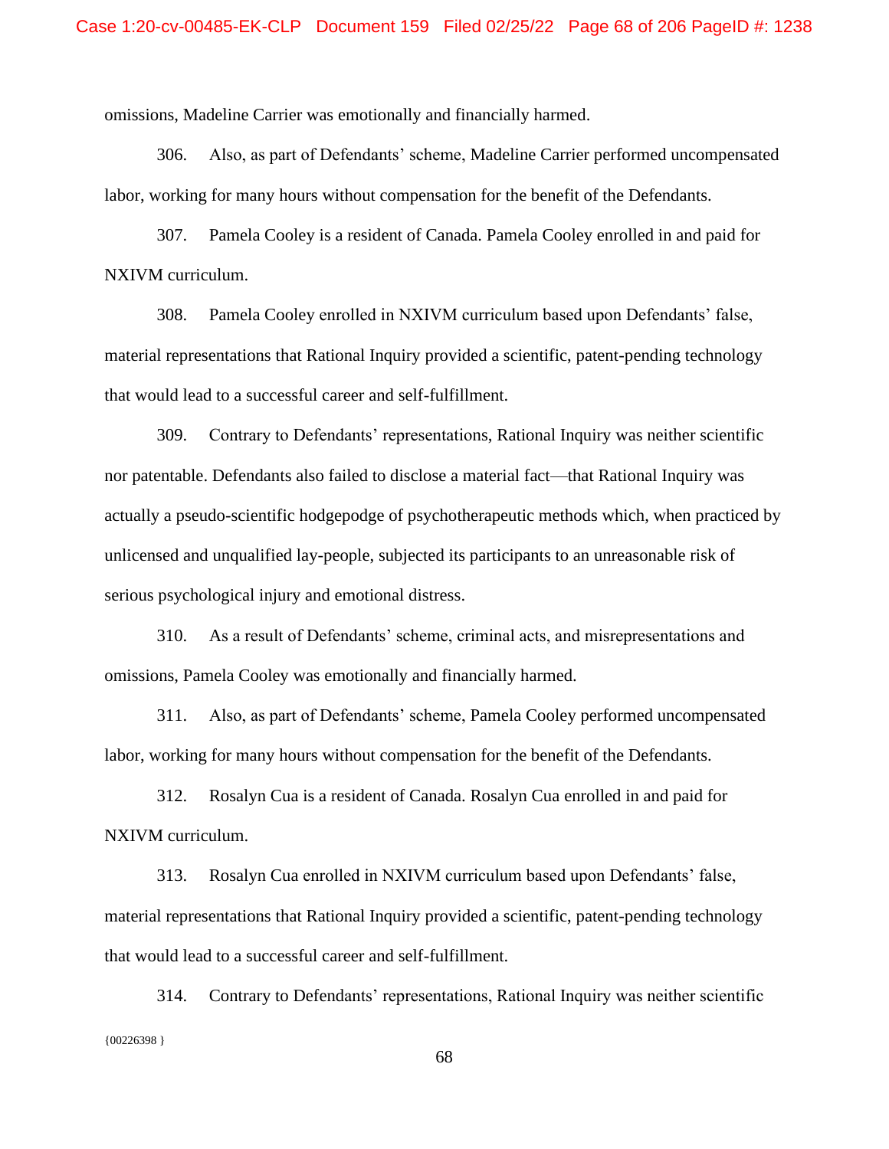omissions, Madeline Carrier was emotionally and financially harmed.

306. Also, as part of Defendants' scheme, Madeline Carrier performed uncompensated labor, working for many hours without compensation for the benefit of the Defendants.

307. Pamela Cooley is a resident of Canada. Pamela Cooley enrolled in and paid for NXIVM curriculum.

308. Pamela Cooley enrolled in NXIVM curriculum based upon Defendants' false, material representations that Rational Inquiry provided a scientific, patent-pending technology that would lead to a successful career and self-fulfillment.

309. Contrary to Defendants' representations, Rational Inquiry was neither scientific nor patentable. Defendants also failed to disclose a material fact—that Rational Inquiry was actually a pseudo-scientific hodgepodge of psychotherapeutic methods which, when practiced by unlicensed and unqualified lay-people, subjected its participants to an unreasonable risk of serious psychological injury and emotional distress.

310. As a result of Defendants' scheme, criminal acts, and misrepresentations and omissions, Pamela Cooley was emotionally and financially harmed.

311. Also, as part of Defendants' scheme, Pamela Cooley performed uncompensated labor, working for many hours without compensation for the benefit of the Defendants.

312. Rosalyn Cua is a resident of Canada. Rosalyn Cua enrolled in and paid for NXIVM curriculum.

313. Rosalyn Cua enrolled in NXIVM curriculum based upon Defendants' false, material representations that Rational Inquiry provided a scientific, patent-pending technology that would lead to a successful career and self-fulfillment.

{00226398 } 314. Contrary to Defendants' representations, Rational Inquiry was neither scientific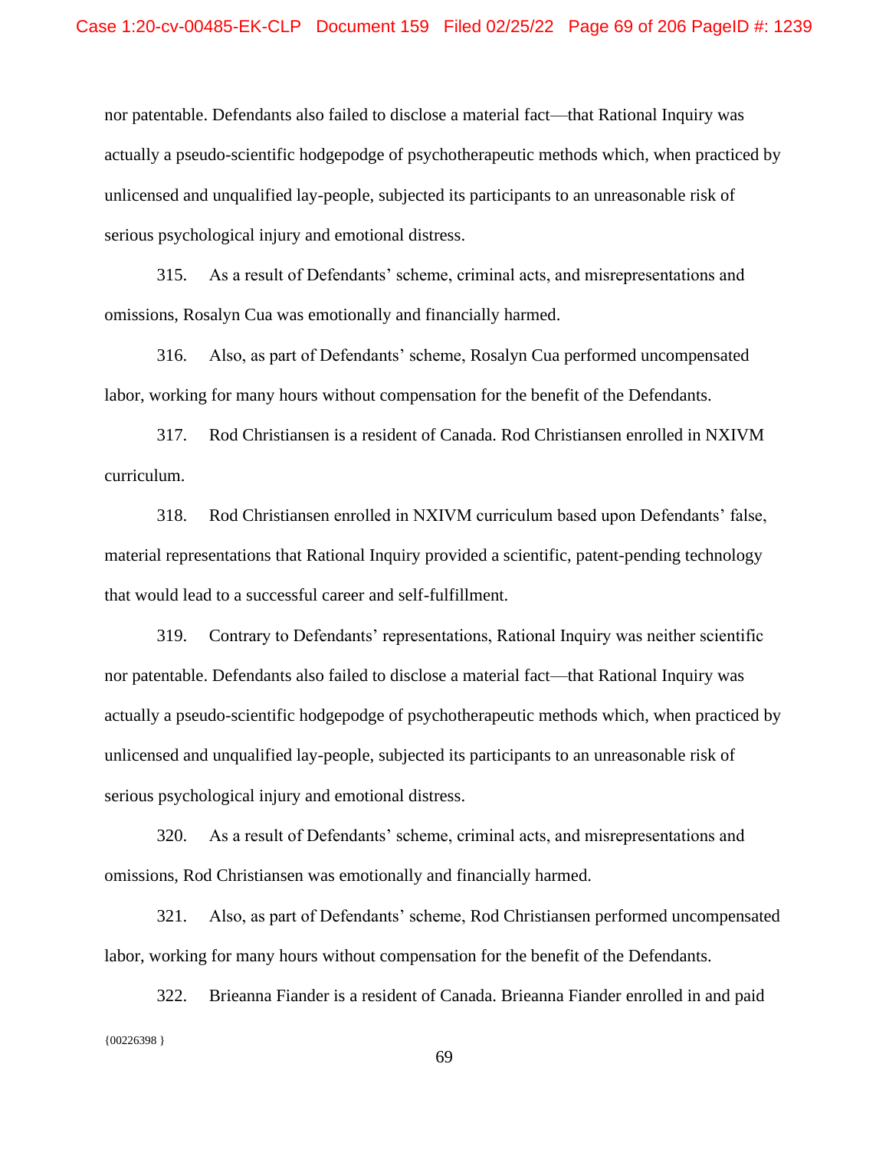nor patentable. Defendants also failed to disclose a material fact—that Rational Inquiry was actually a pseudo-scientific hodgepodge of psychotherapeutic methods which, when practiced by unlicensed and unqualified lay-people, subjected its participants to an unreasonable risk of serious psychological injury and emotional distress.

315. As a result of Defendants' scheme, criminal acts, and misrepresentations and omissions, Rosalyn Cua was emotionally and financially harmed.

316. Also, as part of Defendants' scheme, Rosalyn Cua performed uncompensated labor, working for many hours without compensation for the benefit of the Defendants.

317. Rod Christiansen is a resident of Canada. Rod Christiansen enrolled in NXIVM curriculum.

318. Rod Christiansen enrolled in NXIVM curriculum based upon Defendants' false, material representations that Rational Inquiry provided a scientific, patent-pending technology that would lead to a successful career and self-fulfillment.

319. Contrary to Defendants' representations, Rational Inquiry was neither scientific nor patentable. Defendants also failed to disclose a material fact—that Rational Inquiry was actually a pseudo-scientific hodgepodge of psychotherapeutic methods which, when practiced by unlicensed and unqualified lay-people, subjected its participants to an unreasonable risk of serious psychological injury and emotional distress.

320. As a result of Defendants' scheme, criminal acts, and misrepresentations and omissions, Rod Christiansen was emotionally and financially harmed.

321. Also, as part of Defendants' scheme, Rod Christiansen performed uncompensated labor, working for many hours without compensation for the benefit of the Defendants.

{00226398 } 322. Brieanna Fiander is a resident of Canada. Brieanna Fiander enrolled in and paid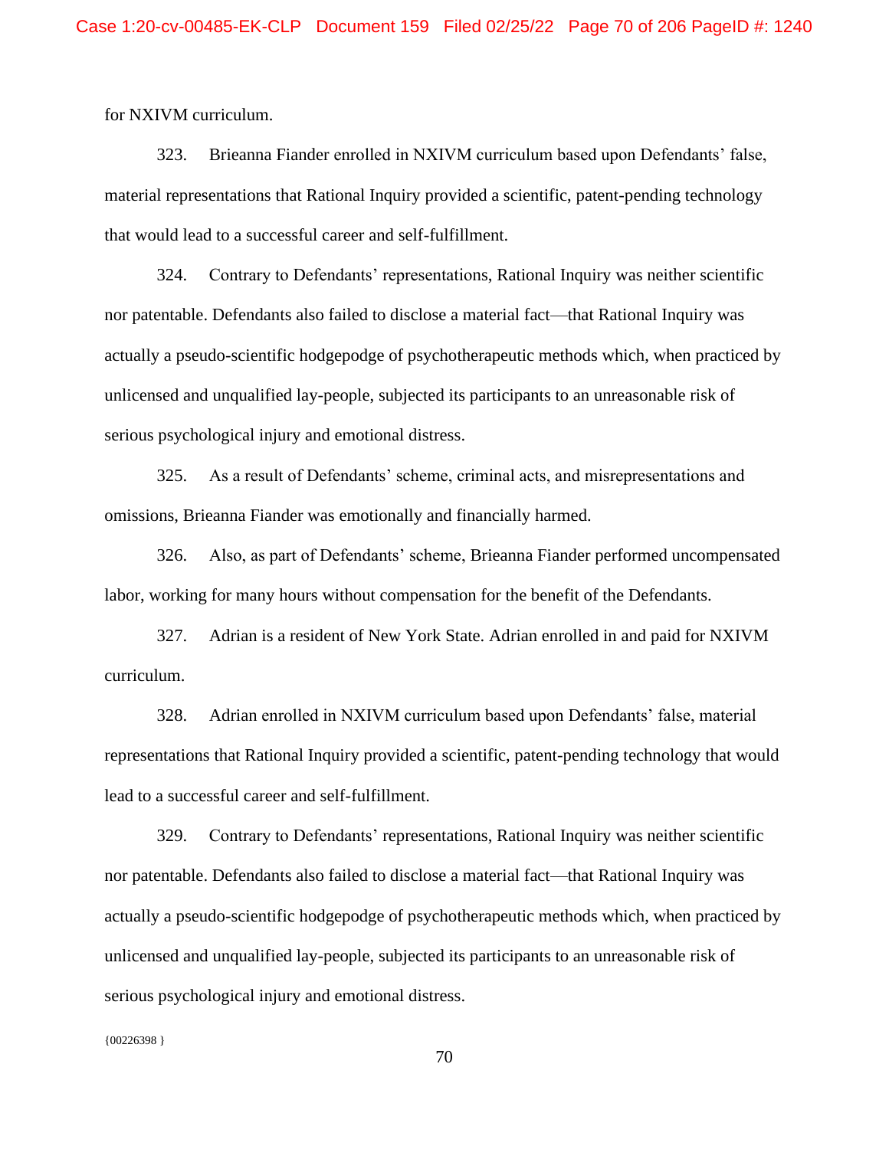for NXIVM curriculum.

323. Brieanna Fiander enrolled in NXIVM curriculum based upon Defendants' false, material representations that Rational Inquiry provided a scientific, patent-pending technology that would lead to a successful career and self-fulfillment.

324. Contrary to Defendants' representations, Rational Inquiry was neither scientific nor patentable. Defendants also failed to disclose a material fact—that Rational Inquiry was actually a pseudo-scientific hodgepodge of psychotherapeutic methods which, when practiced by unlicensed and unqualified lay-people, subjected its participants to an unreasonable risk of serious psychological injury and emotional distress.

325. As a result of Defendants' scheme, criminal acts, and misrepresentations and omissions, Brieanna Fiander was emotionally and financially harmed.

326. Also, as part of Defendants' scheme, Brieanna Fiander performed uncompensated labor, working for many hours without compensation for the benefit of the Defendants.

327. Adrian is a resident of New York State. Adrian enrolled in and paid for NXIVM curriculum.

328. Adrian enrolled in NXIVM curriculum based upon Defendants' false, material representations that Rational Inquiry provided a scientific, patent-pending technology that would lead to a successful career and self-fulfillment.

329. Contrary to Defendants' representations, Rational Inquiry was neither scientific nor patentable. Defendants also failed to disclose a material fact—that Rational Inquiry was actually a pseudo-scientific hodgepodge of psychotherapeutic methods which, when practiced by unlicensed and unqualified lay-people, subjected its participants to an unreasonable risk of serious psychological injury and emotional distress.

{00226398 }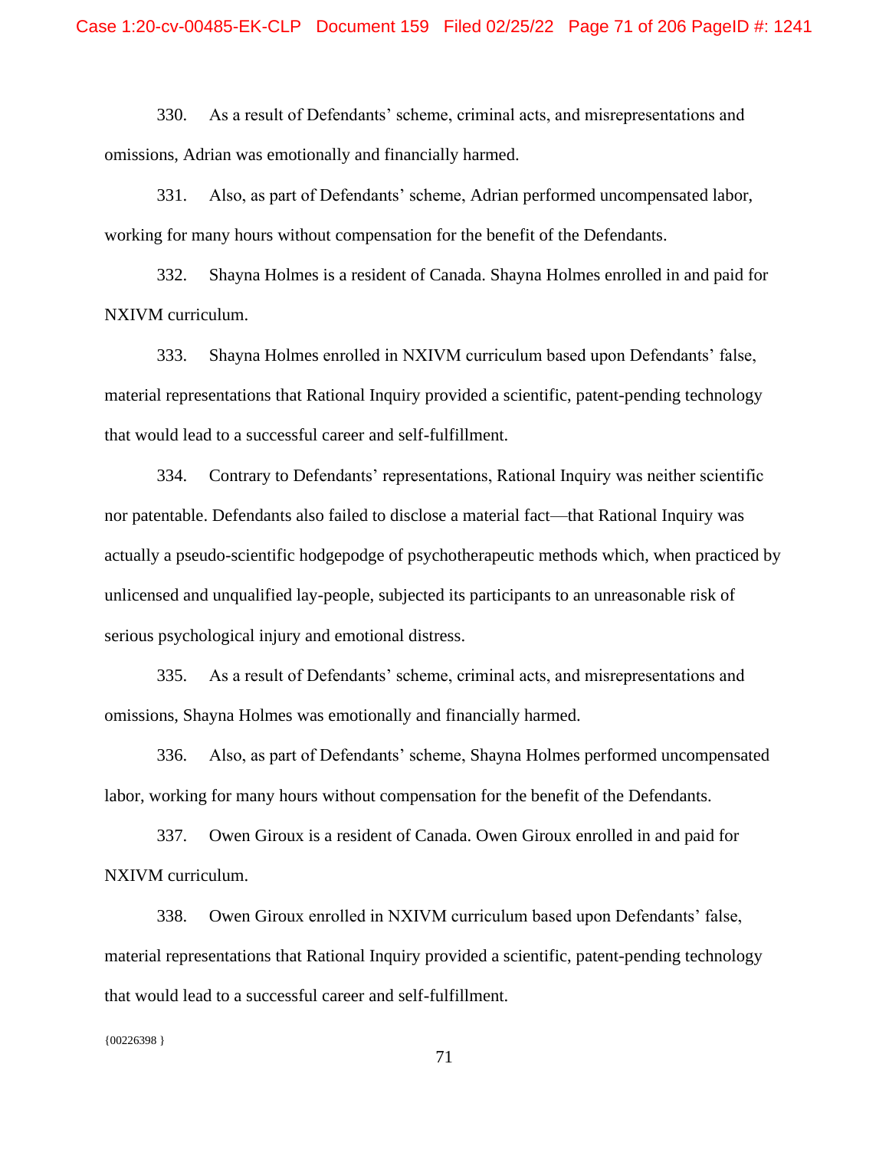330. As a result of Defendants' scheme, criminal acts, and misrepresentations and omissions, Adrian was emotionally and financially harmed.

331. Also, as part of Defendants' scheme, Adrian performed uncompensated labor, working for many hours without compensation for the benefit of the Defendants.

332. Shayna Holmes is a resident of Canada. Shayna Holmes enrolled in and paid for NXIVM curriculum.

333. Shayna Holmes enrolled in NXIVM curriculum based upon Defendants' false, material representations that Rational Inquiry provided a scientific, patent-pending technology that would lead to a successful career and self-fulfillment.

334. Contrary to Defendants' representations, Rational Inquiry was neither scientific nor patentable. Defendants also failed to disclose a material fact—that Rational Inquiry was actually a pseudo-scientific hodgepodge of psychotherapeutic methods which, when practiced by unlicensed and unqualified lay-people, subjected its participants to an unreasonable risk of serious psychological injury and emotional distress.

335. As a result of Defendants' scheme, criminal acts, and misrepresentations and omissions, Shayna Holmes was emotionally and financially harmed.

336. Also, as part of Defendants' scheme, Shayna Holmes performed uncompensated labor, working for many hours without compensation for the benefit of the Defendants.

337. Owen Giroux is a resident of Canada. Owen Giroux enrolled in and paid for NXIVM curriculum.

338. Owen Giroux enrolled in NXIVM curriculum based upon Defendants' false, material representations that Rational Inquiry provided a scientific, patent-pending technology that would lead to a successful career and self-fulfillment.

## {00226398 }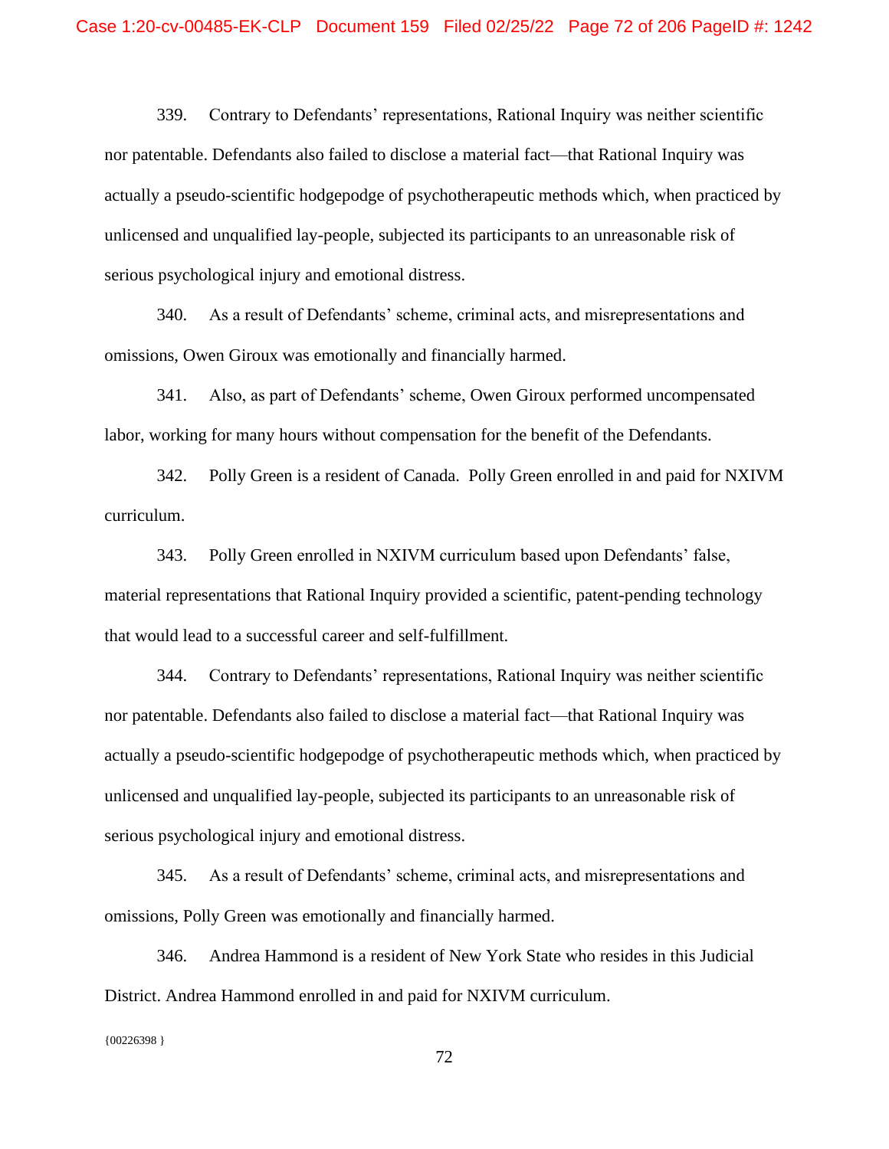339. Contrary to Defendants' representations, Rational Inquiry was neither scientific nor patentable. Defendants also failed to disclose a material fact—that Rational Inquiry was actually a pseudo-scientific hodgepodge of psychotherapeutic methods which, when practiced by unlicensed and unqualified lay-people, subjected its participants to an unreasonable risk of serious psychological injury and emotional distress.

340. As a result of Defendants' scheme, criminal acts, and misrepresentations and omissions, Owen Giroux was emotionally and financially harmed.

341. Also, as part of Defendants' scheme, Owen Giroux performed uncompensated labor, working for many hours without compensation for the benefit of the Defendants.

342. Polly Green is a resident of Canada. Polly Green enrolled in and paid for NXIVM curriculum.

343. Polly Green enrolled in NXIVM curriculum based upon Defendants' false, material representations that Rational Inquiry provided a scientific, patent-pending technology that would lead to a successful career and self-fulfillment.

344. Contrary to Defendants' representations, Rational Inquiry was neither scientific nor patentable. Defendants also failed to disclose a material fact—that Rational Inquiry was actually a pseudo-scientific hodgepodge of psychotherapeutic methods which, when practiced by unlicensed and unqualified lay-people, subjected its participants to an unreasonable risk of serious psychological injury and emotional distress.

345. As a result of Defendants' scheme, criminal acts, and misrepresentations and omissions, Polly Green was emotionally and financially harmed.

346. Andrea Hammond is a resident of New York State who resides in this Judicial District. Andrea Hammond enrolled in and paid for NXIVM curriculum.

 ${00226398}$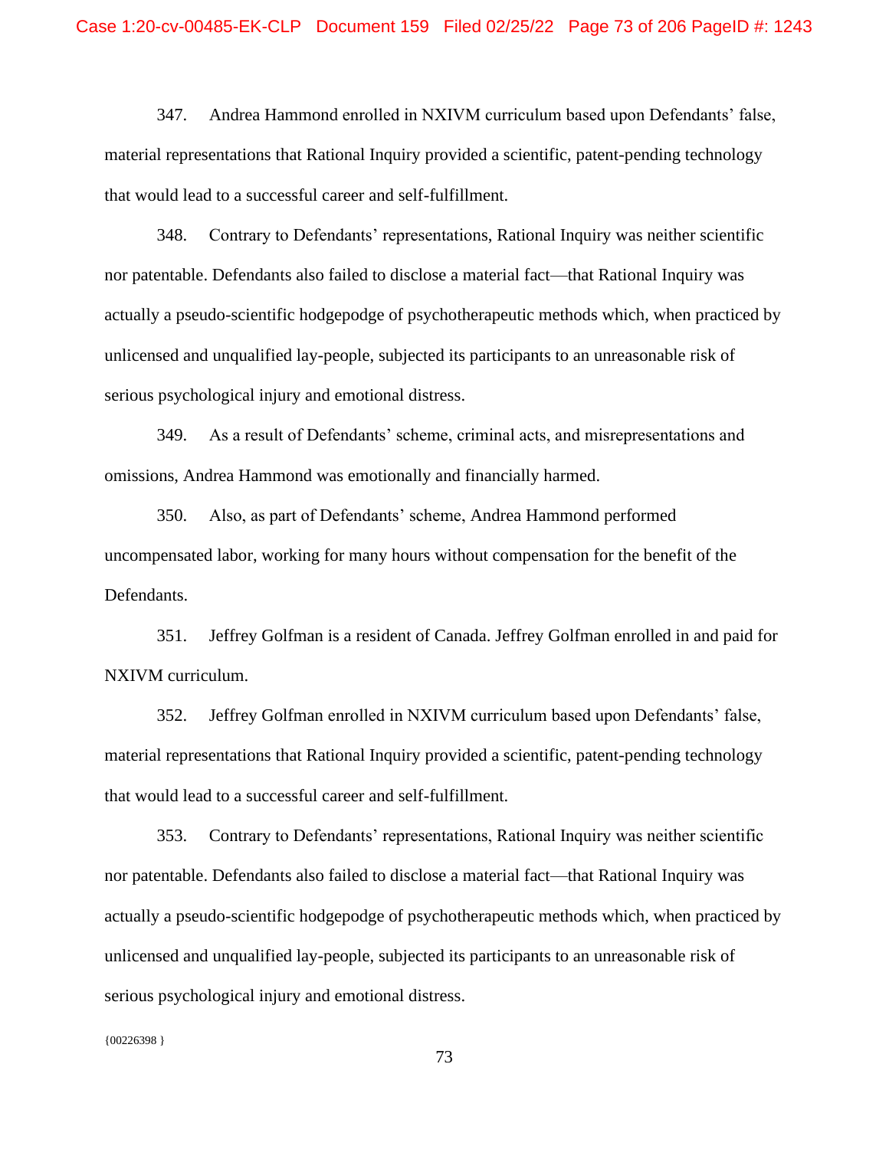347. Andrea Hammond enrolled in NXIVM curriculum based upon Defendants' false, material representations that Rational Inquiry provided a scientific, patent-pending technology that would lead to a successful career and self-fulfillment.

348. Contrary to Defendants' representations, Rational Inquiry was neither scientific nor patentable. Defendants also failed to disclose a material fact—that Rational Inquiry was actually a pseudo-scientific hodgepodge of psychotherapeutic methods which, when practiced by unlicensed and unqualified lay-people, subjected its participants to an unreasonable risk of serious psychological injury and emotional distress.

349. As a result of Defendants' scheme, criminal acts, and misrepresentations and omissions, Andrea Hammond was emotionally and financially harmed.

350. Also, as part of Defendants' scheme, Andrea Hammond performed uncompensated labor, working for many hours without compensation for the benefit of the Defendants.

351. Jeffrey Golfman is a resident of Canada. Jeffrey Golfman enrolled in and paid for NXIVM curriculum.

352. Jeffrey Golfman enrolled in NXIVM curriculum based upon Defendants' false, material representations that Rational Inquiry provided a scientific, patent-pending technology that would lead to a successful career and self-fulfillment.

353. Contrary to Defendants' representations, Rational Inquiry was neither scientific nor patentable. Defendants also failed to disclose a material fact—that Rational Inquiry was actually a pseudo-scientific hodgepodge of psychotherapeutic methods which, when practiced by unlicensed and unqualified lay-people, subjected its participants to an unreasonable risk of serious psychological injury and emotional distress.

{00226398 }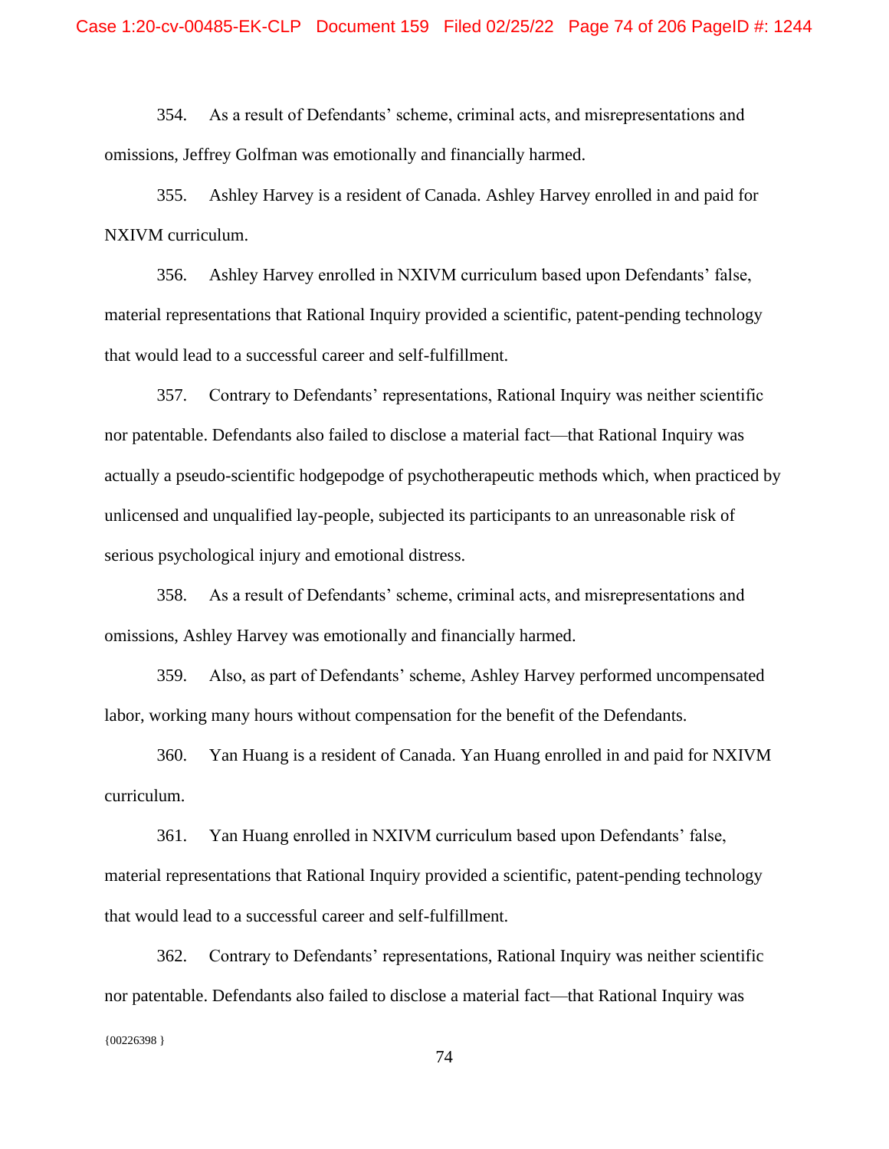354. As a result of Defendants' scheme, criminal acts, and misrepresentations and omissions, Jeffrey Golfman was emotionally and financially harmed.

355. Ashley Harvey is a resident of Canada. Ashley Harvey enrolled in and paid for NXIVM curriculum.

356. Ashley Harvey enrolled in NXIVM curriculum based upon Defendants' false, material representations that Rational Inquiry provided a scientific, patent-pending technology that would lead to a successful career and self-fulfillment.

357. Contrary to Defendants' representations, Rational Inquiry was neither scientific nor patentable. Defendants also failed to disclose a material fact—that Rational Inquiry was actually a pseudo-scientific hodgepodge of psychotherapeutic methods which, when practiced by unlicensed and unqualified lay-people, subjected its participants to an unreasonable risk of serious psychological injury and emotional distress.

358. As a result of Defendants' scheme, criminal acts, and misrepresentations and omissions, Ashley Harvey was emotionally and financially harmed.

359. Also, as part of Defendants' scheme, Ashley Harvey performed uncompensated labor, working many hours without compensation for the benefit of the Defendants.

360. Yan Huang is a resident of Canada. Yan Huang enrolled in and paid for NXIVM curriculum.

361. Yan Huang enrolled in NXIVM curriculum based upon Defendants' false, material representations that Rational Inquiry provided a scientific, patent-pending technology that would lead to a successful career and self-fulfillment.

362. Contrary to Defendants' representations, Rational Inquiry was neither scientific nor patentable. Defendants also failed to disclose a material fact—that Rational Inquiry was

74

 ${00226398}$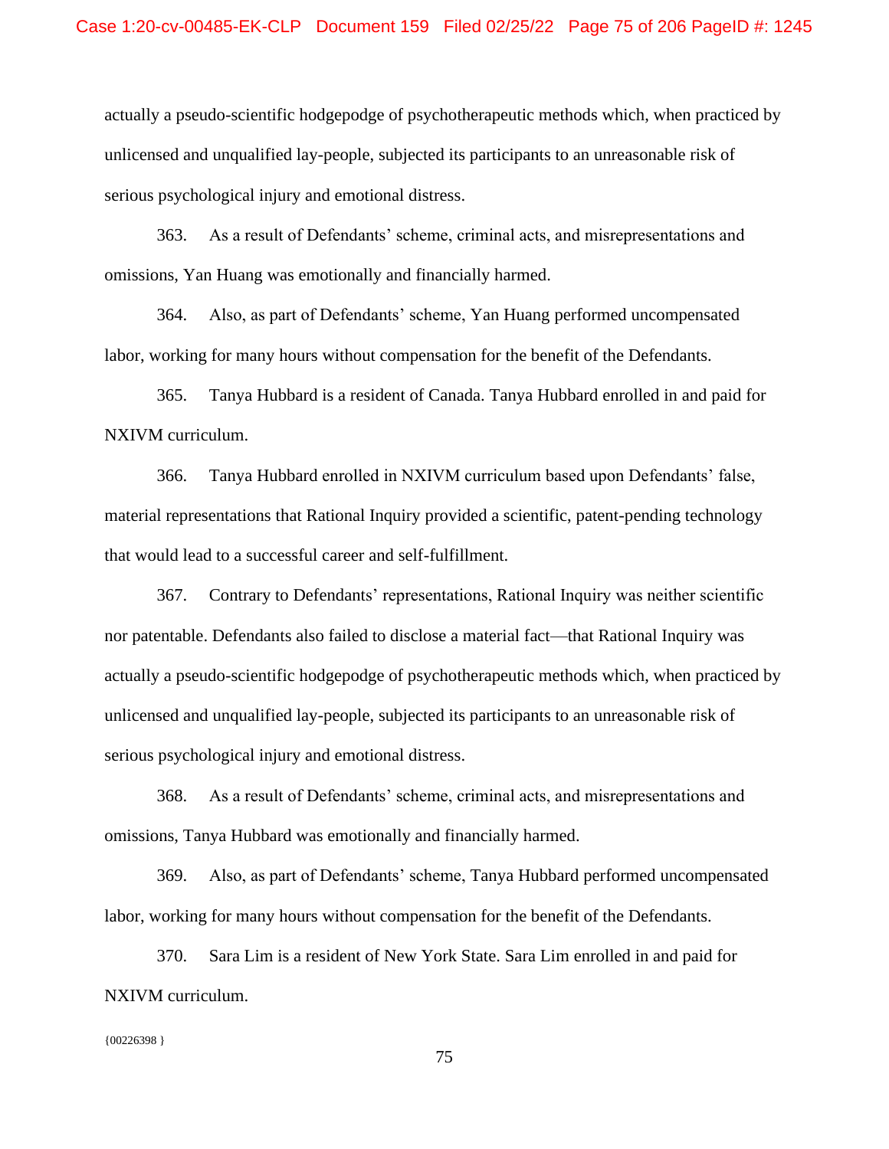actually a pseudo-scientific hodgepodge of psychotherapeutic methods which, when practiced by unlicensed and unqualified lay-people, subjected its participants to an unreasonable risk of serious psychological injury and emotional distress.

363. As a result of Defendants' scheme, criminal acts, and misrepresentations and omissions, Yan Huang was emotionally and financially harmed.

364. Also, as part of Defendants' scheme, Yan Huang performed uncompensated labor, working for many hours without compensation for the benefit of the Defendants.

365. Tanya Hubbard is a resident of Canada. Tanya Hubbard enrolled in and paid for NXIVM curriculum.

366. Tanya Hubbard enrolled in NXIVM curriculum based upon Defendants' false, material representations that Rational Inquiry provided a scientific, patent-pending technology that would lead to a successful career and self-fulfillment.

367. Contrary to Defendants' representations, Rational Inquiry was neither scientific nor patentable. Defendants also failed to disclose a material fact—that Rational Inquiry was actually a pseudo-scientific hodgepodge of psychotherapeutic methods which, when practiced by unlicensed and unqualified lay-people, subjected its participants to an unreasonable risk of serious psychological injury and emotional distress.

368. As a result of Defendants' scheme, criminal acts, and misrepresentations and omissions, Tanya Hubbard was emotionally and financially harmed.

369. Also, as part of Defendants' scheme, Tanya Hubbard performed uncompensated labor, working for many hours without compensation for the benefit of the Defendants.

370. Sara Lim is a resident of New York State. Sara Lim enrolled in and paid for NXIVM curriculum.

#### {00226398 }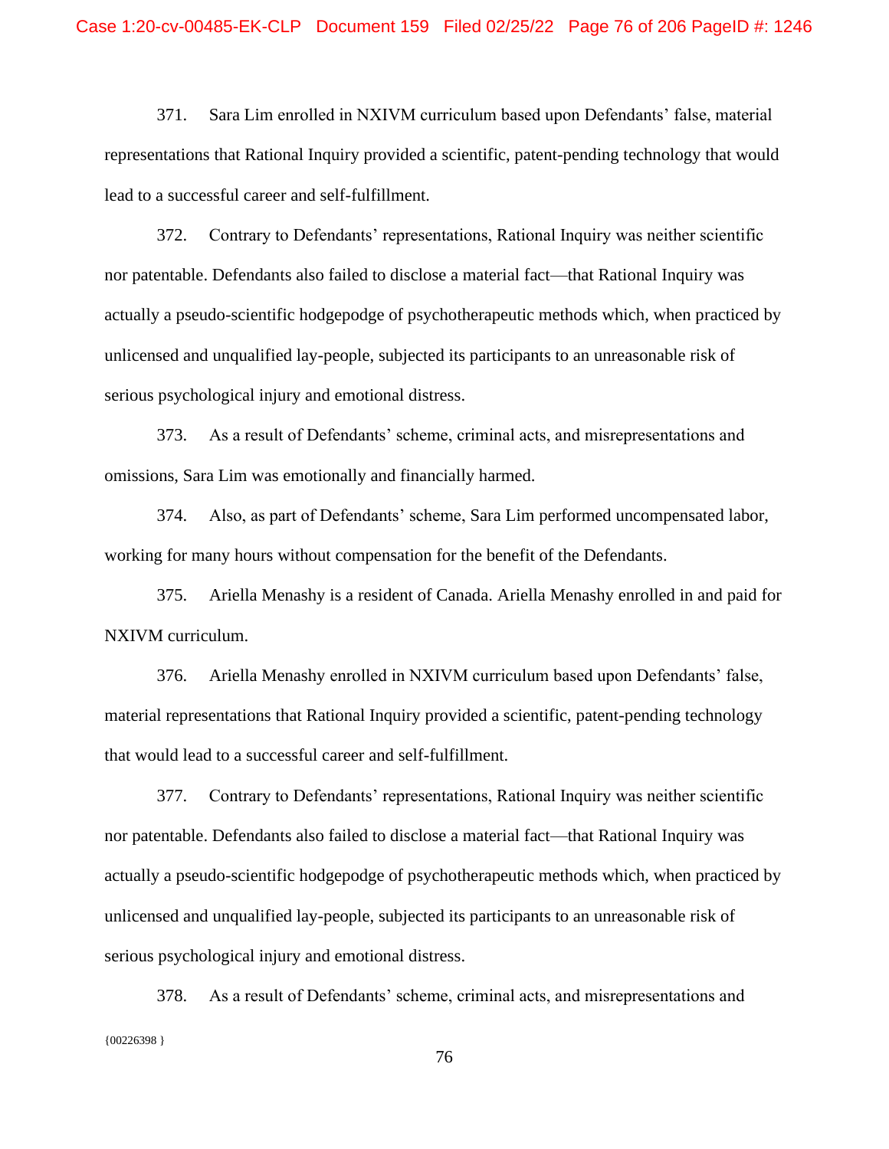371. Sara Lim enrolled in NXIVM curriculum based upon Defendants' false, material representations that Rational Inquiry provided a scientific, patent-pending technology that would lead to a successful career and self-fulfillment.

372. Contrary to Defendants' representations, Rational Inquiry was neither scientific nor patentable. Defendants also failed to disclose a material fact—that Rational Inquiry was actually a pseudo-scientific hodgepodge of psychotherapeutic methods which, when practiced by unlicensed and unqualified lay-people, subjected its participants to an unreasonable risk of serious psychological injury and emotional distress.

373. As a result of Defendants' scheme, criminal acts, and misrepresentations and omissions, Sara Lim was emotionally and financially harmed.

374. Also, as part of Defendants' scheme, Sara Lim performed uncompensated labor, working for many hours without compensation for the benefit of the Defendants.

375. Ariella Menashy is a resident of Canada. Ariella Menashy enrolled in and paid for NXIVM curriculum.

376. Ariella Menashy enrolled in NXIVM curriculum based upon Defendants' false, material representations that Rational Inquiry provided a scientific, patent-pending technology that would lead to a successful career and self-fulfillment.

377. Contrary to Defendants' representations, Rational Inquiry was neither scientific nor patentable. Defendants also failed to disclose a material fact—that Rational Inquiry was actually a pseudo-scientific hodgepodge of psychotherapeutic methods which, when practiced by unlicensed and unqualified lay-people, subjected its participants to an unreasonable risk of serious psychological injury and emotional distress.

{00226398 } 378. As a result of Defendants' scheme, criminal acts, and misrepresentations and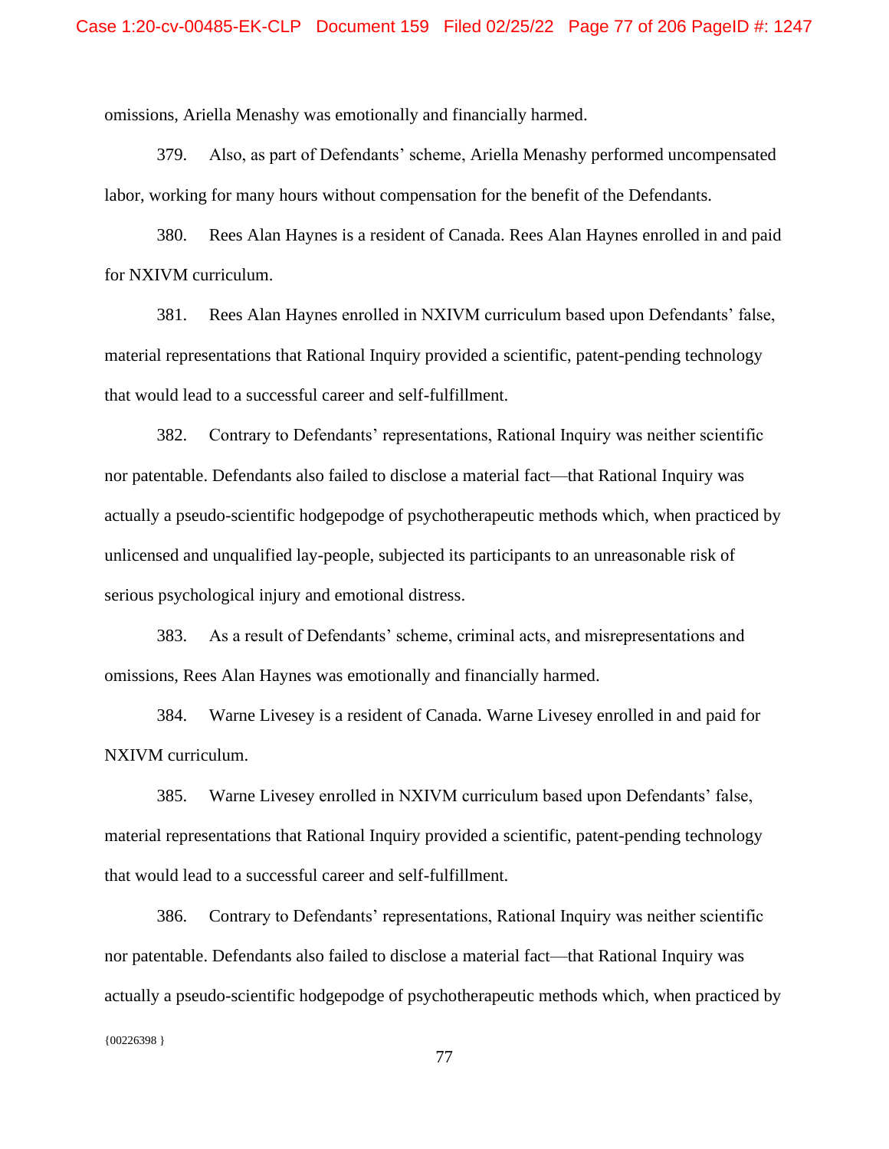omissions, Ariella Menashy was emotionally and financially harmed.

379. Also, as part of Defendants' scheme, Ariella Menashy performed uncompensated labor, working for many hours without compensation for the benefit of the Defendants.

380. Rees Alan Haynes is a resident of Canada. Rees Alan Haynes enrolled in and paid for NXIVM curriculum.

381. Rees Alan Haynes enrolled in NXIVM curriculum based upon Defendants' false, material representations that Rational Inquiry provided a scientific, patent-pending technology that would lead to a successful career and self-fulfillment.

382. Contrary to Defendants' representations, Rational Inquiry was neither scientific nor patentable. Defendants also failed to disclose a material fact—that Rational Inquiry was actually a pseudo-scientific hodgepodge of psychotherapeutic methods which, when practiced by unlicensed and unqualified lay-people, subjected its participants to an unreasonable risk of serious psychological injury and emotional distress.

383. As a result of Defendants' scheme, criminal acts, and misrepresentations and omissions, Rees Alan Haynes was emotionally and financially harmed.

384. Warne Livesey is a resident of Canada. Warne Livesey enrolled in and paid for NXIVM curriculum.

385. Warne Livesey enrolled in NXIVM curriculum based upon Defendants' false, material representations that Rational Inquiry provided a scientific, patent-pending technology that would lead to a successful career and self-fulfillment.

{00226398 } 386. Contrary to Defendants' representations, Rational Inquiry was neither scientific nor patentable. Defendants also failed to disclose a material fact—that Rational Inquiry was actually a pseudo-scientific hodgepodge of psychotherapeutic methods which, when practiced by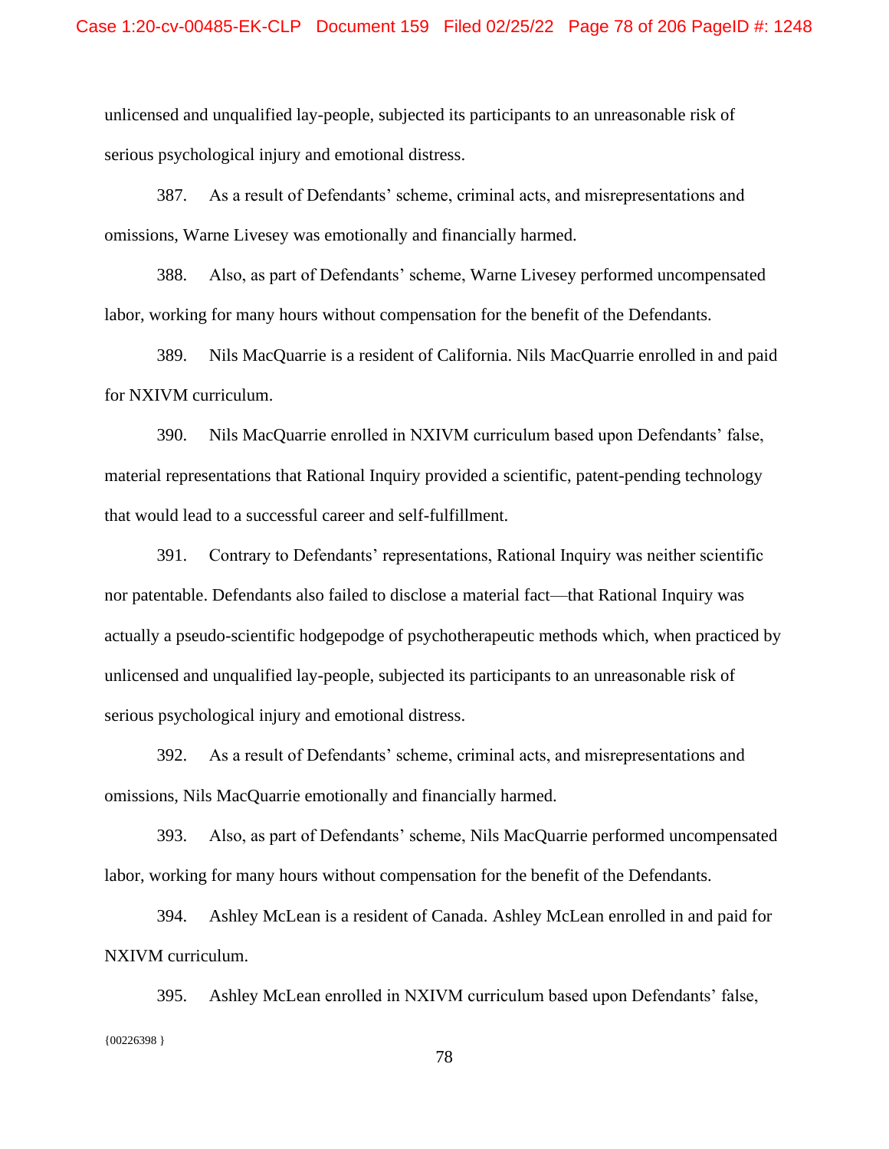unlicensed and unqualified lay-people, subjected its participants to an unreasonable risk of serious psychological injury and emotional distress.

387. As a result of Defendants' scheme, criminal acts, and misrepresentations and omissions, Warne Livesey was emotionally and financially harmed.

388. Also, as part of Defendants' scheme, Warne Livesey performed uncompensated labor, working for many hours without compensation for the benefit of the Defendants.

389. Nils MacQuarrie is a resident of California. Nils MacQuarrie enrolled in and paid for NXIVM curriculum.

390. Nils MacQuarrie enrolled in NXIVM curriculum based upon Defendants' false, material representations that Rational Inquiry provided a scientific, patent-pending technology that would lead to a successful career and self-fulfillment.

391. Contrary to Defendants' representations, Rational Inquiry was neither scientific nor patentable. Defendants also failed to disclose a material fact—that Rational Inquiry was actually a pseudo-scientific hodgepodge of psychotherapeutic methods which, when practiced by unlicensed and unqualified lay-people, subjected its participants to an unreasonable risk of serious psychological injury and emotional distress.

392. As a result of Defendants' scheme, criminal acts, and misrepresentations and omissions, Nils MacQuarrie emotionally and financially harmed.

393. Also, as part of Defendants' scheme, Nils MacQuarrie performed uncompensated labor, working for many hours without compensation for the benefit of the Defendants.

394. Ashley McLean is a resident of Canada. Ashley McLean enrolled in and paid for NXIVM curriculum.

{00226398 } 395. Ashley McLean enrolled in NXIVM curriculum based upon Defendants' false,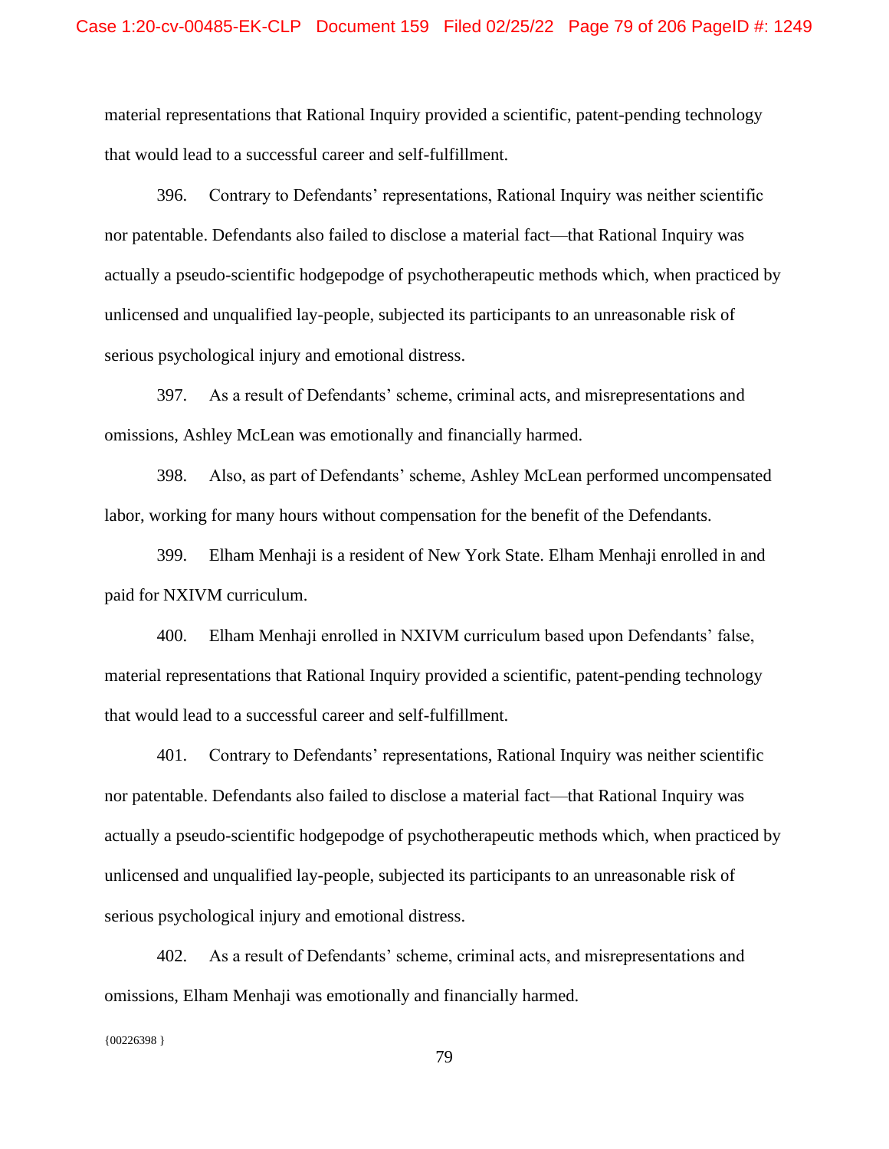material representations that Rational Inquiry provided a scientific, patent-pending technology that would lead to a successful career and self-fulfillment.

396. Contrary to Defendants' representations, Rational Inquiry was neither scientific nor patentable. Defendants also failed to disclose a material fact—that Rational Inquiry was actually a pseudo-scientific hodgepodge of psychotherapeutic methods which, when practiced by unlicensed and unqualified lay-people, subjected its participants to an unreasonable risk of serious psychological injury and emotional distress.

397. As a result of Defendants' scheme, criminal acts, and misrepresentations and omissions, Ashley McLean was emotionally and financially harmed.

398. Also, as part of Defendants' scheme, Ashley McLean performed uncompensated labor, working for many hours without compensation for the benefit of the Defendants.

399. Elham Menhaji is a resident of New York State. Elham Menhaji enrolled in and paid for NXIVM curriculum.

400. Elham Menhaji enrolled in NXIVM curriculum based upon Defendants' false, material representations that Rational Inquiry provided a scientific, patent-pending technology that would lead to a successful career and self-fulfillment.

401. Contrary to Defendants' representations, Rational Inquiry was neither scientific nor patentable. Defendants also failed to disclose a material fact—that Rational Inquiry was actually a pseudo-scientific hodgepodge of psychotherapeutic methods which, when practiced by unlicensed and unqualified lay-people, subjected its participants to an unreasonable risk of serious psychological injury and emotional distress.

402. As a result of Defendants' scheme, criminal acts, and misrepresentations and omissions, Elham Menhaji was emotionally and financially harmed.

 ${00226398}$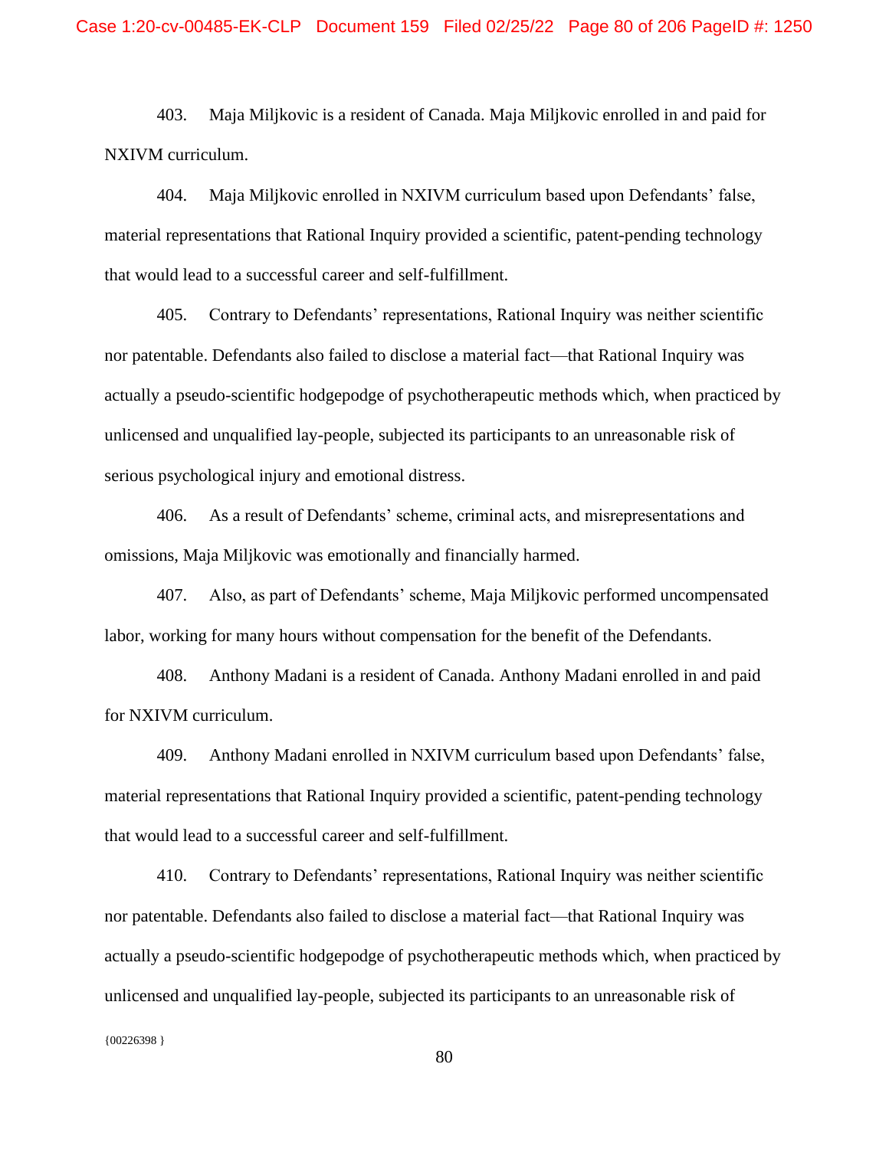403. Maja Miljkovic is a resident of Canada. Maja Miljkovic enrolled in and paid for NXIVM curriculum.

404. Maja Miljkovic enrolled in NXIVM curriculum based upon Defendants' false, material representations that Rational Inquiry provided a scientific, patent-pending technology that would lead to a successful career and self-fulfillment.

405. Contrary to Defendants' representations, Rational Inquiry was neither scientific nor patentable. Defendants also failed to disclose a material fact—that Rational Inquiry was actually a pseudo-scientific hodgepodge of psychotherapeutic methods which, when practiced by unlicensed and unqualified lay-people, subjected its participants to an unreasonable risk of serious psychological injury and emotional distress.

406. As a result of Defendants' scheme, criminal acts, and misrepresentations and omissions, Maja Miljkovic was emotionally and financially harmed.

407. Also, as part of Defendants' scheme, Maja Miljkovic performed uncompensated labor, working for many hours without compensation for the benefit of the Defendants.

408. Anthony Madani is a resident of Canada. Anthony Madani enrolled in and paid for NXIVM curriculum.

409. Anthony Madani enrolled in NXIVM curriculum based upon Defendants' false, material representations that Rational Inquiry provided a scientific, patent-pending technology that would lead to a successful career and self-fulfillment.

410. Contrary to Defendants' representations, Rational Inquiry was neither scientific nor patentable. Defendants also failed to disclose a material fact—that Rational Inquiry was actually a pseudo-scientific hodgepodge of psychotherapeutic methods which, when practiced by unlicensed and unqualified lay-people, subjected its participants to an unreasonable risk of

 ${00226398}$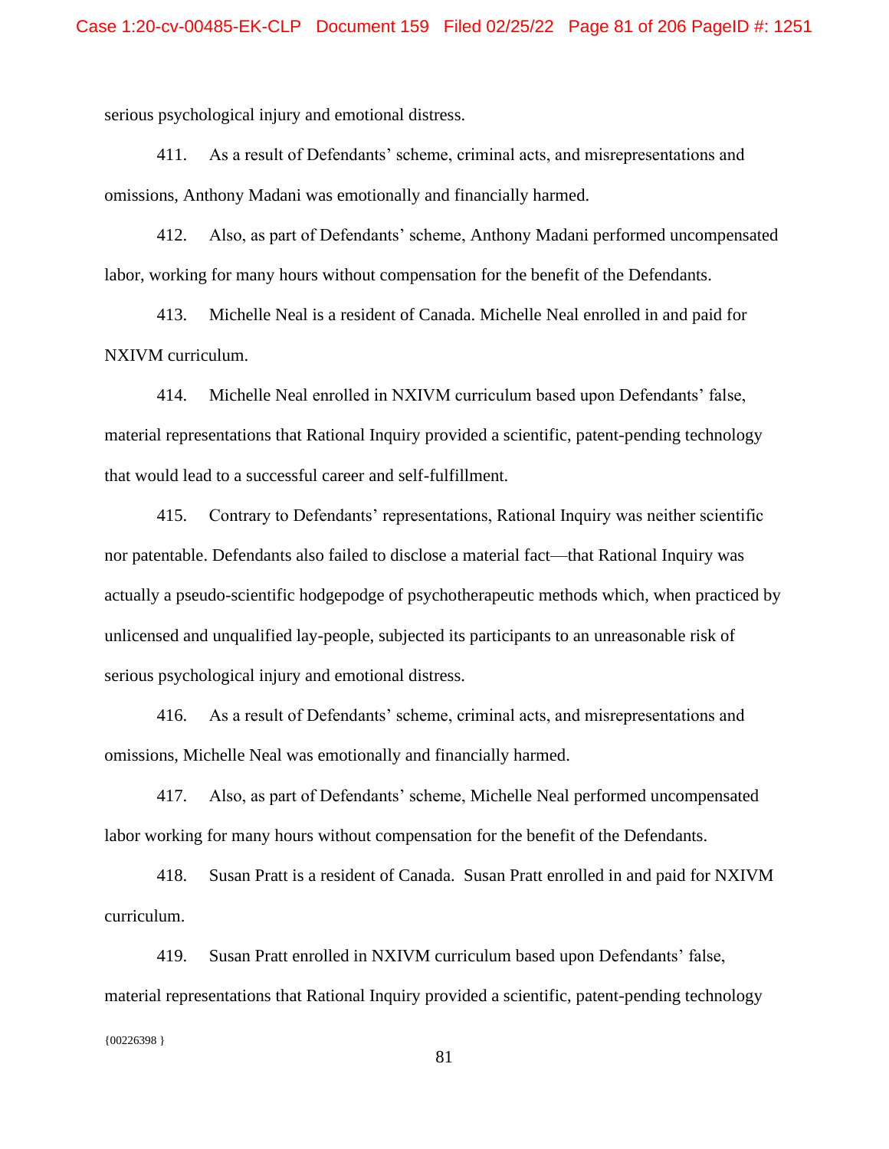serious psychological injury and emotional distress.

411. As a result of Defendants' scheme, criminal acts, and misrepresentations and omissions, Anthony Madani was emotionally and financially harmed.

412. Also, as part of Defendants' scheme, Anthony Madani performed uncompensated labor, working for many hours without compensation for the benefit of the Defendants.

413. Michelle Neal is a resident of Canada. Michelle Neal enrolled in and paid for NXIVM curriculum.

414. Michelle Neal enrolled in NXIVM curriculum based upon Defendants' false, material representations that Rational Inquiry provided a scientific, patent-pending technology that would lead to a successful career and self-fulfillment.

415. Contrary to Defendants' representations, Rational Inquiry was neither scientific nor patentable. Defendants also failed to disclose a material fact—that Rational Inquiry was actually a pseudo-scientific hodgepodge of psychotherapeutic methods which, when practiced by unlicensed and unqualified lay-people, subjected its participants to an unreasonable risk of serious psychological injury and emotional distress.

416. As a result of Defendants' scheme, criminal acts, and misrepresentations and omissions, Michelle Neal was emotionally and financially harmed.

417. Also, as part of Defendants' scheme, Michelle Neal performed uncompensated labor working for many hours without compensation for the benefit of the Defendants.

418. Susan Pratt is a resident of Canada. Susan Pratt enrolled in and paid for NXIVM curriculum.

 ${00226398}$ 419. Susan Pratt enrolled in NXIVM curriculum based upon Defendants' false, material representations that Rational Inquiry provided a scientific, patent-pending technology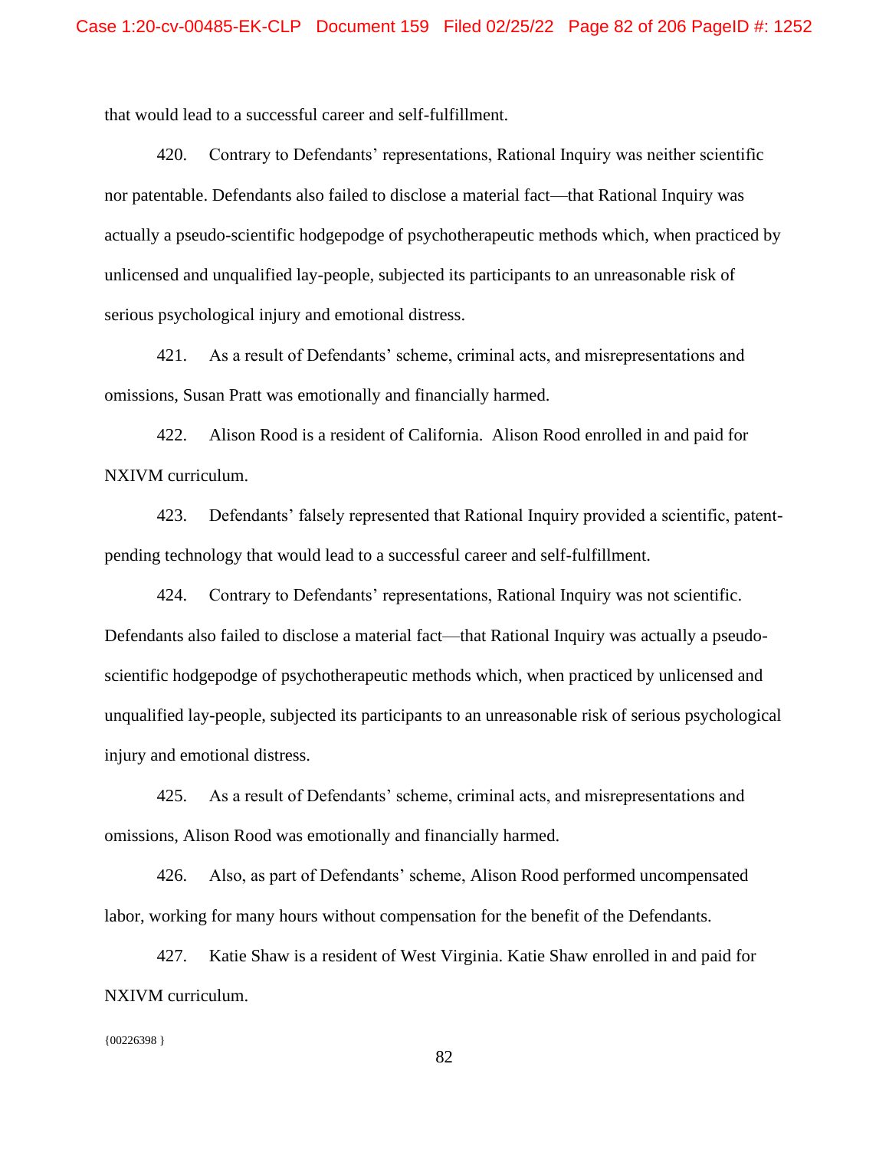that would lead to a successful career and self-fulfillment.

420. Contrary to Defendants' representations, Rational Inquiry was neither scientific nor patentable. Defendants also failed to disclose a material fact—that Rational Inquiry was actually a pseudo-scientific hodgepodge of psychotherapeutic methods which, when practiced by unlicensed and unqualified lay-people, subjected its participants to an unreasonable risk of serious psychological injury and emotional distress.

421. As a result of Defendants' scheme, criminal acts, and misrepresentations and omissions, Susan Pratt was emotionally and financially harmed.

422. Alison Rood is a resident of California. Alison Rood enrolled in and paid for NXIVM curriculum.

423. Defendants' falsely represented that Rational Inquiry provided a scientific, patentpending technology that would lead to a successful career and self-fulfillment.

424. Contrary to Defendants' representations, Rational Inquiry was not scientific. Defendants also failed to disclose a material fact—that Rational Inquiry was actually a pseudoscientific hodgepodge of psychotherapeutic methods which, when practiced by unlicensed and unqualified lay-people, subjected its participants to an unreasonable risk of serious psychological injury and emotional distress.

425. As a result of Defendants' scheme, criminal acts, and misrepresentations and omissions, Alison Rood was emotionally and financially harmed.

426. Also, as part of Defendants' scheme, Alison Rood performed uncompensated labor, working for many hours without compensation for the benefit of the Defendants.

427. Katie Shaw is a resident of West Virginia. Katie Shaw enrolled in and paid for NXIVM curriculum.

#### {00226398 }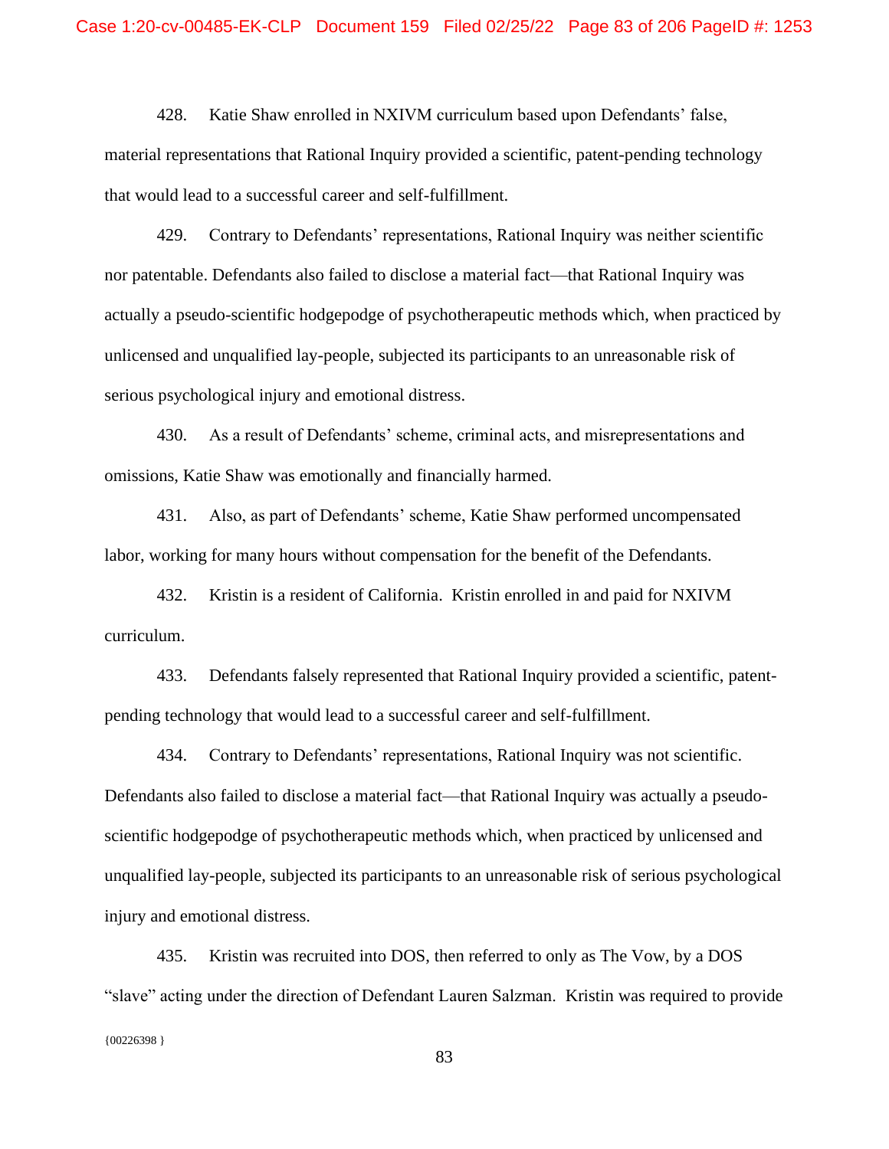428. Katie Shaw enrolled in NXIVM curriculum based upon Defendants' false, material representations that Rational Inquiry provided a scientific, patent-pending technology that would lead to a successful career and self-fulfillment.

429. Contrary to Defendants' representations, Rational Inquiry was neither scientific nor patentable. Defendants also failed to disclose a material fact—that Rational Inquiry was actually a pseudo-scientific hodgepodge of psychotherapeutic methods which, when practiced by unlicensed and unqualified lay-people, subjected its participants to an unreasonable risk of serious psychological injury and emotional distress.

430. As a result of Defendants' scheme, criminal acts, and misrepresentations and omissions, Katie Shaw was emotionally and financially harmed.

431. Also, as part of Defendants' scheme, Katie Shaw performed uncompensated labor, working for many hours without compensation for the benefit of the Defendants.

432. Kristin is a resident of California. Kristin enrolled in and paid for NXIVM curriculum.

433. Defendants falsely represented that Rational Inquiry provided a scientific, patentpending technology that would lead to a successful career and self-fulfillment.

434. Contrary to Defendants' representations, Rational Inquiry was not scientific. Defendants also failed to disclose a material fact—that Rational Inquiry was actually a pseudoscientific hodgepodge of psychotherapeutic methods which, when practiced by unlicensed and unqualified lay-people, subjected its participants to an unreasonable risk of serious psychological injury and emotional distress.

 ${00226398}$ 435. Kristin was recruited into DOS, then referred to only as The Vow, by a DOS "slave" acting under the direction of Defendant Lauren Salzman. Kristin was required to provide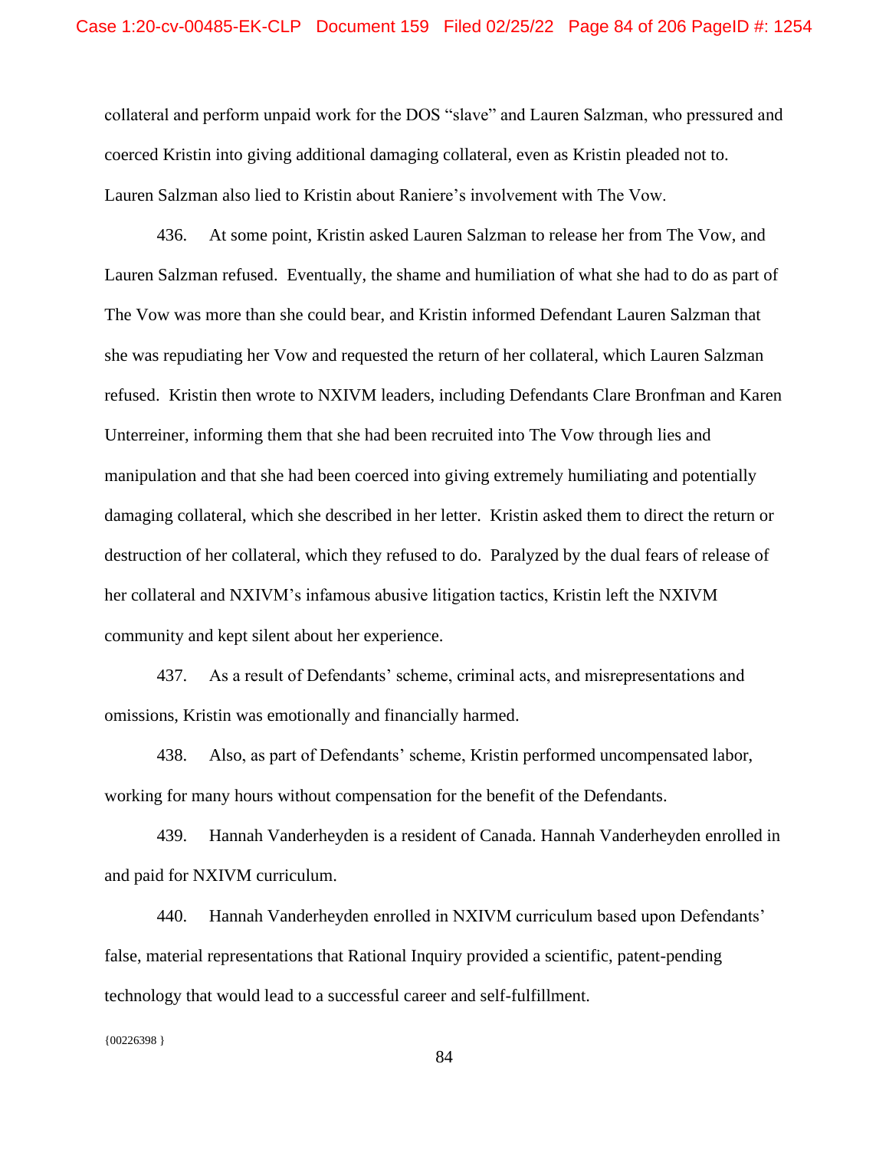collateral and perform unpaid work for the DOS "slave" and Lauren Salzman, who pressured and coerced Kristin into giving additional damaging collateral, even as Kristin pleaded not to. Lauren Salzman also lied to Kristin about Raniere's involvement with The Vow.

436. At some point, Kristin asked Lauren Salzman to release her from The Vow, and Lauren Salzman refused. Eventually, the shame and humiliation of what she had to do as part of The Vow was more than she could bear, and Kristin informed Defendant Lauren Salzman that she was repudiating her Vow and requested the return of her collateral, which Lauren Salzman refused. Kristin then wrote to NXIVM leaders, including Defendants Clare Bronfman and Karen Unterreiner, informing them that she had been recruited into The Vow through lies and manipulation and that she had been coerced into giving extremely humiliating and potentially damaging collateral, which she described in her letter. Kristin asked them to direct the return or destruction of her collateral, which they refused to do. Paralyzed by the dual fears of release of her collateral and NXIVM's infamous abusive litigation tactics, Kristin left the NXIVM community and kept silent about her experience.

437. As a result of Defendants' scheme, criminal acts, and misrepresentations and omissions, Kristin was emotionally and financially harmed.

438. Also, as part of Defendants' scheme, Kristin performed uncompensated labor, working for many hours without compensation for the benefit of the Defendants.

439. Hannah Vanderheyden is a resident of Canada. Hannah Vanderheyden enrolled in and paid for NXIVM curriculum.

440. Hannah Vanderheyden enrolled in NXIVM curriculum based upon Defendants' false, material representations that Rational Inquiry provided a scientific, patent-pending technology that would lead to a successful career and self-fulfillment.

 ${00226398}$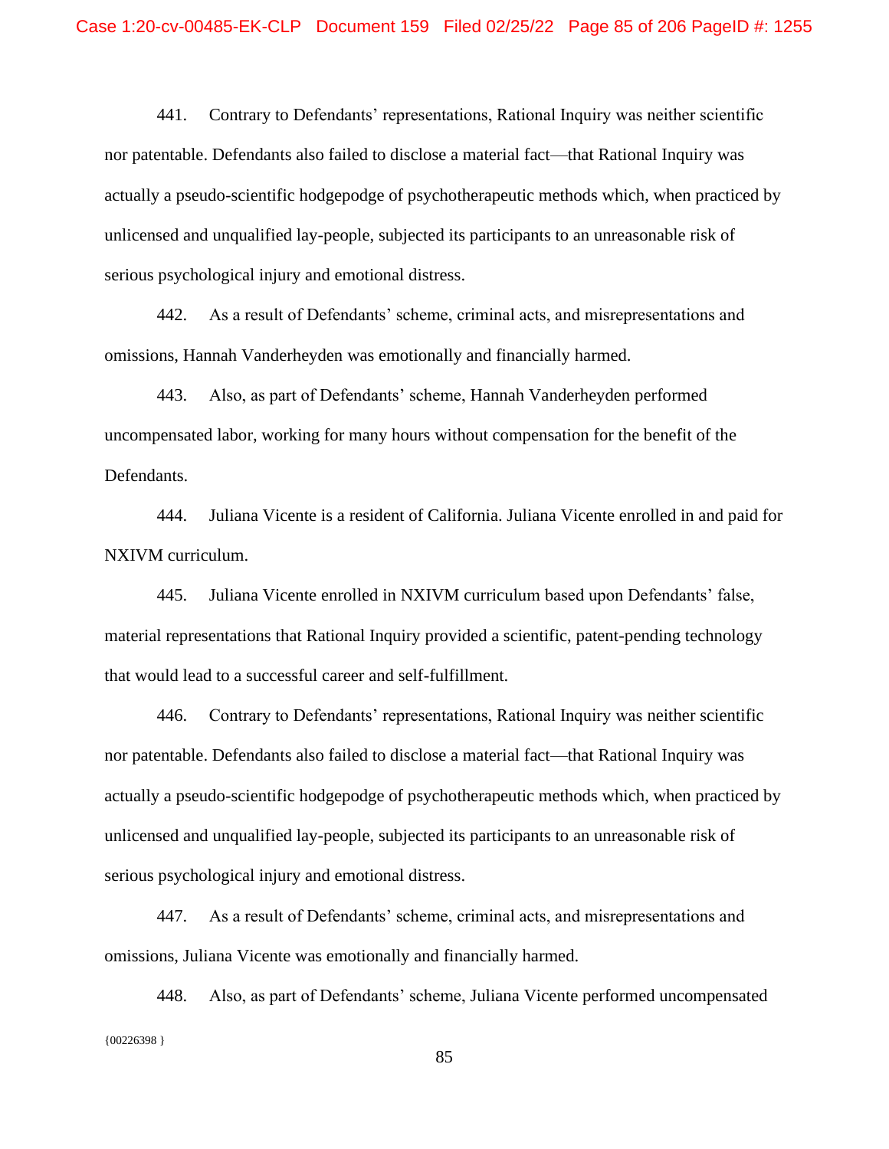441. Contrary to Defendants' representations, Rational Inquiry was neither scientific nor patentable. Defendants also failed to disclose a material fact—that Rational Inquiry was actually a pseudo-scientific hodgepodge of psychotherapeutic methods which, when practiced by unlicensed and unqualified lay-people, subjected its participants to an unreasonable risk of serious psychological injury and emotional distress.

442. As a result of Defendants' scheme, criminal acts, and misrepresentations and omissions, Hannah Vanderheyden was emotionally and financially harmed.

443. Also, as part of Defendants' scheme, Hannah Vanderheyden performed uncompensated labor, working for many hours without compensation for the benefit of the Defendants.

444. Juliana Vicente is a resident of California. Juliana Vicente enrolled in and paid for NXIVM curriculum.

445. Juliana Vicente enrolled in NXIVM curriculum based upon Defendants' false, material representations that Rational Inquiry provided a scientific, patent-pending technology that would lead to a successful career and self-fulfillment.

446. Contrary to Defendants' representations, Rational Inquiry was neither scientific nor patentable. Defendants also failed to disclose a material fact—that Rational Inquiry was actually a pseudo-scientific hodgepodge of psychotherapeutic methods which, when practiced by unlicensed and unqualified lay-people, subjected its participants to an unreasonable risk of serious psychological injury and emotional distress.

447. As a result of Defendants' scheme, criminal acts, and misrepresentations and omissions, Juliana Vicente was emotionally and financially harmed.

{00226398 } 448. Also, as part of Defendants' scheme, Juliana Vicente performed uncompensated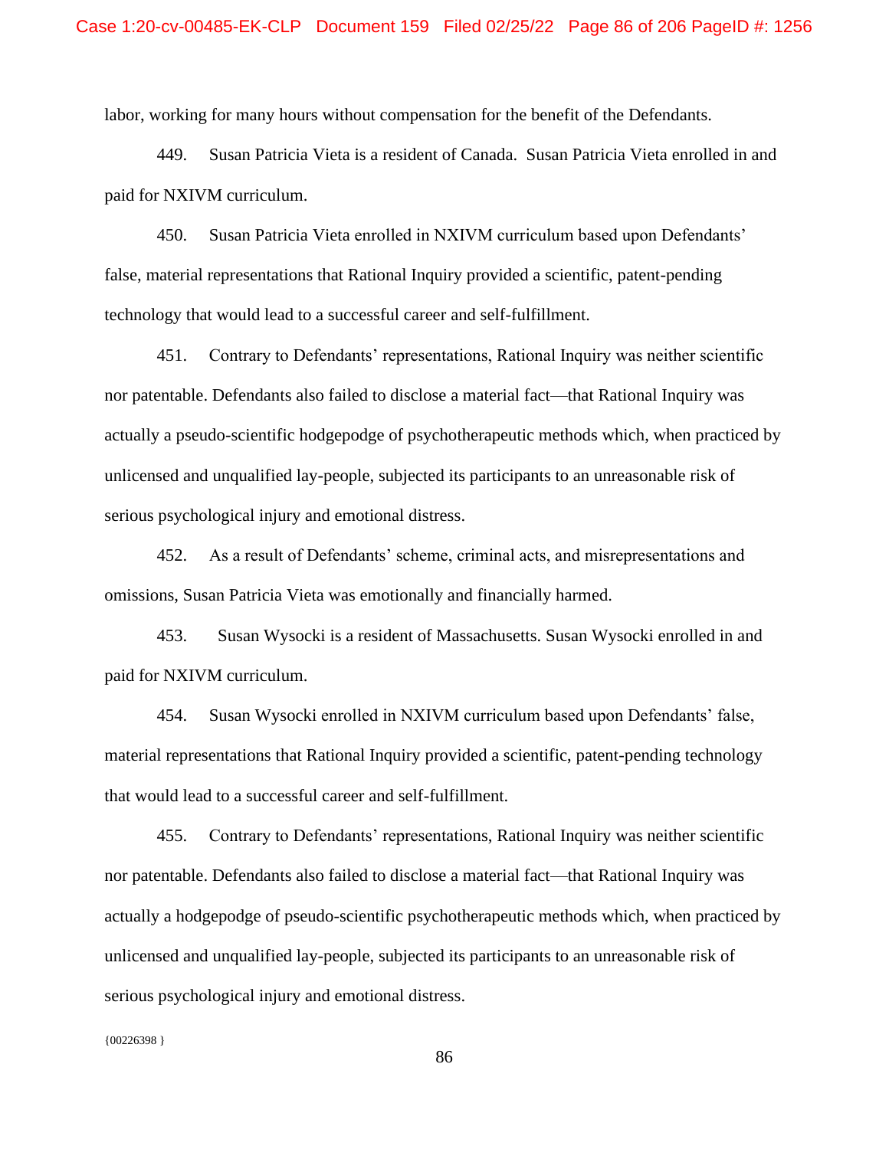labor, working for many hours without compensation for the benefit of the Defendants.

449. Susan Patricia Vieta is a resident of Canada. Susan Patricia Vieta enrolled in and paid for NXIVM curriculum.

450. Susan Patricia Vieta enrolled in NXIVM curriculum based upon Defendants' false, material representations that Rational Inquiry provided a scientific, patent-pending technology that would lead to a successful career and self-fulfillment.

451. Contrary to Defendants' representations, Rational Inquiry was neither scientific nor patentable. Defendants also failed to disclose a material fact—that Rational Inquiry was actually a pseudo-scientific hodgepodge of psychotherapeutic methods which, when practiced by unlicensed and unqualified lay-people, subjected its participants to an unreasonable risk of serious psychological injury and emotional distress.

452. As a result of Defendants' scheme, criminal acts, and misrepresentations and omissions, Susan Patricia Vieta was emotionally and financially harmed.

453. Susan Wysocki is a resident of Massachusetts. Susan Wysocki enrolled in and paid for NXIVM curriculum.

454. Susan Wysocki enrolled in NXIVM curriculum based upon Defendants' false, material representations that Rational Inquiry provided a scientific, patent-pending technology that would lead to a successful career and self-fulfillment.

455. Contrary to Defendants' representations, Rational Inquiry was neither scientific nor patentable. Defendants also failed to disclose a material fact—that Rational Inquiry was actually a hodgepodge of pseudo-scientific psychotherapeutic methods which, when practiced by unlicensed and unqualified lay-people, subjected its participants to an unreasonable risk of serious psychological injury and emotional distress.

 ${00226398}$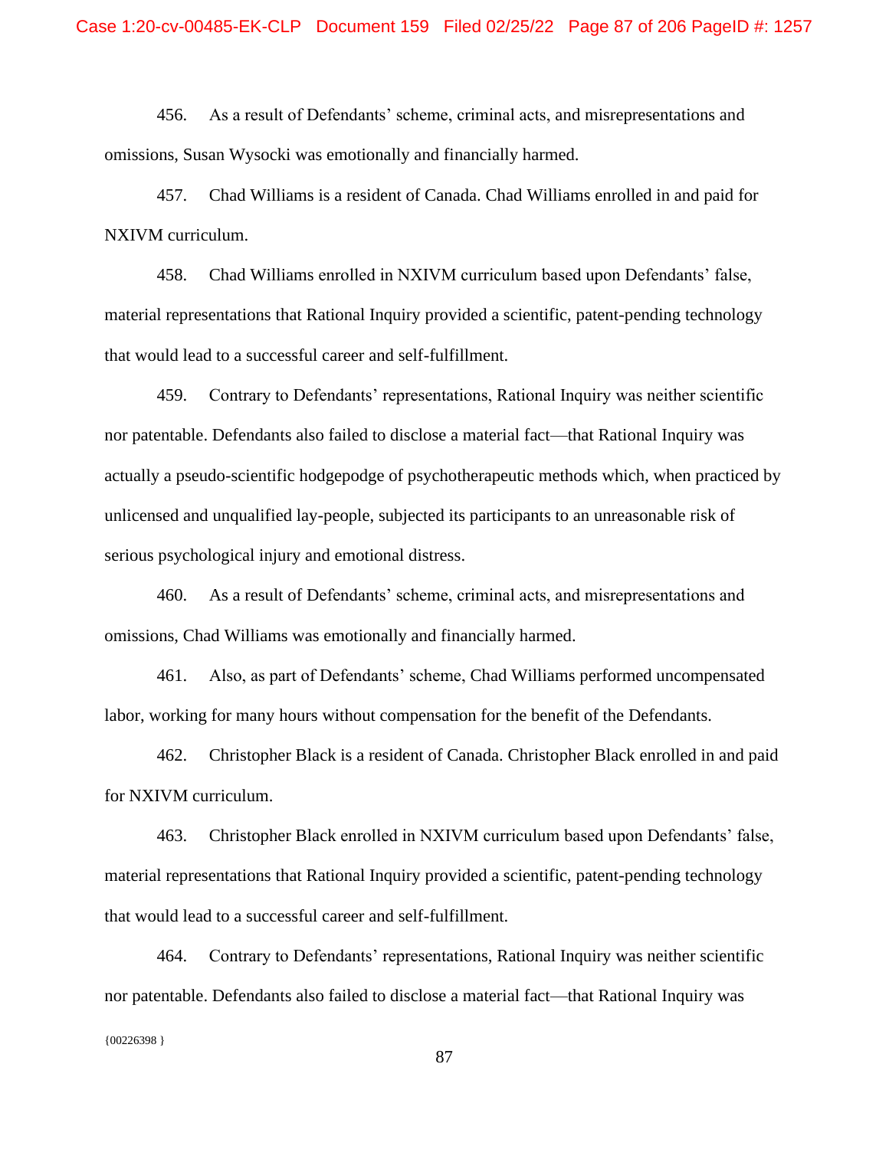456. As a result of Defendants' scheme, criminal acts, and misrepresentations and omissions, Susan Wysocki was emotionally and financially harmed.

457. Chad Williams is a resident of Canada. Chad Williams enrolled in and paid for NXIVM curriculum.

458. Chad Williams enrolled in NXIVM curriculum based upon Defendants' false, material representations that Rational Inquiry provided a scientific, patent-pending technology that would lead to a successful career and self-fulfillment.

459. Contrary to Defendants' representations, Rational Inquiry was neither scientific nor patentable. Defendants also failed to disclose a material fact—that Rational Inquiry was actually a pseudo-scientific hodgepodge of psychotherapeutic methods which, when practiced by unlicensed and unqualified lay-people, subjected its participants to an unreasonable risk of serious psychological injury and emotional distress.

460. As a result of Defendants' scheme, criminal acts, and misrepresentations and omissions, Chad Williams was emotionally and financially harmed.

461. Also, as part of Defendants' scheme, Chad Williams performed uncompensated labor, working for many hours without compensation for the benefit of the Defendants.

462. Christopher Black is a resident of Canada. Christopher Black enrolled in and paid for NXIVM curriculum.

463. Christopher Black enrolled in NXIVM curriculum based upon Defendants' false, material representations that Rational Inquiry provided a scientific, patent-pending technology that would lead to a successful career and self-fulfillment.

464. Contrary to Defendants' representations, Rational Inquiry was neither scientific nor patentable. Defendants also failed to disclose a material fact—that Rational Inquiry was

{00226398 }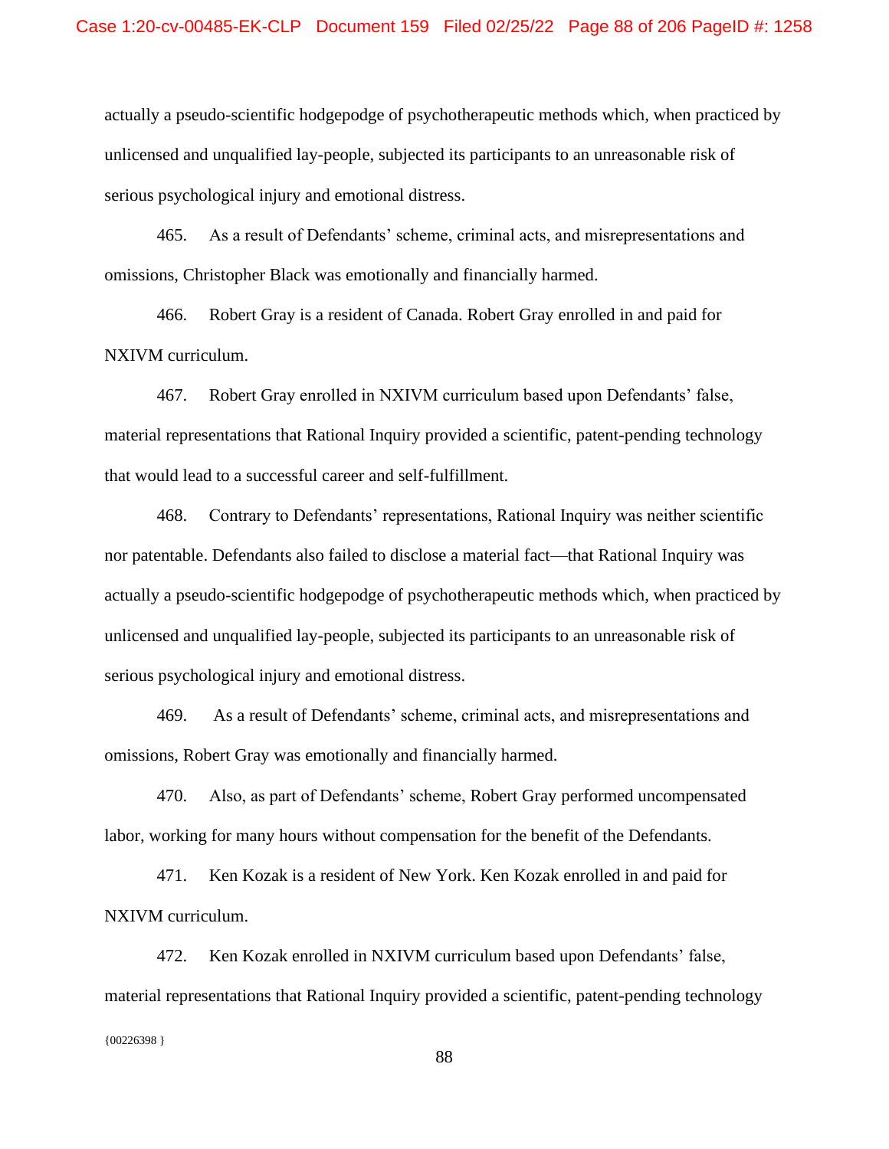actually a pseudo-scientific hodgepodge of psychotherapeutic methods which, when practiced by unlicensed and unqualified lay-people, subjected its participants to an unreasonable risk of serious psychological injury and emotional distress.

465. As a result of Defendants' scheme, criminal acts, and misrepresentations and omissions, Christopher Black was emotionally and financially harmed.

466. Robert Gray is a resident of Canada. Robert Gray enrolled in and paid for NXIVM curriculum.

467. Robert Gray enrolled in NXIVM curriculum based upon Defendants' false, material representations that Rational Inquiry provided a scientific, patent-pending technology that would lead to a successful career and self-fulfillment.

468. Contrary to Defendants' representations, Rational Inquiry was neither scientific nor patentable. Defendants also failed to disclose a material fact—that Rational Inquiry was actually a pseudo-scientific hodgepodge of psychotherapeutic methods which, when practiced by unlicensed and unqualified lay-people, subjected its participants to an unreasonable risk of serious psychological injury and emotional distress.

469. As a result of Defendants' scheme, criminal acts, and misrepresentations and omissions, Robert Gray was emotionally and financially harmed.

470. Also, as part of Defendants' scheme, Robert Gray performed uncompensated labor, working for many hours without compensation for the benefit of the Defendants.

471. Ken Kozak is a resident of New York. Ken Kozak enrolled in and paid for NXIVM curriculum.

 ${00226398}$ 472. Ken Kozak enrolled in NXIVM curriculum based upon Defendants' false, material representations that Rational Inquiry provided a scientific, patent-pending technology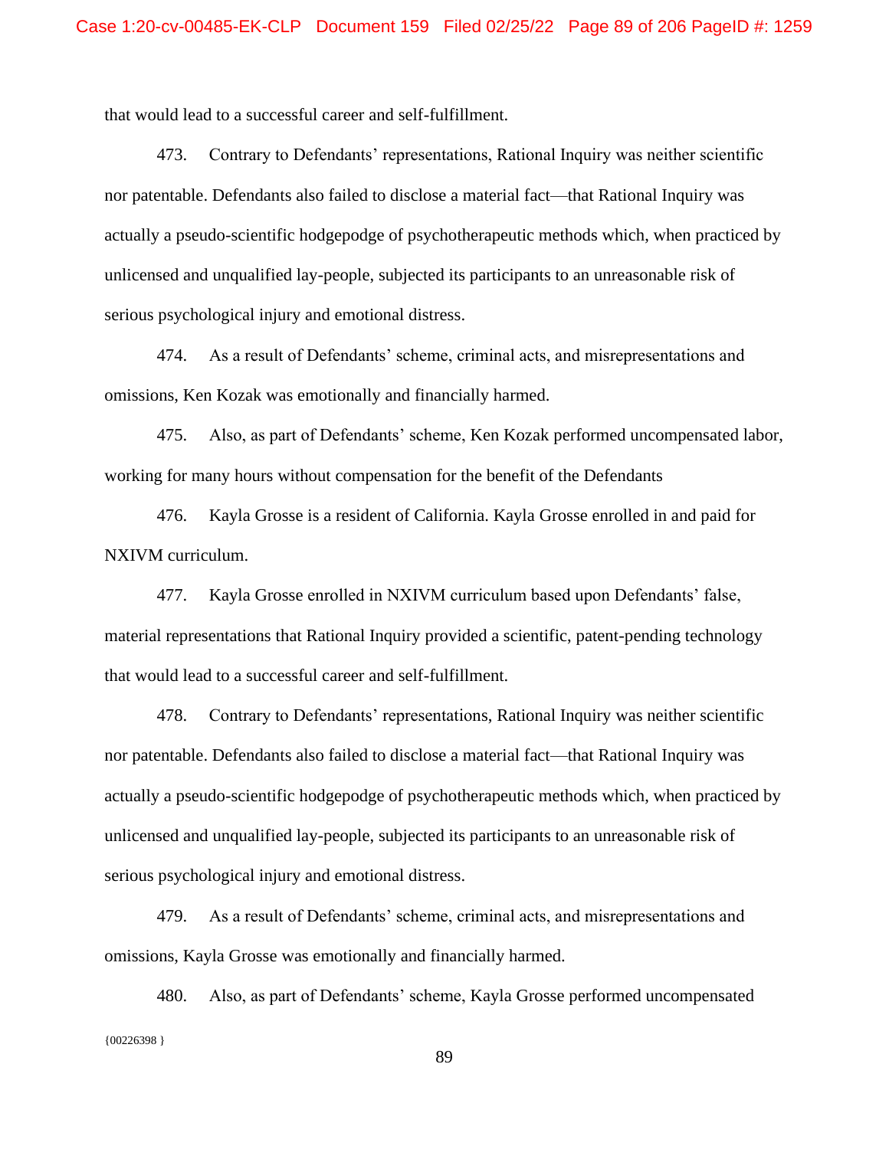that would lead to a successful career and self-fulfillment.

473. Contrary to Defendants' representations, Rational Inquiry was neither scientific nor patentable. Defendants also failed to disclose a material fact—that Rational Inquiry was actually a pseudo-scientific hodgepodge of psychotherapeutic methods which, when practiced by unlicensed and unqualified lay-people, subjected its participants to an unreasonable risk of serious psychological injury and emotional distress.

474. As a result of Defendants' scheme, criminal acts, and misrepresentations and omissions, Ken Kozak was emotionally and financially harmed.

475. Also, as part of Defendants' scheme, Ken Kozak performed uncompensated labor, working for many hours without compensation for the benefit of the Defendants

476. Kayla Grosse is a resident of California. Kayla Grosse enrolled in and paid for NXIVM curriculum.

477. Kayla Grosse enrolled in NXIVM curriculum based upon Defendants' false, material representations that Rational Inquiry provided a scientific, patent-pending technology that would lead to a successful career and self-fulfillment.

478. Contrary to Defendants' representations, Rational Inquiry was neither scientific nor patentable. Defendants also failed to disclose a material fact—that Rational Inquiry was actually a pseudo-scientific hodgepodge of psychotherapeutic methods which, when practiced by unlicensed and unqualified lay-people, subjected its participants to an unreasonable risk of serious psychological injury and emotional distress.

479. As a result of Defendants' scheme, criminal acts, and misrepresentations and omissions, Kayla Grosse was emotionally and financially harmed.

{00226398 } 480. Also, as part of Defendants' scheme, Kayla Grosse performed uncompensated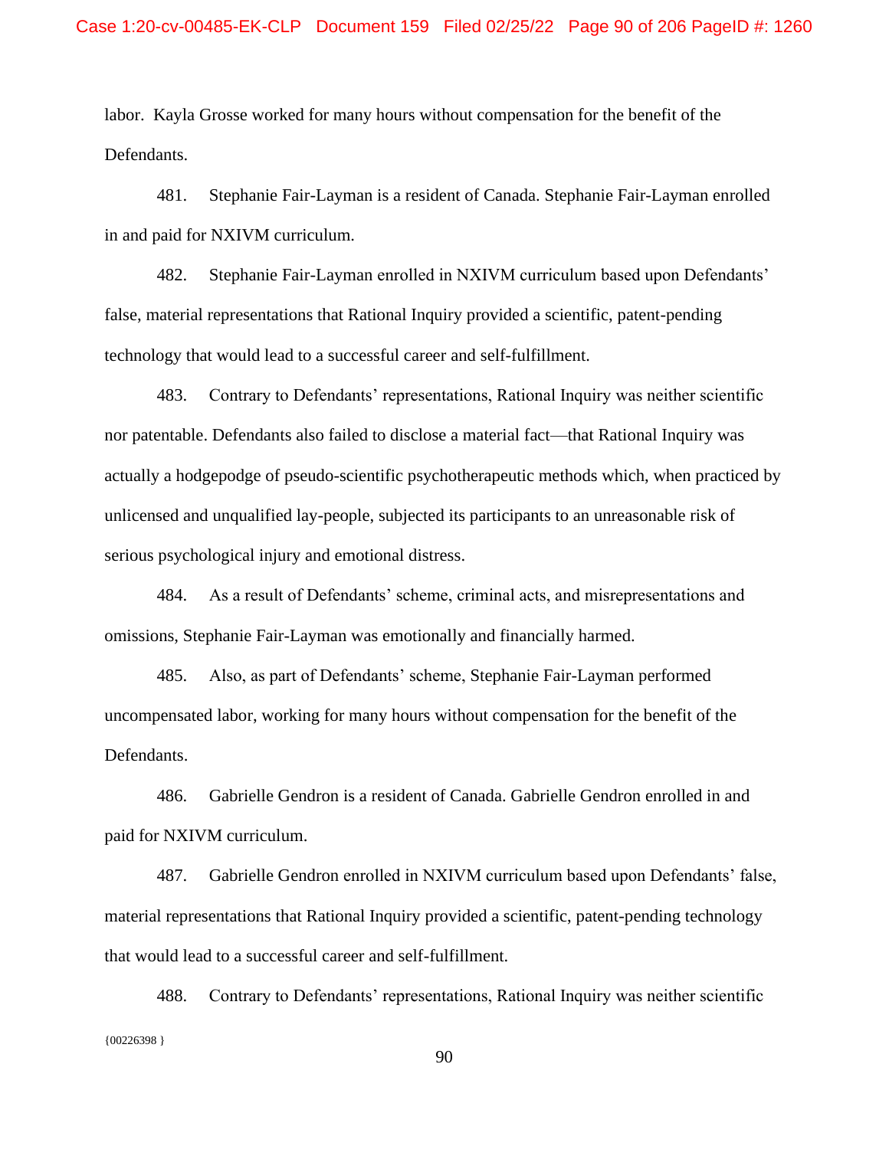labor. Kayla Grosse worked for many hours without compensation for the benefit of the Defendants.

481. Stephanie Fair-Layman is a resident of Canada. Stephanie Fair-Layman enrolled in and paid for NXIVM curriculum.

482. Stephanie Fair-Layman enrolled in NXIVM curriculum based upon Defendants' false, material representations that Rational Inquiry provided a scientific, patent-pending technology that would lead to a successful career and self-fulfillment.

483. Contrary to Defendants' representations, Rational Inquiry was neither scientific nor patentable. Defendants also failed to disclose a material fact—that Rational Inquiry was actually a hodgepodge of pseudo-scientific psychotherapeutic methods which, when practiced by unlicensed and unqualified lay-people, subjected its participants to an unreasonable risk of serious psychological injury and emotional distress.

484. As a result of Defendants' scheme, criminal acts, and misrepresentations and omissions, Stephanie Fair-Layman was emotionally and financially harmed.

485. Also, as part of Defendants' scheme, Stephanie Fair-Layman performed uncompensated labor, working for many hours without compensation for the benefit of the Defendants.

486. Gabrielle Gendron is a resident of Canada. Gabrielle Gendron enrolled in and paid for NXIVM curriculum.

487. Gabrielle Gendron enrolled in NXIVM curriculum based upon Defendants' false, material representations that Rational Inquiry provided a scientific, patent-pending technology that would lead to a successful career and self-fulfillment.

{00226398 } 488. Contrary to Defendants' representations, Rational Inquiry was neither scientific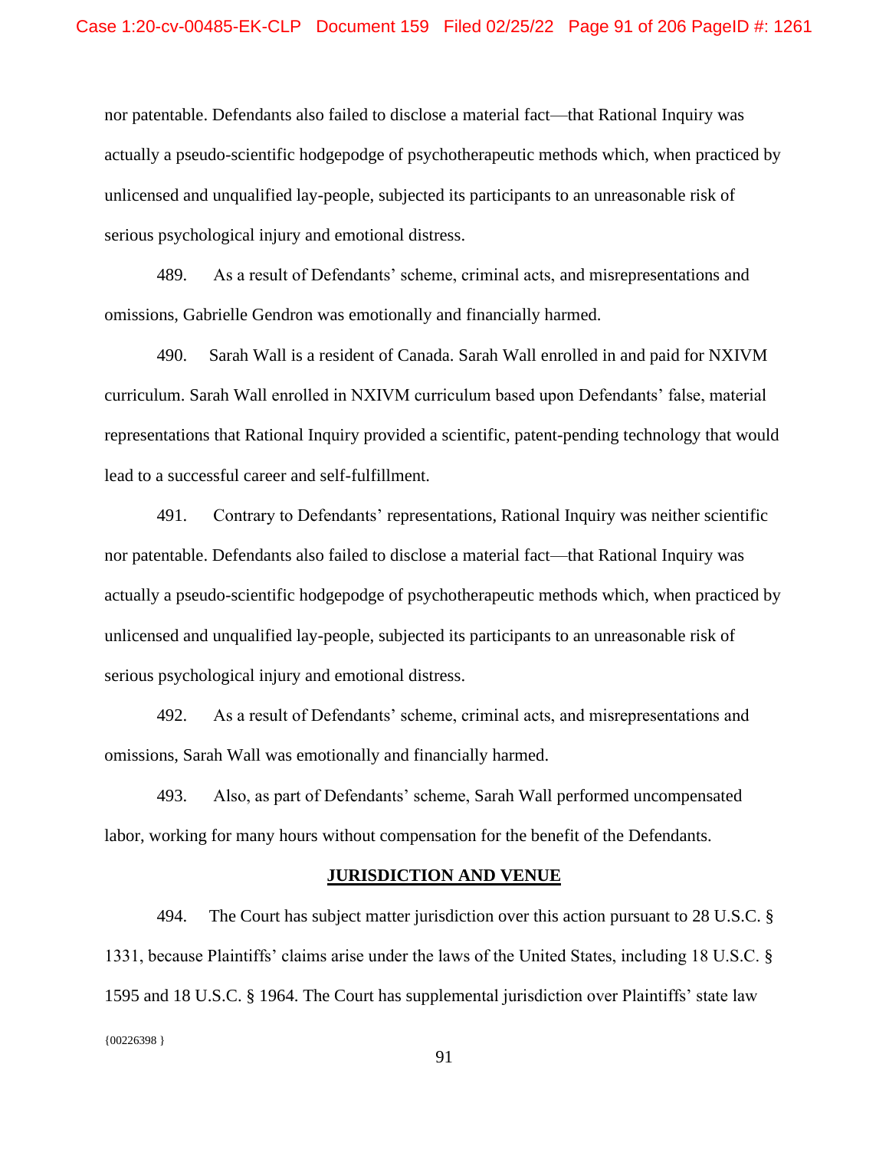nor patentable. Defendants also failed to disclose a material fact—that Rational Inquiry was actually a pseudo-scientific hodgepodge of psychotherapeutic methods which, when practiced by unlicensed and unqualified lay-people, subjected its participants to an unreasonable risk of serious psychological injury and emotional distress.

489. As a result of Defendants' scheme, criminal acts, and misrepresentations and omissions, Gabrielle Gendron was emotionally and financially harmed.

490. Sarah Wall is a resident of Canada. Sarah Wall enrolled in and paid for NXIVM curriculum. Sarah Wall enrolled in NXIVM curriculum based upon Defendants' false, material representations that Rational Inquiry provided a scientific, patent-pending technology that would lead to a successful career and self-fulfillment.

491. Contrary to Defendants' representations, Rational Inquiry was neither scientific nor patentable. Defendants also failed to disclose a material fact—that Rational Inquiry was actually a pseudo-scientific hodgepodge of psychotherapeutic methods which, when practiced by unlicensed and unqualified lay-people, subjected its participants to an unreasonable risk of serious psychological injury and emotional distress.

492. As a result of Defendants' scheme, criminal acts, and misrepresentations and omissions, Sarah Wall was emotionally and financially harmed.

493. Also, as part of Defendants' scheme, Sarah Wall performed uncompensated labor, working for many hours without compensation for the benefit of the Defendants.

#### **JURISDICTION AND VENUE**

 ${00226398}$ 494. The Court has subject matter jurisdiction over this action pursuant to 28 U.S.C. § 1331, because Plaintiffs' claims arise under the laws of the United States, including 18 U.S.C. § 1595 and 18 U.S.C. § 1964. The Court has supplemental jurisdiction over Plaintiffs' state law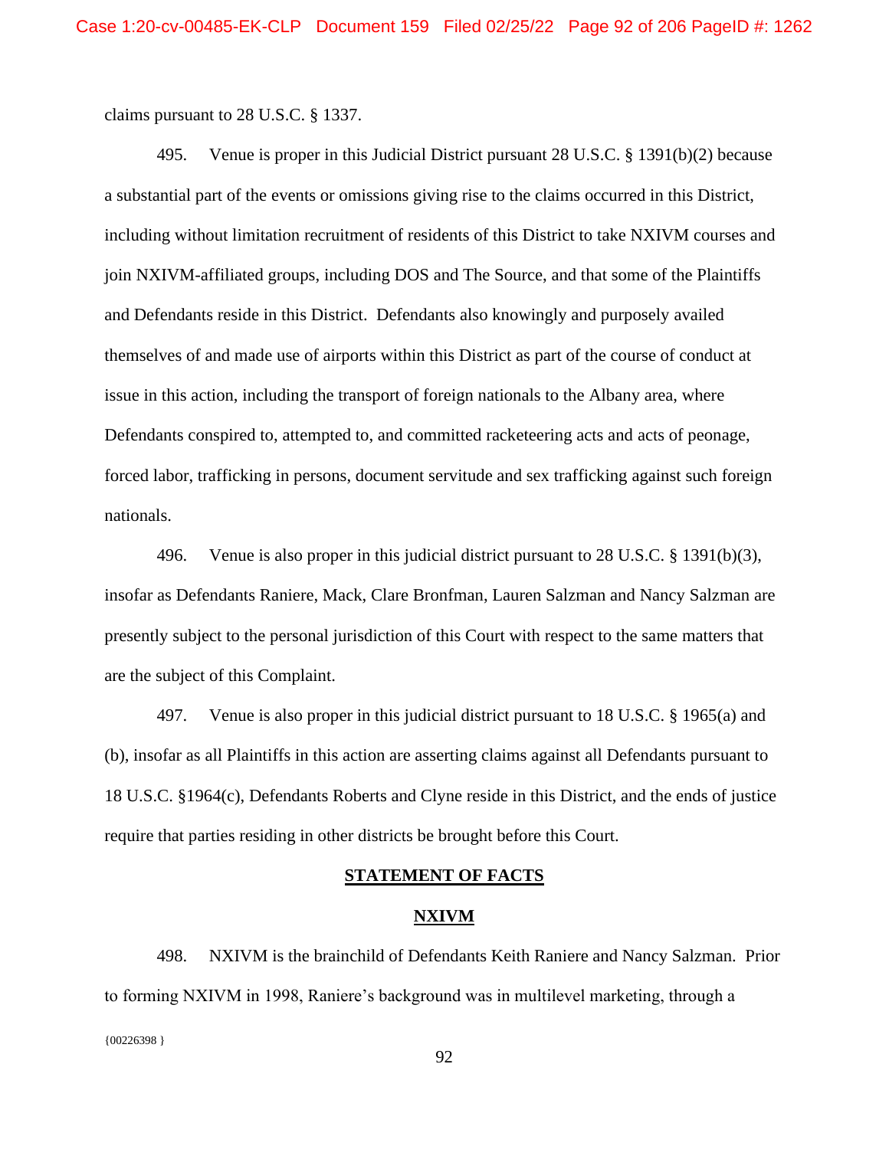claims pursuant to 28 U.S.C. § 1337.

495. Venue is proper in this Judicial District pursuant 28 U.S.C. § 1391(b)(2) because a substantial part of the events or omissions giving rise to the claims occurred in this District, including without limitation recruitment of residents of this District to take NXIVM courses and join NXIVM-affiliated groups, including DOS and The Source, and that some of the Plaintiffs and Defendants reside in this District. Defendants also knowingly and purposely availed themselves of and made use of airports within this District as part of the course of conduct at issue in this action, including the transport of foreign nationals to the Albany area, where Defendants conspired to, attempted to, and committed racketeering acts and acts of peonage, forced labor, trafficking in persons, document servitude and sex trafficking against such foreign nationals.

496. Venue is also proper in this judicial district pursuant to 28 U.S.C. § 1391(b)(3), insofar as Defendants Raniere, Mack, Clare Bronfman, Lauren Salzman and Nancy Salzman are presently subject to the personal jurisdiction of this Court with respect to the same matters that are the subject of this Complaint.

497. Venue is also proper in this judicial district pursuant to 18 U.S.C. § 1965(a) and (b), insofar as all Plaintiffs in this action are asserting claims against all Defendants pursuant to 18 U.S.C. §1964(c), Defendants Roberts and Clyne reside in this District, and the ends of justice require that parties residing in other districts be brought before this Court.

### **STATEMENT OF FACTS**

## **NXIVM**

 ${00226398}$ 498. NXIVM is the brainchild of Defendants Keith Raniere and Nancy Salzman. Prior to forming NXIVM in 1998, Raniere's background was in multilevel marketing, through a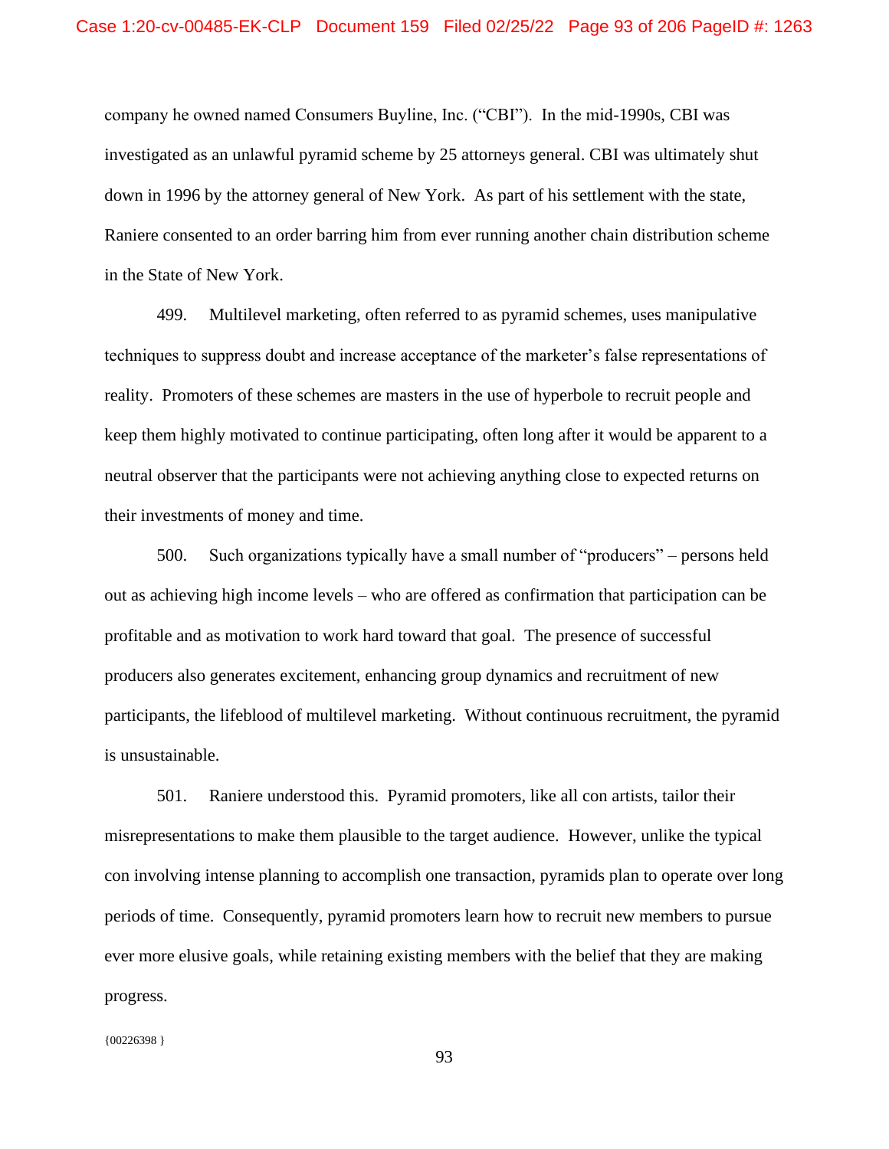company he owned named Consumers Buyline, Inc. ("CBI"). In the mid-1990s, CBI was investigated as an unlawful pyramid scheme by 25 attorneys general. CBI was ultimately shut down in 1996 by the attorney general of New York. As part of his settlement with the state, Raniere consented to an order barring him from ever running another chain distribution scheme in the State of New York.

499. Multilevel marketing, often referred to as pyramid schemes, uses manipulative techniques to suppress doubt and increase acceptance of the marketer's false representations of reality. Promoters of these schemes are masters in the use of hyperbole to recruit people and keep them highly motivated to continue participating, often long after it would be apparent to a neutral observer that the participants were not achieving anything close to expected returns on their investments of money and time.

500. Such organizations typically have a small number of "producers" – persons held out as achieving high income levels – who are offered as confirmation that participation can be profitable and as motivation to work hard toward that goal. The presence of successful producers also generates excitement, enhancing group dynamics and recruitment of new participants, the lifeblood of multilevel marketing. Without continuous recruitment, the pyramid is unsustainable.

501. Raniere understood this. Pyramid promoters, like all con artists, tailor their misrepresentations to make them plausible to the target audience. However, unlike the typical con involving intense planning to accomplish one transaction, pyramids plan to operate over long periods of time. Consequently, pyramid promoters learn how to recruit new members to pursue ever more elusive goals, while retaining existing members with the belief that they are making progress.

{00226398 }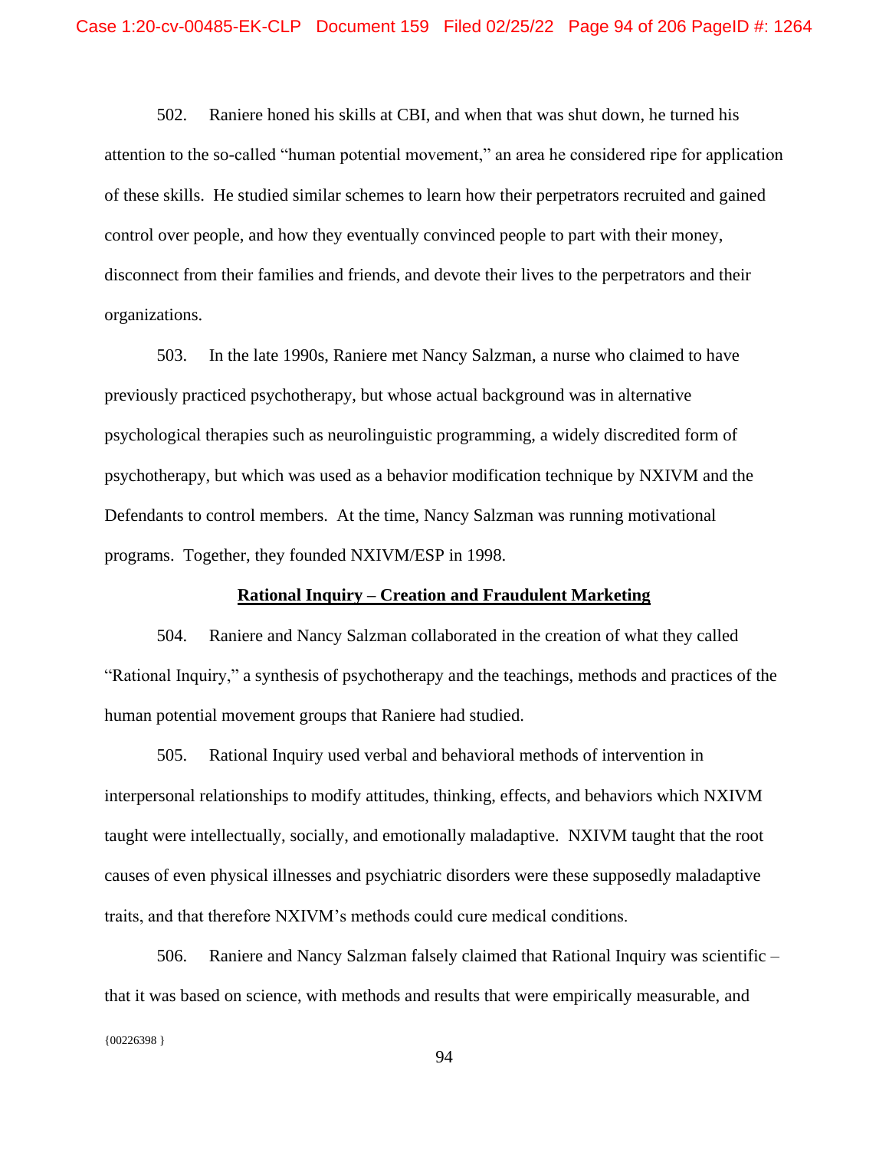502. Raniere honed his skills at CBI, and when that was shut down, he turned his attention to the so-called "human potential movement," an area he considered ripe for application of these skills. He studied similar schemes to learn how their perpetrators recruited and gained control over people, and how they eventually convinced people to part with their money, disconnect from their families and friends, and devote their lives to the perpetrators and their organizations.

503. In the late 1990s, Raniere met Nancy Salzman, a nurse who claimed to have previously practiced psychotherapy, but whose actual background was in alternative psychological therapies such as neurolinguistic programming, a widely discredited form of psychotherapy, but which was used as a behavior modification technique by NXIVM and the Defendants to control members. At the time, Nancy Salzman was running motivational programs. Together, they founded NXIVM/ESP in 1998.

#### **Rational Inquiry – Creation and Fraudulent Marketing**

504. Raniere and Nancy Salzman collaborated in the creation of what they called "Rational Inquiry," a synthesis of psychotherapy and the teachings, methods and practices of the human potential movement groups that Raniere had studied.

505. Rational Inquiry used verbal and behavioral methods of intervention in interpersonal relationships to modify attitudes, thinking, effects, and behaviors which NXIVM taught were intellectually, socially, and emotionally maladaptive. NXIVM taught that the root causes of even physical illnesses and psychiatric disorders were these supposedly maladaptive traits, and that therefore NXIVM's methods could cure medical conditions.

506. Raniere and Nancy Salzman falsely claimed that Rational Inquiry was scientific – that it was based on science, with methods and results that were empirically measurable, and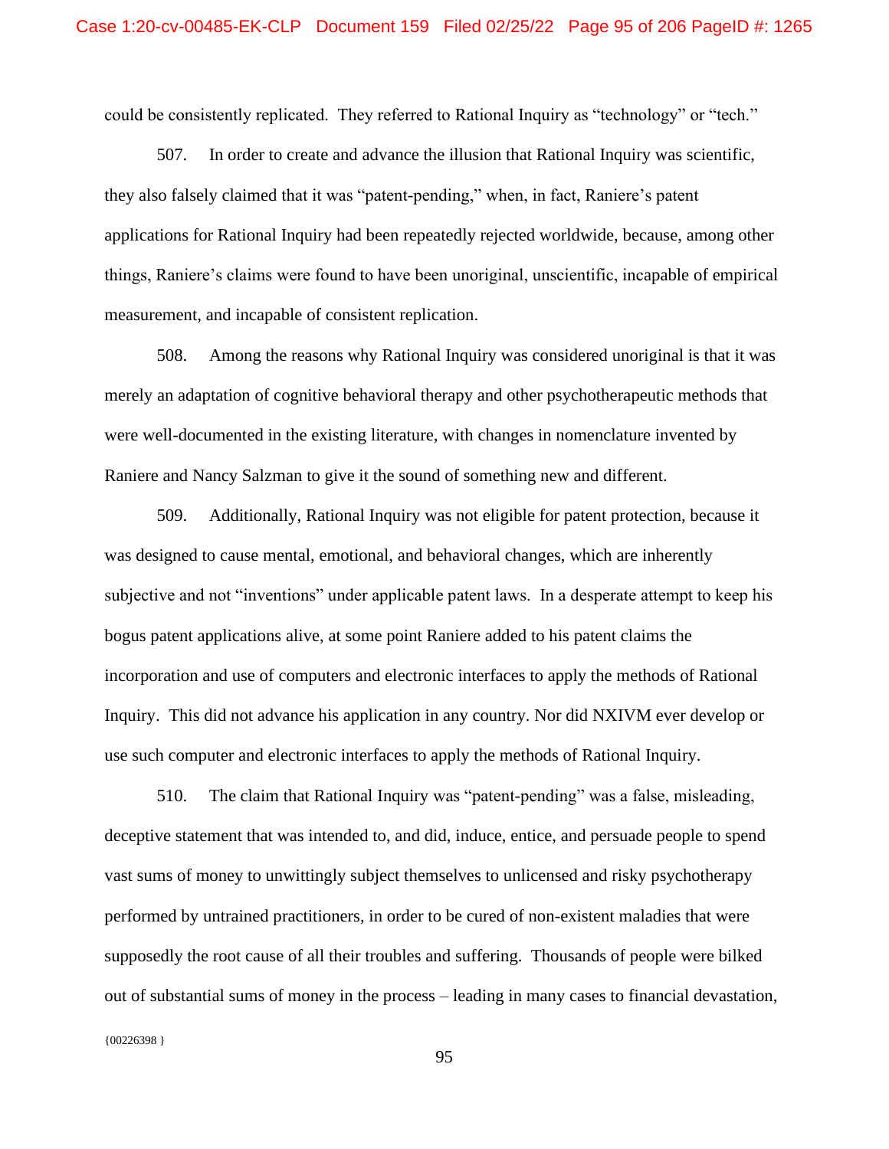could be consistently replicated. They referred to Rational Inquiry as "technology" or "tech."

507. In order to create and advance the illusion that Rational Inquiry was scientific, they also falsely claimed that it was "patent-pending," when, in fact, Raniere's patent applications for Rational Inquiry had been repeatedly rejected worldwide, because, among other things, Raniere's claims were found to have been unoriginal, unscientific, incapable of empirical measurement, and incapable of consistent replication.

508. Among the reasons why Rational Inquiry was considered unoriginal is that it was merely an adaptation of cognitive behavioral therapy and other psychotherapeutic methods that were well-documented in the existing literature, with changes in nomenclature invented by Raniere and Nancy Salzman to give it the sound of something new and different.

509. Additionally, Rational Inquiry was not eligible for patent protection, because it was designed to cause mental, emotional, and behavioral changes, which are inherently subjective and not "inventions" under applicable patent laws. In a desperate attempt to keep his bogus patent applications alive, at some point Raniere added to his patent claims the incorporation and use of computers and electronic interfaces to apply the methods of Rational Inquiry. This did not advance his application in any country. Nor did NXIVM ever develop or use such computer and electronic interfaces to apply the methods of Rational Inquiry.

510. The claim that Rational Inquiry was "patent-pending" was a false, misleading, deceptive statement that was intended to, and did, induce, entice, and persuade people to spend vast sums of money to unwittingly subject themselves to unlicensed and risky psychotherapy performed by untrained practitioners, in order to be cured of non-existent maladies that were supposedly the root cause of all their troubles and suffering. Thousands of people were bilked out of substantial sums of money in the process – leading in many cases to financial devastation,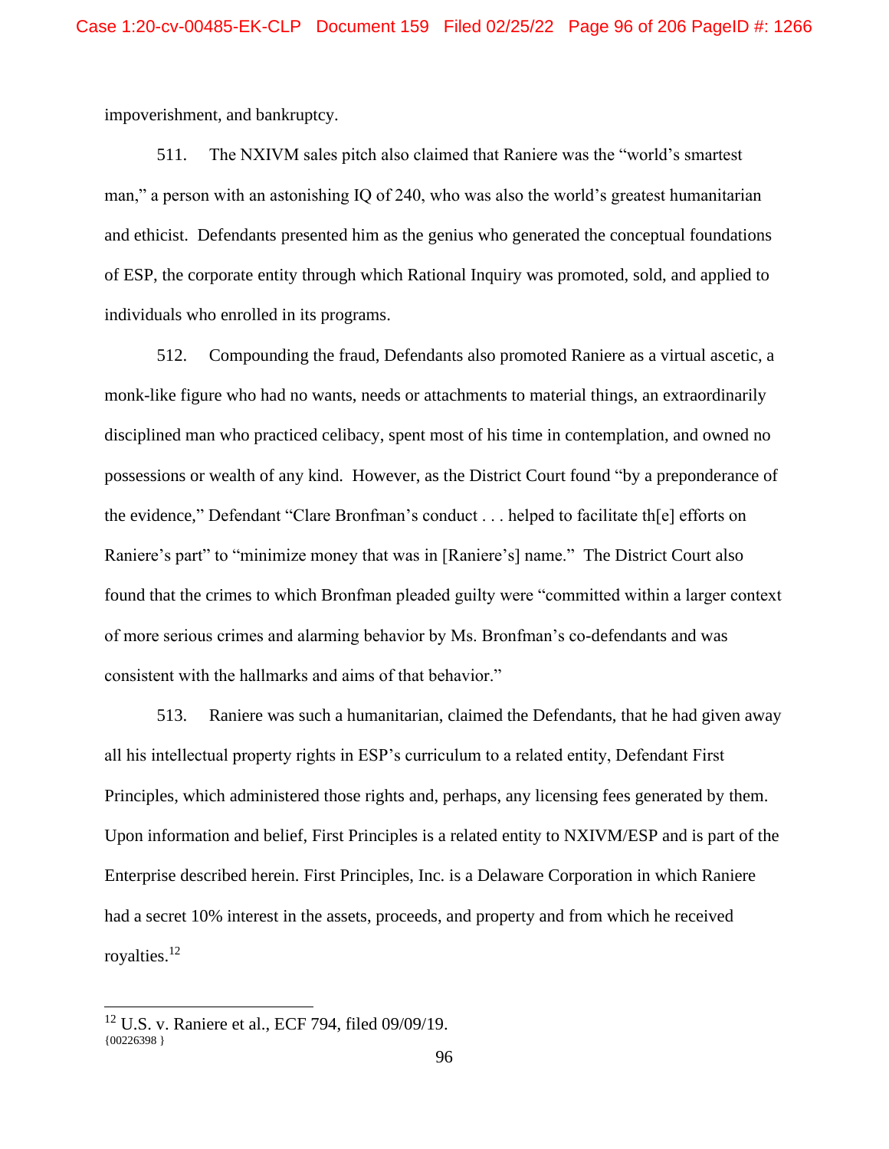impoverishment, and bankruptcy.

511. The NXIVM sales pitch also claimed that Raniere was the "world's smartest man," a person with an astonishing IQ of 240, who was also the world's greatest humanitarian and ethicist. Defendants presented him as the genius who generated the conceptual foundations of ESP, the corporate entity through which Rational Inquiry was promoted, sold, and applied to individuals who enrolled in its programs.

512. Compounding the fraud, Defendants also promoted Raniere as a virtual ascetic, a monk-like figure who had no wants, needs or attachments to material things, an extraordinarily disciplined man who practiced celibacy, spent most of his time in contemplation, and owned no possessions or wealth of any kind. However, as the District Court found "by a preponderance of the evidence," Defendant "Clare Bronfman's conduct . . . helped to facilitate th[e] efforts on Raniere's part" to "minimize money that was in [Raniere's] name." The District Court also found that the crimes to which Bronfman pleaded guilty were "committed within a larger context of more serious crimes and alarming behavior by Ms. Bronfman's co-defendants and was consistent with the hallmarks and aims of that behavior."

513. Raniere was such a humanitarian, claimed the Defendants, that he had given away all his intellectual property rights in ESP's curriculum to a related entity, Defendant First Principles, which administered those rights and, perhaps, any licensing fees generated by them. Upon information and belief, First Principles is a related entity to NXIVM/ESP and is part of the Enterprise described herein. First Principles, Inc. is a Delaware Corporation in which Raniere had a secret 10% interest in the assets, proceeds, and property and from which he received royalties.<sup>12</sup>

<sup>{00226398 }</sup> <sup>12</sup> U.S. v. Raniere et al., ECF 794, filed 09/09/19.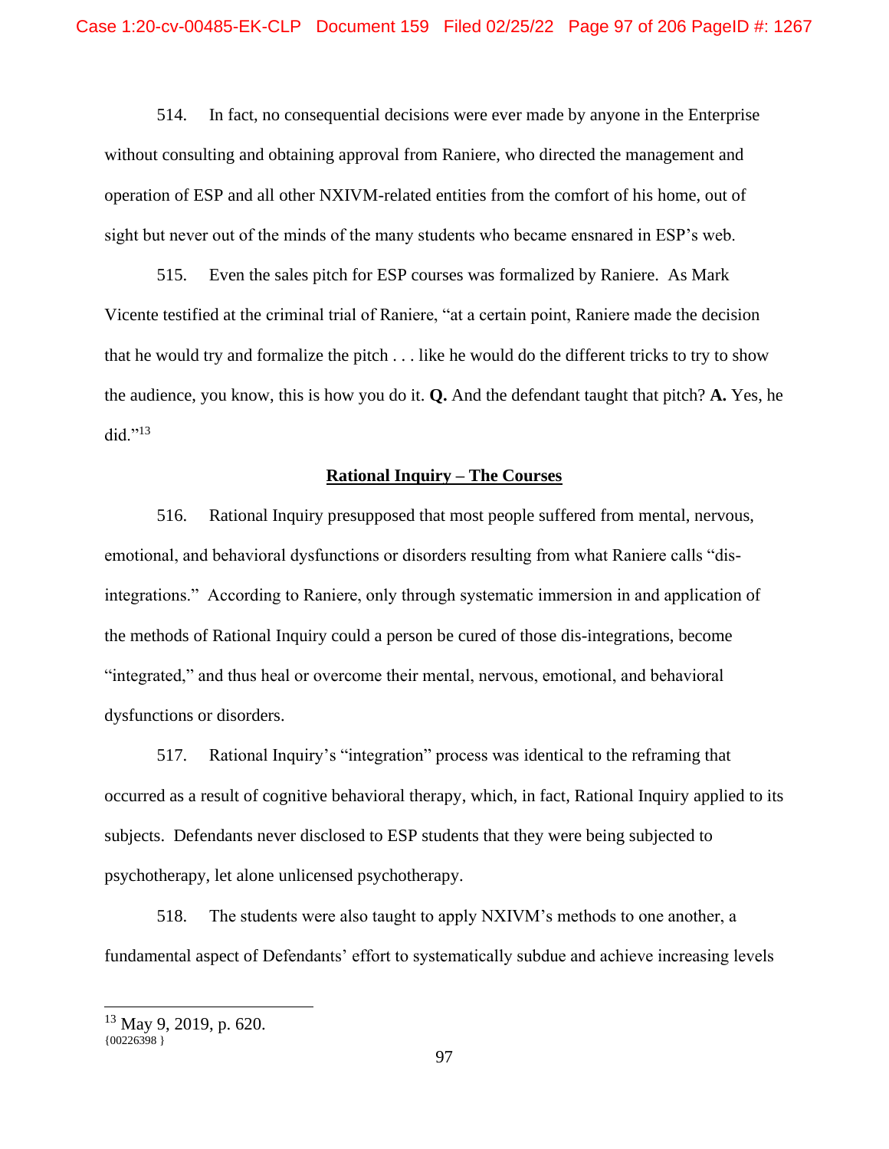514. In fact, no consequential decisions were ever made by anyone in the Enterprise without consulting and obtaining approval from Raniere, who directed the management and operation of ESP and all other NXIVM-related entities from the comfort of his home, out of sight but never out of the minds of the many students who became ensnared in ESP's web.

515. Even the sales pitch for ESP courses was formalized by Raniere. As Mark Vicente testified at the criminal trial of Raniere, "at a certain point, Raniere made the decision that he would try and formalize the pitch . . . like he would do the different tricks to try to show the audience, you know, this is how you do it. **Q.** And the defendant taught that pitch? **A.** Yes, he did."<sup>13</sup>

### **Rational Inquiry – The Courses**

516. Rational Inquiry presupposed that most people suffered from mental, nervous, emotional, and behavioral dysfunctions or disorders resulting from what Raniere calls "disintegrations." According to Raniere, only through systematic immersion in and application of the methods of Rational Inquiry could a person be cured of those dis-integrations, become "integrated," and thus heal or overcome their mental, nervous, emotional, and behavioral dysfunctions or disorders.

517. Rational Inquiry's "integration" process was identical to the reframing that occurred as a result of cognitive behavioral therapy, which, in fact, Rational Inquiry applied to its subjects. Defendants never disclosed to ESP students that they were being subjected to psychotherapy, let alone unlicensed psychotherapy.

518. The students were also taught to apply NXIVM's methods to one another, a fundamental aspect of Defendants' effort to systematically subdue and achieve increasing levels

 ${00226398}$  $13$  May 9, 2019, p. 620.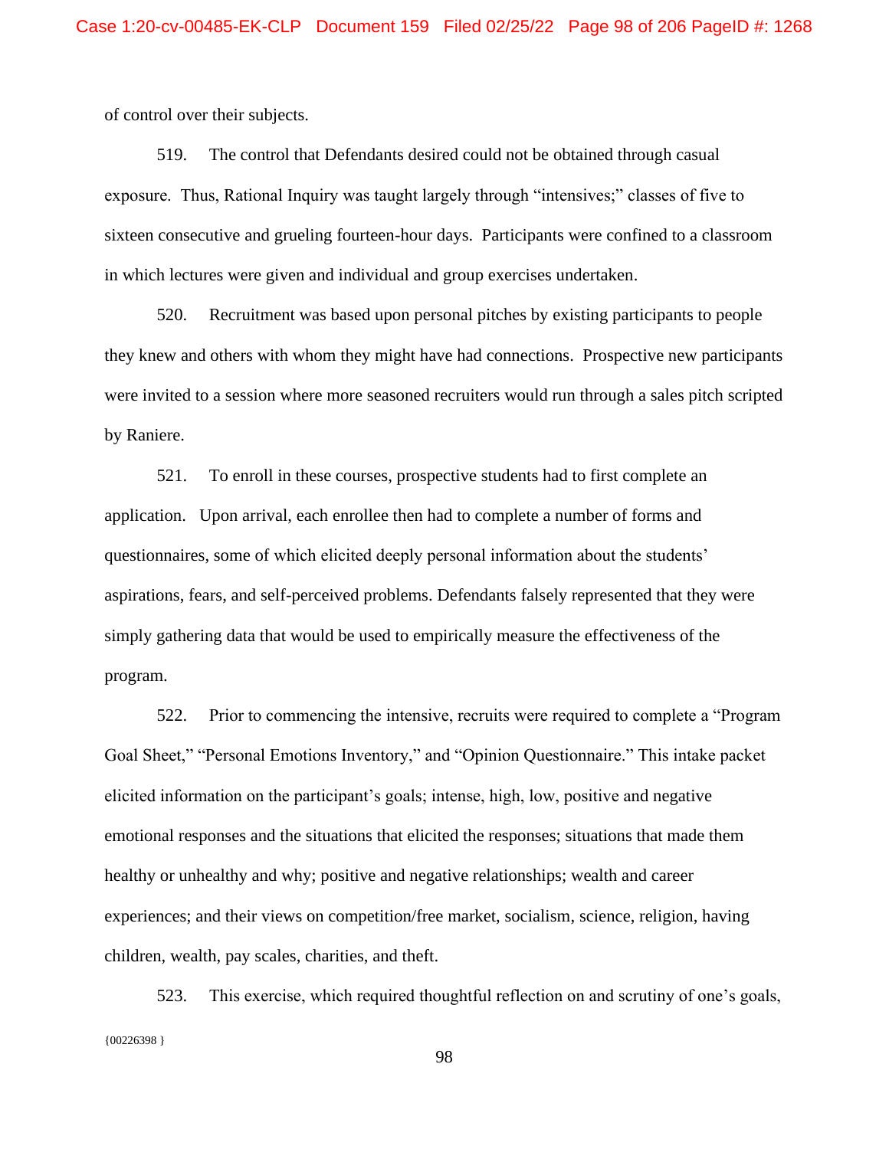of control over their subjects.

519. The control that Defendants desired could not be obtained through casual exposure. Thus, Rational Inquiry was taught largely through "intensives;" classes of five to sixteen consecutive and grueling fourteen-hour days. Participants were confined to a classroom in which lectures were given and individual and group exercises undertaken.

520. Recruitment was based upon personal pitches by existing participants to people they knew and others with whom they might have had connections. Prospective new participants were invited to a session where more seasoned recruiters would run through a sales pitch scripted by Raniere.

521. To enroll in these courses, prospective students had to first complete an application. Upon arrival, each enrollee then had to complete a number of forms and questionnaires, some of which elicited deeply personal information about the students' aspirations, fears, and self-perceived problems. Defendants falsely represented that they were simply gathering data that would be used to empirically measure the effectiveness of the program.

522. Prior to commencing the intensive, recruits were required to complete a "Program Goal Sheet," "Personal Emotions Inventory," and "Opinion Questionnaire." This intake packet elicited information on the participant's goals; intense, high, low, positive and negative emotional responses and the situations that elicited the responses; situations that made them healthy or unhealthy and why; positive and negative relationships; wealth and career experiences; and their views on competition/free market, socialism, science, religion, having children, wealth, pay scales, charities, and theft.

{00226398 } 523. This exercise, which required thoughtful reflection on and scrutiny of one's goals,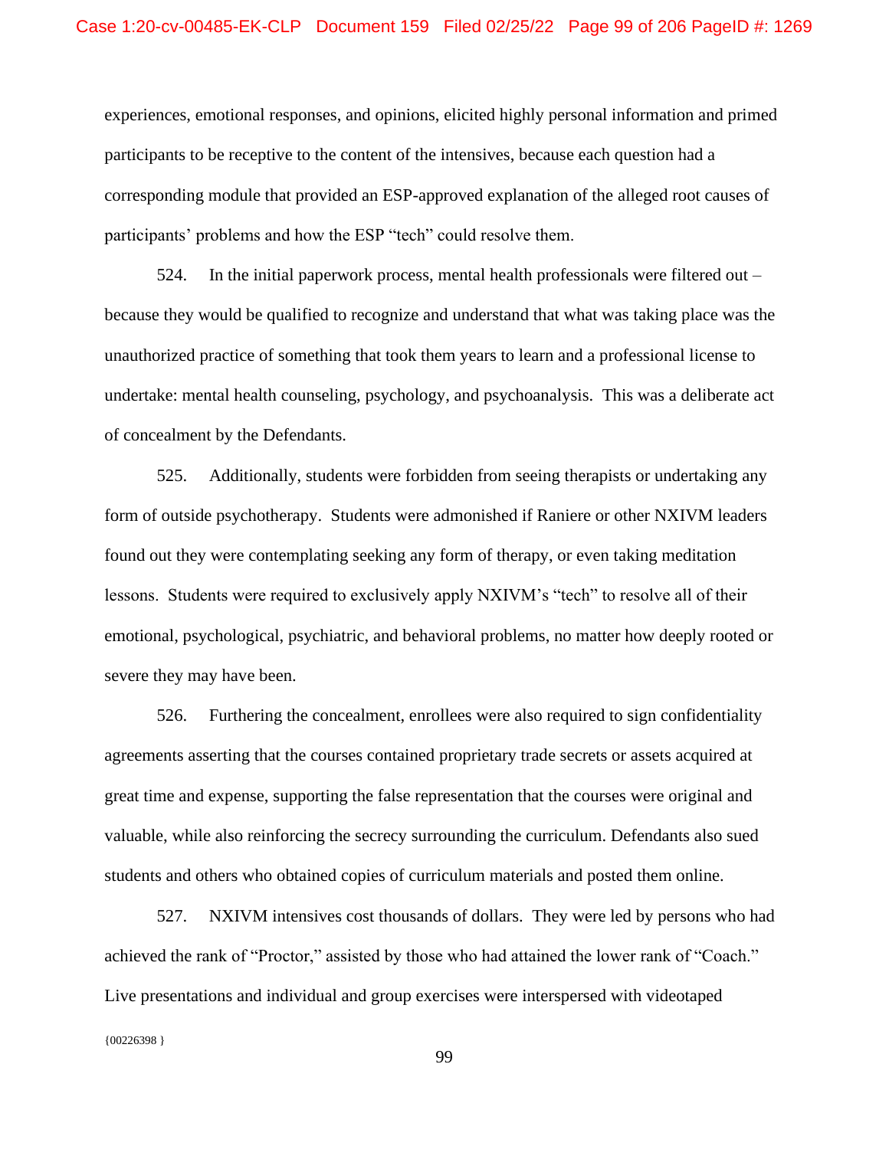experiences, emotional responses, and opinions, elicited highly personal information and primed participants to be receptive to the content of the intensives, because each question had a corresponding module that provided an ESP-approved explanation of the alleged root causes of participants' problems and how the ESP "tech" could resolve them.

524. In the initial paperwork process, mental health professionals were filtered out – because they would be qualified to recognize and understand that what was taking place was the unauthorized practice of something that took them years to learn and a professional license to undertake: mental health counseling, psychology, and psychoanalysis. This was a deliberate act of concealment by the Defendants.

525. Additionally, students were forbidden from seeing therapists or undertaking any form of outside psychotherapy. Students were admonished if Raniere or other NXIVM leaders found out they were contemplating seeking any form of therapy, or even taking meditation lessons. Students were required to exclusively apply NXIVM's "tech" to resolve all of their emotional, psychological, psychiatric, and behavioral problems, no matter how deeply rooted or severe they may have been.

526. Furthering the concealment, enrollees were also required to sign confidentiality agreements asserting that the courses contained proprietary trade secrets or assets acquired at great time and expense, supporting the false representation that the courses were original and valuable, while also reinforcing the secrecy surrounding the curriculum. Defendants also sued students and others who obtained copies of curriculum materials and posted them online.

527. NXIVM intensives cost thousands of dollars. They were led by persons who had achieved the rank of "Proctor," assisted by those who had attained the lower rank of "Coach." Live presentations and individual and group exercises were interspersed with videotaped

 ${00226398}$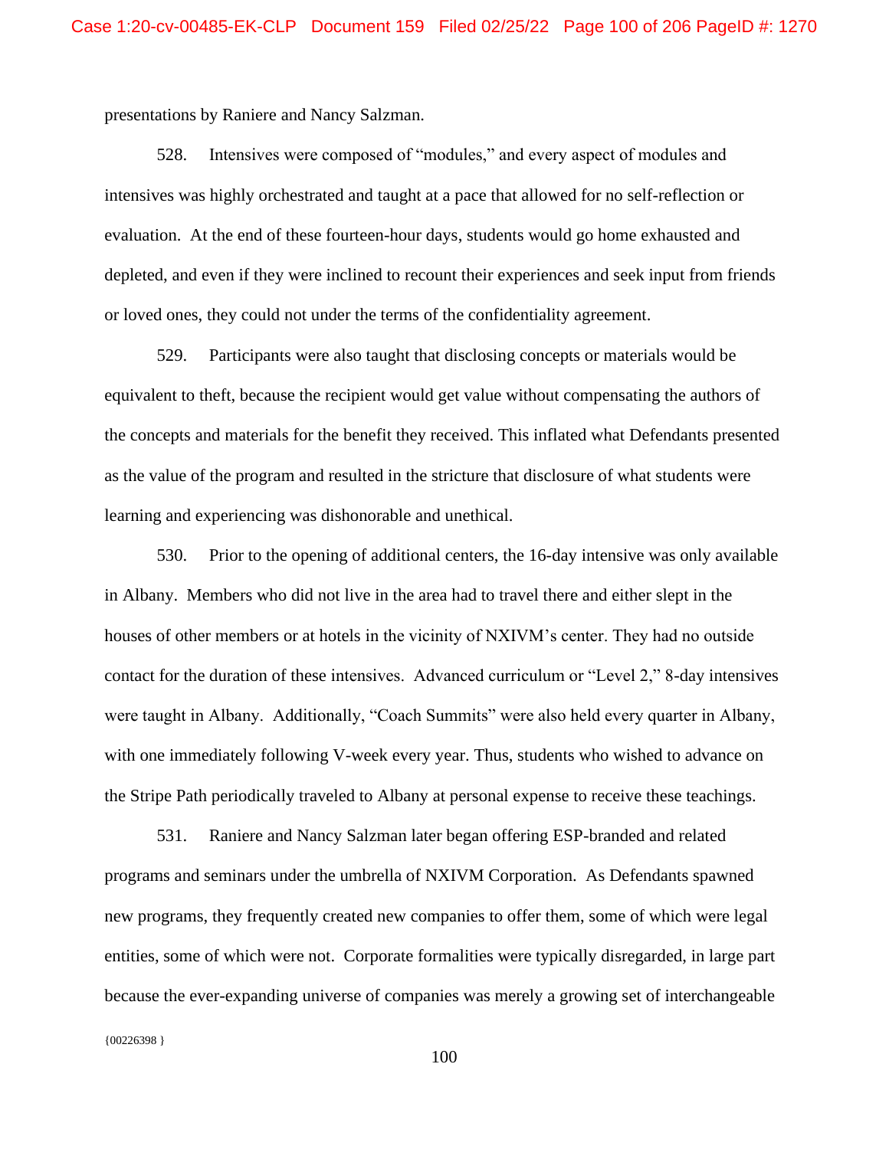presentations by Raniere and Nancy Salzman.

528. Intensives were composed of "modules," and every aspect of modules and intensives was highly orchestrated and taught at a pace that allowed for no self-reflection or evaluation. At the end of these fourteen-hour days, students would go home exhausted and depleted, and even if they were inclined to recount their experiences and seek input from friends or loved ones, they could not under the terms of the confidentiality agreement.

529. Participants were also taught that disclosing concepts or materials would be equivalent to theft, because the recipient would get value without compensating the authors of the concepts and materials for the benefit they received. This inflated what Defendants presented as the value of the program and resulted in the stricture that disclosure of what students were learning and experiencing was dishonorable and unethical.

530. Prior to the opening of additional centers, the 16-day intensive was only available in Albany. Members who did not live in the area had to travel there and either slept in the houses of other members or at hotels in the vicinity of NXIVM's center. They had no outside contact for the duration of these intensives. Advanced curriculum or "Level 2," 8-day intensives were taught in Albany. Additionally, "Coach Summits" were also held every quarter in Albany, with one immediately following V-week every year. Thus, students who wished to advance on the Stripe Path periodically traveled to Albany at personal expense to receive these teachings.

{00226398 } 531. Raniere and Nancy Salzman later began offering ESP-branded and related programs and seminars under the umbrella of NXIVM Corporation. As Defendants spawned new programs, they frequently created new companies to offer them, some of which were legal entities, some of which were not. Corporate formalities were typically disregarded, in large part because the ever-expanding universe of companies was merely a growing set of interchangeable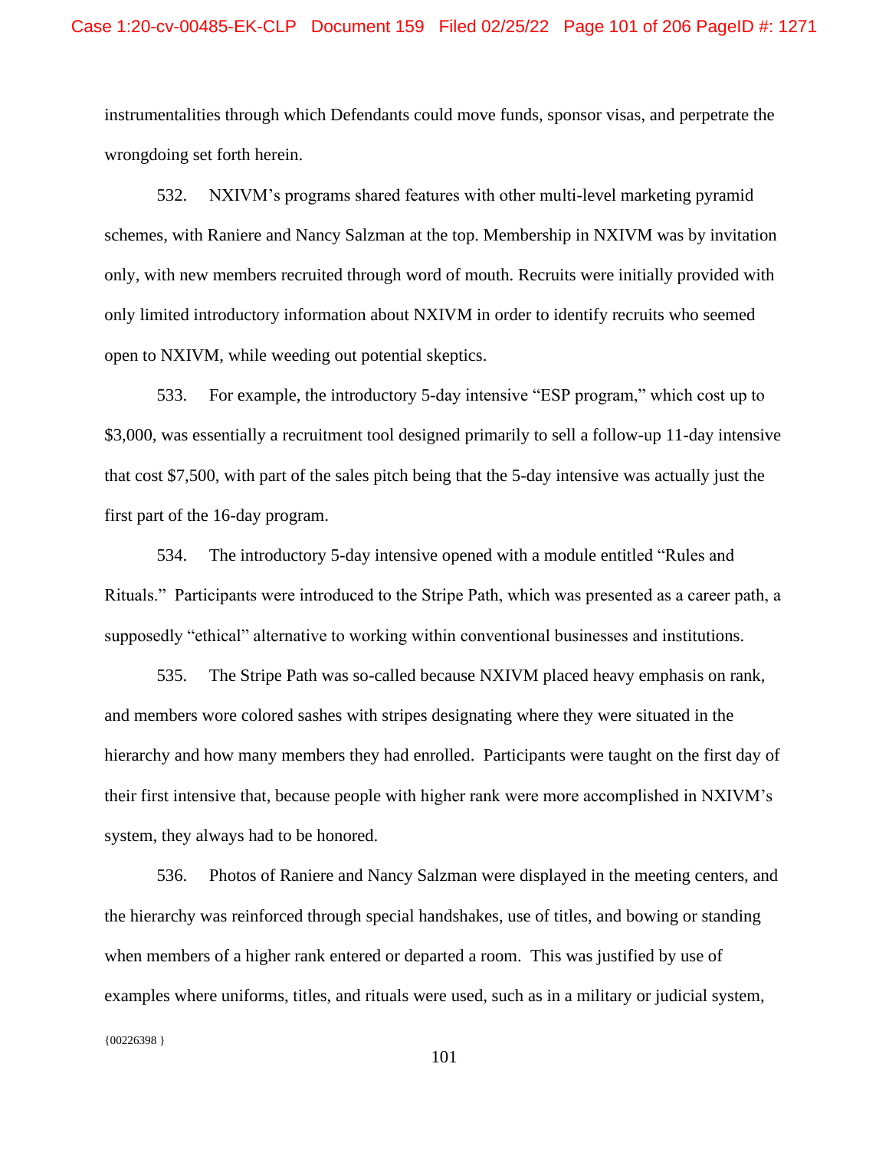instrumentalities through which Defendants could move funds, sponsor visas, and perpetrate the wrongdoing set forth herein.

532. NXIVM's programs shared features with other multi-level marketing pyramid schemes, with Raniere and Nancy Salzman at the top. Membership in NXIVM was by invitation only, with new members recruited through word of mouth. Recruits were initially provided with only limited introductory information about NXIVM in order to identify recruits who seemed open to NXIVM, while weeding out potential skeptics.

533. For example, the introductory 5-day intensive "ESP program," which cost up to \$3,000, was essentially a recruitment tool designed primarily to sell a follow-up 11-day intensive that cost \$7,500, with part of the sales pitch being that the 5-day intensive was actually just the first part of the 16-day program.

534. The introductory 5-day intensive opened with a module entitled "Rules and Rituals." Participants were introduced to the Stripe Path, which was presented as a career path, a supposedly "ethical" alternative to working within conventional businesses and institutions.

535. The Stripe Path was so-called because NXIVM placed heavy emphasis on rank, and members wore colored sashes with stripes designating where they were situated in the hierarchy and how many members they had enrolled. Participants were taught on the first day of their first intensive that, because people with higher rank were more accomplished in NXIVM's system, they always had to be honored.

536. Photos of Raniere and Nancy Salzman were displayed in the meeting centers, and the hierarchy was reinforced through special handshakes, use of titles, and bowing or standing when members of a higher rank entered or departed a room. This was justified by use of examples where uniforms, titles, and rituals were used, such as in a military or judicial system,

 ${00226398}$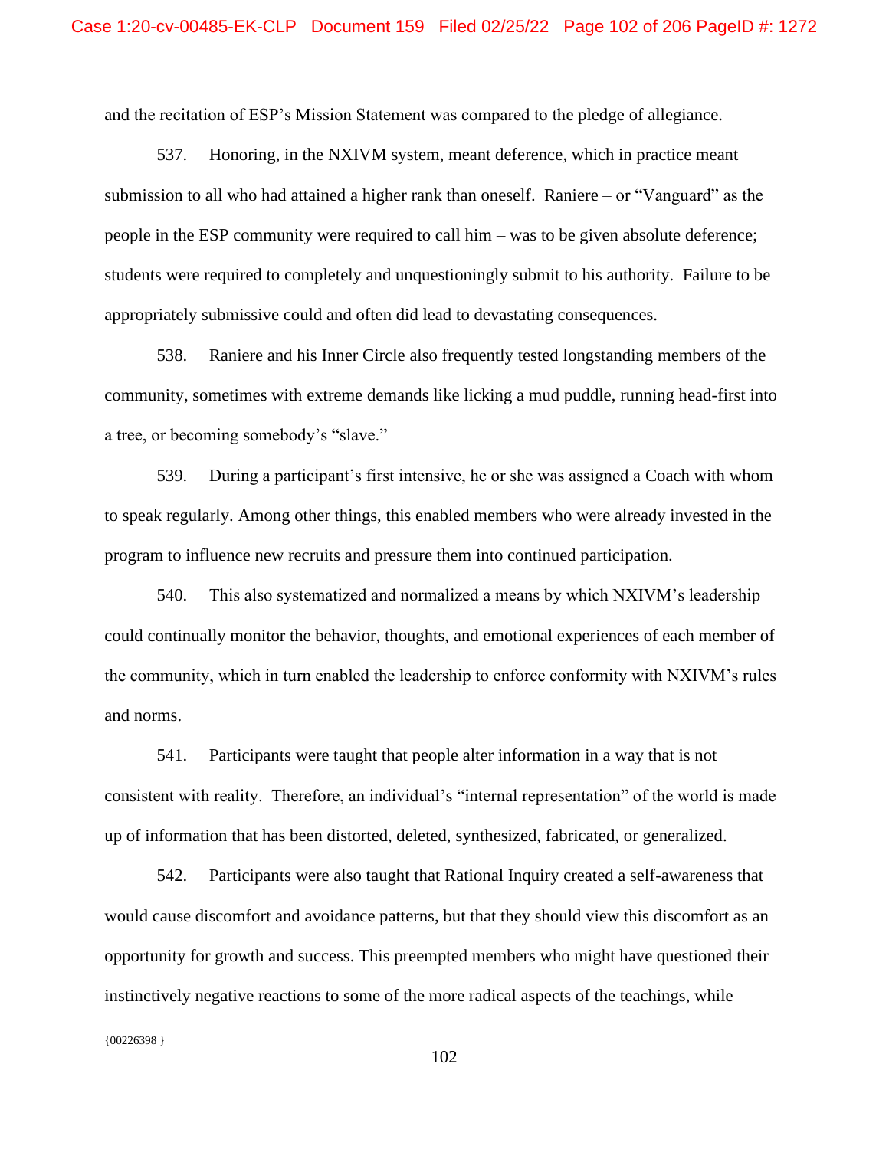and the recitation of ESP's Mission Statement was compared to the pledge of allegiance.

537. Honoring, in the NXIVM system, meant deference, which in practice meant submission to all who had attained a higher rank than oneself. Raniere – or "Vanguard" as the people in the ESP community were required to call him – was to be given absolute deference; students were required to completely and unquestioningly submit to his authority. Failure to be appropriately submissive could and often did lead to devastating consequences.

538. Raniere and his Inner Circle also frequently tested longstanding members of the community, sometimes with extreme demands like licking a mud puddle, running head-first into a tree, or becoming somebody's "slave."

539. During a participant's first intensive, he or she was assigned a Coach with whom to speak regularly. Among other things, this enabled members who were already invested in the program to influence new recruits and pressure them into continued participation.

540. This also systematized and normalized a means by which NXIVM's leadership could continually monitor the behavior, thoughts, and emotional experiences of each member of the community, which in turn enabled the leadership to enforce conformity with NXIVM's rules and norms.

541. Participants were taught that people alter information in a way that is not consistent with reality. Therefore, an individual's "internal representation" of the world is made up of information that has been distorted, deleted, synthesized, fabricated, or generalized.

542. Participants were also taught that Rational Inquiry created a self-awareness that would cause discomfort and avoidance patterns, but that they should view this discomfort as an opportunity for growth and success. This preempted members who might have questioned their instinctively negative reactions to some of the more radical aspects of the teachings, while

{00226398 }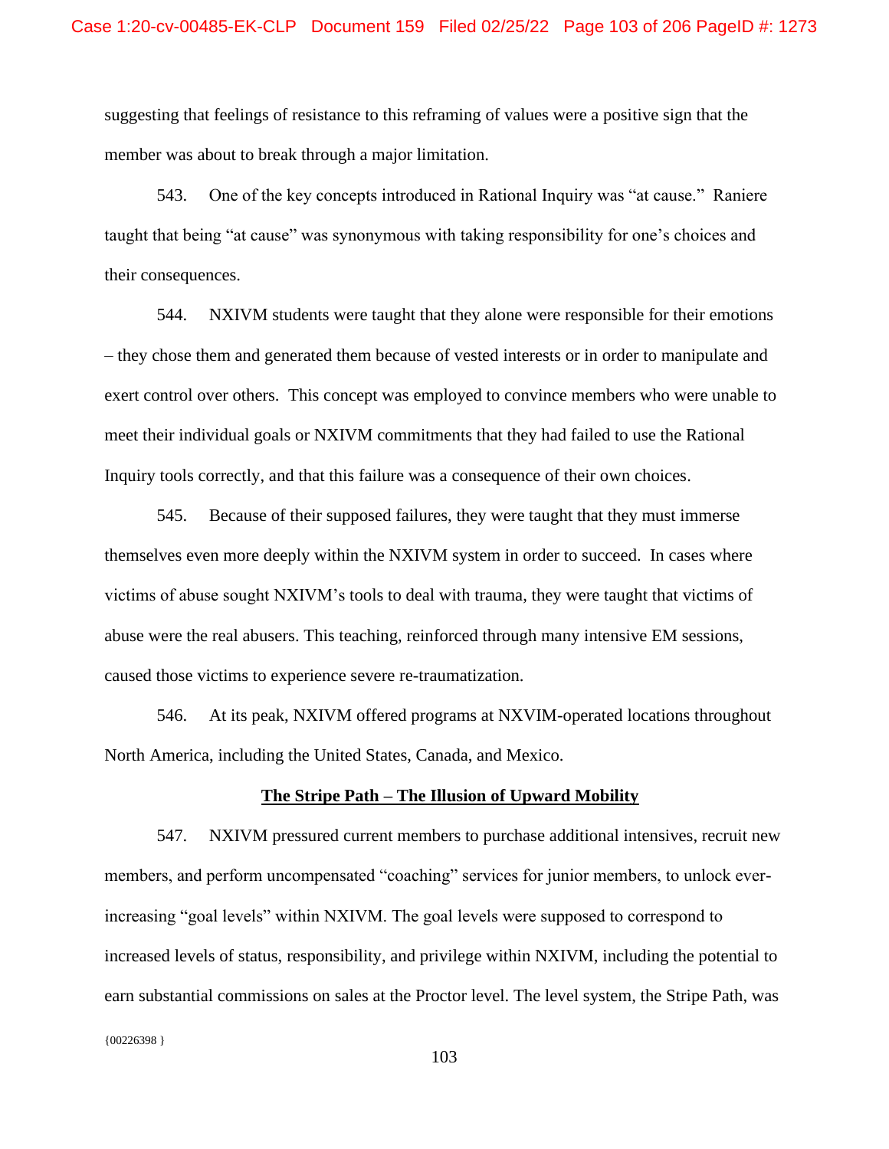suggesting that feelings of resistance to this reframing of values were a positive sign that the member was about to break through a major limitation.

543. One of the key concepts introduced in Rational Inquiry was "at cause." Raniere taught that being "at cause" was synonymous with taking responsibility for one's choices and their consequences.

544. NXIVM students were taught that they alone were responsible for their emotions – they chose them and generated them because of vested interests or in order to manipulate and exert control over others. This concept was employed to convince members who were unable to meet their individual goals or NXIVM commitments that they had failed to use the Rational Inquiry tools correctly, and that this failure was a consequence of their own choices.

545. Because of their supposed failures, they were taught that they must immerse themselves even more deeply within the NXIVM system in order to succeed. In cases where victims of abuse sought NXIVM's tools to deal with trauma, they were taught that victims of abuse were the real abusers. This teaching, reinforced through many intensive EM sessions, caused those victims to experience severe re-traumatization.

546. At its peak, NXIVM offered programs at NXVIM-operated locations throughout North America, including the United States, Canada, and Mexico.

# **The Stripe Path – The Illusion of Upward Mobility**

{00226398 } 547. NXIVM pressured current members to purchase additional intensives, recruit new members, and perform uncompensated "coaching" services for junior members, to unlock everincreasing "goal levels" within NXIVM. The goal levels were supposed to correspond to increased levels of status, responsibility, and privilege within NXIVM, including the potential to earn substantial commissions on sales at the Proctor level. The level system, the Stripe Path, was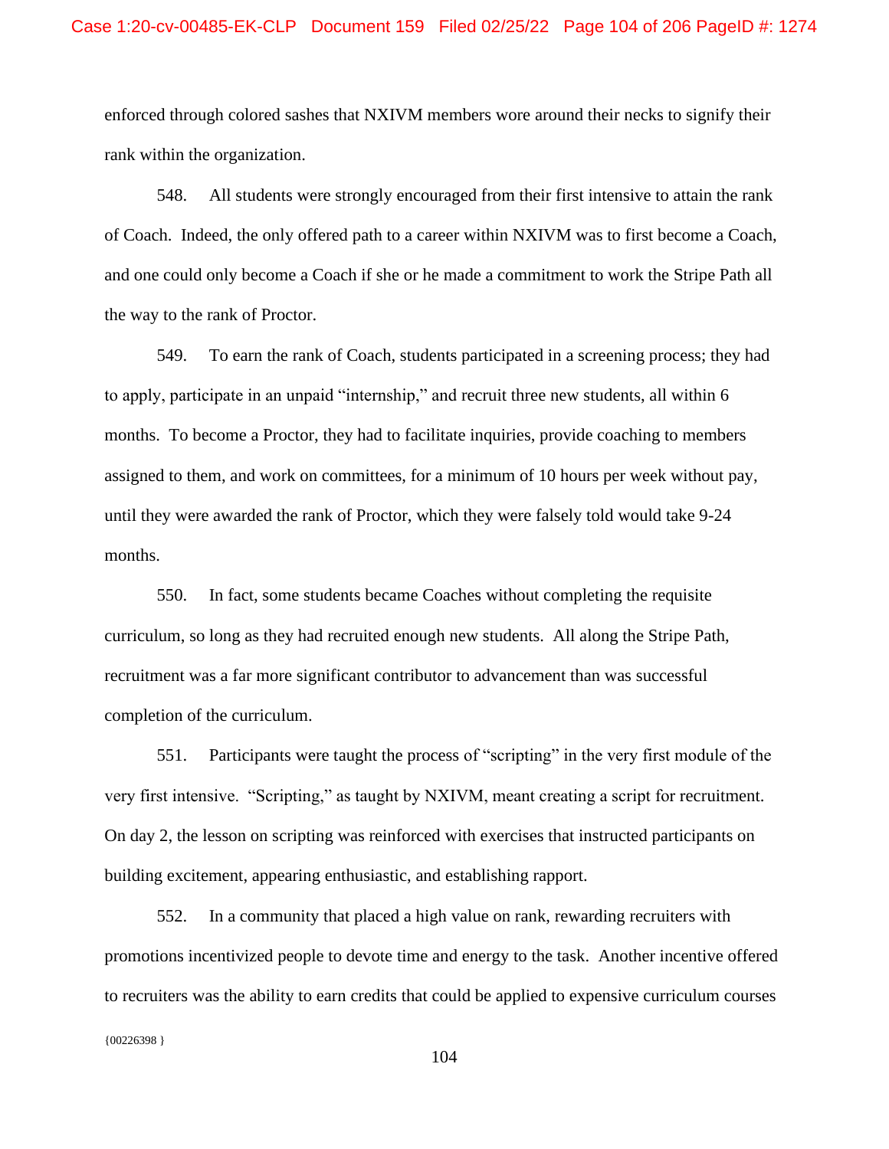enforced through colored sashes that NXIVM members wore around their necks to signify their rank within the organization.

548. All students were strongly encouraged from their first intensive to attain the rank of Coach. Indeed, the only offered path to a career within NXIVM was to first become a Coach, and one could only become a Coach if she or he made a commitment to work the Stripe Path all the way to the rank of Proctor.

549. To earn the rank of Coach, students participated in a screening process; they had to apply, participate in an unpaid "internship," and recruit three new students, all within 6 months. To become a Proctor, they had to facilitate inquiries, provide coaching to members assigned to them, and work on committees, for a minimum of 10 hours per week without pay, until they were awarded the rank of Proctor, which they were falsely told would take 9-24 months.

550. In fact, some students became Coaches without completing the requisite curriculum, so long as they had recruited enough new students. All along the Stripe Path, recruitment was a far more significant contributor to advancement than was successful completion of the curriculum.

551. Participants were taught the process of "scripting" in the very first module of the very first intensive. "Scripting," as taught by NXIVM, meant creating a script for recruitment. On day 2, the lesson on scripting was reinforced with exercises that instructed participants on building excitement, appearing enthusiastic, and establishing rapport.

 ${00226398}$ 552. In a community that placed a high value on rank, rewarding recruiters with promotions incentivized people to devote time and energy to the task. Another incentive offered to recruiters was the ability to earn credits that could be applied to expensive curriculum courses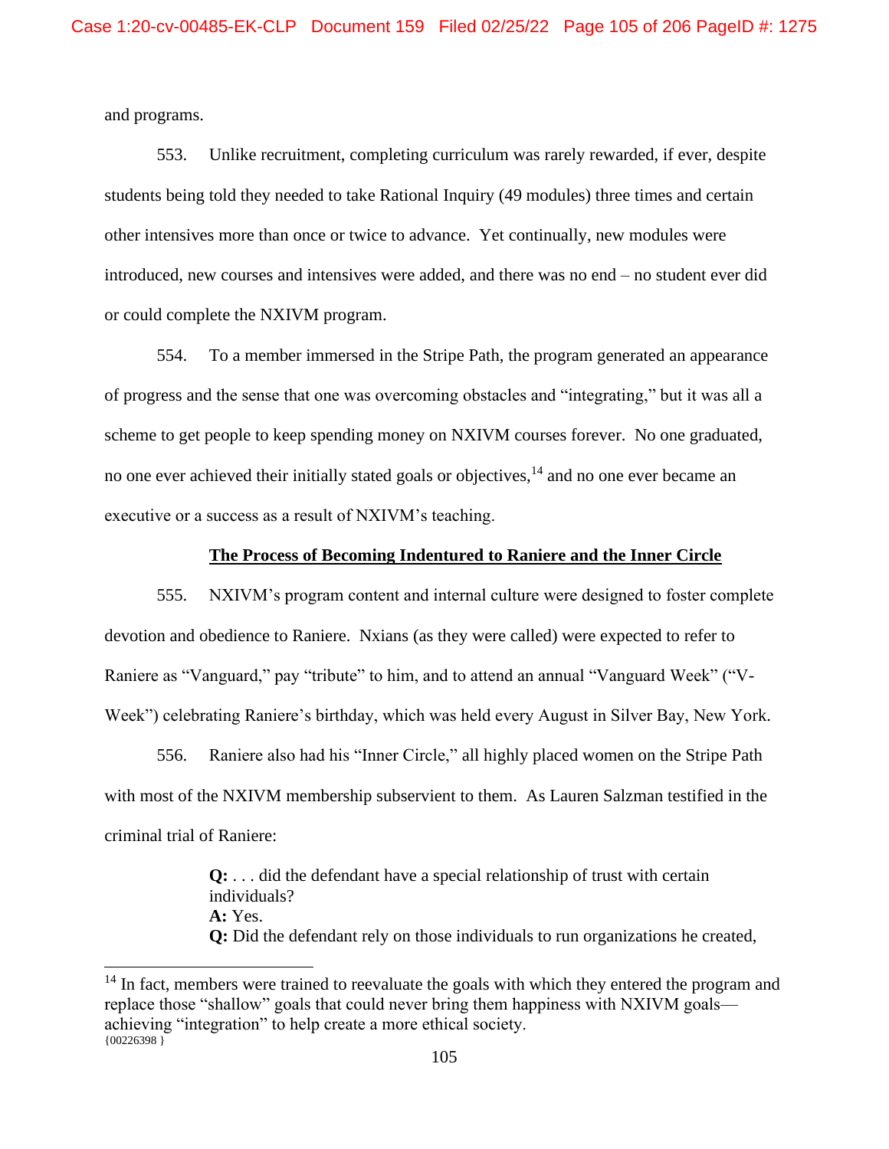and programs.

553. Unlike recruitment, completing curriculum was rarely rewarded, if ever, despite students being told they needed to take Rational Inquiry (49 modules) three times and certain other intensives more than once or twice to advance. Yet continually, new modules were introduced, new courses and intensives were added, and there was no end – no student ever did or could complete the NXIVM program.

554. To a member immersed in the Stripe Path, the program generated an appearance of progress and the sense that one was overcoming obstacles and "integrating," but it was all a scheme to get people to keep spending money on NXIVM courses forever. No one graduated, no one ever achieved their initially stated goals or objectives,  $14$  and no one ever became an executive or a success as a result of NXIVM's teaching.

# **The Process of Becoming Indentured to Raniere and the Inner Circle**

555. NXIVM's program content and internal culture were designed to foster complete devotion and obedience to Raniere. Nxians (as they were called) were expected to refer to Raniere as "Vanguard," pay "tribute" to him, and to attend an annual "Vanguard Week" ("V-Week") celebrating Raniere's birthday, which was held every August in Silver Bay, New York.

556. Raniere also had his "Inner Circle," all highly placed women on the Stripe Path with most of the NXIVM membership subservient to them. As Lauren Salzman testified in the criminal trial of Raniere:

> **Q:** . . . did the defendant have a special relationship of trust with certain individuals? **A:** Yes. **Q:** Did the defendant rely on those individuals to run organizations he created,

 ${00226398}$  $14$  In fact, members were trained to reevaluate the goals with which they entered the program and replace those "shallow" goals that could never bring them happiness with NXIVM goals achieving "integration" to help create a more ethical society.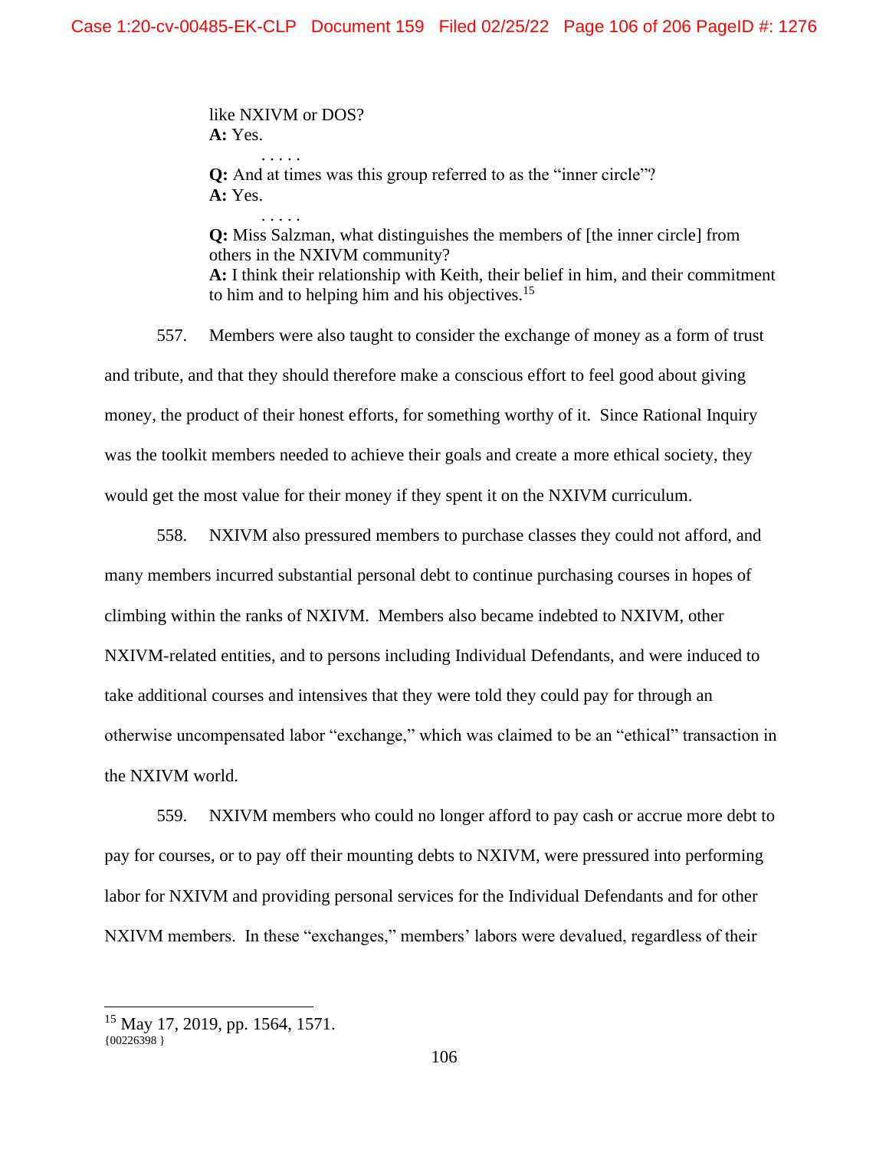like NXIVM or DOS? **A:** Yes. . . . . .

**Q:** And at times was this group referred to as the "inner circle"? **A:** Yes.

. . . . . **Q:** Miss Salzman, what distinguishes the members of [the inner circle] from others in the NXIVM community? **A:** I think their relationship with Keith, their belief in him, and their commitment to him and to helping him and his objectives.<sup>15</sup>

557. Members were also taught to consider the exchange of money as a form of trust and tribute, and that they should therefore make a conscious effort to feel good about giving money, the product of their honest efforts, for something worthy of it. Since Rational Inquiry was the toolkit members needed to achieve their goals and create a more ethical society, they would get the most value for their money if they spent it on the NXIVM curriculum.

558. NXIVM also pressured members to purchase classes they could not afford, and many members incurred substantial personal debt to continue purchasing courses in hopes of climbing within the ranks of NXIVM. Members also became indebted to NXIVM, other NXIVM-related entities, and to persons including Individual Defendants, and were induced to take additional courses and intensives that they were told they could pay for through an otherwise uncompensated labor "exchange," which was claimed to be an "ethical" transaction in the NXIVM world.

559. NXIVM members who could no longer afford to pay cash or accrue more debt to pay for courses, or to pay off their mounting debts to NXIVM, were pressured into performing labor for NXIVM and providing personal services for the Individual Defendants and for other NXIVM members. In these "exchanges," members' labors were devalued, regardless of their

<sup>15</sup> May 17, 2019, pp. 1564, 1571.

 ${00226398}$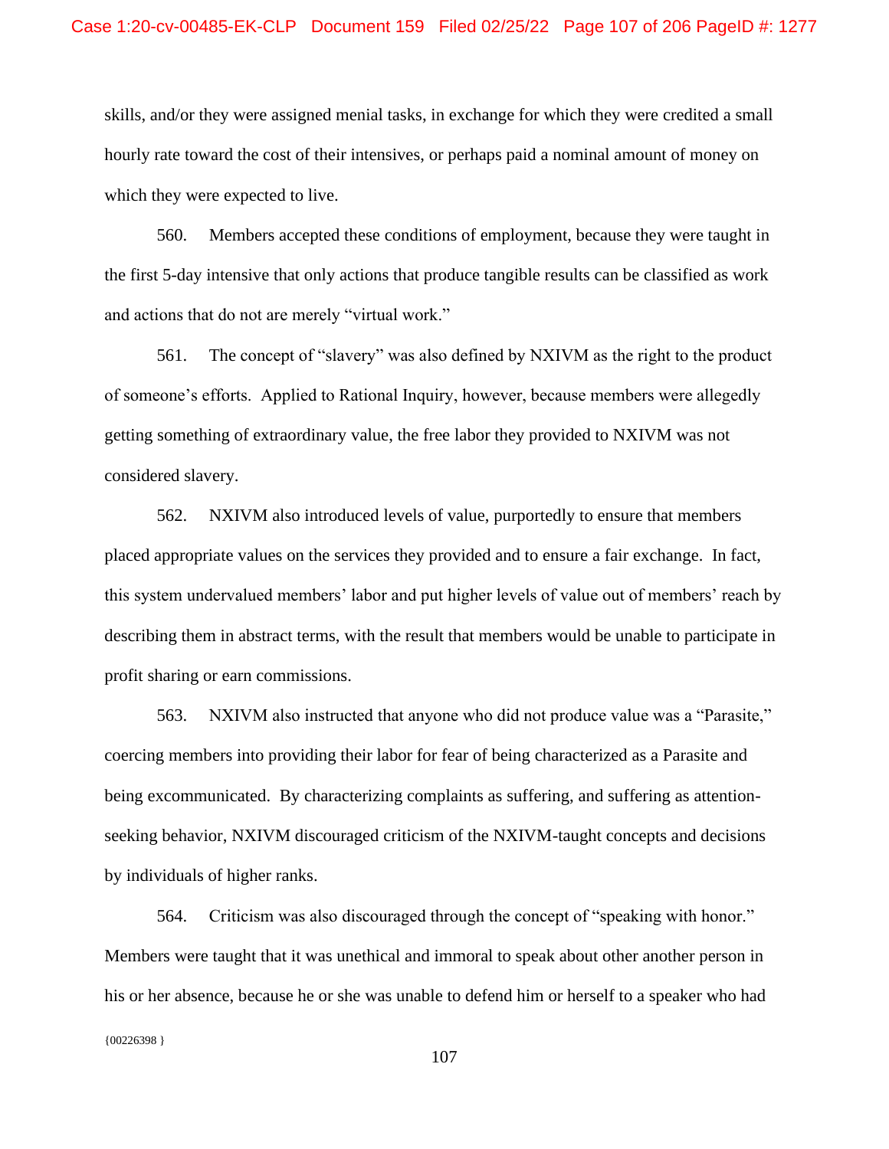skills, and/or they were assigned menial tasks, in exchange for which they were credited a small hourly rate toward the cost of their intensives, or perhaps paid a nominal amount of money on which they were expected to live.

560. Members accepted these conditions of employment, because they were taught in the first 5-day intensive that only actions that produce tangible results can be classified as work and actions that do not are merely "virtual work."

561. The concept of "slavery" was also defined by NXIVM as the right to the product of someone's efforts. Applied to Rational Inquiry, however, because members were allegedly getting something of extraordinary value, the free labor they provided to NXIVM was not considered slavery.

562. NXIVM also introduced levels of value, purportedly to ensure that members placed appropriate values on the services they provided and to ensure a fair exchange. In fact, this system undervalued members' labor and put higher levels of value out of members' reach by describing them in abstract terms, with the result that members would be unable to participate in profit sharing or earn commissions.

563. NXIVM also instructed that anyone who did not produce value was a "Parasite," coercing members into providing their labor for fear of being characterized as a Parasite and being excommunicated. By characterizing complaints as suffering, and suffering as attentionseeking behavior, NXIVM discouraged criticism of the NXIVM-taught concepts and decisions by individuals of higher ranks.

{00226398 } 564. Criticism was also discouraged through the concept of "speaking with honor." Members were taught that it was unethical and immoral to speak about other another person in his or her absence, because he or she was unable to defend him or herself to a speaker who had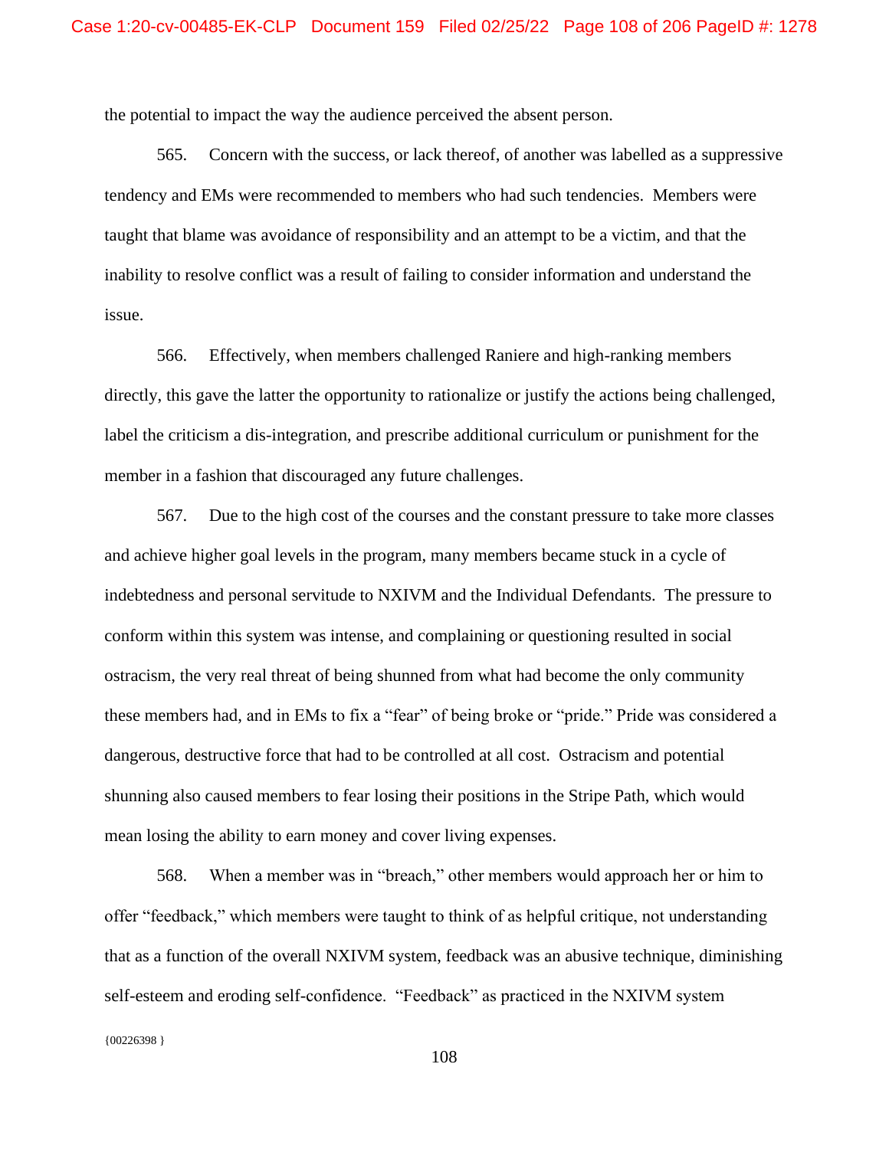the potential to impact the way the audience perceived the absent person.

565. Concern with the success, or lack thereof, of another was labelled as a suppressive tendency and EMs were recommended to members who had such tendencies. Members were taught that blame was avoidance of responsibility and an attempt to be a victim, and that the inability to resolve conflict was a result of failing to consider information and understand the issue.

566. Effectively, when members challenged Raniere and high-ranking members directly, this gave the latter the opportunity to rationalize or justify the actions being challenged, label the criticism a dis-integration, and prescribe additional curriculum or punishment for the member in a fashion that discouraged any future challenges.

567. Due to the high cost of the courses and the constant pressure to take more classes and achieve higher goal levels in the program, many members became stuck in a cycle of indebtedness and personal servitude to NXIVM and the Individual Defendants. The pressure to conform within this system was intense, and complaining or questioning resulted in social ostracism, the very real threat of being shunned from what had become the only community these members had, and in EMs to fix a "fear" of being broke or "pride." Pride was considered a dangerous, destructive force that had to be controlled at all cost. Ostracism and potential shunning also caused members to fear losing their positions in the Stripe Path, which would mean losing the ability to earn money and cover living expenses.

568. When a member was in "breach," other members would approach her or him to offer "feedback," which members were taught to think of as helpful critique, not understanding that as a function of the overall NXIVM system, feedback was an abusive technique, diminishing self-esteem and eroding self-confidence. "Feedback" as practiced in the NXIVM system

{00226398 }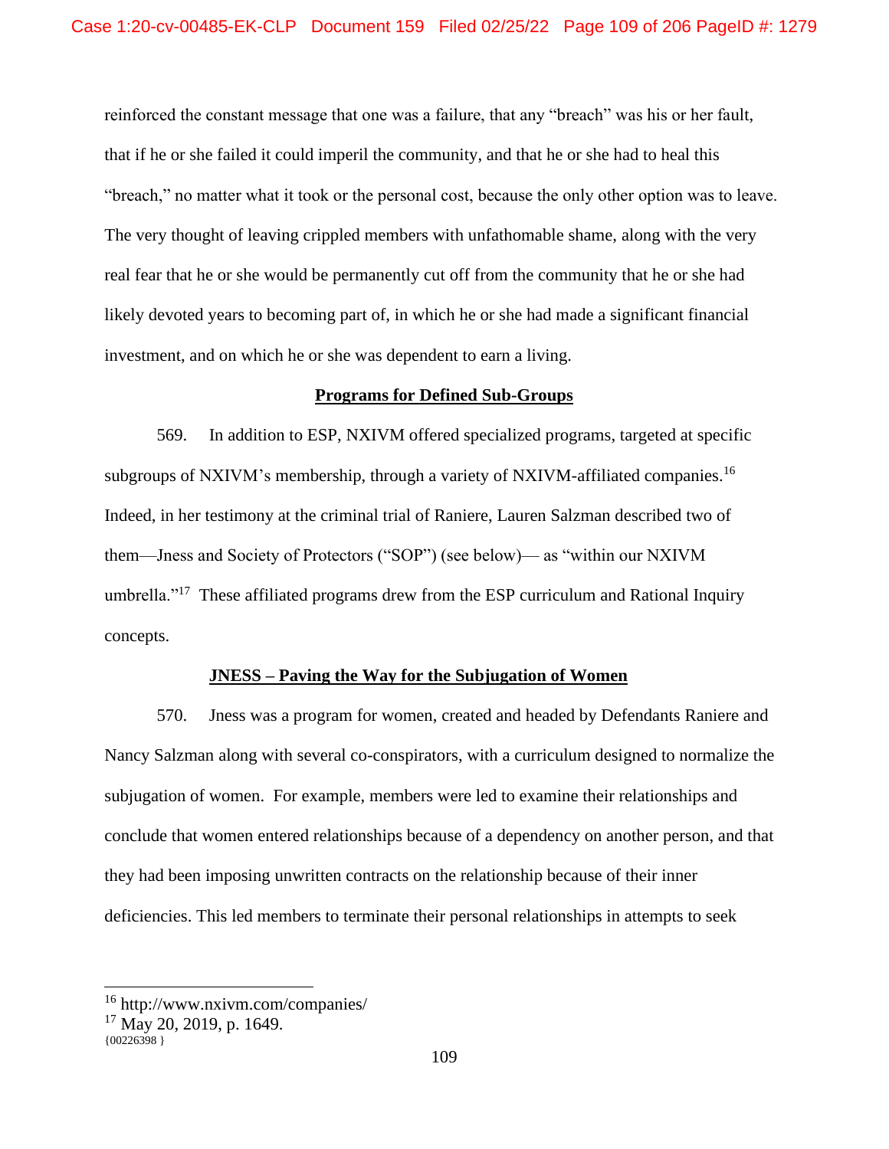reinforced the constant message that one was a failure, that any "breach" was his or her fault, that if he or she failed it could imperil the community, and that he or she had to heal this "breach," no matter what it took or the personal cost, because the only other option was to leave. The very thought of leaving crippled members with unfathomable shame, along with the very real fear that he or she would be permanently cut off from the community that he or she had likely devoted years to becoming part of, in which he or she had made a significant financial investment, and on which he or she was dependent to earn a living.

## **Programs for Defined Sub-Groups**

569. In addition to ESP, NXIVM offered specialized programs, targeted at specific subgroups of NXIVM's membership, through a variety of NXIVM-affiliated companies.<sup>16</sup> Indeed, in her testimony at the criminal trial of Raniere, Lauren Salzman described two of them—Jness and Society of Protectors ("SOP") (see below)— as "within our NXIVM umbrella."<sup>17</sup> These affiliated programs drew from the ESP curriculum and Rational Inquiry concepts.

## **JNESS – Paving the Way for the Subjugation of Women**

570. Jness was a program for women, created and headed by Defendants Raniere and Nancy Salzman along with several co-conspirators, with a curriculum designed to normalize the subjugation of women. For example, members were led to examine their relationships and conclude that women entered relationships because of a dependency on another person, and that they had been imposing unwritten contracts on the relationship because of their inner deficiencies. This led members to terminate their personal relationships in attempts to seek

<sup>16</sup> http://www.nxivm.com/companies/

 $17$  May 20, 2019, p. 1649.

 ${00226398}$  }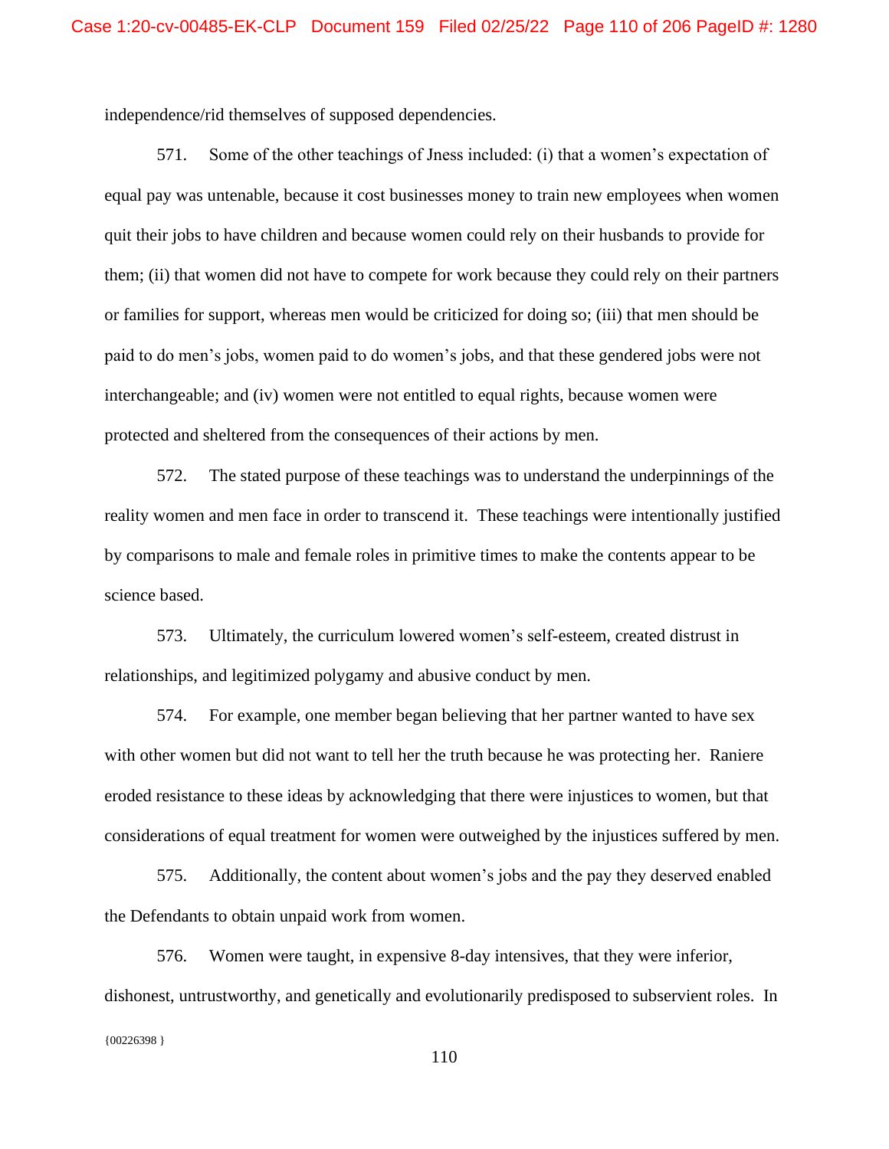independence/rid themselves of supposed dependencies.

571. Some of the other teachings of Jness included: (i) that a women's expectation of equal pay was untenable, because it cost businesses money to train new employees when women quit their jobs to have children and because women could rely on their husbands to provide for them; (ii) that women did not have to compete for work because they could rely on their partners or families for support, whereas men would be criticized for doing so; (iii) that men should be paid to do men's jobs, women paid to do women's jobs, and that these gendered jobs were not interchangeable; and (iv) women were not entitled to equal rights, because women were protected and sheltered from the consequences of their actions by men.

572. The stated purpose of these teachings was to understand the underpinnings of the reality women and men face in order to transcend it. These teachings were intentionally justified by comparisons to male and female roles in primitive times to make the contents appear to be science based.

573. Ultimately, the curriculum lowered women's self-esteem, created distrust in relationships, and legitimized polygamy and abusive conduct by men.

574. For example, one member began believing that her partner wanted to have sex with other women but did not want to tell her the truth because he was protecting her. Raniere eroded resistance to these ideas by acknowledging that there were injustices to women, but that considerations of equal treatment for women were outweighed by the injustices suffered by men.

575. Additionally, the content about women's jobs and the pay they deserved enabled the Defendants to obtain unpaid work from women.

{00226398 } 576. Women were taught, in expensive 8-day intensives, that they were inferior, dishonest, untrustworthy, and genetically and evolutionarily predisposed to subservient roles. In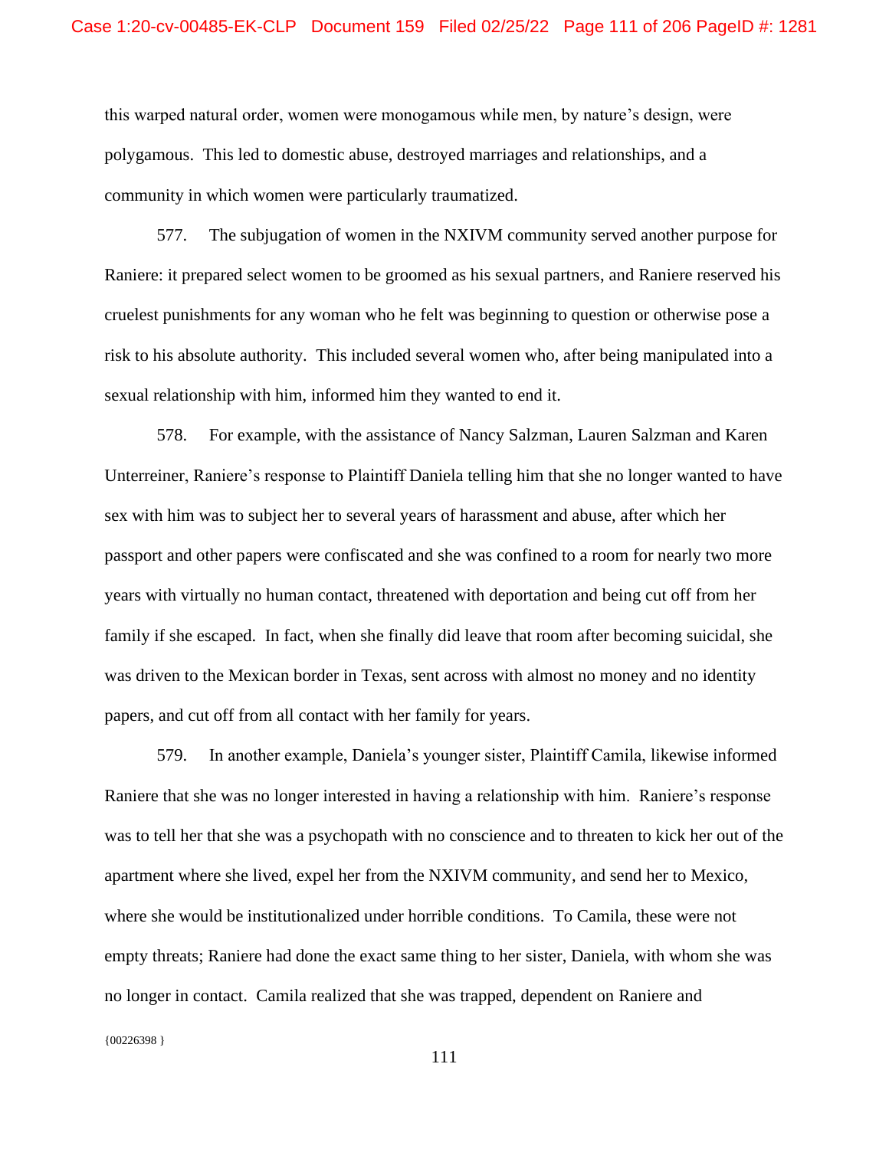this warped natural order, women were monogamous while men, by nature's design, were polygamous. This led to domestic abuse, destroyed marriages and relationships, and a community in which women were particularly traumatized.

577. The subjugation of women in the NXIVM community served another purpose for Raniere: it prepared select women to be groomed as his sexual partners, and Raniere reserved his cruelest punishments for any woman who he felt was beginning to question or otherwise pose a risk to his absolute authority. This included several women who, after being manipulated into a sexual relationship with him, informed him they wanted to end it.

578. For example, with the assistance of Nancy Salzman, Lauren Salzman and Karen Unterreiner, Raniere's response to Plaintiff Daniela telling him that she no longer wanted to have sex with him was to subject her to several years of harassment and abuse, after which her passport and other papers were confiscated and she was confined to a room for nearly two more years with virtually no human contact, threatened with deportation and being cut off from her family if she escaped. In fact, when she finally did leave that room after becoming suicidal, she was driven to the Mexican border in Texas, sent across with almost no money and no identity papers, and cut off from all contact with her family for years.

579. In another example, Daniela's younger sister, Plaintiff Camila, likewise informed Raniere that she was no longer interested in having a relationship with him. Raniere's response was to tell her that she was a psychopath with no conscience and to threaten to kick her out of the apartment where she lived, expel her from the NXIVM community, and send her to Mexico, where she would be institutionalized under horrible conditions. To Camila, these were not empty threats; Raniere had done the exact same thing to her sister, Daniela, with whom she was no longer in contact. Camila realized that she was trapped, dependent on Raniere and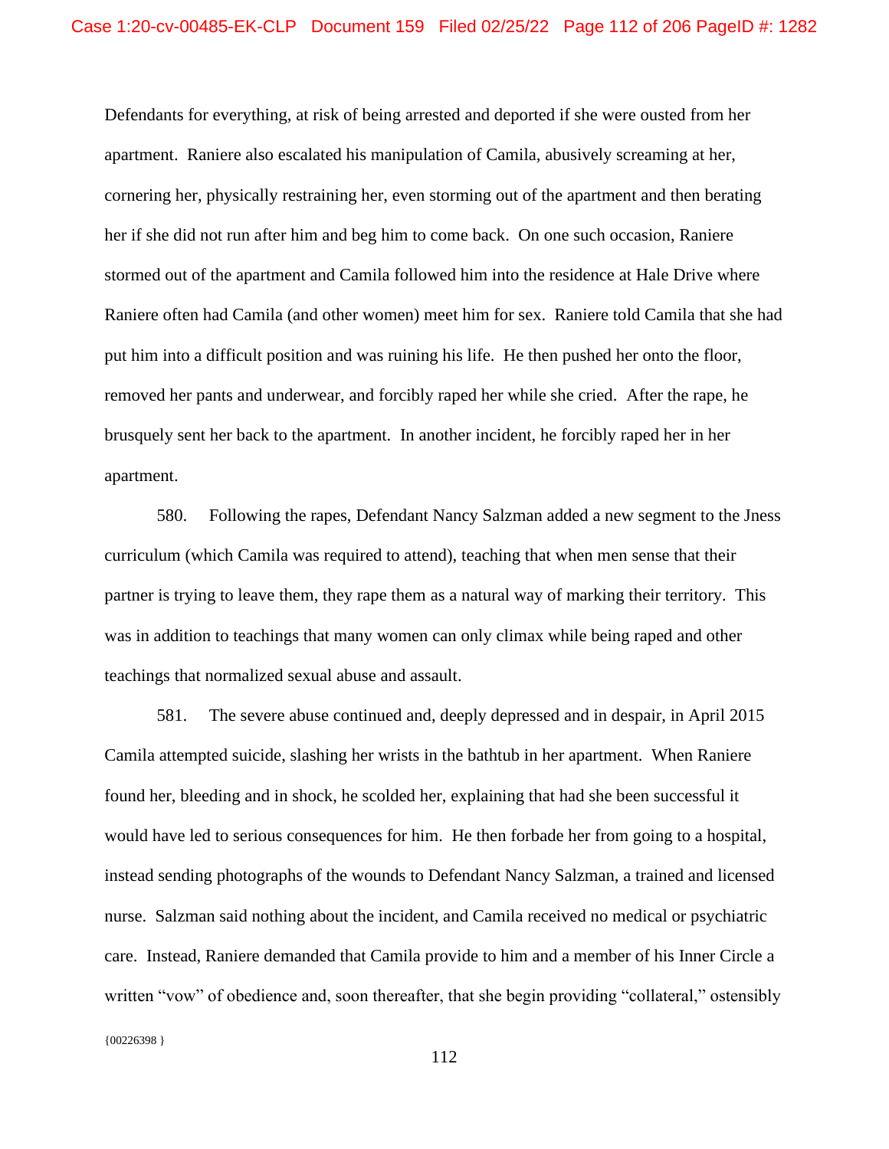Defendants for everything, at risk of being arrested and deported if she were ousted from her apartment. Raniere also escalated his manipulation of Camila, abusively screaming at her, cornering her, physically restraining her, even storming out of the apartment and then berating her if she did not run after him and beg him to come back. On one such occasion, Raniere stormed out of the apartment and Camila followed him into the residence at Hale Drive where Raniere often had Camila (and other women) meet him for sex. Raniere told Camila that she had put him into a difficult position and was ruining his life. He then pushed her onto the floor, removed her pants and underwear, and forcibly raped her while she cried. After the rape, he brusquely sent her back to the apartment. In another incident, he forcibly raped her in her apartment.

580. Following the rapes, Defendant Nancy Salzman added a new segment to the Jness curriculum (which Camila was required to attend), teaching that when men sense that their partner is trying to leave them, they rape them as a natural way of marking their territory. This was in addition to teachings that many women can only climax while being raped and other teachings that normalized sexual abuse and assault.

 ${00226398}$ 581. The severe abuse continued and, deeply depressed and in despair, in April 2015 Camila attempted suicide, slashing her wrists in the bathtub in her apartment. When Raniere found her, bleeding and in shock, he scolded her, explaining that had she been successful it would have led to serious consequences for him. He then forbade her from going to a hospital, instead sending photographs of the wounds to Defendant Nancy Salzman, a trained and licensed nurse. Salzman said nothing about the incident, and Camila received no medical or psychiatric care. Instead, Raniere demanded that Camila provide to him and a member of his Inner Circle a written "vow" of obedience and, soon thereafter, that she begin providing "collateral," ostensibly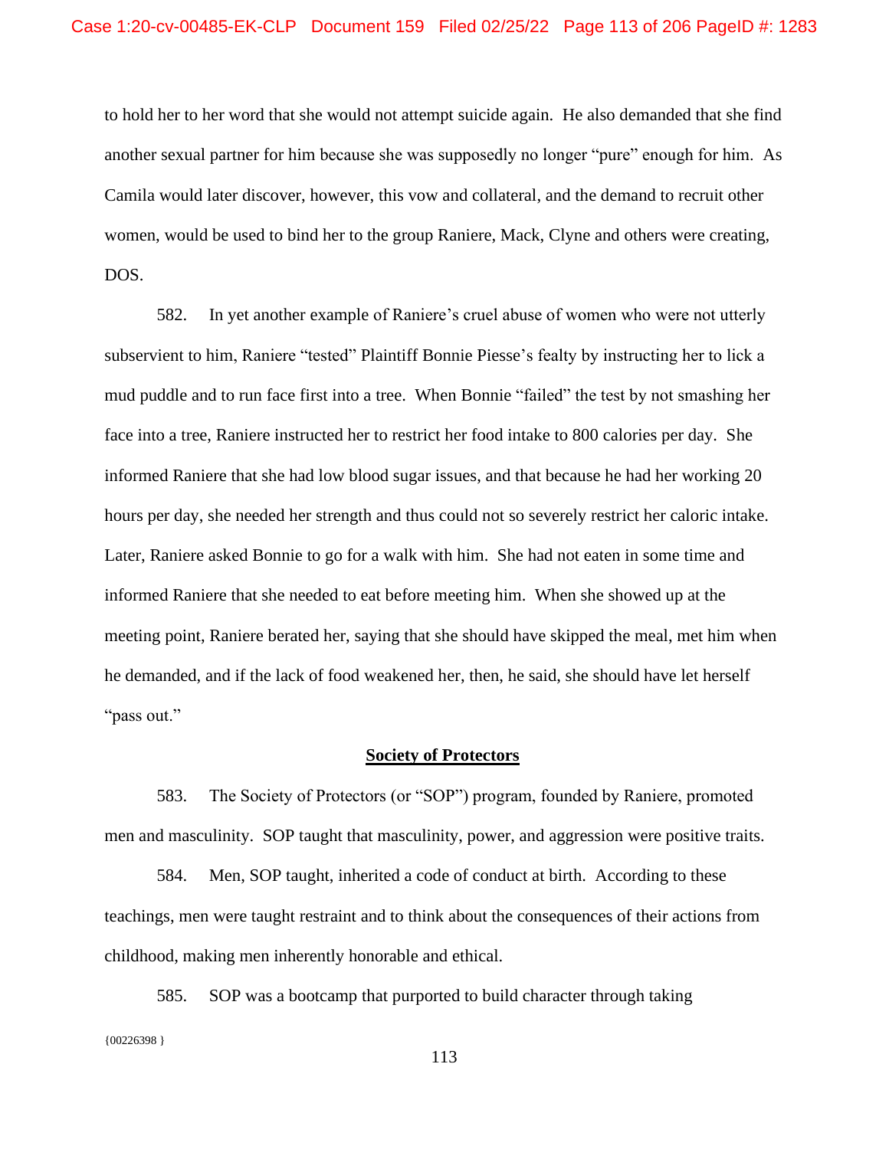to hold her to her word that she would not attempt suicide again. He also demanded that she find another sexual partner for him because she was supposedly no longer "pure" enough for him. As Camila would later discover, however, this vow and collateral, and the demand to recruit other women, would be used to bind her to the group Raniere, Mack, Clyne and others were creating, DOS.

582. In yet another example of Raniere's cruel abuse of women who were not utterly subservient to him, Raniere "tested" Plaintiff Bonnie Piesse's fealty by instructing her to lick a mud puddle and to run face first into a tree. When Bonnie "failed" the test by not smashing her face into a tree, Raniere instructed her to restrict her food intake to 800 calories per day. She informed Raniere that she had low blood sugar issues, and that because he had her working 20 hours per day, she needed her strength and thus could not so severely restrict her caloric intake. Later, Raniere asked Bonnie to go for a walk with him. She had not eaten in some time and informed Raniere that she needed to eat before meeting him. When she showed up at the meeting point, Raniere berated her, saying that she should have skipped the meal, met him when he demanded, and if the lack of food weakened her, then, he said, she should have let herself "pass out."

## **Society of Protectors**

583. The Society of Protectors (or "SOP") program, founded by Raniere, promoted men and masculinity. SOP taught that masculinity, power, and aggression were positive traits.

584. Men, SOP taught, inherited a code of conduct at birth. According to these teachings, men were taught restraint and to think about the consequences of their actions from childhood, making men inherently honorable and ethical.

{00226398 } 585. SOP was a bootcamp that purported to build character through taking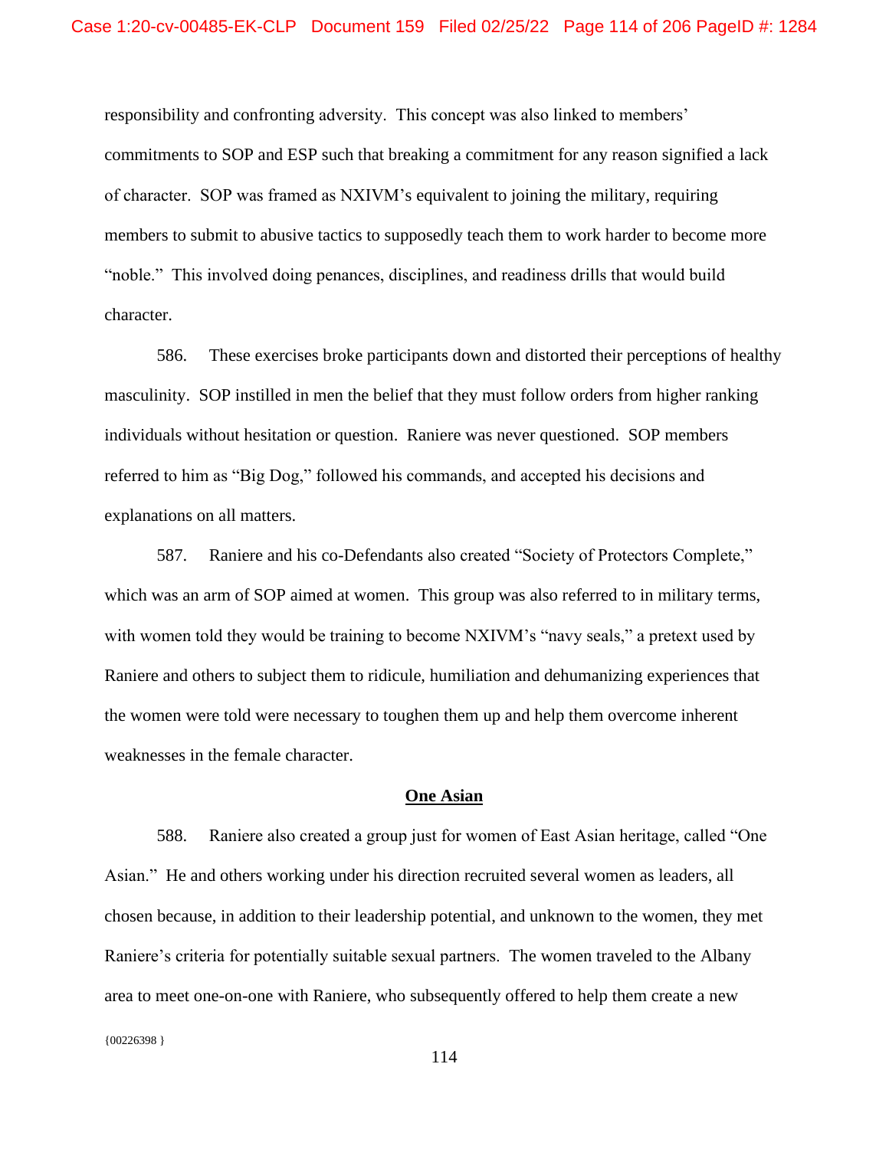responsibility and confronting adversity. This concept was also linked to members' commitments to SOP and ESP such that breaking a commitment for any reason signified a lack of character. SOP was framed as NXIVM's equivalent to joining the military, requiring members to submit to abusive tactics to supposedly teach them to work harder to become more "noble." This involved doing penances, disciplines, and readiness drills that would build character.

586. These exercises broke participants down and distorted their perceptions of healthy masculinity. SOP instilled in men the belief that they must follow orders from higher ranking individuals without hesitation or question. Raniere was never questioned. SOP members referred to him as "Big Dog," followed his commands, and accepted his decisions and explanations on all matters.

587. Raniere and his co-Defendants also created "Society of Protectors Complete," which was an arm of SOP aimed at women. This group was also referred to in military terms, with women told they would be training to become NXIVM's "navy seals," a pretext used by Raniere and others to subject them to ridicule, humiliation and dehumanizing experiences that the women were told were necessary to toughen them up and help them overcome inherent weaknesses in the female character.

### **One Asian**

588. Raniere also created a group just for women of East Asian heritage, called "One Asian." He and others working under his direction recruited several women as leaders, all chosen because, in addition to their leadership potential, and unknown to the women, they met Raniere's criteria for potentially suitable sexual partners. The women traveled to the Albany area to meet one-on-one with Raniere, who subsequently offered to help them create a new

{00226398 }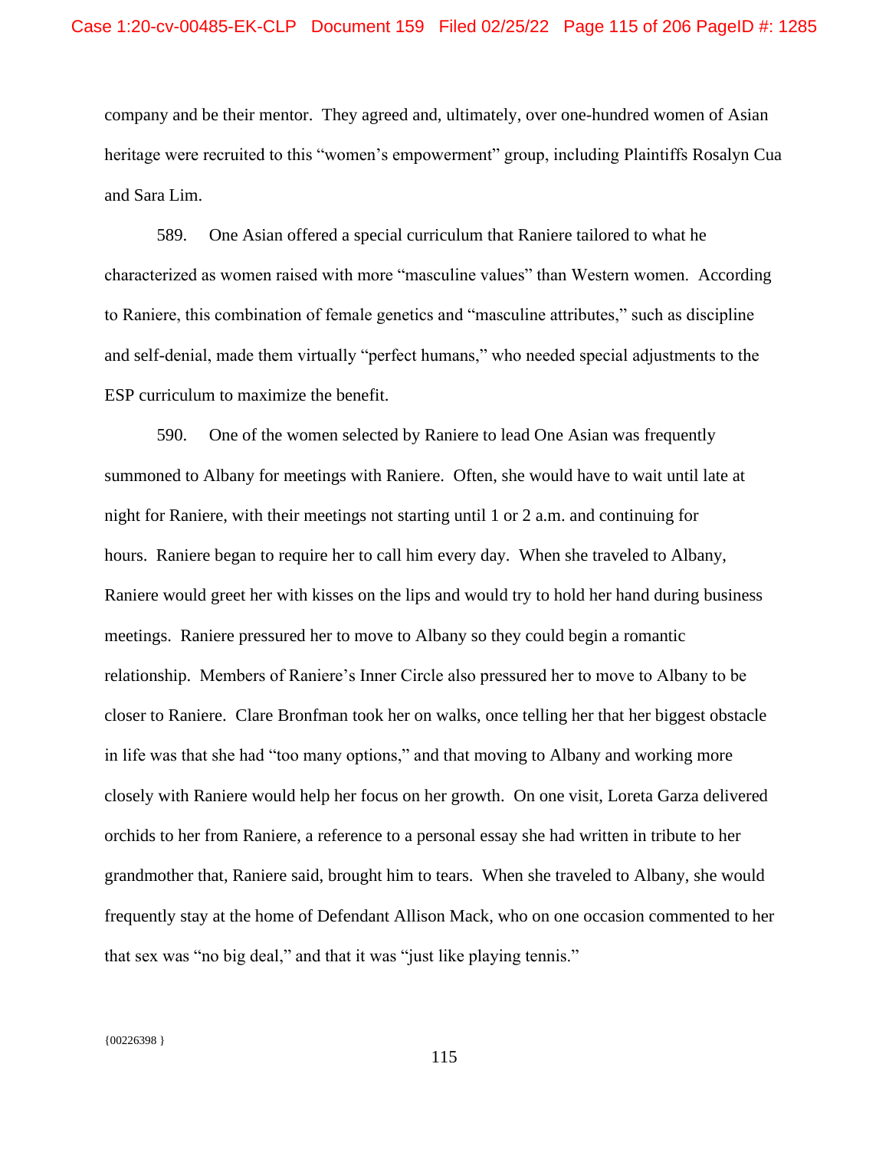company and be their mentor. They agreed and, ultimately, over one-hundred women of Asian heritage were recruited to this "women's empowerment" group, including Plaintiffs Rosalyn Cua and Sara Lim.

589. One Asian offered a special curriculum that Raniere tailored to what he characterized as women raised with more "masculine values" than Western women. According to Raniere, this combination of female genetics and "masculine attributes," such as discipline and self-denial, made them virtually "perfect humans," who needed special adjustments to the ESP curriculum to maximize the benefit.

590. One of the women selected by Raniere to lead One Asian was frequently summoned to Albany for meetings with Raniere. Often, she would have to wait until late at night for Raniere, with their meetings not starting until 1 or 2 a.m. and continuing for hours. Raniere began to require her to call him every day. When she traveled to Albany, Raniere would greet her with kisses on the lips and would try to hold her hand during business meetings. Raniere pressured her to move to Albany so they could begin a romantic relationship. Members of Raniere's Inner Circle also pressured her to move to Albany to be closer to Raniere. Clare Bronfman took her on walks, once telling her that her biggest obstacle in life was that she had "too many options," and that moving to Albany and working more closely with Raniere would help her focus on her growth. On one visit, Loreta Garza delivered orchids to her from Raniere, a reference to a personal essay she had written in tribute to her grandmother that, Raniere said, brought him to tears. When she traveled to Albany, she would frequently stay at the home of Defendant Allison Mack, who on one occasion commented to her that sex was "no big deal," and that it was "just like playing tennis."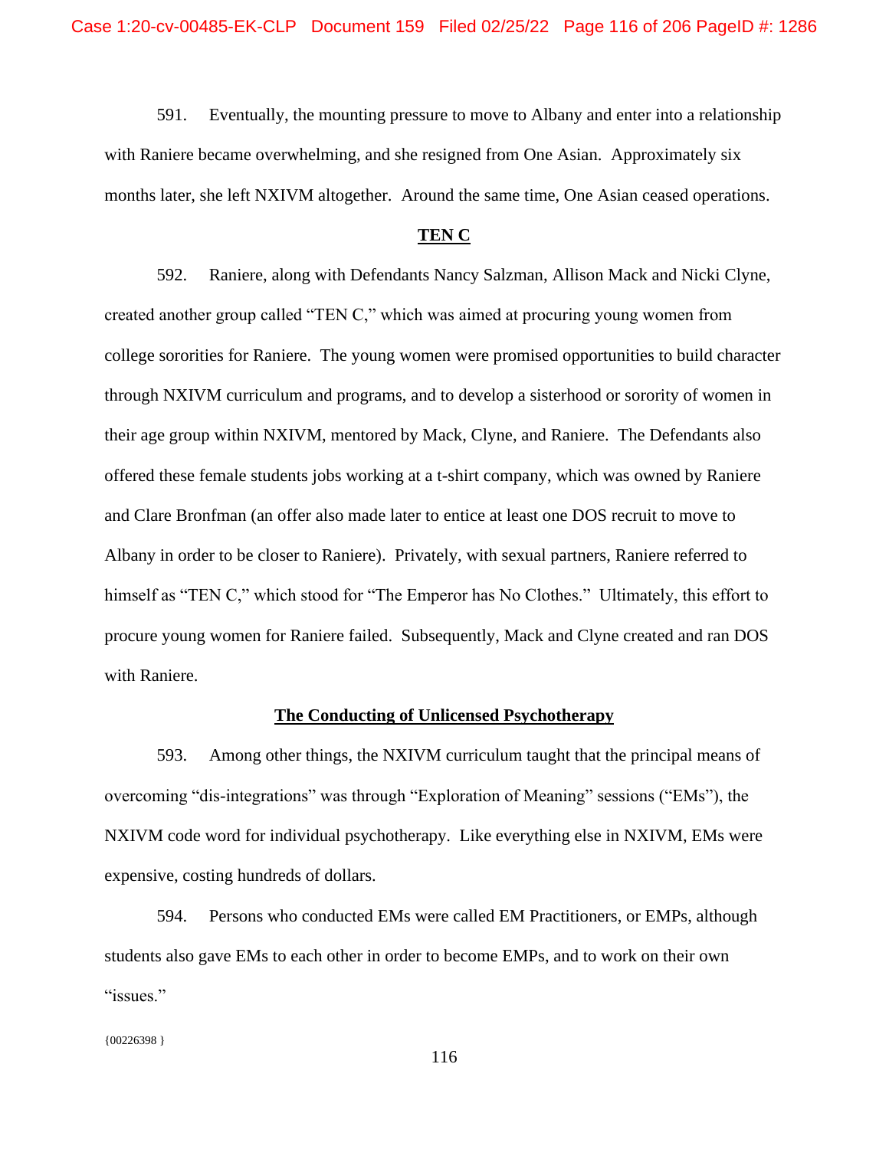591. Eventually, the mounting pressure to move to Albany and enter into a relationship with Raniere became overwhelming, and she resigned from One Asian. Approximately six months later, she left NXIVM altogether. Around the same time, One Asian ceased operations.

### **TEN C**

592. Raniere, along with Defendants Nancy Salzman, Allison Mack and Nicki Clyne, created another group called "TEN C," which was aimed at procuring young women from college sororities for Raniere. The young women were promised opportunities to build character through NXIVM curriculum and programs, and to develop a sisterhood or sorority of women in their age group within NXIVM, mentored by Mack, Clyne, and Raniere. The Defendants also offered these female students jobs working at a t-shirt company, which was owned by Raniere and Clare Bronfman (an offer also made later to entice at least one DOS recruit to move to Albany in order to be closer to Raniere). Privately, with sexual partners, Raniere referred to himself as "TEN C," which stood for "The Emperor has No Clothes." Ultimately, this effort to procure young women for Raniere failed. Subsequently, Mack and Clyne created and ran DOS with Raniere.

#### **The Conducting of Unlicensed Psychotherapy**

593. Among other things, the NXIVM curriculum taught that the principal means of overcoming "dis-integrations" was through "Exploration of Meaning" sessions ("EMs"), the NXIVM code word for individual psychotherapy. Like everything else in NXIVM, EMs were expensive, costing hundreds of dollars.

594. Persons who conducted EMs were called EM Practitioners, or EMPs, although students also gave EMs to each other in order to become EMPs, and to work on their own "issues."

{00226398 }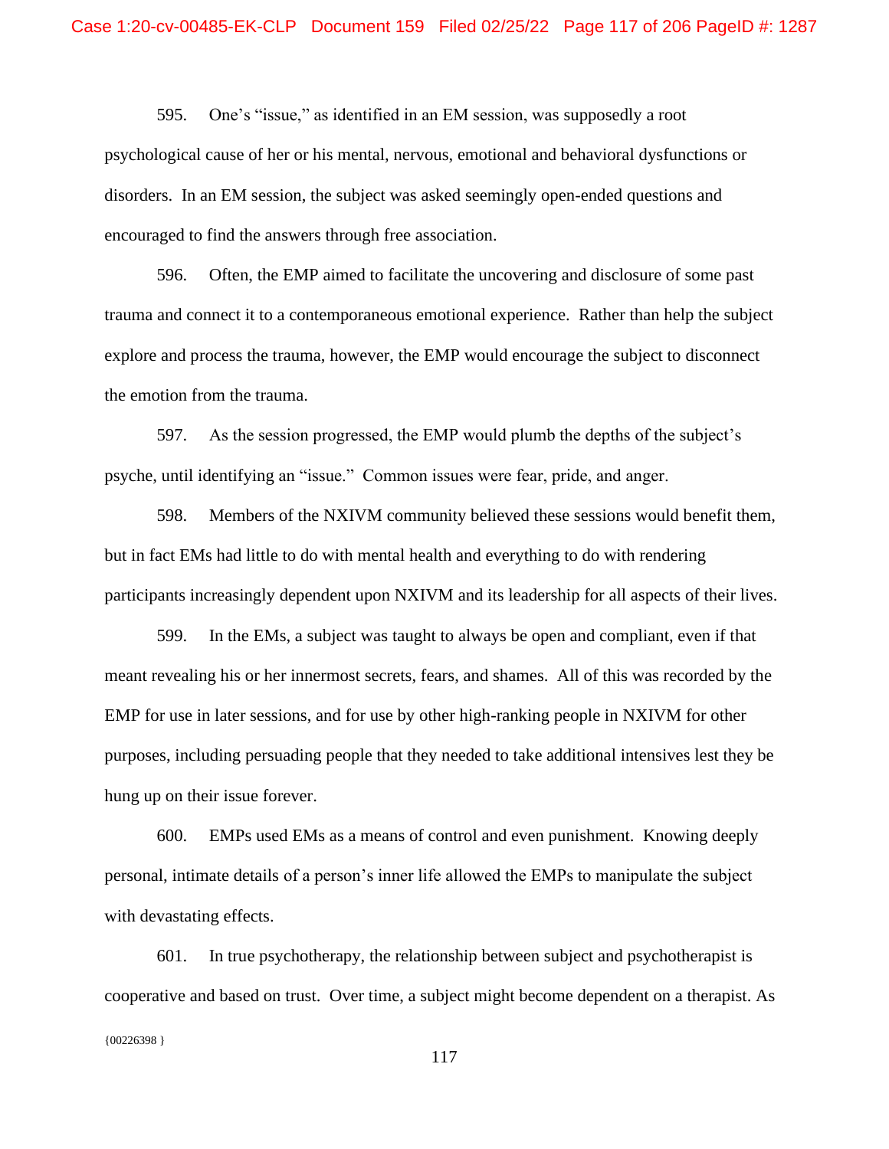595. One's "issue," as identified in an EM session, was supposedly a root psychological cause of her or his mental, nervous, emotional and behavioral dysfunctions or disorders. In an EM session, the subject was asked seemingly open-ended questions and encouraged to find the answers through free association.

596. Often, the EMP aimed to facilitate the uncovering and disclosure of some past trauma and connect it to a contemporaneous emotional experience. Rather than help the subject explore and process the trauma, however, the EMP would encourage the subject to disconnect the emotion from the trauma.

597. As the session progressed, the EMP would plumb the depths of the subject's psyche, until identifying an "issue." Common issues were fear, pride, and anger.

598. Members of the NXIVM community believed these sessions would benefit them, but in fact EMs had little to do with mental health and everything to do with rendering participants increasingly dependent upon NXIVM and its leadership for all aspects of their lives.

599. In the EMs, a subject was taught to always be open and compliant, even if that meant revealing his or her innermost secrets, fears, and shames. All of this was recorded by the EMP for use in later sessions, and for use by other high-ranking people in NXIVM for other purposes, including persuading people that they needed to take additional intensives lest they be hung up on their issue forever.

600. EMPs used EMs as a means of control and even punishment. Knowing deeply personal, intimate details of a person's inner life allowed the EMPs to manipulate the subject with devastating effects.

 ${00226398}$ 601. In true psychotherapy, the relationship between subject and psychotherapist is cooperative and based on trust. Over time, a subject might become dependent on a therapist. As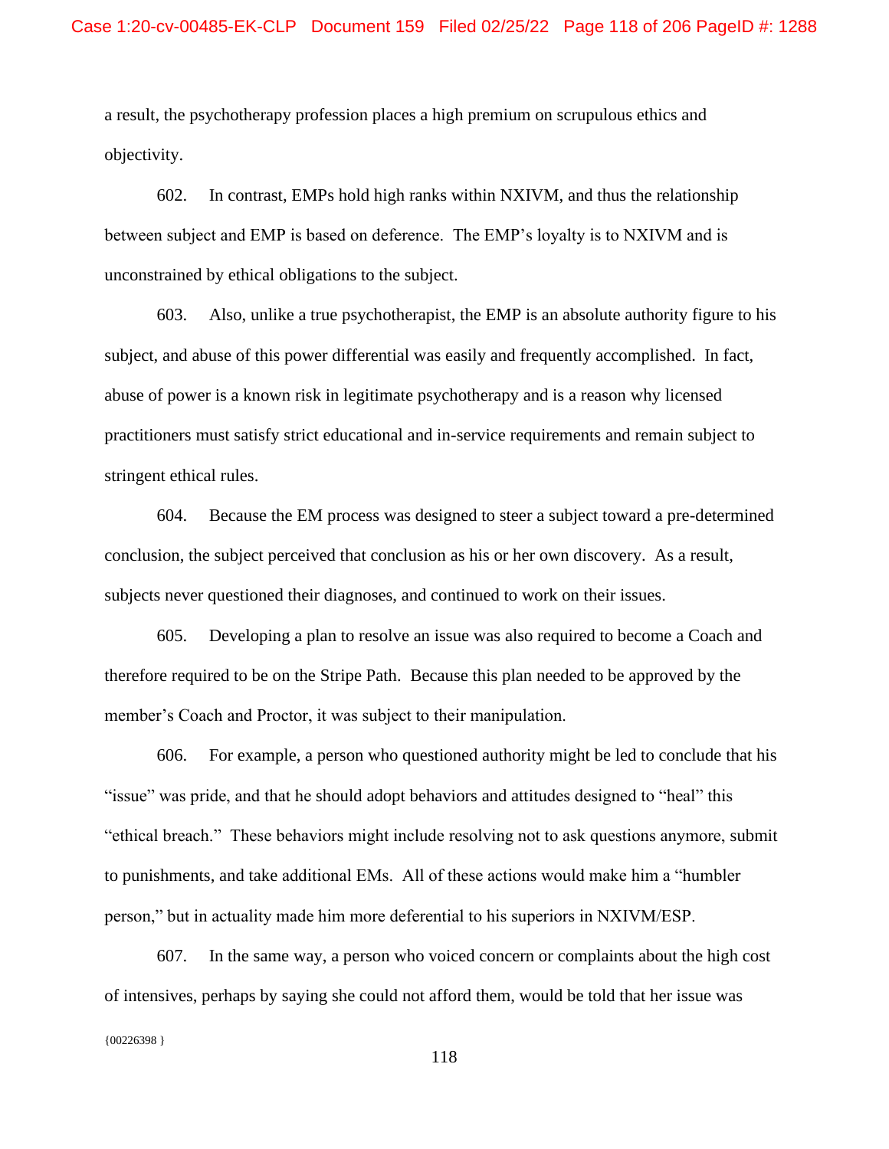a result, the psychotherapy profession places a high premium on scrupulous ethics and objectivity.

602. In contrast, EMPs hold high ranks within NXIVM, and thus the relationship between subject and EMP is based on deference. The EMP's loyalty is to NXIVM and is unconstrained by ethical obligations to the subject.

603. Also, unlike a true psychotherapist, the EMP is an absolute authority figure to his subject, and abuse of this power differential was easily and frequently accomplished. In fact, abuse of power is a known risk in legitimate psychotherapy and is a reason why licensed practitioners must satisfy strict educational and in-service requirements and remain subject to stringent ethical rules.

604. Because the EM process was designed to steer a subject toward a pre-determined conclusion, the subject perceived that conclusion as his or her own discovery. As a result, subjects never questioned their diagnoses, and continued to work on their issues.

605. Developing a plan to resolve an issue was also required to become a Coach and therefore required to be on the Stripe Path. Because this plan needed to be approved by the member's Coach and Proctor, it was subject to their manipulation.

606. For example, a person who questioned authority might be led to conclude that his "issue" was pride, and that he should adopt behaviors and attitudes designed to "heal" this "ethical breach." These behaviors might include resolving not to ask questions anymore, submit to punishments, and take additional EMs. All of these actions would make him a "humbler person," but in actuality made him more deferential to his superiors in NXIVM/ESP.

 ${00226398}$ 607. In the same way, a person who voiced concern or complaints about the high cost of intensives, perhaps by saying she could not afford them, would be told that her issue was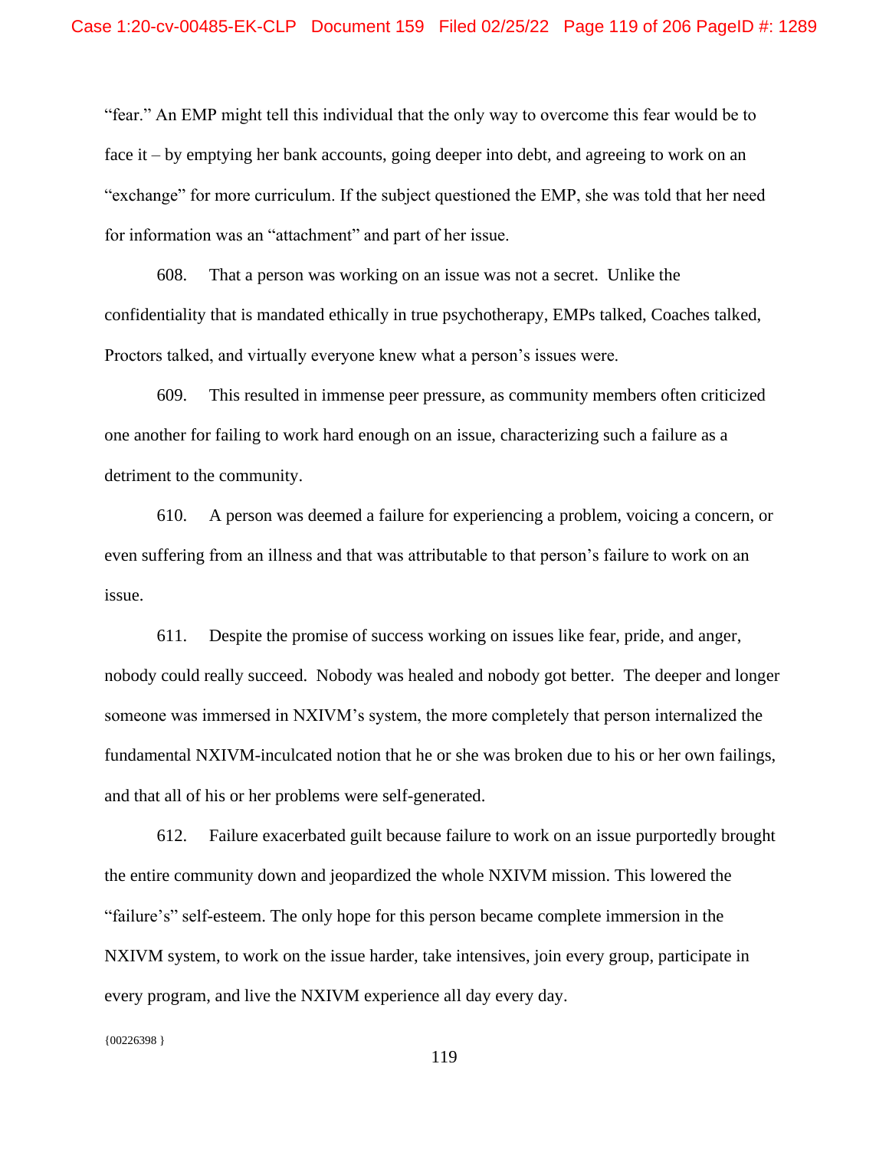"fear." An EMP might tell this individual that the only way to overcome this fear would be to face it – by emptying her bank accounts, going deeper into debt, and agreeing to work on an "exchange" for more curriculum. If the subject questioned the EMP, she was told that her need for information was an "attachment" and part of her issue.

608. That a person was working on an issue was not a secret. Unlike the confidentiality that is mandated ethically in true psychotherapy, EMPs talked, Coaches talked, Proctors talked, and virtually everyone knew what a person's issues were.

609. This resulted in immense peer pressure, as community members often criticized one another for failing to work hard enough on an issue, characterizing such a failure as a detriment to the community.

610. A person was deemed a failure for experiencing a problem, voicing a concern, or even suffering from an illness and that was attributable to that person's failure to work on an issue.

611. Despite the promise of success working on issues like fear, pride, and anger, nobody could really succeed. Nobody was healed and nobody got better. The deeper and longer someone was immersed in NXIVM's system, the more completely that person internalized the fundamental NXIVM-inculcated notion that he or she was broken due to his or her own failings, and that all of his or her problems were self-generated.

612. Failure exacerbated guilt because failure to work on an issue purportedly brought the entire community down and jeopardized the whole NXIVM mission. This lowered the "failure's" self-esteem. The only hope for this person became complete immersion in the NXIVM system, to work on the issue harder, take intensives, join every group, participate in every program, and live the NXIVM experience all day every day.

 ${00226398}$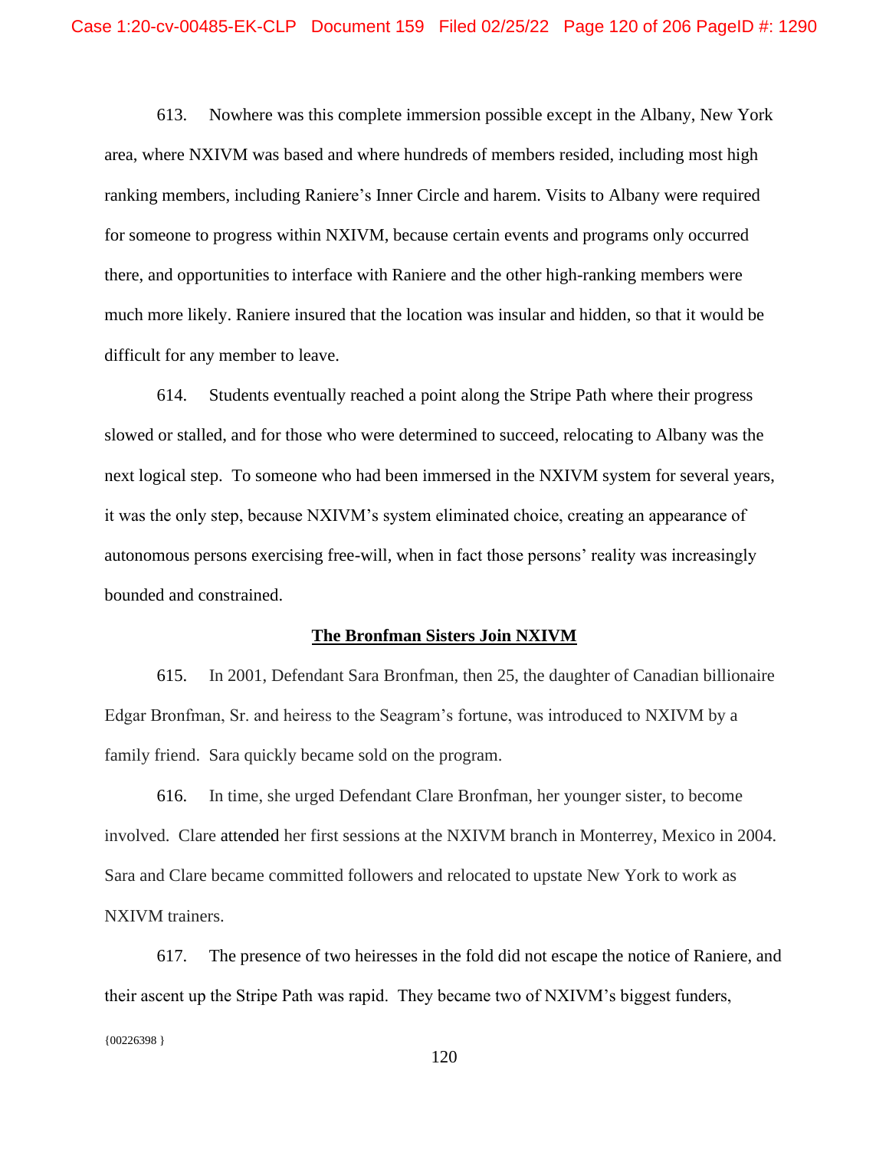613. Nowhere was this complete immersion possible except in the Albany, New York area, where NXIVM was based and where hundreds of members resided, including most high ranking members, including Raniere's Inner Circle and harem. Visits to Albany were required for someone to progress within NXIVM, because certain events and programs only occurred there, and opportunities to interface with Raniere and the other high-ranking members were much more likely. Raniere insured that the location was insular and hidden, so that it would be difficult for any member to leave.

614. Students eventually reached a point along the Stripe Path where their progress slowed or stalled, and for those who were determined to succeed, relocating to Albany was the next logical step. To someone who had been immersed in the NXIVM system for several years, it was the only step, because NXIVM's system eliminated choice, creating an appearance of autonomous persons exercising free-will, when in fact those persons' reality was increasingly bounded and constrained.

#### **The Bronfman Sisters Join NXIVM**

615. In 2001, Defendant Sara Bronfman, then 25, the daughter of Canadian billionaire Edgar Bronfman, Sr. and heiress to the Seagram's fortune, was introduced to NXIVM by a family friend. Sara quickly became sold on the program.

616. In time, she urged Defendant Clare Bronfman, her younger sister, to become involved. Clare attended her first sessions at the NXIVM branch in Monterrey, Mexico in 2004. Sara and Clare became committed followers and relocated to upstate New York to work as NXIVM trainers.

617. The presence of two heiresses in the fold did not escape the notice of Raniere, and their ascent up the Stripe Path was rapid. They became two of NXIVM's biggest funders,

 ${00226398}$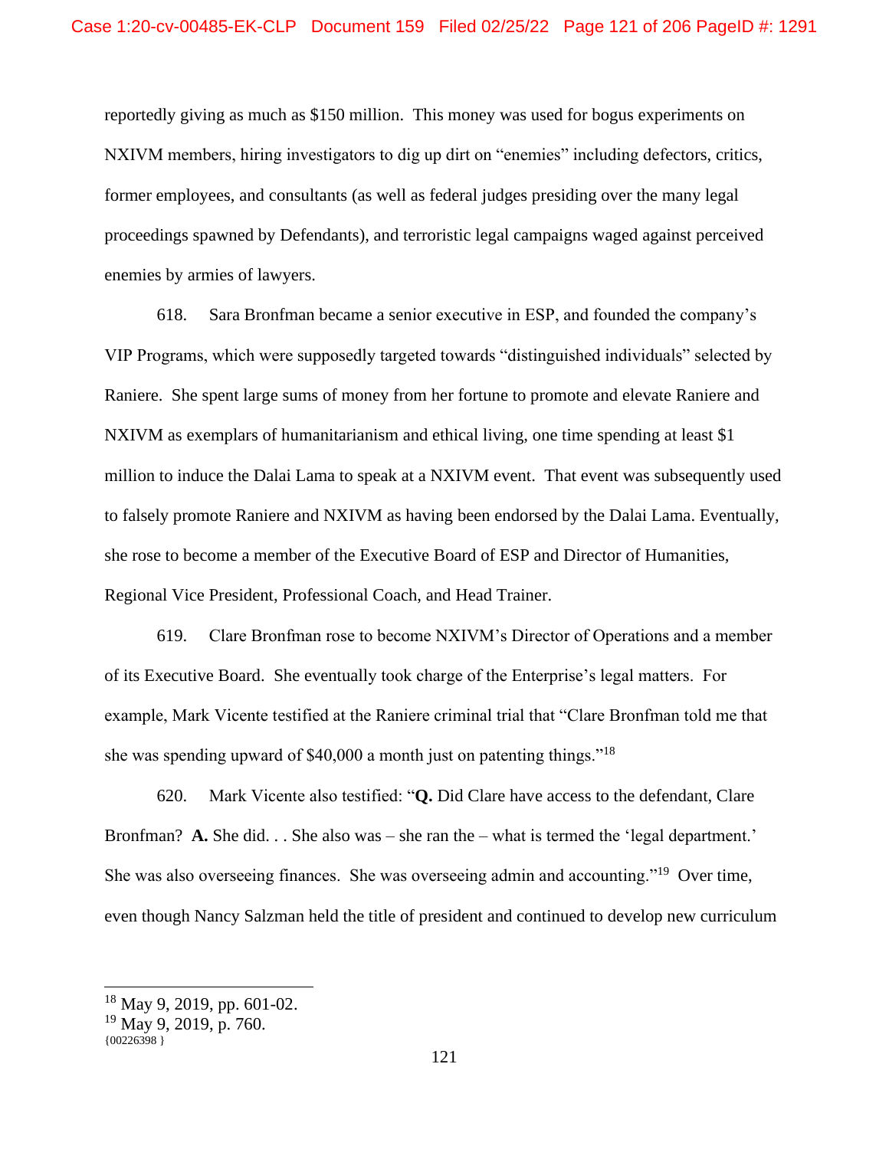reportedly giving as much as \$150 million. This money was used for bogus experiments on NXIVM members, hiring investigators to dig up dirt on "enemies" including defectors, critics, former employees, and consultants (as well as federal judges presiding over the many legal proceedings spawned by Defendants), and terroristic legal campaigns waged against perceived enemies by armies of lawyers.

618. Sara Bronfman became a senior executive in ESP, and founded the company's VIP Programs, which were supposedly targeted towards "distinguished individuals" selected by Raniere. She spent large sums of money from her fortune to promote and elevate Raniere and NXIVM as exemplars of humanitarianism and ethical living, one time spending at least \$1 million to induce the Dalai Lama to speak at a NXIVM event. That event was subsequently used to falsely promote Raniere and NXIVM as having been endorsed by the Dalai Lama. Eventually, she rose to become a member of the Executive Board of ESP and Director of Humanities, Regional Vice President, Professional Coach, and Head Trainer.

619. Clare Bronfman rose to become NXIVM's Director of Operations and a member of its Executive Board. She eventually took charge of the Enterprise's legal matters. For example, Mark Vicente testified at the Raniere criminal trial that "Clare Bronfman told me that she was spending upward of \$40,000 a month just on patenting things."<sup>18</sup>

620. Mark Vicente also testified: "**Q.** Did Clare have access to the defendant, Clare Bronfman? **A.** She did. . . She also was – she ran the – what is termed the 'legal department.' She was also overseeing finances. She was overseeing admin and accounting."<sup>19</sup> Over time, even though Nancy Salzman held the title of president and continued to develop new curriculum

<sup>18</sup> May 9, 2019, pp. 601-02.

<sup>19</sup> May 9, 2019, p. 760.

 ${00226398}$  }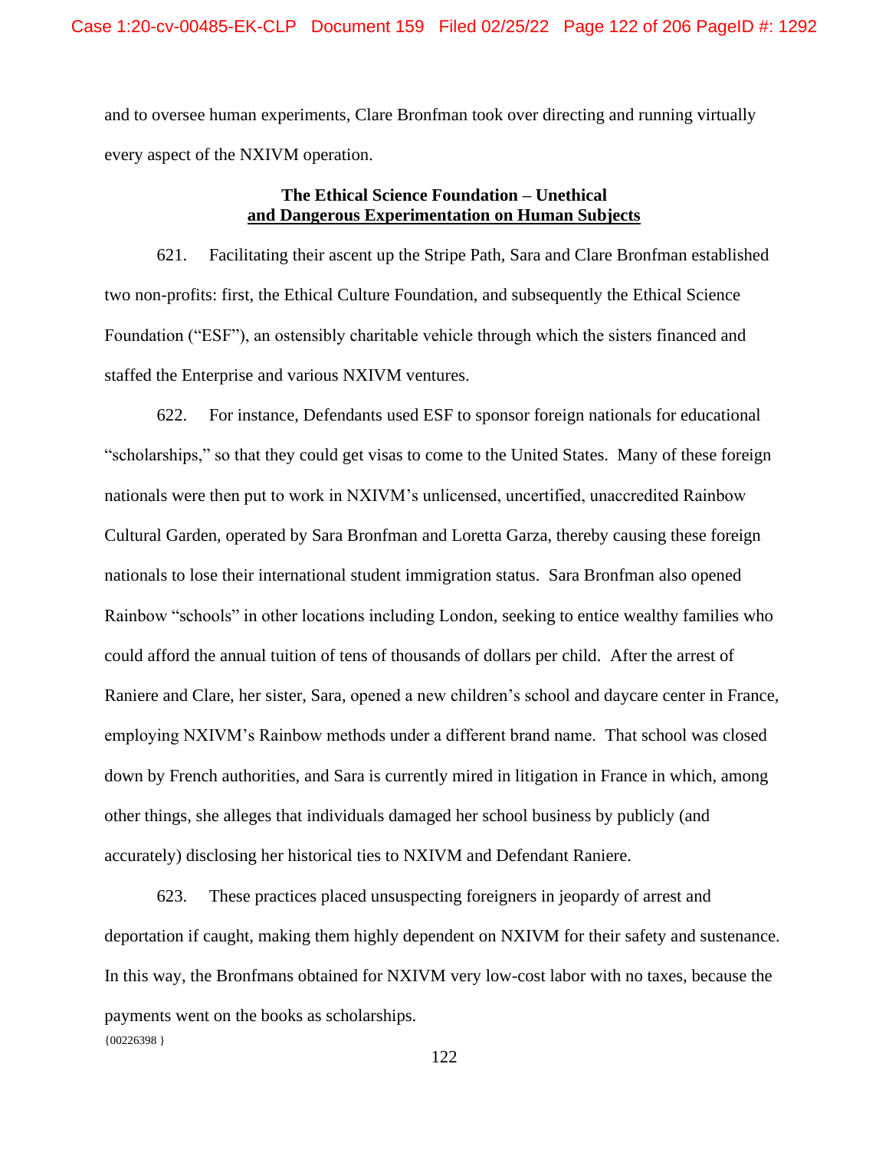and to oversee human experiments, Clare Bronfman took over directing and running virtually every aspect of the NXIVM operation.

# **The Ethical Science Foundation – Unethical and Dangerous Experimentation on Human Subjects**

621. Facilitating their ascent up the Stripe Path, Sara and Clare Bronfman established two non-profits: first, the Ethical Culture Foundation, and subsequently the Ethical Science Foundation ("ESF"), an ostensibly charitable vehicle through which the sisters financed and staffed the Enterprise and various NXIVM ventures.

622. For instance, Defendants used ESF to sponsor foreign nationals for educational "scholarships," so that they could get visas to come to the United States. Many of these foreign nationals were then put to work in NXIVM's unlicensed, uncertified, unaccredited Rainbow Cultural Garden, operated by Sara Bronfman and Loretta Garza, thereby causing these foreign nationals to lose their international student immigration status. Sara Bronfman also opened Rainbow "schools" in other locations including London, seeking to entice wealthy families who could afford the annual tuition of tens of thousands of dollars per child. After the arrest of Raniere and Clare, her sister, Sara, opened a new children's school and daycare center in France, employing NXIVM's Rainbow methods under a different brand name. That school was closed down by French authorities, and Sara is currently mired in litigation in France in which, among other things, she alleges that individuals damaged her school business by publicly (and accurately) disclosing her historical ties to NXIVM and Defendant Raniere.

{00226398 } 623. These practices placed unsuspecting foreigners in jeopardy of arrest and deportation if caught, making them highly dependent on NXIVM for their safety and sustenance. In this way, the Bronfmans obtained for NXIVM very low-cost labor with no taxes, because the payments went on the books as scholarships.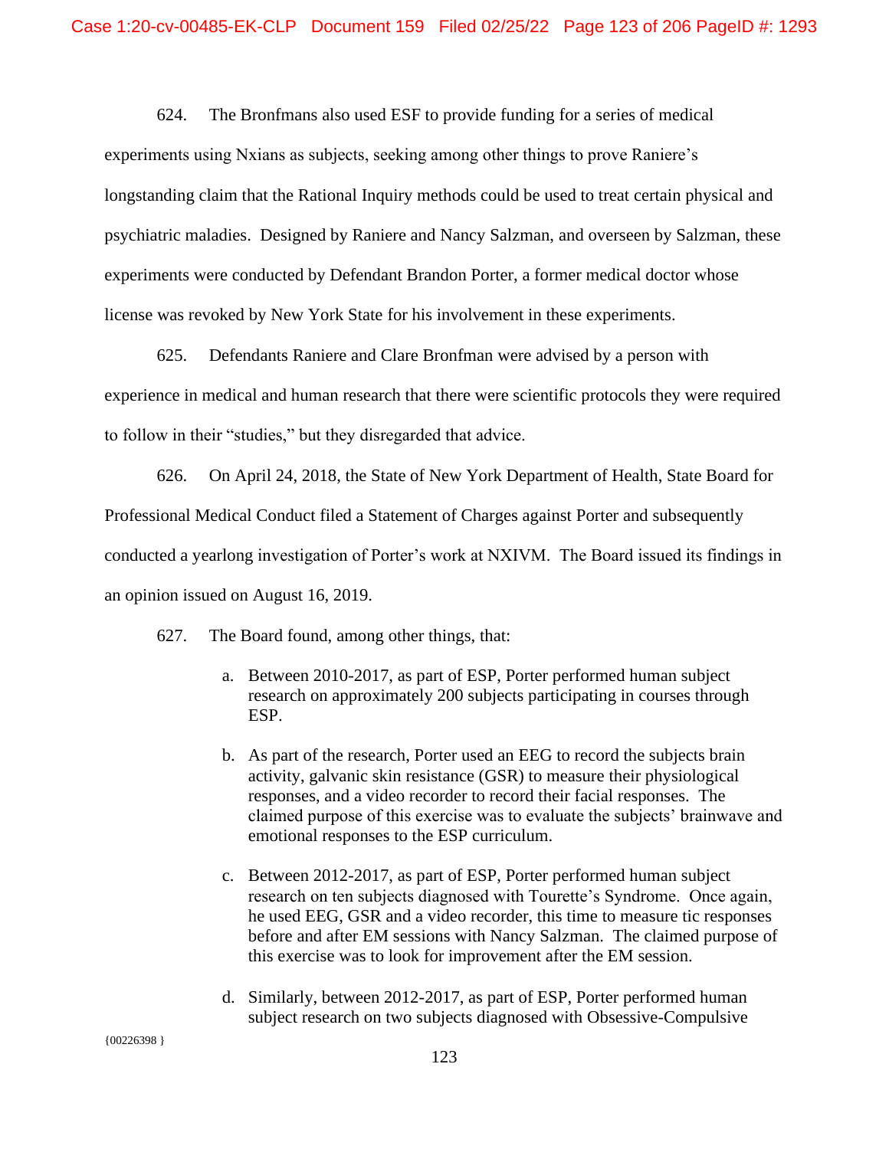624. The Bronfmans also used ESF to provide funding for a series of medical

experiments using Nxians as subjects, seeking among other things to prove Raniere's longstanding claim that the Rational Inquiry methods could be used to treat certain physical and psychiatric maladies. Designed by Raniere and Nancy Salzman, and overseen by Salzman, these experiments were conducted by Defendant Brandon Porter, a former medical doctor whose license was revoked by New York State for his involvement in these experiments.

625. Defendants Raniere and Clare Bronfman were advised by a person with experience in medical and human research that there were scientific protocols they were required to follow in their "studies," but they disregarded that advice.

626. On April 24, 2018, the State of New York Department of Health, State Board for Professional Medical Conduct filed a Statement of Charges against Porter and subsequently conducted a yearlong investigation of Porter's work at NXIVM. The Board issued its findings in an opinion issued on August 16, 2019.

627. The Board found, among other things, that:

- a. Between 2010-2017, as part of ESP, Porter performed human subject research on approximately 200 subjects participating in courses through ESP.
- b. As part of the research, Porter used an EEG to record the subjects brain activity, galvanic skin resistance (GSR) to measure their physiological responses, and a video recorder to record their facial responses. The claimed purpose of this exercise was to evaluate the subjects' brainwave and emotional responses to the ESP curriculum.
- c. Between 2012-2017, as part of ESP, Porter performed human subject research on ten subjects diagnosed with Tourette's Syndrome. Once again, he used EEG, GSR and a video recorder, this time to measure tic responses before and after EM sessions with Nancy Salzman. The claimed purpose of this exercise was to look for improvement after the EM session.
- d. Similarly, between 2012-2017, as part of ESP, Porter performed human subject research on two subjects diagnosed with Obsessive-Compulsive

{00226398 }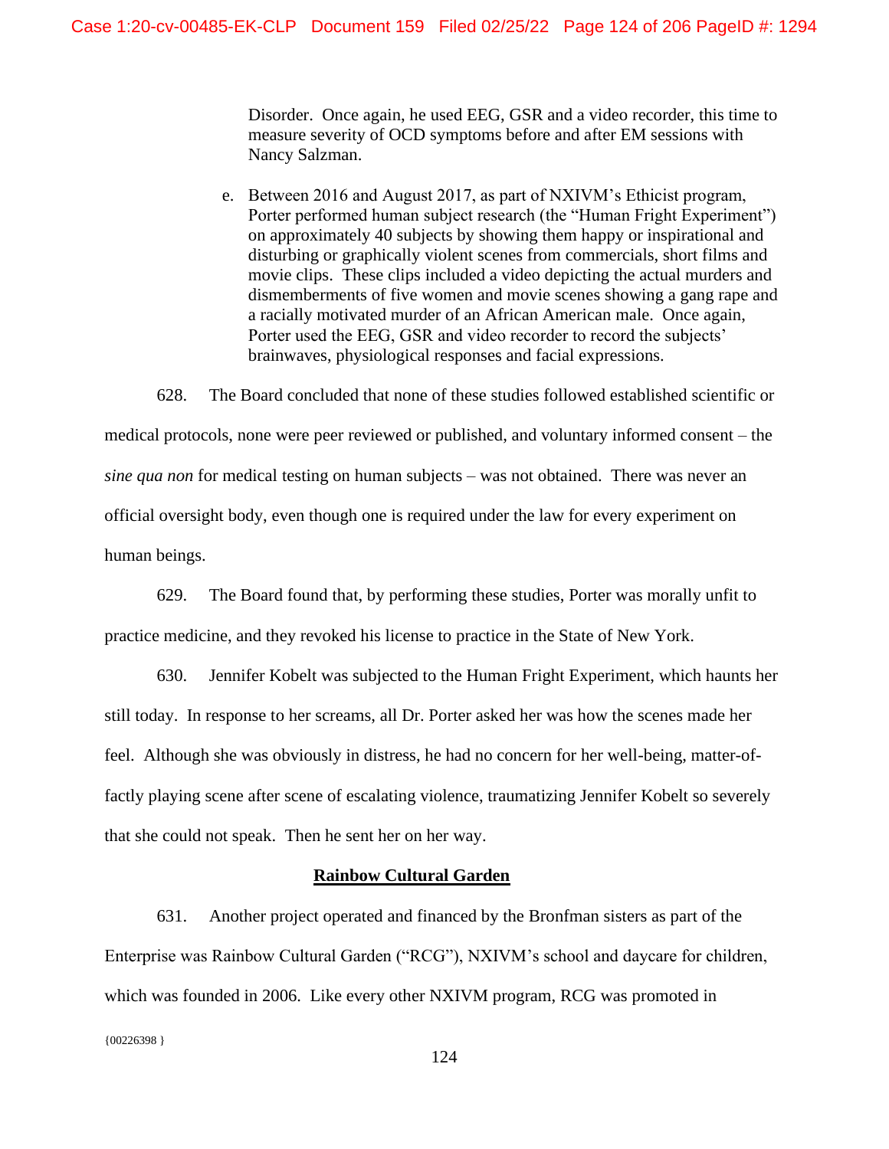Disorder. Once again, he used EEG, GSR and a video recorder, this time to measure severity of OCD symptoms before and after EM sessions with Nancy Salzman.

e. Between 2016 and August 2017, as part of NXIVM's Ethicist program, Porter performed human subject research (the "Human Fright Experiment") on approximately 40 subjects by showing them happy or inspirational and disturbing or graphically violent scenes from commercials, short films and movie clips. These clips included a video depicting the actual murders and dismemberments of five women and movie scenes showing a gang rape and a racially motivated murder of an African American male. Once again, Porter used the EEG, GSR and video recorder to record the subjects' brainwaves, physiological responses and facial expressions.

628. The Board concluded that none of these studies followed established scientific or medical protocols, none were peer reviewed or published, and voluntary informed consent – the *sine qua non* for medical testing on human subjects – was not obtained. There was never an official oversight body, even though one is required under the law for every experiment on human beings.

629. The Board found that, by performing these studies, Porter was morally unfit to practice medicine, and they revoked his license to practice in the State of New York.

630. Jennifer Kobelt was subjected to the Human Fright Experiment, which haunts her still today. In response to her screams, all Dr. Porter asked her was how the scenes made her feel. Although she was obviously in distress, he had no concern for her well-being, matter-offactly playing scene after scene of escalating violence, traumatizing Jennifer Kobelt so severely that she could not speak. Then he sent her on her way.

### **Rainbow Cultural Garden**

{00226398 } 631. Another project operated and financed by the Bronfman sisters as part of the Enterprise was Rainbow Cultural Garden ("RCG"), NXIVM's school and daycare for children, which was founded in 2006. Like every other NXIVM program, RCG was promoted in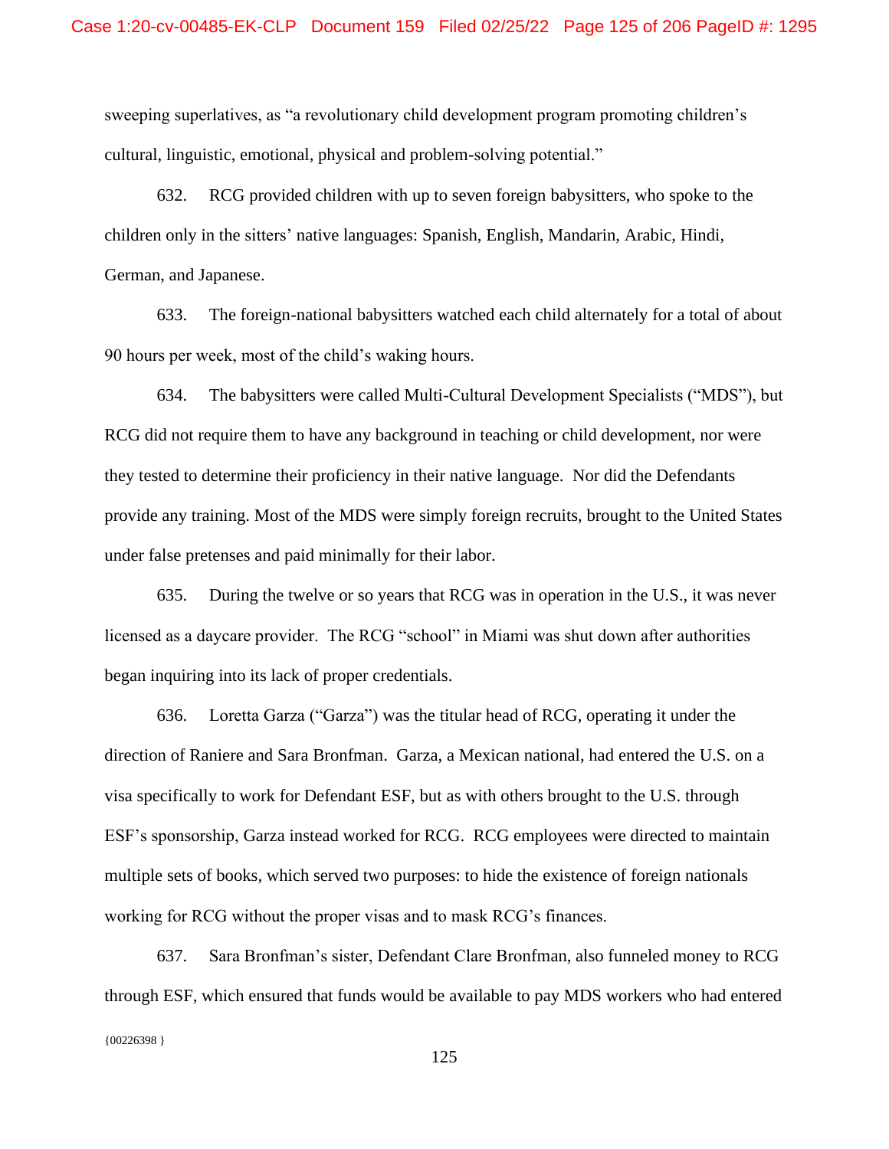sweeping superlatives, as "a revolutionary child development program promoting children's cultural, linguistic, emotional, physical and problem-solving potential."

632. RCG provided children with up to seven foreign babysitters, who spoke to the children only in the sitters' native languages: Spanish, English, Mandarin, Arabic, Hindi, German, and Japanese.

633. The foreign-national babysitters watched each child alternately for a total of about 90 hours per week, most of the child's waking hours.

634. The babysitters were called Multi-Cultural Development Specialists ("MDS"), but RCG did not require them to have any background in teaching or child development, nor were they tested to determine their proficiency in their native language. Nor did the Defendants provide any training. Most of the MDS were simply foreign recruits, brought to the United States under false pretenses and paid minimally for their labor.

635. During the twelve or so years that RCG was in operation in the U.S., it was never licensed as a daycare provider. The RCG "school" in Miami was shut down after authorities began inquiring into its lack of proper credentials.

636. Loretta Garza ("Garza") was the titular head of RCG, operating it under the direction of Raniere and Sara Bronfman. Garza, a Mexican national, had entered the U.S. on a visa specifically to work for Defendant ESF, but as with others brought to the U.S. through ESF's sponsorship, Garza instead worked for RCG. RCG employees were directed to maintain multiple sets of books, which served two purposes: to hide the existence of foreign nationals working for RCG without the proper visas and to mask RCG's finances.

 ${00226398}$ 637. Sara Bronfman's sister, Defendant Clare Bronfman, also funneled money to RCG through ESF, which ensured that funds would be available to pay MDS workers who had entered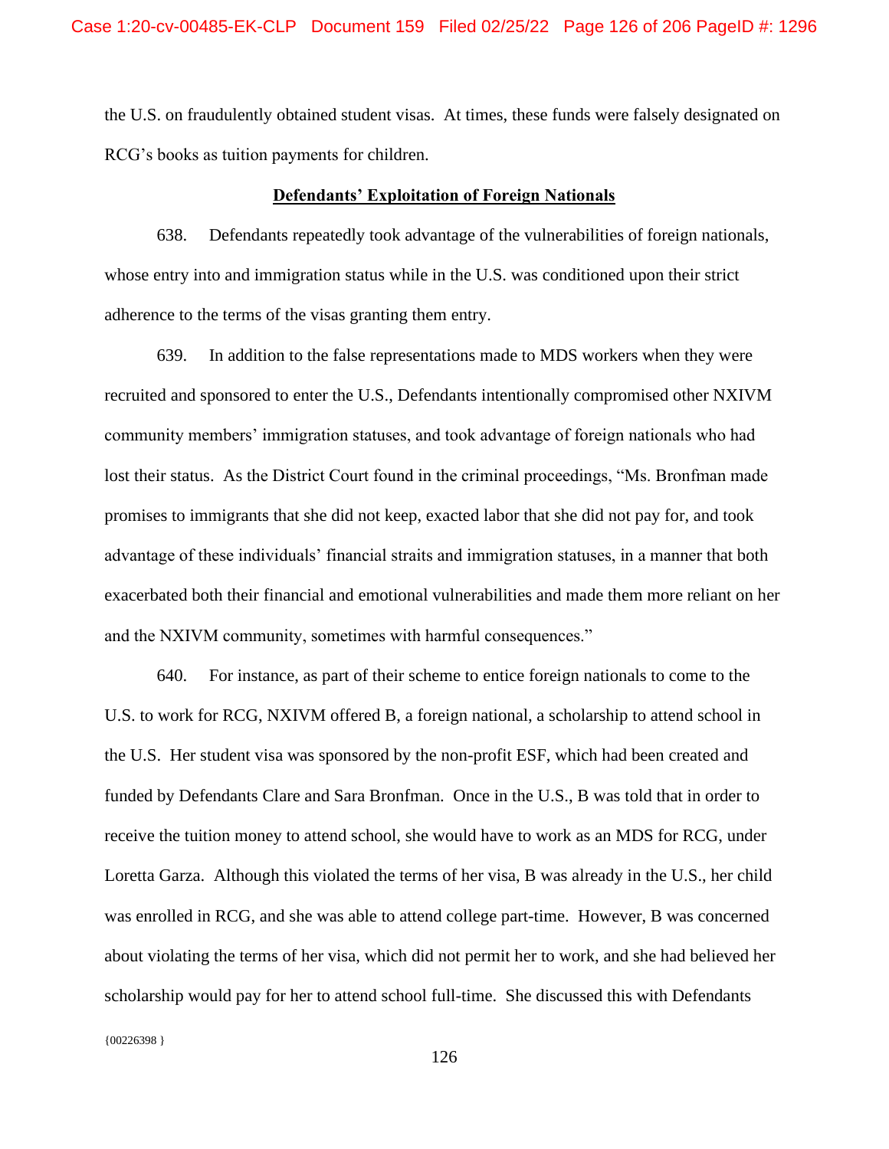the U.S. on fraudulently obtained student visas. At times, these funds were falsely designated on RCG's books as tuition payments for children.

### **Defendants' Exploitation of Foreign Nationals**

638. Defendants repeatedly took advantage of the vulnerabilities of foreign nationals, whose entry into and immigration status while in the U.S. was conditioned upon their strict adherence to the terms of the visas granting them entry.

639. In addition to the false representations made to MDS workers when they were recruited and sponsored to enter the U.S., Defendants intentionally compromised other NXIVM community members' immigration statuses, and took advantage of foreign nationals who had lost their status. As the District Court found in the criminal proceedings, "Ms. Bronfman made promises to immigrants that she did not keep, exacted labor that she did not pay for, and took advantage of these individuals' financial straits and immigration statuses, in a manner that both exacerbated both their financial and emotional vulnerabilities and made them more reliant on her and the NXIVM community, sometimes with harmful consequences."

640. For instance, as part of their scheme to entice foreign nationals to come to the U.S. to work for RCG, NXIVM offered B, a foreign national, a scholarship to attend school in the U.S. Her student visa was sponsored by the non-profit ESF, which had been created and funded by Defendants Clare and Sara Bronfman. Once in the U.S., B was told that in order to receive the tuition money to attend school, she would have to work as an MDS for RCG, under Loretta Garza. Although this violated the terms of her visa, B was already in the U.S., her child was enrolled in RCG, and she was able to attend college part-time. However, B was concerned about violating the terms of her visa, which did not permit her to work, and she had believed her scholarship would pay for her to attend school full-time. She discussed this with Defendants

 ${00226398}$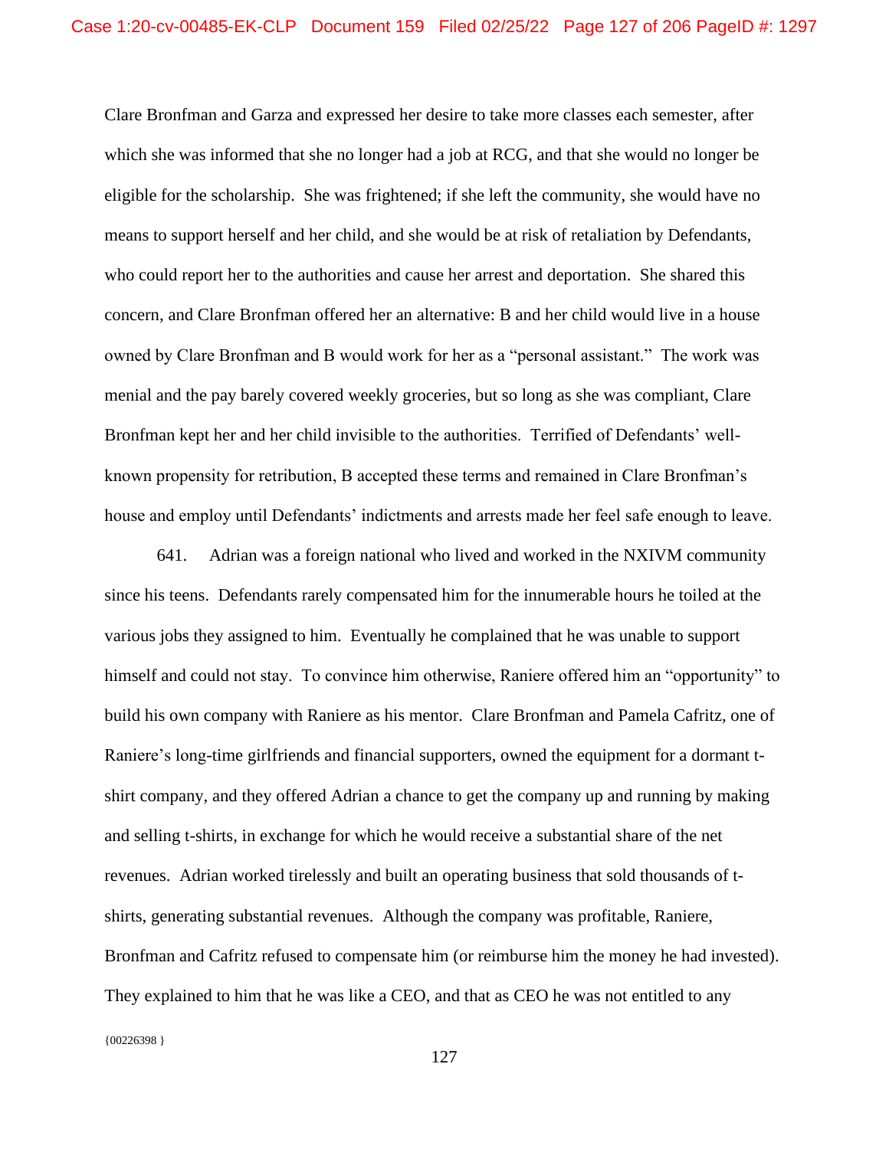Clare Bronfman and Garza and expressed her desire to take more classes each semester, after which she was informed that she no longer had a job at RCG, and that she would no longer be eligible for the scholarship. She was frightened; if she left the community, she would have no means to support herself and her child, and she would be at risk of retaliation by Defendants, who could report her to the authorities and cause her arrest and deportation. She shared this concern, and Clare Bronfman offered her an alternative: B and her child would live in a house owned by Clare Bronfman and B would work for her as a "personal assistant." The work was menial and the pay barely covered weekly groceries, but so long as she was compliant, Clare Bronfman kept her and her child invisible to the authorities. Terrified of Defendants' wellknown propensity for retribution, B accepted these terms and remained in Clare Bronfman's house and employ until Defendants' indictments and arrests made her feel safe enough to leave.

{00226398 } 641. Adrian was a foreign national who lived and worked in the NXIVM community since his teens. Defendants rarely compensated him for the innumerable hours he toiled at the various jobs they assigned to him. Eventually he complained that he was unable to support himself and could not stay. To convince him otherwise, Raniere offered him an "opportunity" to build his own company with Raniere as his mentor. Clare Bronfman and Pamela Cafritz, one of Raniere's long-time girlfriends and financial supporters, owned the equipment for a dormant tshirt company, and they offered Adrian a chance to get the company up and running by making and selling t-shirts, in exchange for which he would receive a substantial share of the net revenues. Adrian worked tirelessly and built an operating business that sold thousands of tshirts, generating substantial revenues. Although the company was profitable, Raniere, Bronfman and Cafritz refused to compensate him (or reimburse him the money he had invested). They explained to him that he was like a CEO, and that as CEO he was not entitled to any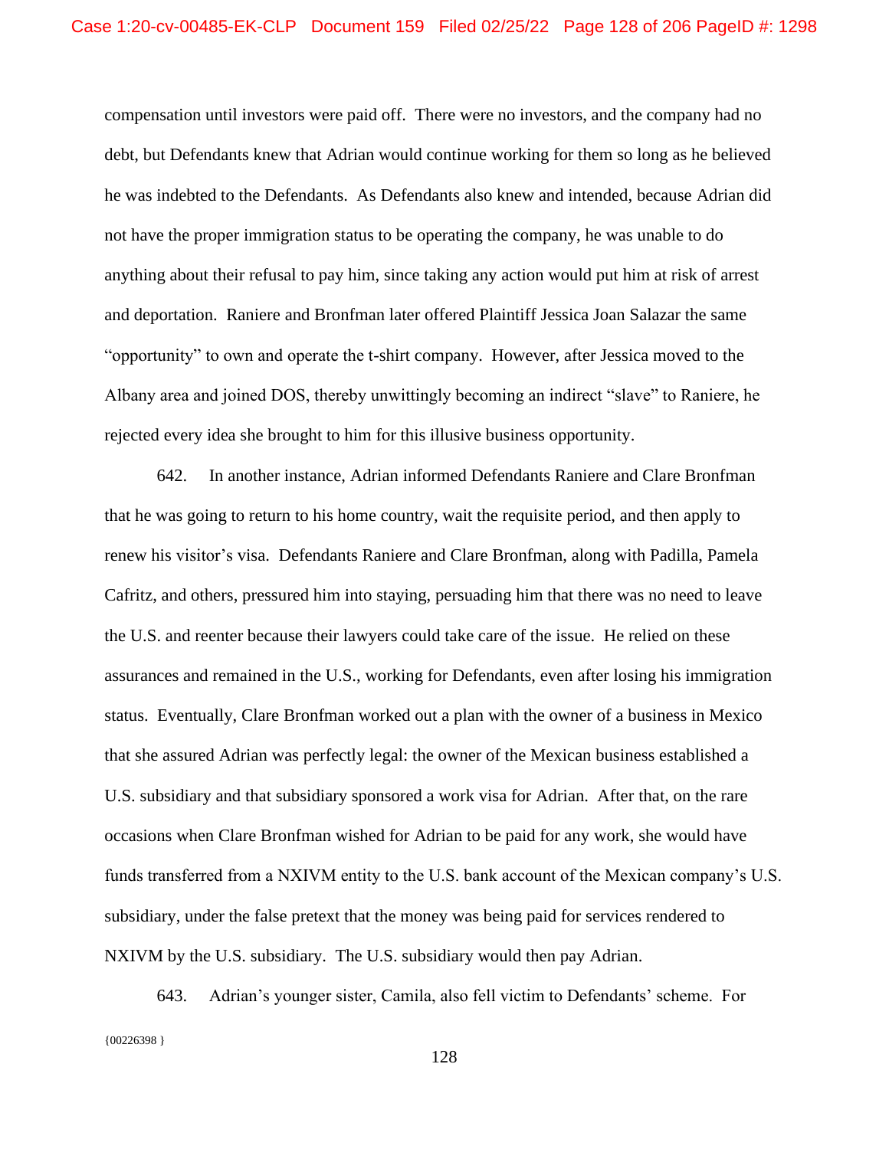compensation until investors were paid off. There were no investors, and the company had no debt, but Defendants knew that Adrian would continue working for them so long as he believed he was indebted to the Defendants. As Defendants also knew and intended, because Adrian did not have the proper immigration status to be operating the company, he was unable to do anything about their refusal to pay him, since taking any action would put him at risk of arrest and deportation. Raniere and Bronfman later offered Plaintiff Jessica Joan Salazar the same "opportunity" to own and operate the t-shirt company. However, after Jessica moved to the Albany area and joined DOS, thereby unwittingly becoming an indirect "slave" to Raniere, he rejected every idea she brought to him for this illusive business opportunity.

642. In another instance, Adrian informed Defendants Raniere and Clare Bronfman that he was going to return to his home country, wait the requisite period, and then apply to renew his visitor's visa. Defendants Raniere and Clare Bronfman, along with Padilla, Pamela Cafritz, and others, pressured him into staying, persuading him that there was no need to leave the U.S. and reenter because their lawyers could take care of the issue. He relied on these assurances and remained in the U.S., working for Defendants, even after losing his immigration status. Eventually, Clare Bronfman worked out a plan with the owner of a business in Mexico that she assured Adrian was perfectly legal: the owner of the Mexican business established a U.S. subsidiary and that subsidiary sponsored a work visa for Adrian. After that, on the rare occasions when Clare Bronfman wished for Adrian to be paid for any work, she would have funds transferred from a NXIVM entity to the U.S. bank account of the Mexican company's U.S. subsidiary, under the false pretext that the money was being paid for services rendered to NXIVM by the U.S. subsidiary. The U.S. subsidiary would then pay Adrian.

{00226398 } 643. Adrian's younger sister, Camila, also fell victim to Defendants' scheme. For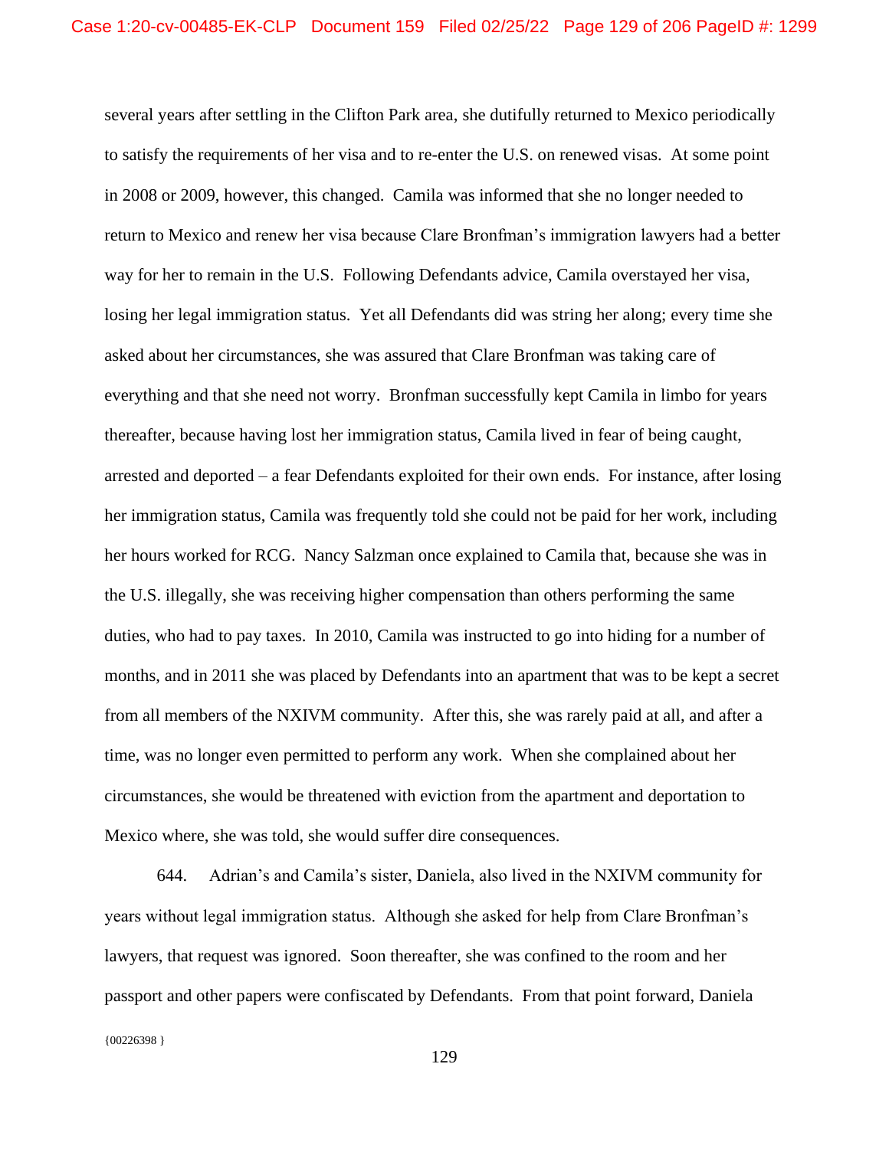several years after settling in the Clifton Park area, she dutifully returned to Mexico periodically to satisfy the requirements of her visa and to re-enter the U.S. on renewed visas. At some point in 2008 or 2009, however, this changed. Camila was informed that she no longer needed to return to Mexico and renew her visa because Clare Bronfman's immigration lawyers had a better way for her to remain in the U.S. Following Defendants advice, Camila overstayed her visa, losing her legal immigration status. Yet all Defendants did was string her along; every time she asked about her circumstances, she was assured that Clare Bronfman was taking care of everything and that she need not worry. Bronfman successfully kept Camila in limbo for years thereafter, because having lost her immigration status, Camila lived in fear of being caught, arrested and deported – a fear Defendants exploited for their own ends. For instance, after losing her immigration status, Camila was frequently told she could not be paid for her work, including her hours worked for RCG. Nancy Salzman once explained to Camila that, because she was in the U.S. illegally, she was receiving higher compensation than others performing the same duties, who had to pay taxes. In 2010, Camila was instructed to go into hiding for a number of months, and in 2011 she was placed by Defendants into an apartment that was to be kept a secret from all members of the NXIVM community. After this, she was rarely paid at all, and after a time, was no longer even permitted to perform any work. When she complained about her circumstances, she would be threatened with eviction from the apartment and deportation to Mexico where, she was told, she would suffer dire consequences.

{00226398 } 644. Adrian's and Camila's sister, Daniela, also lived in the NXIVM community for years without legal immigration status. Although she asked for help from Clare Bronfman's lawyers, that request was ignored. Soon thereafter, she was confined to the room and her passport and other papers were confiscated by Defendants. From that point forward, Daniela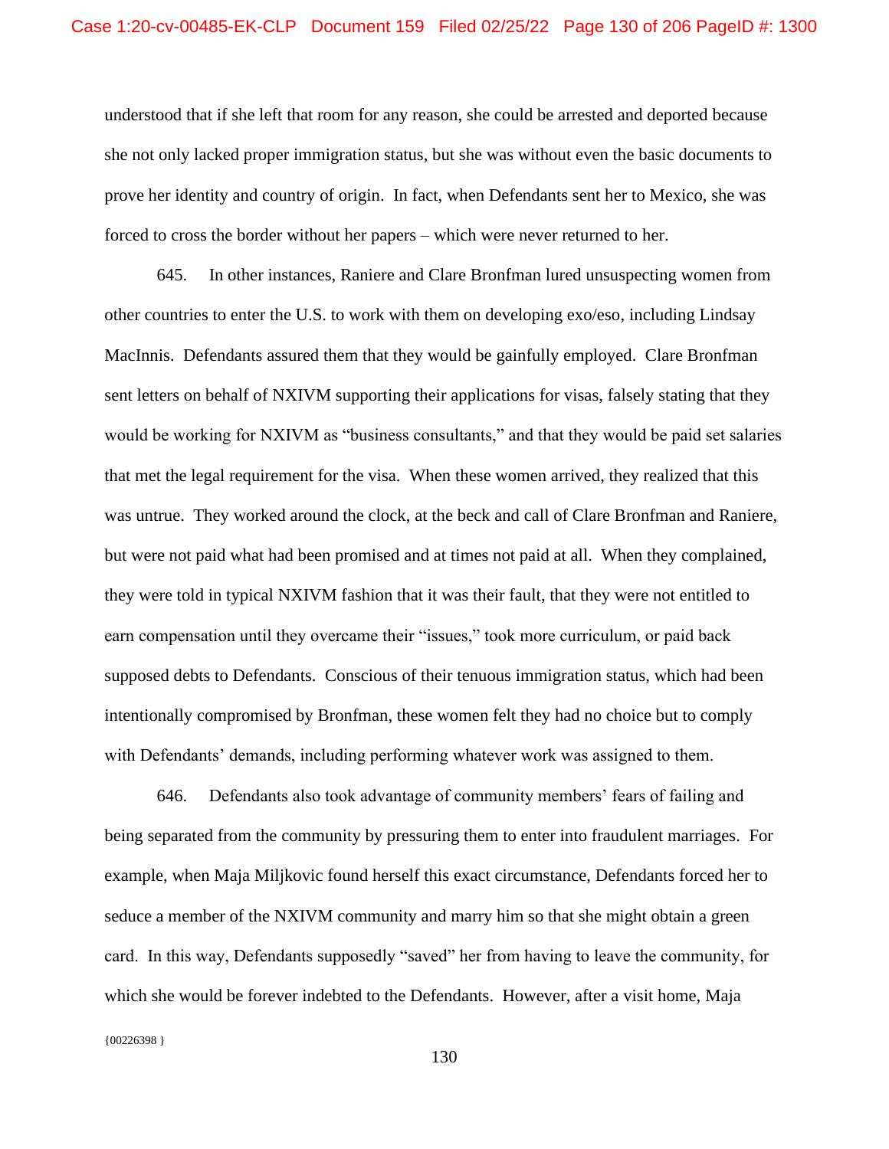understood that if she left that room for any reason, she could be arrested and deported because she not only lacked proper immigration status, but she was without even the basic documents to prove her identity and country of origin. In fact, when Defendants sent her to Mexico, she was forced to cross the border without her papers – which were never returned to her.

645. In other instances, Raniere and Clare Bronfman lured unsuspecting women from other countries to enter the U.S. to work with them on developing exo/eso, including Lindsay MacInnis. Defendants assured them that they would be gainfully employed. Clare Bronfman sent letters on behalf of NXIVM supporting their applications for visas, falsely stating that they would be working for NXIVM as "business consultants," and that they would be paid set salaries that met the legal requirement for the visa. When these women arrived, they realized that this was untrue. They worked around the clock, at the beck and call of Clare Bronfman and Raniere, but were not paid what had been promised and at times not paid at all. When they complained, they were told in typical NXIVM fashion that it was their fault, that they were not entitled to earn compensation until they overcame their "issues," took more curriculum, or paid back supposed debts to Defendants. Conscious of their tenuous immigration status, which had been intentionally compromised by Bronfman, these women felt they had no choice but to comply with Defendants' demands, including performing whatever work was assigned to them.

 ${00226398}$ 646. Defendants also took advantage of community members' fears of failing and being separated from the community by pressuring them to enter into fraudulent marriages. For example, when Maja Miljkovic found herself this exact circumstance, Defendants forced her to seduce a member of the NXIVM community and marry him so that she might obtain a green card. In this way, Defendants supposedly "saved" her from having to leave the community, for which she would be forever indebted to the Defendants. However, after a visit home, Maja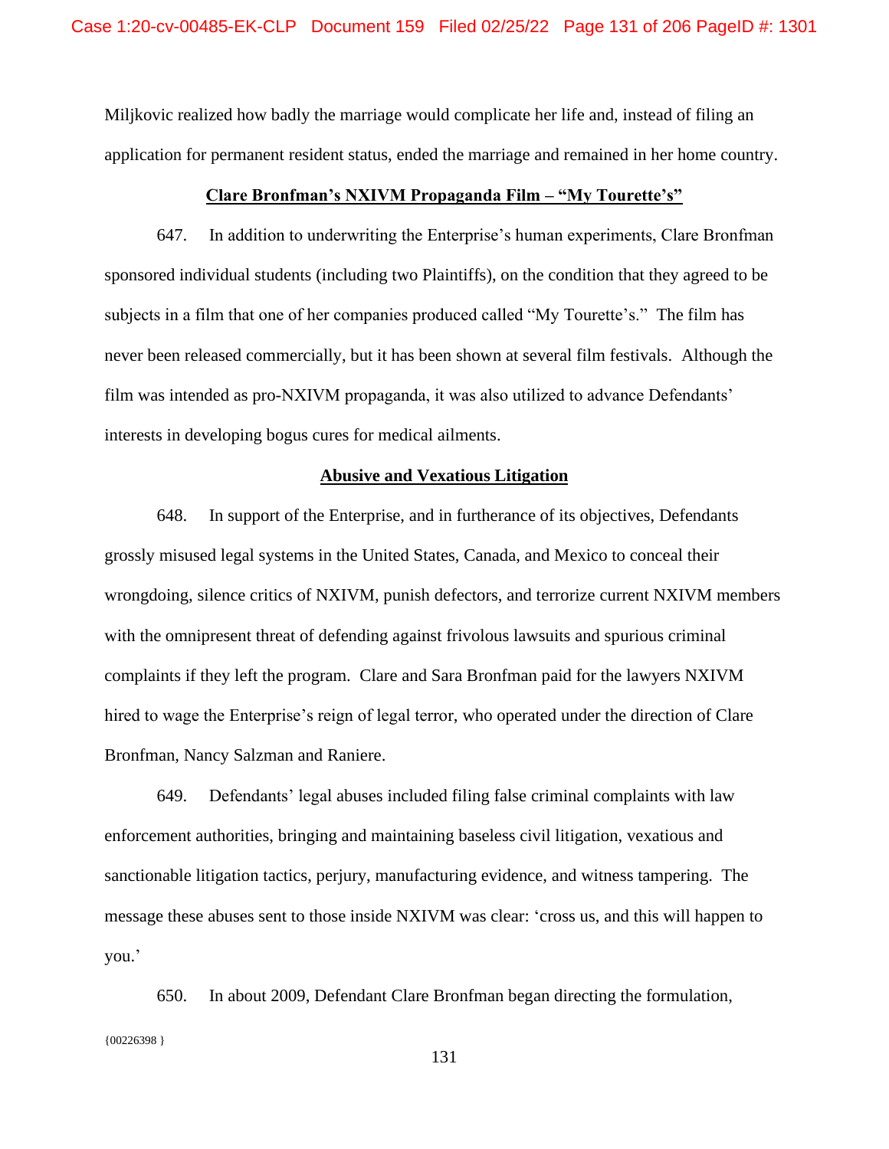Miljkovic realized how badly the marriage would complicate her life and, instead of filing an application for permanent resident status, ended the marriage and remained in her home country.

# **Clare Bronfman's NXIVM Propaganda Film – "My Tourette's"**

647. In addition to underwriting the Enterprise's human experiments, Clare Bronfman sponsored individual students (including two Plaintiffs), on the condition that they agreed to be subjects in a film that one of her companies produced called "My Tourette's." The film has never been released commercially, but it has been shown at several film festivals. Although the film was intended as pro-NXIVM propaganda, it was also utilized to advance Defendants' interests in developing bogus cures for medical ailments.

#### **Abusive and Vexatious Litigation**

648. In support of the Enterprise, and in furtherance of its objectives, Defendants grossly misused legal systems in the United States, Canada, and Mexico to conceal their wrongdoing, silence critics of NXIVM, punish defectors, and terrorize current NXIVM members with the omnipresent threat of defending against frivolous lawsuits and spurious criminal complaints if they left the program. Clare and Sara Bronfman paid for the lawyers NXIVM hired to wage the Enterprise's reign of legal terror, who operated under the direction of Clare Bronfman, Nancy Salzman and Raniere.

649. Defendants' legal abuses included filing false criminal complaints with law enforcement authorities, bringing and maintaining baseless civil litigation, vexatious and sanctionable litigation tactics, perjury, manufacturing evidence, and witness tampering. The message these abuses sent to those inside NXIVM was clear: 'cross us, and this will happen to you.'

{00226398 } 650. In about 2009, Defendant Clare Bronfman began directing the formulation,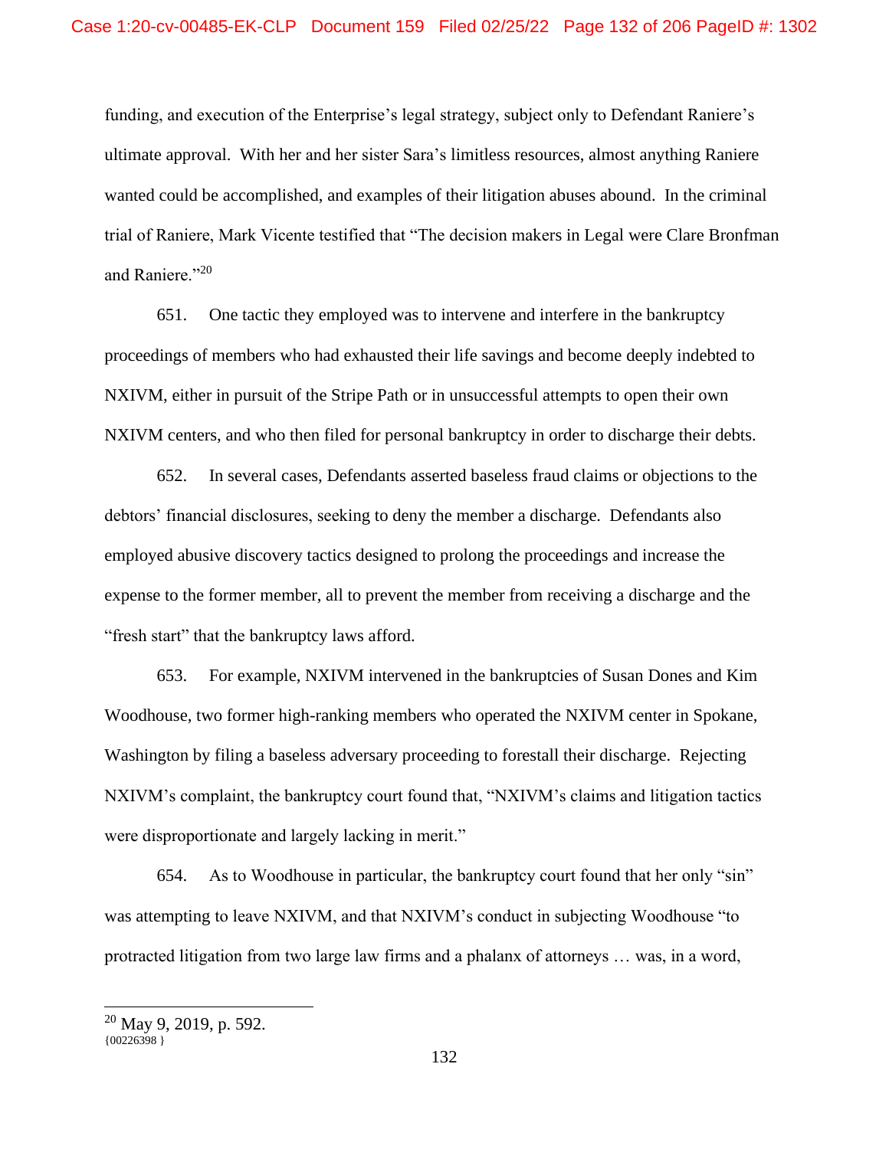funding, and execution of the Enterprise's legal strategy, subject only to Defendant Raniere's ultimate approval. With her and her sister Sara's limitless resources, almost anything Raniere wanted could be accomplished, and examples of their litigation abuses abound. In the criminal trial of Raniere, Mark Vicente testified that "The decision makers in Legal were Clare Bronfman and Raniere."<sup>20</sup>

651. One tactic they employed was to intervene and interfere in the bankruptcy proceedings of members who had exhausted their life savings and become deeply indebted to NXIVM, either in pursuit of the Stripe Path or in unsuccessful attempts to open their own NXIVM centers, and who then filed for personal bankruptcy in order to discharge their debts.

652. In several cases, Defendants asserted baseless fraud claims or objections to the debtors' financial disclosures, seeking to deny the member a discharge. Defendants also employed abusive discovery tactics designed to prolong the proceedings and increase the expense to the former member, all to prevent the member from receiving a discharge and the "fresh start" that the bankruptcy laws afford.

653. For example, NXIVM intervened in the bankruptcies of Susan Dones and Kim Woodhouse, two former high-ranking members who operated the NXIVM center in Spokane, Washington by filing a baseless adversary proceeding to forestall their discharge. Rejecting NXIVM's complaint, the bankruptcy court found that, "NXIVM's claims and litigation tactics were disproportionate and largely lacking in merit."

654. As to Woodhouse in particular, the bankruptcy court found that her only "sin" was attempting to leave NXIVM, and that NXIVM's conduct in subjecting Woodhouse "to protracted litigation from two large law firms and a phalanx of attorneys … was, in a word,

 ${00226398}$  }  $20$  May 9, 2019, p. 592.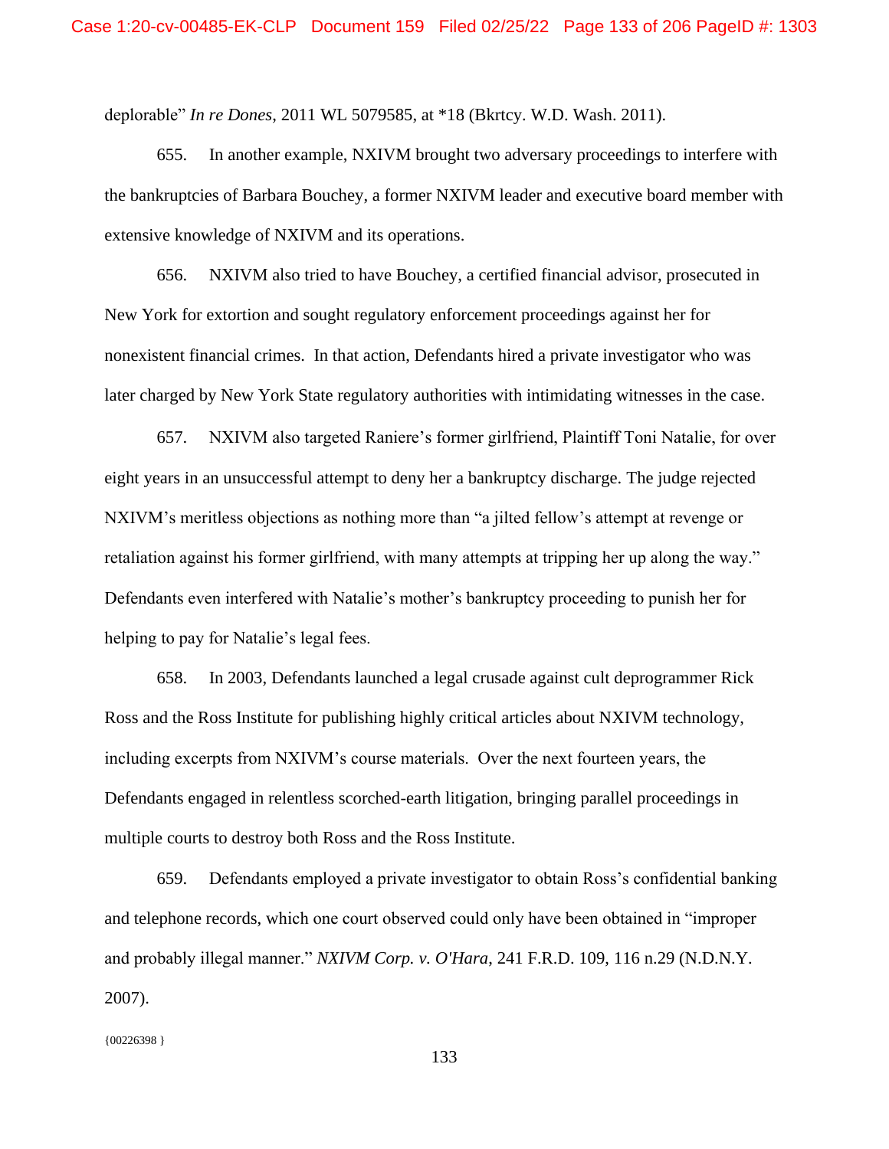deplorable" *In re Dones*, 2011 WL 5079585, at \*18 (Bkrtcy. W.D. Wash. 2011).

655. In another example, NXIVM brought two adversary proceedings to interfere with the bankruptcies of Barbara Bouchey, a former NXIVM leader and executive board member with extensive knowledge of NXIVM and its operations.

656. NXIVM also tried to have Bouchey, a certified financial advisor, prosecuted in New York for extortion and sought regulatory enforcement proceedings against her for nonexistent financial crimes. In that action, Defendants hired a private investigator who was later charged by New York State regulatory authorities with intimidating witnesses in the case.

657. NXIVM also targeted Raniere's former girlfriend, Plaintiff Toni Natalie, for over eight years in an unsuccessful attempt to deny her a bankruptcy discharge. The judge rejected NXIVM's meritless objections as nothing more than "a jilted fellow's attempt at revenge or retaliation against his former girlfriend, with many attempts at tripping her up along the way." Defendants even interfered with Natalie's mother's bankruptcy proceeding to punish her for helping to pay for Natalie's legal fees.

658. In 2003, Defendants launched a legal crusade against cult deprogrammer Rick Ross and the Ross Institute for publishing highly critical articles about NXIVM technology, including excerpts from NXIVM's course materials. Over the next fourteen years, the Defendants engaged in relentless scorched-earth litigation, bringing parallel proceedings in multiple courts to destroy both Ross and the Ross Institute.

659. Defendants employed a private investigator to obtain Ross's confidential banking and telephone records, which one court observed could only have been obtained in "improper and probably illegal manner." *NXIVM Corp. v. O'Hara*, 241 F.R.D. 109, 116 n.29 (N.D.N.Y. 2007).

{00226398 }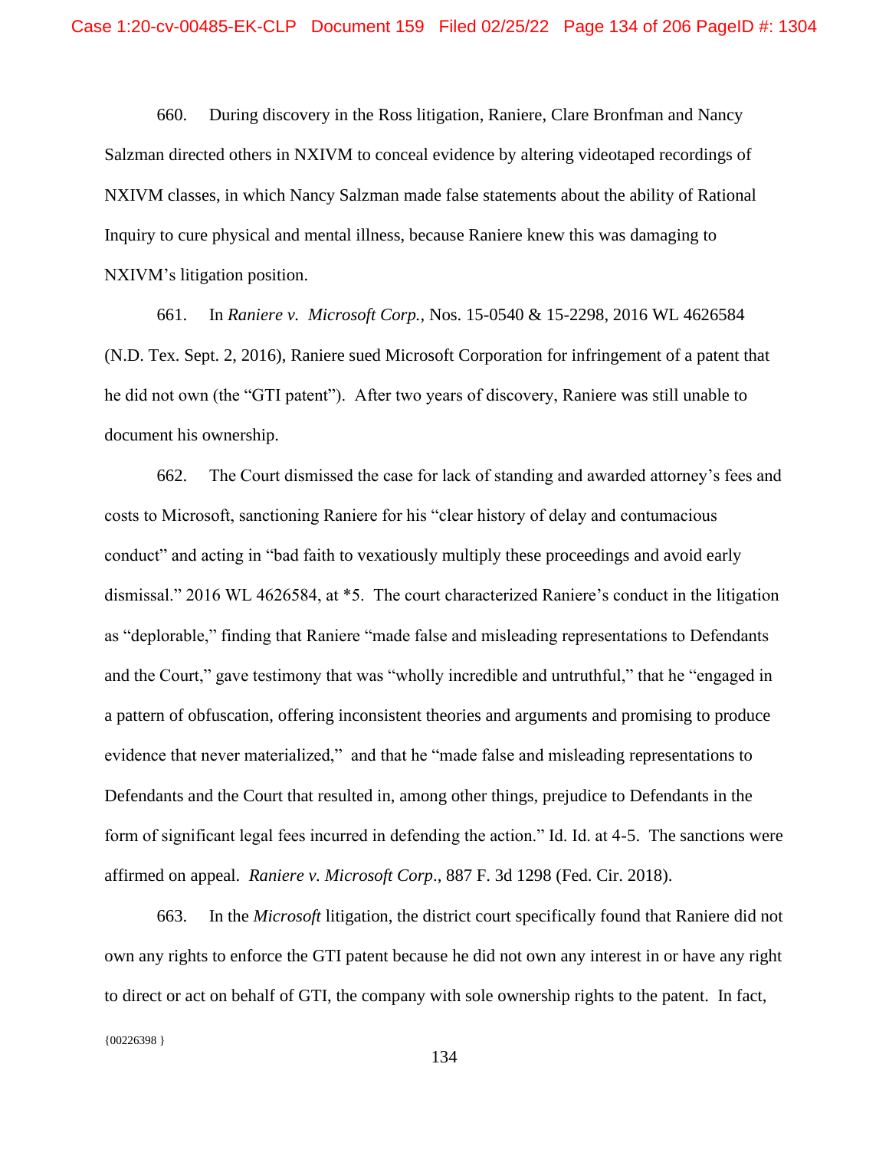660. During discovery in the Ross litigation, Raniere, Clare Bronfman and Nancy Salzman directed others in NXIVM to conceal evidence by altering videotaped recordings of NXIVM classes, in which Nancy Salzman made false statements about the ability of Rational Inquiry to cure physical and mental illness, because Raniere knew this was damaging to NXIVM's litigation position.

661. In *Raniere v. Microsoft Corp.,* Nos. 15-0540 & 15-2298, 2016 WL 4626584 (N.D. Tex. Sept. 2, 2016), Raniere sued Microsoft Corporation for infringement of a patent that he did not own (the "GTI patent"). After two years of discovery, Raniere was still unable to document his ownership.

662. The Court dismissed the case for lack of standing and awarded attorney's fees and costs to Microsoft, sanctioning Raniere for his "clear history of delay and contumacious conduct" and acting in "bad faith to vexatiously multiply these proceedings and avoid early dismissal." 2016 WL 4626584, at \*5. The court characterized Raniere's conduct in the litigation as "deplorable," finding that Raniere "made false and misleading representations to Defendants and the Court," gave testimony that was "wholly incredible and untruthful," that he "engaged in a pattern of obfuscation, offering inconsistent theories and arguments and promising to produce evidence that never materialized," and that he "made false and misleading representations to Defendants and the Court that resulted in, among other things, prejudice to Defendants in the form of significant legal fees incurred in defending the action." Id. Id. at 4-5. The sanctions were affirmed on appeal. *Raniere v. Microsoft Corp*., 887 F. 3d 1298 (Fed. Cir. 2018).

663. In the *Microsoft* litigation, the district court specifically found that Raniere did not own any rights to enforce the GTI patent because he did not own any interest in or have any right to direct or act on behalf of GTI, the company with sole ownership rights to the patent. In fact,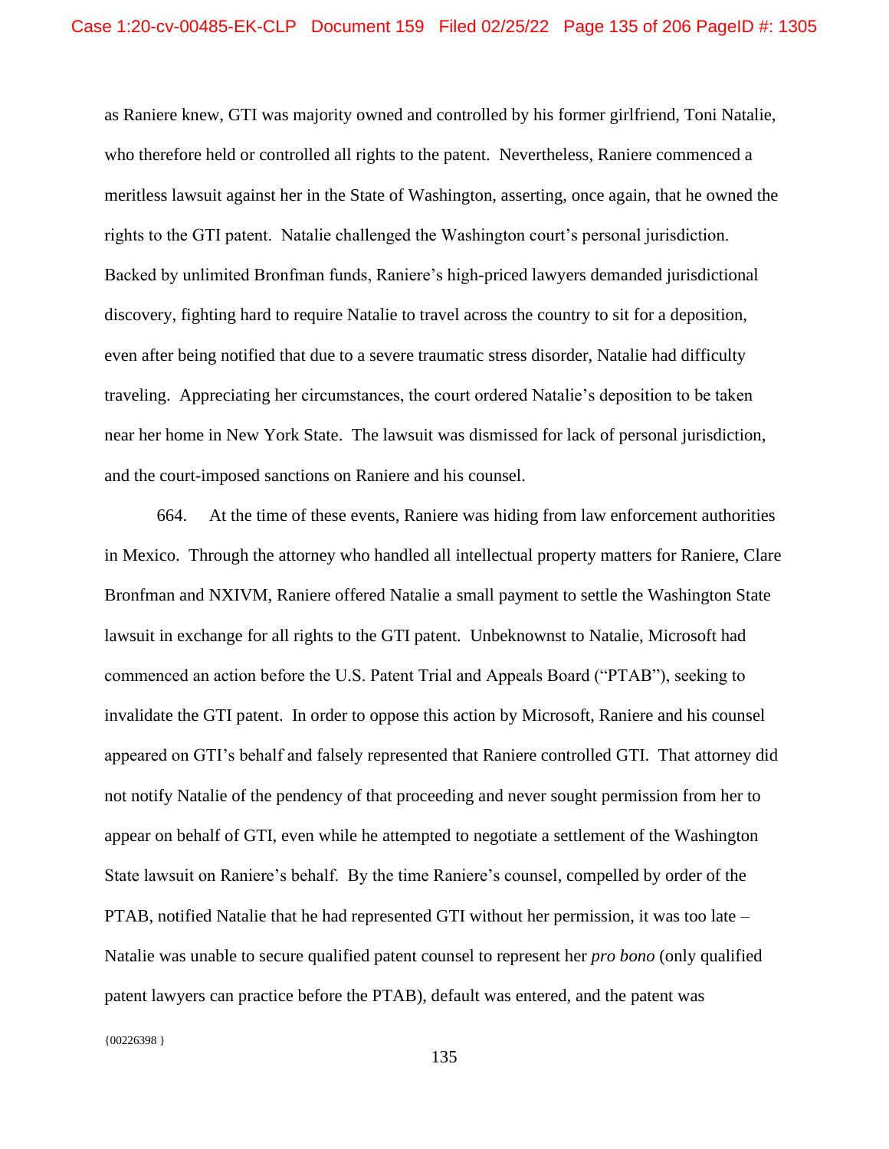as Raniere knew, GTI was majority owned and controlled by his former girlfriend, Toni Natalie, who therefore held or controlled all rights to the patent. Nevertheless, Raniere commenced a meritless lawsuit against her in the State of Washington, asserting, once again, that he owned the rights to the GTI patent. Natalie challenged the Washington court's personal jurisdiction. Backed by unlimited Bronfman funds, Raniere's high-priced lawyers demanded jurisdictional discovery, fighting hard to require Natalie to travel across the country to sit for a deposition, even after being notified that due to a severe traumatic stress disorder, Natalie had difficulty traveling. Appreciating her circumstances, the court ordered Natalie's deposition to be taken near her home in New York State. The lawsuit was dismissed for lack of personal jurisdiction, and the court-imposed sanctions on Raniere and his counsel.

664. At the time of these events, Raniere was hiding from law enforcement authorities in Mexico. Through the attorney who handled all intellectual property matters for Raniere, Clare Bronfman and NXIVM, Raniere offered Natalie a small payment to settle the Washington State lawsuit in exchange for all rights to the GTI patent. Unbeknownst to Natalie, Microsoft had commenced an action before the U.S. Patent Trial and Appeals Board ("PTAB"), seeking to invalidate the GTI patent. In order to oppose this action by Microsoft, Raniere and his counsel appeared on GTI's behalf and falsely represented that Raniere controlled GTI. That attorney did not notify Natalie of the pendency of that proceeding and never sought permission from her to appear on behalf of GTI, even while he attempted to negotiate a settlement of the Washington State lawsuit on Raniere's behalf. By the time Raniere's counsel, compelled by order of the PTAB, notified Natalie that he had represented GTI without her permission, it was too late – Natalie was unable to secure qualified patent counsel to represent her *pro bono* (only qualified patent lawyers can practice before the PTAB), default was entered, and the patent was

 ${00226398}$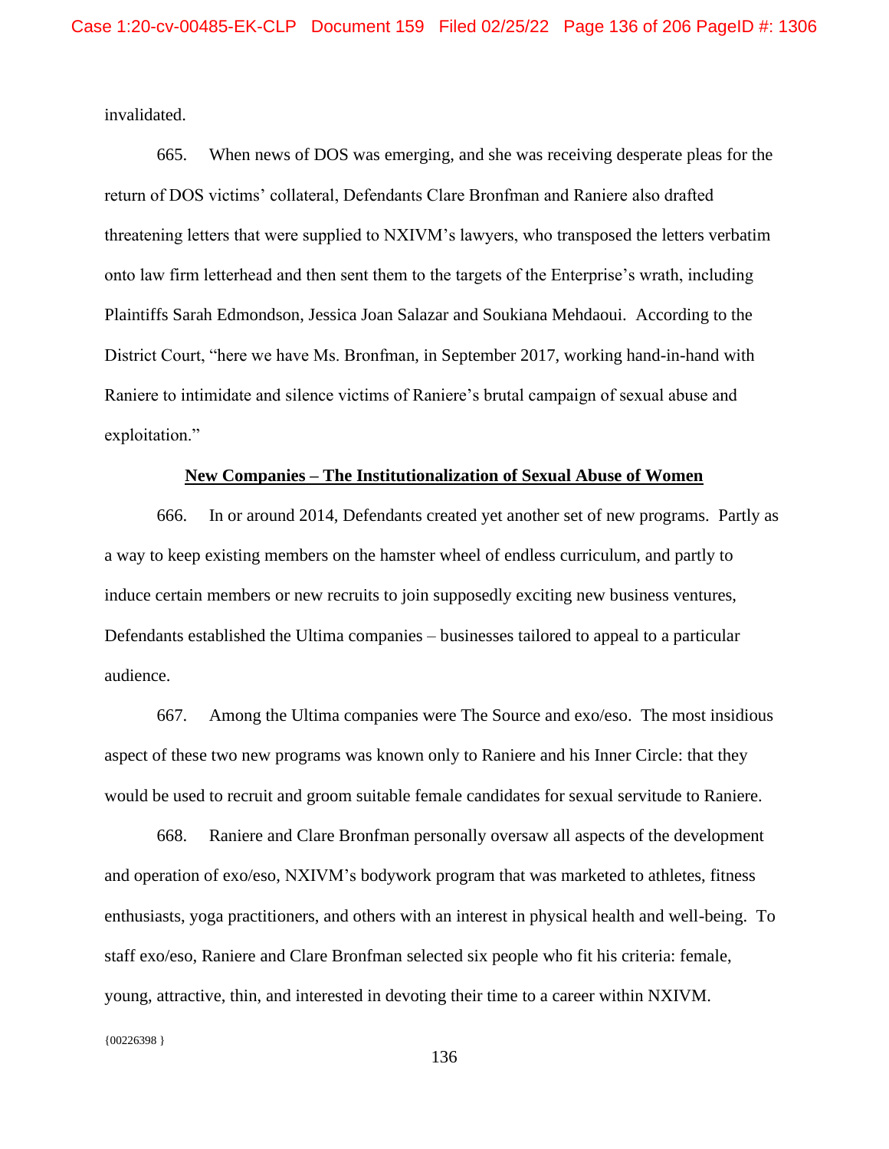invalidated.

665. When news of DOS was emerging, and she was receiving desperate pleas for the return of DOS victims' collateral, Defendants Clare Bronfman and Raniere also drafted threatening letters that were supplied to NXIVM's lawyers, who transposed the letters verbatim onto law firm letterhead and then sent them to the targets of the Enterprise's wrath, including Plaintiffs Sarah Edmondson, Jessica Joan Salazar and Soukiana Mehdaoui. According to the District Court, "here we have Ms. Bronfman, in September 2017, working hand-in-hand with Raniere to intimidate and silence victims of Raniere's brutal campaign of sexual abuse and exploitation."

## **New Companies – The Institutionalization of Sexual Abuse of Women**

666. In or around 2014, Defendants created yet another set of new programs. Partly as a way to keep existing members on the hamster wheel of endless curriculum, and partly to induce certain members or new recruits to join supposedly exciting new business ventures, Defendants established the Ultima companies – businesses tailored to appeal to a particular audience.

667. Among the Ultima companies were The Source and exo/eso. The most insidious aspect of these two new programs was known only to Raniere and his Inner Circle: that they would be used to recruit and groom suitable female candidates for sexual servitude to Raniere.

668. Raniere and Clare Bronfman personally oversaw all aspects of the development and operation of exo/eso, NXIVM's bodywork program that was marketed to athletes, fitness enthusiasts, yoga practitioners, and others with an interest in physical health and well-being. To staff exo/eso, Raniere and Clare Bronfman selected six people who fit his criteria: female, young, attractive, thin, and interested in devoting their time to a career within NXIVM.

{00226398 }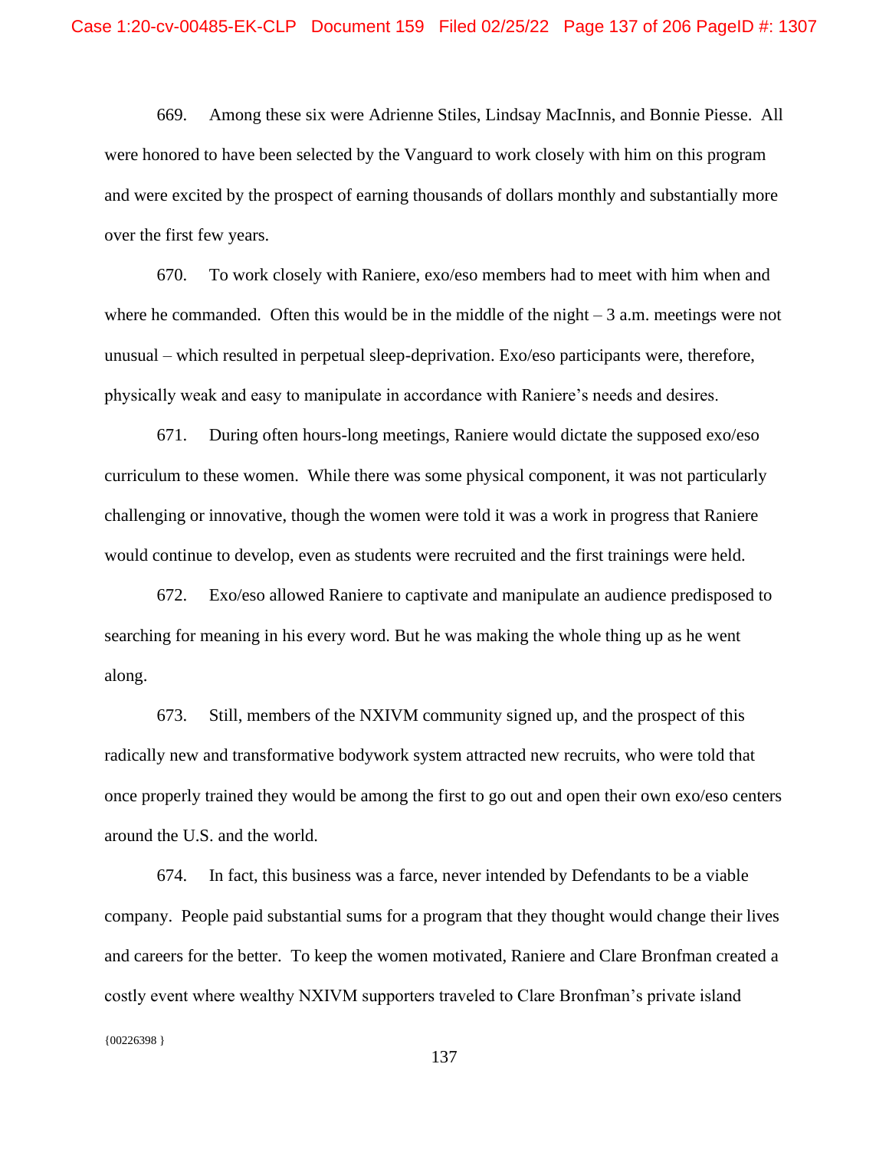669. Among these six were Adrienne Stiles, Lindsay MacInnis, and Bonnie Piesse. All were honored to have been selected by the Vanguard to work closely with him on this program and were excited by the prospect of earning thousands of dollars monthly and substantially more over the first few years.

670. To work closely with Raniere, exo/eso members had to meet with him when and where he commanded. Often this would be in the middle of the night  $-3$  a.m. meetings were not unusual – which resulted in perpetual sleep-deprivation. Exo/eso participants were, therefore, physically weak and easy to manipulate in accordance with Raniere's needs and desires.

671. During often hours-long meetings, Raniere would dictate the supposed exo/eso curriculum to these women. While there was some physical component, it was not particularly challenging or innovative, though the women were told it was a work in progress that Raniere would continue to develop, even as students were recruited and the first trainings were held.

672. Exo/eso allowed Raniere to captivate and manipulate an audience predisposed to searching for meaning in his every word. But he was making the whole thing up as he went along.

673. Still, members of the NXIVM community signed up, and the prospect of this radically new and transformative bodywork system attracted new recruits, who were told that once properly trained they would be among the first to go out and open their own exo/eso centers around the U.S. and the world.

674. In fact, this business was a farce, never intended by Defendants to be a viable company. People paid substantial sums for a program that they thought would change their lives and careers for the better. To keep the women motivated, Raniere and Clare Bronfman created a costly event where wealthy NXIVM supporters traveled to Clare Bronfman's private island

{00226398 }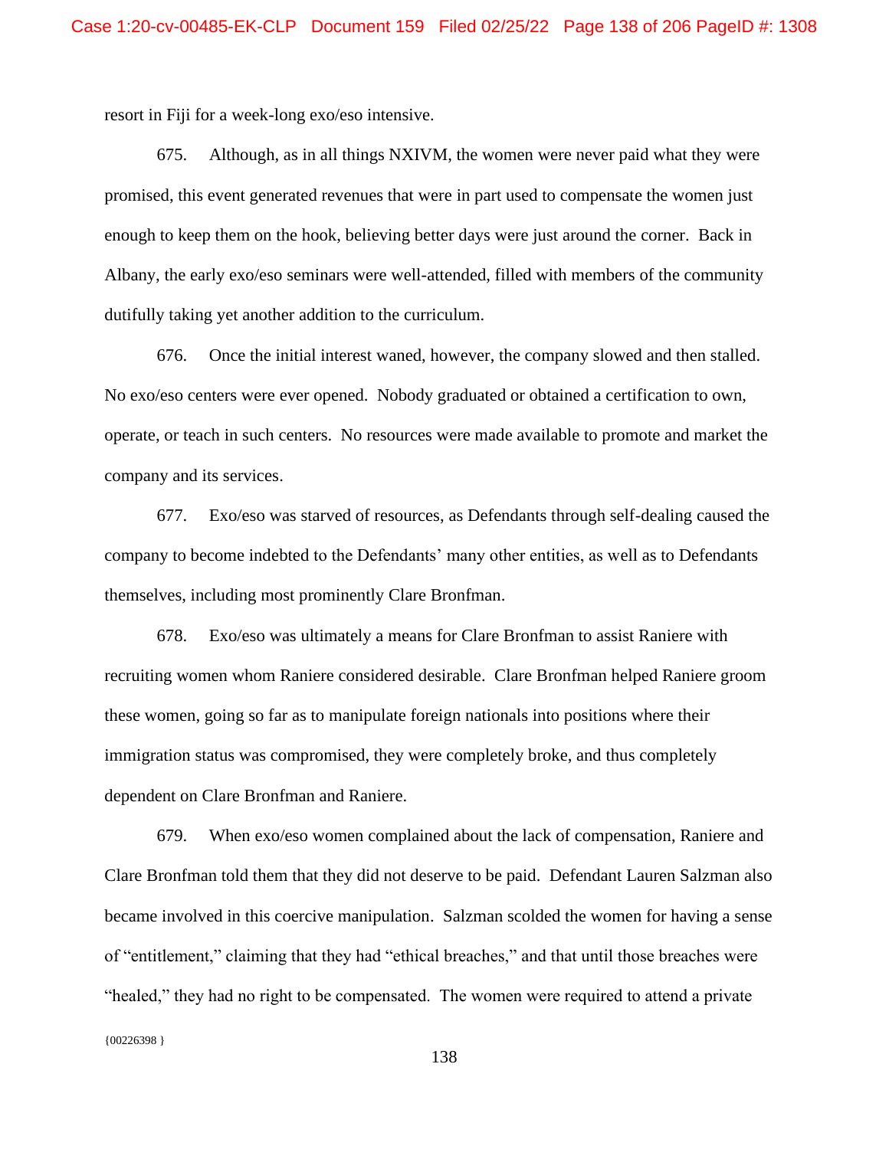resort in Fiji for a week-long exo/eso intensive.

675. Although, as in all things NXIVM, the women were never paid what they were promised, this event generated revenues that were in part used to compensate the women just enough to keep them on the hook, believing better days were just around the corner. Back in Albany, the early exo/eso seminars were well-attended, filled with members of the community dutifully taking yet another addition to the curriculum.

676. Once the initial interest waned, however, the company slowed and then stalled. No exo/eso centers were ever opened. Nobody graduated or obtained a certification to own, operate, or teach in such centers. No resources were made available to promote and market the company and its services.

677. Exo/eso was starved of resources, as Defendants through self-dealing caused the company to become indebted to the Defendants' many other entities, as well as to Defendants themselves, including most prominently Clare Bronfman.

678. Exo/eso was ultimately a means for Clare Bronfman to assist Raniere with recruiting women whom Raniere considered desirable. Clare Bronfman helped Raniere groom these women, going so far as to manipulate foreign nationals into positions where their immigration status was compromised, they were completely broke, and thus completely dependent on Clare Bronfman and Raniere.

 ${00226398}$ 679. When exo/eso women complained about the lack of compensation, Raniere and Clare Bronfman told them that they did not deserve to be paid. Defendant Lauren Salzman also became involved in this coercive manipulation. Salzman scolded the women for having a sense of "entitlement," claiming that they had "ethical breaches," and that until those breaches were "healed," they had no right to be compensated. The women were required to attend a private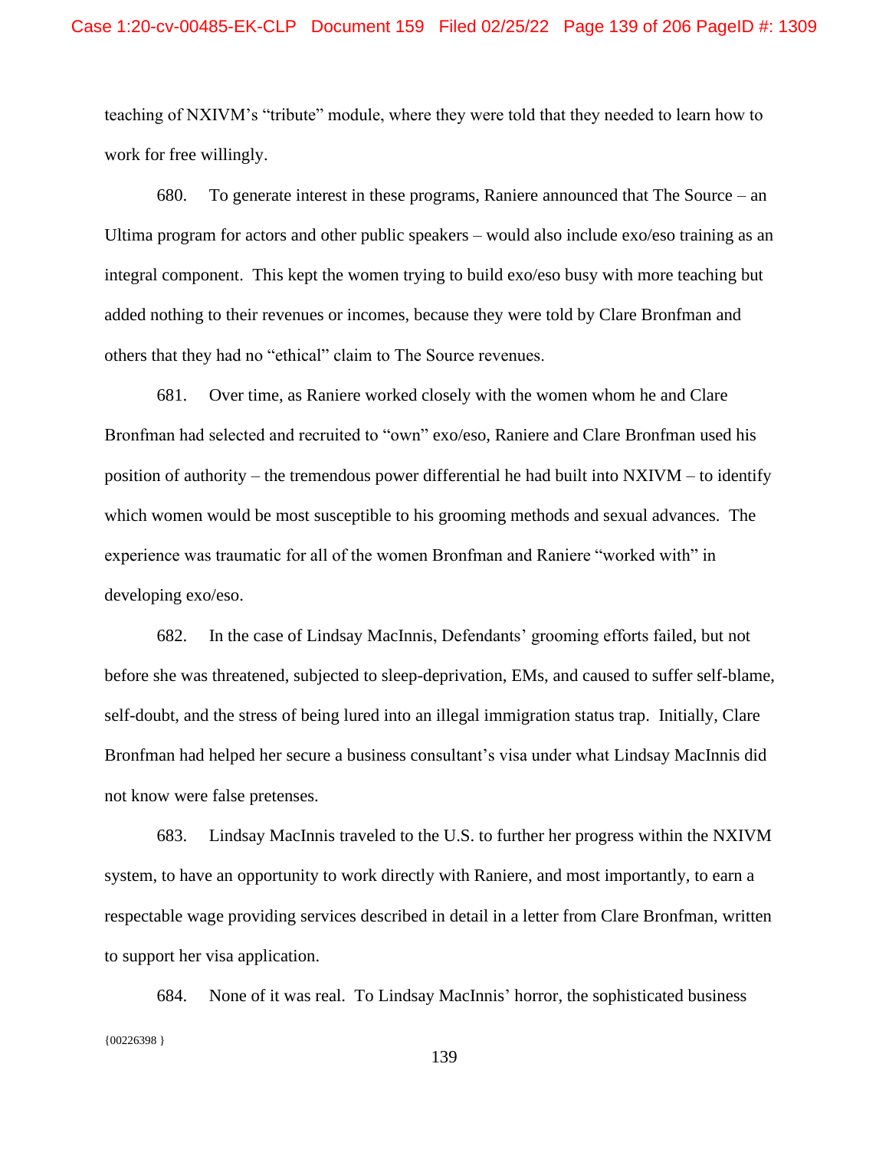teaching of NXIVM's "tribute" module, where they were told that they needed to learn how to work for free willingly.

680. To generate interest in these programs, Raniere announced that The Source – an Ultima program for actors and other public speakers – would also include exo/eso training as an integral component. This kept the women trying to build exo/eso busy with more teaching but added nothing to their revenues or incomes, because they were told by Clare Bronfman and others that they had no "ethical" claim to The Source revenues.

681. Over time, as Raniere worked closely with the women whom he and Clare Bronfman had selected and recruited to "own" exo/eso, Raniere and Clare Bronfman used his position of authority – the tremendous power differential he had built into NXIVM – to identify which women would be most susceptible to his grooming methods and sexual advances. The experience was traumatic for all of the women Bronfman and Raniere "worked with" in developing exo/eso.

682. In the case of Lindsay MacInnis, Defendants' grooming efforts failed, but not before she was threatened, subjected to sleep-deprivation, EMs, and caused to suffer self-blame, self-doubt, and the stress of being lured into an illegal immigration status trap. Initially, Clare Bronfman had helped her secure a business consultant's visa under what Lindsay MacInnis did not know were false pretenses.

683. Lindsay MacInnis traveled to the U.S. to further her progress within the NXIVM system, to have an opportunity to work directly with Raniere, and most importantly, to earn a respectable wage providing services described in detail in a letter from Clare Bronfman, written to support her visa application.

{00226398 } 684. None of it was real. To Lindsay MacInnis' horror, the sophisticated business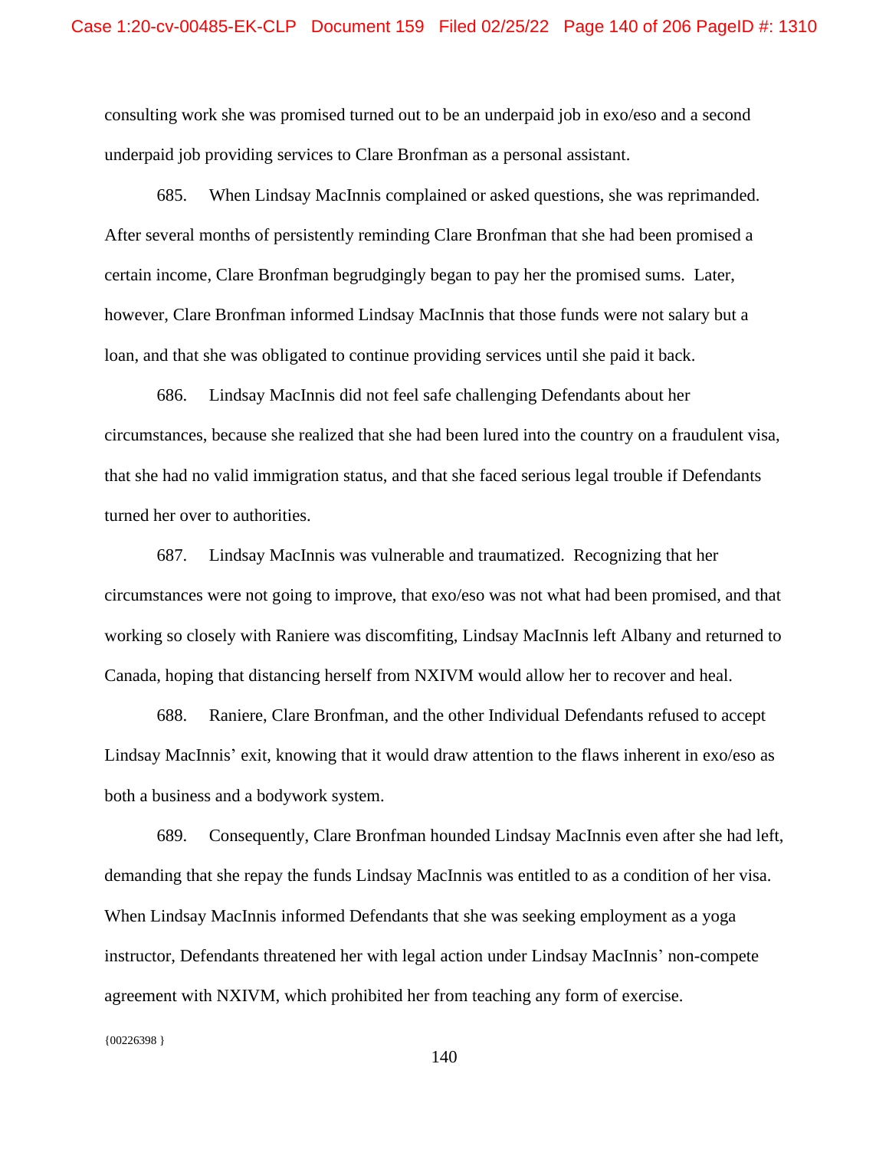consulting work she was promised turned out to be an underpaid job in exo/eso and a second underpaid job providing services to Clare Bronfman as a personal assistant.

685. When Lindsay MacInnis complained or asked questions, she was reprimanded. After several months of persistently reminding Clare Bronfman that she had been promised a certain income, Clare Bronfman begrudgingly began to pay her the promised sums. Later, however, Clare Bronfman informed Lindsay MacInnis that those funds were not salary but a loan, and that she was obligated to continue providing services until she paid it back.

686. Lindsay MacInnis did not feel safe challenging Defendants about her circumstances, because she realized that she had been lured into the country on a fraudulent visa, that she had no valid immigration status, and that she faced serious legal trouble if Defendants turned her over to authorities.

687. Lindsay MacInnis was vulnerable and traumatized. Recognizing that her circumstances were not going to improve, that exo/eso was not what had been promised, and that working so closely with Raniere was discomfiting, Lindsay MacInnis left Albany and returned to Canada, hoping that distancing herself from NXIVM would allow her to recover and heal.

688. Raniere, Clare Bronfman, and the other Individual Defendants refused to accept Lindsay MacInnis' exit, knowing that it would draw attention to the flaws inherent in exo/eso as both a business and a bodywork system.

689. Consequently, Clare Bronfman hounded Lindsay MacInnis even after she had left, demanding that she repay the funds Lindsay MacInnis was entitled to as a condition of her visa. When Lindsay MacInnis informed Defendants that she was seeking employment as a yoga instructor, Defendants threatened her with legal action under Lindsay MacInnis' non-compete agreement with NXIVM, which prohibited her from teaching any form of exercise.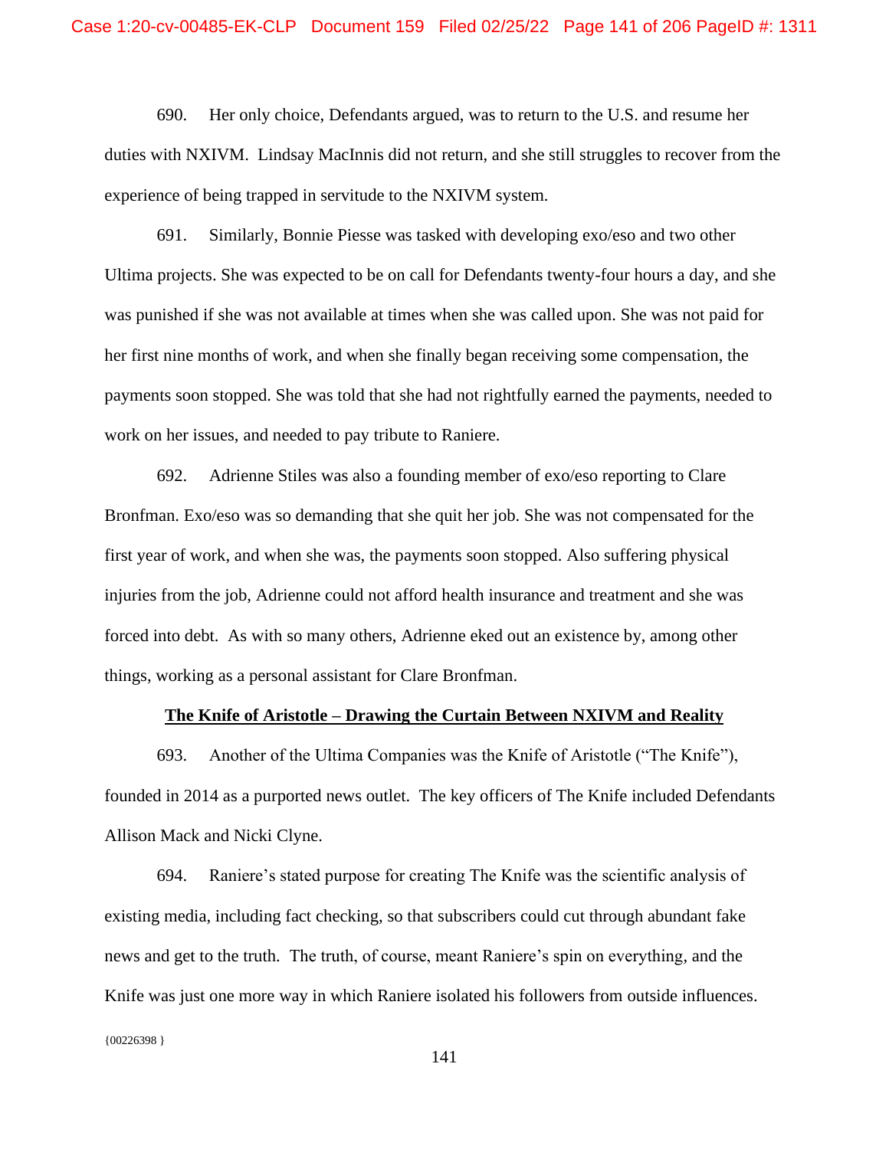690. Her only choice, Defendants argued, was to return to the U.S. and resume her duties with NXIVM. Lindsay MacInnis did not return, and she still struggles to recover from the experience of being trapped in servitude to the NXIVM system.

691. Similarly, Bonnie Piesse was tasked with developing exo/eso and two other Ultima projects. She was expected to be on call for Defendants twenty-four hours a day, and she was punished if she was not available at times when she was called upon. She was not paid for her first nine months of work, and when she finally began receiving some compensation, the payments soon stopped. She was told that she had not rightfully earned the payments, needed to work on her issues, and needed to pay tribute to Raniere.

692. Adrienne Stiles was also a founding member of exo/eso reporting to Clare Bronfman. Exo/eso was so demanding that she quit her job. She was not compensated for the first year of work, and when she was, the payments soon stopped. Also suffering physical injuries from the job, Adrienne could not afford health insurance and treatment and she was forced into debt. As with so many others, Adrienne eked out an existence by, among other things, working as a personal assistant for Clare Bronfman.

### **The Knife of Aristotle – Drawing the Curtain Between NXIVM and Reality**

693. Another of the Ultima Companies was the Knife of Aristotle ("The Knife"), founded in 2014 as a purported news outlet. The key officers of The Knife included Defendants Allison Mack and Nicki Clyne.

694. Raniere's stated purpose for creating The Knife was the scientific analysis of existing media, including fact checking, so that subscribers could cut through abundant fake news and get to the truth. The truth, of course, meant Raniere's spin on everything, and the Knife was just one more way in which Raniere isolated his followers from outside influences.

{00226398 }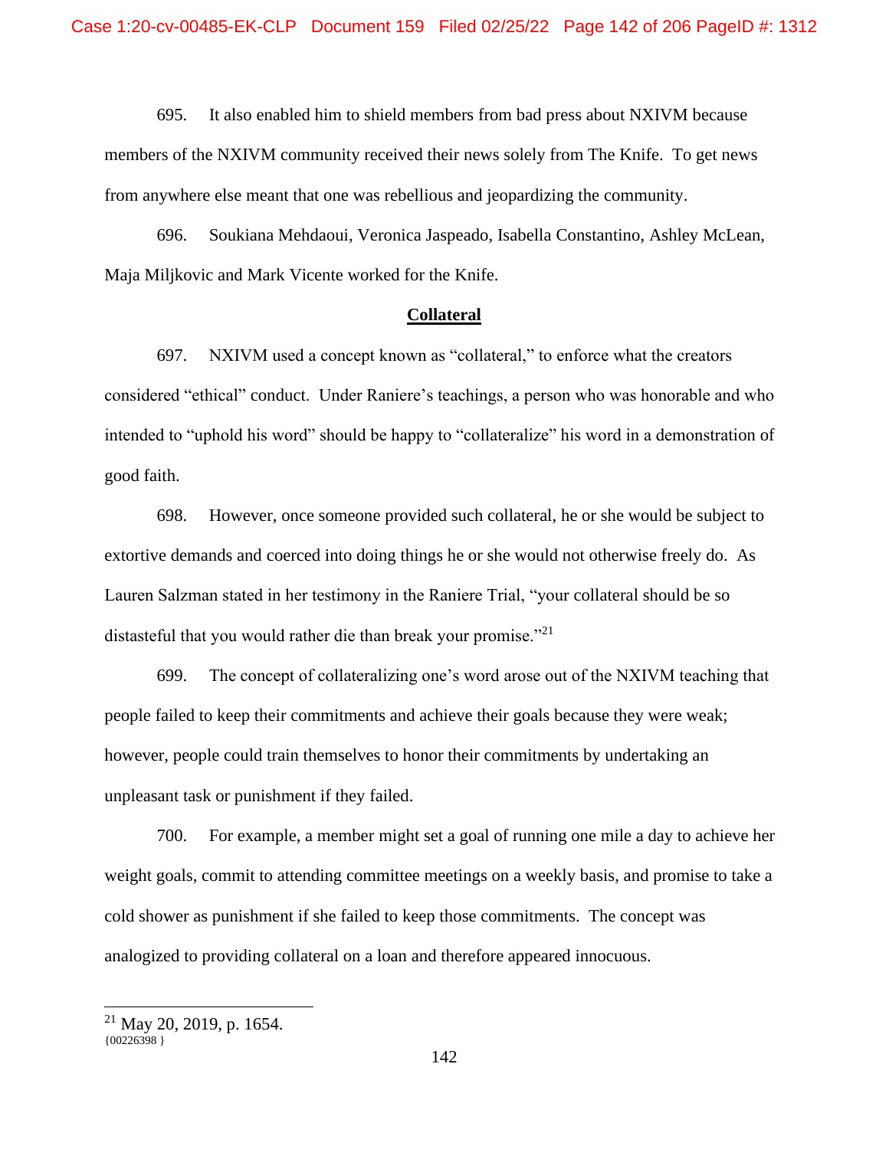695. It also enabled him to shield members from bad press about NXIVM because members of the NXIVM community received their news solely from The Knife. To get news from anywhere else meant that one was rebellious and jeopardizing the community.

696. Soukiana Mehdaoui, Veronica Jaspeado, Isabella Constantino, Ashley McLean, Maja Miljkovic and Mark Vicente worked for the Knife.

#### **Collateral**

697. NXIVM used a concept known as "collateral," to enforce what the creators considered "ethical" conduct. Under Raniere's teachings, a person who was honorable and who intended to "uphold his word" should be happy to "collateralize" his word in a demonstration of good faith.

698. However, once someone provided such collateral, he or she would be subject to extortive demands and coerced into doing things he or she would not otherwise freely do. As Lauren Salzman stated in her testimony in the Raniere Trial, "your collateral should be so distasteful that you would rather die than break your promise."<sup>21</sup>

699. The concept of collateralizing one's word arose out of the NXIVM teaching that people failed to keep their commitments and achieve their goals because they were weak; however, people could train themselves to honor their commitments by undertaking an unpleasant task or punishment if they failed.

700. For example, a member might set a goal of running one mile a day to achieve her weight goals, commit to attending committee meetings on a weekly basis, and promise to take a cold shower as punishment if she failed to keep those commitments. The concept was analogized to providing collateral on a loan and therefore appeared innocuous.

 ${00226398}$  }  $21$  May 20, 2019, p. 1654.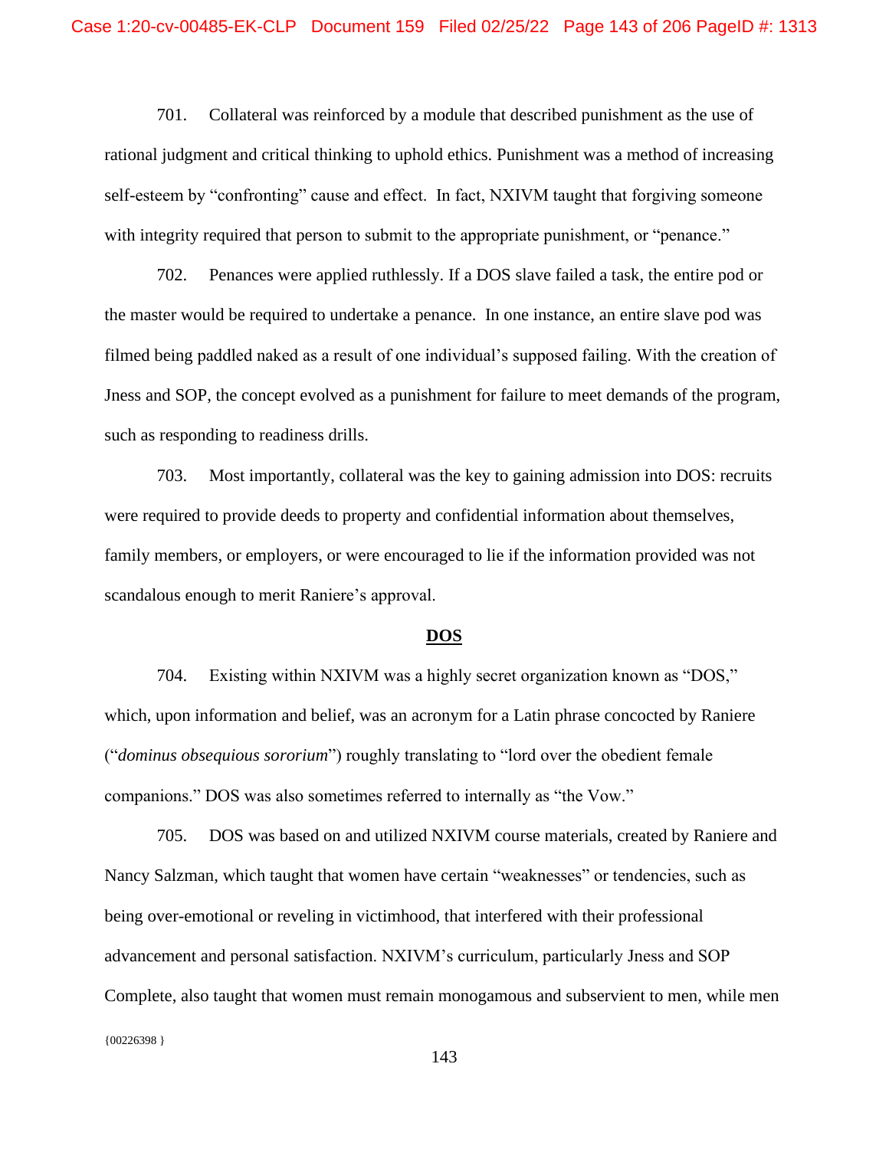701. Collateral was reinforced by a module that described punishment as the use of rational judgment and critical thinking to uphold ethics. Punishment was a method of increasing self-esteem by "confronting" cause and effect. In fact, NXIVM taught that forgiving someone with integrity required that person to submit to the appropriate punishment, or "penance."

702. Penances were applied ruthlessly. If a DOS slave failed a task, the entire pod or the master would be required to undertake a penance. In one instance, an entire slave pod was filmed being paddled naked as a result of one individual's supposed failing. With the creation of Jness and SOP, the concept evolved as a punishment for failure to meet demands of the program, such as responding to readiness drills.

703. Most importantly, collateral was the key to gaining admission into DOS: recruits were required to provide deeds to property and confidential information about themselves, family members, or employers, or were encouraged to lie if the information provided was not scandalous enough to merit Raniere's approval.

#### **DOS**

704. Existing within NXIVM was a highly secret organization known as "DOS," which, upon information and belief, was an acronym for a Latin phrase concocted by Raniere ("*dominus obsequious sororium*") roughly translating to "lord over the obedient female companions." DOS was also sometimes referred to internally as "the Vow."

{00226398 } 705. DOS was based on and utilized NXIVM course materials, created by Raniere and Nancy Salzman, which taught that women have certain "weaknesses" or tendencies, such as being over-emotional or reveling in victimhood, that interfered with their professional advancement and personal satisfaction. NXIVM's curriculum, particularly Jness and SOP Complete, also taught that women must remain monogamous and subservient to men, while men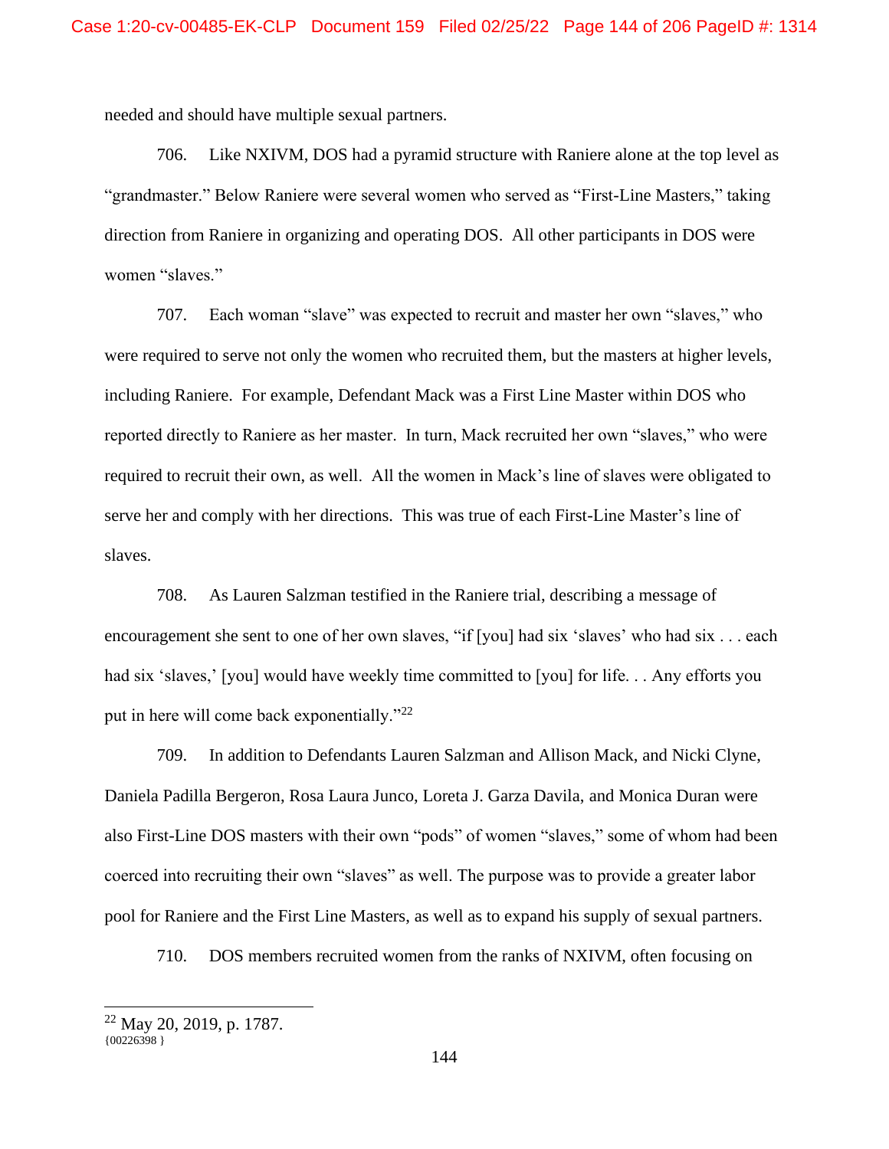needed and should have multiple sexual partners.

706. Like NXIVM, DOS had a pyramid structure with Raniere alone at the top level as "grandmaster." Below Raniere were several women who served as "First-Line Masters," taking direction from Raniere in organizing and operating DOS. All other participants in DOS were women "slaves."

707. Each woman "slave" was expected to recruit and master her own "slaves," who were required to serve not only the women who recruited them, but the masters at higher levels, including Raniere. For example, Defendant Mack was a First Line Master within DOS who reported directly to Raniere as her master. In turn, Mack recruited her own "slaves," who were required to recruit their own, as well. All the women in Mack's line of slaves were obligated to serve her and comply with her directions. This was true of each First-Line Master's line of slaves.

708. As Lauren Salzman testified in the Raniere trial, describing a message of encouragement she sent to one of her own slaves, "if [you] had six 'slaves' who had six . . . each had six 'slaves,' [you] would have weekly time committed to [you] for life... Any efforts you put in here will come back exponentially."<sup>22</sup>

709. In addition to Defendants Lauren Salzman and Allison Mack, and Nicki Clyne, Daniela Padilla Bergeron, Rosa Laura Junco, Loreta J. Garza Davila, and Monica Duran were also First-Line DOS masters with their own "pods" of women "slaves," some of whom had been coerced into recruiting their own "slaves" as well. The purpose was to provide a greater labor pool for Raniere and the First Line Masters, as well as to expand his supply of sexual partners.

710. DOS members recruited women from the ranks of NXIVM, often focusing on

 ${00226398}$  $22$  May 20, 2019, p. 1787.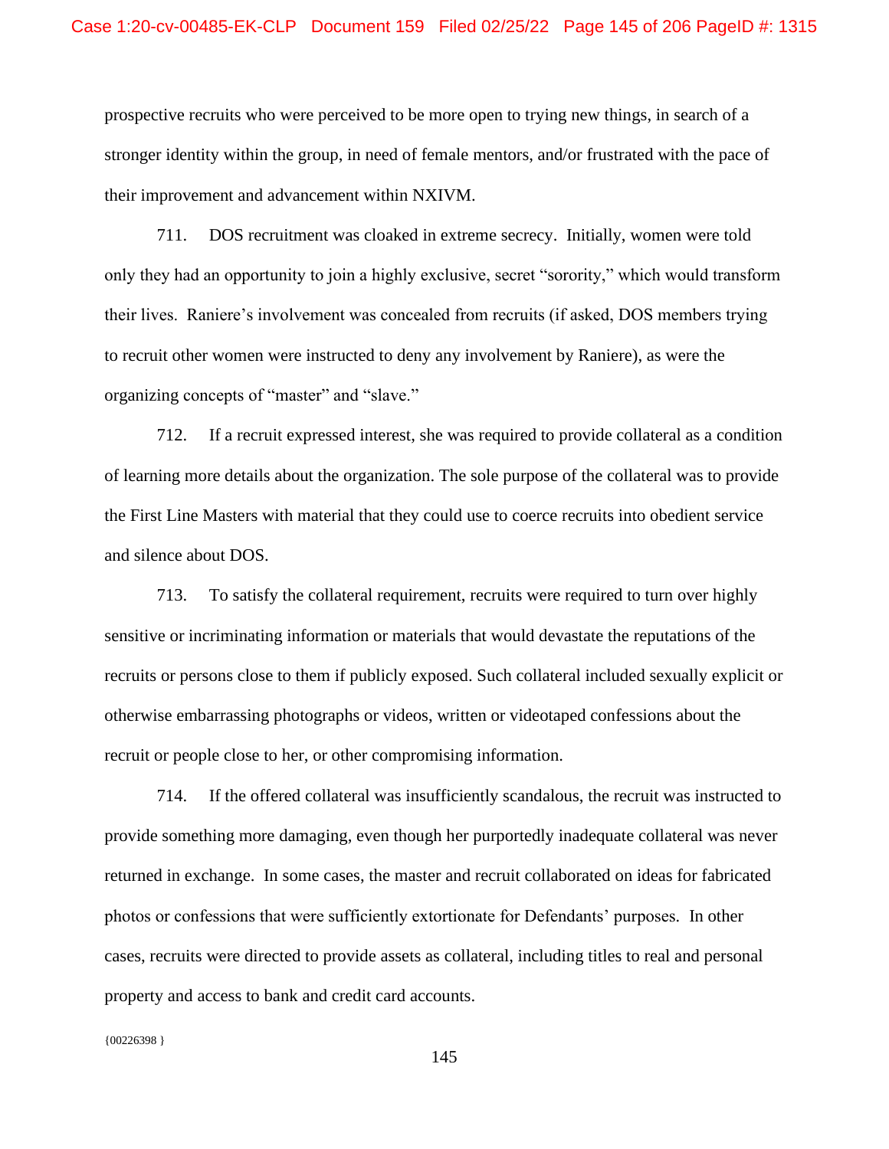prospective recruits who were perceived to be more open to trying new things, in search of a stronger identity within the group, in need of female mentors, and/or frustrated with the pace of their improvement and advancement within NXIVM.

711. DOS recruitment was cloaked in extreme secrecy. Initially, women were told only they had an opportunity to join a highly exclusive, secret "sorority," which would transform their lives. Raniere's involvement was concealed from recruits (if asked, DOS members trying to recruit other women were instructed to deny any involvement by Raniere), as were the organizing concepts of "master" and "slave."

712. If a recruit expressed interest, she was required to provide collateral as a condition of learning more details about the organization. The sole purpose of the collateral was to provide the First Line Masters with material that they could use to coerce recruits into obedient service and silence about DOS.

713. To satisfy the collateral requirement, recruits were required to turn over highly sensitive or incriminating information or materials that would devastate the reputations of the recruits or persons close to them if publicly exposed. Such collateral included sexually explicit or otherwise embarrassing photographs or videos, written or videotaped confessions about the recruit or people close to her, or other compromising information.

714. If the offered collateral was insufficiently scandalous, the recruit was instructed to provide something more damaging, even though her purportedly inadequate collateral was never returned in exchange. In some cases, the master and recruit collaborated on ideas for fabricated photos or confessions that were sufficiently extortionate for Defendants' purposes*.* In other cases, recruits were directed to provide assets as collateral, including titles to real and personal property and access to bank and credit card accounts.

{00226398 }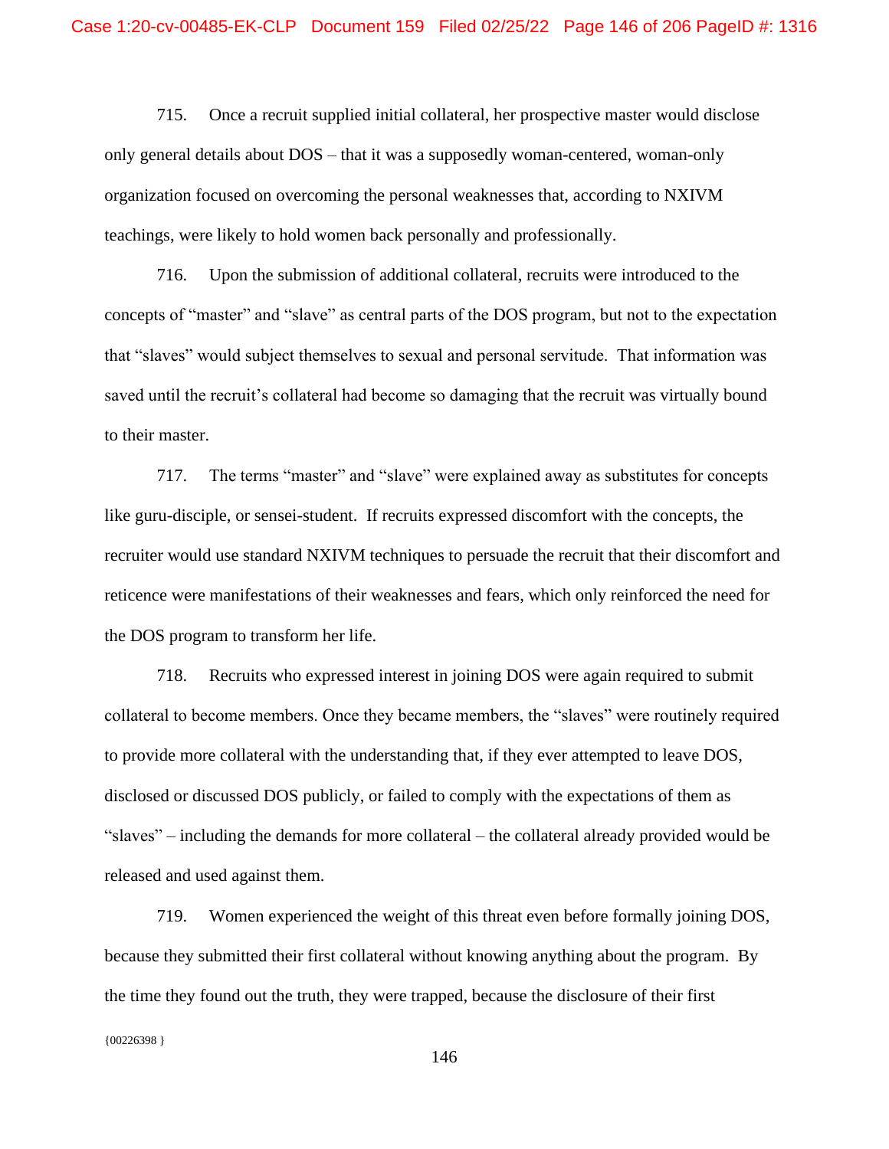715. Once a recruit supplied initial collateral, her prospective master would disclose only general details about DOS – that it was a supposedly woman-centered, woman-only organization focused on overcoming the personal weaknesses that, according to NXIVM teachings, were likely to hold women back personally and professionally.

716. Upon the submission of additional collateral, recruits were introduced to the concepts of "master" and "slave" as central parts of the DOS program, but not to the expectation that "slaves" would subject themselves to sexual and personal servitude. That information was saved until the recruit's collateral had become so damaging that the recruit was virtually bound to their master.

717. The terms "master" and "slave" were explained away as substitutes for concepts like guru-disciple, or sensei-student. If recruits expressed discomfort with the concepts, the recruiter would use standard NXIVM techniques to persuade the recruit that their discomfort and reticence were manifestations of their weaknesses and fears, which only reinforced the need for the DOS program to transform her life.

718. Recruits who expressed interest in joining DOS were again required to submit collateral to become members. Once they became members, the "slaves" were routinely required to provide more collateral with the understanding that, if they ever attempted to leave DOS, disclosed or discussed DOS publicly, or failed to comply with the expectations of them as "slaves" – including the demands for more collateral – the collateral already provided would be released and used against them.

719. Women experienced the weight of this threat even before formally joining DOS, because they submitted their first collateral without knowing anything about the program. By the time they found out the truth, they were trapped, because the disclosure of their first

146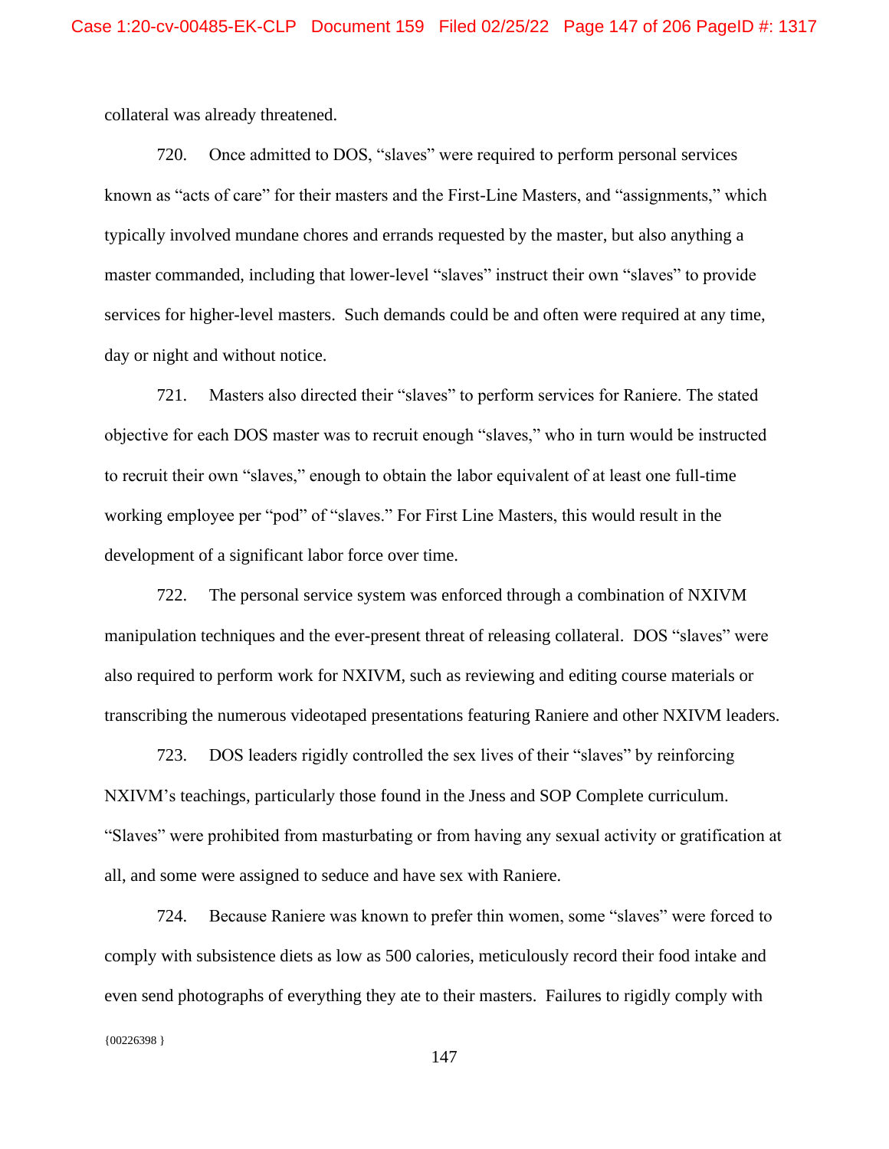collateral was already threatened.

720. Once admitted to DOS, "slaves" were required to perform personal services known as "acts of care" for their masters and the First-Line Masters, and "assignments," which typically involved mundane chores and errands requested by the master, but also anything a master commanded, including that lower-level "slaves" instruct their own "slaves" to provide services for higher-level masters. Such demands could be and often were required at any time, day or night and without notice.

721. Masters also directed their "slaves" to perform services for Raniere. The stated objective for each DOS master was to recruit enough "slaves," who in turn would be instructed to recruit their own "slaves," enough to obtain the labor equivalent of at least one full-time working employee per "pod" of "slaves." For First Line Masters, this would result in the development of a significant labor force over time.

722. The personal service system was enforced through a combination of NXIVM manipulation techniques and the ever-present threat of releasing collateral. DOS "slaves" were also required to perform work for NXIVM, such as reviewing and editing course materials or transcribing the numerous videotaped presentations featuring Raniere and other NXIVM leaders.

723. DOS leaders rigidly controlled the sex lives of their "slaves" by reinforcing NXIVM's teachings, particularly those found in the Jness and SOP Complete curriculum. "Slaves" were prohibited from masturbating or from having any sexual activity or gratification at all, and some were assigned to seduce and have sex with Raniere.

 ${00226398}$ 724. Because Raniere was known to prefer thin women, some "slaves" were forced to comply with subsistence diets as low as 500 calories, meticulously record their food intake and even send photographs of everything they ate to their masters. Failures to rigidly comply with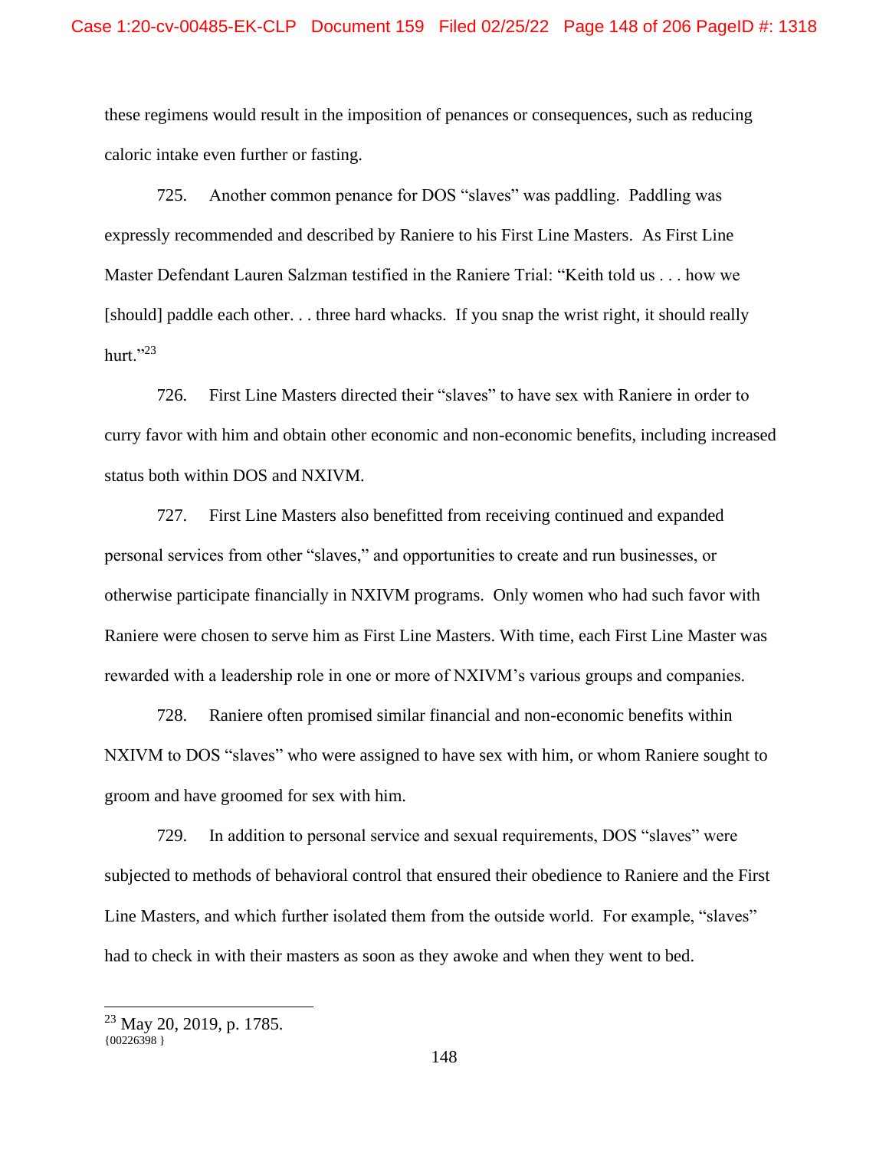these regimens would result in the imposition of penances or consequences, such as reducing caloric intake even further or fasting.

725. Another common penance for DOS "slaves" was paddling. Paddling was expressly recommended and described by Raniere to his First Line Masters. As First Line Master Defendant Lauren Salzman testified in the Raniere Trial: "Keith told us . . . how we [should] paddle each other. . . three hard whacks. If you snap the wrist right, it should really hurt." $^{23}$ 

726. First Line Masters directed their "slaves" to have sex with Raniere in order to curry favor with him and obtain other economic and non-economic benefits, including increased status both within DOS and NXIVM.

727. First Line Masters also benefitted from receiving continued and expanded personal services from other "slaves," and opportunities to create and run businesses, or otherwise participate financially in NXIVM programs. Only women who had such favor with Raniere were chosen to serve him as First Line Masters. With time, each First Line Master was rewarded with a leadership role in one or more of NXIVM's various groups and companies.

728. Raniere often promised similar financial and non-economic benefits within NXIVM to DOS "slaves" who were assigned to have sex with him, or whom Raniere sought to groom and have groomed for sex with him.

729. In addition to personal service and sexual requirements, DOS "slaves" were subjected to methods of behavioral control that ensured their obedience to Raniere and the First Line Masters, and which further isolated them from the outside world. For example, "slaves" had to check in with their masters as soon as they awoke and when they went to bed.

 $23$  May 20, 2019, p. 1785.

 ${00226398}$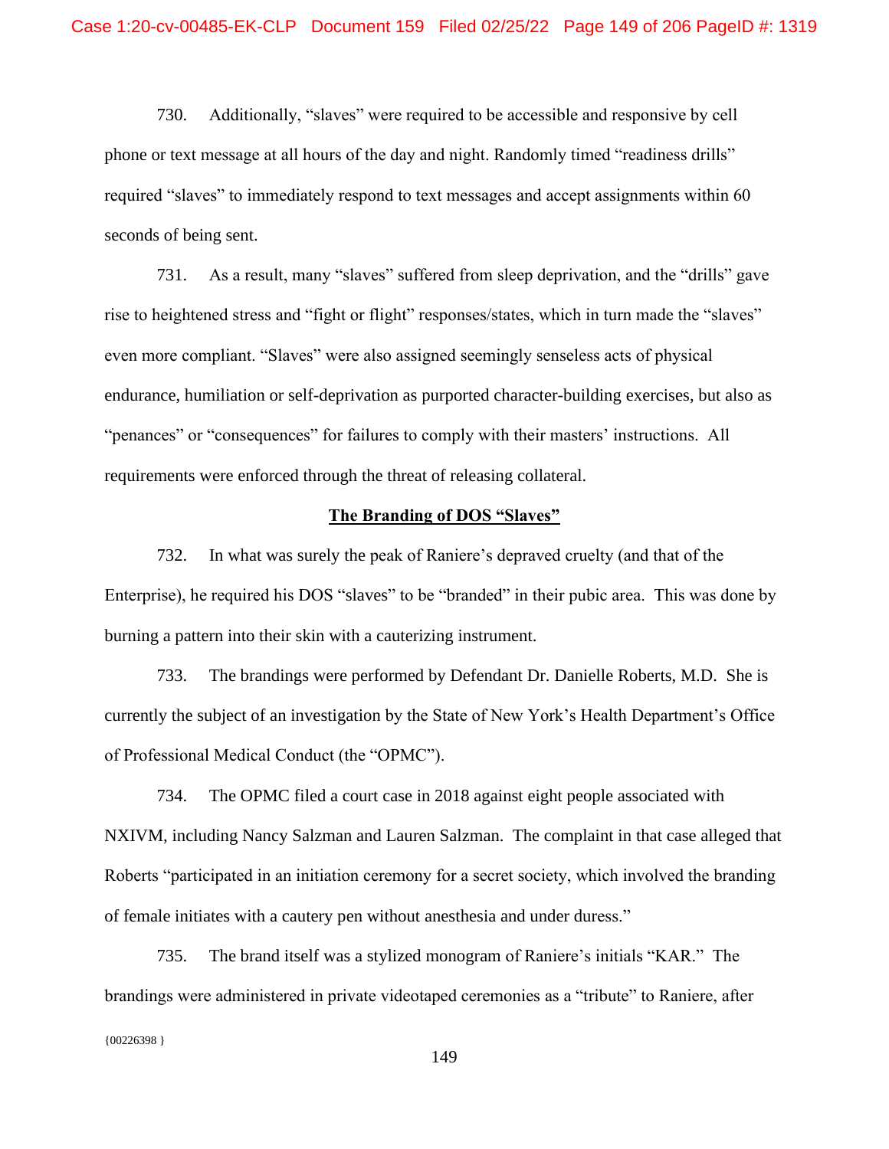730. Additionally, "slaves" were required to be accessible and responsive by cell phone or text message at all hours of the day and night. Randomly timed "readiness drills" required "slaves" to immediately respond to text messages and accept assignments within 60 seconds of being sent.

731. As a result, many "slaves" suffered from sleep deprivation, and the "drills" gave rise to heightened stress and "fight or flight" responses/states, which in turn made the "slaves" even more compliant. "Slaves" were also assigned seemingly senseless acts of physical endurance, humiliation or self-deprivation as purported character-building exercises, but also as "penances" or "consequences" for failures to comply with their masters' instructions. All requirements were enforced through the threat of releasing collateral.

### **The Branding of DOS "Slaves"**

732. In what was surely the peak of Raniere's depraved cruelty (and that of the Enterprise), he required his DOS "slaves" to be "branded" in their pubic area. This was done by burning a pattern into their skin with a cauterizing instrument.

733. The brandings were performed by Defendant Dr. Danielle Roberts, M.D. She is currently the subject of an investigation by the State of New York's Health Department's Office of Professional Medical Conduct (the "OPMC").

734. The OPMC filed a court case in 2018 against eight people associated with NXIVM, including Nancy Salzman and Lauren Salzman. The complaint in that case alleged that Roberts "participated in an initiation ceremony for a secret society, which involved the branding of female initiates with a cautery pen without anesthesia and under duress."

735. The brand itself was a stylized monogram of Raniere's initials "KAR." The brandings were administered in private videotaped ceremonies as a "tribute" to Raniere, after

 ${00226398}$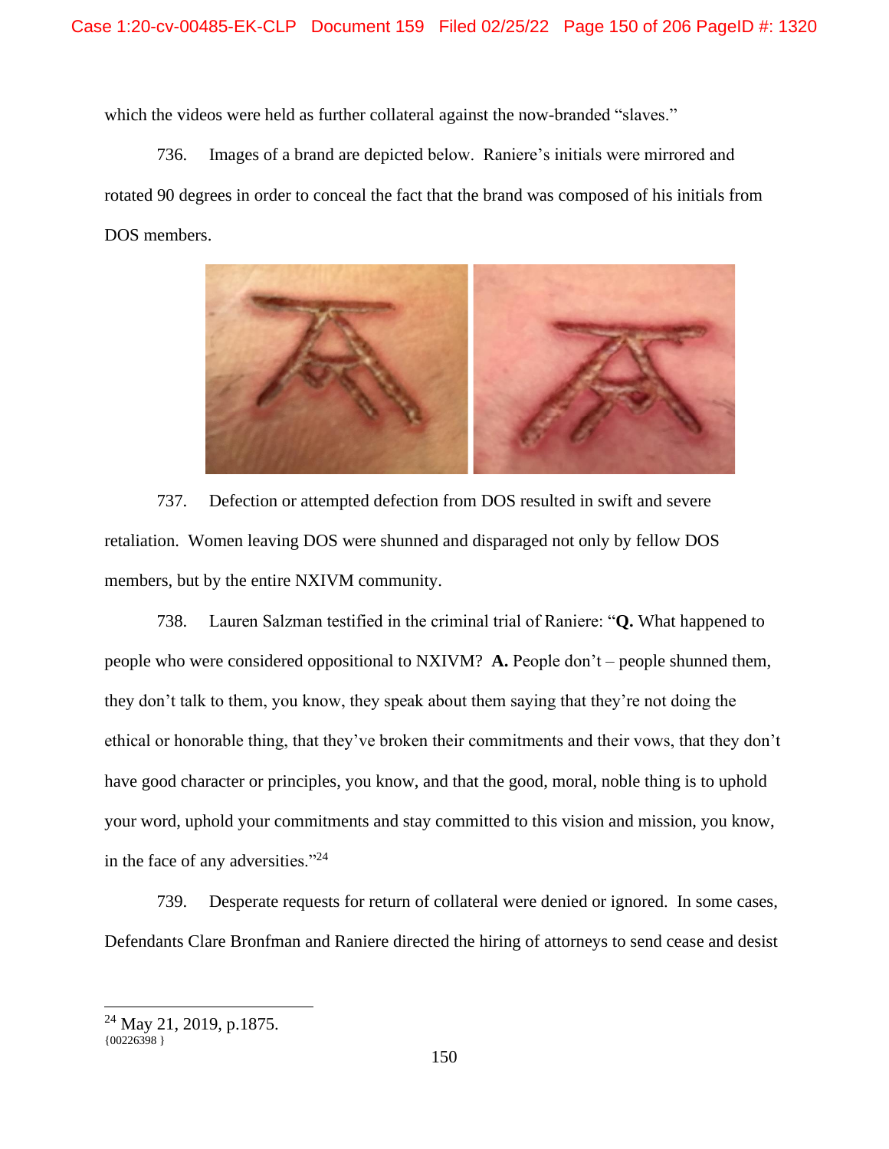which the videos were held as further collateral against the now-branded "slaves."

736. Images of a brand are depicted below. Raniere's initials were mirrored and rotated 90 degrees in order to conceal the fact that the brand was composed of his initials from DOS members.



737. Defection or attempted defection from DOS resulted in swift and severe retaliation. Women leaving DOS were shunned and disparaged not only by fellow DOS members, but by the entire NXIVM community.

738. Lauren Salzman testified in the criminal trial of Raniere: "**Q.** What happened to people who were considered oppositional to NXIVM? **A.** People don't – people shunned them, they don't talk to them, you know, they speak about them saying that they're not doing the ethical or honorable thing, that they've broken their commitments and their vows, that they don't have good character or principles, you know, and that the good, moral, noble thing is to uphold your word, uphold your commitments and stay committed to this vision and mission, you know, in the face of any adversities."<sup>24</sup>

739. Desperate requests for return of collateral were denied or ignored. In some cases, Defendants Clare Bronfman and Raniere directed the hiring of attorneys to send cease and desist

 ${00226398}$  $^{24}$  May 21, 2019, p.1875.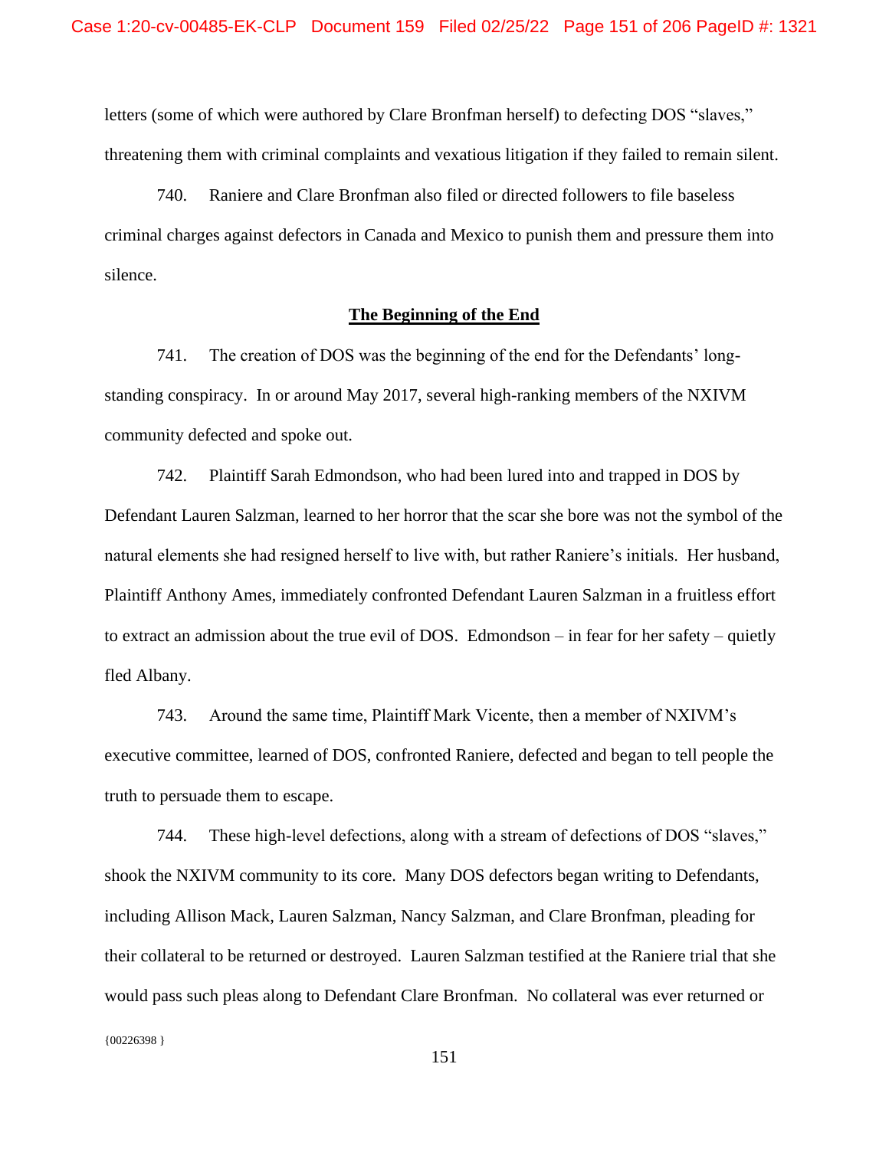letters (some of which were authored by Clare Bronfman herself) to defecting DOS "slaves," threatening them with criminal complaints and vexatious litigation if they failed to remain silent.

740. Raniere and Clare Bronfman also filed or directed followers to file baseless criminal charges against defectors in Canada and Mexico to punish them and pressure them into silence.

### **The Beginning of the End**

741. The creation of DOS was the beginning of the end for the Defendants' longstanding conspiracy. In or around May 2017, several high-ranking members of the NXIVM community defected and spoke out.

742. Plaintiff Sarah Edmondson, who had been lured into and trapped in DOS by Defendant Lauren Salzman, learned to her horror that the scar she bore was not the symbol of the natural elements she had resigned herself to live with, but rather Raniere's initials. Her husband, Plaintiff Anthony Ames, immediately confronted Defendant Lauren Salzman in a fruitless effort to extract an admission about the true evil of DOS. Edmondson – in fear for her safety – quietly fled Albany.

743. Around the same time, Plaintiff Mark Vicente, then a member of NXIVM's executive committee, learned of DOS, confronted Raniere, defected and began to tell people the truth to persuade them to escape.

{00226398 } 744. These high-level defections, along with a stream of defections of DOS "slaves," shook the NXIVM community to its core. Many DOS defectors began writing to Defendants, including Allison Mack, Lauren Salzman, Nancy Salzman, and Clare Bronfman, pleading for their collateral to be returned or destroyed. Lauren Salzman testified at the Raniere trial that she would pass such pleas along to Defendant Clare Bronfman. No collateral was ever returned or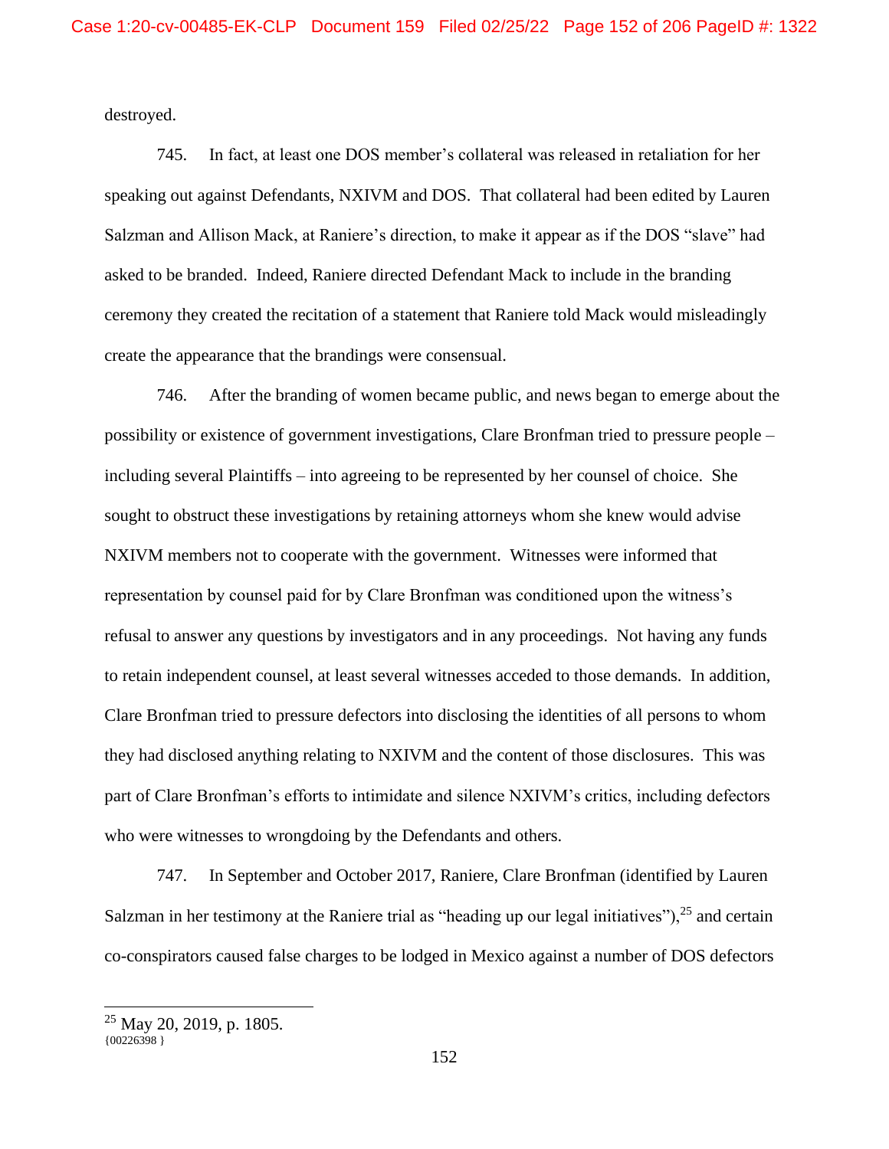destroyed.

745. In fact, at least one DOS member's collateral was released in retaliation for her speaking out against Defendants, NXIVM and DOS. That collateral had been edited by Lauren Salzman and Allison Mack, at Raniere's direction, to make it appear as if the DOS "slave" had asked to be branded. Indeed, Raniere directed Defendant Mack to include in the branding ceremony they created the recitation of a statement that Raniere told Mack would misleadingly create the appearance that the brandings were consensual.

746. After the branding of women became public, and news began to emerge about the possibility or existence of government investigations, Clare Bronfman tried to pressure people – including several Plaintiffs – into agreeing to be represented by her counsel of choice. She sought to obstruct these investigations by retaining attorneys whom she knew would advise NXIVM members not to cooperate with the government. Witnesses were informed that representation by counsel paid for by Clare Bronfman was conditioned upon the witness's refusal to answer any questions by investigators and in any proceedings. Not having any funds to retain independent counsel, at least several witnesses acceded to those demands. In addition, Clare Bronfman tried to pressure defectors into disclosing the identities of all persons to whom they had disclosed anything relating to NXIVM and the content of those disclosures. This was part of Clare Bronfman's efforts to intimidate and silence NXIVM's critics, including defectors who were witnesses to wrongdoing by the Defendants and others.

747. In September and October 2017, Raniere, Clare Bronfman (identified by Lauren Salzman in her testimony at the Raniere trial as "heading up our legal initiatives"),  $25$  and certain co-conspirators caused false charges to be lodged in Mexico against a number of DOS defectors

 ${00226398}$  }  $25$  May 20, 2019, p. 1805.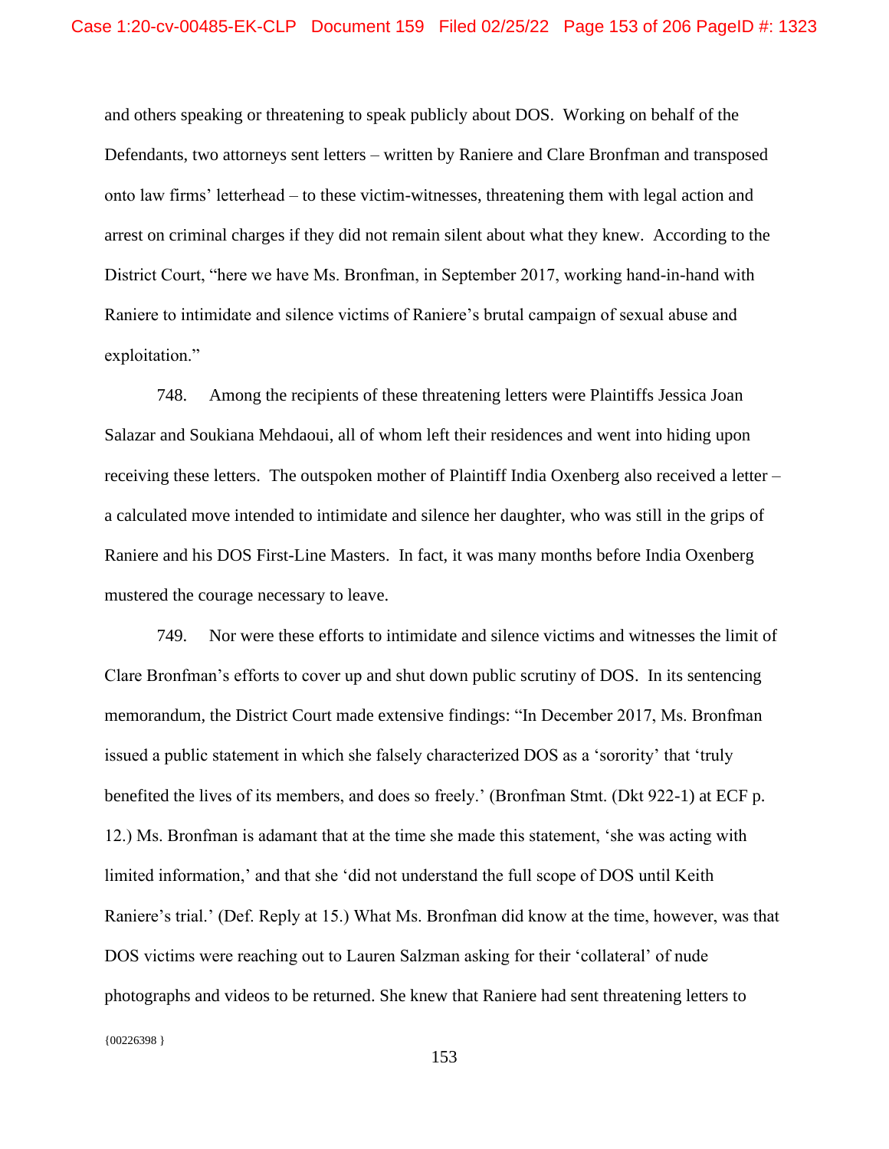and others speaking or threatening to speak publicly about DOS. Working on behalf of the Defendants, two attorneys sent letters – written by Raniere and Clare Bronfman and transposed onto law firms' letterhead – to these victim-witnesses, threatening them with legal action and arrest on criminal charges if they did not remain silent about what they knew. According to the District Court, "here we have Ms. Bronfman, in September 2017, working hand-in-hand with Raniere to intimidate and silence victims of Raniere's brutal campaign of sexual abuse and exploitation."

748. Among the recipients of these threatening letters were Plaintiffs Jessica Joan Salazar and Soukiana Mehdaoui, all of whom left their residences and went into hiding upon receiving these letters. The outspoken mother of Plaintiff India Oxenberg also received a letter – a calculated move intended to intimidate and silence her daughter, who was still in the grips of Raniere and his DOS First-Line Masters. In fact, it was many months before India Oxenberg mustered the courage necessary to leave.

 ${00226398}$ 749. Nor were these efforts to intimidate and silence victims and witnesses the limit of Clare Bronfman's efforts to cover up and shut down public scrutiny of DOS. In its sentencing memorandum, the District Court made extensive findings: "In December 2017, Ms. Bronfman issued a public statement in which she falsely characterized DOS as a 'sorority' that 'truly benefited the lives of its members, and does so freely.' (Bronfman Stmt. (Dkt 922-1) at ECF p. 12.) Ms. Bronfman is adamant that at the time she made this statement, 'she was acting with limited information,' and that she 'did not understand the full scope of DOS until Keith Raniere's trial.' (Def. Reply at 15.) What Ms. Bronfman did know at the time, however, was that DOS victims were reaching out to Lauren Salzman asking for their 'collateral' of nude photographs and videos to be returned. She knew that Raniere had sent threatening letters to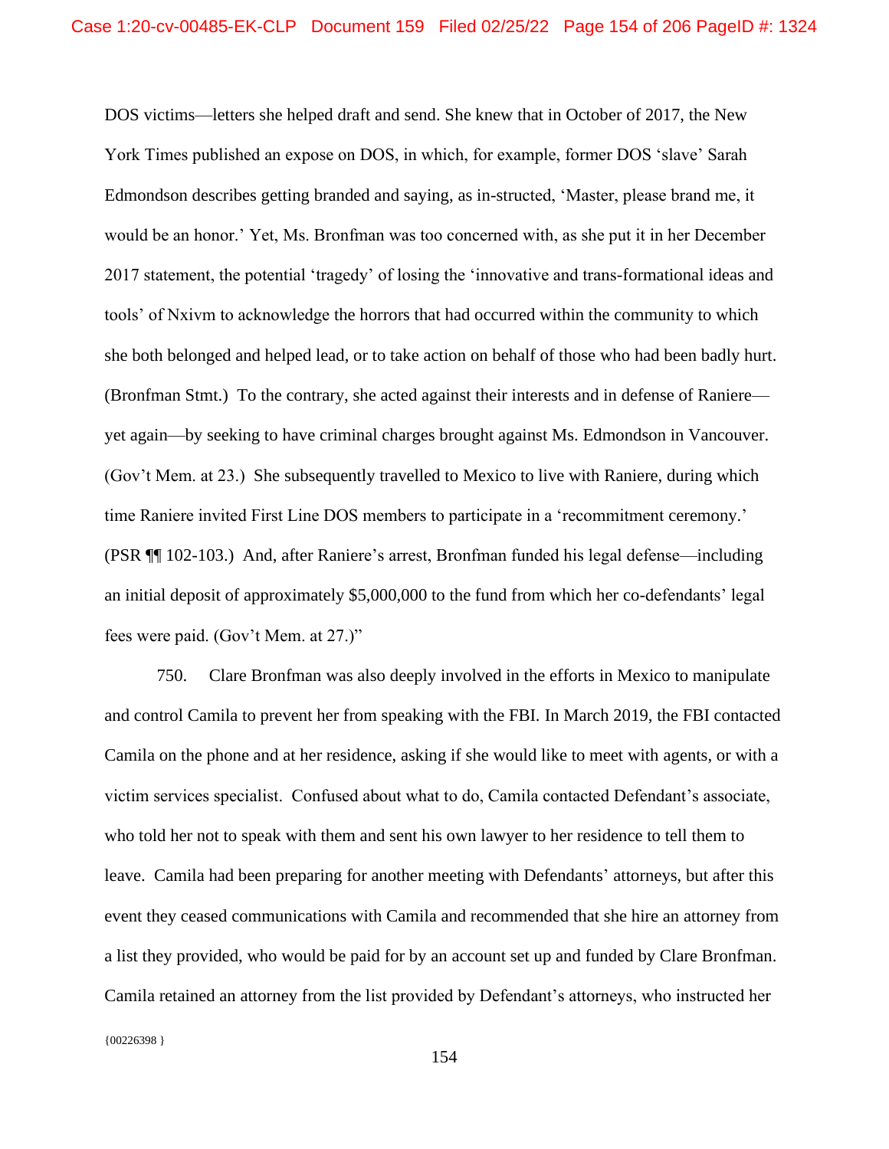DOS victims—letters she helped draft and send. She knew that in October of 2017, the New York Times published an expose on DOS, in which, for example, former DOS 'slave' Sarah Edmondson describes getting branded and saying, as in-structed, 'Master, please brand me, it would be an honor.' Yet, Ms. Bronfman was too concerned with, as she put it in her December 2017 statement, the potential 'tragedy' of losing the 'innovative and trans-formational ideas and tools' of Nxivm to acknowledge the horrors that had occurred within the community to which she both belonged and helped lead, or to take action on behalf of those who had been badly hurt. (Bronfman Stmt.) To the contrary, she acted against their interests and in defense of Raniere yet again—by seeking to have criminal charges brought against Ms. Edmondson in Vancouver. (Gov't Mem. at 23.) She subsequently travelled to Mexico to live with Raniere, during which time Raniere invited First Line DOS members to participate in a 'recommitment ceremony.' (PSR ¶¶ 102-103.) And, after Raniere's arrest, Bronfman funded his legal defense—including an initial deposit of approximately \$5,000,000 to the fund from which her co-defendants' legal fees were paid. (Gov't Mem. at 27.)"

750. Clare Bronfman was also deeply involved in the efforts in Mexico to manipulate and control Camila to prevent her from speaking with the FBI. In March 2019, the FBI contacted Camila on the phone and at her residence, asking if she would like to meet with agents, or with a victim services specialist. Confused about what to do, Camila contacted Defendant's associate, who told her not to speak with them and sent his own lawyer to her residence to tell them to leave. Camila had been preparing for another meeting with Defendants' attorneys, but after this event they ceased communications with Camila and recommended that she hire an attorney from a list they provided, who would be paid for by an account set up and funded by Clare Bronfman. Camila retained an attorney from the list provided by Defendant's attorneys, who instructed her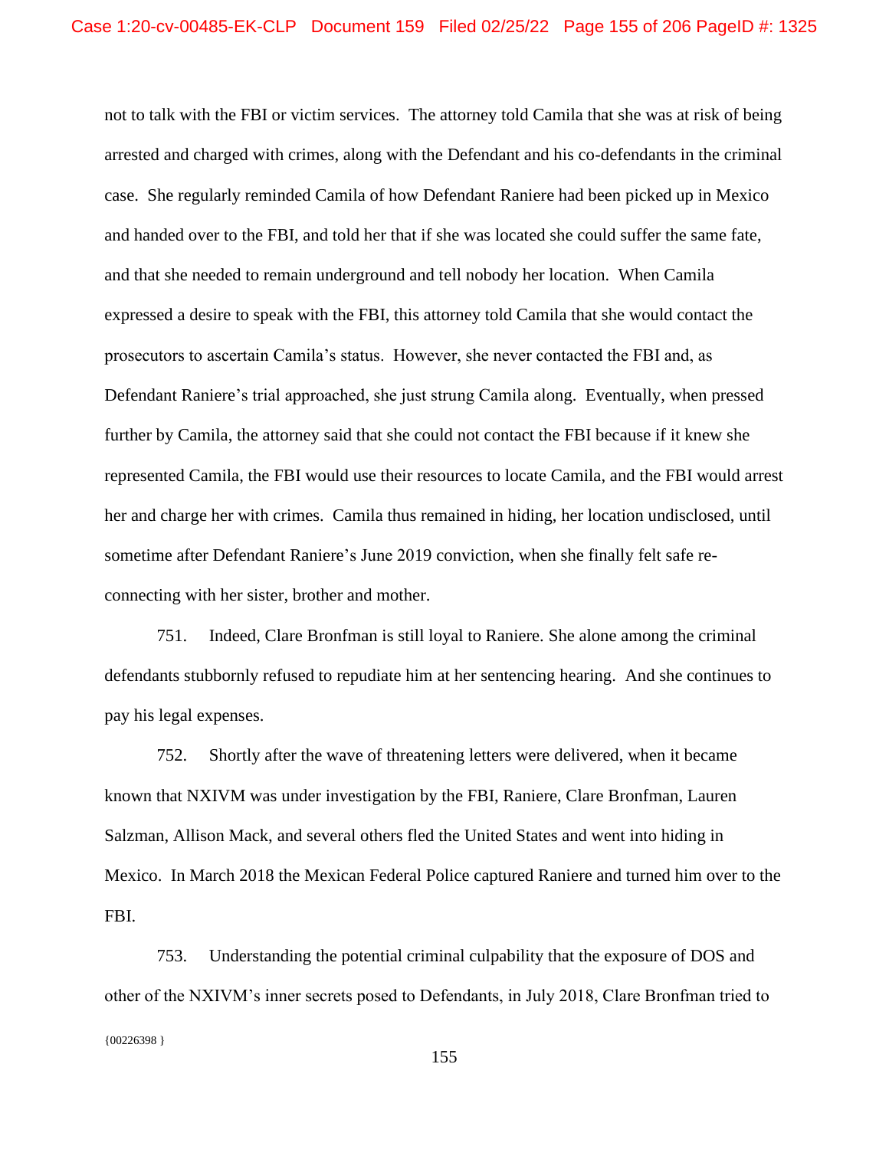not to talk with the FBI or victim services. The attorney told Camila that she was at risk of being arrested and charged with crimes, along with the Defendant and his co-defendants in the criminal case. She regularly reminded Camila of how Defendant Raniere had been picked up in Mexico and handed over to the FBI, and told her that if she was located she could suffer the same fate, and that she needed to remain underground and tell nobody her location. When Camila expressed a desire to speak with the FBI, this attorney told Camila that she would contact the prosecutors to ascertain Camila's status. However, she never contacted the FBI and, as Defendant Raniere's trial approached, she just strung Camila along. Eventually, when pressed further by Camila, the attorney said that she could not contact the FBI because if it knew she represented Camila, the FBI would use their resources to locate Camila, and the FBI would arrest her and charge her with crimes. Camila thus remained in hiding, her location undisclosed, until sometime after Defendant Raniere's June 2019 conviction, when she finally felt safe reconnecting with her sister, brother and mother.

751. Indeed, Clare Bronfman is still loyal to Raniere. She alone among the criminal defendants stubbornly refused to repudiate him at her sentencing hearing. And she continues to pay his legal expenses.

752. Shortly after the wave of threatening letters were delivered, when it became known that NXIVM was under investigation by the FBI, Raniere, Clare Bronfman, Lauren Salzman, Allison Mack, and several others fled the United States and went into hiding in Mexico. In March 2018 the Mexican Federal Police captured Raniere and turned him over to the FBI.

{00226398 } 753. Understanding the potential criminal culpability that the exposure of DOS and other of the NXIVM's inner secrets posed to Defendants, in July 2018, Clare Bronfman tried to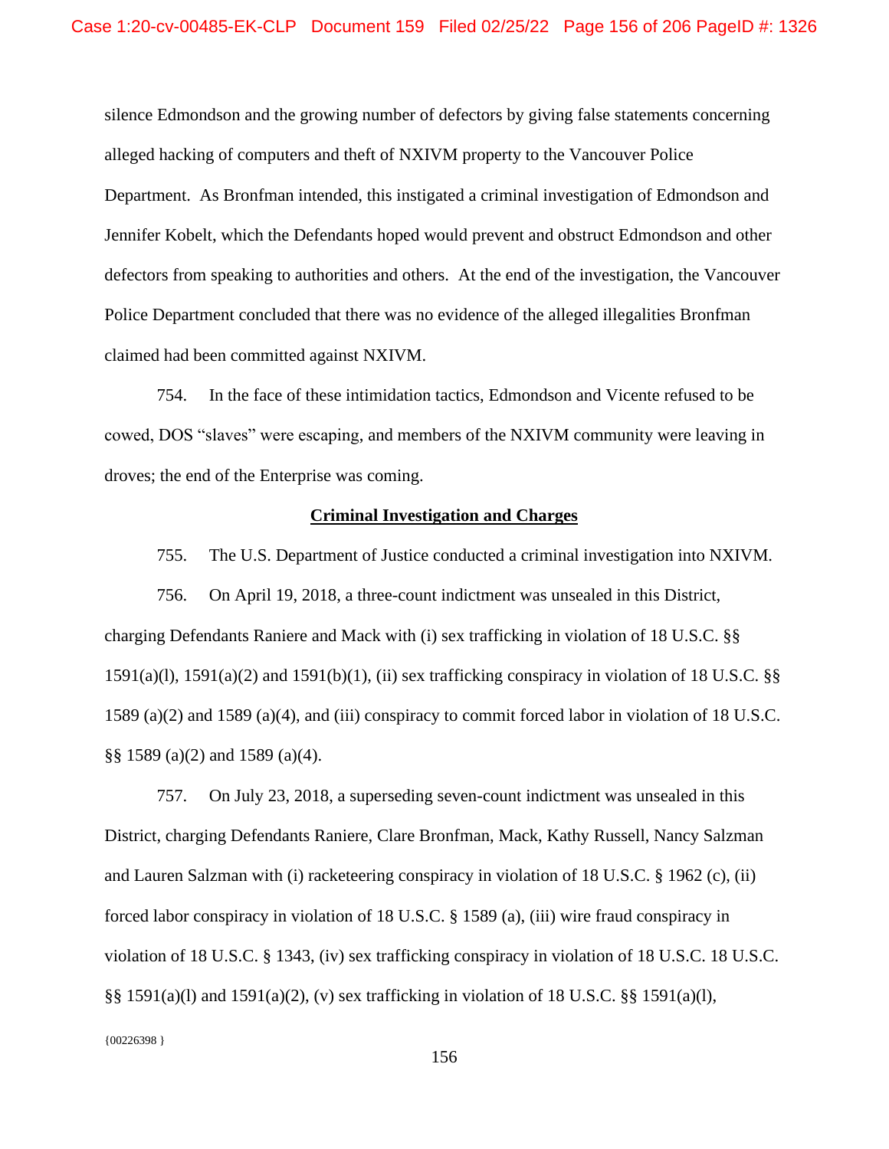silence Edmondson and the growing number of defectors by giving false statements concerning alleged hacking of computers and theft of NXIVM property to the Vancouver Police Department. As Bronfman intended, this instigated a criminal investigation of Edmondson and Jennifer Kobelt, which the Defendants hoped would prevent and obstruct Edmondson and other defectors from speaking to authorities and others. At the end of the investigation, the Vancouver Police Department concluded that there was no evidence of the alleged illegalities Bronfman claimed had been committed against NXIVM.

754. In the face of these intimidation tactics, Edmondson and Vicente refused to be cowed, DOS "slaves" were escaping, and members of the NXIVM community were leaving in droves; the end of the Enterprise was coming.

### **Criminal Investigation and Charges**

755. The U.S. Department of Justice conducted a criminal investigation into NXIVM.

756. On April 19, 2018, a three-count indictment was unsealed in this District, charging Defendants Raniere and Mack with (i) sex trafficking in violation of 18 U.S.C. §§ 1591(a)(l), 1591(a)(2) and 1591(b)(1), (ii) sex trafficking conspiracy in violation of 18 U.S.C.  $\S$ 1589 (a)(2) and 1589 (a)(4), and (iii) conspiracy to commit forced labor in violation of 18 U.S.C. §§ 1589 (a)(2) and 1589 (a)(4).

757. On July 23, 2018, a superseding seven-count indictment was unsealed in this District, charging Defendants Raniere, Clare Bronfman, Mack, Kathy Russell, Nancy Salzman and Lauren Salzman with (i) racketeering conspiracy in violation of 18 U.S.C. § 1962 (c), (ii) forced labor conspiracy in violation of 18 U.S.C. § 1589 (a), (iii) wire fraud conspiracy in violation of 18 U.S.C. § 1343, (iv) sex trafficking conspiracy in violation of 18 U.S.C. 18 U.S.C. §§ 1591(a)(l) and 1591(a)(2), (v) sex trafficking in violation of 18 U.S.C. §§ 1591(a)(l),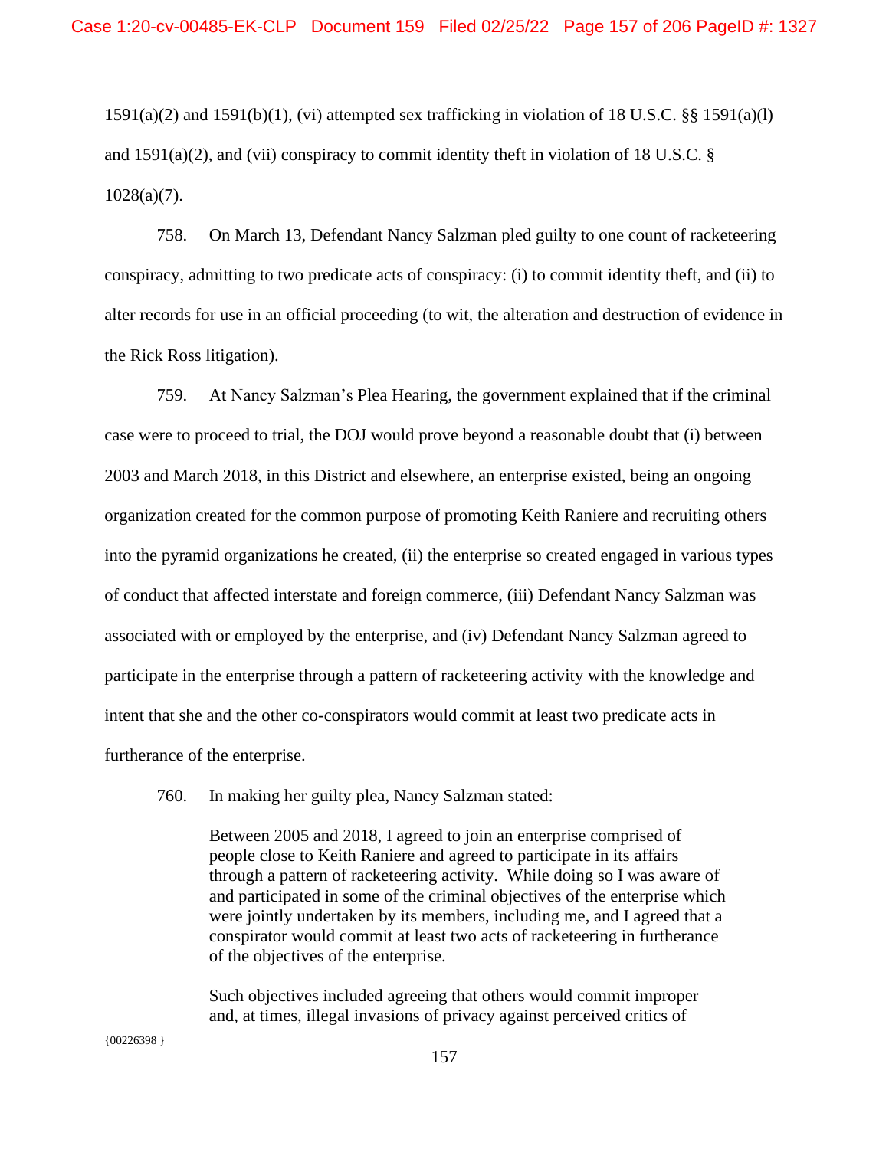$1591(a)(2)$  and  $1591(b)(1)$ , (vi) attempted sex trafficking in violation of 18 U.S.C. §§ 1591(a)(l) and  $1591(a)(2)$ , and (vii) conspiracy to commit identity theft in violation of 18 U.S.C. §  $1028(a)(7)$ .

758. On March 13, Defendant Nancy Salzman pled guilty to one count of racketeering conspiracy, admitting to two predicate acts of conspiracy: (i) to commit identity theft, and (ii) to alter records for use in an official proceeding (to wit, the alteration and destruction of evidence in the Rick Ross litigation).

759. At Nancy Salzman's Plea Hearing, the government explained that if the criminal case were to proceed to trial, the DOJ would prove beyond a reasonable doubt that (i) between 2003 and March 2018, in this District and elsewhere, an enterprise existed, being an ongoing organization created for the common purpose of promoting Keith Raniere and recruiting others into the pyramid organizations he created, (ii) the enterprise so created engaged in various types of conduct that affected interstate and foreign commerce, (iii) Defendant Nancy Salzman was associated with or employed by the enterprise, and (iv) Defendant Nancy Salzman agreed to participate in the enterprise through a pattern of racketeering activity with the knowledge and intent that she and the other co-conspirators would commit at least two predicate acts in furtherance of the enterprise.

760. In making her guilty plea, Nancy Salzman stated:

Between 2005 and 2018, I agreed to join an enterprise comprised of people close to Keith Raniere and agreed to participate in its affairs through a pattern of racketeering activity. While doing so I was aware of and participated in some of the criminal objectives of the enterprise which were jointly undertaken by its members, including me, and I agreed that a conspirator would commit at least two acts of racketeering in furtherance of the objectives of the enterprise.

Such objectives included agreeing that others would commit improper and, at times, illegal invasions of privacy against perceived critics of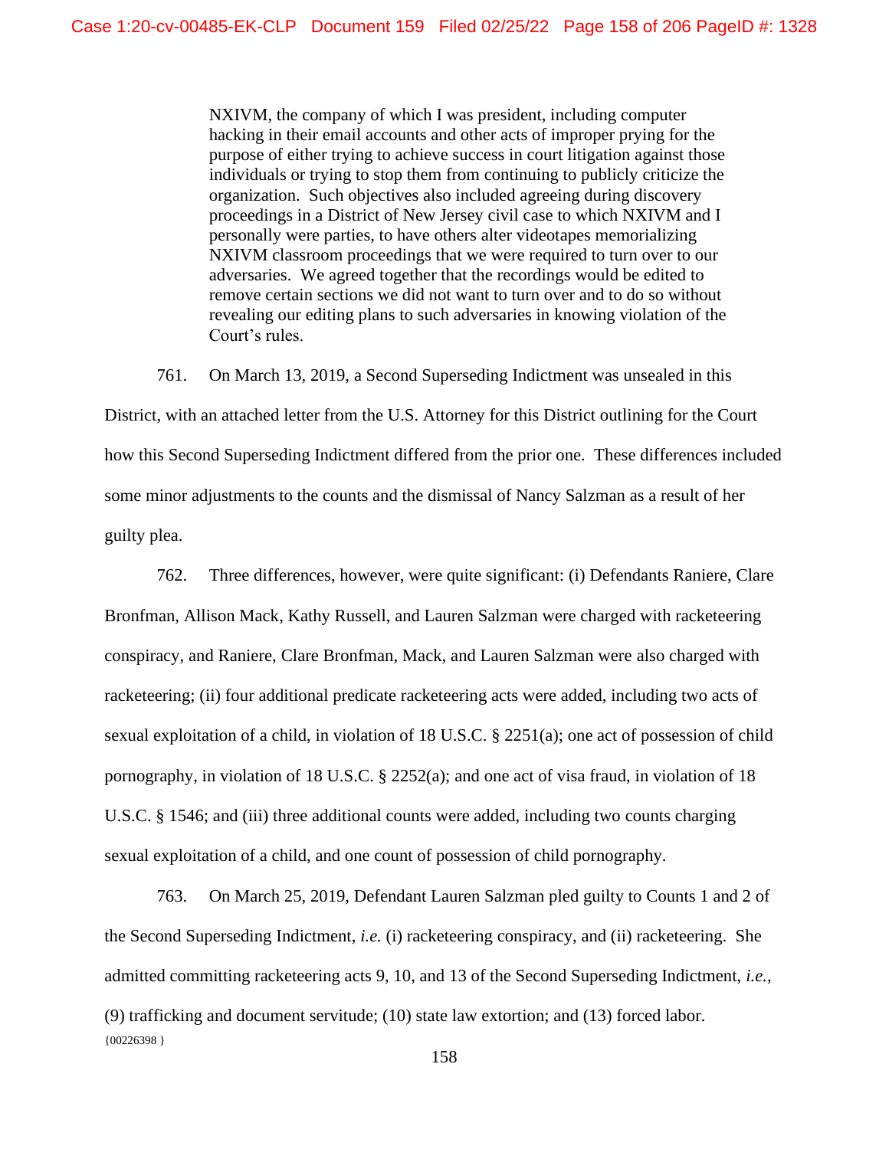NXIVM, the company of which I was president, including computer hacking in their email accounts and other acts of improper prying for the purpose of either trying to achieve success in court litigation against those individuals or trying to stop them from continuing to publicly criticize the organization. Such objectives also included agreeing during discovery proceedings in a District of New Jersey civil case to which NXIVM and I personally were parties, to have others alter videotapes memorializing NXIVM classroom proceedings that we were required to turn over to our adversaries. We agreed together that the recordings would be edited to remove certain sections we did not want to turn over and to do so without revealing our editing plans to such adversaries in knowing violation of the Court's rules.

761. On March 13, 2019, a Second Superseding Indictment was unsealed in this

District, with an attached letter from the U.S. Attorney for this District outlining for the Court how this Second Superseding Indictment differed from the prior one. These differences included some minor adjustments to the counts and the dismissal of Nancy Salzman as a result of her guilty plea.

762. Three differences, however, were quite significant: (i) Defendants Raniere, Clare Bronfman, Allison Mack, Kathy Russell, and Lauren Salzman were charged with racketeering conspiracy, and Raniere, Clare Bronfman, Mack, and Lauren Salzman were also charged with racketeering; (ii) four additional predicate racketeering acts were added, including two acts of sexual exploitation of a child, in violation of 18 U.S.C. § 2251(a); one act of possession of child pornography, in violation of 18 U.S.C. § 2252(a); and one act of visa fraud, in violation of 18 U.S.C. § 1546; and (iii) three additional counts were added, including two counts charging sexual exploitation of a child, and one count of possession of child pornography.

 ${00226398}$ 763. On March 25, 2019, Defendant Lauren Salzman pled guilty to Counts 1 and 2 of the Second Superseding Indictment, *i.e.* (i) racketeering conspiracy, and (ii) racketeering. She admitted committing racketeering acts 9, 10, and 13 of the Second Superseding Indictment, *i.e.,*  (9) trafficking and document servitude; (10) state law extortion; and (13) forced labor.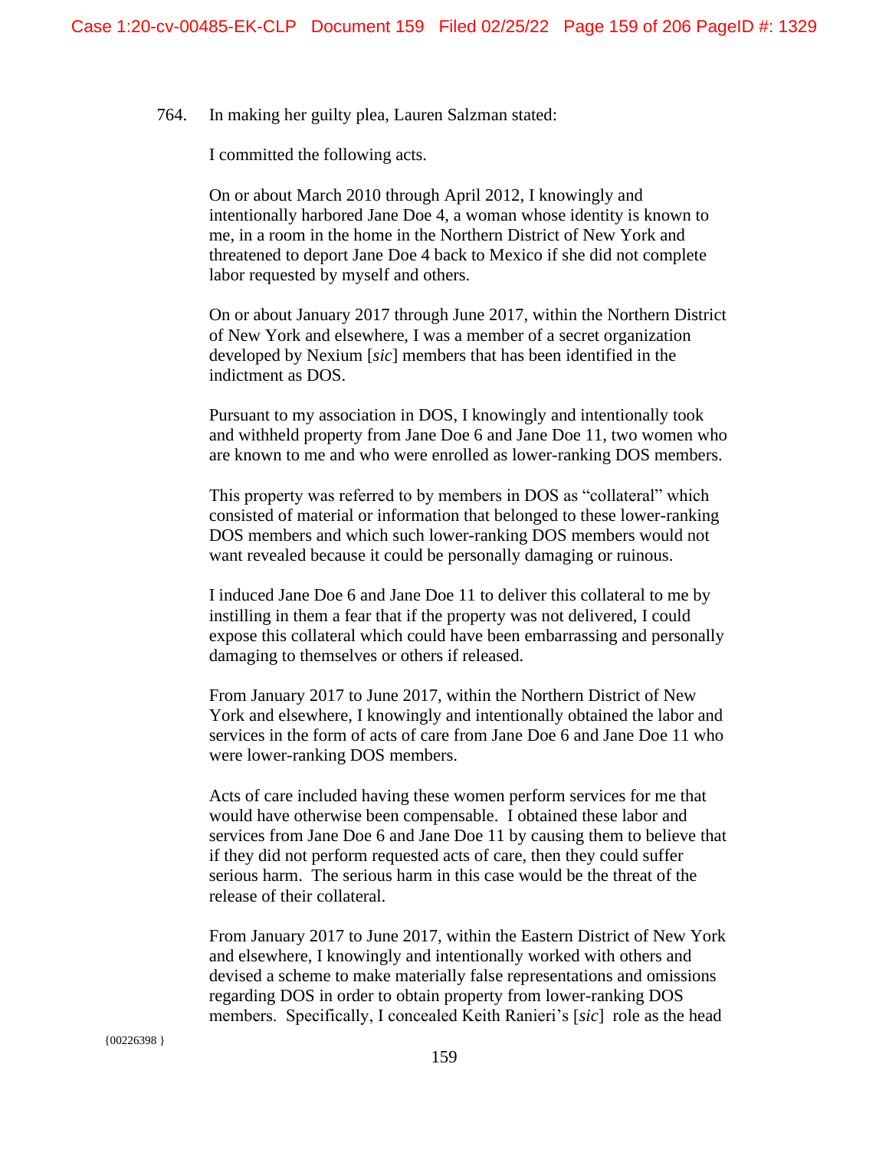764. In making her guilty plea, Lauren Salzman stated:

I committed the following acts.

On or about March 2010 through April 2012, I knowingly and intentionally harbored Jane Doe 4, a woman whose identity is known to me, in a room in the home in the Northern District of New York and threatened to deport Jane Doe 4 back to Mexico if she did not complete labor requested by myself and others.

On or about January 2017 through June 2017, within the Northern District of New York and elsewhere, I was a member of a secret organization developed by Nexium [*sic*] members that has been identified in the indictment as DOS.

Pursuant to my association in DOS, I knowingly and intentionally took and withheld property from Jane Doe 6 and Jane Doe 11, two women who are known to me and who were enrolled as lower-ranking DOS members.

This property was referred to by members in DOS as "collateral" which consisted of material or information that belonged to these lower-ranking DOS members and which such lower-ranking DOS members would not want revealed because it could be personally damaging or ruinous.

I induced Jane Doe 6 and Jane Doe 11 to deliver this collateral to me by instilling in them a fear that if the property was not delivered, I could expose this collateral which could have been embarrassing and personally damaging to themselves or others if released.

From January 2017 to June 2017, within the Northern District of New York and elsewhere, I knowingly and intentionally obtained the labor and services in the form of acts of care from Jane Doe 6 and Jane Doe 11 who were lower-ranking DOS members.

Acts of care included having these women perform services for me that would have otherwise been compensable. I obtained these labor and services from Jane Doe 6 and Jane Doe 11 by causing them to believe that if they did not perform requested acts of care, then they could suffer serious harm. The serious harm in this case would be the threat of the release of their collateral.

From January 2017 to June 2017, within the Eastern District of New York and elsewhere, I knowingly and intentionally worked with others and devised a scheme to make materially false representations and omissions regarding DOS in order to obtain property from lower-ranking DOS members. Specifically, I concealed Keith Ranieri's [*sic*] role as the head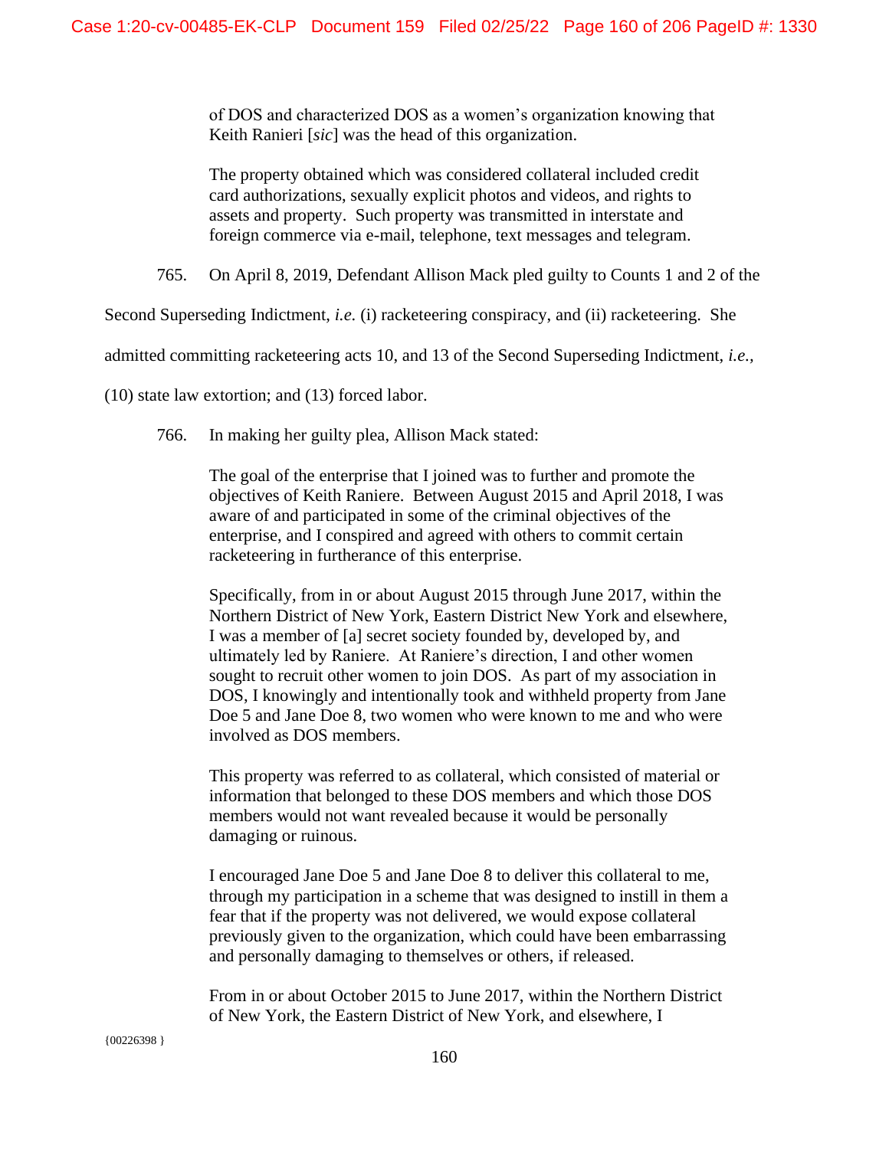of DOS and characterized DOS as a women's organization knowing that Keith Ranieri [*sic*] was the head of this organization.

The property obtained which was considered collateral included credit card authorizations, sexually explicit photos and videos, and rights to assets and property. Such property was transmitted in interstate and foreign commerce via e-mail, telephone, text messages and telegram.

765. On April 8, 2019, Defendant Allison Mack pled guilty to Counts 1 and 2 of the

Second Superseding Indictment, *i.e.* (i) racketeering conspiracy, and (ii) racketeering. She

admitted committing racketeering acts 10, and 13 of the Second Superseding Indictment, *i.e.,* 

(10) state law extortion; and (13) forced labor.

766. In making her guilty plea, Allison Mack stated:

The goal of the enterprise that I joined was to further and promote the objectives of Keith Raniere. Between August 2015 and April 2018, I was aware of and participated in some of the criminal objectives of the enterprise, and I conspired and agreed with others to commit certain racketeering in furtherance of this enterprise.

Specifically, from in or about August 2015 through June 2017, within the Northern District of New York, Eastern District New York and elsewhere, I was a member of [a] secret society founded by, developed by, and ultimately led by Raniere. At Raniere's direction, I and other women sought to recruit other women to join DOS. As part of my association in DOS, I knowingly and intentionally took and withheld property from Jane Doe 5 and Jane Doe 8, two women who were known to me and who were involved as DOS members.

This property was referred to as collateral, which consisted of material or information that belonged to these DOS members and which those DOS members would not want revealed because it would be personally damaging or ruinous.

I encouraged Jane Doe 5 and Jane Doe 8 to deliver this collateral to me, through my participation in a scheme that was designed to instill in them a fear that if the property was not delivered, we would expose collateral previously given to the organization, which could have been embarrassing and personally damaging to themselves or others, if released.

From in or about October 2015 to June 2017, within the Northern District of New York, the Eastern District of New York, and elsewhere, I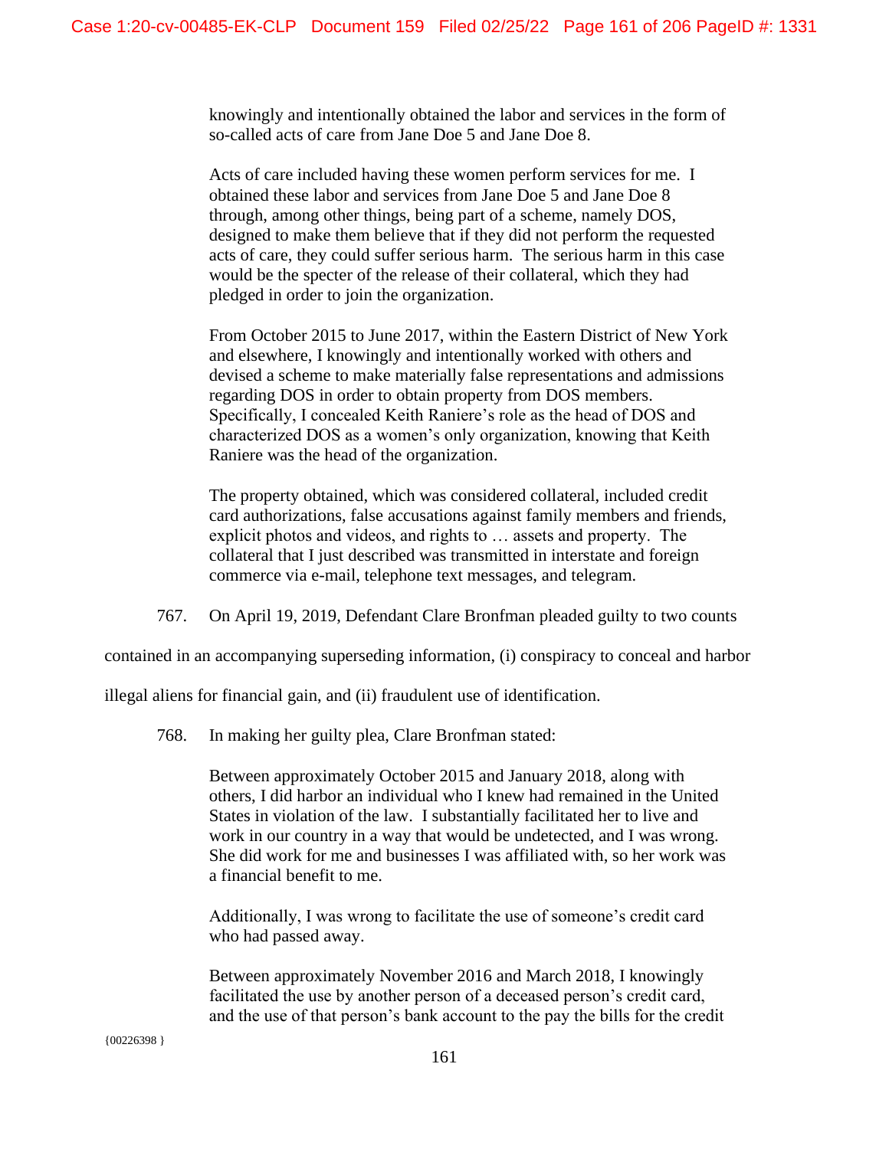knowingly and intentionally obtained the labor and services in the form of so-called acts of care from Jane Doe 5 and Jane Doe 8.

Acts of care included having these women perform services for me. I obtained these labor and services from Jane Doe 5 and Jane Doe 8 through, among other things, being part of a scheme, namely DOS, designed to make them believe that if they did not perform the requested acts of care, they could suffer serious harm. The serious harm in this case would be the specter of the release of their collateral, which they had pledged in order to join the organization.

From October 2015 to June 2017, within the Eastern District of New York and elsewhere, I knowingly and intentionally worked with others and devised a scheme to make materially false representations and admissions regarding DOS in order to obtain property from DOS members. Specifically, I concealed Keith Raniere's role as the head of DOS and characterized DOS as a women's only organization, knowing that Keith Raniere was the head of the organization.

The property obtained, which was considered collateral, included credit card authorizations, false accusations against family members and friends, explicit photos and videos, and rights to … assets and property. The collateral that I just described was transmitted in interstate and foreign commerce via e-mail, telephone text messages, and telegram.

767. On April 19, 2019, Defendant Clare Bronfman pleaded guilty to two counts

contained in an accompanying superseding information, (i) conspiracy to conceal and harbor

illegal aliens for financial gain, and (ii) fraudulent use of identification.

768. In making her guilty plea, Clare Bronfman stated:

Between approximately October 2015 and January 2018, along with others, I did harbor an individual who I knew had remained in the United States in violation of the law. I substantially facilitated her to live and work in our country in a way that would be undetected, and I was wrong. She did work for me and businesses I was affiliated with, so her work was a financial benefit to me.

Additionally, I was wrong to facilitate the use of someone's credit card who had passed away.

Between approximately November 2016 and March 2018, I knowingly facilitated the use by another person of a deceased person's credit card, and the use of that person's bank account to the pay the bills for the credit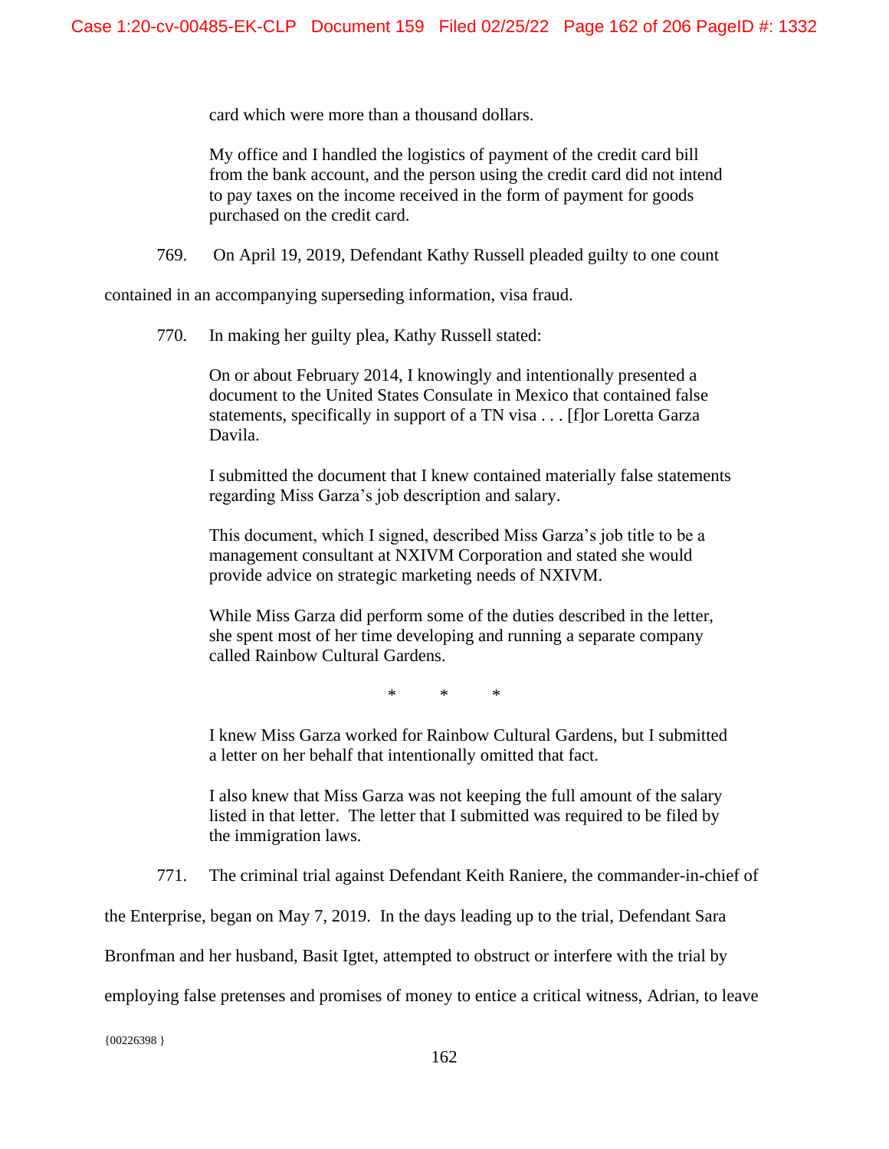card which were more than a thousand dollars.

My office and I handled the logistics of payment of the credit card bill from the bank account, and the person using the credit card did not intend to pay taxes on the income received in the form of payment for goods purchased on the credit card.

769. On April 19, 2019, Defendant Kathy Russell pleaded guilty to one count

contained in an accompanying superseding information, visa fraud.

770. In making her guilty plea, Kathy Russell stated:

On or about February 2014, I knowingly and intentionally presented a document to the United States Consulate in Mexico that contained false statements, specifically in support of a TN visa . . . [f]or Loretta Garza Davila.

I submitted the document that I knew contained materially false statements regarding Miss Garza's job description and salary.

This document, which I signed, described Miss Garza's job title to be a management consultant at NXIVM Corporation and stated she would provide advice on strategic marketing needs of NXIVM.

While Miss Garza did perform some of the duties described in the letter, she spent most of her time developing and running a separate company called Rainbow Cultural Gardens.

 $*$  \* \*

I knew Miss Garza worked for Rainbow Cultural Gardens, but I submitted a letter on her behalf that intentionally omitted that fact.

I also knew that Miss Garza was not keeping the full amount of the salary listed in that letter. The letter that I submitted was required to be filed by the immigration laws.

771. The criminal trial against Defendant Keith Raniere, the commander-in-chief of

the Enterprise, began on May 7, 2019. In the days leading up to the trial, Defendant Sara

Bronfman and her husband, Basit Igtet, attempted to obstruct or interfere with the trial by

employing false pretenses and promises of money to entice a critical witness, Adrian, to leave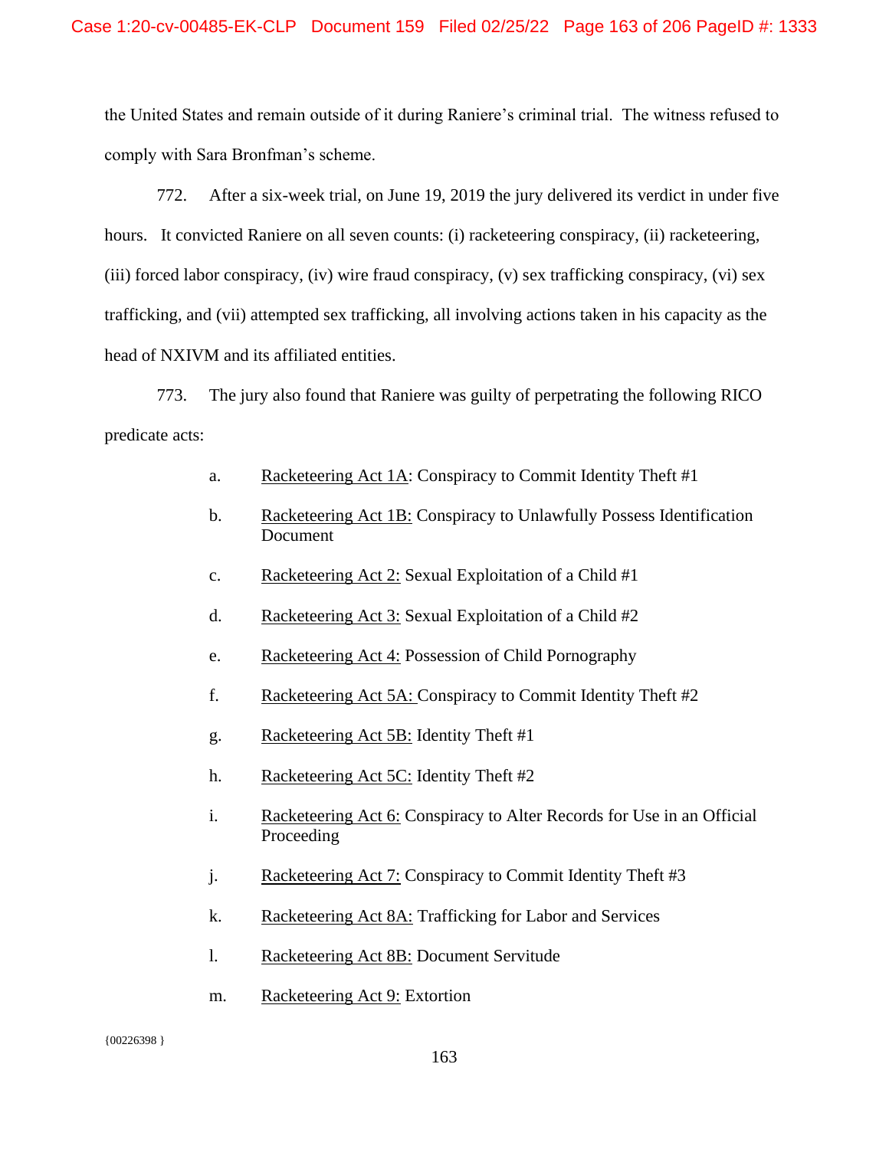the United States and remain outside of it during Raniere's criminal trial. The witness refused to comply with Sara Bronfman's scheme.

772. After a six-week trial, on June 19, 2019 the jury delivered its verdict in under five hours. It convicted Raniere on all seven counts: (i) racketeering conspiracy, (ii) racketeering, (iii) forced labor conspiracy, (iv) wire fraud conspiracy, (v) sex trafficking conspiracy, (vi) sex trafficking, and (vii) attempted sex trafficking, all involving actions taken in his capacity as the head of NXIVM and its affiliated entities.

773. The jury also found that Raniere was guilty of perpetrating the following RICO predicate acts:

- a. Racketeering Act 1A: Conspiracy to Commit Identity Theft #1
- b. Racketeering Act 1B: Conspiracy to Unlawfully Possess Identification Document
- c. Racketeering Act 2: Sexual Exploitation of a Child #1
- d. Racketeering Act 3: Sexual Exploitation of a Child #2
- e. Racketeering Act 4: Possession of Child Pornography
- f. Racketeering Act 5A: Conspiracy to Commit Identity Theft #2
- g. Racketeering Act 5B: Identity Theft #1
- h. Racketeering Act 5C: Identity Theft #2
- i. Racketeering Act 6: Conspiracy to Alter Records for Use in an Official Proceeding
- j. Racketeering Act 7: Conspiracy to Commit Identity Theft #3
- k. Racketeering Act 8A: Trafficking for Labor and Services
- l. Racketeering Act 8B: Document Servitude
- m. Racketeering Act 9: Extortion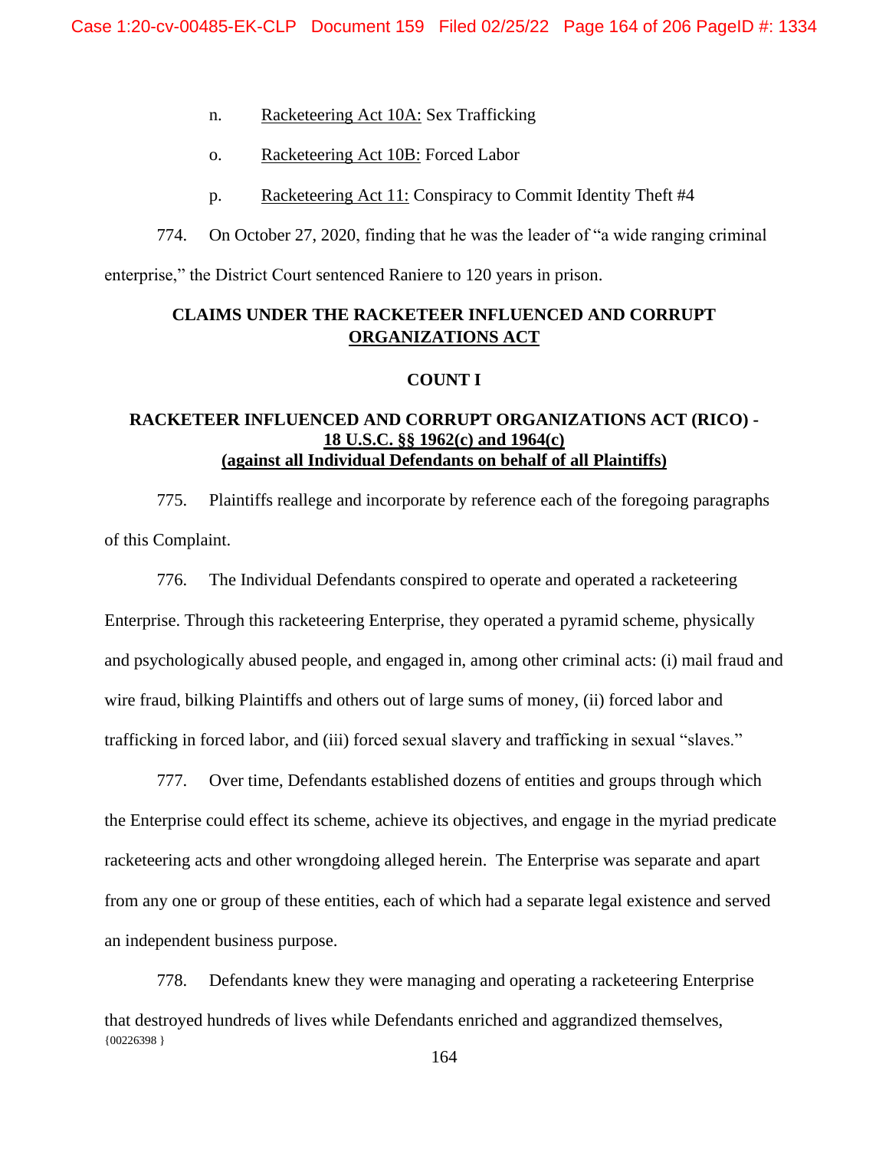- n. Racketeering Act 10A: Sex Trafficking
- o. Racketeering Act 10B: Forced Labor
- p. Racketeering Act 11: Conspiracy to Commit Identity Theft #4

774. On October 27, 2020, finding that he was the leader of "a wide ranging criminal

enterprise," the District Court sentenced Raniere to 120 years in prison.

# **CLAIMS UNDER THE RACKETEER INFLUENCED AND CORRUPT ORGANIZATIONS ACT**

## **COUNT I**

# **RACKETEER INFLUENCED AND CORRUPT ORGANIZATIONS ACT (RICO) - 18 U.S.C. §§ 1962(c) and 1964(c) (against all Individual Defendants on behalf of all Plaintiffs)**

775. Plaintiffs reallege and incorporate by reference each of the foregoing paragraphs of this Complaint.

776. The Individual Defendants conspired to operate and operated a racketeering Enterprise. Through this racketeering Enterprise, they operated a pyramid scheme, physically and psychologically abused people, and engaged in, among other criminal acts: (i) mail fraud and wire fraud, bilking Plaintiffs and others out of large sums of money, (ii) forced labor and trafficking in forced labor, and (iii) forced sexual slavery and trafficking in sexual "slaves."

777. Over time, Defendants established dozens of entities and groups through which the Enterprise could effect its scheme, achieve its objectives, and engage in the myriad predicate racketeering acts and other wrongdoing alleged herein. The Enterprise was separate and apart from any one or group of these entities, each of which had a separate legal existence and served an independent business purpose.

 ${00226398}$ 778. Defendants knew they were managing and operating a racketeering Enterprise that destroyed hundreds of lives while Defendants enriched and aggrandized themselves,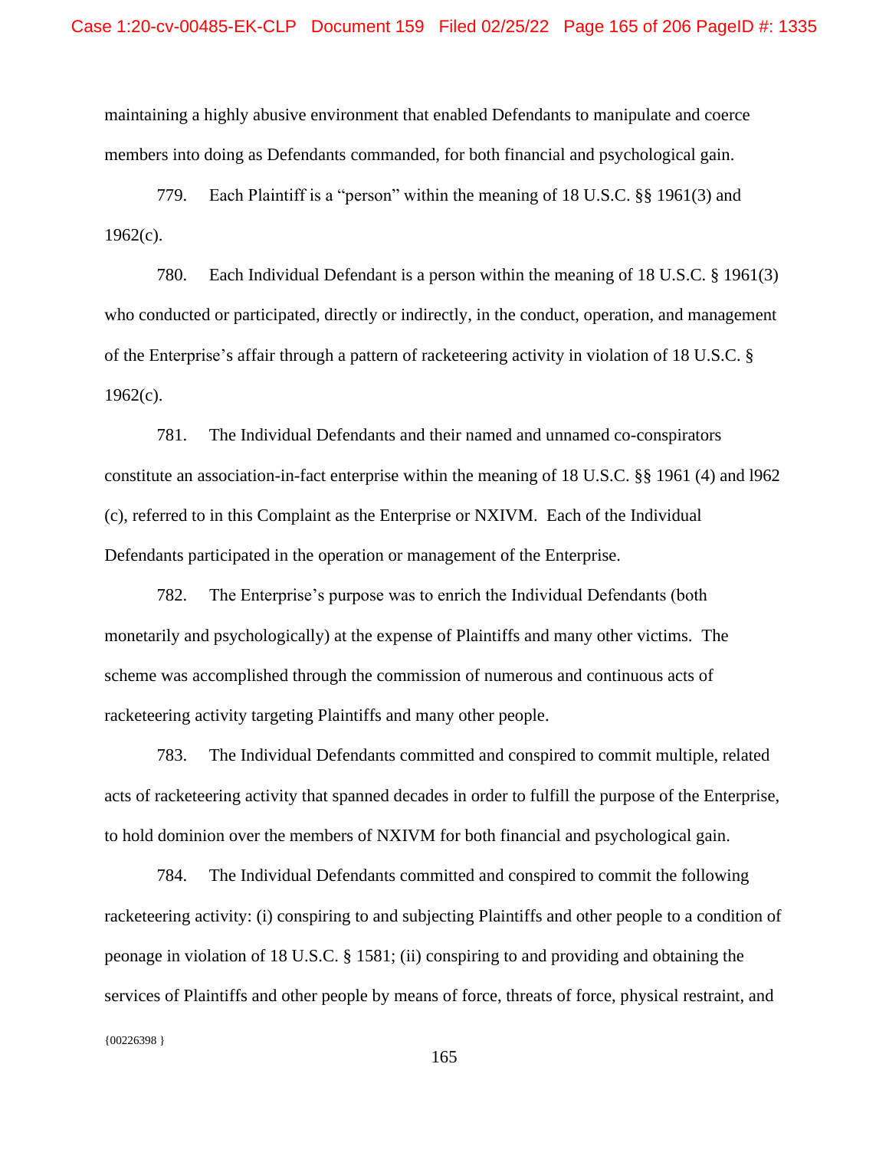maintaining a highly abusive environment that enabled Defendants to manipulate and coerce members into doing as Defendants commanded, for both financial and psychological gain.

779. Each Plaintiff is a "person" within the meaning of 18 U.S.C. §§ 1961(3) and  $1962(c)$ .

780. Each Individual Defendant is a person within the meaning of 18 U.S.C. § 1961(3) who conducted or participated, directly or indirectly, in the conduct, operation, and management of the Enterprise's affair through a pattern of racketeering activity in violation of 18 U.S.C. §  $1962(c)$ .

781. The Individual Defendants and their named and unnamed co-conspirators constitute an association-in-fact enterprise within the meaning of 18 U.S.C. §§ 1961 (4) and l962 (c), referred to in this Complaint as the Enterprise or NXIVM. Each of the Individual Defendants participated in the operation or management of the Enterprise.

782. The Enterprise's purpose was to enrich the Individual Defendants (both monetarily and psychologically) at the expense of Plaintiffs and many other victims. The scheme was accomplished through the commission of numerous and continuous acts of racketeering activity targeting Plaintiffs and many other people.

783. The Individual Defendants committed and conspired to commit multiple, related acts of racketeering activity that spanned decades in order to fulfill the purpose of the Enterprise, to hold dominion over the members of NXIVM for both financial and psychological gain.

{00226398 } 784. The Individual Defendants committed and conspired to commit the following racketeering activity: (i) conspiring to and subjecting Plaintiffs and other people to a condition of peonage in violation of 18 U.S.C. § 1581; (ii) conspiring to and providing and obtaining the services of Plaintiffs and other people by means of force, threats of force, physical restraint, and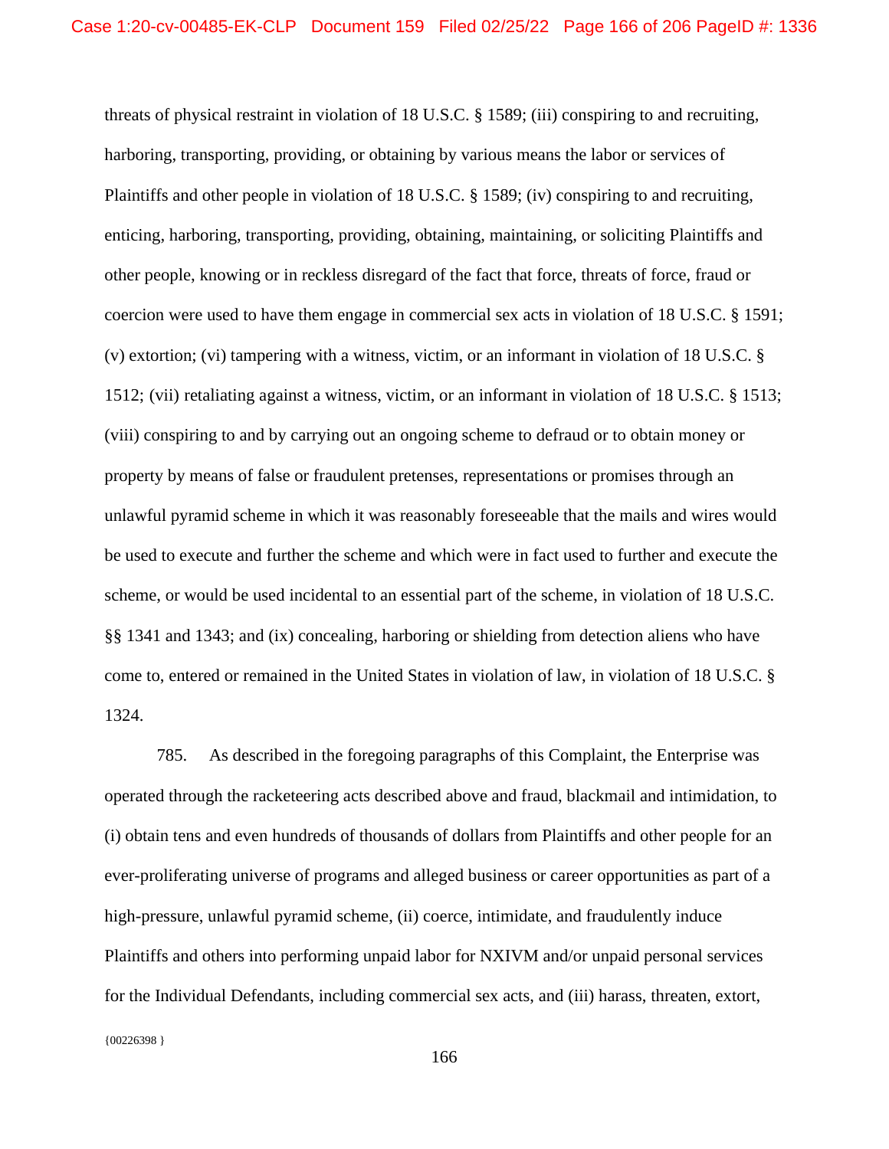threats of physical restraint in violation of 18 U.S.C. § 1589; (iii) conspiring to and recruiting, harboring, transporting, providing, or obtaining by various means the labor or services of Plaintiffs and other people in violation of 18 U.S.C. § 1589; (iv) conspiring to and recruiting, enticing, harboring, transporting, providing, obtaining, maintaining, or soliciting Plaintiffs and other people, knowing or in reckless disregard of the fact that force, threats of force, fraud or coercion were used to have them engage in commercial sex acts in violation of 18 U.S.C. § 1591; (v) extortion; (vi) tampering with a witness, victim, or an informant in violation of 18 U.S.C. § 1512; (vii) retaliating against a witness, victim, or an informant in violation of 18 U.S.C. § 1513; (viii) conspiring to and by carrying out an ongoing scheme to defraud or to obtain money or property by means of false or fraudulent pretenses, representations or promises through an unlawful pyramid scheme in which it was reasonably foreseeable that the mails and wires would be used to execute and further the scheme and which were in fact used to further and execute the scheme, or would be used incidental to an essential part of the scheme, in violation of 18 U.S.C. §§ 1341 and 1343; and (ix) concealing, harboring or shielding from detection aliens who have come to, entered or remained in the United States in violation of law, in violation of 18 U.S.C. § 1324.

785. As described in the foregoing paragraphs of this Complaint, the Enterprise was operated through the racketeering acts described above and fraud, blackmail and intimidation, to (i) obtain tens and even hundreds of thousands of dollars from Plaintiffs and other people for an ever-proliferating universe of programs and alleged business or career opportunities as part of a high-pressure, unlawful pyramid scheme, (ii) coerce, intimidate, and fraudulently induce Plaintiffs and others into performing unpaid labor for NXIVM and/or unpaid personal services for the Individual Defendants, including commercial sex acts, and (iii) harass, threaten, extort,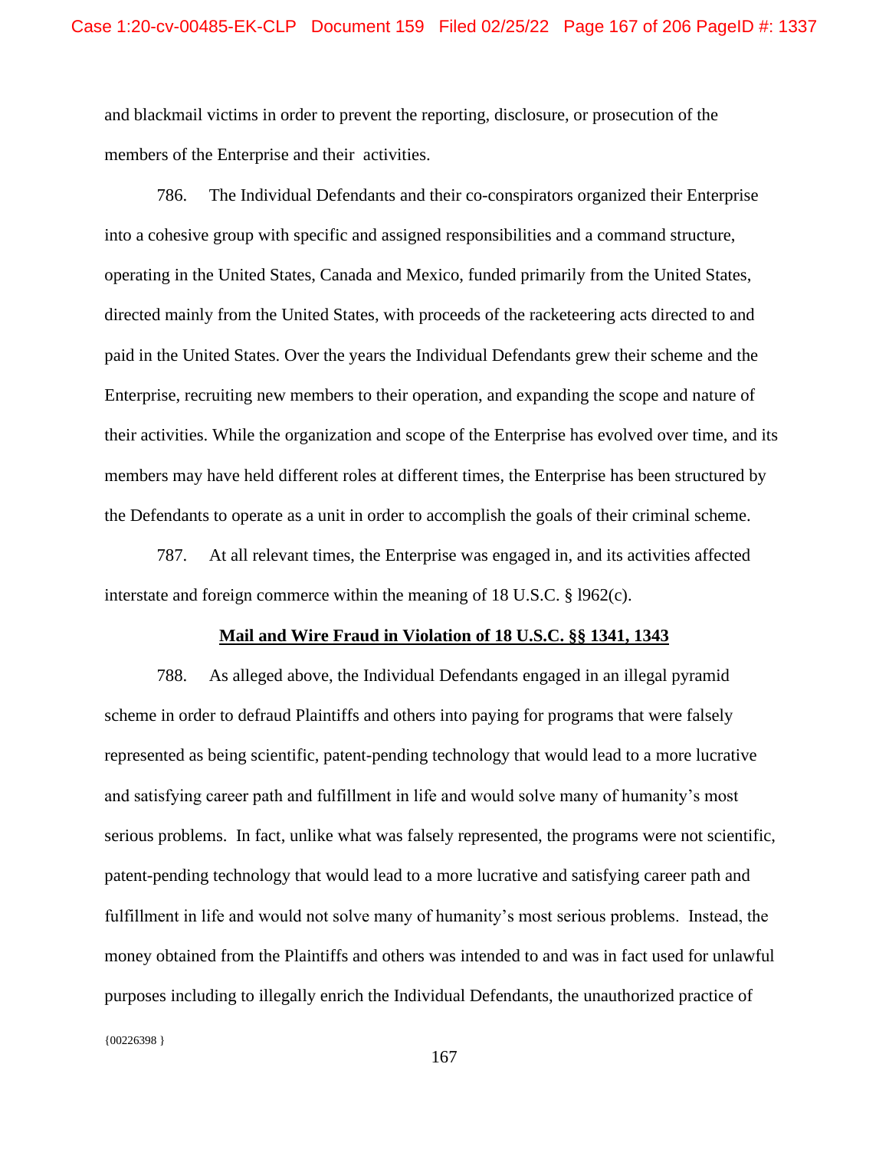and blackmail victims in order to prevent the reporting, disclosure, or prosecution of the members of the Enterprise and their activities.

786. The Individual Defendants and their co-conspirators organized their Enterprise into a cohesive group with specific and assigned responsibilities and a command structure, operating in the United States, Canada and Mexico, funded primarily from the United States, directed mainly from the United States, with proceeds of the racketeering acts directed to and paid in the United States. Over the years the Individual Defendants grew their scheme and the Enterprise, recruiting new members to their operation, and expanding the scope and nature of their activities. While the organization and scope of the Enterprise has evolved over time, and its members may have held different roles at different times, the Enterprise has been structured by the Defendants to operate as a unit in order to accomplish the goals of their criminal scheme.

787. At all relevant times, the Enterprise was engaged in, and its activities affected interstate and foreign commerce within the meaning of 18 U.S.C. § l962(c).

#### **Mail and Wire Fraud in Violation of 18 U.S.C. §§ 1341, 1343**

788. As alleged above, the Individual Defendants engaged in an illegal pyramid scheme in order to defraud Plaintiffs and others into paying for programs that were falsely represented as being scientific, patent-pending technology that would lead to a more lucrative and satisfying career path and fulfillment in life and would solve many of humanity's most serious problems. In fact, unlike what was falsely represented, the programs were not scientific, patent-pending technology that would lead to a more lucrative and satisfying career path and fulfillment in life and would not solve many of humanity's most serious problems. Instead, the money obtained from the Plaintiffs and others was intended to and was in fact used for unlawful purposes including to illegally enrich the Individual Defendants, the unauthorized practice of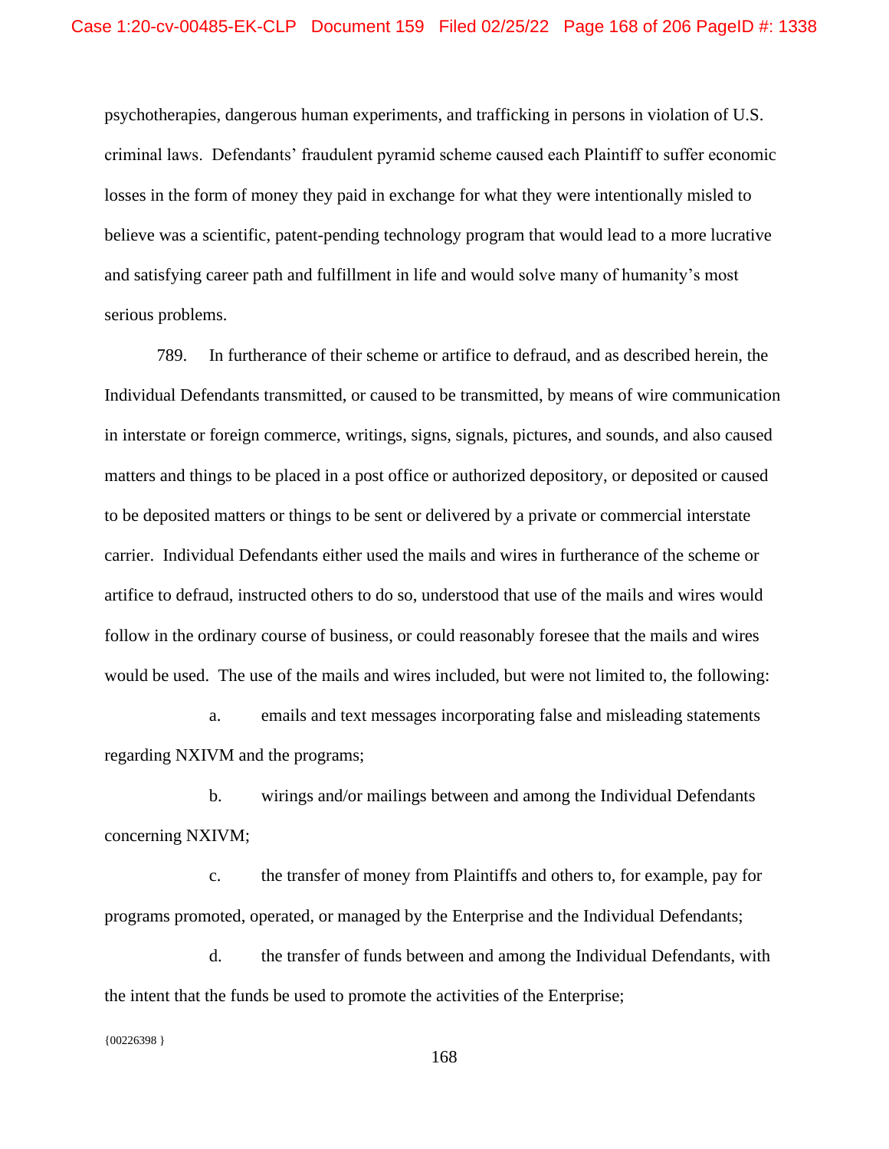psychotherapies, dangerous human experiments, and trafficking in persons in violation of U.S. criminal laws. Defendants' fraudulent pyramid scheme caused each Plaintiff to suffer economic losses in the form of money they paid in exchange for what they were intentionally misled to believe was a scientific, patent-pending technology program that would lead to a more lucrative and satisfying career path and fulfillment in life and would solve many of humanity's most serious problems.

789. In furtherance of their scheme or artifice to defraud, and as described herein, the Individual Defendants transmitted, or caused to be transmitted, by means of wire communication in interstate or foreign commerce, writings, signs, signals, pictures, and sounds, and also caused matters and things to be placed in a post office or authorized depository, or deposited or caused to be deposited matters or things to be sent or delivered by a private or commercial interstate carrier. Individual Defendants either used the mails and wires in furtherance of the scheme or artifice to defraud, instructed others to do so, understood that use of the mails and wires would follow in the ordinary course of business, or could reasonably foresee that the mails and wires would be used. The use of the mails and wires included, but were not limited to, the following:

a. emails and text messages incorporating false and misleading statements regarding NXIVM and the programs;

b. wirings and/or mailings between and among the Individual Defendants concerning NXIVM;

c. the transfer of money from Plaintiffs and others to, for example, pay for programs promoted, operated, or managed by the Enterprise and the Individual Defendants;

d. the transfer of funds between and among the Individual Defendants, with the intent that the funds be used to promote the activities of the Enterprise;

{00226398 }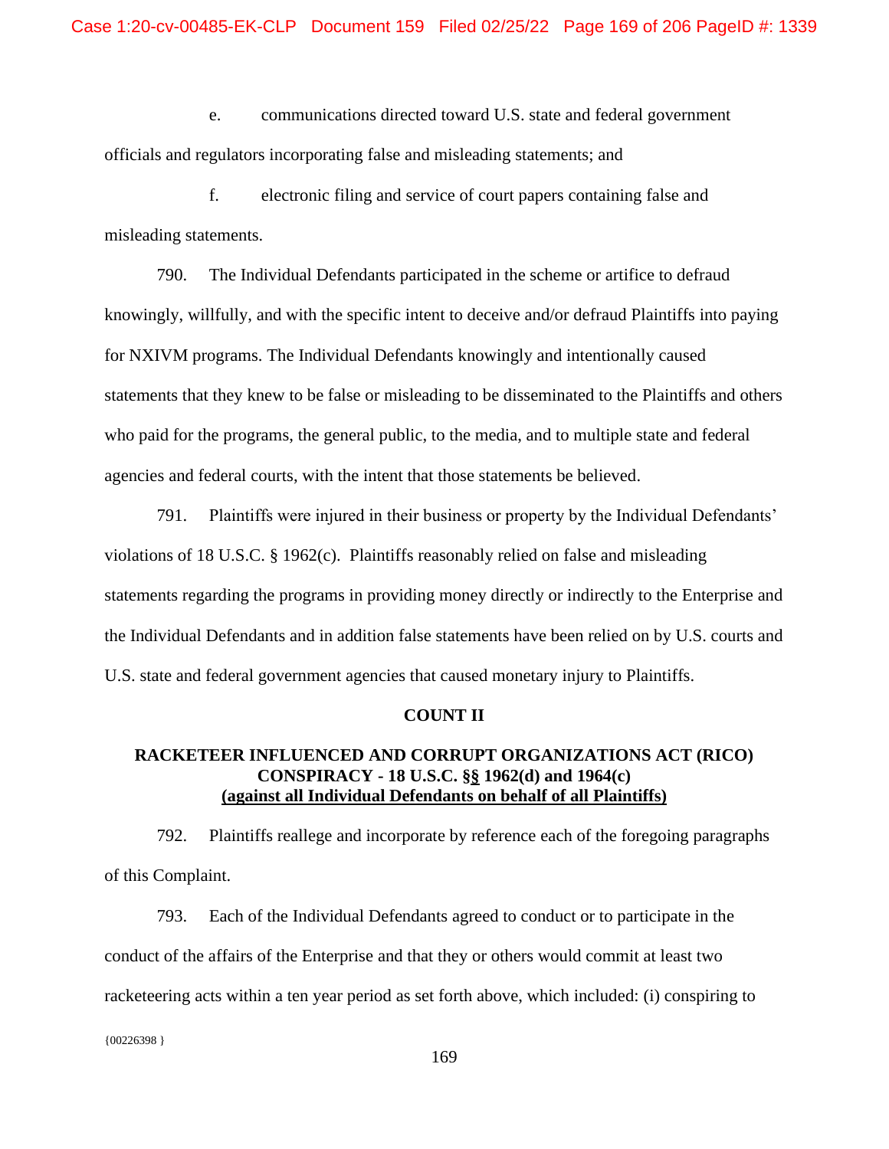e. communications directed toward U.S. state and federal government officials and regulators incorporating false and misleading statements; and

f. electronic filing and service of court papers containing false and misleading statements.

790. The Individual Defendants participated in the scheme or artifice to defraud knowingly, willfully, and with the specific intent to deceive and/or defraud Plaintiffs into paying for NXIVM programs. The Individual Defendants knowingly and intentionally caused statements that they knew to be false or misleading to be disseminated to the Plaintiffs and others who paid for the programs, the general public, to the media, and to multiple state and federal agencies and federal courts, with the intent that those statements be believed.

791. Plaintiffs were injured in their business or property by the Individual Defendants' violations of 18 U.S.C. § 1962(c). Plaintiffs reasonably relied on false and misleading statements regarding the programs in providing money directly or indirectly to the Enterprise and the Individual Defendants and in addition false statements have been relied on by U.S. courts and U.S. state and federal government agencies that caused monetary injury to Plaintiffs.

#### **COUNT II**

# **RACKETEER INFLUENCED AND CORRUPT ORGANIZATIONS ACT (RICO) CONSPIRACY - 18 U.S.C. §§ 1962(d) and 1964(c) (against all Individual Defendants on behalf of all Plaintiffs)**

792. Plaintiffs reallege and incorporate by reference each of the foregoing paragraphs of this Complaint.

793. Each of the Individual Defendants agreed to conduct or to participate in the conduct of the affairs of the Enterprise and that they or others would commit at least two racketeering acts within a ten year period as set forth above, which included: (i) conspiring to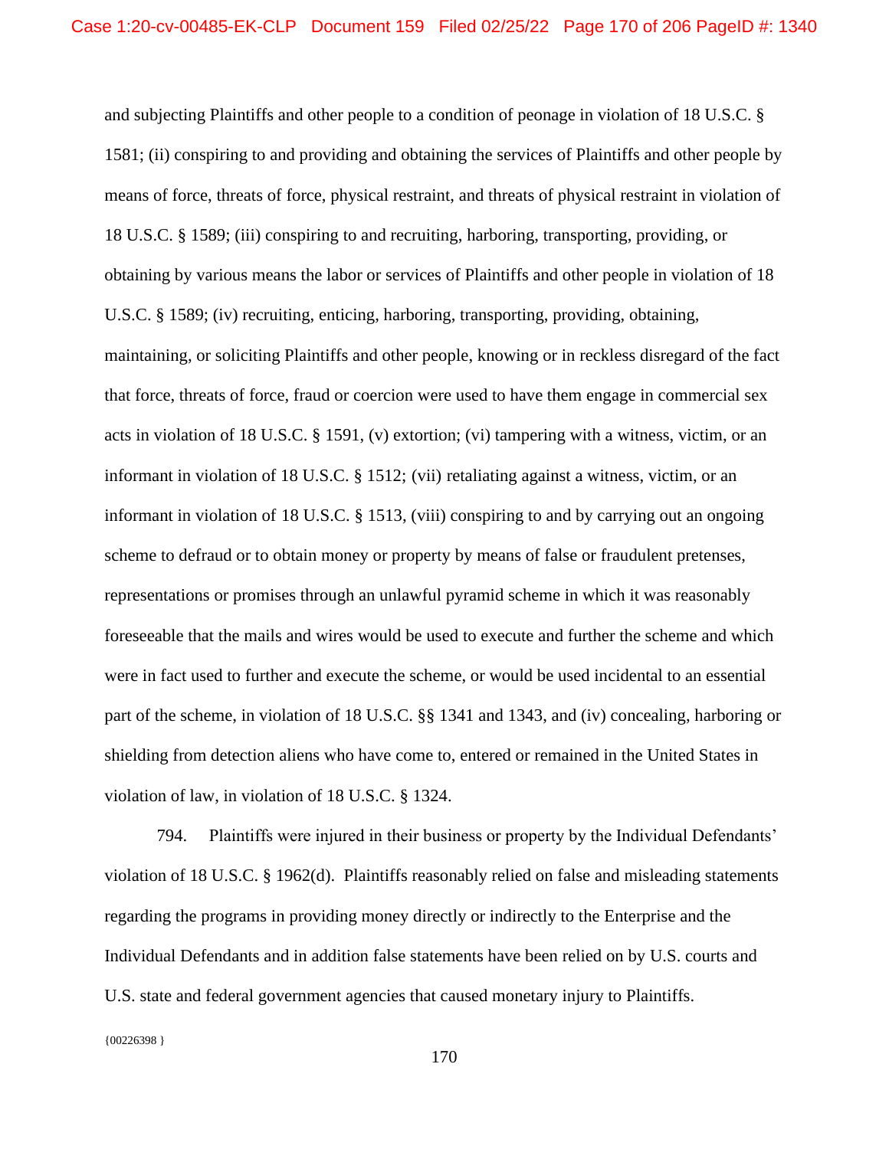and subjecting Plaintiffs and other people to a condition of peonage in violation of 18 U.S.C. § 1581; (ii) conspiring to and providing and obtaining the services of Plaintiffs and other people by means of force, threats of force, physical restraint, and threats of physical restraint in violation of 18 U.S.C. § 1589; (iii) conspiring to and recruiting, harboring, transporting, providing, or obtaining by various means the labor or services of Plaintiffs and other people in violation of 18 U.S.C. § 1589; (iv) recruiting, enticing, harboring, transporting, providing, obtaining, maintaining, or soliciting Plaintiffs and other people, knowing or in reckless disregard of the fact that force, threats of force, fraud or coercion were used to have them engage in commercial sex acts in violation of 18 U.S.C. § 1591, (v) extortion; (vi) tampering with a witness, victim, or an informant in violation of 18 U.S.C. § 1512; (vii) retaliating against a witness, victim, or an informant in violation of 18 U.S.C. § 1513, (viii) conspiring to and by carrying out an ongoing scheme to defraud or to obtain money or property by means of false or fraudulent pretenses, representations or promises through an unlawful pyramid scheme in which it was reasonably foreseeable that the mails and wires would be used to execute and further the scheme and which were in fact used to further and execute the scheme, or would be used incidental to an essential part of the scheme, in violation of 18 U.S.C. §§ 1341 and 1343, and (iv) concealing, harboring or shielding from detection aliens who have come to, entered or remained in the United States in violation of law, in violation of 18 U.S.C. § 1324.

794. Plaintiffs were injured in their business or property by the Individual Defendants' violation of 18 U.S.C. § 1962(d). Plaintiffs reasonably relied on false and misleading statements regarding the programs in providing money directly or indirectly to the Enterprise and the Individual Defendants and in addition false statements have been relied on by U.S. courts and U.S. state and federal government agencies that caused monetary injury to Plaintiffs.

 ${00226398}$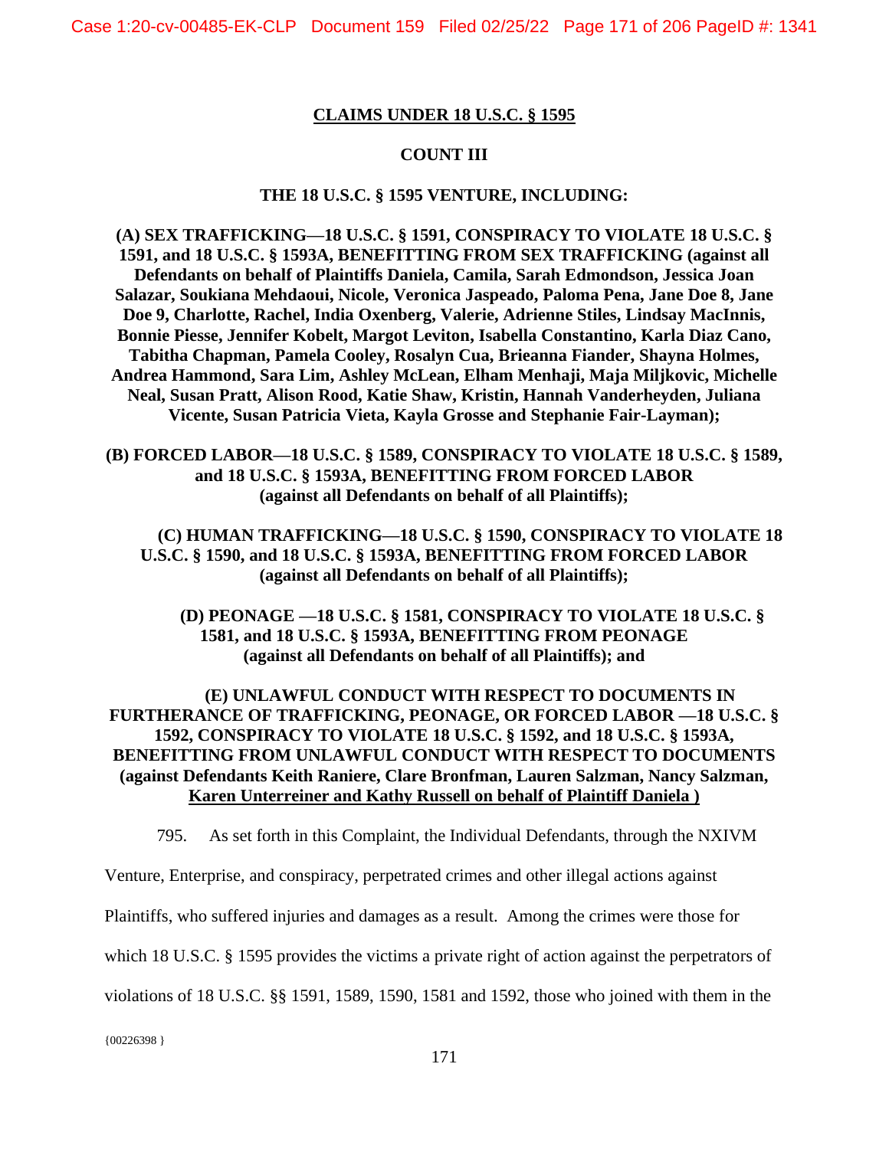Case 1:20-cv-00485-EK-CLP Document 159 Filed 02/25/22 Page 171 of 206 PageID #: 1341

### **CLAIMS UNDER 18 U.S.C. § 1595**

### **COUNT III**

### **THE 18 U.S.C. § 1595 VENTURE, INCLUDING:**

**(A) SEX TRAFFICKING—18 U.S.C. § 1591, CONSPIRACY TO VIOLATE 18 U.S.C. § 1591, and 18 U.S.C. § 1593A, BENEFITTING FROM SEX TRAFFICKING (against all Defendants on behalf of Plaintiffs Daniela, Camila, Sarah Edmondson, Jessica Joan Salazar, Soukiana Mehdaoui, Nicole, Veronica Jaspeado, Paloma Pena, Jane Doe 8, Jane Doe 9, Charlotte, Rachel, India Oxenberg, Valerie, Adrienne Stiles, Lindsay MacInnis, Bonnie Piesse, Jennifer Kobelt, Margot Leviton, Isabella Constantino, Karla Diaz Cano, Tabitha Chapman, Pamela Cooley, Rosalyn Cua, Brieanna Fiander, Shayna Holmes, Andrea Hammond, Sara Lim, Ashley McLean, Elham Menhaji, Maja Miljkovic, Michelle Neal, Susan Pratt, Alison Rood, Katie Shaw, Kristin, Hannah Vanderheyden, Juliana Vicente, Susan Patricia Vieta, Kayla Grosse and Stephanie Fair-Layman);**

**(B) FORCED LABOR—18 U.S.C. § 1589, CONSPIRACY TO VIOLATE 18 U.S.C. § 1589, and 18 U.S.C. § 1593A, BENEFITTING FROM FORCED LABOR (against all Defendants on behalf of all Plaintiffs);**

**(C) HUMAN TRAFFICKING—18 U.S.C. § 1590, CONSPIRACY TO VIOLATE 18 U.S.C. § 1590, and 18 U.S.C. § 1593A, BENEFITTING FROM FORCED LABOR (against all Defendants on behalf of all Plaintiffs);**

**(D) PEONAGE —18 U.S.C. § 1581, CONSPIRACY TO VIOLATE 18 U.S.C. § 1581, and 18 U.S.C. § 1593A, BENEFITTING FROM PEONAGE (against all Defendants on behalf of all Plaintiffs); and** 

**(E) UNLAWFUL CONDUCT WITH RESPECT TO DOCUMENTS IN FURTHERANCE OF TRAFFICKING, PEONAGE, OR FORCED LABOR —18 U.S.C. § 1592, CONSPIRACY TO VIOLATE 18 U.S.C. § 1592, and 18 U.S.C. § 1593A, BENEFITTING FROM UNLAWFUL CONDUCT WITH RESPECT TO DOCUMENTS (against Defendants Keith Raniere, Clare Bronfman, Lauren Salzman, Nancy Salzman, Karen Unterreiner and Kathy Russell on behalf of Plaintiff Daniela )**

795. As set forth in this Complaint, the Individual Defendants, through the NXIVM

Venture, Enterprise, and conspiracy, perpetrated crimes and other illegal actions against

Plaintiffs, who suffered injuries and damages as a result. Among the crimes were those for

which 18 U.S.C. § 1595 provides the victims a private right of action against the perpetrators of

violations of 18 U.S.C. §§ 1591, 1589, 1590, 1581 and 1592, those who joined with them in the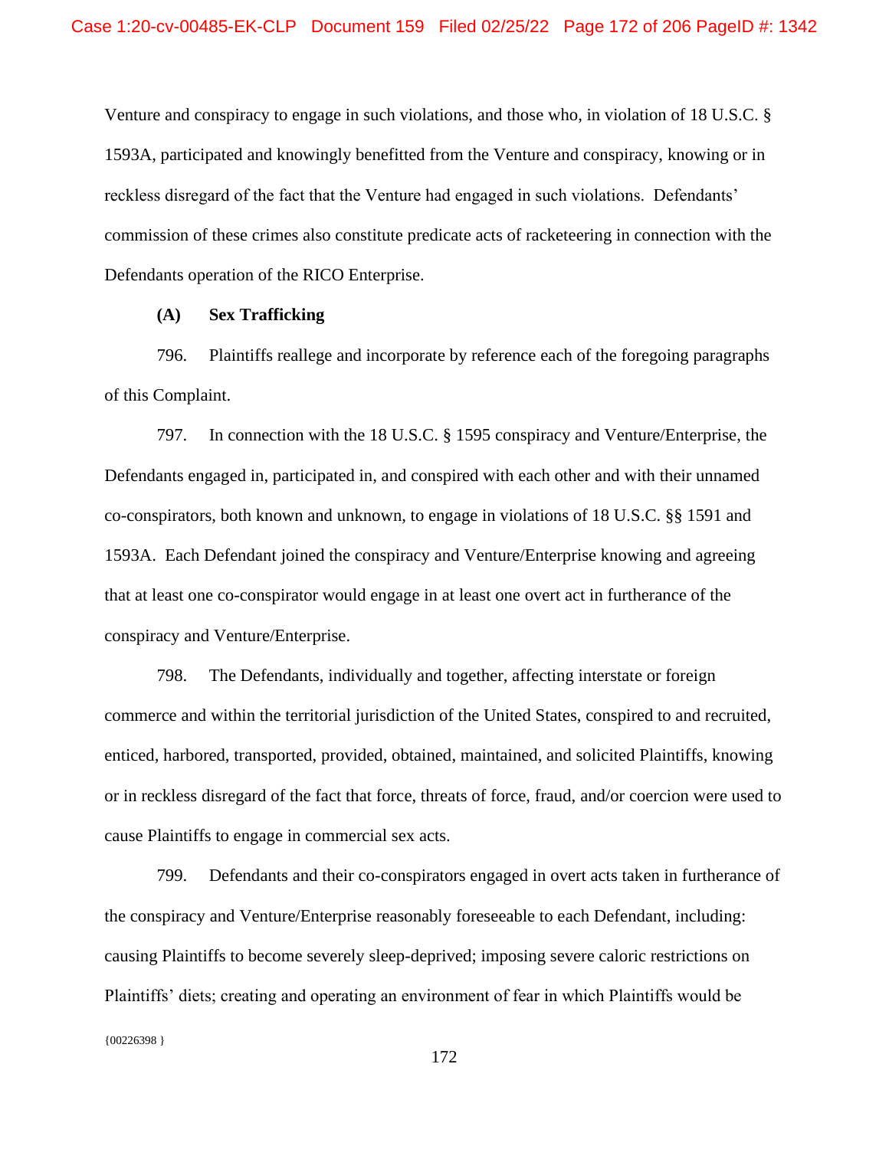Venture and conspiracy to engage in such violations, and those who, in violation of 18 U.S.C. § 1593A, participated and knowingly benefitted from the Venture and conspiracy, knowing or in reckless disregard of the fact that the Venture had engaged in such violations. Defendants' commission of these crimes also constitute predicate acts of racketeering in connection with the Defendants operation of the RICO Enterprise.

### **(A) Sex Trafficking**

796. Plaintiffs reallege and incorporate by reference each of the foregoing paragraphs of this Complaint.

797. In connection with the 18 U.S.C. § 1595 conspiracy and Venture/Enterprise, the Defendants engaged in, participated in, and conspired with each other and with their unnamed co-conspirators, both known and unknown, to engage in violations of 18 U.S.C. §§ 1591 and 1593A. Each Defendant joined the conspiracy and Venture/Enterprise knowing and agreeing that at least one co-conspirator would engage in at least one overt act in furtherance of the conspiracy and Venture/Enterprise.

798. The Defendants, individually and together, affecting interstate or foreign commerce and within the territorial jurisdiction of the United States, conspired to and recruited, enticed, harbored, transported, provided, obtained, maintained, and solicited Plaintiffs, knowing or in reckless disregard of the fact that force, threats of force, fraud, and/or coercion were used to cause Plaintiffs to engage in commercial sex acts.

{00226398 } 799. Defendants and their co-conspirators engaged in overt acts taken in furtherance of the conspiracy and Venture/Enterprise reasonably foreseeable to each Defendant, including: causing Plaintiffs to become severely sleep-deprived; imposing severe caloric restrictions on Plaintiffs' diets; creating and operating an environment of fear in which Plaintiffs would be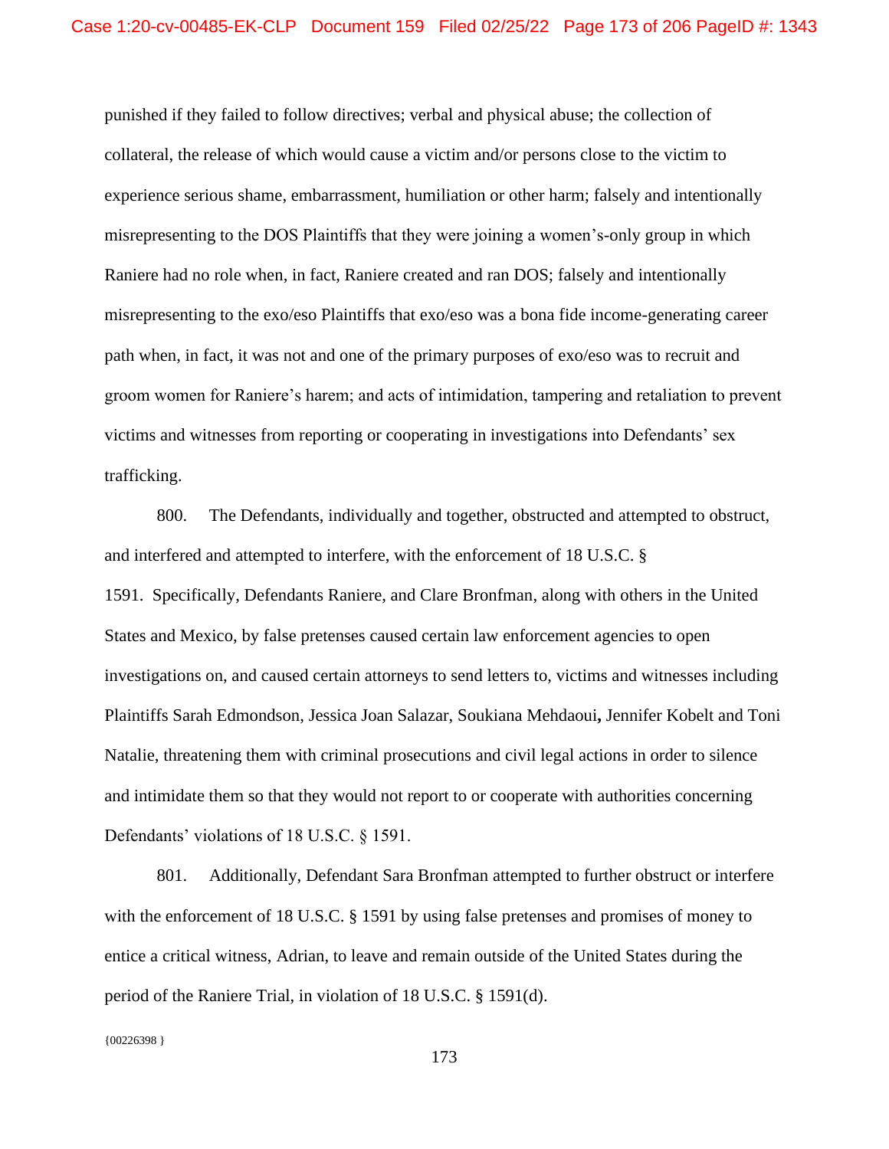punished if they failed to follow directives; verbal and physical abuse; the collection of collateral, the release of which would cause a victim and/or persons close to the victim to experience serious shame, embarrassment, humiliation or other harm; falsely and intentionally misrepresenting to the DOS Plaintiffs that they were joining a women's-only group in which Raniere had no role when, in fact, Raniere created and ran DOS; falsely and intentionally misrepresenting to the exo/eso Plaintiffs that exo/eso was a bona fide income-generating career path when, in fact, it was not and one of the primary purposes of exo/eso was to recruit and groom women for Raniere's harem; and acts of intimidation, tampering and retaliation to prevent victims and witnesses from reporting or cooperating in investigations into Defendants' sex trafficking.

800. The Defendants, individually and together, obstructed and attempted to obstruct, and interfered and attempted to interfere, with the enforcement of 18 U.S.C. § 1591. Specifically, Defendants Raniere, and Clare Bronfman, along with others in the United States and Mexico, by false pretenses caused certain law enforcement agencies to open investigations on, and caused certain attorneys to send letters to, victims and witnesses including Plaintiffs Sarah Edmondson, Jessica Joan Salazar, Soukiana Mehdaoui**,** Jennifer Kobelt and Toni Natalie, threatening them with criminal prosecutions and civil legal actions in order to silence and intimidate them so that they would not report to or cooperate with authorities concerning Defendants' violations of 18 U.S.C. § 1591.

801. Additionally, Defendant Sara Bronfman attempted to further obstruct or interfere with the enforcement of 18 U.S.C. § 1591 by using false pretenses and promises of money to entice a critical witness, Adrian, to leave and remain outside of the United States during the period of the Raniere Trial, in violation of 18 U.S.C. § 1591(d).

{00226398 }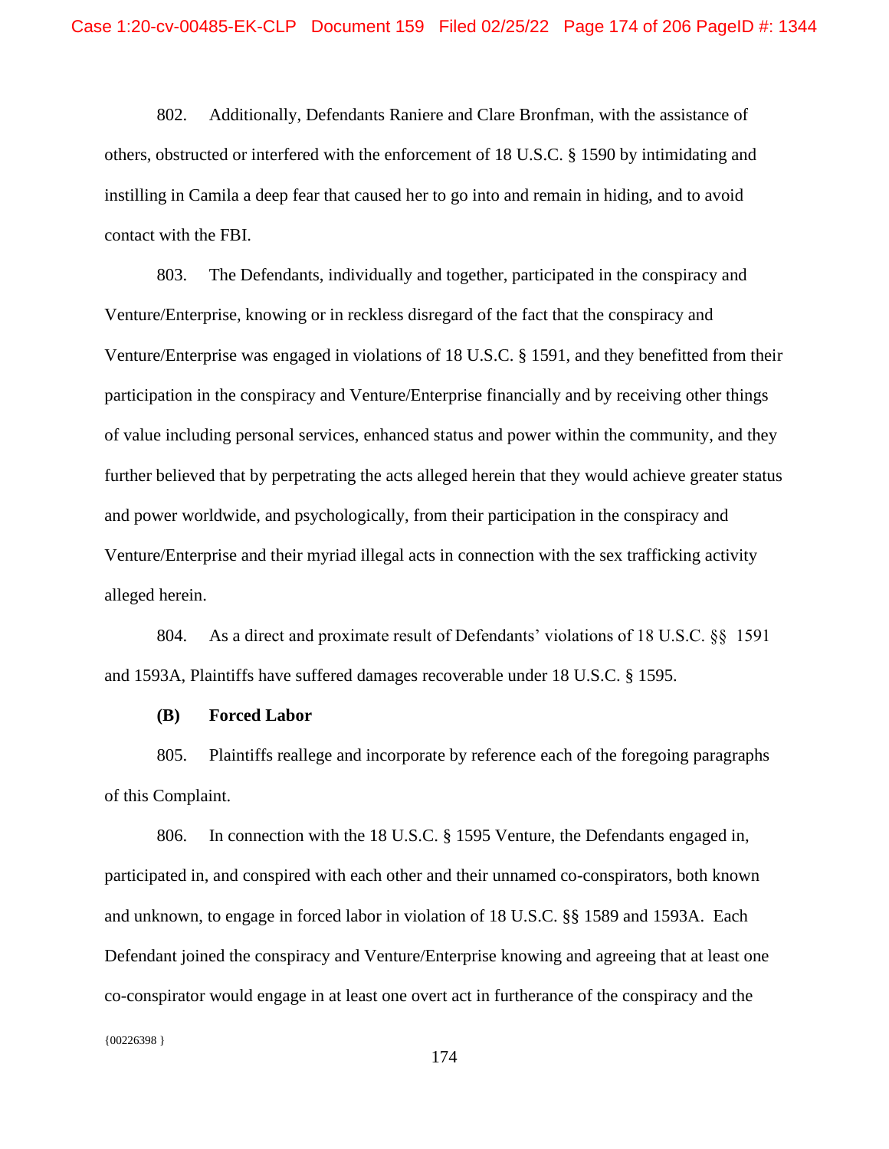802. Additionally, Defendants Raniere and Clare Bronfman, with the assistance of others, obstructed or interfered with the enforcement of 18 U.S.C. § 1590 by intimidating and instilling in Camila a deep fear that caused her to go into and remain in hiding, and to avoid contact with the FBI.

803. The Defendants, individually and together, participated in the conspiracy and Venture/Enterprise, knowing or in reckless disregard of the fact that the conspiracy and Venture/Enterprise was engaged in violations of 18 U.S.C. § 1591, and they benefitted from their participation in the conspiracy and Venture/Enterprise financially and by receiving other things of value including personal services, enhanced status and power within the community, and they further believed that by perpetrating the acts alleged herein that they would achieve greater status and power worldwide, and psychologically, from their participation in the conspiracy and Venture/Enterprise and their myriad illegal acts in connection with the sex trafficking activity alleged herein.

804. As a direct and proximate result of Defendants' violations of 18 U.S.C. §§ 1591 and 1593A, Plaintiffs have suffered damages recoverable under 18 U.S.C. § 1595.

#### **(B) Forced Labor**

805. Plaintiffs reallege and incorporate by reference each of the foregoing paragraphs of this Complaint.

806. In connection with the 18 U.S.C. § 1595 Venture, the Defendants engaged in, participated in, and conspired with each other and their unnamed co-conspirators, both known and unknown, to engage in forced labor in violation of 18 U.S.C. §§ 1589 and 1593A. Each Defendant joined the conspiracy and Venture/Enterprise knowing and agreeing that at least one co-conspirator would engage in at least one overt act in furtherance of the conspiracy and the

{00226398 }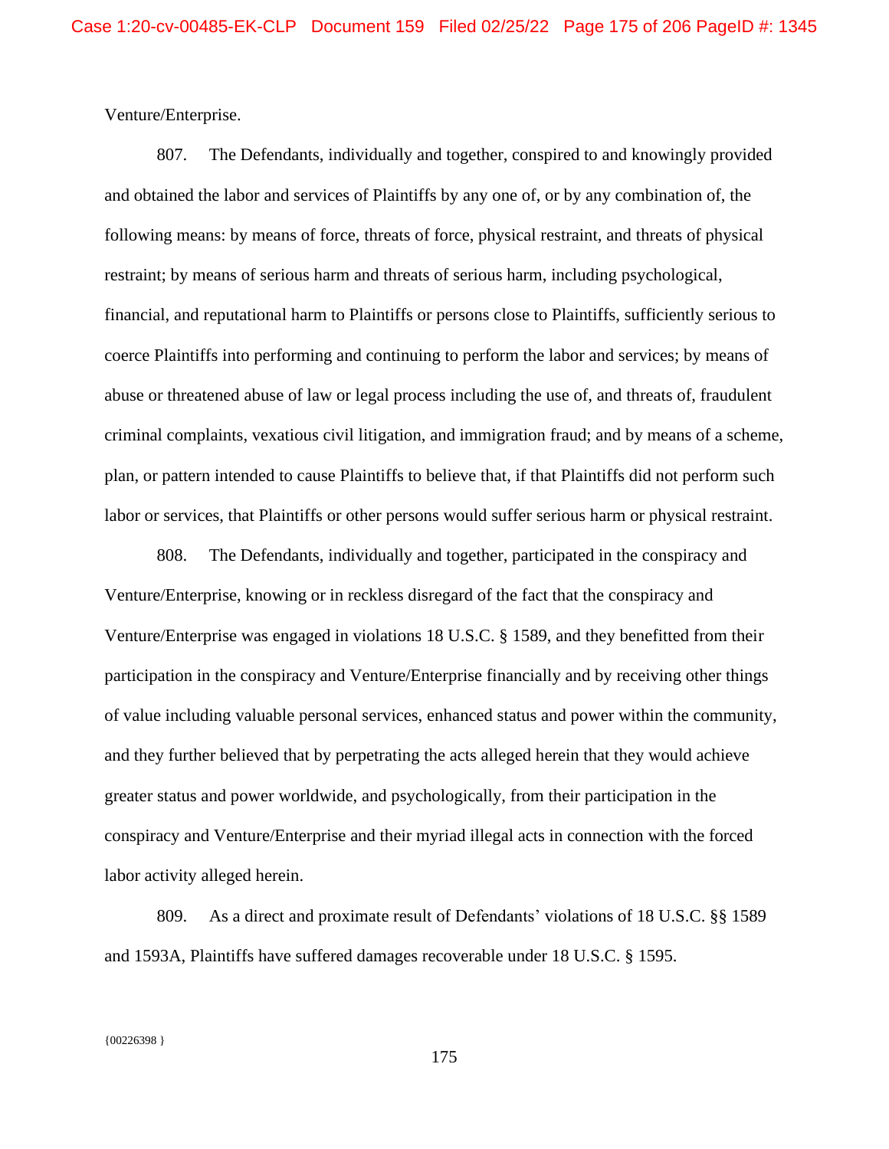Venture/Enterprise.

807. The Defendants, individually and together, conspired to and knowingly provided and obtained the labor and services of Plaintiffs by any one of, or by any combination of, the following means: by means of force, threats of force, physical restraint, and threats of physical restraint; by means of serious harm and threats of serious harm, including psychological, financial, and reputational harm to Plaintiffs or persons close to Plaintiffs, sufficiently serious to coerce Plaintiffs into performing and continuing to perform the labor and services; by means of abuse or threatened abuse of law or legal process including the use of, and threats of, fraudulent criminal complaints, vexatious civil litigation, and immigration fraud; and by means of a scheme, plan, or pattern intended to cause Plaintiffs to believe that, if that Plaintiffs did not perform such labor or services, that Plaintiffs or other persons would suffer serious harm or physical restraint.

808. The Defendants, individually and together, participated in the conspiracy and Venture/Enterprise, knowing or in reckless disregard of the fact that the conspiracy and Venture/Enterprise was engaged in violations 18 U.S.C. § 1589, and they benefitted from their participation in the conspiracy and Venture/Enterprise financially and by receiving other things of value including valuable personal services, enhanced status and power within the community, and they further believed that by perpetrating the acts alleged herein that they would achieve greater status and power worldwide, and psychologically, from their participation in the conspiracy and Venture/Enterprise and their myriad illegal acts in connection with the forced labor activity alleged herein.

809. As a direct and proximate result of Defendants' violations of 18 U.S.C. §§ 1589 and 1593A, Plaintiffs have suffered damages recoverable under 18 U.S.C. § 1595.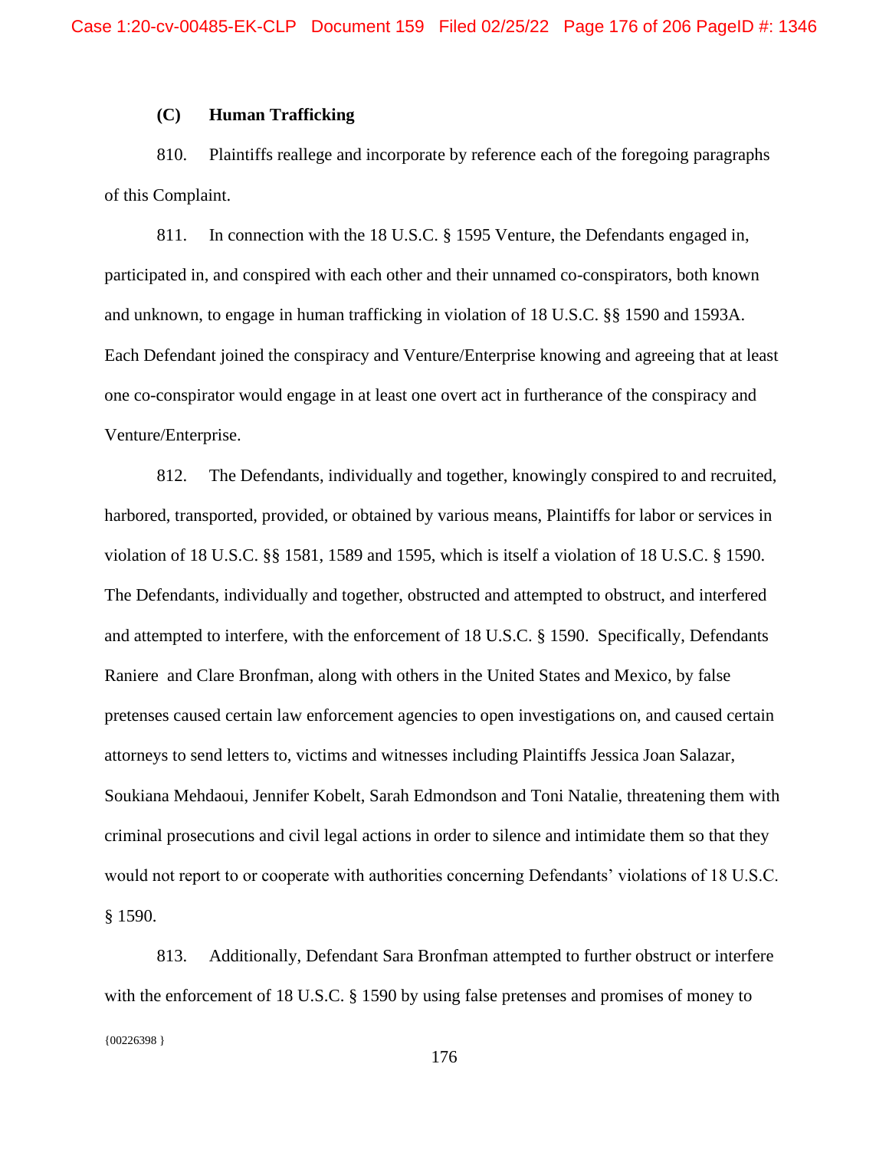### **(C) Human Trafficking**

810. Plaintiffs reallege and incorporate by reference each of the foregoing paragraphs of this Complaint.

811. In connection with the 18 U.S.C. § 1595 Venture, the Defendants engaged in, participated in, and conspired with each other and their unnamed co-conspirators, both known and unknown, to engage in human trafficking in violation of 18 U.S.C. §§ 1590 and 1593A. Each Defendant joined the conspiracy and Venture/Enterprise knowing and agreeing that at least one co-conspirator would engage in at least one overt act in furtherance of the conspiracy and Venture/Enterprise.

812. The Defendants, individually and together, knowingly conspired to and recruited, harbored, transported, provided, or obtained by various means, Plaintiffs for labor or services in violation of 18 U.S.C. §§ 1581, 1589 and 1595, which is itself a violation of 18 U.S.C. § 1590. The Defendants, individually and together, obstructed and attempted to obstruct, and interfered and attempted to interfere, with the enforcement of 18 U.S.C. § 1590. Specifically, Defendants Raniere and Clare Bronfman, along with others in the United States and Mexico, by false pretenses caused certain law enforcement agencies to open investigations on, and caused certain attorneys to send letters to, victims and witnesses including Plaintiffs Jessica Joan Salazar, Soukiana Mehdaoui, Jennifer Kobelt, Sarah Edmondson and Toni Natalie, threatening them with criminal prosecutions and civil legal actions in order to silence and intimidate them so that they would not report to or cooperate with authorities concerning Defendants' violations of 18 U.S.C. § 1590.

 ${00226398}$ 813. Additionally, Defendant Sara Bronfman attempted to further obstruct or interfere with the enforcement of 18 U.S.C. § 1590 by using false pretenses and promises of money to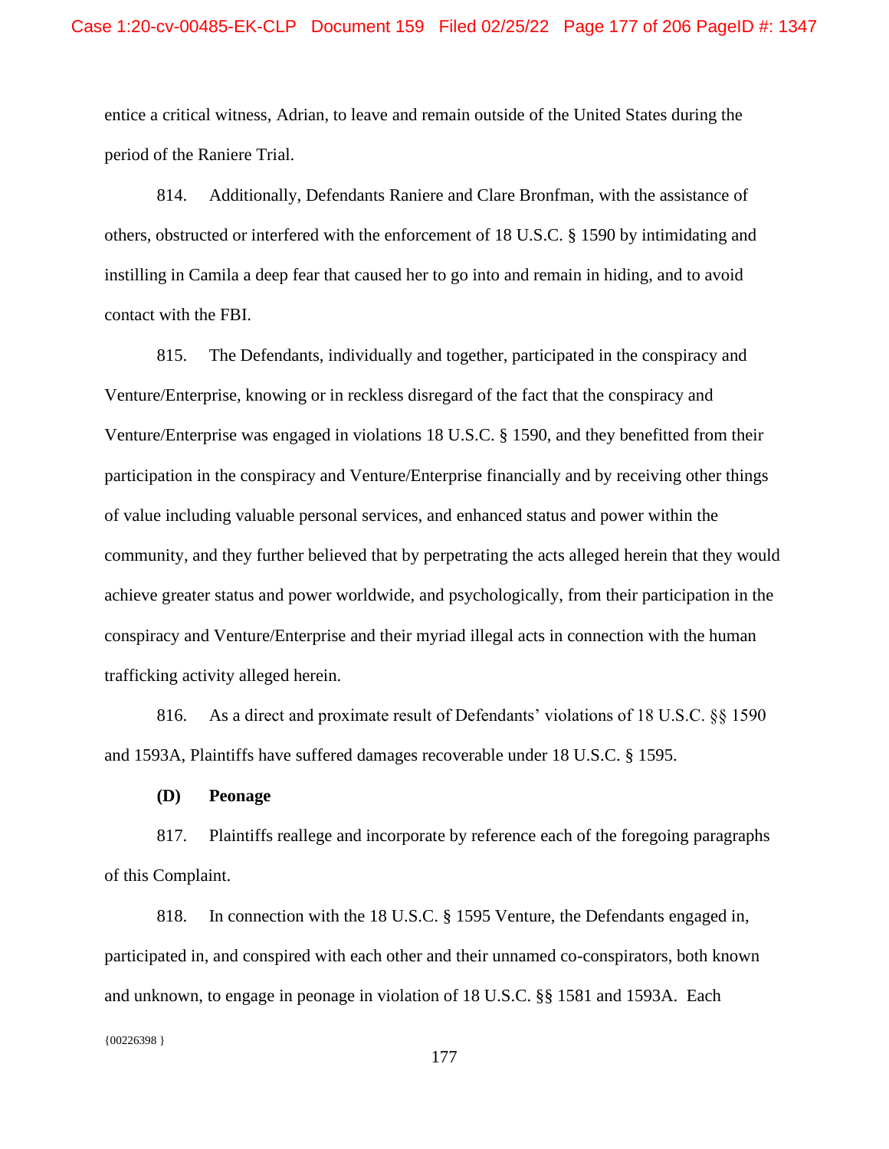entice a critical witness, Adrian, to leave and remain outside of the United States during the period of the Raniere Trial.

814. Additionally, Defendants Raniere and Clare Bronfman, with the assistance of others, obstructed or interfered with the enforcement of 18 U.S.C. § 1590 by intimidating and instilling in Camila a deep fear that caused her to go into and remain in hiding, and to avoid contact with the FBI.

815. The Defendants, individually and together, participated in the conspiracy and Venture/Enterprise, knowing or in reckless disregard of the fact that the conspiracy and Venture/Enterprise was engaged in violations 18 U.S.C. § 1590, and they benefitted from their participation in the conspiracy and Venture/Enterprise financially and by receiving other things of value including valuable personal services, and enhanced status and power within the community, and they further believed that by perpetrating the acts alleged herein that they would achieve greater status and power worldwide, and psychologically, from their participation in the conspiracy and Venture/Enterprise and their myriad illegal acts in connection with the human trafficking activity alleged herein.

816. As a direct and proximate result of Defendants' violations of 18 U.S.C. §§ 1590 and 1593A, Plaintiffs have suffered damages recoverable under 18 U.S.C. § 1595.

**(D) Peonage**

817. Plaintiffs reallege and incorporate by reference each of the foregoing paragraphs of this Complaint.

818. In connection with the 18 U.S.C. § 1595 Venture, the Defendants engaged in, participated in, and conspired with each other and their unnamed co-conspirators, both known and unknown, to engage in peonage in violation of 18 U.S.C. §§ 1581 and 1593A. Each

 ${00226398}$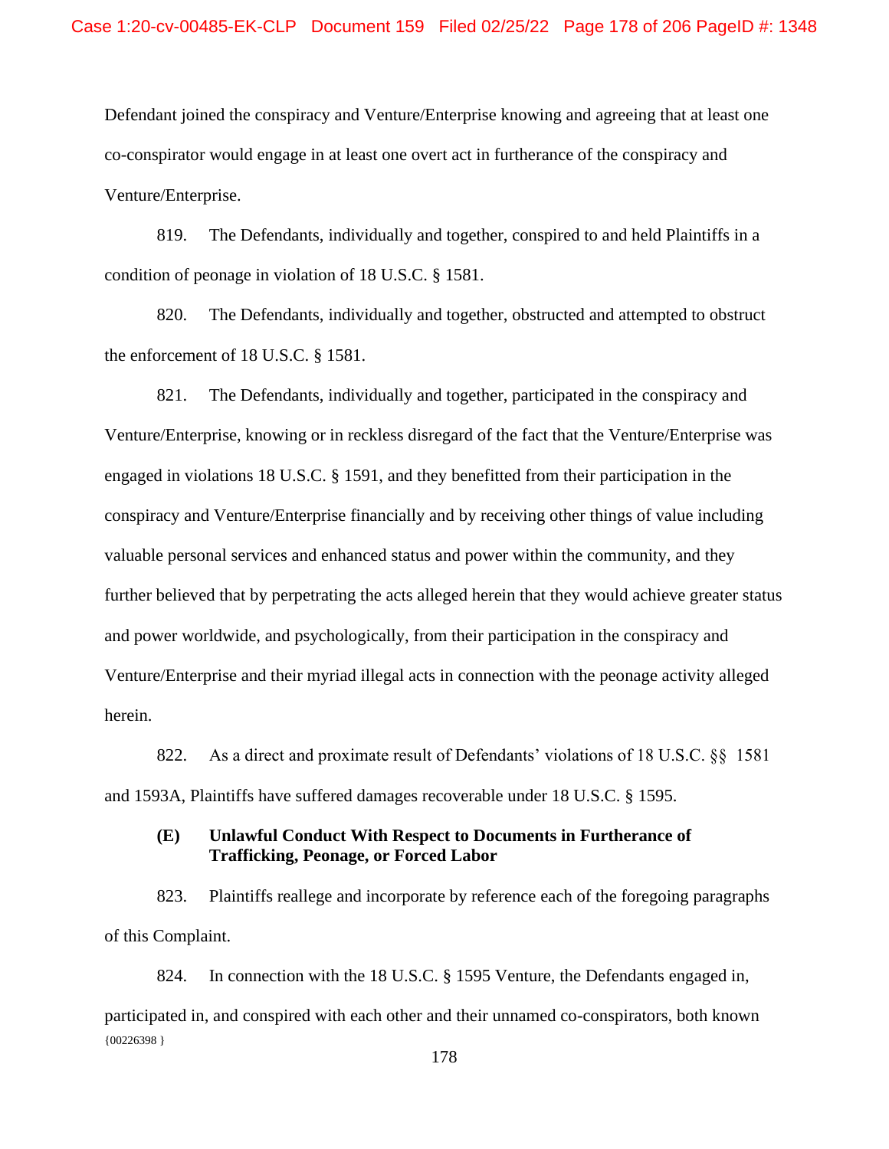Defendant joined the conspiracy and Venture/Enterprise knowing and agreeing that at least one co-conspirator would engage in at least one overt act in furtherance of the conspiracy and Venture/Enterprise.

819. The Defendants, individually and together, conspired to and held Plaintiffs in a condition of peonage in violation of 18 U.S.C. § 1581.

820. The Defendants, individually and together, obstructed and attempted to obstruct the enforcement of 18 U.S.C. § 1581.

821. The Defendants, individually and together, participated in the conspiracy and Venture/Enterprise, knowing or in reckless disregard of the fact that the Venture/Enterprise was engaged in violations 18 U.S.C. § 1591, and they benefitted from their participation in the conspiracy and Venture/Enterprise financially and by receiving other things of value including valuable personal services and enhanced status and power within the community, and they further believed that by perpetrating the acts alleged herein that they would achieve greater status and power worldwide, and psychologically, from their participation in the conspiracy and Venture/Enterprise and their myriad illegal acts in connection with the peonage activity alleged herein.

822. As a direct and proximate result of Defendants' violations of 18 U.S.C. §§ 1581 and 1593A, Plaintiffs have suffered damages recoverable under 18 U.S.C. § 1595.

# **(E) Unlawful Conduct With Respect to Documents in Furtherance of Trafficking, Peonage, or Forced Labor**

823. Plaintiffs reallege and incorporate by reference each of the foregoing paragraphs of this Complaint.

 ${00226398}$ 824. In connection with the 18 U.S.C. § 1595 Venture, the Defendants engaged in, participated in, and conspired with each other and their unnamed co-conspirators, both known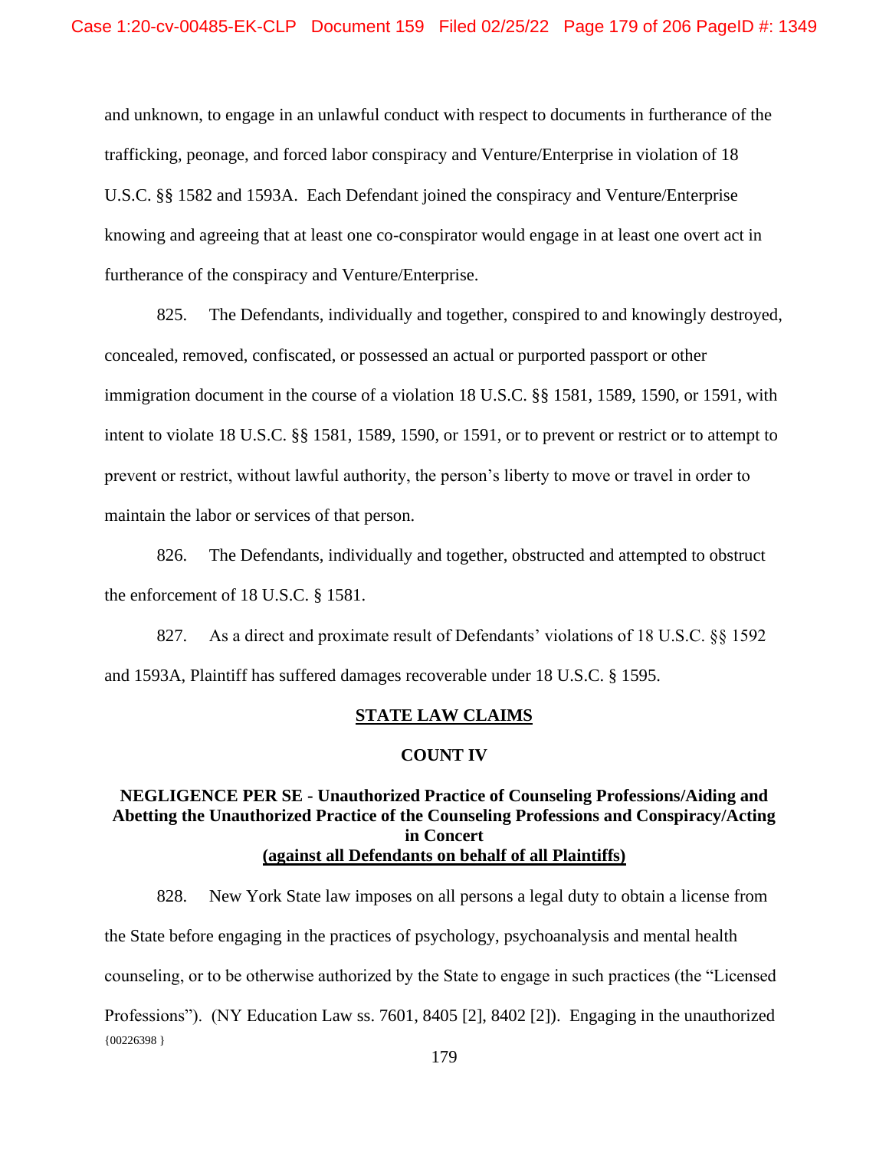and unknown, to engage in an unlawful conduct with respect to documents in furtherance of the trafficking, peonage, and forced labor conspiracy and Venture/Enterprise in violation of 18 U.S.C. §§ 1582 and 1593A. Each Defendant joined the conspiracy and Venture/Enterprise knowing and agreeing that at least one co-conspirator would engage in at least one overt act in furtherance of the conspiracy and Venture/Enterprise.

825. The Defendants, individually and together, conspired to and knowingly destroyed, concealed, removed, confiscated, or possessed an actual or purported passport or other immigration document in the course of a violation 18 U.S.C. §§ 1581, 1589, 1590, or 1591, with intent to violate 18 U.S.C. §§ 1581, 1589, 1590, or 1591, or to prevent or restrict or to attempt to prevent or restrict, without lawful authority, the person's liberty to move or travel in order to maintain the labor or services of that person.

826. The Defendants, individually and together, obstructed and attempted to obstruct the enforcement of 18 U.S.C. § 1581.

827. As a direct and proximate result of Defendants' violations of 18 U.S.C. §§ 1592 and 1593A, Plaintiff has suffered damages recoverable under 18 U.S.C. § 1595.

#### **STATE LAW CLAIMS**

### **COUNT IV**

# **NEGLIGENCE PER SE - Unauthorized Practice of Counseling Professions/Aiding and Abetting the Unauthorized Practice of the Counseling Professions and Conspiracy/Acting in Concert (against all Defendants on behalf of all Plaintiffs)**

828. New York State law imposes on all persons a legal duty to obtain a license from the State before engaging in the practices of psychology, psychoanalysis and mental health

counseling, or to be otherwise authorized by the State to engage in such practices (the "Licensed

 ${00226398}$ Professions"). (NY Education Law ss. 7601, 8405 [2], 8402 [2]). Engaging in the unauthorized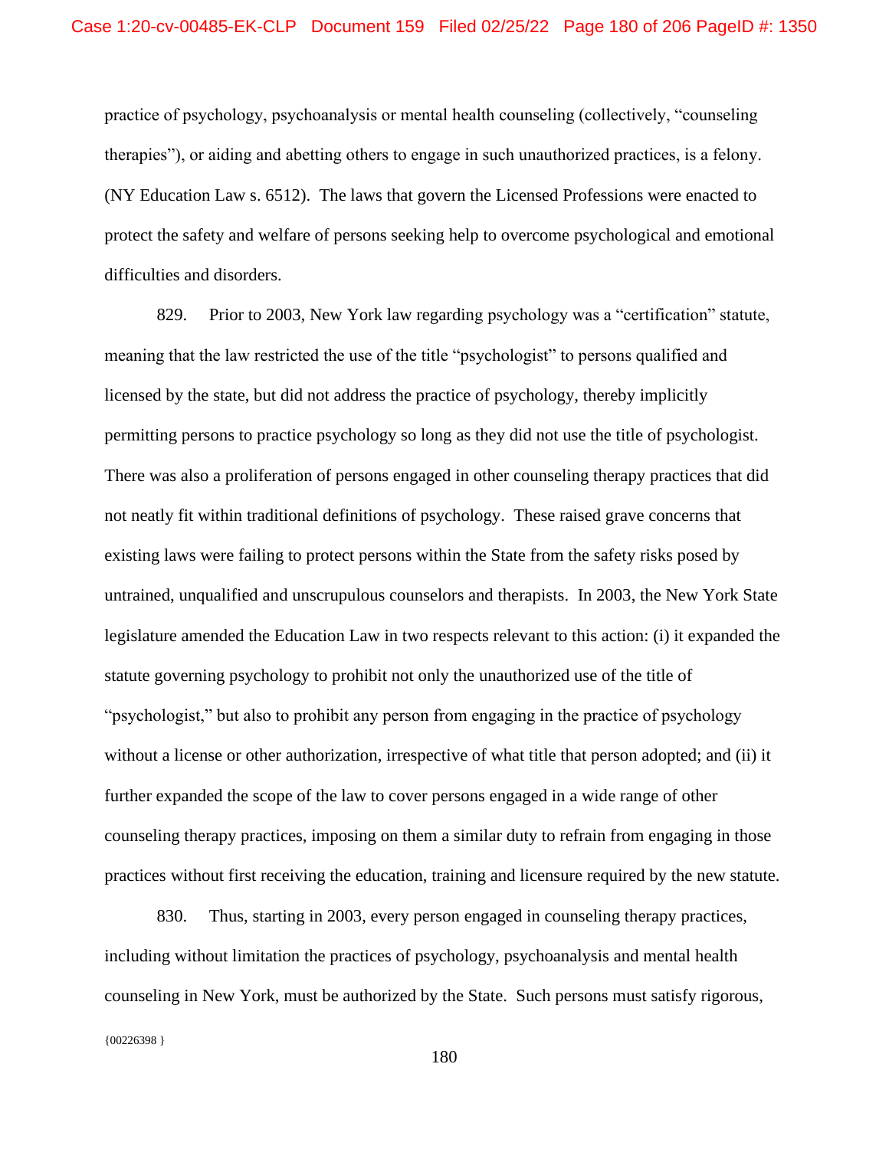practice of psychology, psychoanalysis or mental health counseling (collectively, "counseling therapies"), or aiding and abetting others to engage in such unauthorized practices, is a felony. (NY Education Law s. 6512). The laws that govern the Licensed Professions were enacted to protect the safety and welfare of persons seeking help to overcome psychological and emotional difficulties and disorders.

829. Prior to 2003, New York law regarding psychology was a "certification" statute, meaning that the law restricted the use of the title "psychologist" to persons qualified and licensed by the state, but did not address the practice of psychology, thereby implicitly permitting persons to practice psychology so long as they did not use the title of psychologist. There was also a proliferation of persons engaged in other counseling therapy practices that did not neatly fit within traditional definitions of psychology. These raised grave concerns that existing laws were failing to protect persons within the State from the safety risks posed by untrained, unqualified and unscrupulous counselors and therapists. In 2003, the New York State legislature amended the Education Law in two respects relevant to this action: (i) it expanded the statute governing psychology to prohibit not only the unauthorized use of the title of "psychologist," but also to prohibit any person from engaging in the practice of psychology without a license or other authorization, irrespective of what title that person adopted; and (ii) it further expanded the scope of the law to cover persons engaged in a wide range of other counseling therapy practices, imposing on them a similar duty to refrain from engaging in those practices without first receiving the education, training and licensure required by the new statute.

{00226398 } 830. Thus, starting in 2003, every person engaged in counseling therapy practices, including without limitation the practices of psychology, psychoanalysis and mental health counseling in New York, must be authorized by the State. Such persons must satisfy rigorous,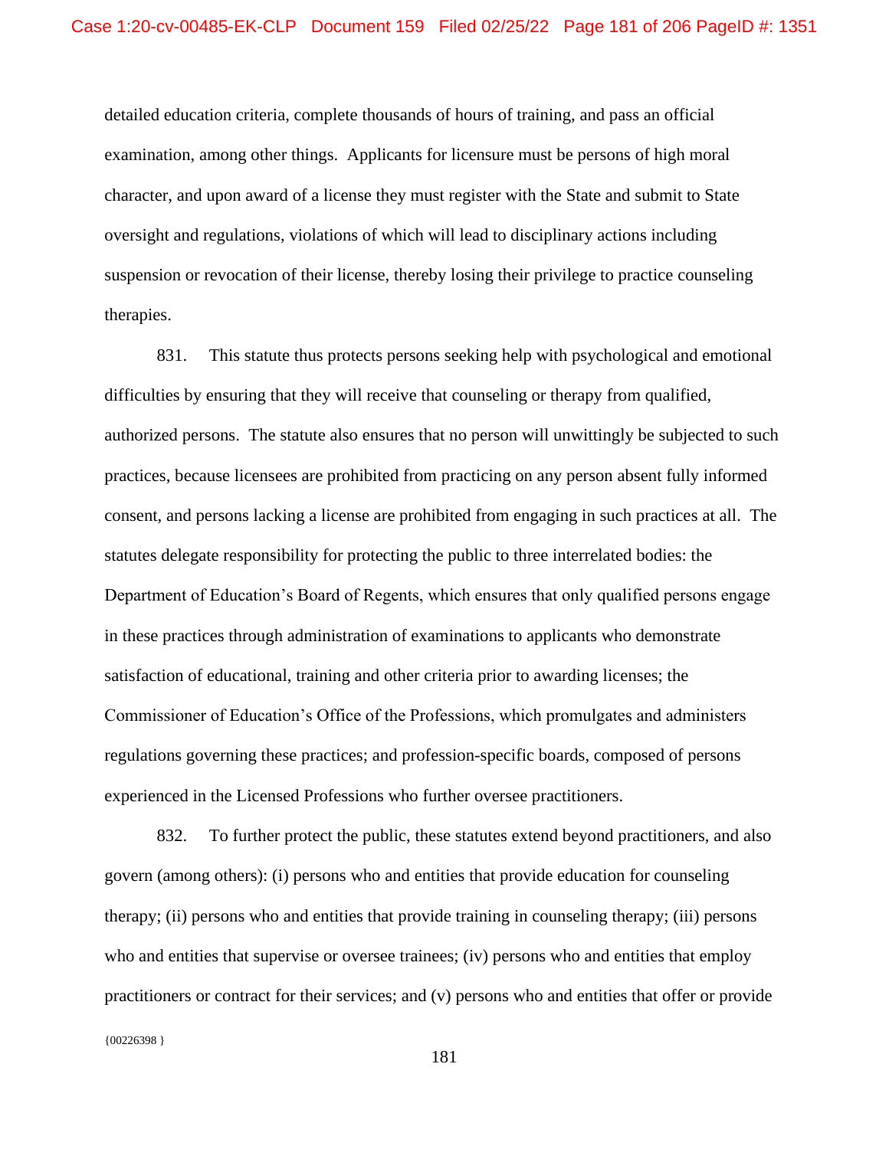detailed education criteria, complete thousands of hours of training, and pass an official examination, among other things. Applicants for licensure must be persons of high moral character, and upon award of a license they must register with the State and submit to State oversight and regulations, violations of which will lead to disciplinary actions including suspension or revocation of their license, thereby losing their privilege to practice counseling therapies.

831. This statute thus protects persons seeking help with psychological and emotional difficulties by ensuring that they will receive that counseling or therapy from qualified, authorized persons. The statute also ensures that no person will unwittingly be subjected to such practices, because licensees are prohibited from practicing on any person absent fully informed consent, and persons lacking a license are prohibited from engaging in such practices at all. The statutes delegate responsibility for protecting the public to three interrelated bodies: the Department of Education's Board of Regents, which ensures that only qualified persons engage in these practices through administration of examinations to applicants who demonstrate satisfaction of educational, training and other criteria prior to awarding licenses; the Commissioner of Education's Office of the Professions, which promulgates and administers regulations governing these practices; and profession-specific boards, composed of persons experienced in the Licensed Professions who further oversee practitioners.

{00226398 } 832. To further protect the public, these statutes extend beyond practitioners, and also govern (among others): (i) persons who and entities that provide education for counseling therapy; (ii) persons who and entities that provide training in counseling therapy; (iii) persons who and entities that supervise or oversee trainees; (iv) persons who and entities that employ practitioners or contract for their services; and (v) persons who and entities that offer or provide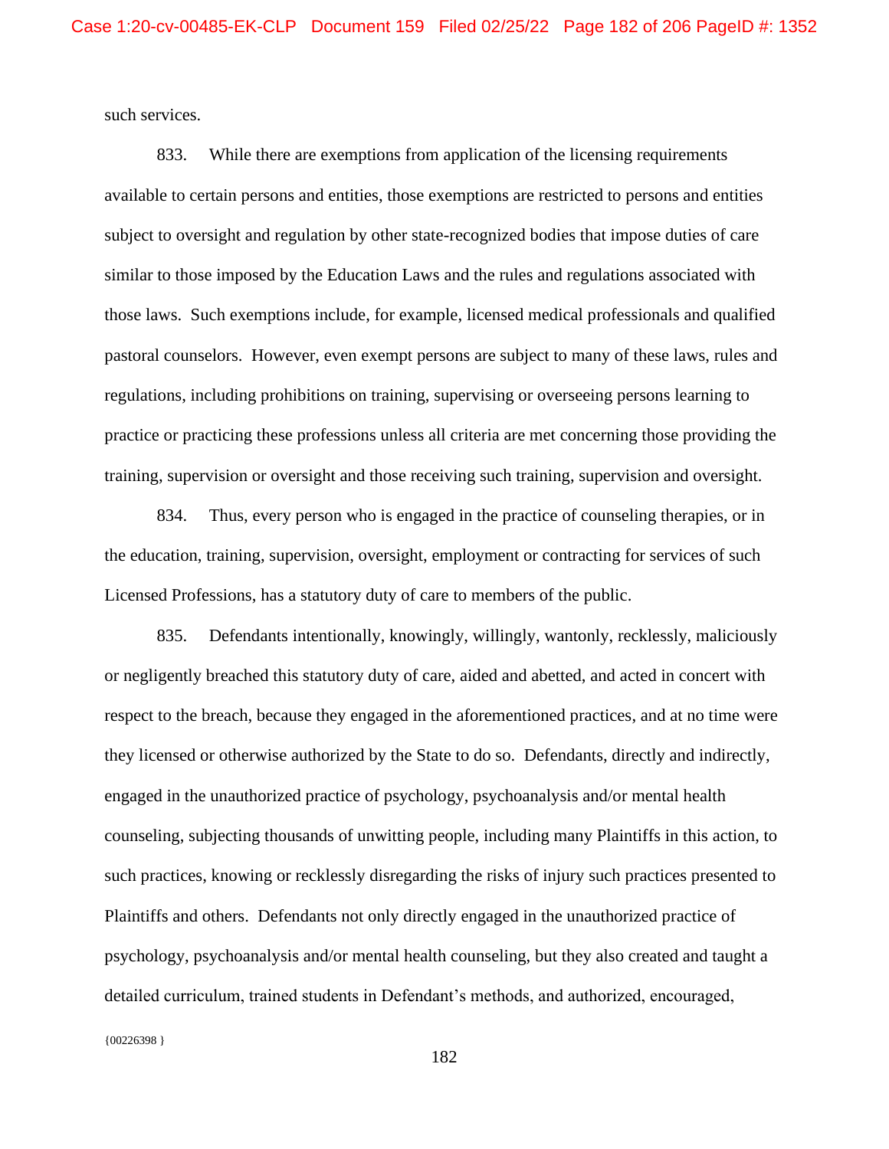such services.

833. While there are exemptions from application of the licensing requirements available to certain persons and entities, those exemptions are restricted to persons and entities subject to oversight and regulation by other state-recognized bodies that impose duties of care similar to those imposed by the Education Laws and the rules and regulations associated with those laws. Such exemptions include, for example, licensed medical professionals and qualified pastoral counselors. However, even exempt persons are subject to many of these laws, rules and regulations, including prohibitions on training, supervising or overseeing persons learning to practice or practicing these professions unless all criteria are met concerning those providing the training, supervision or oversight and those receiving such training, supervision and oversight.

834. Thus, every person who is engaged in the practice of counseling therapies, or in the education, training, supervision, oversight, employment or contracting for services of such Licensed Professions, has a statutory duty of care to members of the public.

835. Defendants intentionally, knowingly, willingly, wantonly, recklessly, maliciously or negligently breached this statutory duty of care, aided and abetted, and acted in concert with respect to the breach, because they engaged in the aforementioned practices, and at no time were they licensed or otherwise authorized by the State to do so. Defendants, directly and indirectly, engaged in the unauthorized practice of psychology, psychoanalysis and/or mental health counseling, subjecting thousands of unwitting people, including many Plaintiffs in this action, to such practices, knowing or recklessly disregarding the risks of injury such practices presented to Plaintiffs and others. Defendants not only directly engaged in the unauthorized practice of psychology, psychoanalysis and/or mental health counseling, but they also created and taught a detailed curriculum, trained students in Defendant's methods, and authorized, encouraged,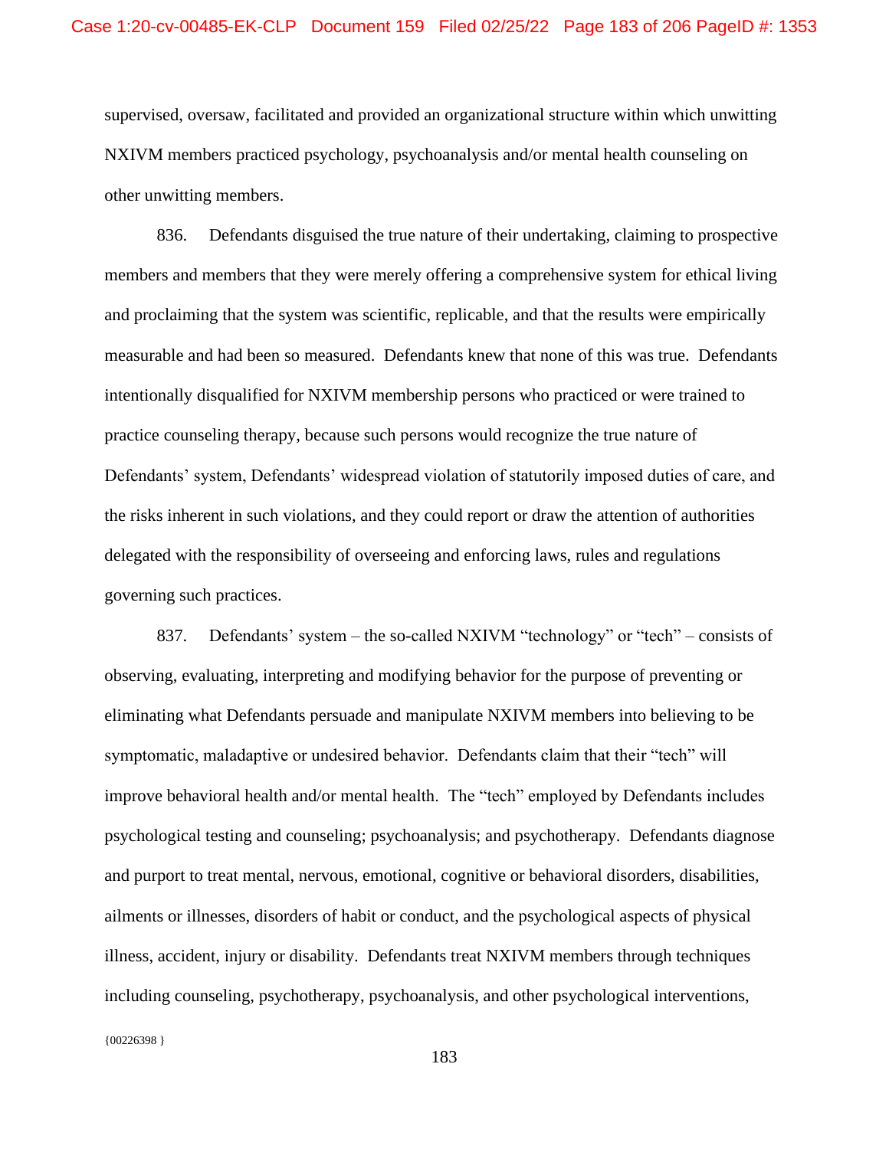supervised, oversaw, facilitated and provided an organizational structure within which unwitting NXIVM members practiced psychology, psychoanalysis and/or mental health counseling on other unwitting members.

836. Defendants disguised the true nature of their undertaking, claiming to prospective members and members that they were merely offering a comprehensive system for ethical living and proclaiming that the system was scientific, replicable, and that the results were empirically measurable and had been so measured. Defendants knew that none of this was true. Defendants intentionally disqualified for NXIVM membership persons who practiced or were trained to practice counseling therapy, because such persons would recognize the true nature of Defendants' system, Defendants' widespread violation of statutorily imposed duties of care, and the risks inherent in such violations, and they could report or draw the attention of authorities delegated with the responsibility of overseeing and enforcing laws, rules and regulations governing such practices.

837. Defendants' system – the so-called NXIVM "technology" or "tech" – consists of observing, evaluating, interpreting and modifying behavior for the purpose of preventing or eliminating what Defendants persuade and manipulate NXIVM members into believing to be symptomatic, maladaptive or undesired behavior. Defendants claim that their "tech" will improve behavioral health and/or mental health. The "tech" employed by Defendants includes psychological testing and counseling; psychoanalysis; and psychotherapy. Defendants diagnose and purport to treat mental, nervous, emotional, cognitive or behavioral disorders, disabilities, ailments or illnesses, disorders of habit or conduct, and the psychological aspects of physical illness, accident, injury or disability. Defendants treat NXIVM members through techniques including counseling, psychotherapy, psychoanalysis, and other psychological interventions,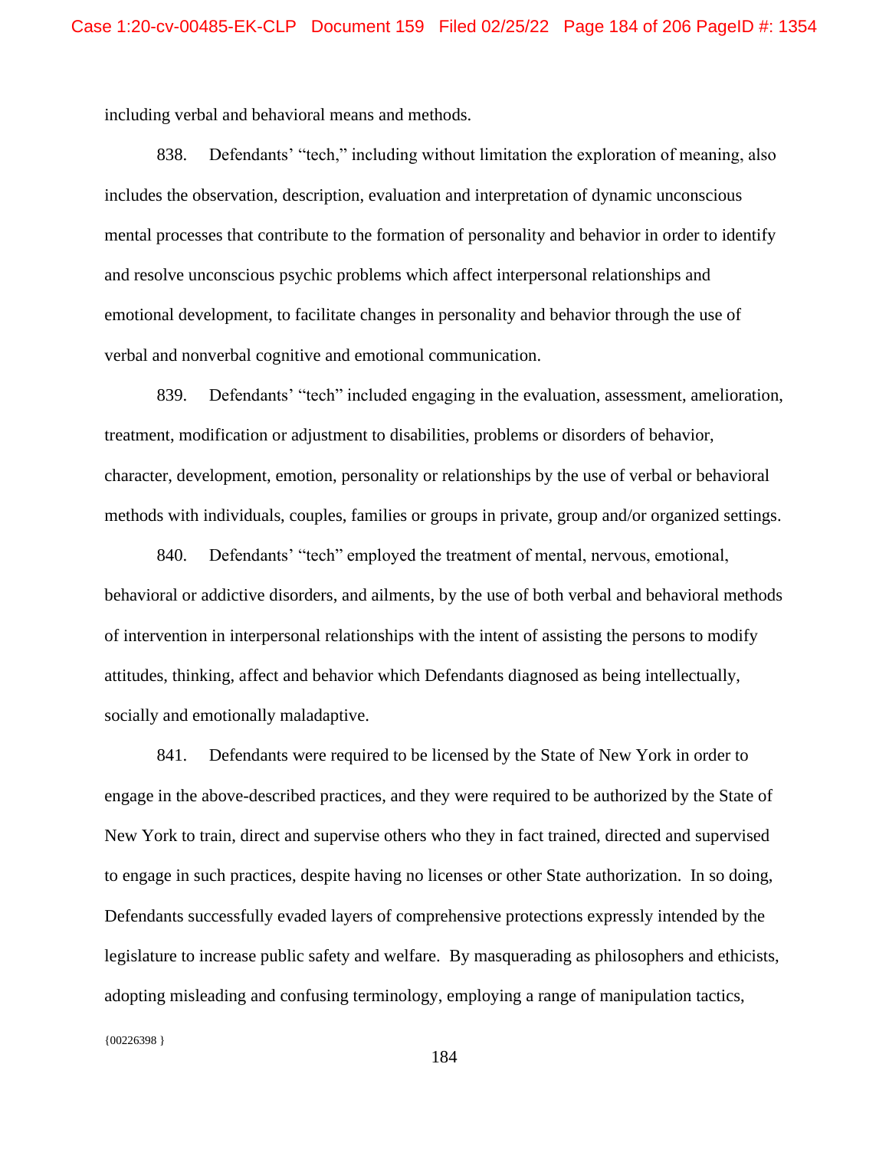including verbal and behavioral means and methods.

838. Defendants' "tech," including without limitation the exploration of meaning, also includes the observation, description, evaluation and interpretation of dynamic unconscious mental processes that contribute to the formation of personality and behavior in order to identify and resolve unconscious psychic problems which affect interpersonal relationships and emotional development, to facilitate changes in personality and behavior through the use of verbal and nonverbal cognitive and emotional communication.

839. Defendants' "tech" included engaging in the evaluation, assessment, amelioration, treatment, modification or adjustment to disabilities, problems or disorders of behavior, character, development, emotion, personality or relationships by the use of verbal or behavioral methods with individuals, couples, families or groups in private, group and/or organized settings.

840. Defendants' "tech" employed the treatment of mental, nervous, emotional, behavioral or addictive disorders, and ailments, by the use of both verbal and behavioral methods of intervention in interpersonal relationships with the intent of assisting the persons to modify attitudes, thinking, affect and behavior which Defendants diagnosed as being intellectually, socially and emotionally maladaptive.

841. Defendants were required to be licensed by the State of New York in order to engage in the above-described practices, and they were required to be authorized by the State of New York to train, direct and supervise others who they in fact trained, directed and supervised to engage in such practices, despite having no licenses or other State authorization. In so doing, Defendants successfully evaded layers of comprehensive protections expressly intended by the legislature to increase public safety and welfare. By masquerading as philosophers and ethicists, adopting misleading and confusing terminology, employing a range of manipulation tactics,

{00226398 }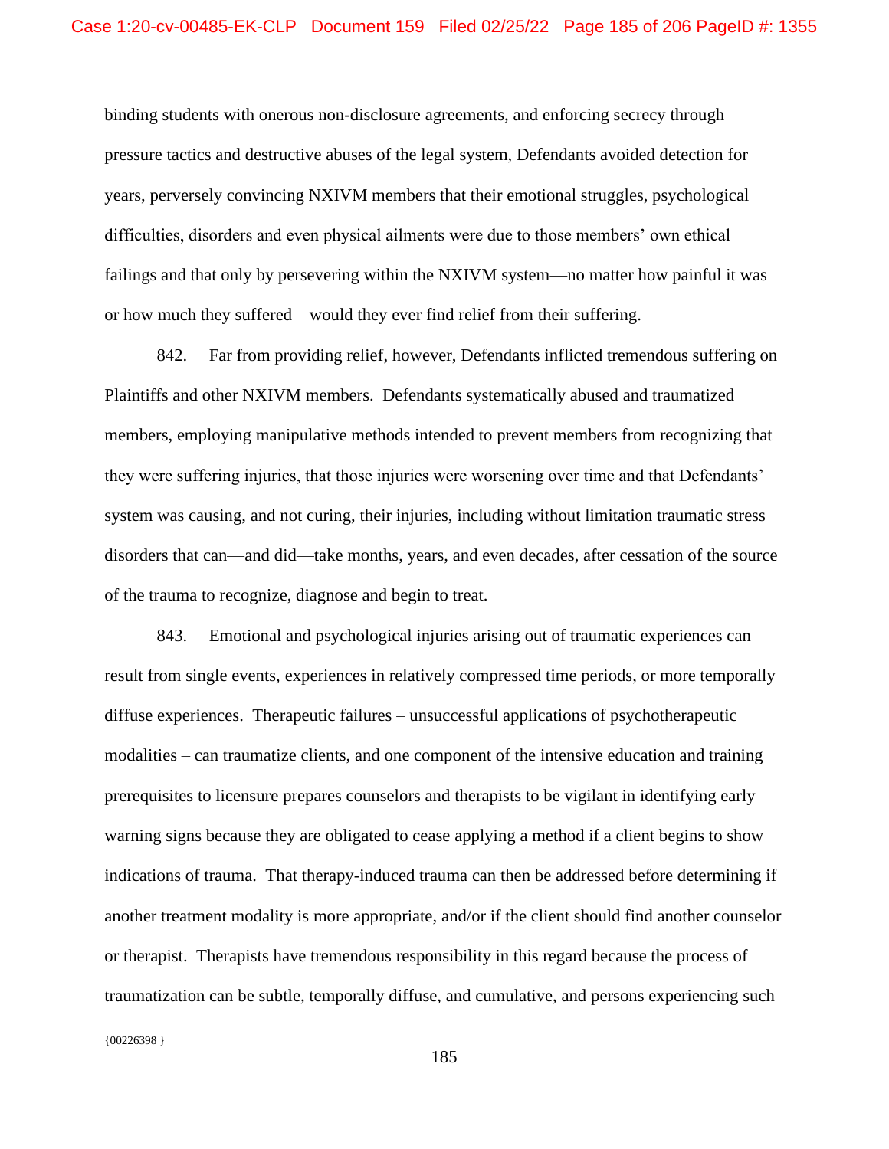binding students with onerous non-disclosure agreements, and enforcing secrecy through pressure tactics and destructive abuses of the legal system, Defendants avoided detection for years, perversely convincing NXIVM members that their emotional struggles, psychological difficulties, disorders and even physical ailments were due to those members' own ethical failings and that only by persevering within the NXIVM system—no matter how painful it was or how much they suffered—would they ever find relief from their suffering.

842. Far from providing relief, however, Defendants inflicted tremendous suffering on Plaintiffs and other NXIVM members. Defendants systematically abused and traumatized members, employing manipulative methods intended to prevent members from recognizing that they were suffering injuries, that those injuries were worsening over time and that Defendants' system was causing, and not curing, their injuries, including without limitation traumatic stress disorders that can—and did—take months, years, and even decades, after cessation of the source of the trauma to recognize, diagnose and begin to treat.

843. Emotional and psychological injuries arising out of traumatic experiences can result from single events, experiences in relatively compressed time periods, or more temporally diffuse experiences. Therapeutic failures – unsuccessful applications of psychotherapeutic modalities – can traumatize clients, and one component of the intensive education and training prerequisites to licensure prepares counselors and therapists to be vigilant in identifying early warning signs because they are obligated to cease applying a method if a client begins to show indications of trauma. That therapy-induced trauma can then be addressed before determining if another treatment modality is more appropriate, and/or if the client should find another counselor or therapist. Therapists have tremendous responsibility in this regard because the process of traumatization can be subtle, temporally diffuse, and cumulative, and persons experiencing such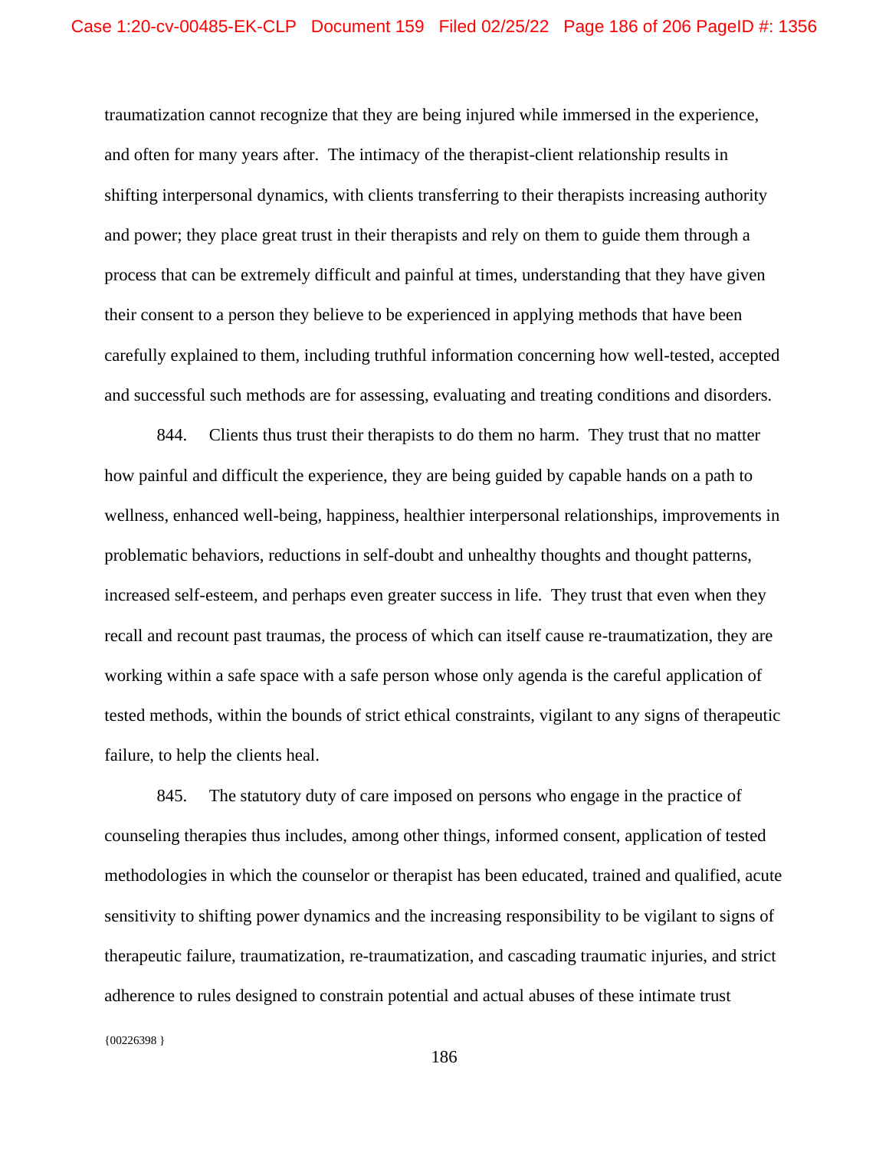traumatization cannot recognize that they are being injured while immersed in the experience, and often for many years after. The intimacy of the therapist-client relationship results in shifting interpersonal dynamics, with clients transferring to their therapists increasing authority and power; they place great trust in their therapists and rely on them to guide them through a process that can be extremely difficult and painful at times, understanding that they have given their consent to a person they believe to be experienced in applying methods that have been carefully explained to them, including truthful information concerning how well-tested, accepted and successful such methods are for assessing, evaluating and treating conditions and disorders.

844. Clients thus trust their therapists to do them no harm. They trust that no matter how painful and difficult the experience, they are being guided by capable hands on a path to wellness, enhanced well-being, happiness, healthier interpersonal relationships, improvements in problematic behaviors, reductions in self-doubt and unhealthy thoughts and thought patterns, increased self-esteem, and perhaps even greater success in life. They trust that even when they recall and recount past traumas, the process of which can itself cause re-traumatization, they are working within a safe space with a safe person whose only agenda is the careful application of tested methods, within the bounds of strict ethical constraints, vigilant to any signs of therapeutic failure, to help the clients heal.

845. The statutory duty of care imposed on persons who engage in the practice of counseling therapies thus includes, among other things, informed consent, application of tested methodologies in which the counselor or therapist has been educated, trained and qualified, acute sensitivity to shifting power dynamics and the increasing responsibility to be vigilant to signs of therapeutic failure, traumatization, re-traumatization, and cascading traumatic injuries, and strict adherence to rules designed to constrain potential and actual abuses of these intimate trust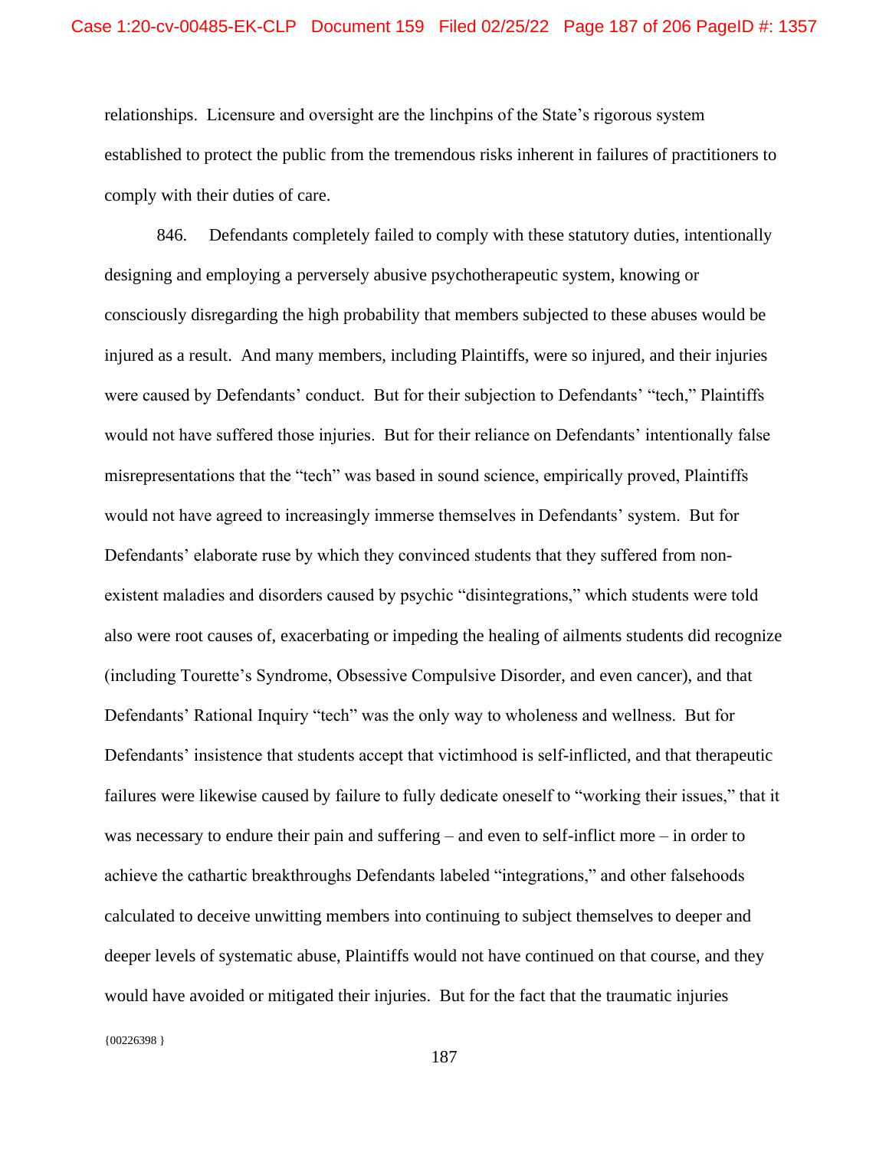relationships. Licensure and oversight are the linchpins of the State's rigorous system established to protect the public from the tremendous risks inherent in failures of practitioners to comply with their duties of care.

846. Defendants completely failed to comply with these statutory duties, intentionally designing and employing a perversely abusive psychotherapeutic system, knowing or consciously disregarding the high probability that members subjected to these abuses would be injured as a result. And many members, including Plaintiffs, were so injured, and their injuries were caused by Defendants' conduct. But for their subjection to Defendants' "tech," Plaintiffs would not have suffered those injuries. But for their reliance on Defendants' intentionally false misrepresentations that the "tech" was based in sound science, empirically proved, Plaintiffs would not have agreed to increasingly immerse themselves in Defendants' system. But for Defendants' elaborate ruse by which they convinced students that they suffered from nonexistent maladies and disorders caused by psychic "disintegrations," which students were told also were root causes of, exacerbating or impeding the healing of ailments students did recognize (including Tourette's Syndrome, Obsessive Compulsive Disorder, and even cancer), and that Defendants' Rational Inquiry "tech" was the only way to wholeness and wellness. But for Defendants' insistence that students accept that victimhood is self-inflicted, and that therapeutic failures were likewise caused by failure to fully dedicate oneself to "working their issues," that it was necessary to endure their pain and suffering – and even to self-inflict more – in order to achieve the cathartic breakthroughs Defendants labeled "integrations," and other falsehoods calculated to deceive unwitting members into continuing to subject themselves to deeper and deeper levels of systematic abuse, Plaintiffs would not have continued on that course, and they would have avoided or mitigated their injuries. But for the fact that the traumatic injuries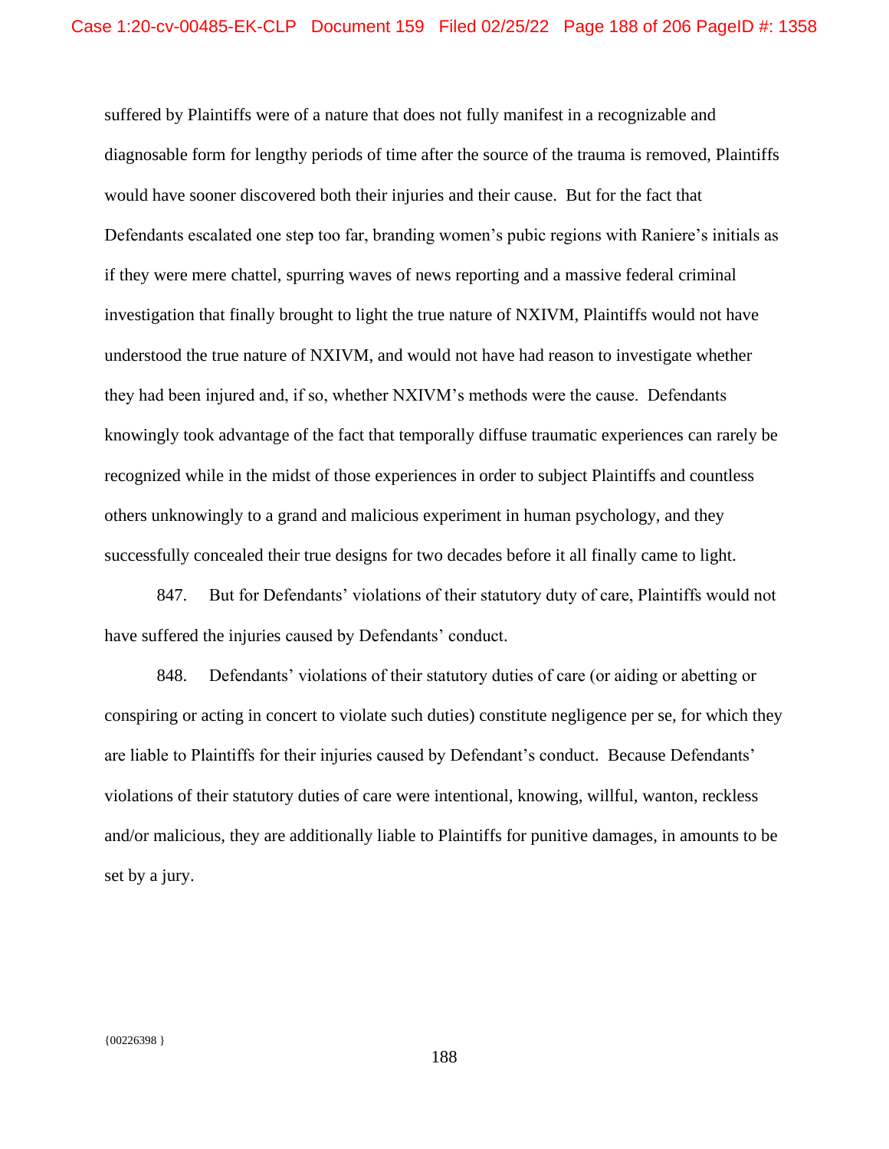suffered by Plaintiffs were of a nature that does not fully manifest in a recognizable and diagnosable form for lengthy periods of time after the source of the trauma is removed, Plaintiffs would have sooner discovered both their injuries and their cause. But for the fact that Defendants escalated one step too far, branding women's pubic regions with Raniere's initials as if they were mere chattel, spurring waves of news reporting and a massive federal criminal investigation that finally brought to light the true nature of NXIVM, Plaintiffs would not have understood the true nature of NXIVM, and would not have had reason to investigate whether they had been injured and, if so, whether NXIVM's methods were the cause. Defendants knowingly took advantage of the fact that temporally diffuse traumatic experiences can rarely be recognized while in the midst of those experiences in order to subject Plaintiffs and countless others unknowingly to a grand and malicious experiment in human psychology, and they successfully concealed their true designs for two decades before it all finally came to light.

847. But for Defendants' violations of their statutory duty of care, Plaintiffs would not have suffered the injuries caused by Defendants' conduct.

848. Defendants' violations of their statutory duties of care (or aiding or abetting or conspiring or acting in concert to violate such duties) constitute negligence per se, for which they are liable to Plaintiffs for their injuries caused by Defendant's conduct. Because Defendants' violations of their statutory duties of care were intentional, knowing, willful, wanton, reckless and/or malicious, they are additionally liable to Plaintiffs for punitive damages, in amounts to be set by a jury.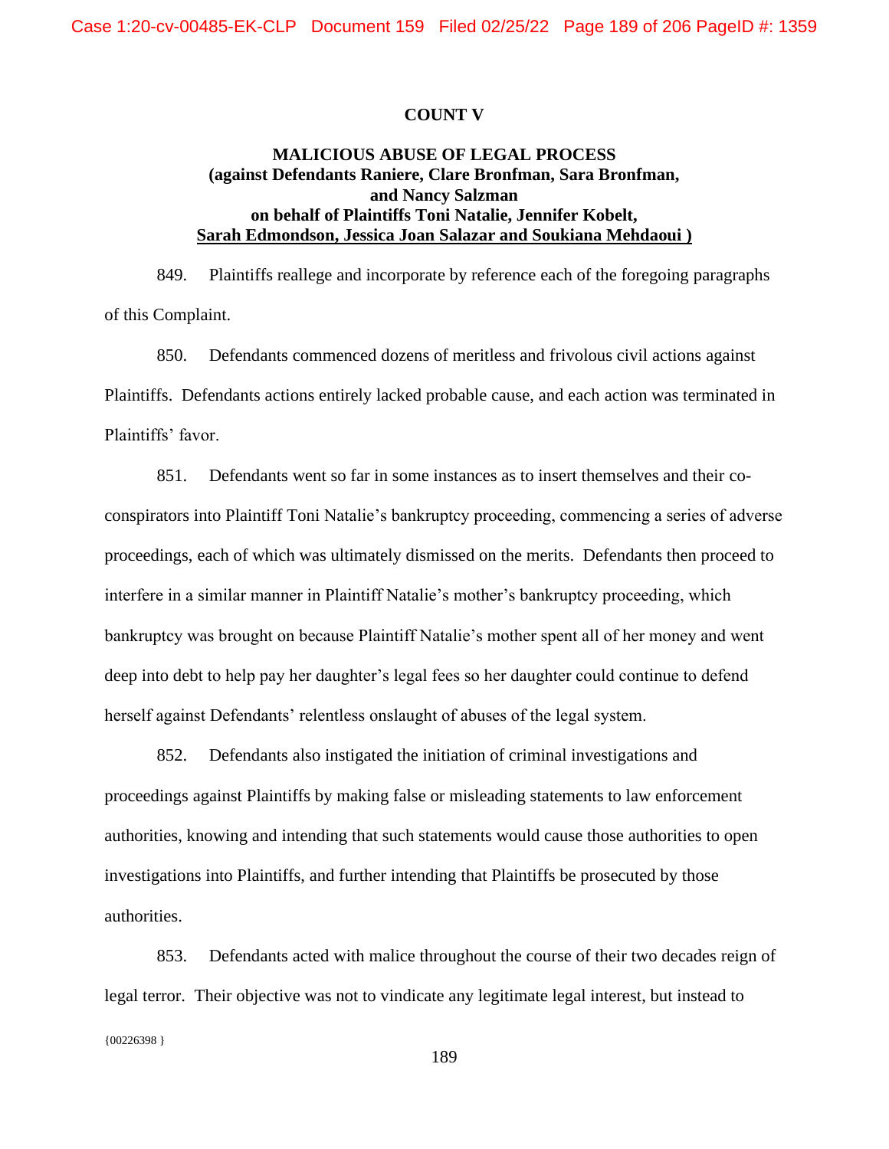### **COUNT V**

## **MALICIOUS ABUSE OF LEGAL PROCESS (against Defendants Raniere, Clare Bronfman, Sara Bronfman, and Nancy Salzman on behalf of Plaintiffs Toni Natalie, Jennifer Kobelt, Sarah Edmondson, Jessica Joan Salazar and Soukiana Mehdaoui )**

849. Plaintiffs reallege and incorporate by reference each of the foregoing paragraphs of this Complaint.

850. Defendants commenced dozens of meritless and frivolous civil actions against Plaintiffs. Defendants actions entirely lacked probable cause, and each action was terminated in Plaintiffs' favor.

851. Defendants went so far in some instances as to insert themselves and their coconspirators into Plaintiff Toni Natalie's bankruptcy proceeding, commencing a series of adverse proceedings, each of which was ultimately dismissed on the merits. Defendants then proceed to interfere in a similar manner in Plaintiff Natalie's mother's bankruptcy proceeding, which bankruptcy was brought on because Plaintiff Natalie's mother spent all of her money and went deep into debt to help pay her daughter's legal fees so her daughter could continue to defend herself against Defendants' relentless onslaught of abuses of the legal system.

852. Defendants also instigated the initiation of criminal investigations and proceedings against Plaintiffs by making false or misleading statements to law enforcement authorities, knowing and intending that such statements would cause those authorities to open investigations into Plaintiffs, and further intending that Plaintiffs be prosecuted by those authorities.

 ${00226398}$ 853. Defendants acted with malice throughout the course of their two decades reign of legal terror. Their objective was not to vindicate any legitimate legal interest, but instead to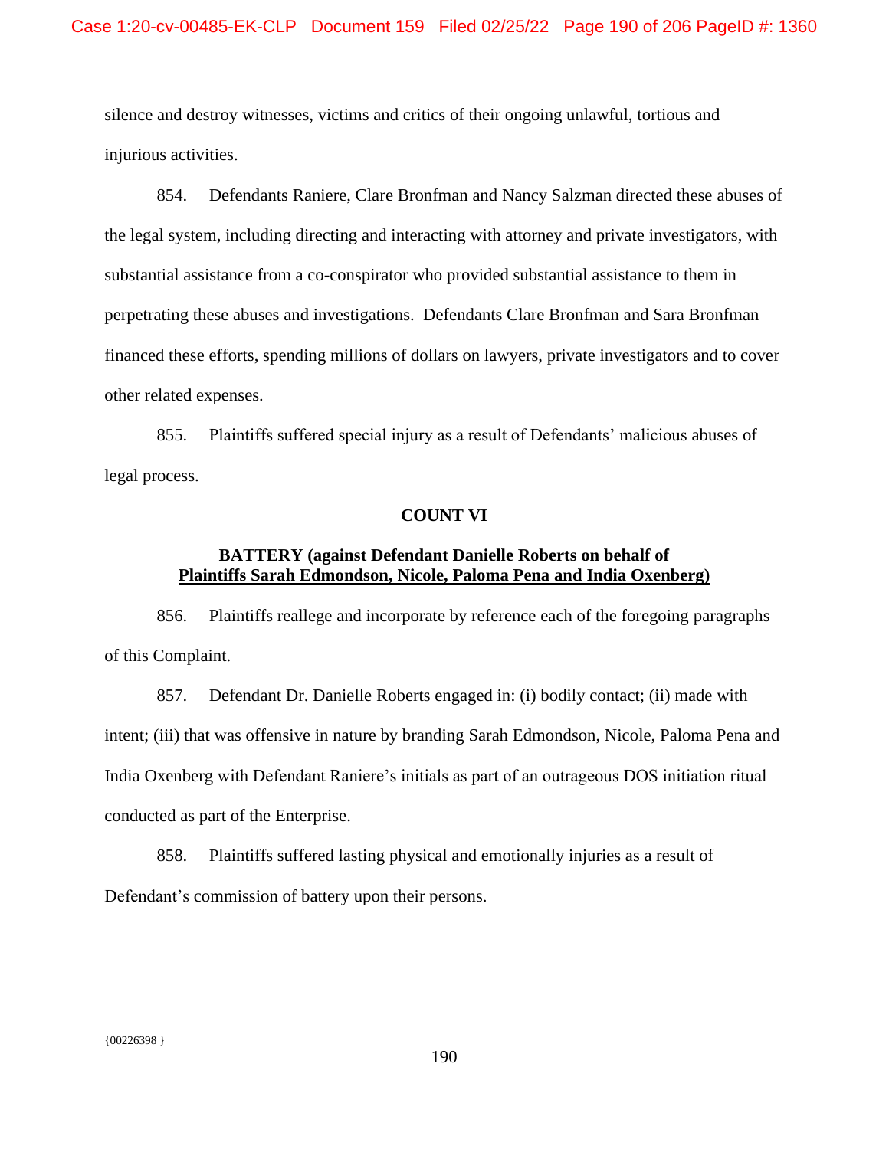silence and destroy witnesses, victims and critics of their ongoing unlawful, tortious and injurious activities.

854. Defendants Raniere, Clare Bronfman and Nancy Salzman directed these abuses of the legal system, including directing and interacting with attorney and private investigators, with substantial assistance from a co-conspirator who provided substantial assistance to them in perpetrating these abuses and investigations. Defendants Clare Bronfman and Sara Bronfman financed these efforts, spending millions of dollars on lawyers, private investigators and to cover other related expenses.

855. Plaintiffs suffered special injury as a result of Defendants' malicious abuses of legal process.

### **COUNT VI**

## **BATTERY (against Defendant Danielle Roberts on behalf of Plaintiffs Sarah Edmondson, Nicole, Paloma Pena and India Oxenberg)**

856. Plaintiffs reallege and incorporate by reference each of the foregoing paragraphs of this Complaint.

857. Defendant Dr. Danielle Roberts engaged in: (i) bodily contact; (ii) made with intent; (iii) that was offensive in nature by branding Sarah Edmondson, Nicole, Paloma Pena and India Oxenberg with Defendant Raniere's initials as part of an outrageous DOS initiation ritual conducted as part of the Enterprise.

858. Plaintiffs suffered lasting physical and emotionally injuries as a result of Defendant's commission of battery upon their persons.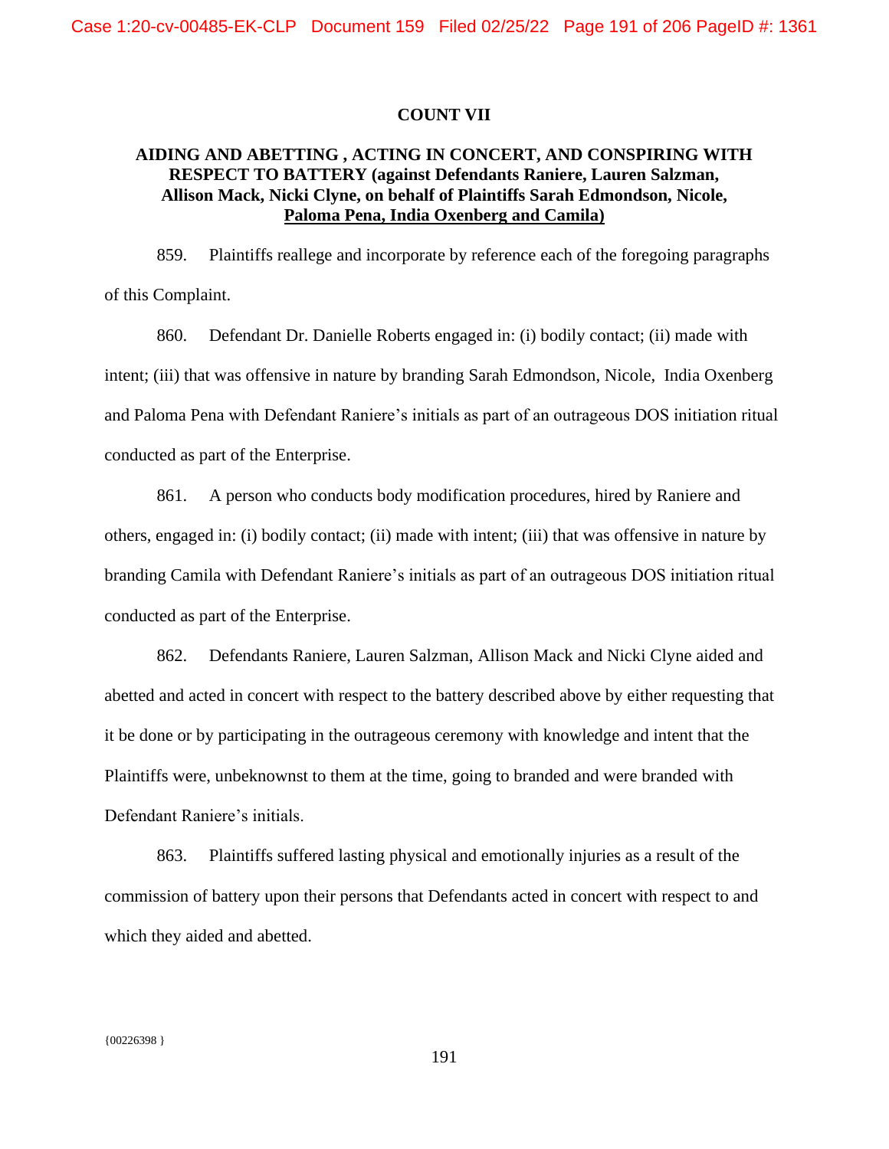### **COUNT VII**

# **AIDING AND ABETTING , ACTING IN CONCERT, AND CONSPIRING WITH RESPECT TO BATTERY (against Defendants Raniere, Lauren Salzman, Allison Mack, Nicki Clyne, on behalf of Plaintiffs Sarah Edmondson, Nicole, Paloma Pena, India Oxenberg and Camila)**

859. Plaintiffs reallege and incorporate by reference each of the foregoing paragraphs of this Complaint.

860. Defendant Dr. Danielle Roberts engaged in: (i) bodily contact; (ii) made with intent; (iii) that was offensive in nature by branding Sarah Edmondson, Nicole, India Oxenberg and Paloma Pena with Defendant Raniere's initials as part of an outrageous DOS initiation ritual conducted as part of the Enterprise.

861. A person who conducts body modification procedures, hired by Raniere and others, engaged in: (i) bodily contact; (ii) made with intent; (iii) that was offensive in nature by branding Camila with Defendant Raniere's initials as part of an outrageous DOS initiation ritual conducted as part of the Enterprise.

862. Defendants Raniere, Lauren Salzman, Allison Mack and Nicki Clyne aided and abetted and acted in concert with respect to the battery described above by either requesting that it be done or by participating in the outrageous ceremony with knowledge and intent that the Plaintiffs were, unbeknownst to them at the time, going to branded and were branded with Defendant Raniere's initials.

863. Plaintiffs suffered lasting physical and emotionally injuries as a result of the commission of battery upon their persons that Defendants acted in concert with respect to and which they aided and abetted.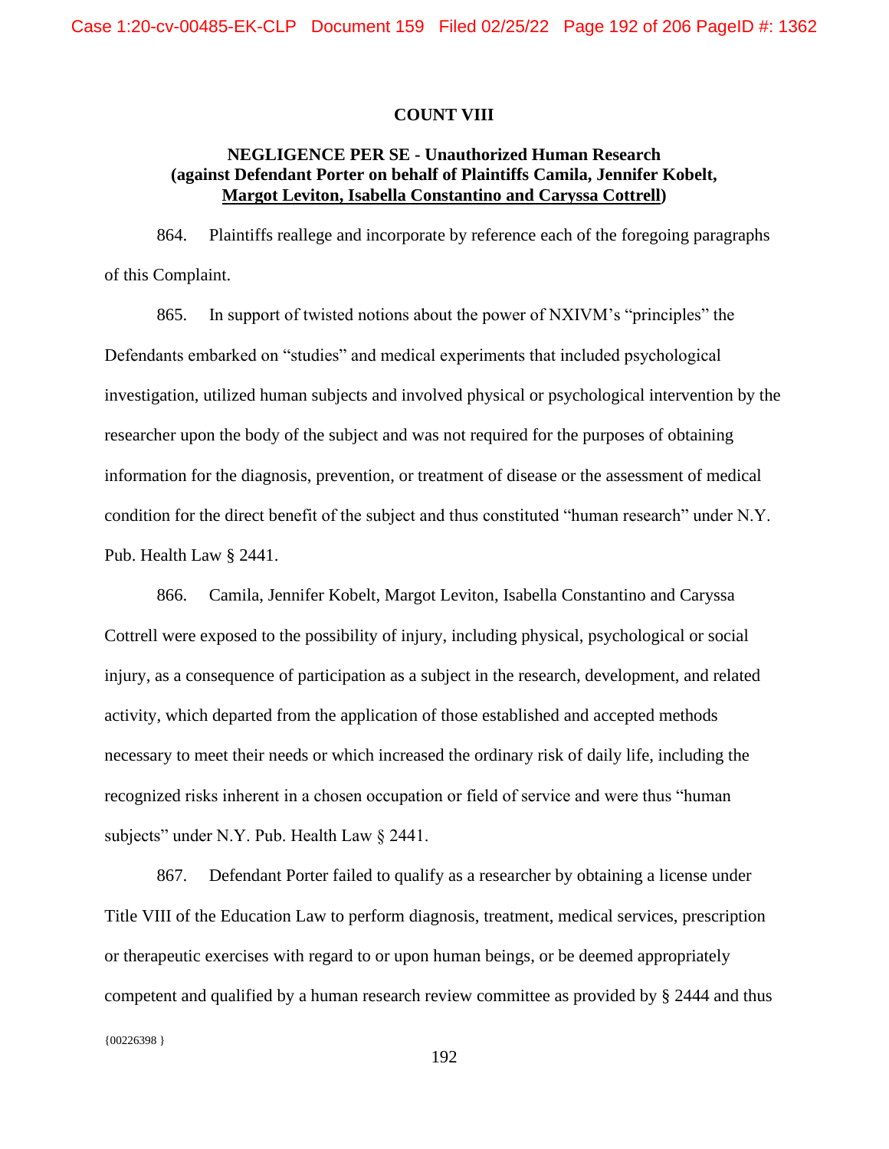### **COUNT VIII**

## **NEGLIGENCE PER SE - Unauthorized Human Research (against Defendant Porter on behalf of Plaintiffs Camila, Jennifer Kobelt, Margot Leviton, Isabella Constantino and Caryssa Cottrell)**

864. Plaintiffs reallege and incorporate by reference each of the foregoing paragraphs of this Complaint.

865. In support of twisted notions about the power of NXIVM's "principles" the Defendants embarked on "studies" and medical experiments that included psychological investigation, utilized human subjects and involved physical or psychological intervention by the researcher upon the body of the subject and was not required for the purposes of obtaining information for the diagnosis, prevention, or treatment of disease or the assessment of medical condition for the direct benefit of the subject and thus constituted "human research" under N.Y. Pub. Health Law § 2441.

866. Camila, Jennifer Kobelt, Margot Leviton, Isabella Constantino and Caryssa Cottrell were exposed to the possibility of injury, including physical, psychological or social injury, as a consequence of participation as a subject in the research, development, and related activity, which departed from the application of those established and accepted methods necessary to meet their needs or which increased the ordinary risk of daily life, including the recognized risks inherent in a chosen occupation or field of service and were thus "human subjects" under N.Y. Pub. Health Law § 2441.

 ${00226398}$ 867. Defendant Porter failed to qualify as a researcher by obtaining a license under Title VIII of the Education Law to perform diagnosis, treatment, medical services, prescription or therapeutic exercises with regard to or upon human beings, or be deemed appropriately competent and qualified by a human research review committee as provided by § 2444 and thus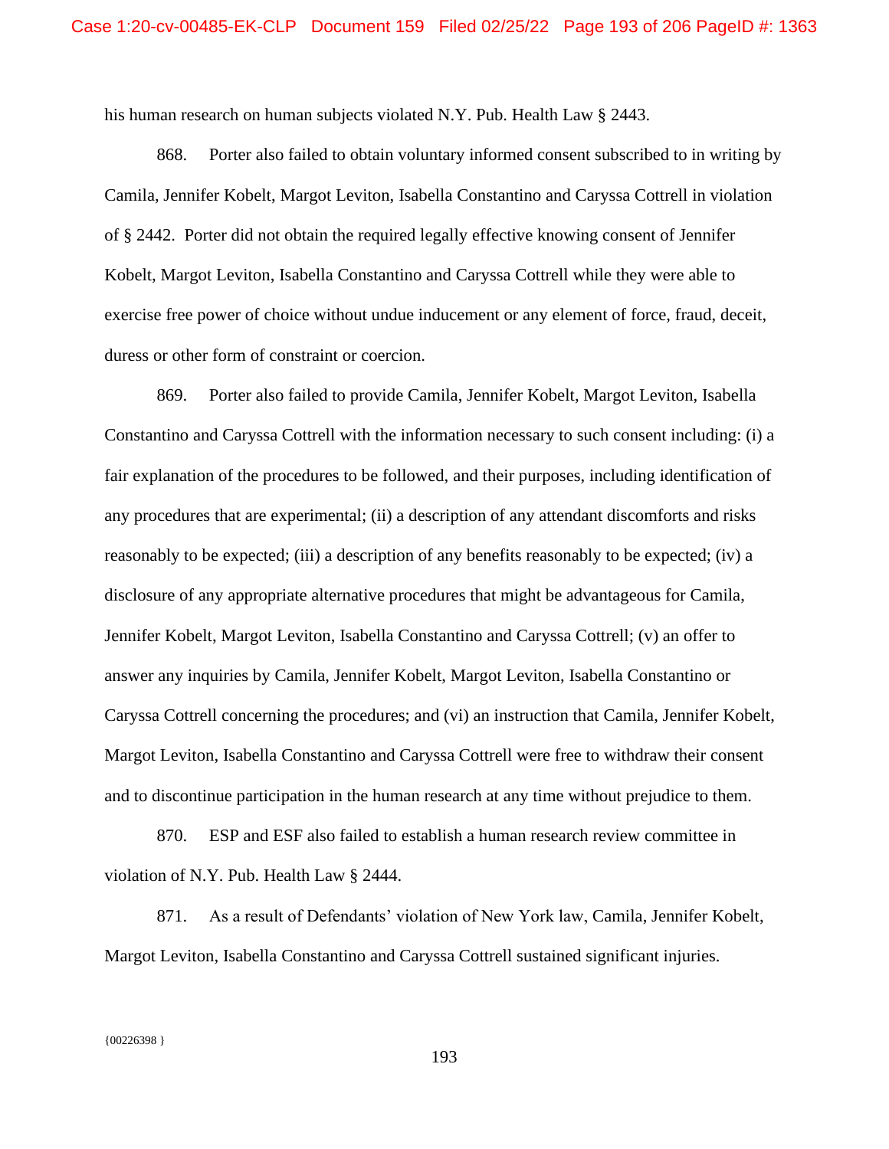his human research on human subjects violated N.Y. Pub. Health Law § 2443.

868. Porter also failed to obtain voluntary informed consent subscribed to in writing by Camila, Jennifer Kobelt, Margot Leviton, Isabella Constantino and Caryssa Cottrell in violation of § 2442. Porter did not obtain the required legally effective knowing consent of Jennifer Kobelt, Margot Leviton, Isabella Constantino and Caryssa Cottrell while they were able to exercise free power of choice without undue inducement or any element of force, fraud, deceit, duress or other form of constraint or coercion.

869. Porter also failed to provide Camila, Jennifer Kobelt, Margot Leviton, Isabella Constantino and Caryssa Cottrell with the information necessary to such consent including: (i) a fair explanation of the procedures to be followed, and their purposes, including identification of any procedures that are experimental; (ii) a description of any attendant discomforts and risks reasonably to be expected; (iii) a description of any benefits reasonably to be expected; (iv) a disclosure of any appropriate alternative procedures that might be advantageous for Camila, Jennifer Kobelt, Margot Leviton, Isabella Constantino and Caryssa Cottrell; (v) an offer to answer any inquiries by Camila, Jennifer Kobelt, Margot Leviton, Isabella Constantino or Caryssa Cottrell concerning the procedures; and (vi) an instruction that Camila, Jennifer Kobelt, Margot Leviton, Isabella Constantino and Caryssa Cottrell were free to withdraw their consent and to discontinue participation in the human research at any time without prejudice to them.

870. ESP and ESF also failed to establish a human research review committee in violation of N.Y. Pub. Health Law § 2444.

871. As a result of Defendants' violation of New York law, Camila, Jennifer Kobelt, Margot Leviton, Isabella Constantino and Caryssa Cottrell sustained significant injuries.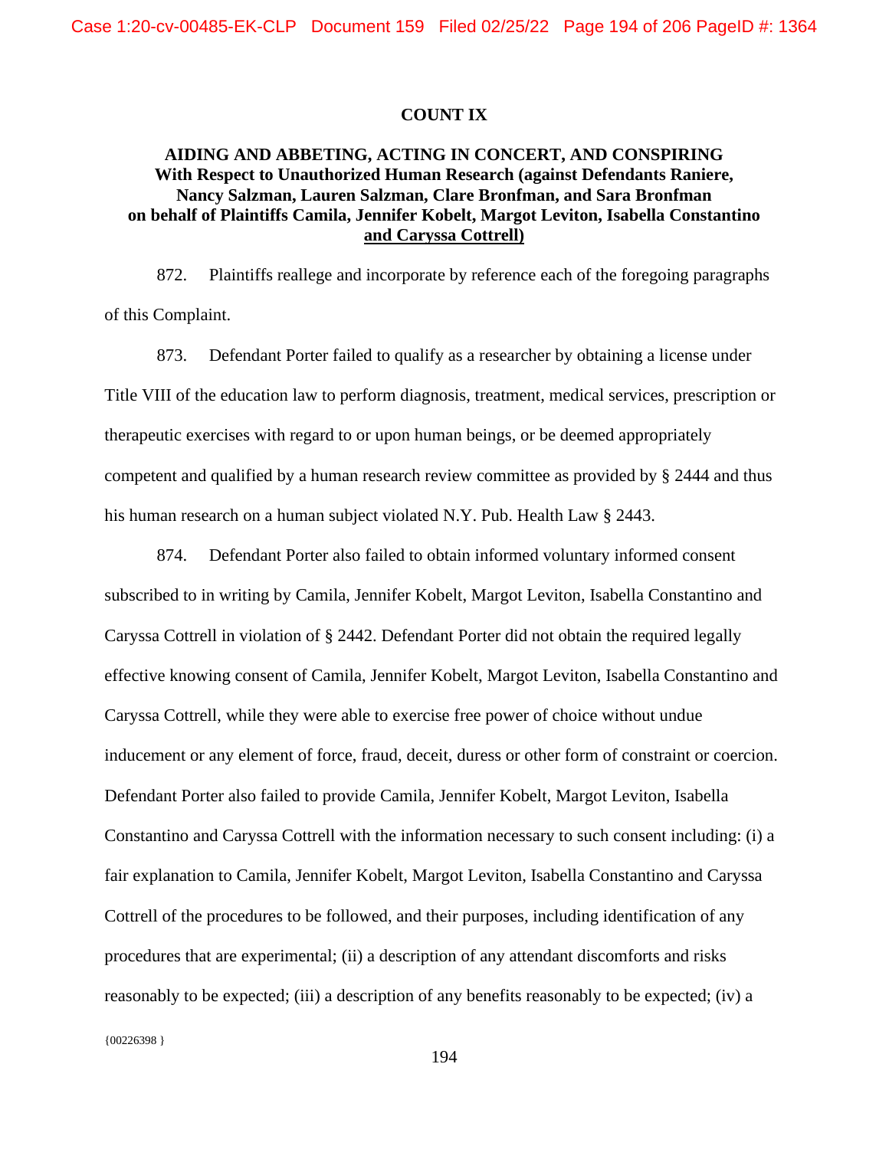### **COUNT IX**

# **AIDING AND ABBETING, ACTING IN CONCERT, AND CONSPIRING With Respect to Unauthorized Human Research (against Defendants Raniere, Nancy Salzman, Lauren Salzman, Clare Bronfman, and Sara Bronfman on behalf of Plaintiffs Camila, Jennifer Kobelt, Margot Leviton, Isabella Constantino and Caryssa Cottrell)**

872. Plaintiffs reallege and incorporate by reference each of the foregoing paragraphs of this Complaint.

873. Defendant Porter failed to qualify as a researcher by obtaining a license under Title VIII of the education law to perform diagnosis, treatment, medical services, prescription or therapeutic exercises with regard to or upon human beings, or be deemed appropriately competent and qualified by a human research review committee as provided by § 2444 and thus his human research on a human subject violated N.Y. Pub. Health Law § 2443.

874. Defendant Porter also failed to obtain informed voluntary informed consent subscribed to in writing by Camila, Jennifer Kobelt, Margot Leviton, Isabella Constantino and Caryssa Cottrell in violation of § 2442. Defendant Porter did not obtain the required legally effective knowing consent of Camila, Jennifer Kobelt, Margot Leviton, Isabella Constantino and Caryssa Cottrell, while they were able to exercise free power of choice without undue inducement or any element of force, fraud, deceit, duress or other form of constraint or coercion. Defendant Porter also failed to provide Camila, Jennifer Kobelt, Margot Leviton, Isabella Constantino and Caryssa Cottrell with the information necessary to such consent including: (i) a fair explanation to Camila, Jennifer Kobelt, Margot Leviton, Isabella Constantino and Caryssa Cottrell of the procedures to be followed, and their purposes, including identification of any procedures that are experimental; (ii) a description of any attendant discomforts and risks reasonably to be expected; (iii) a description of any benefits reasonably to be expected; (iv) a

 ${00226398}$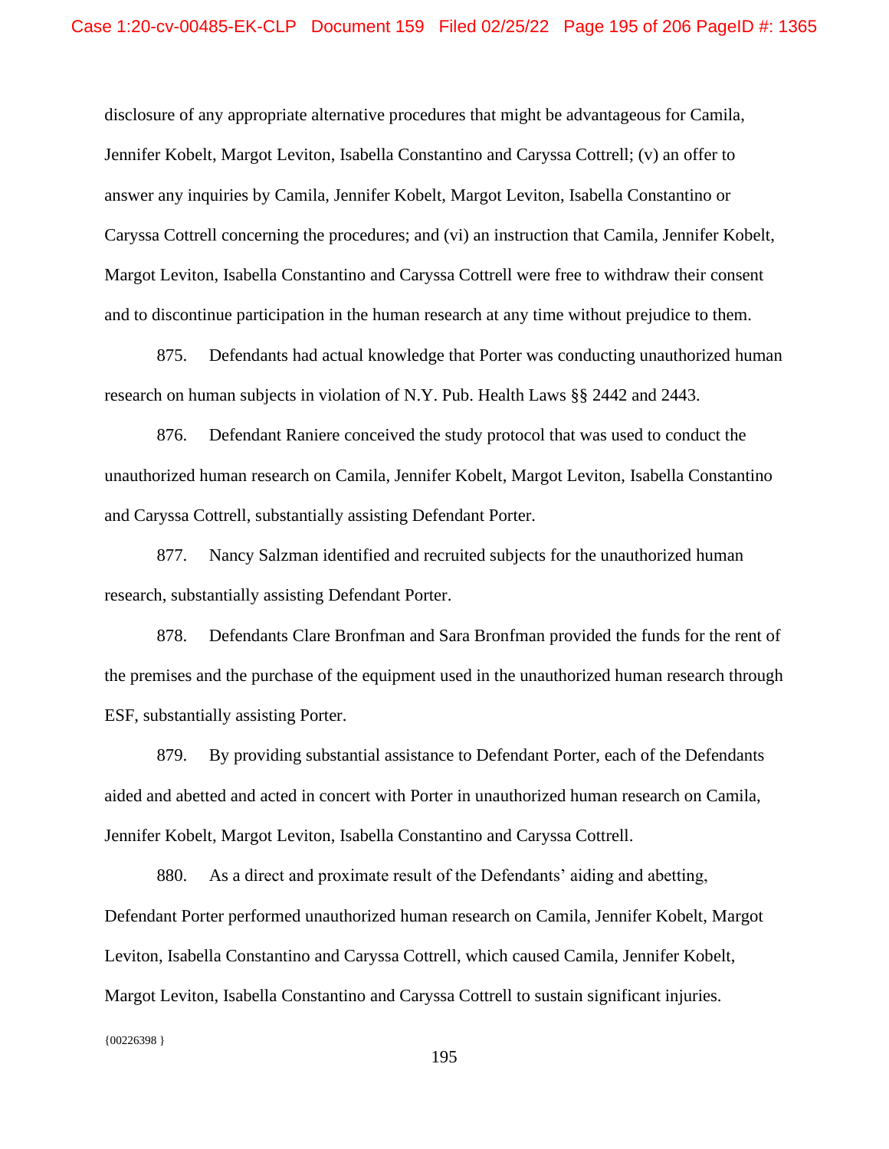disclosure of any appropriate alternative procedures that might be advantageous for Camila, Jennifer Kobelt, Margot Leviton, Isabella Constantino and Caryssa Cottrell; (v) an offer to answer any inquiries by Camila, Jennifer Kobelt, Margot Leviton, Isabella Constantino or Caryssa Cottrell concerning the procedures; and (vi) an instruction that Camila, Jennifer Kobelt, Margot Leviton, Isabella Constantino and Caryssa Cottrell were free to withdraw their consent and to discontinue participation in the human research at any time without prejudice to them.

875. Defendants had actual knowledge that Porter was conducting unauthorized human research on human subjects in violation of N.Y. Pub. Health Laws §§ 2442 and 2443.

876. Defendant Raniere conceived the study protocol that was used to conduct the unauthorized human research on Camila, Jennifer Kobelt, Margot Leviton, Isabella Constantino and Caryssa Cottrell, substantially assisting Defendant Porter.

877. Nancy Salzman identified and recruited subjects for the unauthorized human research, substantially assisting Defendant Porter.

878. Defendants Clare Bronfman and Sara Bronfman provided the funds for the rent of the premises and the purchase of the equipment used in the unauthorized human research through ESF, substantially assisting Porter.

879. By providing substantial assistance to Defendant Porter, each of the Defendants aided and abetted and acted in concert with Porter in unauthorized human research on Camila, Jennifer Kobelt, Margot Leviton, Isabella Constantino and Caryssa Cottrell.

880. As a direct and proximate result of the Defendants' aiding and abetting, Defendant Porter performed unauthorized human research on Camila, Jennifer Kobelt, Margot Leviton, Isabella Constantino and Caryssa Cottrell, which caused Camila, Jennifer Kobelt, Margot Leviton, Isabella Constantino and Caryssa Cottrell to sustain significant injuries.

{00226398 }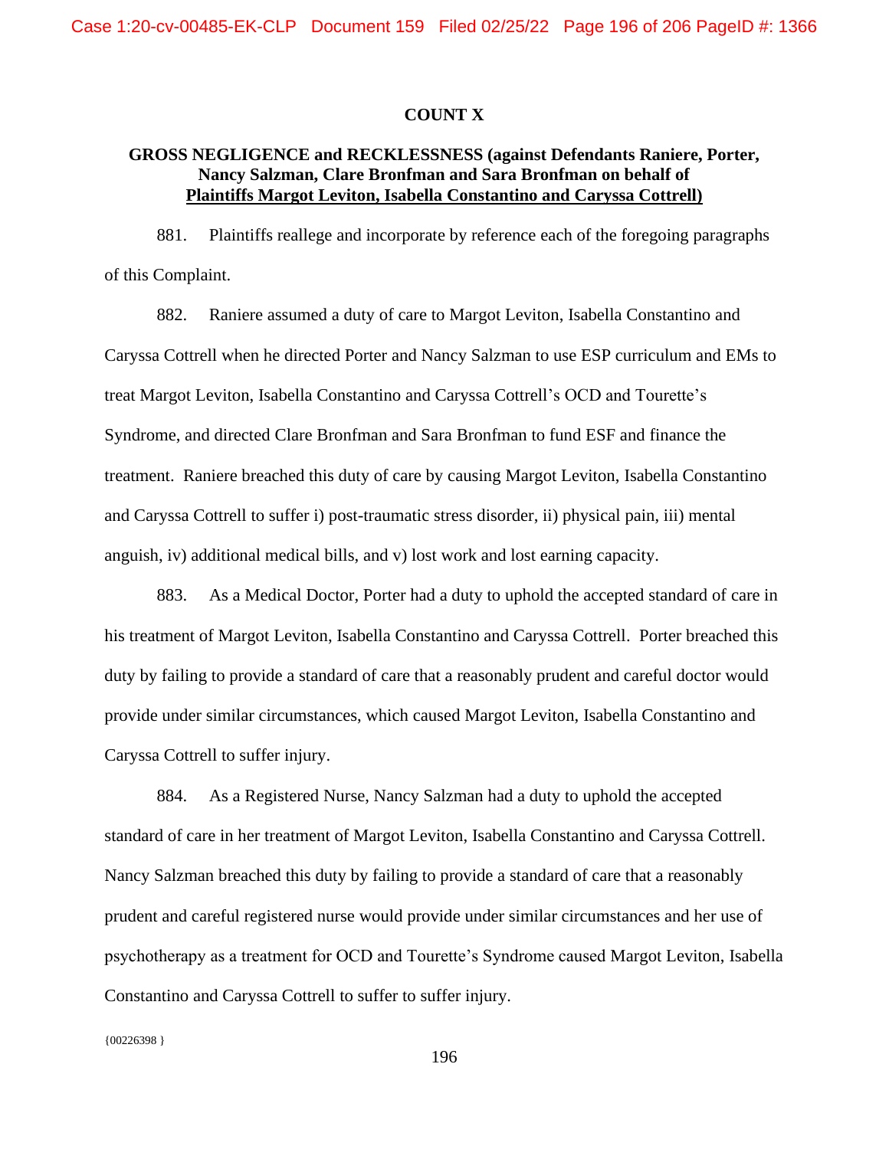### **COUNT X**

## **GROSS NEGLIGENCE and RECKLESSNESS (against Defendants Raniere, Porter, Nancy Salzman, Clare Bronfman and Sara Bronfman on behalf of Plaintiffs Margot Leviton, Isabella Constantino and Caryssa Cottrell)**

881. Plaintiffs reallege and incorporate by reference each of the foregoing paragraphs of this Complaint.

882. Raniere assumed a duty of care to Margot Leviton, Isabella Constantino and Caryssa Cottrell when he directed Porter and Nancy Salzman to use ESP curriculum and EMs to treat Margot Leviton, Isabella Constantino and Caryssa Cottrell's OCD and Tourette's Syndrome, and directed Clare Bronfman and Sara Bronfman to fund ESF and finance the treatment. Raniere breached this duty of care by causing Margot Leviton, Isabella Constantino and Caryssa Cottrell to suffer i) post-traumatic stress disorder, ii) physical pain, iii) mental anguish, iv) additional medical bills, and v) lost work and lost earning capacity.

883. As a Medical Doctor, Porter had a duty to uphold the accepted standard of care in his treatment of Margot Leviton, Isabella Constantino and Caryssa Cottrell. Porter breached this duty by failing to provide a standard of care that a reasonably prudent and careful doctor would provide under similar circumstances, which caused Margot Leviton, Isabella Constantino and Caryssa Cottrell to suffer injury.

884. As a Registered Nurse, Nancy Salzman had a duty to uphold the accepted standard of care in her treatment of Margot Leviton, Isabella Constantino and Caryssa Cottrell. Nancy Salzman breached this duty by failing to provide a standard of care that a reasonably prudent and careful registered nurse would provide under similar circumstances and her use of psychotherapy as a treatment for OCD and Tourette's Syndrome caused Margot Leviton, Isabella Constantino and Caryssa Cottrell to suffer to suffer injury.

 ${00226398}$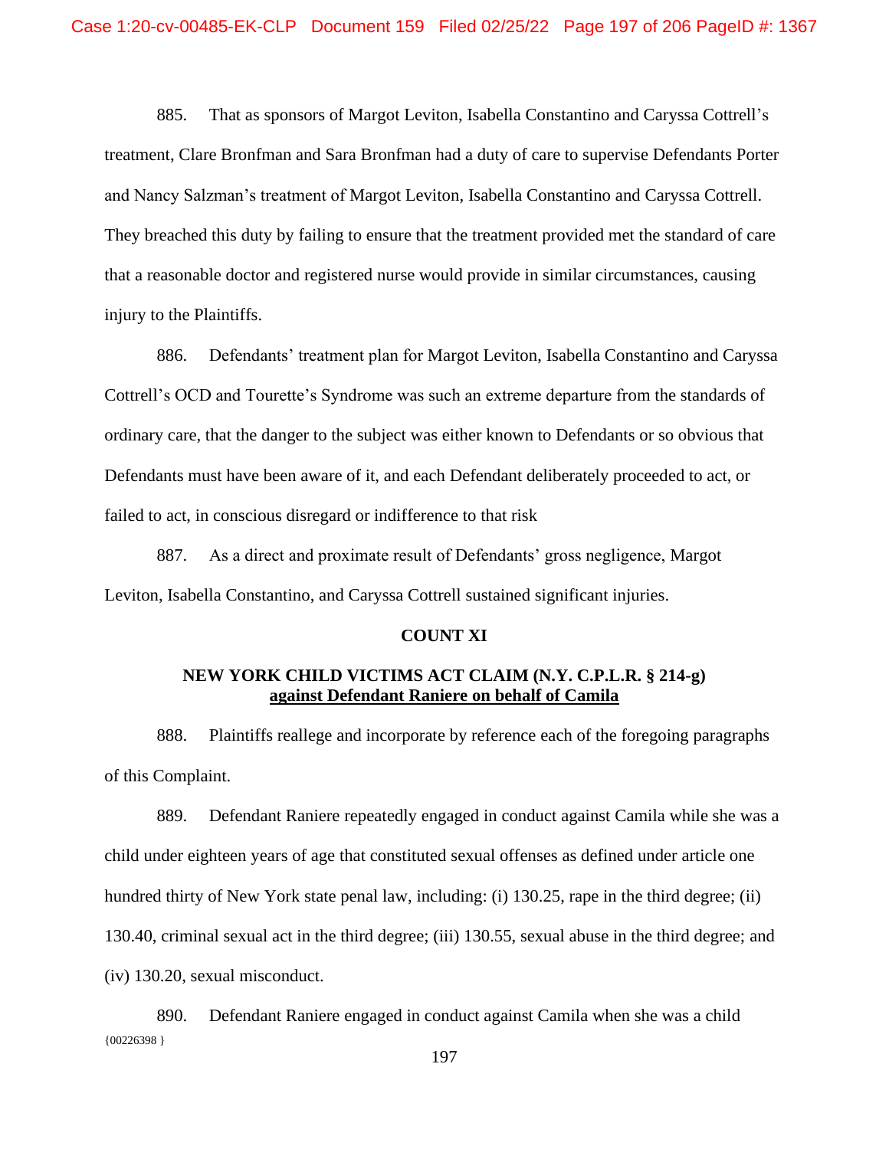885. That as sponsors of Margot Leviton, Isabella Constantino and Caryssa Cottrell's treatment, Clare Bronfman and Sara Bronfman had a duty of care to supervise Defendants Porter and Nancy Salzman's treatment of Margot Leviton, Isabella Constantino and Caryssa Cottrell. They breached this duty by failing to ensure that the treatment provided met the standard of care that a reasonable doctor and registered nurse would provide in similar circumstances, causing injury to the Plaintiffs.

886. Defendants' treatment plan for Margot Leviton, Isabella Constantino and Caryssa Cottrell's OCD and Tourette's Syndrome was such an extreme departure from the standards of ordinary care, that the danger to the subject was either known to Defendants or so obvious that Defendants must have been aware of it, and each Defendant deliberately proceeded to act, or failed to act, in conscious disregard or indifference to that risk

887. As a direct and proximate result of Defendants' gross negligence, Margot Leviton, Isabella Constantino, and Caryssa Cottrell sustained significant injuries.

### **COUNT XI**

# **NEW YORK CHILD VICTIMS ACT CLAIM (N.Y. C.P.L.R. § 214-g) against Defendant Raniere on behalf of Camila**

888. Plaintiffs reallege and incorporate by reference each of the foregoing paragraphs of this Complaint.

889. Defendant Raniere repeatedly engaged in conduct against Camila while she was a child under eighteen years of age that constituted sexual offenses as defined under article one hundred thirty of New York state penal law, including: (i) 130.25, rape in the third degree; (ii) 130.40, criminal sexual act in the third degree; (iii) 130.55, sexual abuse in the third degree; and (iv) 130.20, sexual misconduct.

{00226398 } 890. Defendant Raniere engaged in conduct against Camila when she was a child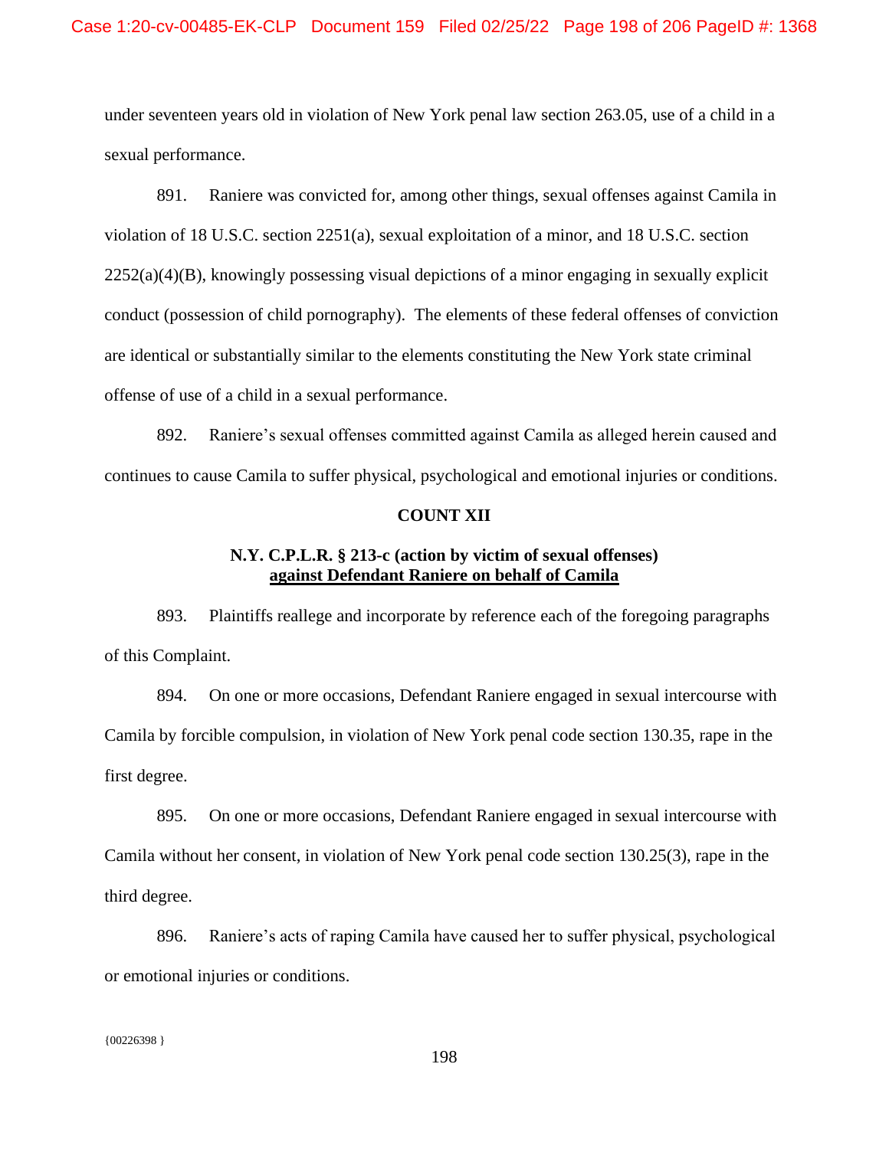under seventeen years old in violation of New York penal law section 263.05, use of a child in a sexual performance.

891. Raniere was convicted for, among other things, sexual offenses against Camila in violation of 18 U.S.C. section 2251(a), sexual exploitation of a minor, and 18 U.S.C. section  $2252(a)(4)(B)$ , knowingly possessing visual depictions of a minor engaging in sexually explicit conduct (possession of child pornography). The elements of these federal offenses of conviction are identical or substantially similar to the elements constituting the New York state criminal offense of use of a child in a sexual performance.

892. Raniere's sexual offenses committed against Camila as alleged herein caused and continues to cause Camila to suffer physical, psychological and emotional injuries or conditions.

## **COUNT XII**

## **N.Y. C.P.L.R. § 213-c (action by victim of sexual offenses) against Defendant Raniere on behalf of Camila**

893. Plaintiffs reallege and incorporate by reference each of the foregoing paragraphs of this Complaint.

894. On one or more occasions, Defendant Raniere engaged in sexual intercourse with Camila by forcible compulsion, in violation of New York penal code section 130.35, rape in the first degree.

895. On one or more occasions, Defendant Raniere engaged in sexual intercourse with Camila without her consent, in violation of New York penal code section 130.25(3), rape in the third degree.

896. Raniere's acts of raping Camila have caused her to suffer physical, psychological or emotional injuries or conditions.

{00226398 }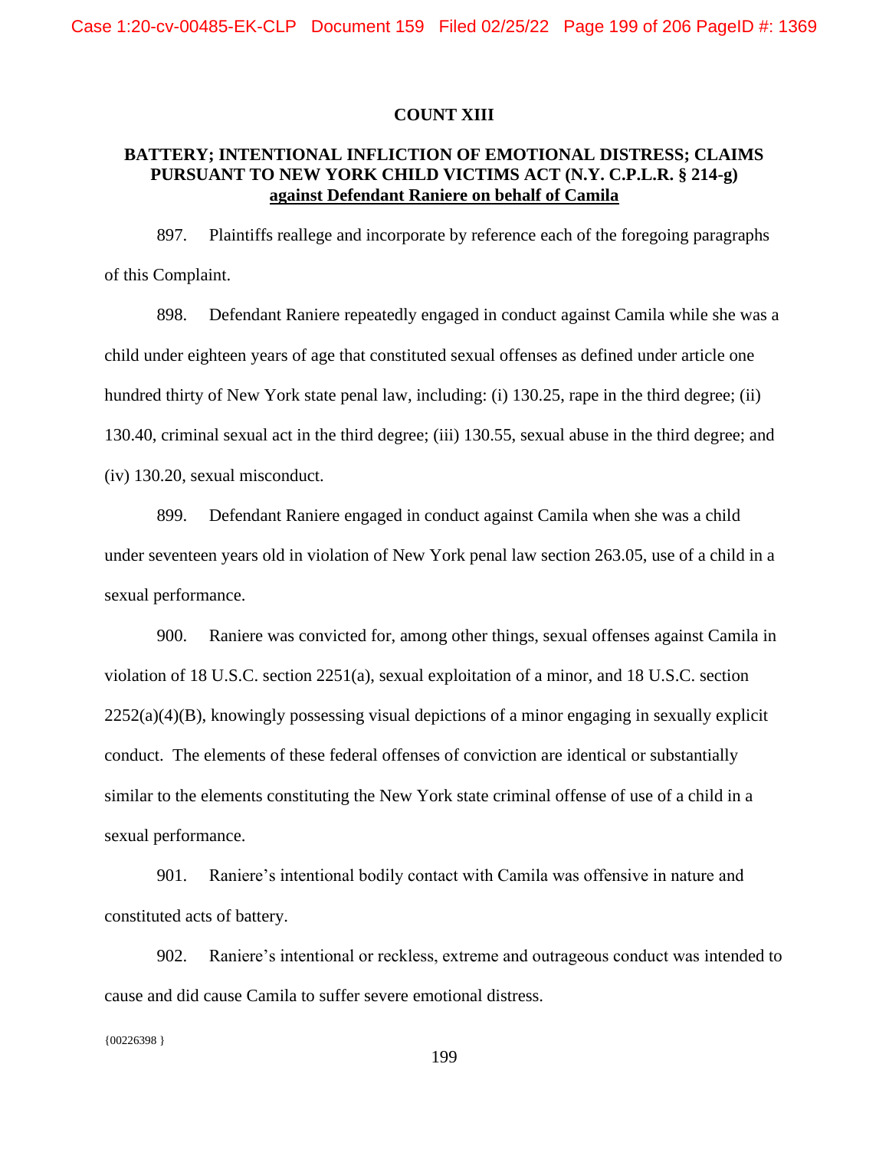### **COUNT XIII**

# **BATTERY; INTENTIONAL INFLICTION OF EMOTIONAL DISTRESS; CLAIMS PURSUANT TO NEW YORK CHILD VICTIMS ACT (N.Y. C.P.L.R. § 214-g) against Defendant Raniere on behalf of Camila**

897. Plaintiffs reallege and incorporate by reference each of the foregoing paragraphs of this Complaint.

898. Defendant Raniere repeatedly engaged in conduct against Camila while she was a child under eighteen years of age that constituted sexual offenses as defined under article one hundred thirty of New York state penal law, including: (i) 130.25, rape in the third degree; (ii) 130.40, criminal sexual act in the third degree; (iii) 130.55, sexual abuse in the third degree; and (iv) 130.20, sexual misconduct.

899. Defendant Raniere engaged in conduct against Camila when she was a child under seventeen years old in violation of New York penal law section 263.05, use of a child in a sexual performance.

900. Raniere was convicted for, among other things, sexual offenses against Camila in violation of 18 U.S.C. section 2251(a), sexual exploitation of a minor, and 18 U.S.C. section  $2252(a)(4)(B)$ , knowingly possessing visual depictions of a minor engaging in sexually explicit conduct. The elements of these federal offenses of conviction are identical or substantially similar to the elements constituting the New York state criminal offense of use of a child in a sexual performance.

901. Raniere's intentional bodily contact with Camila was offensive in nature and constituted acts of battery.

902. Raniere's intentional or reckless, extreme and outrageous conduct was intended to cause and did cause Camila to suffer severe emotional distress.

{00226398 }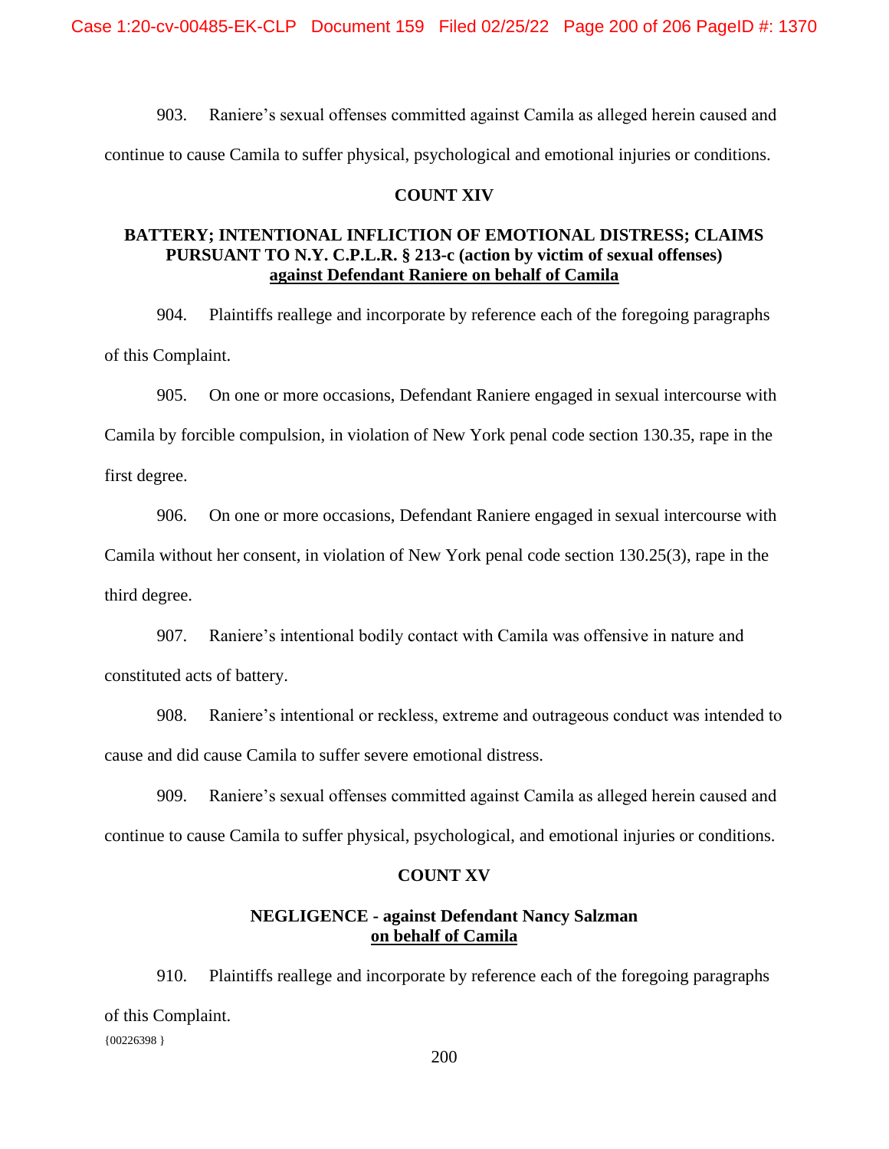903. Raniere's sexual offenses committed against Camila as alleged herein caused and

continue to cause Camila to suffer physical, psychological and emotional injuries or conditions.

## **COUNT XIV**

## **BATTERY; INTENTIONAL INFLICTION OF EMOTIONAL DISTRESS; CLAIMS PURSUANT TO N.Y. C.P.L.R. § 213-c (action by victim of sexual offenses) against Defendant Raniere on behalf of Camila**

904. Plaintiffs reallege and incorporate by reference each of the foregoing paragraphs of this Complaint.

905. On one or more occasions, Defendant Raniere engaged in sexual intercourse with Camila by forcible compulsion, in violation of New York penal code section 130.35, rape in the first degree.

906. On one or more occasions, Defendant Raniere engaged in sexual intercourse with

Camila without her consent, in violation of New York penal code section 130.25(3), rape in the third degree.

907. Raniere's intentional bodily contact with Camila was offensive in nature and constituted acts of battery.

908. Raniere's intentional or reckless, extreme and outrageous conduct was intended to cause and did cause Camila to suffer severe emotional distress.

909. Raniere's sexual offenses committed against Camila as alleged herein caused and continue to cause Camila to suffer physical, psychological, and emotional injuries or conditions.

### **COUNT XV**

## **NEGLIGENCE - against Defendant Nancy Salzman on behalf of Camila**

 ${00226398}$ 910. Plaintiffs reallege and incorporate by reference each of the foregoing paragraphs of this Complaint.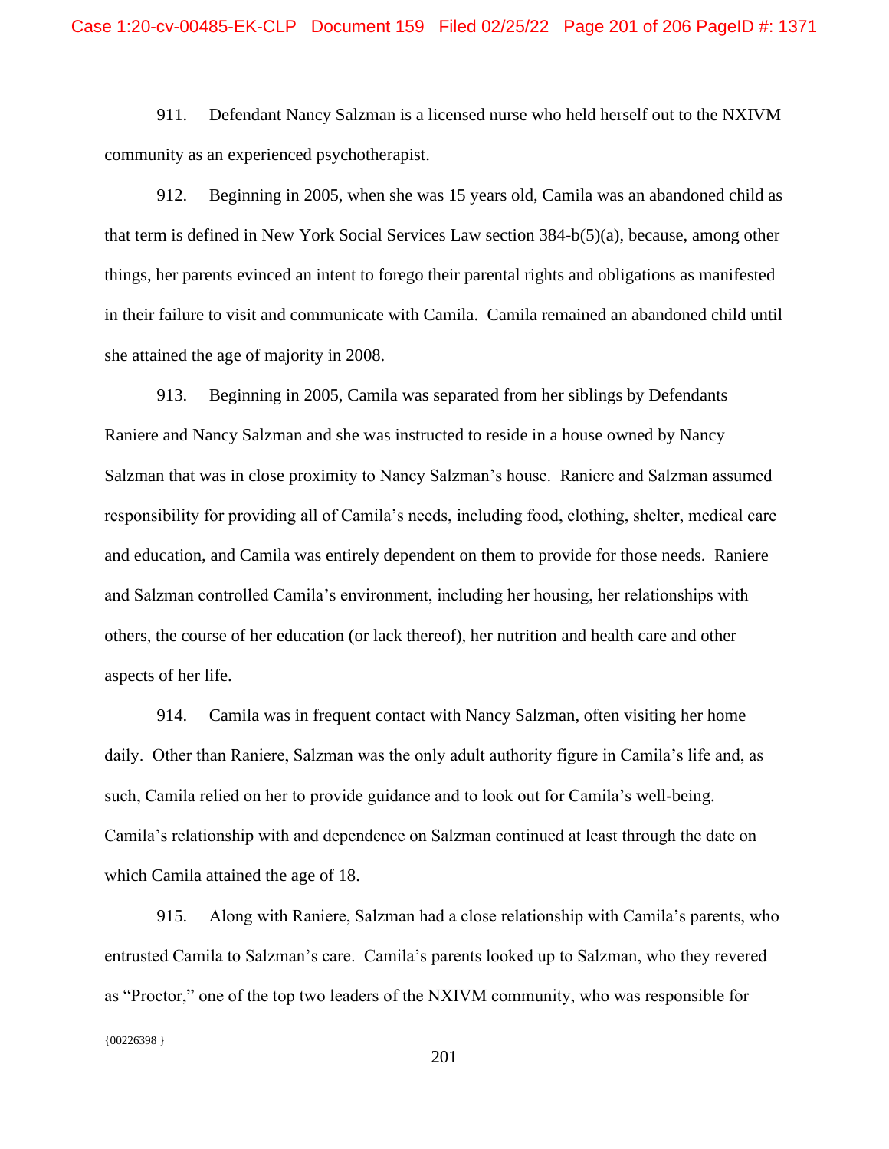911. Defendant Nancy Salzman is a licensed nurse who held herself out to the NXIVM community as an experienced psychotherapist.

912. Beginning in 2005, when she was 15 years old, Camila was an abandoned child as that term is defined in New York Social Services Law section 384-b(5)(a), because, among other things, her parents evinced an intent to forego their parental rights and obligations as manifested in their failure to visit and communicate with Camila. Camila remained an abandoned child until she attained the age of majority in 2008.

913. Beginning in 2005, Camila was separated from her siblings by Defendants Raniere and Nancy Salzman and she was instructed to reside in a house owned by Nancy Salzman that was in close proximity to Nancy Salzman's house. Raniere and Salzman assumed responsibility for providing all of Camila's needs, including food, clothing, shelter, medical care and education, and Camila was entirely dependent on them to provide for those needs. Raniere and Salzman controlled Camila's environment, including her housing, her relationships with others, the course of her education (or lack thereof), her nutrition and health care and other aspects of her life.

914. Camila was in frequent contact with Nancy Salzman, often visiting her home daily. Other than Raniere, Salzman was the only adult authority figure in Camila's life and, as such, Camila relied on her to provide guidance and to look out for Camila's well-being. Camila's relationship with and dependence on Salzman continued at least through the date on which Camila attained the age of 18.

 ${00226398}$ 915. Along with Raniere, Salzman had a close relationship with Camila's parents, who entrusted Camila to Salzman's care. Camila's parents looked up to Salzman, who they revered as "Proctor," one of the top two leaders of the NXIVM community, who was responsible for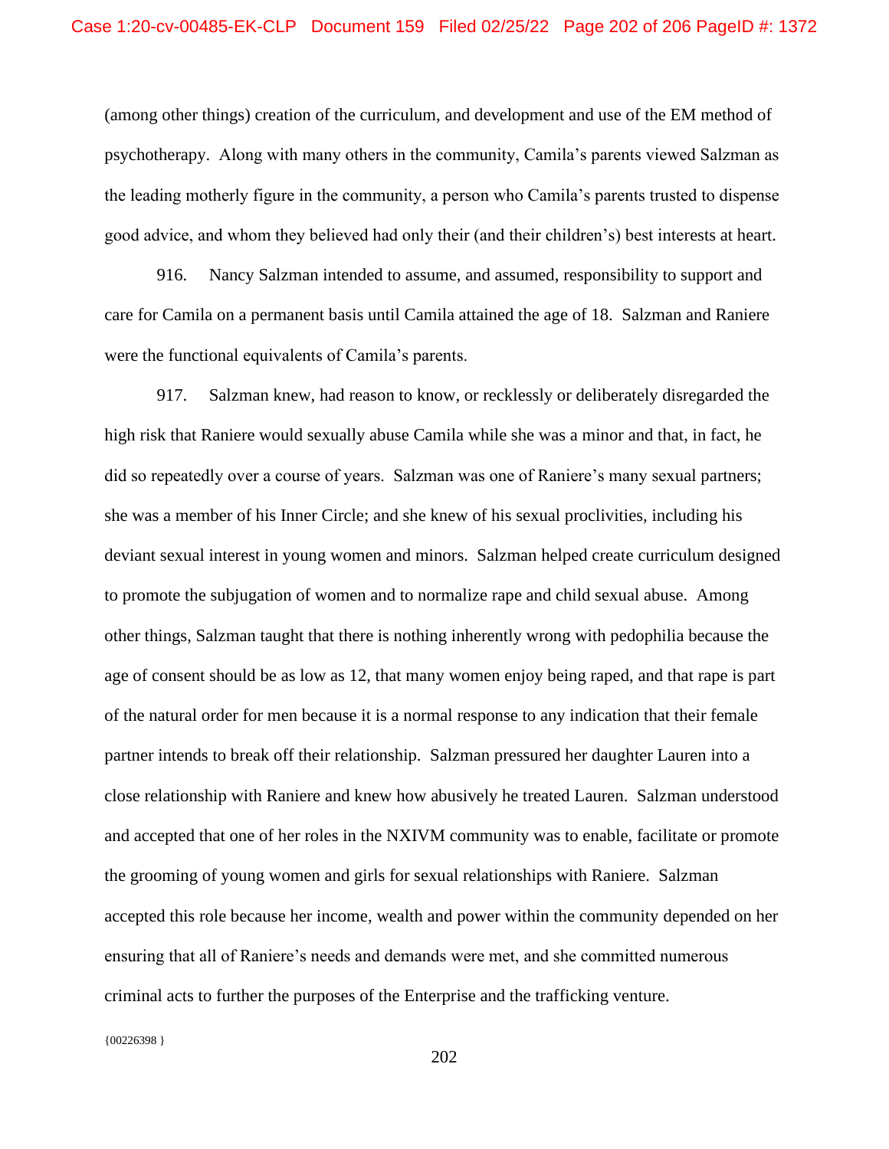(among other things) creation of the curriculum, and development and use of the EM method of psychotherapy. Along with many others in the community, Camila's parents viewed Salzman as the leading motherly figure in the community, a person who Camila's parents trusted to dispense good advice, and whom they believed had only their (and their children's) best interests at heart.

916. Nancy Salzman intended to assume, and assumed, responsibility to support and care for Camila on a permanent basis until Camila attained the age of 18. Salzman and Raniere were the functional equivalents of Camila's parents.

917. Salzman knew, had reason to know, or recklessly or deliberately disregarded the high risk that Raniere would sexually abuse Camila while she was a minor and that, in fact, he did so repeatedly over a course of years. Salzman was one of Raniere's many sexual partners; she was a member of his Inner Circle; and she knew of his sexual proclivities, including his deviant sexual interest in young women and minors. Salzman helped create curriculum designed to promote the subjugation of women and to normalize rape and child sexual abuse. Among other things, Salzman taught that there is nothing inherently wrong with pedophilia because the age of consent should be as low as 12, that many women enjoy being raped, and that rape is part of the natural order for men because it is a normal response to any indication that their female partner intends to break off their relationship. Salzman pressured her daughter Lauren into a close relationship with Raniere and knew how abusively he treated Lauren. Salzman understood and accepted that one of her roles in the NXIVM community was to enable, facilitate or promote the grooming of young women and girls for sexual relationships with Raniere. Salzman accepted this role because her income, wealth and power within the community depended on her ensuring that all of Raniere's needs and demands were met, and she committed numerous criminal acts to further the purposes of the Enterprise and the trafficking venture.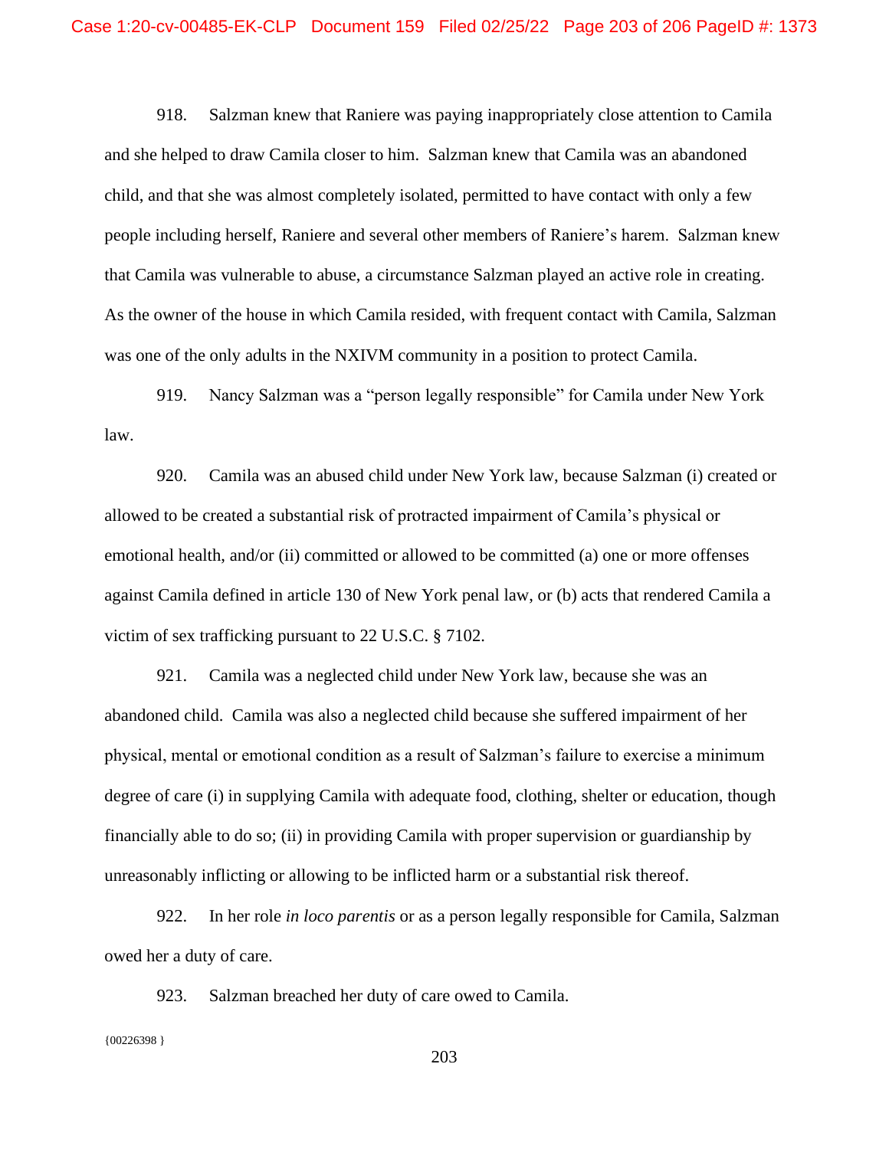918. Salzman knew that Raniere was paying inappropriately close attention to Camila and she helped to draw Camila closer to him. Salzman knew that Camila was an abandoned child, and that she was almost completely isolated, permitted to have contact with only a few people including herself, Raniere and several other members of Raniere's harem. Salzman knew that Camila was vulnerable to abuse, a circumstance Salzman played an active role in creating. As the owner of the house in which Camila resided, with frequent contact with Camila, Salzman was one of the only adults in the NXIVM community in a position to protect Camila.

919. Nancy Salzman was a "person legally responsible" for Camila under New York law.

920. Camila was an abused child under New York law, because Salzman (i) created or allowed to be created a substantial risk of protracted impairment of Camila's physical or emotional health, and/or (ii) committed or allowed to be committed (a) one or more offenses against Camila defined in article 130 of New York penal law, or (b) acts that rendered Camila a victim of sex trafficking pursuant to 22 U.S.C. § 7102.

921. Camila was a neglected child under New York law, because she was an abandoned child. Camila was also a neglected child because she suffered impairment of her physical, mental or emotional condition as a result of Salzman's failure to exercise a minimum degree of care (i) in supplying Camila with adequate food, clothing, shelter or education, though financially able to do so; (ii) in providing Camila with proper supervision or guardianship by unreasonably inflicting or allowing to be inflicted harm or a substantial risk thereof.

922. In her role *in loco parentis* or as a person legally responsible for Camila, Salzman owed her a duty of care.

923. Salzman breached her duty of care owed to Camila.

{00226398 }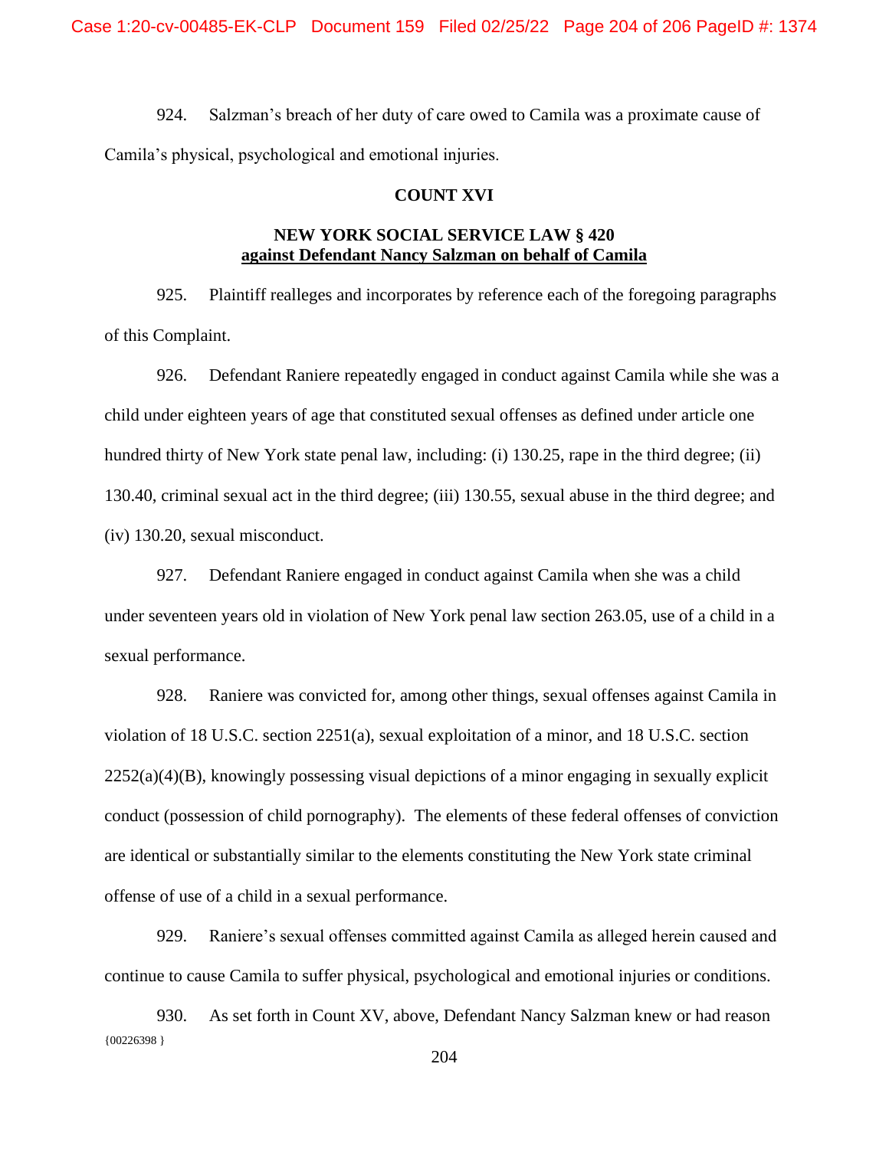924. Salzman's breach of her duty of care owed to Camila was a proximate cause of Camila's physical, psychological and emotional injuries.

## **COUNT XVI**

# **NEW YORK SOCIAL SERVICE LAW § 420 against Defendant Nancy Salzman on behalf of Camila**

925. Plaintiff realleges and incorporates by reference each of the foregoing paragraphs of this Complaint.

926. Defendant Raniere repeatedly engaged in conduct against Camila while she was a child under eighteen years of age that constituted sexual offenses as defined under article one hundred thirty of New York state penal law, including: (i) 130.25, rape in the third degree; (ii) 130.40, criminal sexual act in the third degree; (iii) 130.55, sexual abuse in the third degree; and (iv) 130.20, sexual misconduct.

927. Defendant Raniere engaged in conduct against Camila when she was a child under seventeen years old in violation of New York penal law section 263.05, use of a child in a sexual performance.

928. Raniere was convicted for, among other things, sexual offenses against Camila in violation of 18 U.S.C. section 2251(a), sexual exploitation of a minor, and 18 U.S.C. section 2252(a)(4)(B), knowingly possessing visual depictions of a minor engaging in sexually explicit conduct (possession of child pornography). The elements of these federal offenses of conviction are identical or substantially similar to the elements constituting the New York state criminal offense of use of a child in a sexual performance.

929. Raniere's sexual offenses committed against Camila as alleged herein caused and continue to cause Camila to suffer physical, psychological and emotional injuries or conditions.

{00226398 } 930. As set forth in Count XV, above, Defendant Nancy Salzman knew or had reason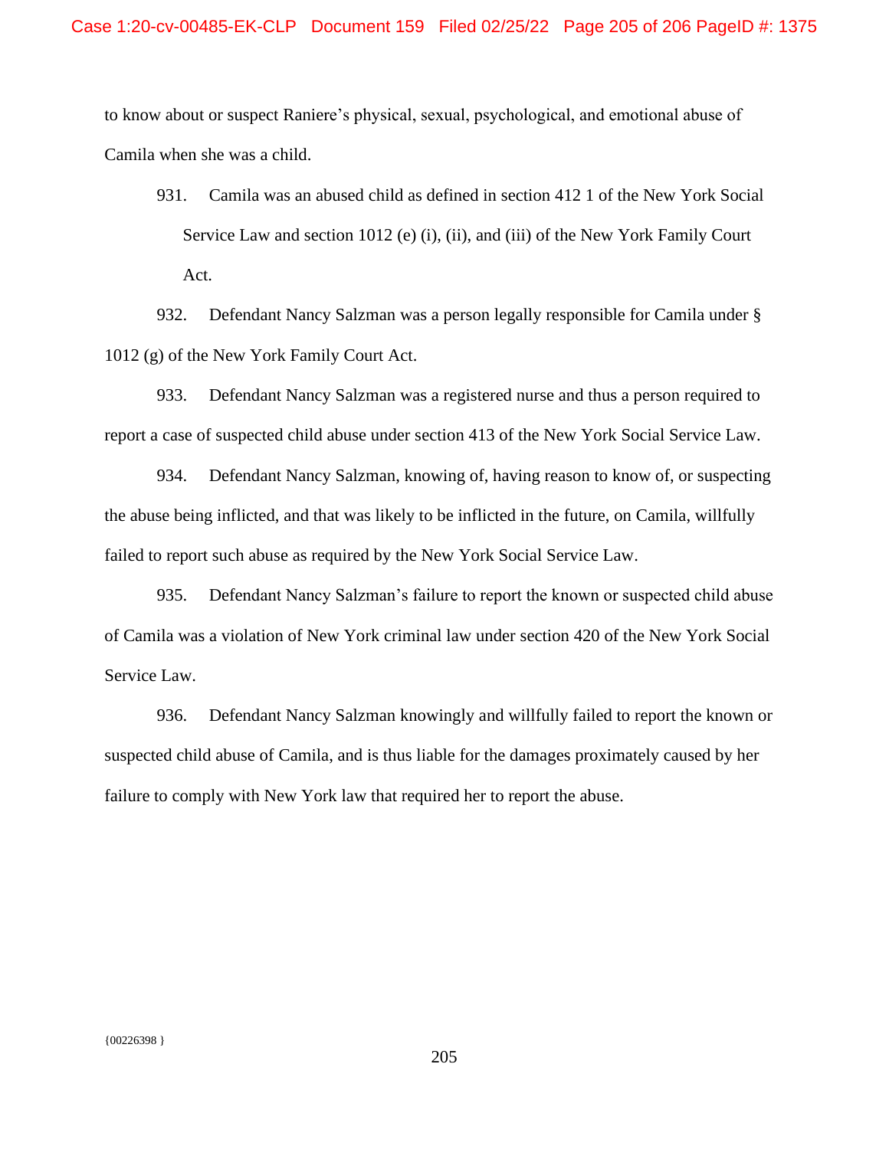to know about or suspect Raniere's physical, sexual, psychological, and emotional abuse of Camila when she was a child.

931. Camila was an abused child as defined in section 412 1 of the New York Social Service Law and section 1012 (e) (i), (ii), and (iii) of the New York Family Court Act.

932. Defendant Nancy Salzman was a person legally responsible for Camila under § 1012 (g) of the New York Family Court Act.

933. Defendant Nancy Salzman was a registered nurse and thus a person required to report a case of suspected child abuse under section 413 of the New York Social Service Law.

934. Defendant Nancy Salzman, knowing of, having reason to know of, or suspecting the abuse being inflicted, and that was likely to be inflicted in the future, on Camila, willfully failed to report such abuse as required by the New York Social Service Law.

935. Defendant Nancy Salzman's failure to report the known or suspected child abuse of Camila was a violation of New York criminal law under section 420 of the New York Social Service Law.

936. Defendant Nancy Salzman knowingly and willfully failed to report the known or suspected child abuse of Camila, and is thus liable for the damages proximately caused by her failure to comply with New York law that required her to report the abuse.